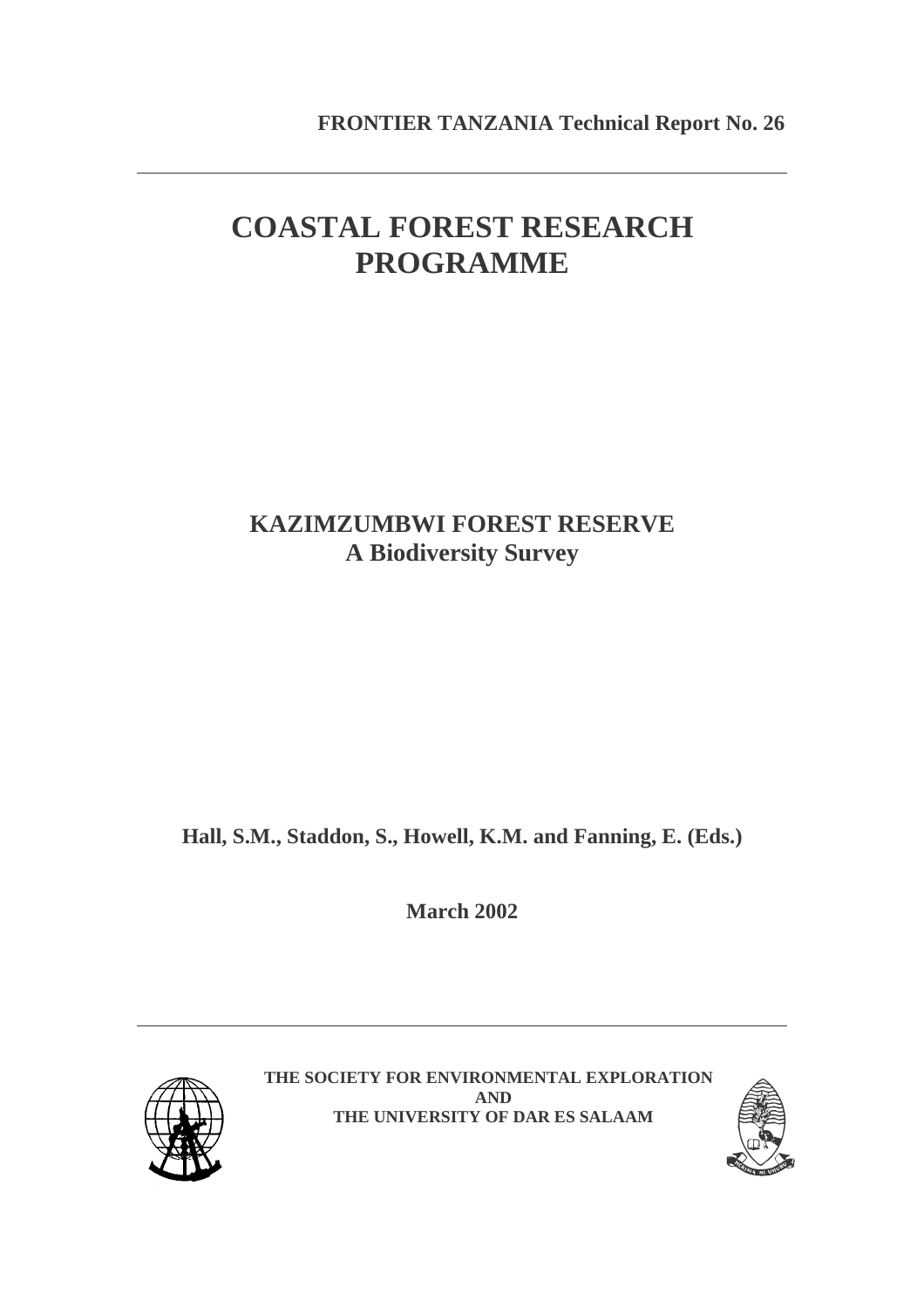# **COASTAL FOREST RESEARCH PROGRAMME**

# **KAZIMZUMBWI FOREST RESERVE A Biodiversity Survey**

**Hall, S.M., Staddon, S., Howell, K.M. and Fanning, E. (Eds.)** 

**March 2002** 



**THE SOCIETY FOR ENVIRONMENTAL EXPLORATION AND THE UNIVERSITY OF DAR ES SALAAM**

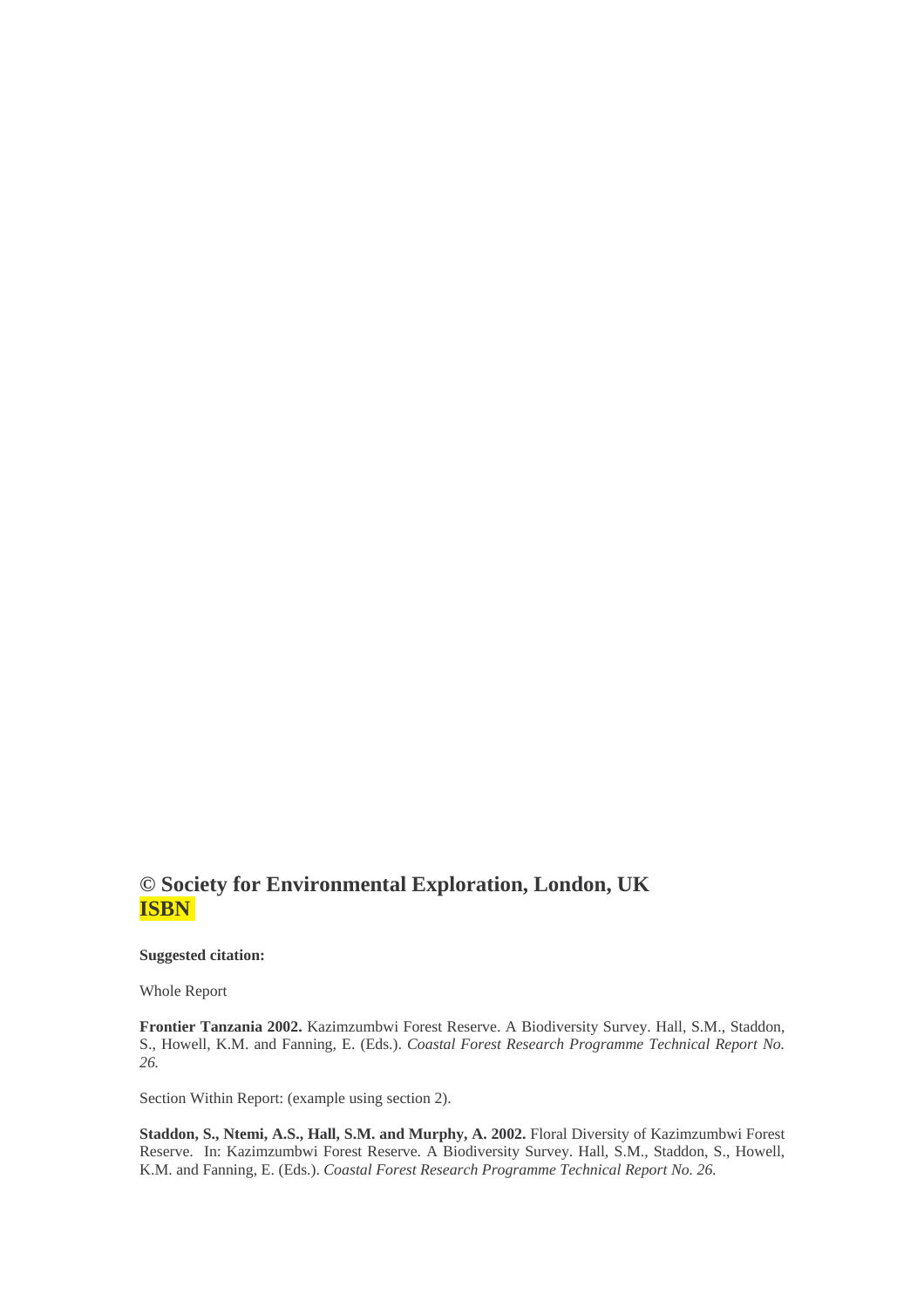## **© Society for Environmental Exploration, London, UK ISBN**

**Suggested citation:**

Whole Report

**Frontier Tanzania 2002.** Kazimzumbwi Forest Reserve. A Biodiversity Survey. Hall, S.M., Staddon, S., Howell, K.M. and Fanning, E. (Eds.). *Coastal Forest Research Programme Technical Report No. 26.* 

Section Within Report: (example using section 2).

**Staddon, S., Ntemi, A.S., Hall, S.M. and Murphy, A. 2002.** Floral Diversity of Kazimzumbwi Forest Reserve. In: Kazimzumbwi Forest Reserve. A Biodiversity Survey. Hall, S.M., Staddon, S., Howell, K.M. and Fanning, E. (Eds.). *Coastal Forest Research Programme Technical Report No. 26.*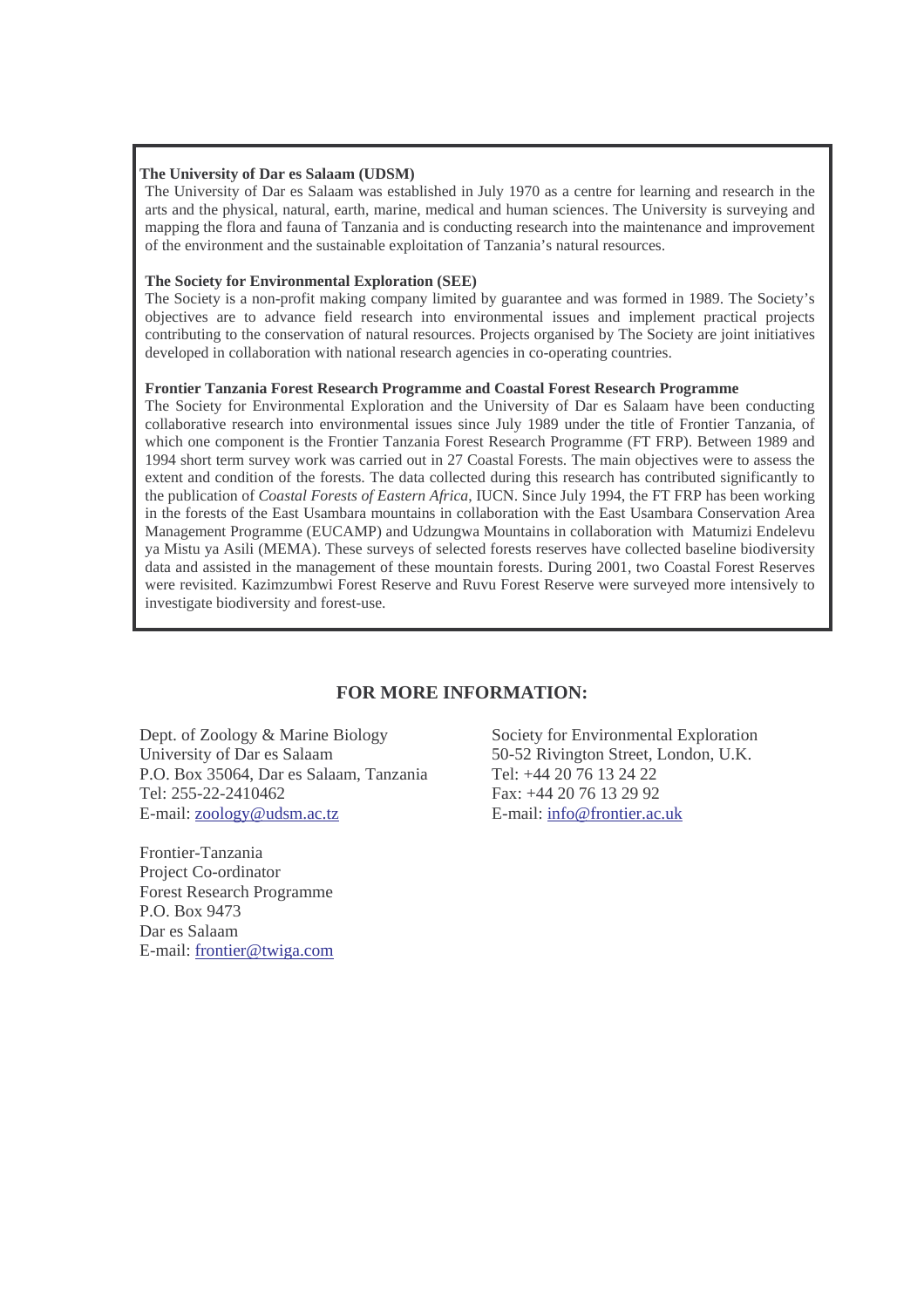#### **The University of Dar es Salaam (UDSM)**

The University of Dar es Salaam was established in July 1970 as a centre for learning and research in the arts and the physical, natural, earth, marine, medical and human sciences. The University is surveying and mapping the flora and fauna of Tanzania and is conducting research into the maintenance and improvement of the environment and the sustainable exploitation of Tanzania's natural resources.

#### **The Society for Environmental Exploration (SEE)**

The Society is a non-profit making company limited by guarantee and was formed in 1989. The Society's objectives are to advance field research into environmental issues and implement practical projects contributing to the conservation of natural resources. Projects organised by The Society are joint initiatives developed in collaboration with national research agencies in co-operating countries.

#### **Frontier Tanzania Forest Research Programme and Coastal Forest Research Programme**

The Society for Environmental Exploration and the University of Dar es Salaam have been conducting collaborative research into environmental issues since July 1989 under the title of Frontier Tanzania, of which one component is the Frontier Tanzania Forest Research Programme (FT FRP). Between 1989 and 1994 short term survey work was carried out in 27 Coastal Forests. The main objectives were to assess the extent and condition of the forests. The data collected during this research has contributed significantly to the publication of *Coastal Forests of Eastern Africa*, IUCN. Since July 1994, the FT FRP has been working in the forests of the East Usambara mountains in collaboration with the East Usambara Conservation Area Management Programme (EUCAMP) and Udzungwa Mountains in collaboration with Matumizi Endelevu ya Mistu ya Asili (MEMA). These surveys of selected forests reserves have collected baseline biodiversity data and assisted in the management of these mountain forests. During 2001, two Coastal Forest Reserves were revisited. Kazimzumbwi Forest Reserve and Ruvu Forest Reserve were surveyed more intensively to investigate biodiversity and forest-use.

### **FOR MORE INFORMATION:**

Dept. of Zoology & Marine Biology University of Dar es Salaam P.O. Box 35064, Dar es Salaam, Tanzania Tel: 255-22-2410462 E-mail: zoology@udsm.ac.tz

Frontier-Tanzania Project Co-ordinator Forest Research Programme P.O. Box 9473 Dar es Salaam E-mail: frontier@twiga.com

Society for Environmental Exploration 50-52 Rivington Street, London, U.K. Tel: +44 20 76 13 24 22 Fax: +44 20 76 13 29 92 E-mail: info@frontier.ac.uk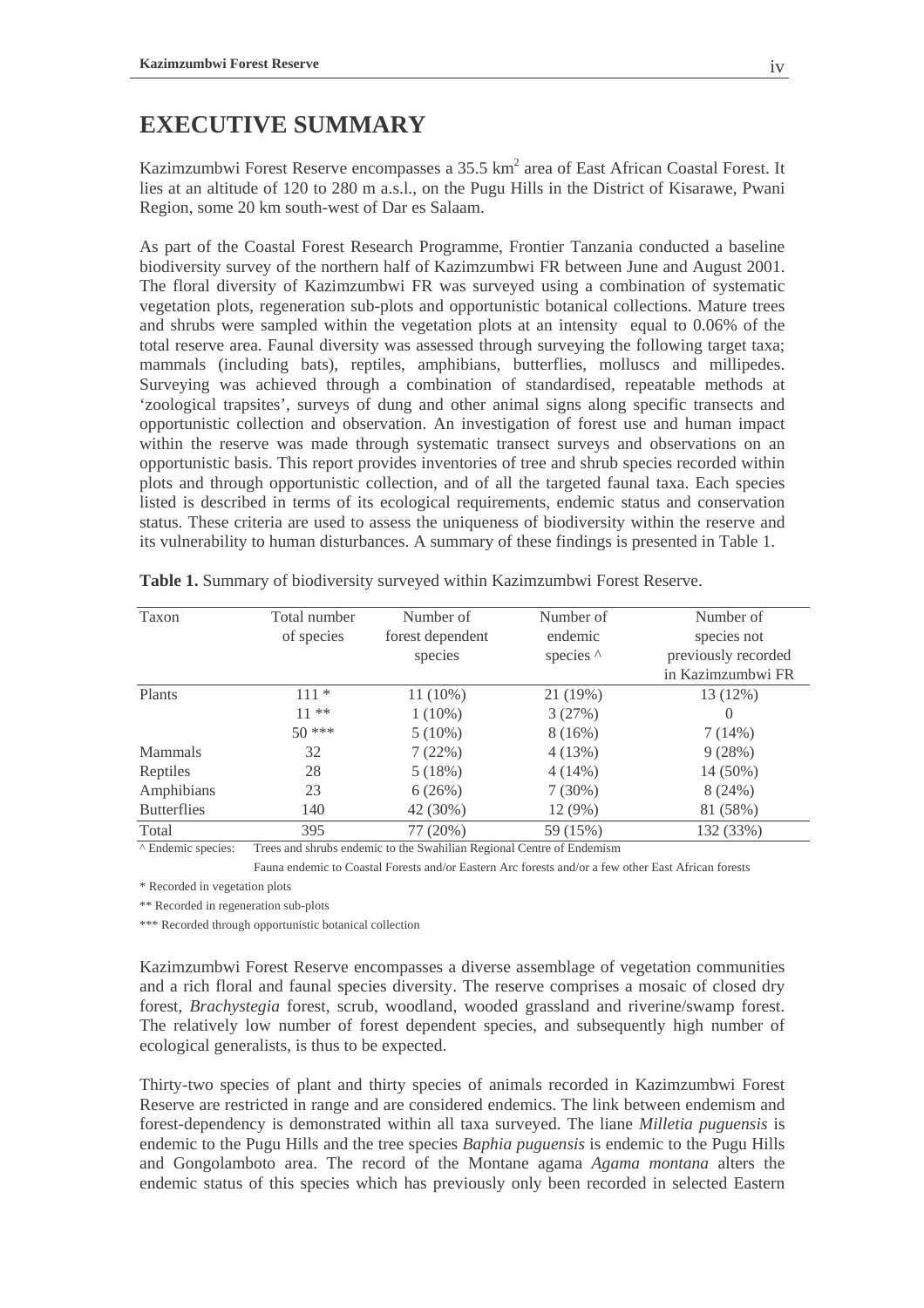## **EXECUTIVE SUMMARY**

Kazimzumbwi Forest Reserve encompasses a 35.5 km<sup>2</sup> area of East African Coastal Forest. It lies at an altitude of 120 to 280 m a.s.l., on the Pugu Hills in the District of Kisarawe, Pwani Region, some 20 km south-west of Dar es Salaam.

As part of the Coastal Forest Research Programme, Frontier Tanzania conducted a baseline biodiversity survey of the northern half of Kazimzumbwi FR between June and August 2001. The floral diversity of Kazimzumbwi FR was surveyed using a combination of systematic vegetation plots, regeneration sub-plots and opportunistic botanical collections. Mature trees and shrubs were sampled within the vegetation plots at an intensity equal to 0.06% of the total reserve area. Faunal diversity was assessed through surveying the following target taxa; mammals (including bats), reptiles, amphibians, butterflies, molluscs and millipedes. Surveying was achieved through a combination of standardised, repeatable methods at 'zoological trapsites', surveys of dung and other animal signs along specific transects and opportunistic collection and observation. An investigation of forest use and human impact within the reserve was made through systematic transect surveys and observations on an opportunistic basis. This report provides inventories of tree and shrub species recorded within plots and through opportunistic collection, and of all the targeted faunal taxa. Each species listed is described in terms of its ecological requirements, endemic status and conservation status. These criteria are used to assess the uniqueness of biodiversity within the reserve and its vulnerability to human disturbances. A summary of these findings is presented in Table 1.

| Taxon              | Total number                         | Number of        | Number of        | Number of           |
|--------------------|--------------------------------------|------------------|------------------|---------------------|
|                    | of species                           | forest dependent | endemic          | species not         |
|                    |                                      | species          | species $\wedge$ | previously recorded |
|                    |                                      |                  |                  | in Kazimzumbwi FR   |
| Plants             | $111 *$                              | $11(10\%)$       | 21 (19%)         | 13 (12%)            |
|                    | $11***$                              | $1(10\%)$        | 3(27%)           | $\theta$            |
|                    | $50***$                              | $5(10\%)$        | 8(16%)           | 7(14%)              |
| <b>Mammals</b>     | 32                                   | 7(22%)           | 4(13%)           | 9(28%)              |
| Reptiles           | 28                                   | 5(18%)           | $4(14\%)$        | 14 (50%)            |
| Amphibians         | 23                                   | 6(26%)           | $7(30\%)$        | 8(24%)              |
| <b>Butterflies</b> | 140                                  | 42 (30%)         | $12(9\%)$        | 81 (58%)            |
| Total              | 395                                  | 77 (20%)         | 59 (15%)         | 132 (33%)           |
| $\cdots$           | $\overline{\phantom{a}}$<br>$\cdots$ |                  | $\sim$           |                     |

**Table 1.** Summary of biodiversity surveyed within Kazimzumbwi Forest Reserve.

^ Endemic species: Trees and shrubs endemic to the Swahilian Regional Centre of Endemism

Fauna endemic to Coastal Forests and/or Eastern Arc forests and/or a few other East African forests

\* Recorded in vegetation plots

\*\* Recorded in regeneration sub-plots

\*\*\* Recorded through opportunistic botanical collection

Kazimzumbwi Forest Reserve encompasses a diverse assemblage of vegetation communities and a rich floral and faunal species diversity. The reserve comprises a mosaic of closed dry forest, *Brachystegia* forest, scrub, woodland, wooded grassland and riverine/swamp forest. The relatively low number of forest dependent species, and subsequently high number of ecological generalists, is thus to be expected.

Thirty-two species of plant and thirty species of animals recorded in Kazimzumbwi Forest Reserve are restricted in range and are considered endemics. The link between endemism and forest-dependency is demonstrated within all taxa surveyed. The liane *Milletia puguensis* is endemic to the Pugu Hills and the tree species *Baphia puguensis* is endemic to the Pugu Hills and Gongolamboto area. The record of the Montane agama *Agama montana* alters the endemic status of this species which has previously only been recorded in selected Eastern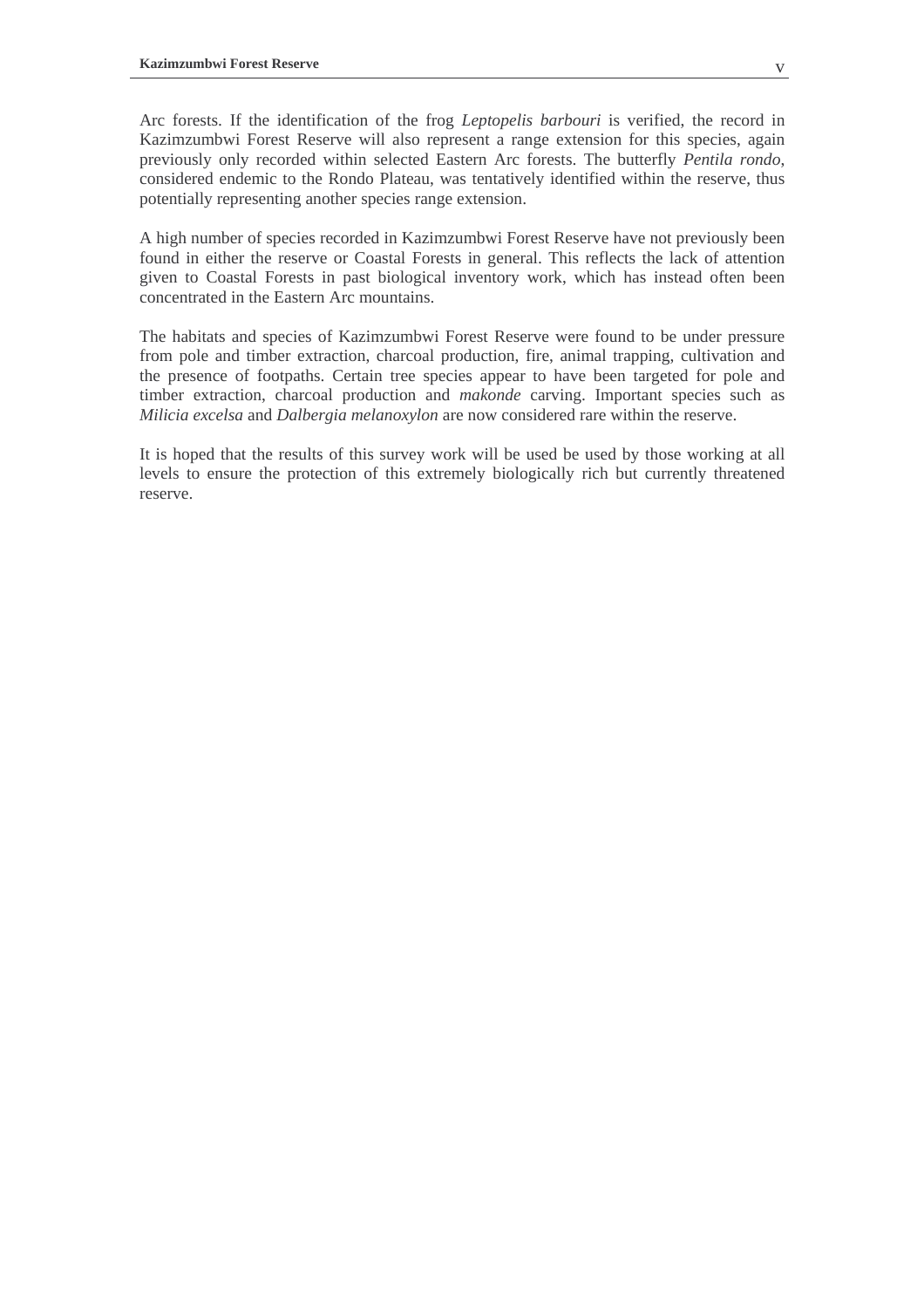Arc forests. If the identification of the frog *Leptopelis barbouri* is verified, the record in Kazimzumbwi Forest Reserve will also represent a range extension for this species, again previously only recorded within selected Eastern Arc forests. The butterfly *Pentila rondo*, considered endemic to the Rondo Plateau, was tentatively identified within the reserve, thus potentially representing another species range extension.

A high number of species recorded in Kazimzumbwi Forest Reserve have not previously been found in either the reserve or Coastal Forests in general. This reflects the lack of attention given to Coastal Forests in past biological inventory work, which has instead often been concentrated in the Eastern Arc mountains.

The habitats and species of Kazimzumbwi Forest Reserve were found to be under pressure from pole and timber extraction, charcoal production, fire, animal trapping, cultivation and the presence of footpaths. Certain tree species appear to have been targeted for pole and timber extraction, charcoal production and *makonde* carving. Important species such as *Milicia excelsa* and *Dalbergia melanoxylon* are now considered rare within the reserve.

It is hoped that the results of this survey work will be used be used by those working at all levels to ensure the protection of this extremely biologically rich but currently threatened reserve.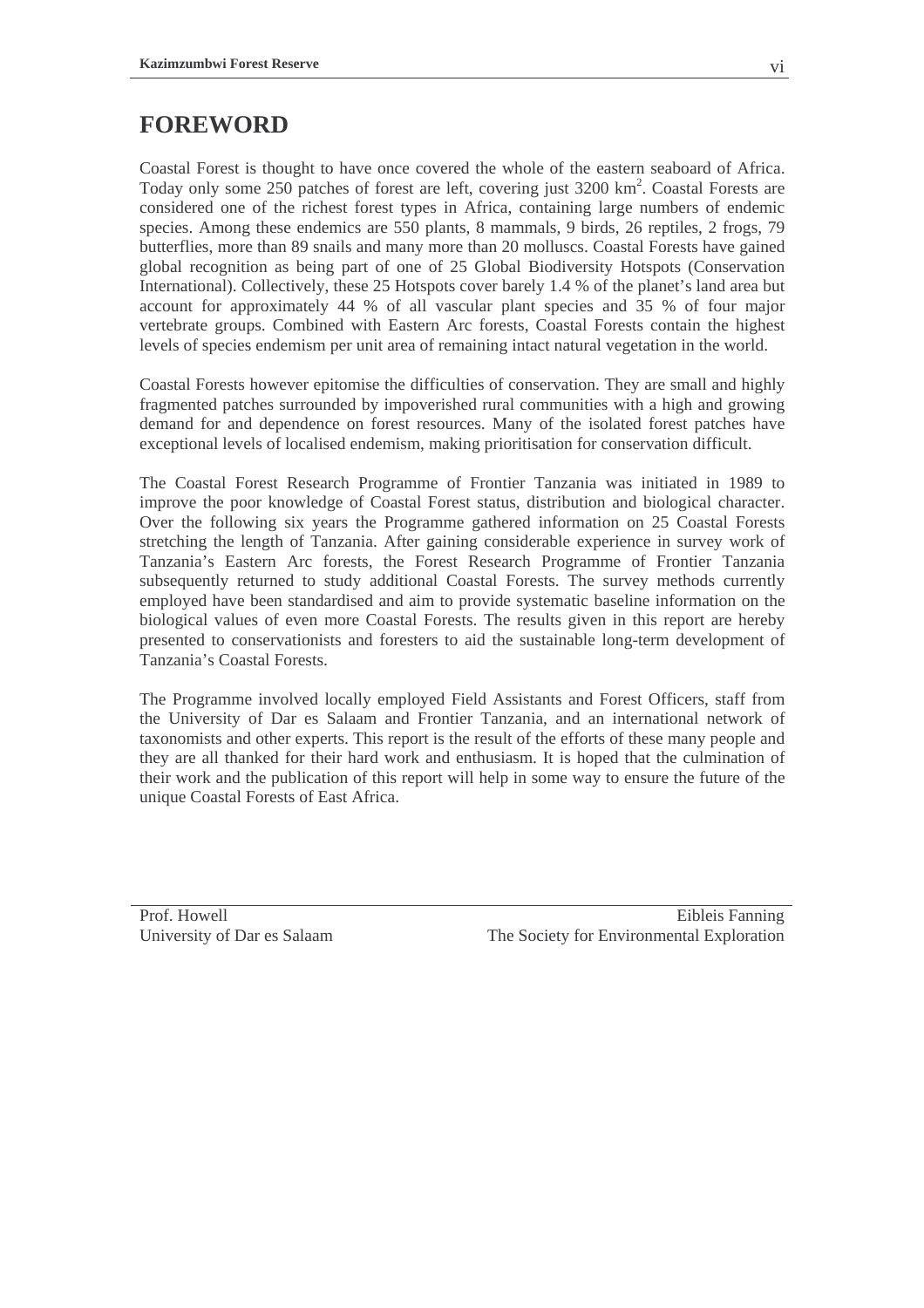## **FOREWORD**

Coastal Forest is thought to have once covered the whole of the eastern seaboard of Africa. Today only some 250 patches of forest are left, covering just 3200 km<sup>2</sup>. Coastal Forests are considered one of the richest forest types in Africa, containing large numbers of endemic species. Among these endemics are 550 plants, 8 mammals, 9 birds, 26 reptiles, 2 frogs, 79 butterflies, more than 89 snails and many more than 20 molluscs. Coastal Forests have gained global recognition as being part of one of 25 Global Biodiversity Hotspots (Conservation International). Collectively, these 25 Hotspots cover barely 1.4 % of the planet's land area but account for approximately 44 % of all vascular plant species and 35 % of four major vertebrate groups. Combined with Eastern Arc forests, Coastal Forests contain the highest levels of species endemism per unit area of remaining intact natural vegetation in the world.

Coastal Forests however epitomise the difficulties of conservation. They are small and highly fragmented patches surrounded by impoverished rural communities with a high and growing demand for and dependence on forest resources. Many of the isolated forest patches have exceptional levels of localised endemism, making prioritisation for conservation difficult.

The Coastal Forest Research Programme of Frontier Tanzania was initiated in 1989 to improve the poor knowledge of Coastal Forest status, distribution and biological character. Over the following six years the Programme gathered information on 25 Coastal Forests stretching the length of Tanzania. After gaining considerable experience in survey work of Tanzania's Eastern Arc forests, the Forest Research Programme of Frontier Tanzania subsequently returned to study additional Coastal Forests. The survey methods currently employed have been standardised and aim to provide systematic baseline information on the biological values of even more Coastal Forests. The results given in this report are hereby presented to conservationists and foresters to aid the sustainable long-term development of Tanzania's Coastal Forests.

The Programme involved locally employed Field Assistants and Forest Officers, staff from the University of Dar es Salaam and Frontier Tanzania, and an international network of taxonomists and other experts. This report is the result of the efforts of these many people and they are all thanked for their hard work and enthusiasm. It is hoped that the culmination of their work and the publication of this report will help in some way to ensure the future of the unique Coastal Forests of East Africa.

Prof. Howell University of Dar es Salaam

Eibleis Fanning The Society for Environmental Exploration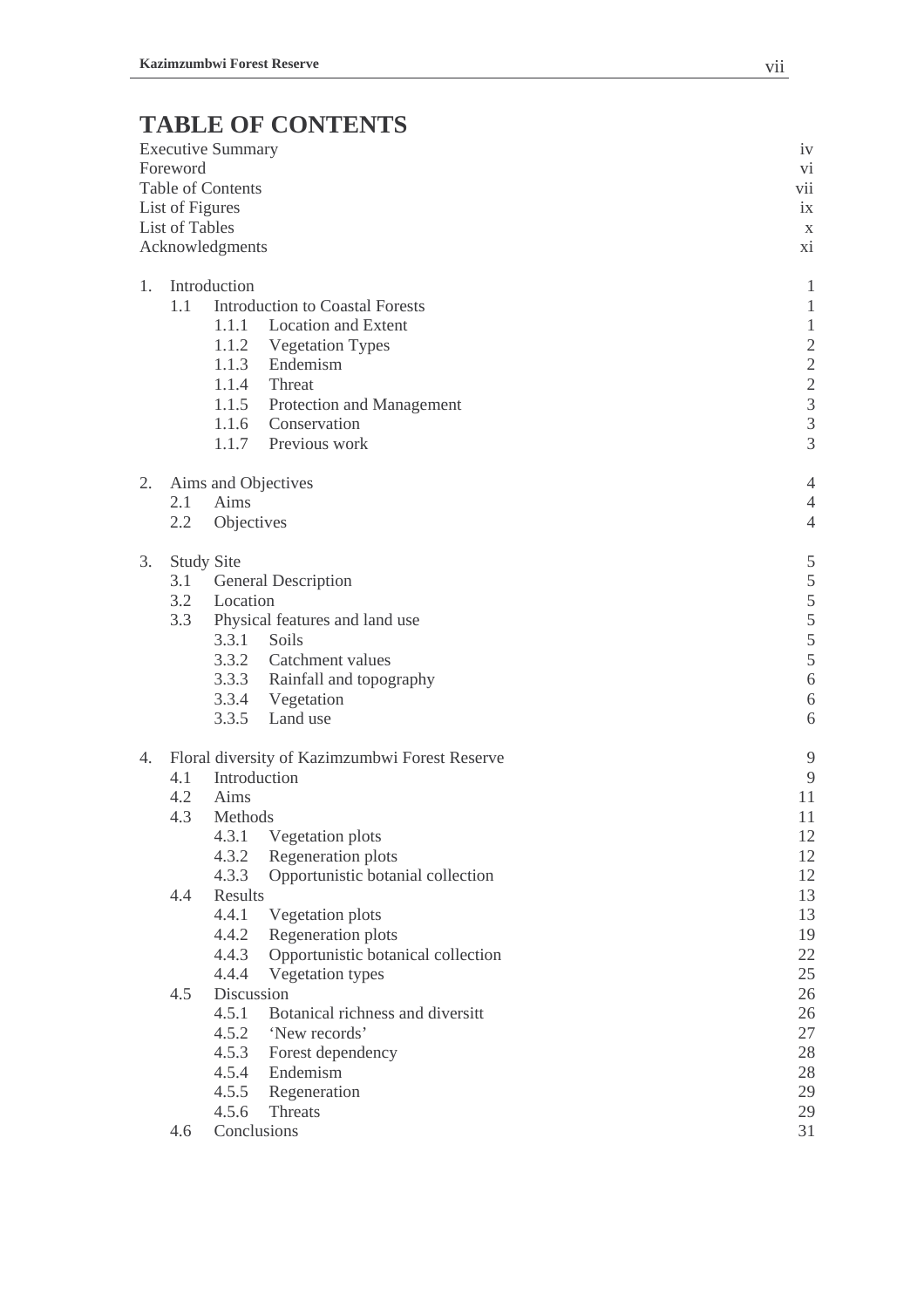# **TABLE OF CONTENTS**

|    |                 | <b>Executive Summary</b> |                                                | iv                                                |
|----|-----------------|--------------------------|------------------------------------------------|---------------------------------------------------|
|    | Foreword        |                          |                                                | $\rm{Vi}$                                         |
|    |                 | <b>Table of Contents</b> |                                                | vii                                               |
|    | List of Figures |                          |                                                | ix                                                |
|    | List of Tables  |                          |                                                | $\mathbf X$                                       |
|    |                 | Acknowledgments          |                                                | xi                                                |
| 1. |                 | Introduction             |                                                | $\mathbf{1}$                                      |
|    | 1.1             |                          | <b>Introduction to Coastal Forests</b>         | $\mathbf{1}$                                      |
|    |                 | 1.1.1                    | <b>Location and Extent</b>                     | $\mathbf{1}$                                      |
|    |                 |                          | 1.1.2 Vegetation Types                         |                                                   |
|    |                 | 1.1.3                    | Endemism                                       | $\begin{array}{c}\n2 \\ 2 \\ 3 \\ 3\n\end{array}$ |
|    |                 |                          | 1.1.4 Threat                                   |                                                   |
|    |                 |                          | 1.1.5 Protection and Management                |                                                   |
|    |                 |                          | 1.1.6 Conservation                             |                                                   |
|    |                 |                          | 1.1.7 Previous work                            | $\overline{3}$                                    |
| 2. |                 |                          | Aims and Objectives                            | 4                                                 |
|    | 2.1             | Aims                     |                                                | 4                                                 |
|    | 2.2             | Objectives               |                                                | $\overline{4}$                                    |
| 3. |                 | <b>Study Site</b>        |                                                | 5                                                 |
|    | 3.1             |                          | <b>General Description</b>                     | 5                                                 |
|    | 3.2             | Location                 |                                                | 5                                                 |
|    | 3.3             |                          | Physical features and land use                 | 5                                                 |
|    |                 |                          | 3.3.1 Soils                                    | 5                                                 |
|    |                 |                          | 3.3.2 Catchment values                         | 5                                                 |
|    |                 |                          | 3.3.3 Rainfall and topography                  | 6                                                 |
|    |                 |                          | 3.3.4 Vegetation                               | 6                                                 |
|    |                 | 3.3.5                    | Land use                                       | 6                                                 |
| 4. |                 |                          | Floral diversity of Kazimzumbwi Forest Reserve | 9                                                 |
|    | 4.1             |                          | Introduction                                   | 9                                                 |
|    | 4.2             | Aims                     |                                                | 11                                                |
|    | 4.3             | Methods                  |                                                | 11                                                |
|    |                 |                          | 4.3.1 Vegetation plots                         | 12                                                |
|    |                 | 4.3.2                    | Regeneration plots                             | 12                                                |
|    |                 | 4.3.3                    | Opportunistic botanial collection              | 12                                                |
|    | 4.4             | Results                  |                                                | 13                                                |
|    |                 | 4.4.1                    | Vegetation plots                               | 13                                                |
|    |                 | 4.4.2                    | Regeneration plots                             | 19                                                |
|    |                 | 4.4.3                    | Opportunistic botanical collection             | 22                                                |
|    |                 | 4.4.4                    | Vegetation types                               | 25                                                |
|    | 4.5             | Discussion               |                                                | 26                                                |
|    |                 | 4.5.1                    | Botanical richness and diversitt               | 26                                                |
|    |                 | 4.5.2                    | 'New records'                                  | 27                                                |
|    |                 | 4.5.3                    | Forest dependency                              | 28                                                |
|    |                 | 4.5.4                    | Endemism                                       | 28                                                |
|    |                 | 4.5.5                    | Regeneration                                   | 29                                                |
|    |                 | 4.5.6                    | Threats                                        | 29                                                |
|    | 4.6             |                          | Conclusions                                    | 31                                                |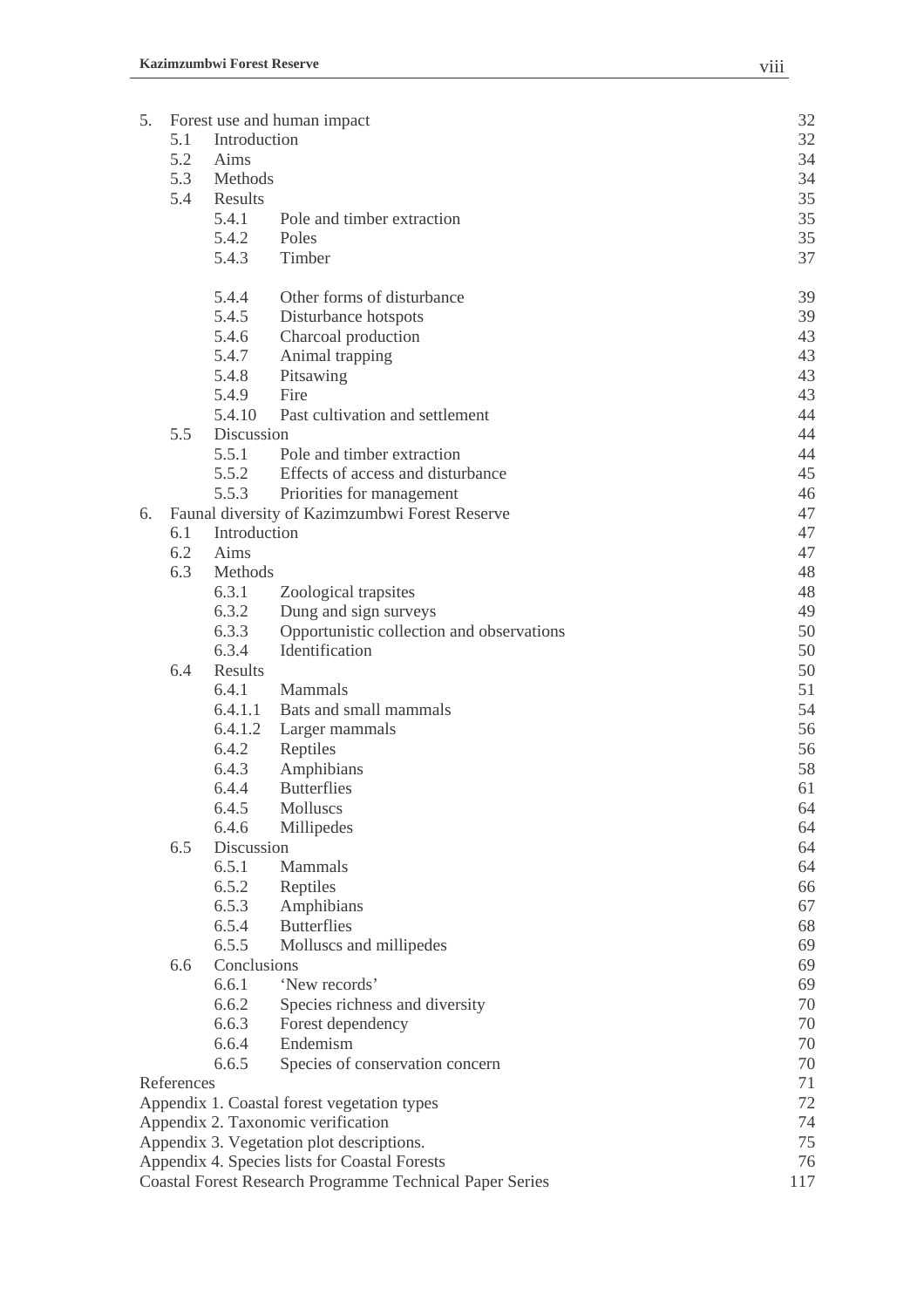| 5. |            |              | Forest use and human impact                                     | 32        |
|----|------------|--------------|-----------------------------------------------------------------|-----------|
|    | 5.1        | Introduction |                                                                 | 32        |
|    | 5.2        | Aims         |                                                                 | 34        |
|    | 5.3        | Methods      |                                                                 | 34        |
|    | 5.4        | Results      |                                                                 | 35        |
|    |            | 5.4.1        | Pole and timber extraction                                      | 35        |
|    |            | 5.4.2        | Poles                                                           | 35        |
|    |            | 5.4.3        | Timber                                                          | 37        |
|    |            | 5.4.4        | Other forms of disturbance                                      | 39        |
|    |            | 5.4.5        | Disturbance hotspots                                            | 39        |
|    |            | 5.4.6        | Charcoal production                                             | 43        |
|    |            | 5.4.7        | Animal trapping                                                 | 43        |
|    |            | 5.4.8        | Pitsawing                                                       | 43        |
|    |            | 5.4.9        | Fire                                                            | 43        |
|    |            | 5.4.10       | Past cultivation and settlement                                 | 44        |
|    | 5.5        | Discussion   |                                                                 | 44        |
|    |            | 5.5.1        | Pole and timber extraction                                      | 44        |
|    |            | 5.5.2        | Effects of access and disturbance                               | 45        |
|    |            | 5.5.3        | Priorities for management                                       | 46        |
| 6. |            |              | Faunal diversity of Kazimzumbwi Forest Reserve                  | 47        |
|    | 6.1        | Introduction |                                                                 | 47        |
|    | 6.2        | Aims         |                                                                 | 47        |
|    | 6.3        | Methods      |                                                                 | 48        |
|    |            | 6.3.1        | Zoological trapsites                                            | 48        |
|    |            | 6.3.2        | Dung and sign surveys                                           | 49        |
|    |            | 6.3.3        | Opportunistic collection and observations                       | 50        |
|    |            | 6.3.4        | Identification                                                  | 50        |
|    | 6.4        | Results      |                                                                 | 50        |
|    |            | 6.4.1        | Mammals                                                         | 51        |
|    |            |              | 6.4.1.1 Bats and small mammals                                  | 54        |
|    |            | 6.4.1.2      | Larger mammals                                                  | 56        |
|    |            | 6.4.2        | Reptiles                                                        | 56        |
|    |            | 6.4.3        | Amphibians                                                      | 58        |
|    |            | 6.4.4        | <b>Butterflies</b>                                              | 61        |
|    |            | 6.4.5        | Molluscs                                                        | 64        |
|    |            | 6.4.6        | Millipedes                                                      | 64        |
|    | 6.5        | Discussion   |                                                                 | 64        |
|    |            | 6.5.1        | Mammals                                                         | 64        |
|    |            | 6.5.2        | Reptiles                                                        | 66        |
|    |            | 6.5.3        | Amphibians                                                      | 67        |
|    |            | 6.5.4        | <b>Butterflies</b>                                              | 68        |
|    |            | 6.5.5        | Molluscs and millipedes                                         | 69        |
|    | 6.6        | Conclusions  |                                                                 | 69        |
|    |            | 6.6.1        | 'New records'                                                   | 69        |
|    |            | 6.6.2        | Species richness and diversity                                  | 70        |
|    |            | 6.6.3        | Forest dependency                                               | 70        |
|    |            | 6.6.4        | Endemism                                                        | 70        |
|    |            | 6.6.5        | Species of conservation concern                                 | 70        |
|    | References |              |                                                                 | 71        |
|    |            |              | Appendix 1. Coastal forest vegetation types                     | 72        |
|    |            |              | Appendix 2. Taxonomic verification                              | 74        |
|    |            |              | Appendix 3. Vegetation plot descriptions.                       | 75        |
|    |            |              | Appendix 4. Species lists for Coastal Forests                   | 76<br>117 |
|    |            |              | <b>Coastal Forest Research Programme Technical Paper Series</b> |           |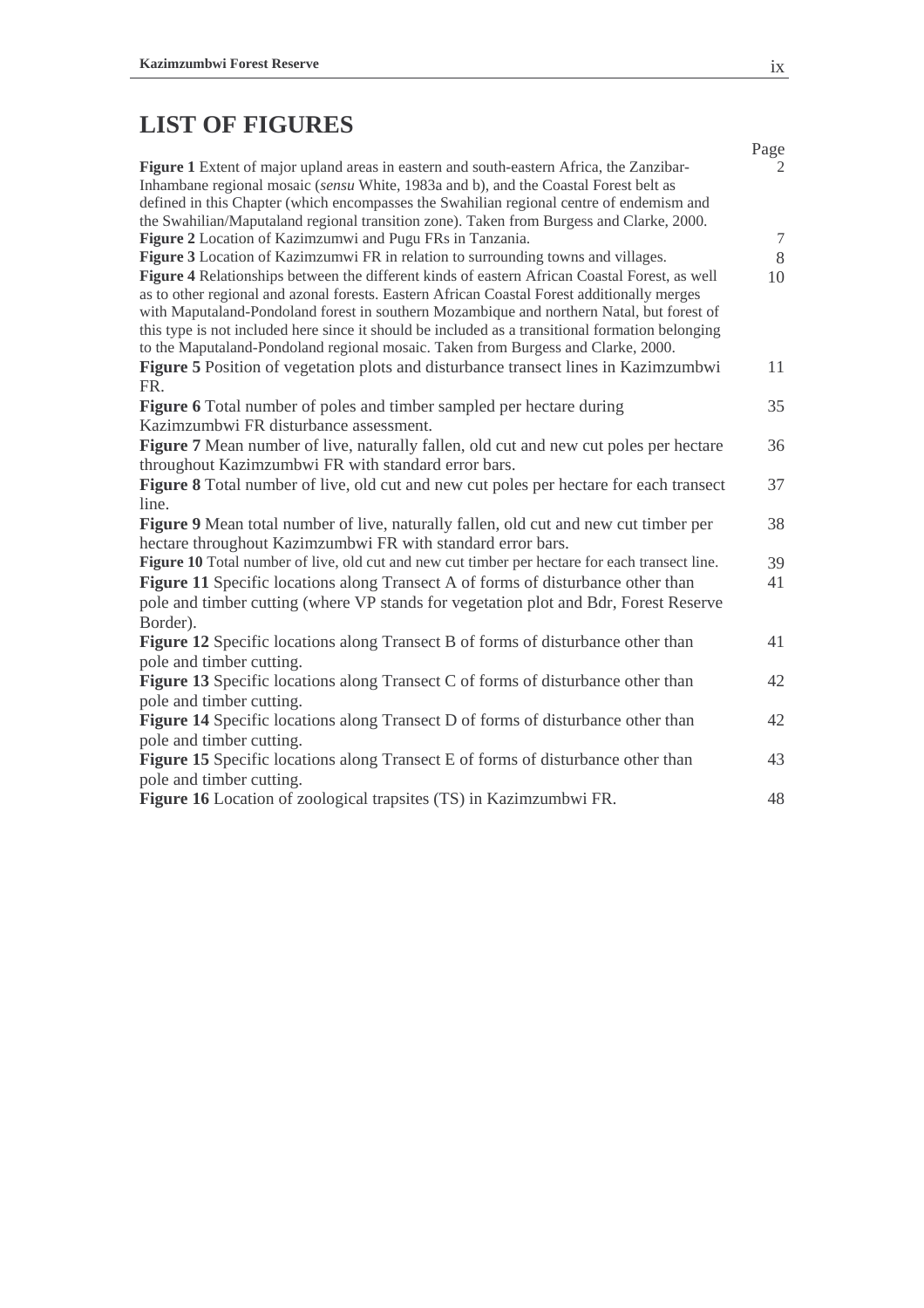# **LIST OF FIGURES**

|                                                                                                                                                                                                                                                                                                                                                                                                                                                                                    | Page   |
|------------------------------------------------------------------------------------------------------------------------------------------------------------------------------------------------------------------------------------------------------------------------------------------------------------------------------------------------------------------------------------------------------------------------------------------------------------------------------------|--------|
| Figure 1 Extent of major upland areas in eastern and south-eastern Africa, the Zanzibar-<br>Inhambane regional mosaic (sensu White, 1983a and b), and the Coastal Forest belt as<br>defined in this Chapter (which encompasses the Swahilian regional centre of endemism and                                                                                                                                                                                                       | 2      |
| the Swahilian/Maputaland regional transition zone). Taken from Burgess and Clarke, 2000.                                                                                                                                                                                                                                                                                                                                                                                           |        |
| Figure 2 Location of Kazimzumwi and Pugu FRs in Tanzania.                                                                                                                                                                                                                                                                                                                                                                                                                          | $\tau$ |
| <b>Figure 3</b> Location of Kazimzumwi FR in relation to surrounding towns and villages.                                                                                                                                                                                                                                                                                                                                                                                           | 8      |
| Figure 4 Relationships between the different kinds of eastern African Coastal Forest, as well<br>as to other regional and azonal forests. Eastern African Coastal Forest additionally merges<br>with Maputaland-Pondoland forest in southern Mozambique and northern Natal, but forest of<br>this type is not included here since it should be included as a transitional formation belonging<br>to the Maputaland-Pondoland regional mosaic. Taken from Burgess and Clarke, 2000. | 10     |
| Figure 5 Position of vegetation plots and disturbance transect lines in Kazimzumbwi<br>FR.                                                                                                                                                                                                                                                                                                                                                                                         | 11     |
| <b>Figure 6</b> Total number of poles and timber sampled per hectare during                                                                                                                                                                                                                                                                                                                                                                                                        | 35     |
| Kazimzumbwi FR disturbance assessment.                                                                                                                                                                                                                                                                                                                                                                                                                                             |        |
| Figure 7 Mean number of live, naturally fallen, old cut and new cut poles per hectare                                                                                                                                                                                                                                                                                                                                                                                              | 36     |
| throughout Kazimzumbwi FR with standard error bars.                                                                                                                                                                                                                                                                                                                                                                                                                                |        |
| Figure 8 Total number of live, old cut and new cut poles per hectare for each transect                                                                                                                                                                                                                                                                                                                                                                                             | 37     |
| line.                                                                                                                                                                                                                                                                                                                                                                                                                                                                              |        |
| <b>Figure 9</b> Mean total number of live, naturally fallen, old cut and new cut timber per                                                                                                                                                                                                                                                                                                                                                                                        | 38     |
| hectare throughout Kazimzumbwi FR with standard error bars.                                                                                                                                                                                                                                                                                                                                                                                                                        |        |
| Figure 10 Total number of live, old cut and new cut timber per hectare for each transect line.                                                                                                                                                                                                                                                                                                                                                                                     | 39     |
| Figure 11 Specific locations along Transect A of forms of disturbance other than<br>pole and timber cutting (where VP stands for vegetation plot and Bdr, Forest Reserve<br>Border).                                                                                                                                                                                                                                                                                               | 41     |
| Figure 12 Specific locations along Transect B of forms of disturbance other than                                                                                                                                                                                                                                                                                                                                                                                                   | 41     |
| pole and timber cutting.                                                                                                                                                                                                                                                                                                                                                                                                                                                           |        |
| Figure 13 Specific locations along Transect C of forms of disturbance other than                                                                                                                                                                                                                                                                                                                                                                                                   | 42     |
| pole and timber cutting.                                                                                                                                                                                                                                                                                                                                                                                                                                                           |        |
| Figure 14 Specific locations along Transect D of forms of disturbance other than                                                                                                                                                                                                                                                                                                                                                                                                   | 42     |
| pole and timber cutting.                                                                                                                                                                                                                                                                                                                                                                                                                                                           |        |
| Figure 15 Specific locations along Transect E of forms of disturbance other than                                                                                                                                                                                                                                                                                                                                                                                                   | 43     |
| pole and timber cutting.                                                                                                                                                                                                                                                                                                                                                                                                                                                           |        |
| Figure 16 Location of zoological trapsites (TS) in Kazimzumbwi FR.                                                                                                                                                                                                                                                                                                                                                                                                                 | 48     |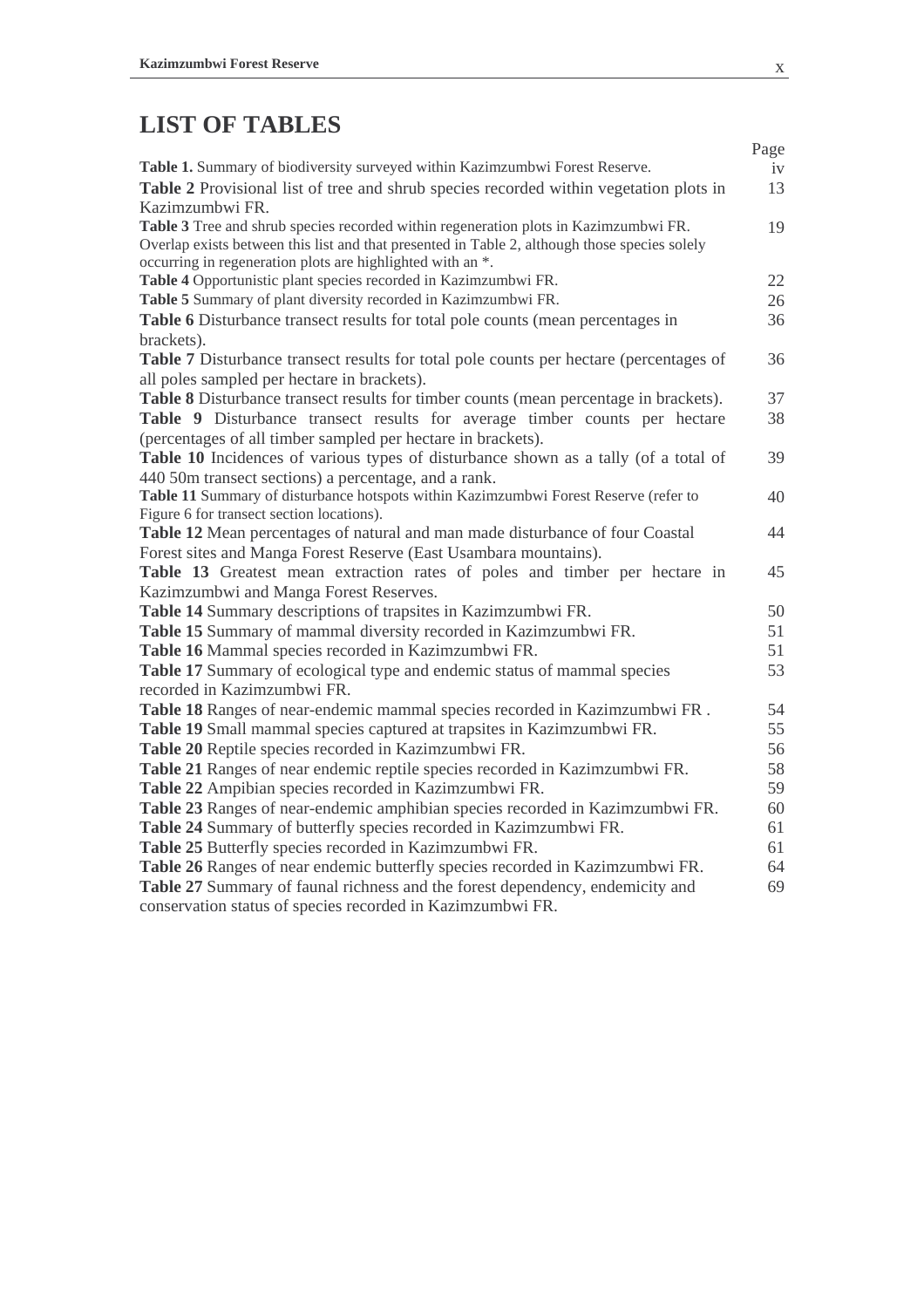# **LIST OF TABLES**

|                                                                                               | Page |
|-----------------------------------------------------------------------------------------------|------|
| Table 1. Summary of biodiversity surveyed within Kazimzumbwi Forest Reserve.                  | iv   |
| Table 2 Provisional list of tree and shrub species recorded within vegetation plots in        | 13   |
| Kazimzumbwi FR.                                                                               |      |
| Table 3 Tree and shrub species recorded within regeneration plots in Kazimzumbwi FR.          | 19   |
| Overlap exists between this list and that presented in Table 2, although those species solely |      |
| occurring in regeneration plots are highlighted with an *.                                    |      |
| Table 4 Opportunistic plant species recorded in Kazimzumbwi FR.                               | 22   |
| Table 5 Summary of plant diversity recorded in Kazimzumbwi FR.                                | 26   |
| Table 6 Disturbance transect results for total pole counts (mean percentages in               | 36   |
| brackets).                                                                                    |      |
| <b>Table 7</b> Disturbance transect results for total pole counts per hectare (percentages of | 36   |
| all poles sampled per hectare in brackets).                                                   |      |
| Table 8 Disturbance transect results for timber counts (mean percentage in brackets).         | 37   |
| Table 9 Disturbance transect results for average timber counts per hectare                    | 38   |
| (percentages of all timber sampled per hectare in brackets).                                  |      |
| Table 10 Incidences of various types of disturbance shown as a tally (of a total of           | 39   |
| 440 50m transect sections) a percentage, and a rank.                                          |      |
| Table 11 Summary of disturbance hotspots within Kazimzumbwi Forest Reserve (refer to          | 40   |
| Figure 6 for transect section locations).                                                     |      |
| Table 12 Mean percentages of natural and man made disturbance of four Coastal                 | 44   |
| Forest sites and Manga Forest Reserve (East Usambara mountains).                              |      |
| Table 13 Greatest mean extraction rates of poles and timber per hectare in                    | 45   |
| Kazimzumbwi and Manga Forest Reserves.                                                        |      |
| Table 14 Summary descriptions of trapsites in Kazimzumbwi FR.                                 | 50   |
| Table 15 Summary of mammal diversity recorded in Kazimzumbwi FR.                              | 51   |
| Table 16 Mammal species recorded in Kazimzumbwi FR.                                           | 51   |
| Table 17 Summary of ecological type and endemic status of mammal species                      | 53   |
| recorded in Kazimzumbwi FR.                                                                   |      |
| Table 18 Ranges of near-endemic mammal species recorded in Kazimzumbwi FR.                    | 54   |
| Table 19 Small mammal species captured at trapsites in Kazimzumbwi FR.                        | 55   |
| Table 20 Reptile species recorded in Kazimzumbwi FR.                                          | 56   |
| Table 21 Ranges of near endemic reptile species recorded in Kazimzumbwi FR.                   | 58   |
| Table 22 Ampibian species recorded in Kazimzumbwi FR.                                         | 59   |
| Table 23 Ranges of near-endemic amphibian species recorded in Kazimzumbwi FR.                 | 60   |
| Table 24 Summary of butterfly species recorded in Kazimzumbwi FR.                             | 61   |
| Table 25 Butterfly species recorded in Kazimzumbwi FR.                                        | 61   |
| Table 26 Ranges of near endemic butterfly species recorded in Kazimzumbwi FR.                 | 64   |
| Table 27 Summary of faunal richness and the forest dependency, endemicity and                 | 69   |
| conservation status of species recorded in Kazimzumbwi FR.                                    |      |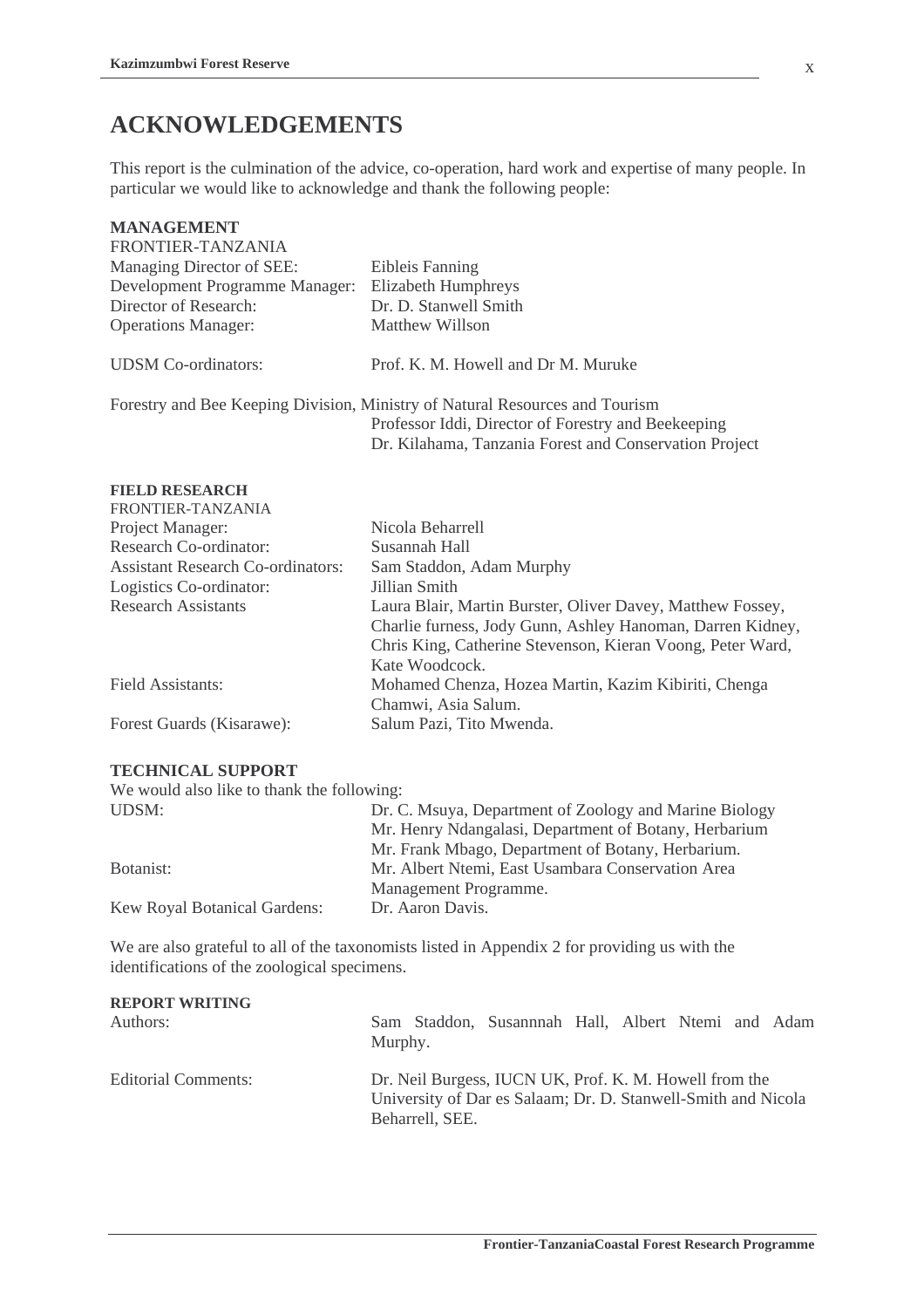## **ACKNOWLEDGEMENTS**

This report is the culmination of the advice, co-operation, hard work and expertise of many people. In particular we would like to acknowledge and thank the following people:

#### **MANAGEMENT**  FRONTIER-TANZANIA

| FRONTIER-TANZANIA              |                                                                              |
|--------------------------------|------------------------------------------------------------------------------|
| Managing Director of SEE:      | Eibleis Fanning                                                              |
| Development Programme Manager: | Elizabeth Humphreys                                                          |
| Director of Research:          | Dr. D. Stanwell Smith                                                        |
| <b>Operations Manager:</b>     | Matthew Willson                                                              |
| <b>UDSM</b> Co-ordinators:     | Prof. K. M. Howell and Dr M. Muruke                                          |
|                                | Forestry and Bee Keeping Division, Ministry of Natural Resources and Tourism |
|                                | Professor Iddi, Director of Forestry and Beekeeping                          |

#### **FIELD RESEARCH**  FRONTIER-TANZANIA

| FRUNTIER-TANZANIA                        |                                                            |
|------------------------------------------|------------------------------------------------------------|
| Project Manager:                         | Nicola Beharrell                                           |
| Research Co-ordinator:                   | Susannah Hall                                              |
| <b>Assistant Research Co-ordinators:</b> | Sam Staddon, Adam Murphy                                   |
| Logistics Co-ordinator:                  | Jillian Smith                                              |
| <b>Research Assistants</b>               | Laura Blair, Martin Burster, Oliver Davey, Matthew Fossey, |
|                                          | Charlie furness, Jody Gunn, Ashley Hanoman, Darren Kidney, |
|                                          | Chris King, Catherine Stevenson, Kieran Voong, Peter Ward, |
|                                          | Kate Woodcock.                                             |
| Field Assistants:                        | Mohamed Chenza, Hozea Martin, Kazim Kibiriti, Chenga       |
|                                          | Chamwi, Asia Salum.                                        |
| Forest Guards (Kisarawe):                | Salum Pazi, Tito Mwenda.                                   |
|                                          |                                                            |

Dr. Kilahama, Tanzania Forest and Conservation Project

#### **TECHNICAL SUPPORT**

| We would also like to thank the following: |                                                        |  |  |  |  |
|--------------------------------------------|--------------------------------------------------------|--|--|--|--|
| UDSM:                                      | Dr. C. Msuya, Department of Zoology and Marine Biology |  |  |  |  |
|                                            | Mr. Henry Ndangalasi, Department of Botany, Herbarium  |  |  |  |  |
|                                            | Mr. Frank Mbago, Department of Botany, Herbarium.      |  |  |  |  |
| Botanist:                                  | Mr. Albert Ntemi, East Usambara Conservation Area      |  |  |  |  |
|                                            | Management Programme.                                  |  |  |  |  |
| Kew Royal Botanical Gardens:               | Dr. Aaron Davis.                                       |  |  |  |  |

We are also grateful to all of the taxonomists listed in Appendix 2 for providing us with the identifications of the zoological specimens.

| <b>REPORT WRITING</b> | Sam Staddon, Susannnah Hall, Albert Ntemi and Adam                                                                                         |
|-----------------------|--------------------------------------------------------------------------------------------------------------------------------------------|
| Authors:              | Murphy.                                                                                                                                    |
| Editorial Comments:   | Dr. Neil Burgess, IUCN UK, Prof. K. M. Howell from the<br>University of Dar es Salaam; Dr. D. Stanwell-Smith and Nicola<br>Beharrell, SEE. |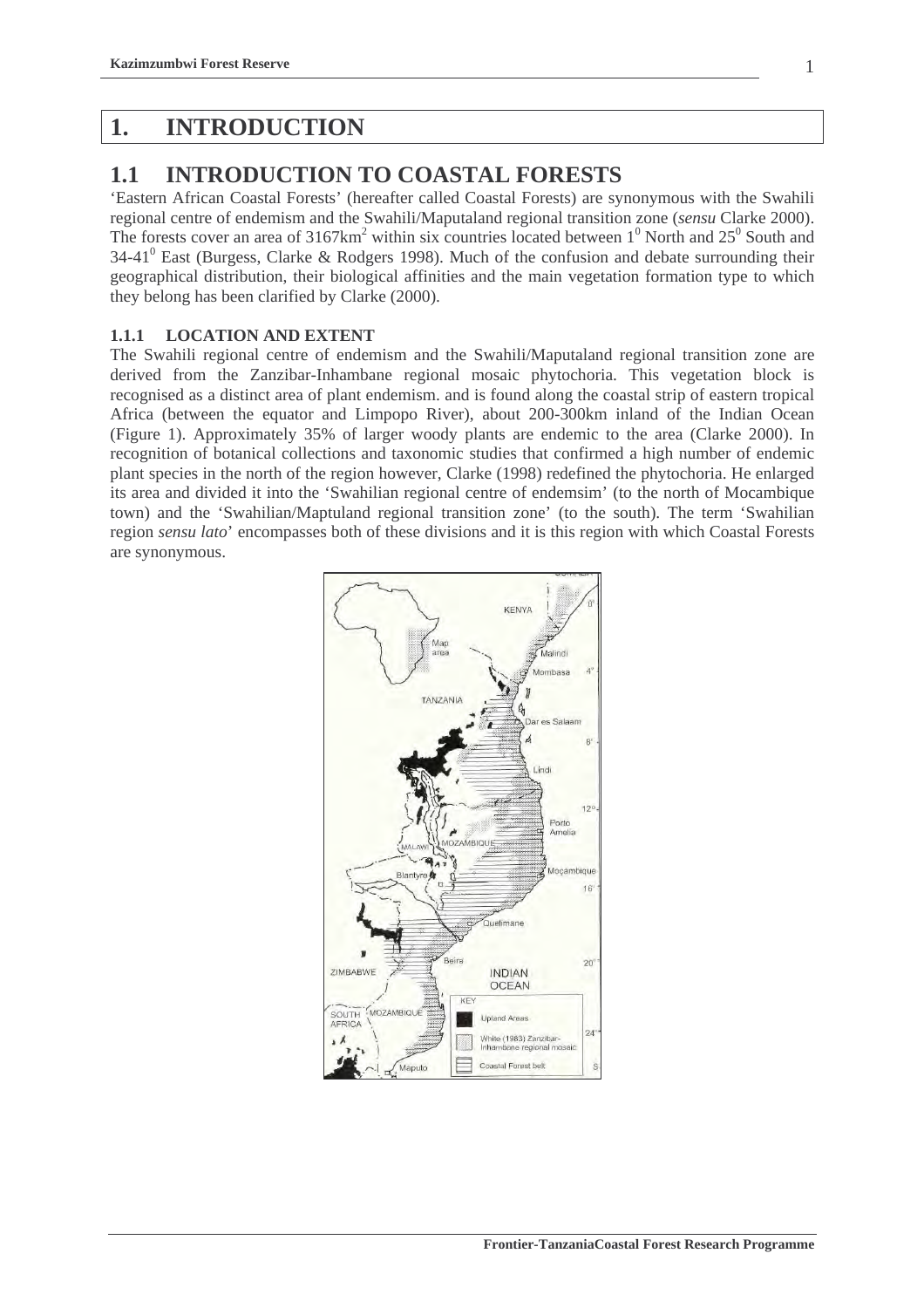## **1. INTRODUCTION**

## **1.1 INTRODUCTION TO COASTAL FORESTS**

'Eastern African Coastal Forests' (hereafter called Coastal Forests) are synonymous with the Swahili regional centre of endemism and the Swahili/Maputaland regional transition zone (*sensu* Clarke 2000). The forests cover an area of  $3167 \text{km}^2$  within six countries located between  $1^0$  North and  $25^0$  South and 34-41<sup>0</sup> East (Burgess, Clarke & Rodgers 1998). Much of the confusion and debate surrounding their geographical distribution, their biological affinities and the main vegetation formation type to which they belong has been clarified by Clarke (2000).

### **1.1.1 LOCATION AND EXTENT**

The Swahili regional centre of endemism and the Swahili/Maputaland regional transition zone are derived from the Zanzibar-Inhambane regional mosaic phytochoria. This vegetation block is recognised as a distinct area of plant endemism. and is found along the coastal strip of eastern tropical Africa (between the equator and Limpopo River), about 200-300km inland of the Indian Ocean (Figure 1). Approximately 35% of larger woody plants are endemic to the area (Clarke 2000). In recognition of botanical collections and taxonomic studies that confirmed a high number of endemic plant species in the north of the region however, Clarke (1998) redefined the phytochoria. He enlarged its area and divided it into the 'Swahilian regional centre of endemsim' (to the north of Mocambique town) and the 'Swahilian/Maptuland regional transition zone' (to the south). The term 'Swahilian region *sensu lato*' encompasses both of these divisions and it is this region with which Coastal Forests are synonymous.

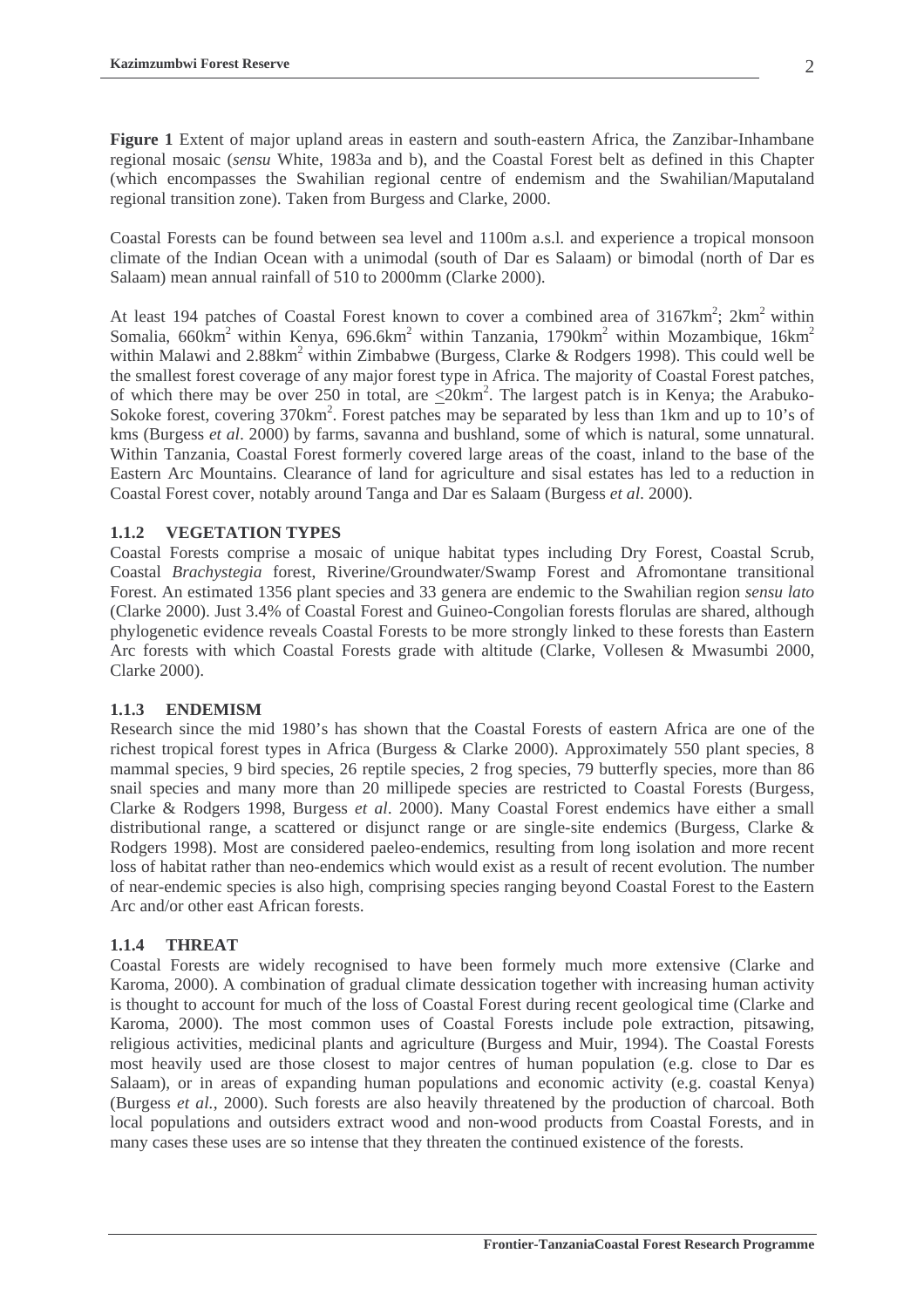**Figure 1** Extent of major upland areas in eastern and south-eastern Africa, the Zanzibar-Inhambane regional mosaic (*sensu* White, 1983a and b), and the Coastal Forest belt as defined in this Chapter (which encompasses the Swahilian regional centre of endemism and the Swahilian/Maputaland regional transition zone). Taken from Burgess and Clarke, 2000.

Coastal Forests can be found between sea level and 1100m a.s.l. and experience a tropical monsoon climate of the Indian Ocean with a unimodal (south of Dar es Salaam) or bimodal (north of Dar es Salaam) mean annual rainfall of 510 to 2000mm (Clarke 2000).

At least 194 patches of Coastal Forest known to cover a combined area of  $3167 \text{km}^2$ ;  $2 \text{km}^2$  within Somalia, 660km<sup>2</sup> within Kenya, 696.6km<sup>2</sup> within Tanzania, 1790km<sup>2</sup> within Mozambique, 16km<sup>2</sup> within Malawi and  $2.88 \text{km}^2$  within Zimbabwe (Burgess, Clarke & Rodgers 1998). This could well be the smallest forest coverage of any major forest type in Africa. The majority of Coastal Forest patches, of which there may be over 250 in total, are  $\leq 20 \text{km}^2$ . The largest patch is in Kenya; the Arabuko-Sokoke forest, covering 370km<sup>2</sup>. Forest patches may be separated by less than 1km and up to 10's of kms (Burgess *et al*. 2000) by farms, savanna and bushland, some of which is natural, some unnatural. Within Tanzania, Coastal Forest formerly covered large areas of the coast, inland to the base of the Eastern Arc Mountains. Clearance of land for agriculture and sisal estates has led to a reduction in Coastal Forest cover, notably around Tanga and Dar es Salaam (Burgess *et al*. 2000).

### **1.1.2 VEGETATION TYPES**

Coastal Forests comprise a mosaic of unique habitat types including Dry Forest, Coastal Scrub, Coastal *Brachystegia* forest, Riverine/Groundwater/Swamp Forest and Afromontane transitional Forest. An estimated 1356 plant species and 33 genera are endemic to the Swahilian region *sensu lato* (Clarke 2000). Just 3.4% of Coastal Forest and Guineo-Congolian forests florulas are shared, although phylogenetic evidence reveals Coastal Forests to be more strongly linked to these forests than Eastern Arc forests with which Coastal Forests grade with altitude (Clarke, Vollesen & Mwasumbi 2000, Clarke 2000).

### **1.1.3 ENDEMISM**

Research since the mid 1980's has shown that the Coastal Forests of eastern Africa are one of the richest tropical forest types in Africa (Burgess & Clarke 2000). Approximately 550 plant species, 8 mammal species, 9 bird species, 26 reptile species, 2 frog species, 79 butterfly species, more than 86 snail species and many more than 20 millipede species are restricted to Coastal Forests (Burgess, Clarke & Rodgers 1998, Burgess *et al*. 2000). Many Coastal Forest endemics have either a small distributional range, a scattered or disjunct range or are single-site endemics (Burgess, Clarke & Rodgers 1998). Most are considered paeleo-endemics, resulting from long isolation and more recent loss of habitat rather than neo-endemics which would exist as a result of recent evolution. The number of near-endemic species is also high, comprising species ranging beyond Coastal Forest to the Eastern Arc and/or other east African forests.

### **1.1.4 THREAT**

Coastal Forests are widely recognised to have been formely much more extensive (Clarke and Karoma, 2000). A combination of gradual climate dessication together with increasing human activity is thought to account for much of the loss of Coastal Forest during recent geological time (Clarke and Karoma, 2000). The most common uses of Coastal Forests include pole extraction, pitsawing, religious activities, medicinal plants and agriculture (Burgess and Muir, 1994). The Coastal Forests most heavily used are those closest to major centres of human population (e.g. close to Dar es Salaam), or in areas of expanding human populations and economic activity (e.g. coastal Kenya) (Burgess *et al.*, 2000). Such forests are also heavily threatened by the production of charcoal. Both local populations and outsiders extract wood and non-wood products from Coastal Forests, and in many cases these uses are so intense that they threaten the continued existence of the forests.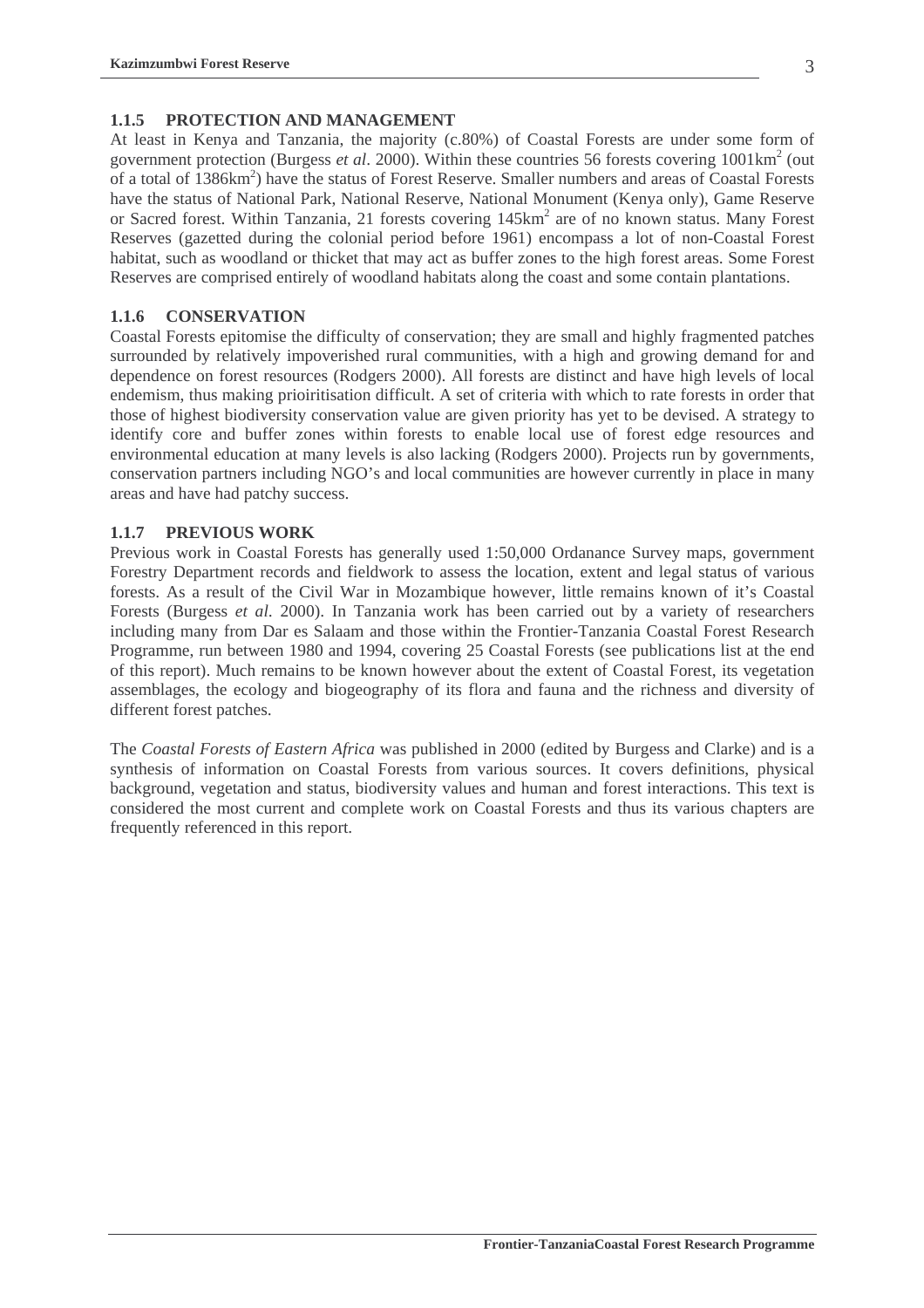### **1.1.5 PROTECTION AND MANAGEMENT**

At least in Kenya and Tanzania, the majority (c.80%) of Coastal Forests are under some form of government protection (Burgess *et al.* 2000). Within these countries 56 forests covering 1001km<sup>2</sup> (out of a total of 1386km<sup>2</sup>) have the status of Forest Reserve. Smaller numbers and areas of Coastal Forests have the status of National Park, National Reserve, National Monument (Kenya only), Game Reserve or Sacred forest. Within Tanzania, 21 forests covering 145km<sup>2</sup> are of no known status. Many Forest Reserves (gazetted during the colonial period before 1961) encompass a lot of non-Coastal Forest habitat, such as woodland or thicket that may act as buffer zones to the high forest areas. Some Forest Reserves are comprised entirely of woodland habitats along the coast and some contain plantations.

#### **1.1.6 CONSERVATION**

Coastal Forests epitomise the difficulty of conservation; they are small and highly fragmented patches surrounded by relatively impoverished rural communities, with a high and growing demand for and dependence on forest resources (Rodgers 2000). All forests are distinct and have high levels of local endemism, thus making prioiritisation difficult. A set of criteria with which to rate forests in order that those of highest biodiversity conservation value are given priority has yet to be devised. A strategy to identify core and buffer zones within forests to enable local use of forest edge resources and environmental education at many levels is also lacking (Rodgers 2000). Projects run by governments, conservation partners including NGO's and local communities are however currently in place in many areas and have had patchy success.

#### **1.1.7 PREVIOUS WORK**

Previous work in Coastal Forests has generally used 1:50,000 Ordanance Survey maps, government Forestry Department records and fieldwork to assess the location, extent and legal status of various forests. As a result of the Civil War in Mozambique however, little remains known of it's Coastal Forests (Burgess *et al*. 2000). In Tanzania work has been carried out by a variety of researchers including many from Dar es Salaam and those within the Frontier-Tanzania Coastal Forest Research Programme, run between 1980 and 1994, covering 25 Coastal Forests (see publications list at the end of this report). Much remains to be known however about the extent of Coastal Forest, its vegetation assemblages, the ecology and biogeography of its flora and fauna and the richness and diversity of different forest patches.

The *Coastal Forests of Eastern Africa* was published in 2000 (edited by Burgess and Clarke) and is a synthesis of information on Coastal Forests from various sources. It covers definitions, physical background, vegetation and status, biodiversity values and human and forest interactions. This text is considered the most current and complete work on Coastal Forests and thus its various chapters are frequently referenced in this report.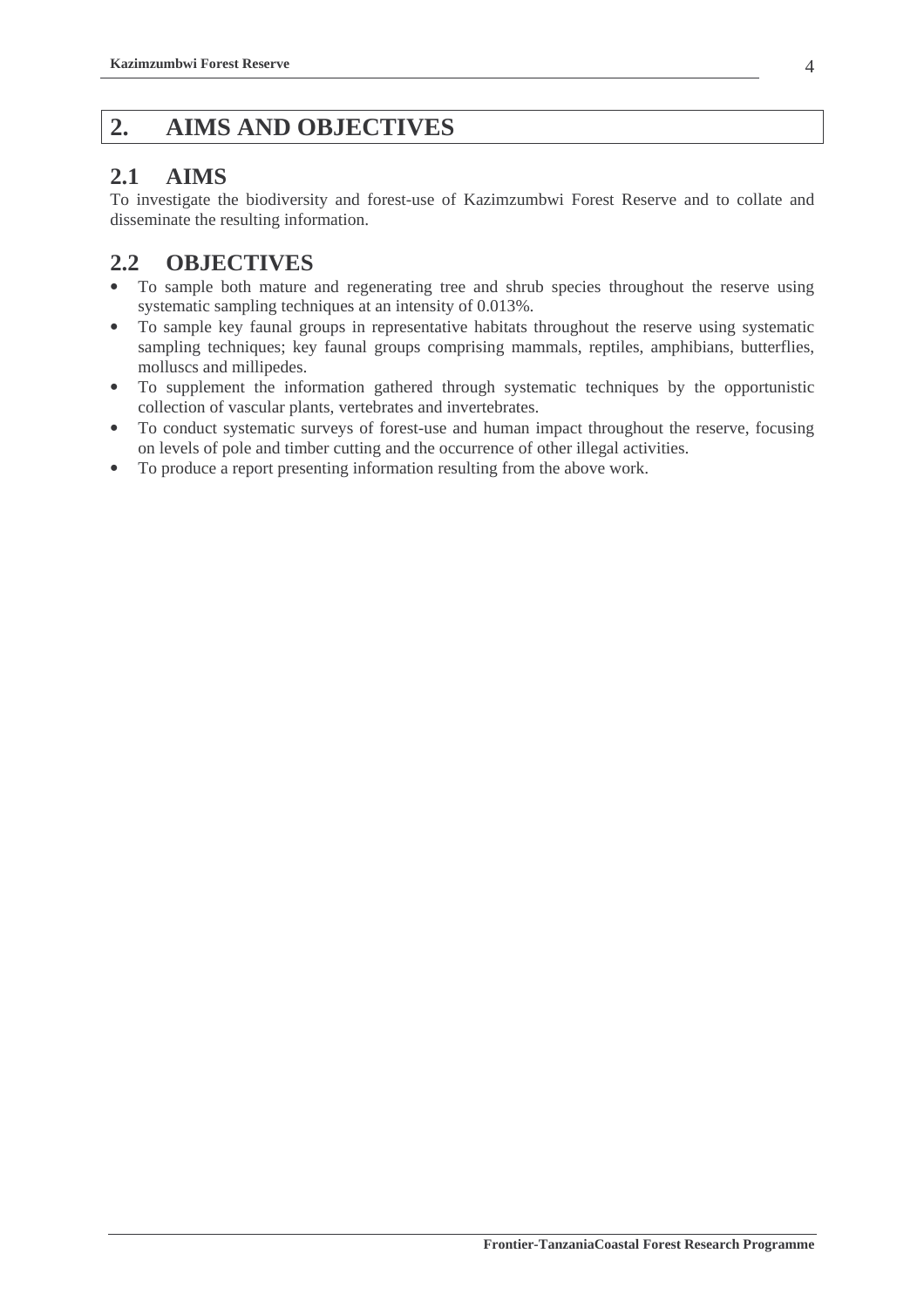## **2. AIMS AND OBJECTIVES**

## **2.1 AIMS**

To investigate the biodiversity and forest-use of Kazimzumbwi Forest Reserve and to collate and disseminate the resulting information.

## **2.2 OBJECTIVES**

- To sample both mature and regenerating tree and shrub species throughout the reserve using systematic sampling techniques at an intensity of 0.013%.
- To sample key faunal groups in representative habitats throughout the reserve using systematic sampling techniques; key faunal groups comprising mammals, reptiles, amphibians, butterflies, molluscs and millipedes.
- To supplement the information gathered through systematic techniques by the opportunistic collection of vascular plants, vertebrates and invertebrates.
- To conduct systematic surveys of forest-use and human impact throughout the reserve, focusing on levels of pole and timber cutting and the occurrence of other illegal activities.
- To produce a report presenting information resulting from the above work.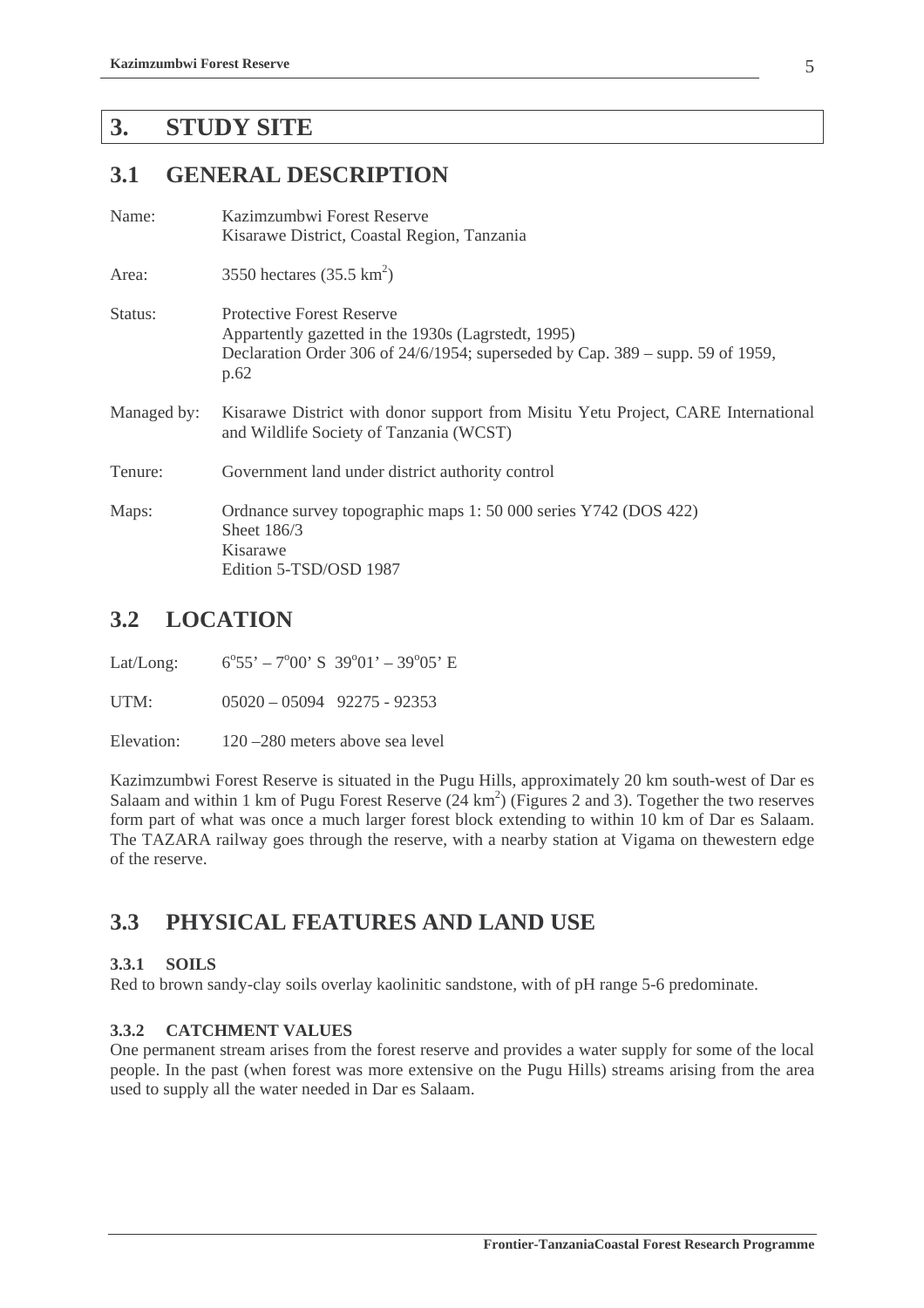## **3. STUDY SITE**

## **3.1 GENERAL DESCRIPTION**

| Kazimzumbwi Forest Reserve                                                                                                   |  |  |  |
|------------------------------------------------------------------------------------------------------------------------------|--|--|--|
| Kisarawe District, Coastal Region, Tanzania                                                                                  |  |  |  |
| 3550 hectares $(35.5 \text{ km}^2)$                                                                                          |  |  |  |
| <b>Protective Forest Reserve</b>                                                                                             |  |  |  |
| Appartently gazetted in the 1930s (Lagrstedt, 1995)                                                                          |  |  |  |
| Declaration Order 306 of $24/6/1954$ ; superseded by Cap. 389 – supp. 59 of 1959,<br>p.62                                    |  |  |  |
| Kisarawe District with donor support from Misitu Yetu Project, CARE International<br>and Wildlife Society of Tanzania (WCST) |  |  |  |
| Government land under district authority control                                                                             |  |  |  |
| Ordnance survey topographic maps 1: 50 000 series Y742 (DOS 422)<br>Sheet 186/3<br>Kisarawe<br>Edition 5-TSD/OSD 1987        |  |  |  |
|                                                                                                                              |  |  |  |

## **3.2 LOCATION**

Lat/Long:  $55' - 7^{\circ}00'$  S  $39^{\circ}01' - 39^{\circ}05'$  E

UTM:  $05020 - 05094$  92275 - 92353

Elevation: 120 – 280 meters above sea level

Kazimzumbwi Forest Reserve is situated in the Pugu Hills, approximately 20 km south-west of Dar es Salaam and within 1 km of Pugu Forest Reserve  $(24 \text{ km}^2)$  (Figures 2 and 3). Together the two reserves form part of what was once a much larger forest block extending to within 10 km of Dar es Salaam. The TAZARA railway goes through the reserve, with a nearby station at Vigama on thewestern edge of the reserve.

## **3.3 PHYSICAL FEATURES AND LAND USE**

### **3.3.1 SOILS**

Red to brown sandy-clay soils overlay kaolinitic sandstone, with of pH range 5-6 predominate.

### **3.3.2 CATCHMENT VALUES**

One permanent stream arises from the forest reserve and provides a water supply for some of the local people. In the past (when forest was more extensive on the Pugu Hills) streams arising from the area used to supply all the water needed in Dar es Salaam.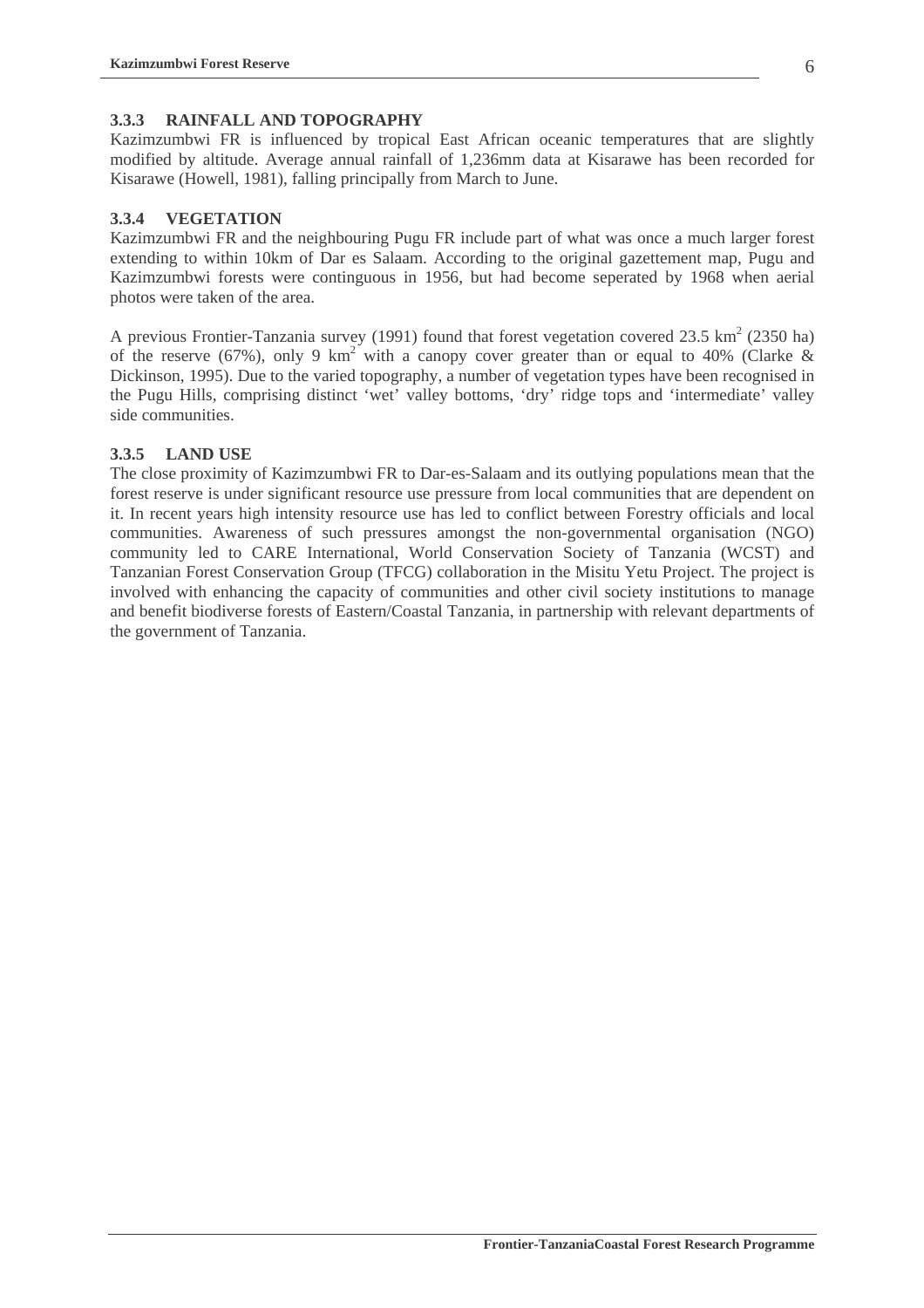#### **3.3.3 RAINFALL AND TOPOGRAPHY**

Kazimzumbwi FR is influenced by tropical East African oceanic temperatures that are slightly modified by altitude. Average annual rainfall of 1,236mm data at Kisarawe has been recorded for Kisarawe (Howell, 1981), falling principally from March to June.

#### **3.3.4 VEGETATION**

Kazimzumbwi FR and the neighbouring Pugu FR include part of what was once a much larger forest extending to within 10km of Dar es Salaam. According to the original gazettement map, Pugu and Kazimzumbwi forests were continguous in 1956, but had become seperated by 1968 when aerial photos were taken of the area.

A previous Frontier-Tanzania survey (1991) found that forest vegetation covered 23.5  $\text{km}^2$  (2350 ha) of the reserve (67%), only 9 km<sup>2</sup> with a canopy cover greater than or equal to 40% (Clarke & Dickinson, 1995). Due to the varied topography, a number of vegetation types have been recognised in the Pugu Hills, comprising distinct 'wet' valley bottoms, 'dry' ridge tops and 'intermediate' valley side communities.

#### **3.3.5 LAND USE**

The close proximity of Kazimzumbwi FR to Dar-es-Salaam and its outlying populations mean that the forest reserve is under significant resource use pressure from local communities that are dependent on it. In recent years high intensity resource use has led to conflict between Forestry officials and local communities. Awareness of such pressures amongst the non-governmental organisation (NGO) community led to CARE International, World Conservation Society of Tanzania (WCST) and Tanzanian Forest Conservation Group (TFCG) collaboration in the Misitu Yetu Project. The project is involved with enhancing the capacity of communities and other civil society institutions to manage and benefit biodiverse forests of Eastern/Coastal Tanzania, in partnership with relevant departments of the government of Tanzania.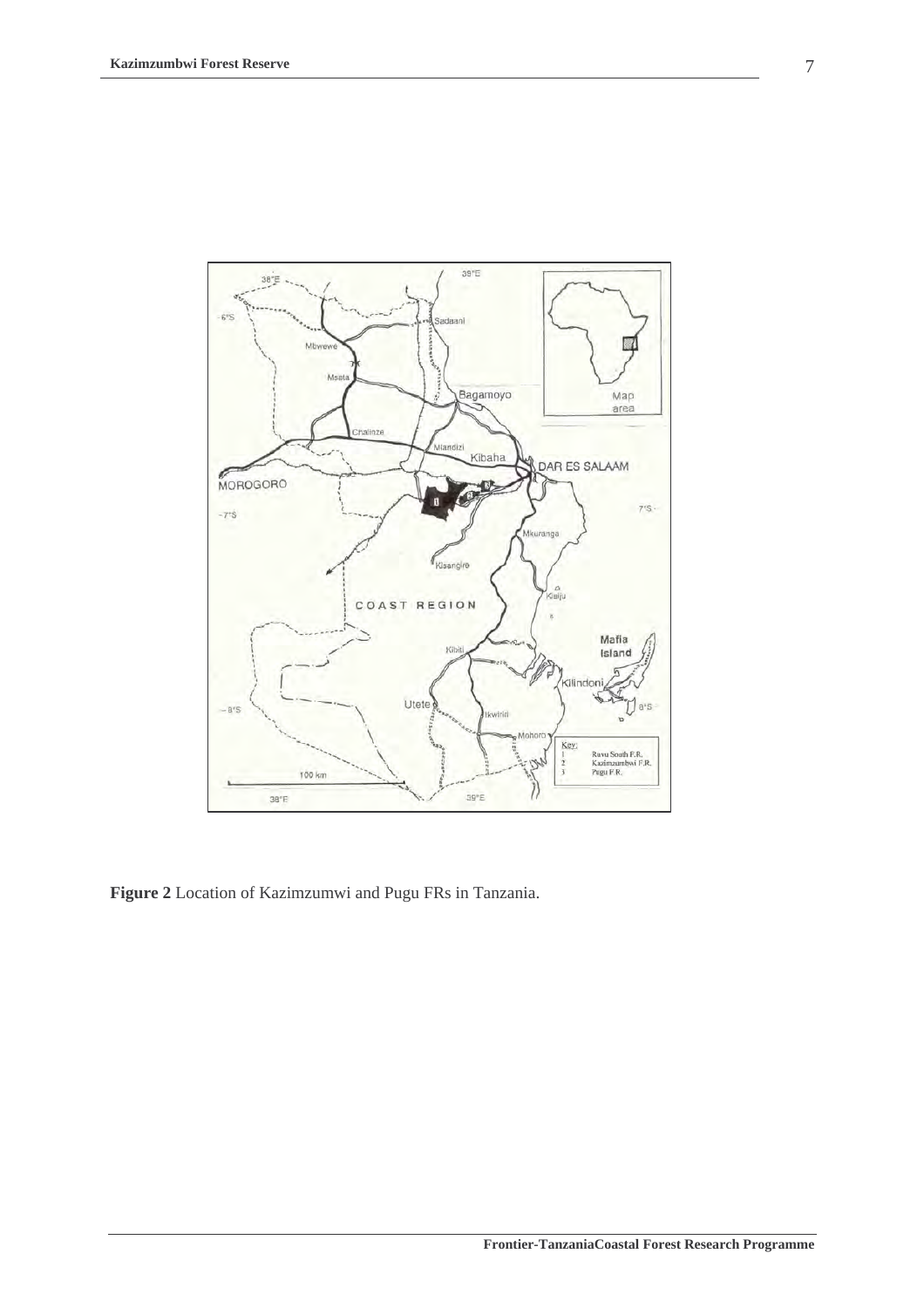

**Figure 2** Location of Kazimzumwi and Pugu FRs in Tanzania.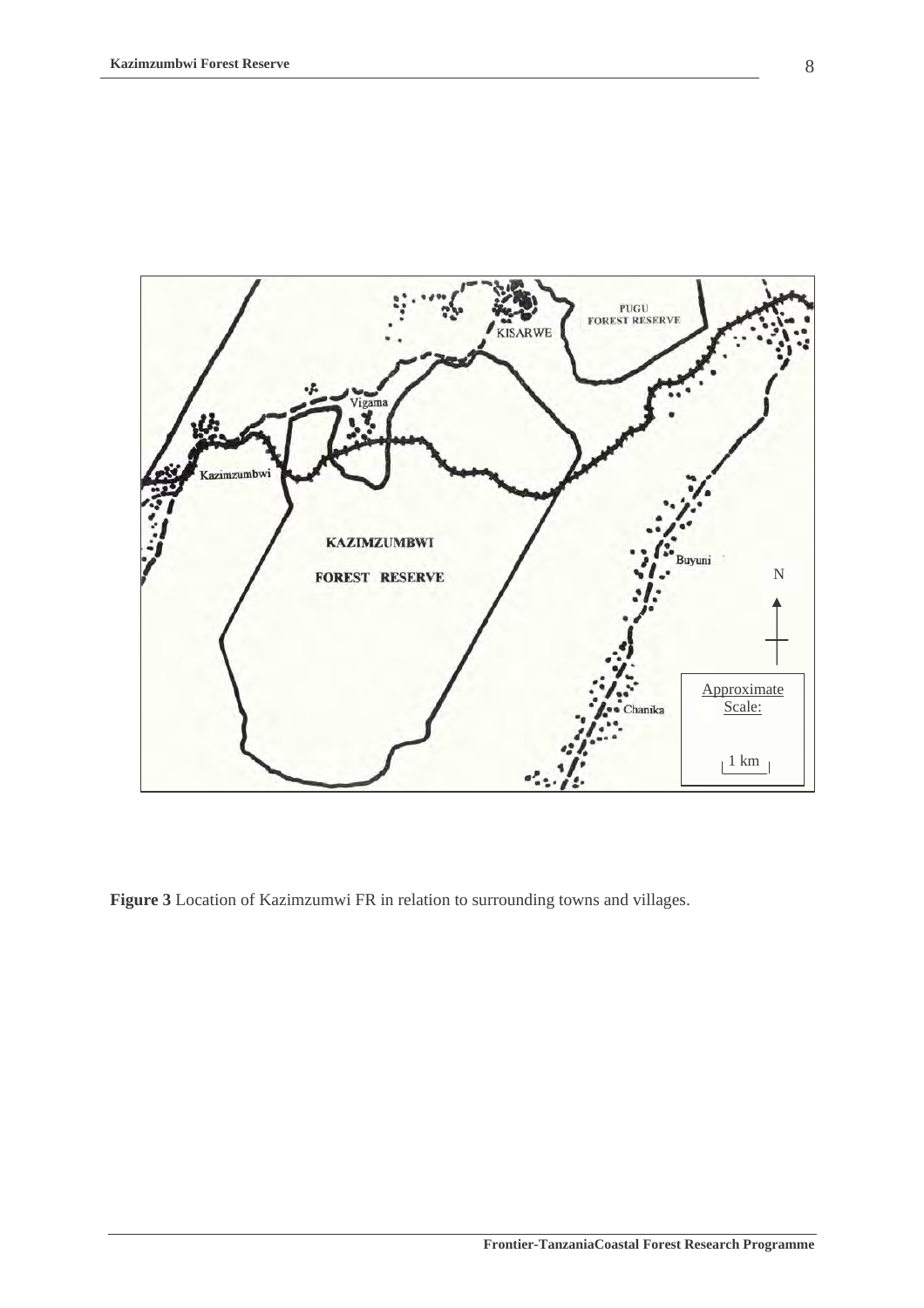

**Figure 3** Location of Kazimzumwi FR in relation to surrounding towns and villages.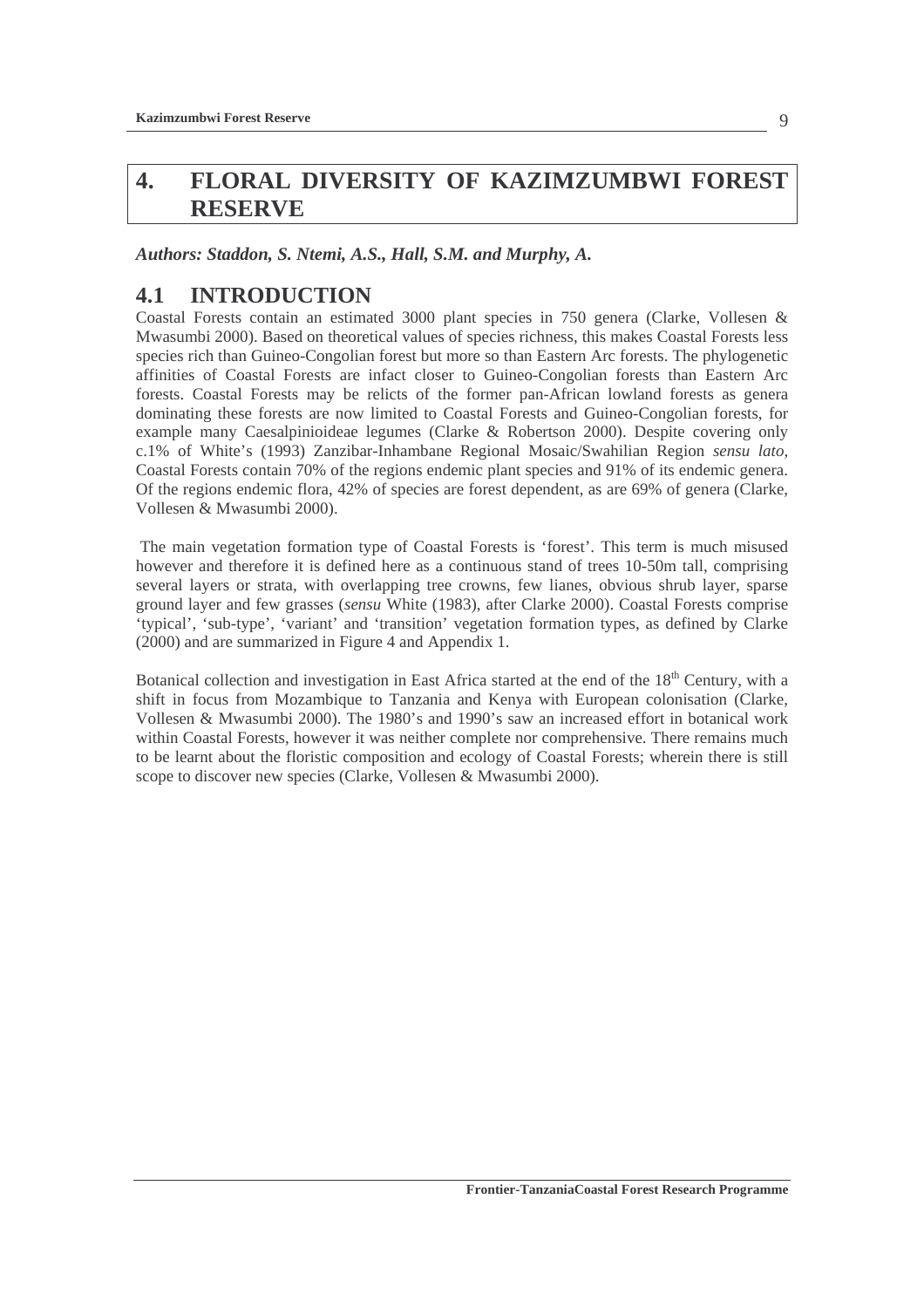## **4. FLORAL DIVERSITY OF KAZIMZUMBWI FOREST RESERVE**

*Authors: Staddon, S. Ntemi, A.S., Hall, S.M. and Murphy, A.* 

## **4.1 INTRODUCTION**

Coastal Forests contain an estimated 3000 plant species in 750 genera (Clarke, Vollesen & Mwasumbi 2000). Based on theoretical values of species richness, this makes Coastal Forests less species rich than Guineo-Congolian forest but more so than Eastern Arc forests. The phylogenetic affinities of Coastal Forests are infact closer to Guineo-Congolian forests than Eastern Arc forests. Coastal Forests may be relicts of the former pan-African lowland forests as genera dominating these forests are now limited to Coastal Forests and Guineo-Congolian forests, for example many Caesalpinioideae legumes (Clarke & Robertson 2000). Despite covering only c.1% of White's (1993) Zanzibar-Inhambane Regional Mosaic/Swahilian Region *sensu lato*, Coastal Forests contain 70% of the regions endemic plant species and 91% of its endemic genera. Of the regions endemic flora, 42% of species are forest dependent, as are 69% of genera (Clarke, Vollesen & Mwasumbi 2000).

 The main vegetation formation type of Coastal Forests is 'forest'. This term is much misused however and therefore it is defined here as a continuous stand of trees 10-50m tall, comprising several layers or strata, with overlapping tree crowns, few lianes, obvious shrub layer, sparse ground layer and few grasses (*sensu* White (1983), after Clarke 2000). Coastal Forests comprise 'typical', 'sub-type', 'variant' and 'transition' vegetation formation types, as defined by Clarke (2000) and are summarized in Figure 4 and Appendix 1.

Botanical collection and investigation in East Africa started at the end of the 18<sup>th</sup> Century, with a shift in focus from Mozambique to Tanzania and Kenya with European colonisation (Clarke, Vollesen & Mwasumbi 2000). The 1980's and 1990's saw an increased effort in botanical work within Coastal Forests, however it was neither complete nor comprehensive. There remains much to be learnt about the floristic composition and ecology of Coastal Forests; wherein there is still scope to discover new species (Clarke, Vollesen & Mwasumbi 2000).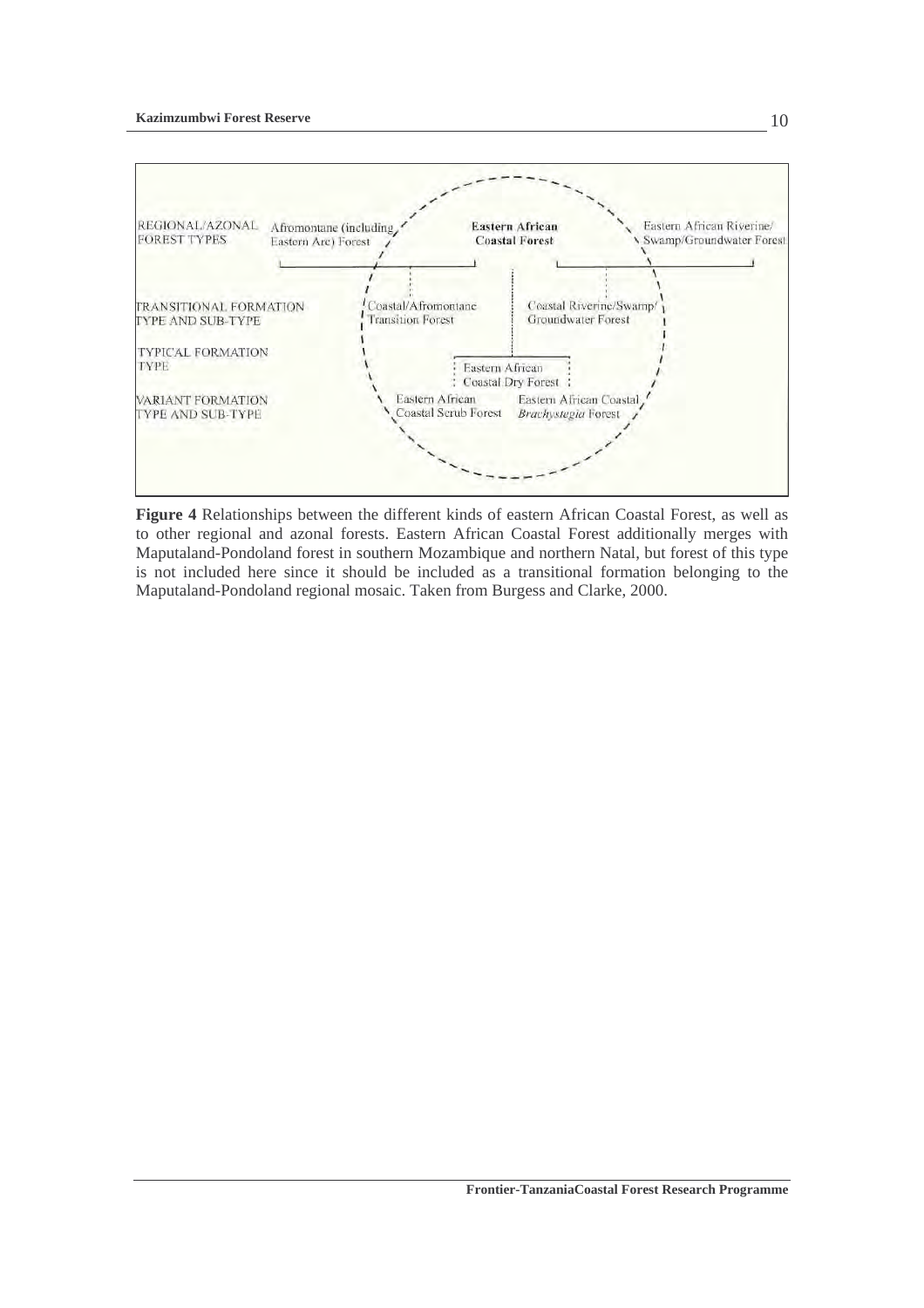#### **Kazimzumbwi Forest Reserve**



**Figure 4** Relationships between the different kinds of eastern African Coastal Forest, as well as to other regional and azonal forests. Eastern African Coastal Forest additionally merges with Maputaland-Pondoland forest in southern Mozambique and northern Natal, but forest of this type is not included here since it should be included as a transitional formation belonging to the Maputaland-Pondoland regional mosaic. Taken from Burgess and Clarke, 2000.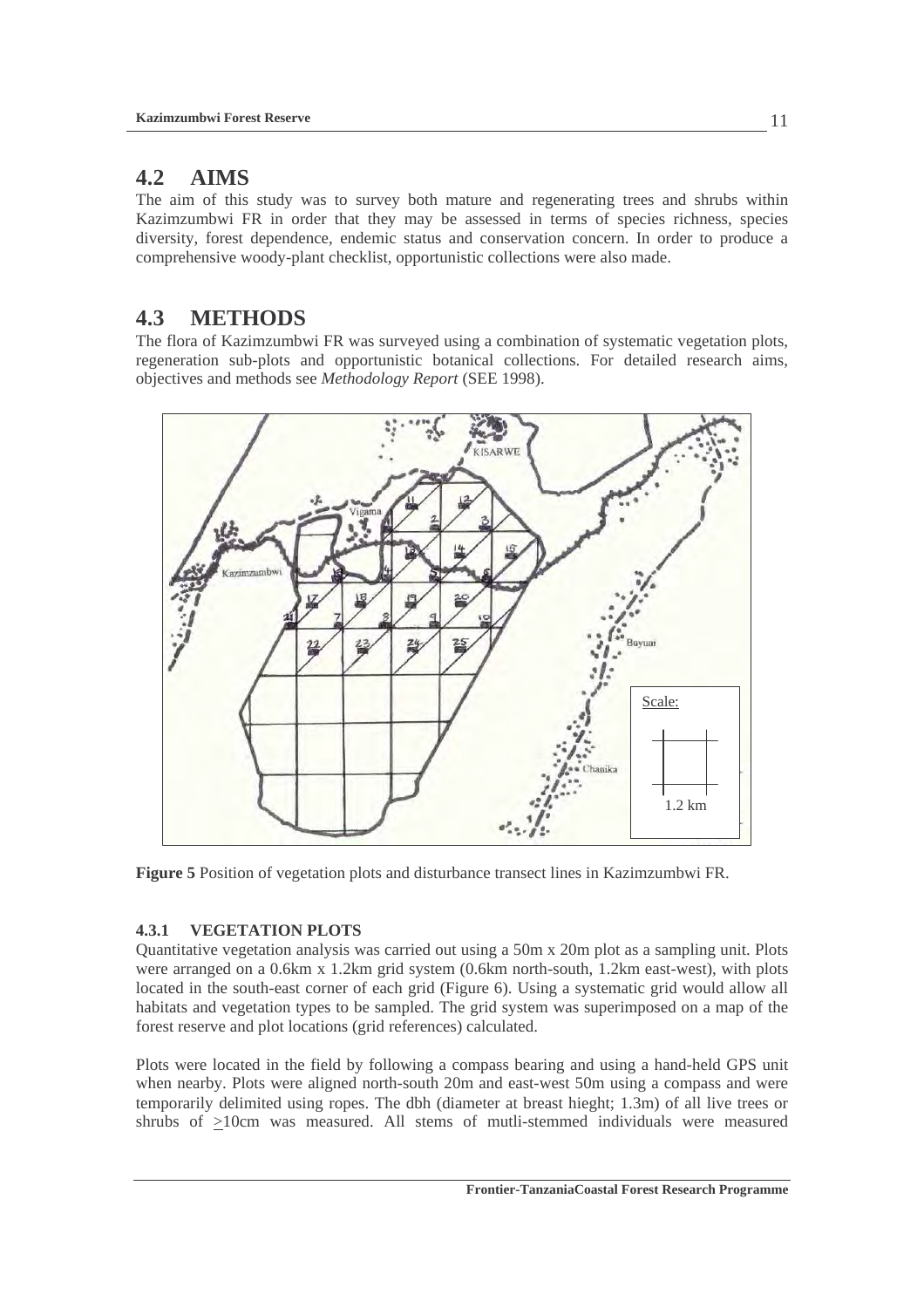## **4.2 AIMS**

The aim of this study was to survey both mature and regenerating trees and shrubs within Kazimzumbwi FR in order that they may be assessed in terms of species richness, species diversity, forest dependence, endemic status and conservation concern. In order to produce a comprehensive woody-plant checklist, opportunistic collections were also made.

## **4.3 METHODS**

The flora of Kazimzumbwi FR was surveyed using a combination of systematic vegetation plots, regeneration sub-plots and opportunistic botanical collections. For detailed research aims, objectives and methods see *Methodology Report* (SEE 1998).



**Figure 5** Position of vegetation plots and disturbance transect lines in Kazimzumbwi FR.

### **4.3.1 VEGETATION PLOTS**

Quantitative vegetation analysis was carried out using a 50m x 20m plot as a sampling unit. Plots were arranged on a 0.6km x 1.2km grid system (0.6km north-south, 1.2km east-west), with plots located in the south-east corner of each grid (Figure 6). Using a systematic grid would allow all habitats and vegetation types to be sampled. The grid system was superimposed on a map of the forest reserve and plot locations (grid references) calculated.

Plots were located in the field by following a compass bearing and using a hand-held GPS unit when nearby. Plots were aligned north-south 20m and east-west 50m using a compass and were temporarily delimited using ropes. The dbh (diameter at breast hieght; 1.3m) of all live trees or shrubs of >10cm was measured. All stems of mutli-stemmed individuals were measured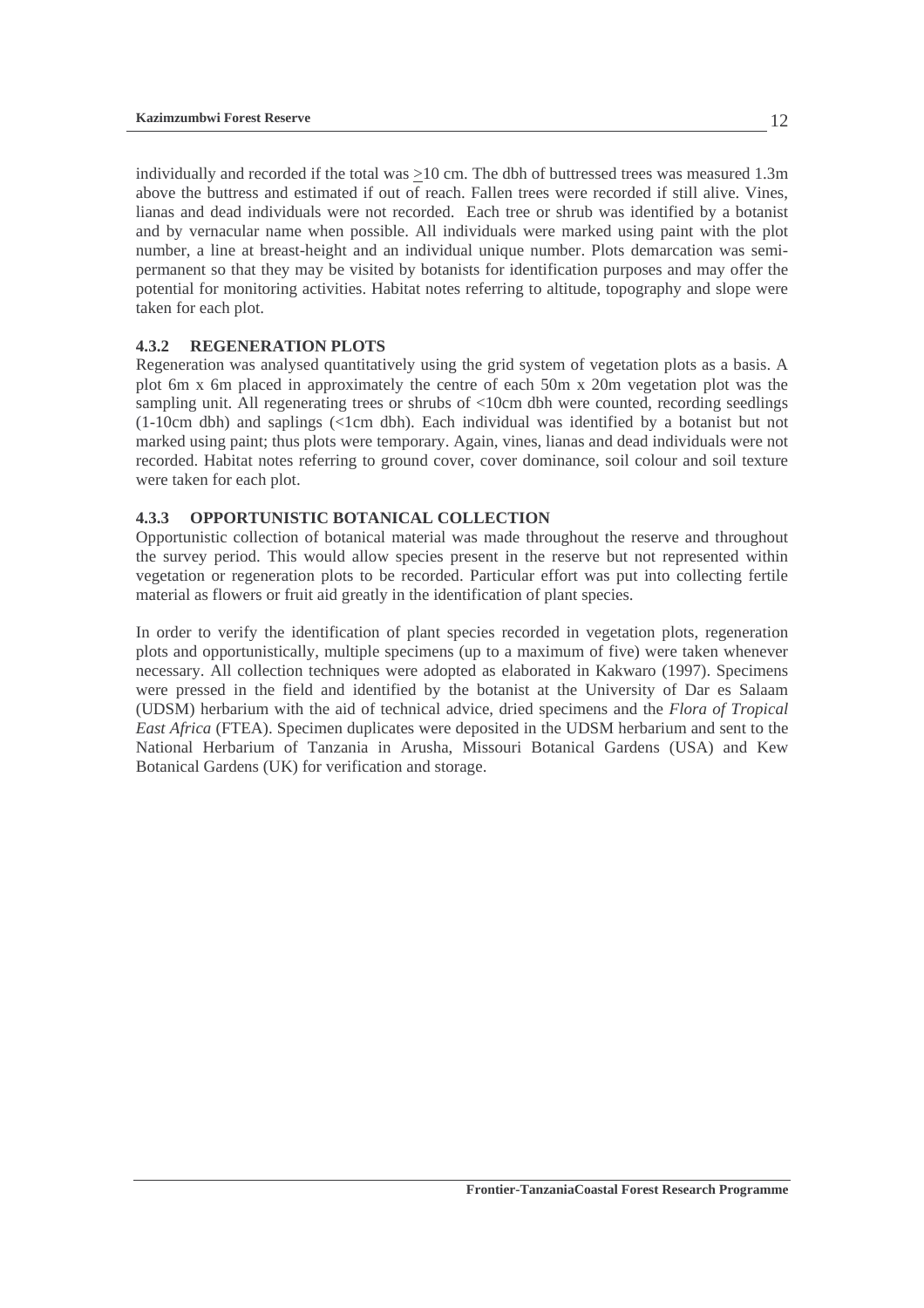individually and recorded if the total was >10 cm. The dbh of buttressed trees was measured 1.3m above the buttress and estimated if out of reach. Fallen trees were recorded if still alive. Vines, lianas and dead individuals were not recorded. Each tree or shrub was identified by a botanist and by vernacular name when possible. All individuals were marked using paint with the plot number, a line at breast-height and an individual unique number. Plots demarcation was semipermanent so that they may be visited by botanists for identification purposes and may offer the potential for monitoring activities. Habitat notes referring to altitude, topography and slope were taken for each plot.

#### **4.3.2 REGENERATION PLOTS**

Regeneration was analysed quantitatively using the grid system of vegetation plots as a basis. A plot 6m x 6m placed in approximately the centre of each 50m x 20m vegetation plot was the sampling unit. All regenerating trees or shrubs of <10cm dbh were counted, recording seedlings (1-10cm dbh) and saplings (<1cm dbh). Each individual was identified by a botanist but not marked using paint; thus plots were temporary. Again, vines, lianas and dead individuals were not recorded. Habitat notes referring to ground cover, cover dominance, soil colour and soil texture were taken for each plot.

#### **4.3.3 OPPORTUNISTIC BOTANICAL COLLECTION**

Opportunistic collection of botanical material was made throughout the reserve and throughout the survey period. This would allow species present in the reserve but not represented within vegetation or regeneration plots to be recorded. Particular effort was put into collecting fertile material as flowers or fruit aid greatly in the identification of plant species.

In order to verify the identification of plant species recorded in vegetation plots, regeneration plots and opportunistically, multiple specimens (up to a maximum of five) were taken whenever necessary. All collection techniques were adopted as elaborated in Kakwaro (1997). Specimens were pressed in the field and identified by the botanist at the University of Dar es Salaam (UDSM) herbarium with the aid of technical advice, dried specimens and the *Flora of Tropical East Africa* (FTEA). Specimen duplicates were deposited in the UDSM herbarium and sent to the National Herbarium of Tanzania in Arusha, Missouri Botanical Gardens (USA) and Kew Botanical Gardens (UK) for verification and storage.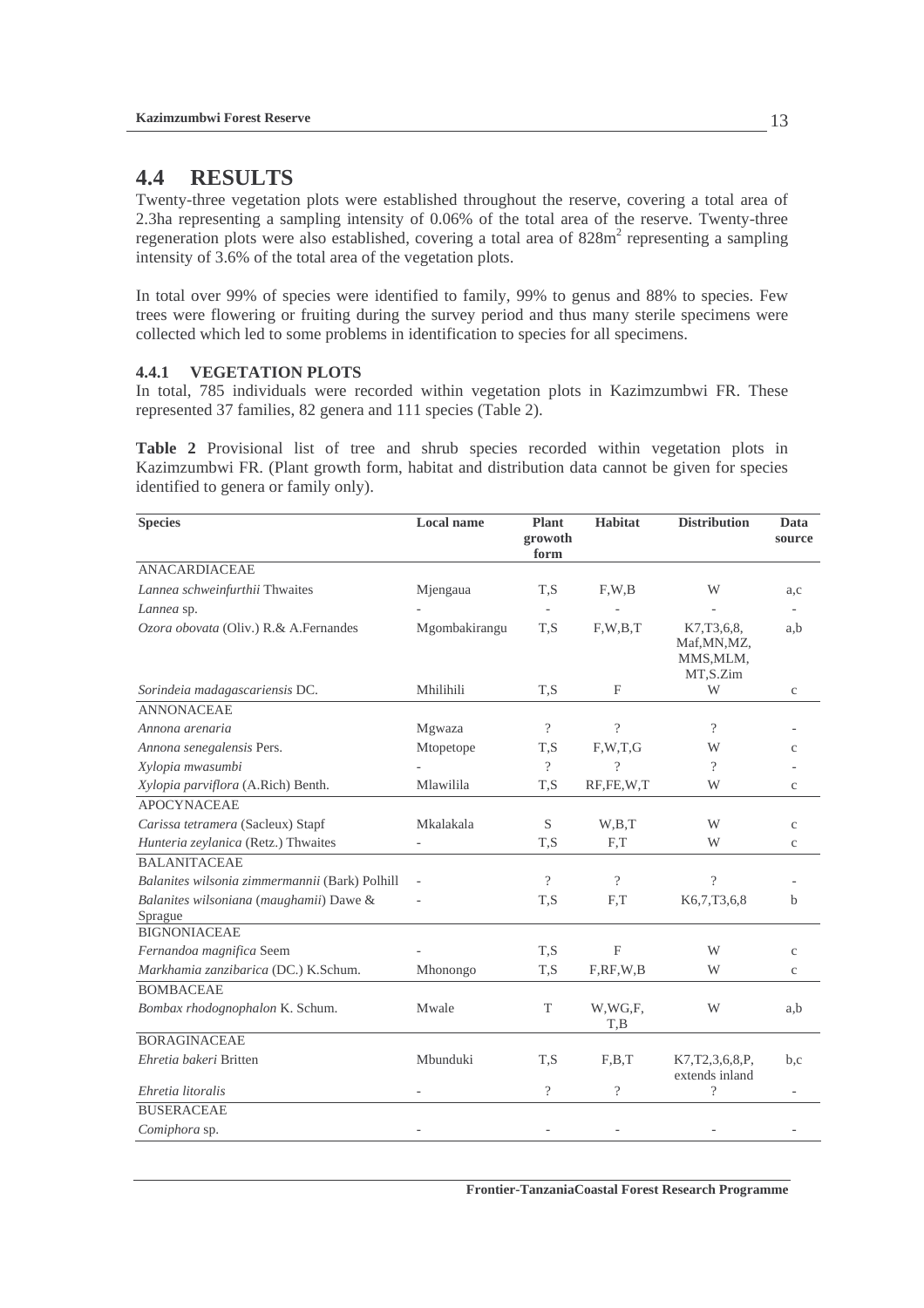## **4.4 RESULTS**

Twenty-three vegetation plots were established throughout the reserve, covering a total area of 2.3ha representing a sampling intensity of 0.06% of the total area of the reserve. Twenty-three regeneration plots were also established, covering a total area of 828m<sup>2</sup> representing a sampling intensity of 3.6% of the total area of the vegetation plots.

In total over 99% of species were identified to family, 99% to genus and 88% to species. Few trees were flowering or fruiting during the survey period and thus many sterile specimens were collected which led to some problems in identification to species for all specimens.

#### **4.4.1 VEGETATION PLOTS**

In total, 785 individuals were recorded within vegetation plots in Kazimzumbwi FR. These represented 37 families, 82 genera and 111 species (Table 2).

**Table 2** Provisional list of tree and shrub species recorded within vegetation plots in Kazimzumbwi FR. (Plant growth form, habitat and distribution data cannot be given for species identified to genera or family only).

| <b>Species</b>                                     | <b>Local name</b> | <b>Plant</b><br>growoth<br>form | <b>Habitat</b>     | <b>Distribution</b>                                 | Data<br>source |
|----------------------------------------------------|-------------------|---------------------------------|--------------------|-----------------------------------------------------|----------------|
| <b>ANACARDIACEAE</b>                               |                   |                                 |                    |                                                     |                |
| Lannea schweinfurthii Thwaites                     | Mjengaua          | T,S                             | F, W, B            | W                                                   | a,c            |
| Lannea sp.                                         |                   |                                 |                    |                                                     |                |
| Ozora obovata (Oliv.) R.& A.Fernandes              | Mgombakirangu     | T.S                             | F.W.B.T            | K7,T3,6,8,<br>Maf, MN, MZ,<br>MMS, MLM,<br>MT,S.Zim | a,b            |
| Sorindeia madagascariensis DC.                     | Mhilihili         | T.S                             | $\mathbf{F}$       | W                                                   | $\mathbf{C}$   |
| <b>ANNONACEAE</b>                                  |                   |                                 |                    |                                                     |                |
| Annona arenaria                                    | Mgwaza            | $\gamma$                        | $\overline{\cdot}$ | $\gamma$                                            |                |
| Annona senegalensis Pers.                          | Mtopetope         | T.S                             | F, W, T, G         | W                                                   | $\mathbf{C}$   |
| Xylopia mwasumbi                                   |                   | $\gamma$                        | $\overline{\cdot}$ | ?                                                   |                |
| Xylopia parviflora (A.Rich) Benth.                 | Mlawilila         | T.S                             | RF,FE,W,T          | W                                                   | $\rm _c$       |
| <b>APOCYNACEAE</b>                                 |                   |                                 |                    |                                                     |                |
| Carissa tetramera (Sacleux) Stapf                  | Mkalakala         | S                               | W.B.T              | W                                                   | $\mathbf{C}$   |
| Hunteria zeylanica (Retz.) Thwaites                |                   | T,S                             | F,T                | W                                                   | $\rm{c}$       |
| <b>BALANITACEAE</b>                                |                   |                                 |                    |                                                     |                |
| Balanites wilsonia zimmermannii (Bark) Polhill     |                   | $\gamma$                        | $\gamma$           | $\gamma$                                            |                |
| Balanites wilsoniana (maughamii) Dawe &<br>Sprague |                   | T,S                             | F,T                | K6,7,T3,6,8                                         | $\mathbf b$    |
| <b>BIGNONIACEAE</b>                                |                   |                                 |                    |                                                     |                |
| Fernandoa magnifica Seem                           |                   | T.S                             | $\mathbf{F}$       | W                                                   | $\mathbf{C}$   |
| Markhamia zanzibarica (DC.) K.Schum.               | Mhonongo          | T,S                             | F, RF, W, B        | W                                                   | $\mathbf C$    |
| <b>BOMBACEAE</b>                                   |                   |                                 |                    |                                                     |                |
| Bombax rhodognophalon K. Schum.                    | Mwale             | T                               | W,WG,F,<br>T,B     | W                                                   | a,b            |
| <b>BORAGINACEAE</b>                                |                   |                                 |                    |                                                     |                |
| Ehretia bakeri Britten                             | Mbunduki          | T.S                             | F.B.T              | K7, T2, 3, 6, 8, P,<br>extends inland               | b,c            |
| Ehretia litoralis                                  | $\bar{a}$         | $\gamma$                        | $\overline{\cdot}$ | $\gamma$                                            | $\equiv$       |
| <b>BUSERACEAE</b>                                  |                   |                                 |                    |                                                     |                |
| Comiphora sp.                                      |                   |                                 |                    |                                                     |                |

**Frontier-TanzaniaCoastal Forest Research Programme**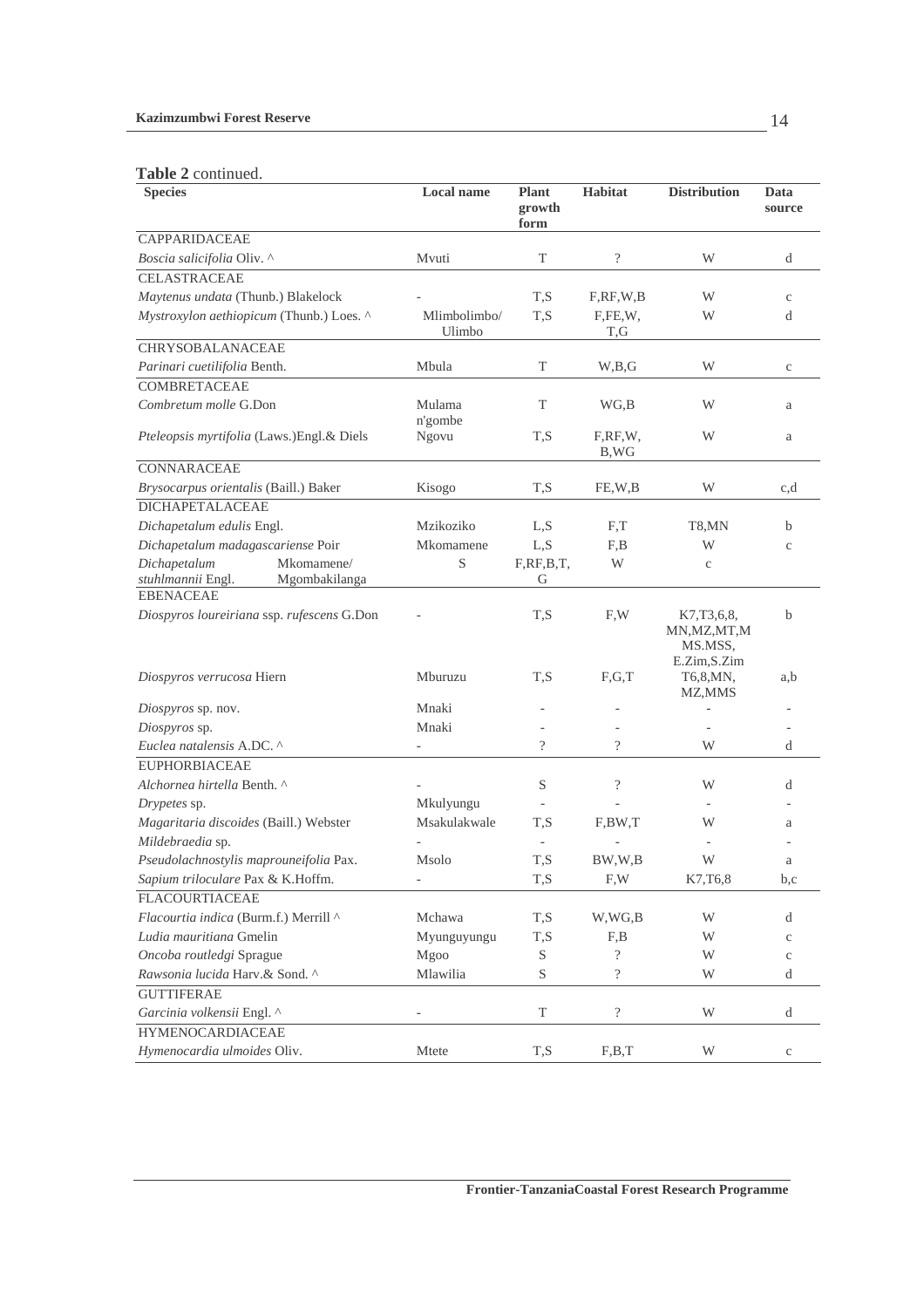#### **Kazimzumbwi Forest Reserve**

### **Table 2** continued.

| <b>L</b> able $\angle$ continued.<br><b>Species</b>              | Local name              | Plant<br>growth<br>form | <b>Habitat</b>                                     | <b>Distribution</b>                                      | Data<br>source |
|------------------------------------------------------------------|-------------------------|-------------------------|----------------------------------------------------|----------------------------------------------------------|----------------|
| <b>CAPPARIDACEAE</b>                                             |                         |                         |                                                    |                                                          |                |
| Boscia salicifolia Oliv. ^                                       | Mvuti                   | T                       | $\overline{\mathcal{C}}$                           | W                                                        | d              |
| <b>CELASTRACEAE</b>                                              |                         |                         |                                                    |                                                          |                |
| Maytenus undata (Thunb.) Blakelock                               |                         | T,S                     | F, RF, W, B                                        | W                                                        | $\mathbf{C}$   |
| Mystroxylon aethiopicum (Thunb.) Loes. ^                         | Mlimbolimbo/<br>Ulimbo  | T,S                     | F,FE,W,<br>T,G                                     | W                                                        | d              |
| <b>CHRYSOBALANACEAE</b>                                          |                         |                         |                                                    |                                                          |                |
| Parinari cuetilifolia Benth.                                     | Mbula                   | $\mathbf T$             | W,B,G                                              | W                                                        | $\mathbf c$    |
| <b>COMBRETACEAE</b>                                              |                         |                         |                                                    |                                                          |                |
| Combretum molle G.Don                                            | Mulama                  | $\mathbf T$             | WG,B                                               | W                                                        | a              |
| Pteleopsis myrtifolia (Laws.)Engl.& Diels                        | n'gombe<br><b>Ngovu</b> | T,S                     | F,RF,W,<br>B,WG                                    | W                                                        | a              |
| <b>CONNARACEAE</b>                                               |                         |                         |                                                    |                                                          |                |
| Brysocarpus orientalis (Baill.) Baker                            | Kisogo                  | T,S                     | FE,W,B                                             | W                                                        | c,d            |
| <b>DICHAPETALACEAE</b>                                           |                         |                         |                                                    |                                                          |                |
| Dichapetalum edulis Engl.                                        | Mzikoziko               | L, S                    | F,T                                                | T8,MN                                                    | b              |
| Dichapetalum madagascariense Poir                                | Mkomamene               | L, S                    | F,B                                                | W                                                        | $\mathbf{C}$   |
| Dichapetalum<br>Mkomamene/<br>stuhlmannii Engl.<br>Mgombakilanga | $\mathbf S$             | F, RF, B, T,<br>G       | W                                                  | $\rm _c$                                                 |                |
| <b>EBENACEAE</b><br>Diospyros loureiriana ssp. rufescens G.Don   |                         | T,S                     | F,W                                                | K7, T3, 6, 8,<br>MN, MZ, MT, M<br>MS.MSS,<br>E.Zim,S.Zim | b              |
| Diospyros verrucosa Hiern                                        | Mburuzu                 | T,S                     | F,G,T                                              | T6,8, MN,<br>MZ, MMS                                     | a,b            |
| Diospyros sp. nov.                                               | Mnaki                   |                         |                                                    |                                                          |                |
| Diospyros sp.                                                    | Mnaki                   |                         |                                                    |                                                          |                |
| Euclea natalensis A.DC. ^                                        |                         | $\overline{\cdot}$      | $\overline{\cdot}$                                 | W                                                        | d              |
| <b>EUPHORBIACEAE</b>                                             |                         |                         |                                                    |                                                          |                |
| Alchornea hirtella Benth. ^                                      |                         | S                       | $\overline{\mathcal{C}}$                           | W                                                        | d              |
| Drypetes sp.                                                     | Mkulyungu               |                         |                                                    |                                                          |                |
| Magaritaria discoides (Baill.) Webster                           | Msakulakwale            | T,S                     | F,BW,T                                             | W                                                        | a              |
| Mildebraedia sp.                                                 |                         |                         |                                                    | $\overline{\phantom{a}}$                                 |                |
| Pseudolachnostylis maprouneifolia Pax.                           | Msolo                   | T,S                     | BW,W,B                                             | W                                                        | а              |
| Sapium triloculare Pax & K.Hoffm.                                | ÷                       | T,S                     | $\boldsymbol{\mathrm{F}}, \boldsymbol{\mathrm{W}}$ | K7, T6, 8                                                | b,c            |
| <b>FLACOURTIACEAE</b>                                            |                         |                         |                                                    |                                                          |                |
| Flacourtia indica (Burm.f.) Merrill ^                            | Mchawa                  | T, S                    | W,WG,B                                             | W                                                        | d              |
| Ludia mauritiana Gmelin                                          | Myunguyungu             | $\mathrm{T},\mathrm{S}$ | F,B                                                | W                                                        | $\mathbf{C}$   |
| Oncoba routledgi Sprague                                         | Mgoo                    | S                       | $\overline{\cdot}$                                 | W                                                        | $\mathbf{C}$   |
| Rawsonia lucida Harv.& Sond. ^                                   | Mlawilia                | S                       | $\overline{\mathcal{L}}$                           | W                                                        | d              |
| <b>GUTTIFERAE</b>                                                |                         |                         |                                                    |                                                          |                |
| Garcinia volkensii Engl. ^                                       |                         | T                       | $\overline{\mathcal{C}}$                           | W                                                        | d              |
| <b>HYMENOCARDIACEAE</b>                                          |                         |                         |                                                    |                                                          |                |
| Hymenocardia ulmoides Oliv.                                      | Mtete                   | T,S                     | F,B,T                                              | W                                                        | $\mathbf{C}$   |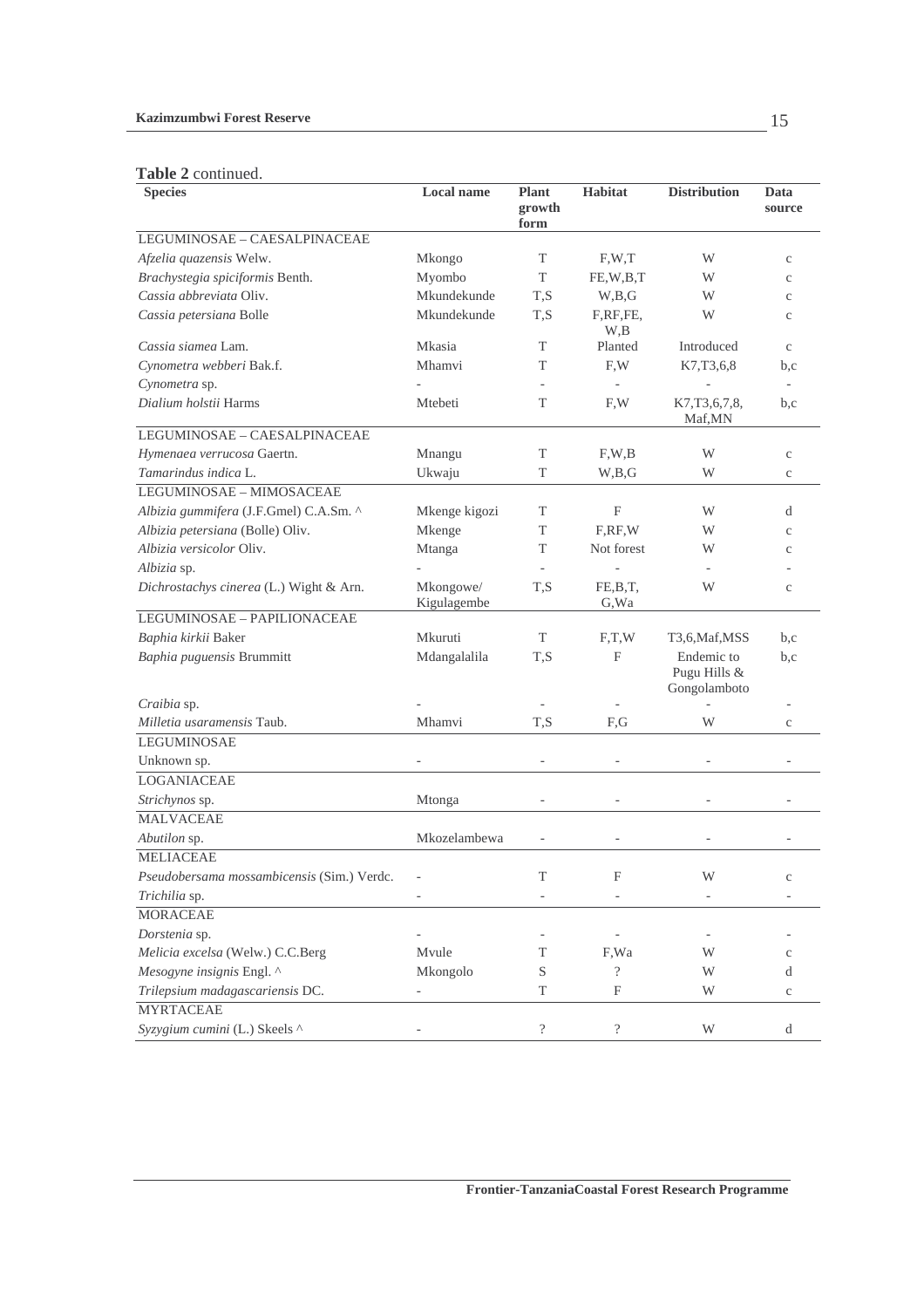#### **Kazimzumbwi Forest Reserve**

#### **Table 2** continued.

| <b>Tapic 4</b> Continued.<br><b>Species</b> | <b>Local name</b>        | Plant                    | <b>Habitat</b>           | <b>Distribution</b>                        | Data                     |
|---------------------------------------------|--------------------------|--------------------------|--------------------------|--------------------------------------------|--------------------------|
|                                             |                          | growth<br>form           |                          |                                            | source                   |
| LEGUMINOSAE - CAESALPINACEAE                |                          |                          |                          |                                            |                          |
| Afzelia quazensis Welw.                     | Mkongo                   | T                        | F, W, T                  | W                                          | $\mathbf{C}$             |
| Brachystegia spiciformis Benth.             | Myombo                   | T                        | FE,W,B,T                 | W                                          | $\mathbf{C}$             |
| Cassia abbreviata Oliv.                     | Mkundekunde              | T,S                      | W,B,G                    | W                                          | $\mathbf{C}$             |
| Cassia petersiana Bolle                     | Mkundekunde              | T,S                      | F,RF,FE,<br>W,B          | W                                          | $\mathbf{C}$             |
| Cassia siamea Lam.                          | Mkasia                   | T                        | Planted                  | Introduced                                 | $\mathbf{C}$             |
| Cynometra webberi Bak.f.                    | Mhamvi                   | T                        | F,W                      | K7,T3,6,8                                  | b,c                      |
| Cynometra sp.                               |                          |                          |                          |                                            | $\overline{\phantom{a}}$ |
| Dialium holstii Harms                       | Mtebeti                  | T                        | F,W                      | K7, T3, 6, 7, 8,<br>Maf, MN                | b,c                      |
| LEGUMINOSAE - CAESALPINACEAE                |                          |                          |                          |                                            |                          |
| Hymenaea verrucosa Gaertn.                  | Mnangu                   | T                        | F, W, B                  | W                                          | $\mathbf{C}$             |
| Tamarindus indica L.                        | Ukwaju                   | T                        | W,B,G                    | W                                          | $\rm{c}$                 |
| LEGUMINOSAE - MIMOSACEAE                    |                          |                          |                          |                                            |                          |
| Albizia gummifera (J.F.Gmel) C.A.Sm. ^      | Mkenge kigozi            | T                        | F                        | W                                          | d                        |
| Albizia petersiana (Bolle) Oliv.            | Mkenge                   | T                        | F, RF, W                 | W                                          | $\mathbf{C}$             |
| Albizia versicolor Oliv.                    | Mtanga                   | T                        | Not forest               | W                                          | $\mathbf{C}$             |
| Albizia sp.                                 |                          |                          |                          |                                            |                          |
| Dichrostachys cinerea (L.) Wight & Arn.     | Mkongowe/<br>Kigulagembe | T.S                      | FE,B,T,<br>G, Wa         | W                                          | $\mathbf{C}$             |
| LEGUMINOSAE - PAPILIONACEAE                 |                          |                          |                          |                                            |                          |
| Baphia kirkii Baker                         | Mkuruti                  | T                        | F,T,W                    | T3,6, Maf, MSS                             | b,c                      |
| Baphia puguensis Brummitt                   | Mdangalalila             | T,S                      | F                        | Endemic to<br>Pugu Hills &<br>Gongolamboto | b,c                      |
| Craibia sp.                                 |                          |                          |                          |                                            |                          |
| Milletia usaramensis Taub.                  | Mhamvi                   | T,S                      | F,G                      | W                                          | $\mathbf{C}$             |
| <b>LEGUMINOSAE</b>                          |                          |                          |                          |                                            |                          |
| Unknown sp.                                 |                          | $\overline{\phantom{a}}$ |                          |                                            |                          |
| <b>LOGANIACEAE</b>                          |                          |                          |                          |                                            |                          |
| Strichynos sp.                              | Mtonga                   |                          |                          |                                            |                          |
| <b>MALVACEAE</b>                            |                          |                          |                          |                                            |                          |
| Abutilon sp.                                | Mkozelambewa             |                          |                          |                                            |                          |
| <b>MELIACEAE</b>                            |                          |                          |                          |                                            |                          |
| Pseudobersama mossambicensis (Sim.) Verdc.  |                          | T                        | F                        |                                            | $\mathbf C$              |
| Trichilia sp.                               |                          |                          |                          |                                            |                          |
| <b>MORACEAE</b>                             |                          |                          |                          |                                            |                          |
| Dorstenia sp.                               |                          |                          |                          |                                            |                          |
| Melicia excelsa (Welw.) C.C.Berg            | Mvule                    | T                        | F,Wa                     | W                                          | $\mathbf C$              |
| Mesogyne insignis Engl. ^                   | Mkongolo                 | S                        | $\overline{\cdot}$       | W                                          | d                        |
| Trilepsium madagascariensis DC.             |                          | $\mathbf T$              | $\mathbf F$              | W                                          | $\rm{c}$                 |
| <b>MYRTACEAE</b>                            |                          |                          |                          |                                            |                          |
| Syzygium cumini (L.) Skeels ^               |                          | $\overline{\mathcal{L}}$ | $\overline{\mathcal{L}}$ | W                                          | d                        |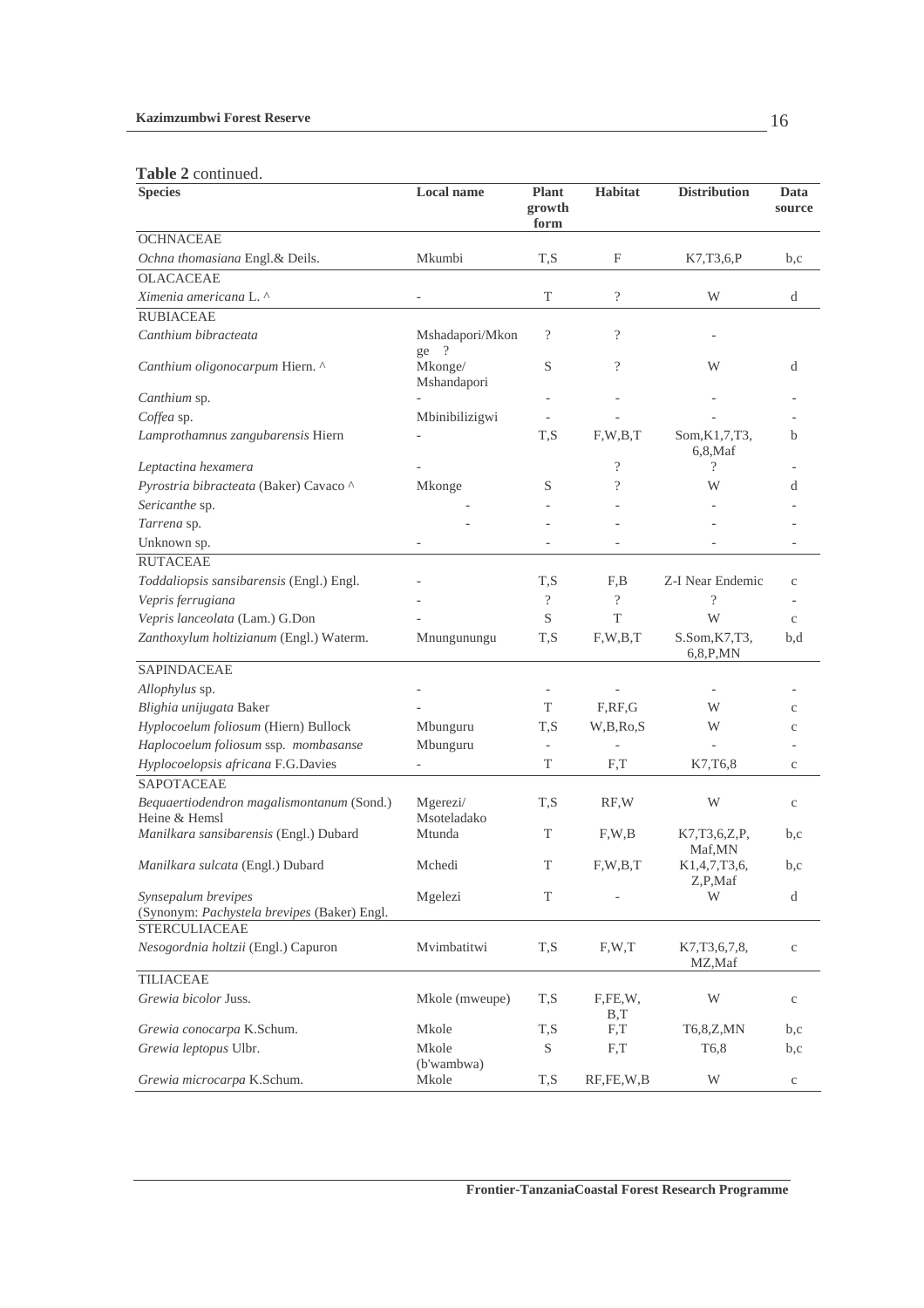### **Table 2** continued.

| <b>Species</b>                                                                             | <b>Local name</b>                  | <b>Plant</b><br>growth<br>form | <b>Habitat</b>           | <b>Distribution</b>            | Data<br>source |
|--------------------------------------------------------------------------------------------|------------------------------------|--------------------------------|--------------------------|--------------------------------|----------------|
| <b>OCHNACEAE</b>                                                                           |                                    |                                |                          |                                |                |
| Ochna thomasiana Engl.& Deils.                                                             | Mkumbi                             | T,S                            | F                        | K7,T3,6,P                      | b,c            |
| <b>OLACACEAE</b>                                                                           |                                    |                                |                          |                                |                |
| Ximenia americana L. ^                                                                     |                                    | T                              | $\overline{\mathcal{C}}$ | W                              | d              |
| <b>RUBIACEAE</b>                                                                           |                                    |                                |                          |                                |                |
| Canthium bibracteata                                                                       | Mshadapori/Mkon<br>$\cdot$ ?<br>ge | $\overline{\cdot}$             | $\overline{\mathcal{L}}$ |                                |                |
| Canthium oligonocarpum Hiern. ^                                                            | Mkonge/<br>Mshandapori             | S                              | $\overline{\cdot}$       | W                              | d              |
| Canthium sp.                                                                               |                                    |                                |                          |                                |                |
| Coffea sp.                                                                                 | Mbinibilizigwi                     |                                |                          |                                |                |
| Lamprothamnus zangubarensis Hiern                                                          |                                    | T,S                            | F,W,B,T                  | Som, K1, 7, T3,<br>$6,8$ , Maf | b              |
| Leptactina hexamera                                                                        |                                    |                                | $\overline{\mathcal{L}}$ | $\overline{\mathcal{C}}$       |                |
| Pyrostria bibracteata (Baker) Cavaco ^                                                     | Mkonge                             | S                              | $\overline{\mathcal{L}}$ | W                              | d              |
| Sericanthe sp.                                                                             |                                    |                                |                          |                                |                |
| Tarrena sp.                                                                                |                                    |                                |                          |                                |                |
| Unknown sp.                                                                                |                                    |                                |                          |                                |                |
| <b>RUTACEAE</b>                                                                            |                                    |                                |                          |                                |                |
| Toddaliopsis sansibarensis (Engl.) Engl.                                                   |                                    | T,S                            | F,B                      | Z-I Near Endemic               | $\mathbf{C}$   |
| Vepris ferrugiana                                                                          |                                    | $\gamma$                       | $\overline{\mathcal{L}}$ | $\gamma$                       |                |
| Vepris lanceolata (Lam.) G.Don                                                             |                                    | S                              | T                        | W                              | $\mathbf{C}$   |
| Zanthoxylum holtizianum (Engl.) Waterm.                                                    | Mnungunungu                        | T,S                            | F, W, B, T               | S.Som, K7, T3,<br>6, 8, P, MN  | b,d            |
| SAPINDACEAE                                                                                |                                    |                                |                          |                                |                |
| Allophylus sp.                                                                             |                                    |                                |                          |                                |                |
| Blighia unijugata Baker                                                                    |                                    | T                              | F, RF, G                 | W                              | $\mathbf{C}$   |
| Hyplocoelum foliosum (Hiern) Bullock                                                       | Mbunguru                           | T,S                            | W,B,Ro,S                 | W                              | $\mathbf{C}$   |
| Haplocoelum foliosum ssp. mombasanse                                                       | Mbunguru                           |                                |                          |                                |                |
| Hyplocoelopsis africana F.G.Davies                                                         |                                    | T                              | F,T                      | K7, T6, 8                      | $\mathbf{C}$   |
| <b>SAPOTACEAE</b><br>Bequaertiodendron magalismontanum (Sond.)                             | Mgerezi/                           | T,S                            | RF,W                     | W                              |                |
| Heine & Hemsl                                                                              | Msoteladako                        |                                |                          |                                | $\mathbf{C}$   |
| Manilkara sansibarensis (Engl.) Dubard                                                     | Mtunda                             | T                              | F, W, B                  | K7,T3,6,Z,P,<br>Maf,MN         | b,c            |
| Manilkara sulcata (Engl.) Dubard                                                           | Mchedi                             | T                              | F, W, B, T               | K1,4,7,T3,6,<br>Z,P,Maf        | b,c            |
| Synsepalum brevipes<br>(Synonym: Pachystela brevipes (Baker) Engl.<br><b>STERCULIACEAE</b> | Mgelezi                            | T                              |                          | W                              | d              |
| Nesogordnia holtzii (Engl.) Capuron                                                        | Mvimbatitwi                        | T,S                            | F, W, T                  | K7, T3, 6, 7, 8,<br>MZ,Maf     | $\rm{c}$       |
| TILIACEAE                                                                                  |                                    |                                |                          |                                |                |
| Grewia bicolor Juss.                                                                       | Mkole (mweupe)                     | T,S                            | F,FE,W,<br>B,T           | W                              | $\mathbf c$    |
| Grewia conocarpa K.Schum.                                                                  | Mkole                              | T,S                            | F,T                      | T6,8,Z,MN                      | b,c            |
| Grewia leptopus Ulbr.                                                                      | Mkole                              | S                              | F,T                      | T <sub>6</sub> ,8              | b,c            |
| Grewia microcarpa K.Schum.                                                                 | (b'wambwa)<br>Mkole                | T,S                            | RF, FE, W, B             | W                              | $\mathbf c$    |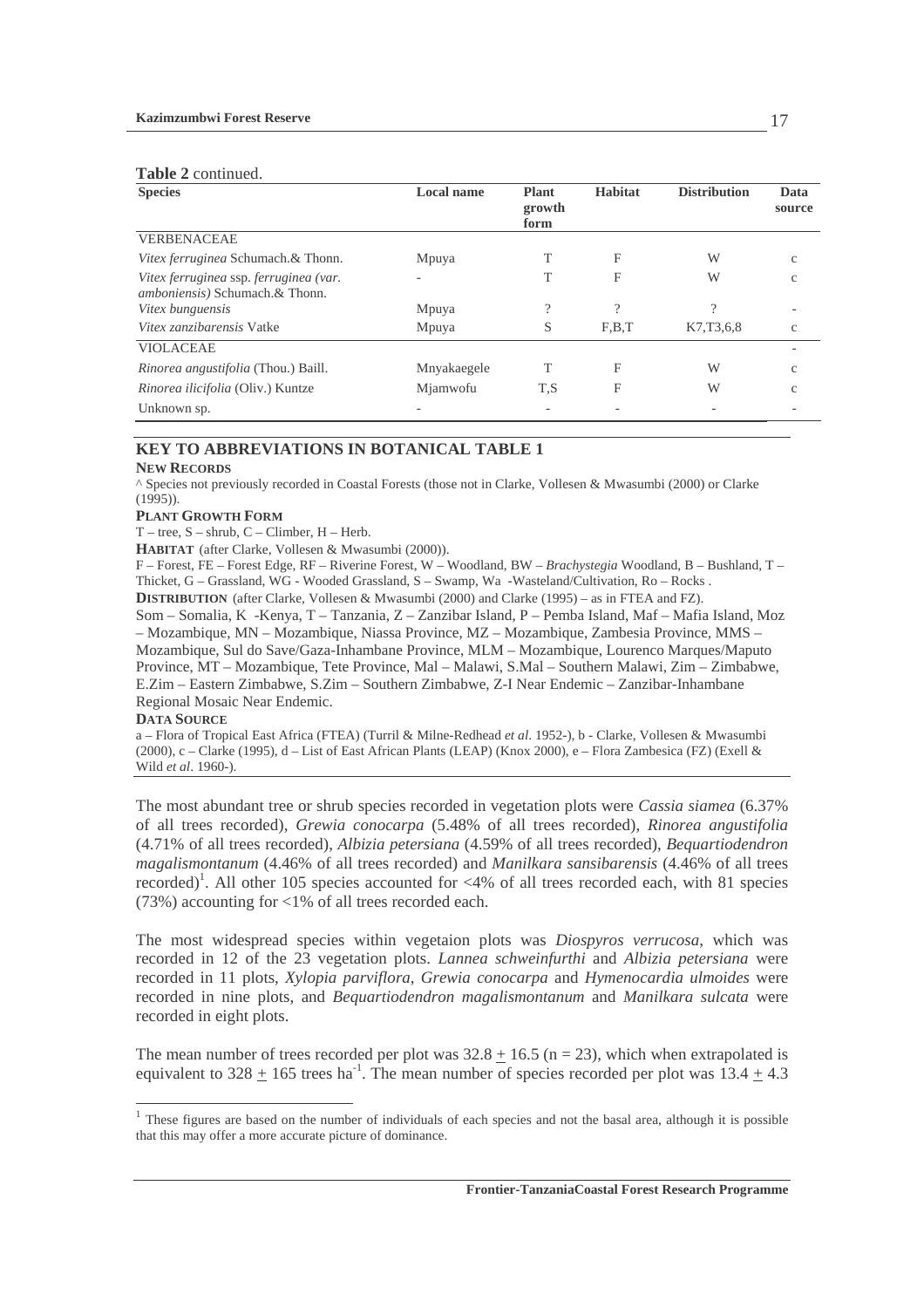|  | <b>Table 2</b> continued. |
|--|---------------------------|
|--|---------------------------|

| <b>Species</b>                                                                   | <b>Local name</b> | <b>Plant</b><br>growth<br>form | <b>Habitat</b> | <b>Distribution</b> | Data<br>source |
|----------------------------------------------------------------------------------|-------------------|--------------------------------|----------------|---------------------|----------------|
| <b>VERBENACEAE</b>                                                               |                   |                                |                |                     |                |
| Vitex ferruginea Schumach.& Thonn.                                               | Mpuya             | T                              | F              | W                   | c              |
| Vitex ferruginea ssp. ferruginea (var.<br><i>amboniensis</i> ) Schumach.& Thonn. |                   |                                | F              | W                   | $\mathbf{C}$   |
| Vitex bunguensis                                                                 | Mpuya             | $\Omega$                       | $\Omega$       | $\Omega$            |                |
| <i>Vitex zanzibarensis</i> Vatke                                                 | Mpuya             | S                              | F.B.T          | K7, T3, 6, 8        | $\mathbf{C}$   |
| <b>VIOLACEAE</b>                                                                 |                   |                                |                |                     |                |
| Rinorea angustifolia (Thou.) Baill.                                              | Mnyakaegele       | T                              | F              | W                   | $\mathbf{C}$   |
| Rinorea ilicifolia (Oliv.) Kuntze                                                | Mjamwofu          | T.S                            | F              | W                   | $\mathcal{C}$  |
| Unknown sp.                                                                      |                   |                                |                |                     |                |

### **KEY TO ABBREVIATIONS IN BOTANICAL TABLE 1**

#### **NEW RECORDS**

^ Species not previously recorded in Coastal Forests (those not in Clarke, Vollesen & Mwasumbi (2000) or Clarke (1995)).

#### **PLANT GROWTH FORM**

T – tree, S – shrub, C – Climber, H – Herb.

**HABITAT** (after Clarke, Vollesen & Mwasumbi (2000)).

F – Forest, FE – Forest Edge, RF – Riverine Forest, W – Woodland, BW – *Brachystegia* Woodland, B – Bushland, T – Thicket, G – Grassland, WG - Wooded Grassland, S – Swamp, Wa -Wasteland/Cultivation, Ro – Rocks . **DISTRIBUTION** (after Clarke, Vollesen & Mwasumbi (2000) and Clarke (1995) – as in FTEA and FZ).

Som – Somalia, K -Kenya, T – Tanzania, Z – Zanzibar Island, P – Pemba Island, Maf – Mafia Island, Moz – Mozambique, MN – Mozambique, Niassa Province, MZ – Mozambique, Zambesia Province, MMS – Mozambique, Sul do Save/Gaza-Inhambane Province, MLM – Mozambique, Lourenco Marques/Maputo Province, MT – Mozambique, Tete Province, Mal – Malawi, S.Mal – Southern Malawi, Zim – Zimbabwe, E.Zim – Eastern Zimbabwe, S.Zim – Southern Zimbabwe, Z-I Near Endemic – Zanzibar-Inhambane Regional Mosaic Near Endemic.

#### **DATA SOURCE**

 $\overline{a}$ 

a – Flora of Tropical East Africa (FTEA) (Turril & Milne-Redhead *et al*. 1952-), b - Clarke, Vollesen & Mwasumbi (2000), c – Clarke (1995), d – List of East African Plants (LEAP) (Knox 2000), e – Flora Zambesica (FZ) (Exell & Wild *et al*. 1960-).

The most abundant tree or shrub species recorded in vegetation plots were *Cassia siamea* (6.37% of all trees recorded), *Grewia conocarpa* (5.48% of all trees recorded), *Rinorea angustifolia* (4.71% of all trees recorded), *Albizia petersiana* (4.59% of all trees recorded), *Bequartiodendron magalismontanum* (4.46% of all trees recorded) and *Manilkara sansibarensis* (4.46% of all trees recorded)<sup>1</sup>. All other 105 species accounted for <4% of all trees recorded each, with 81 species (73%) accounting for <1% of all trees recorded each.

The most widespread species within vegetaion plots was *Diospyros verrucosa*, which was recorded in 12 of the 23 vegetation plots. *Lannea schweinfurthi* and *Albizia petersiana* were recorded in 11 plots, *Xylopia parviflora*, *Grewia conocarpa* and *Hymenocardia ulmoides* were recorded in nine plots, and *Bequartiodendron magalismontanum* and *Manilkara sulcata* were recorded in eight plots.

The mean number of trees recorded per plot was  $32.8 + 16.5$  (n = 23), which when extrapolated is equivalent to  $328 + 165$  trees ha<sup>-1</sup>. The mean number of species recorded per plot was  $13.4 + 4.3$ 

<sup>&</sup>lt;sup>1</sup> These figures are based on the number of individuals of each species and not the basal area, although it is possible that this may offer a more accurate picture of dominance.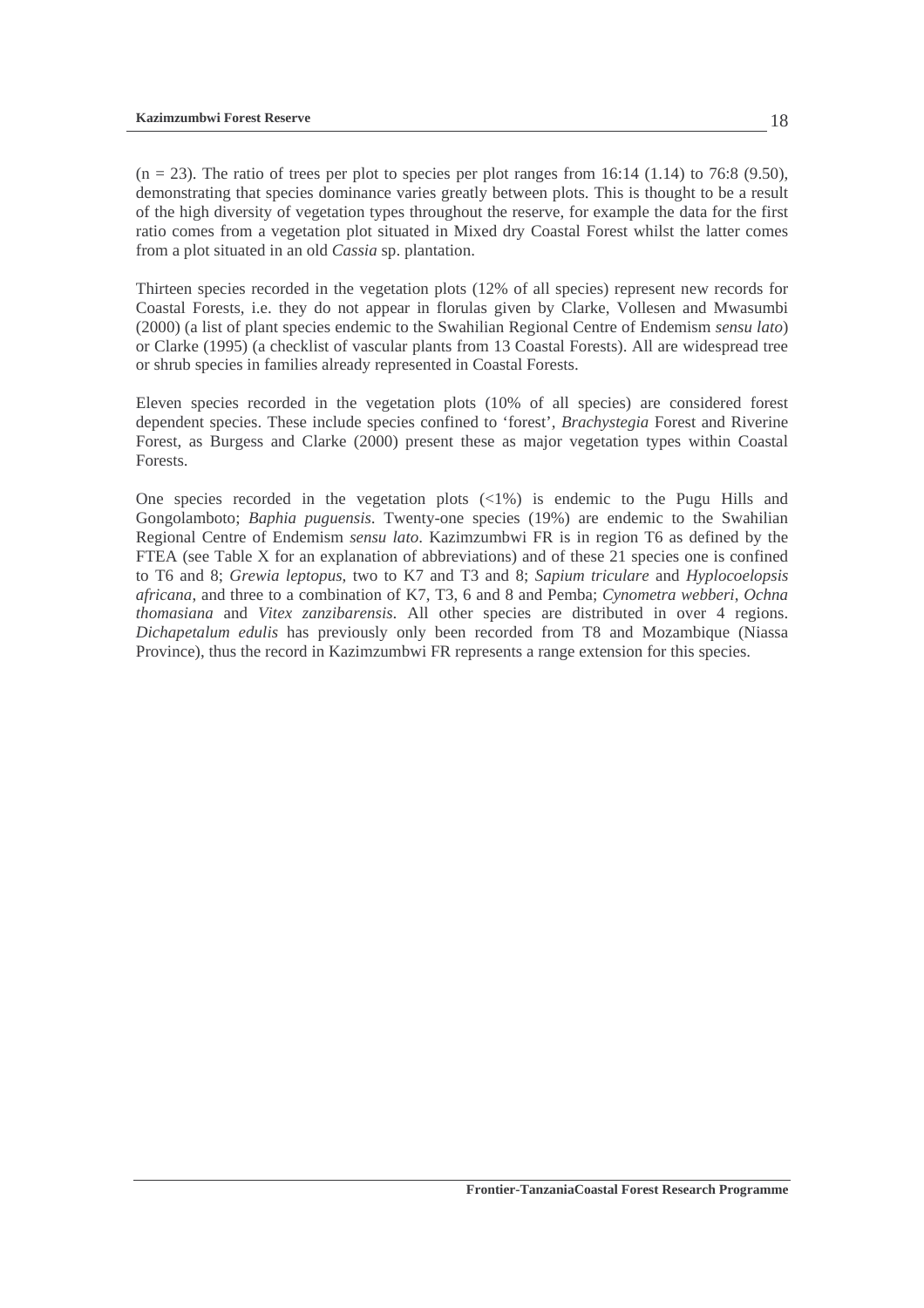$(n = 23)$ . The ratio of trees per plot to species per plot ranges from 16:14 (1.14) to 76:8 (9.50), demonstrating that species dominance varies greatly between plots. This is thought to be a result of the high diversity of vegetation types throughout the reserve, for example the data for the first ratio comes from a vegetation plot situated in Mixed dry Coastal Forest whilst the latter comes from a plot situated in an old *Cassia* sp. plantation.

Thirteen species recorded in the vegetation plots (12% of all species) represent new records for Coastal Forests, i.e. they do not appear in florulas given by Clarke, Vollesen and Mwasumbi (2000) (a list of plant species endemic to the Swahilian Regional Centre of Endemism *sensu lato*) or Clarke (1995) (a checklist of vascular plants from 13 Coastal Forests). All are widespread tree or shrub species in families already represented in Coastal Forests.

Eleven species recorded in the vegetation plots (10% of all species) are considered forest dependent species. These include species confined to 'forest', *Brachystegia* Forest and Riverine Forest, as Burgess and Clarke (2000) present these as major vegetation types within Coastal Forests.

One species recorded in the vegetation plots  $\left\langle \langle 1\% \rangle \right\rangle$  is endemic to the Pugu Hills and Gongolamboto; *Baphia puguensis*. Twenty-one species (19%) are endemic to the Swahilian Regional Centre of Endemism *sensu lato*. Kazimzumbwi FR is in region T6 as defined by the FTEA (see Table X for an explanation of abbreviations) and of these 21 species one is confined to T6 and 8; *Grewia leptopus*, two to K7 and T3 and 8; *Sapium triculare* and *Hyplocoelopsis africana*, and three to a combination of K7, T3, 6 and 8 and Pemba; *Cynometra webberi*, *Ochna thomasiana* and *Vitex zanzibarensis*. All other species are distributed in over 4 regions. *Dichapetalum edulis* has previously only been recorded from T8 and Mozambique (Niassa Province), thus the record in Kazimzumbwi FR represents a range extension for this species.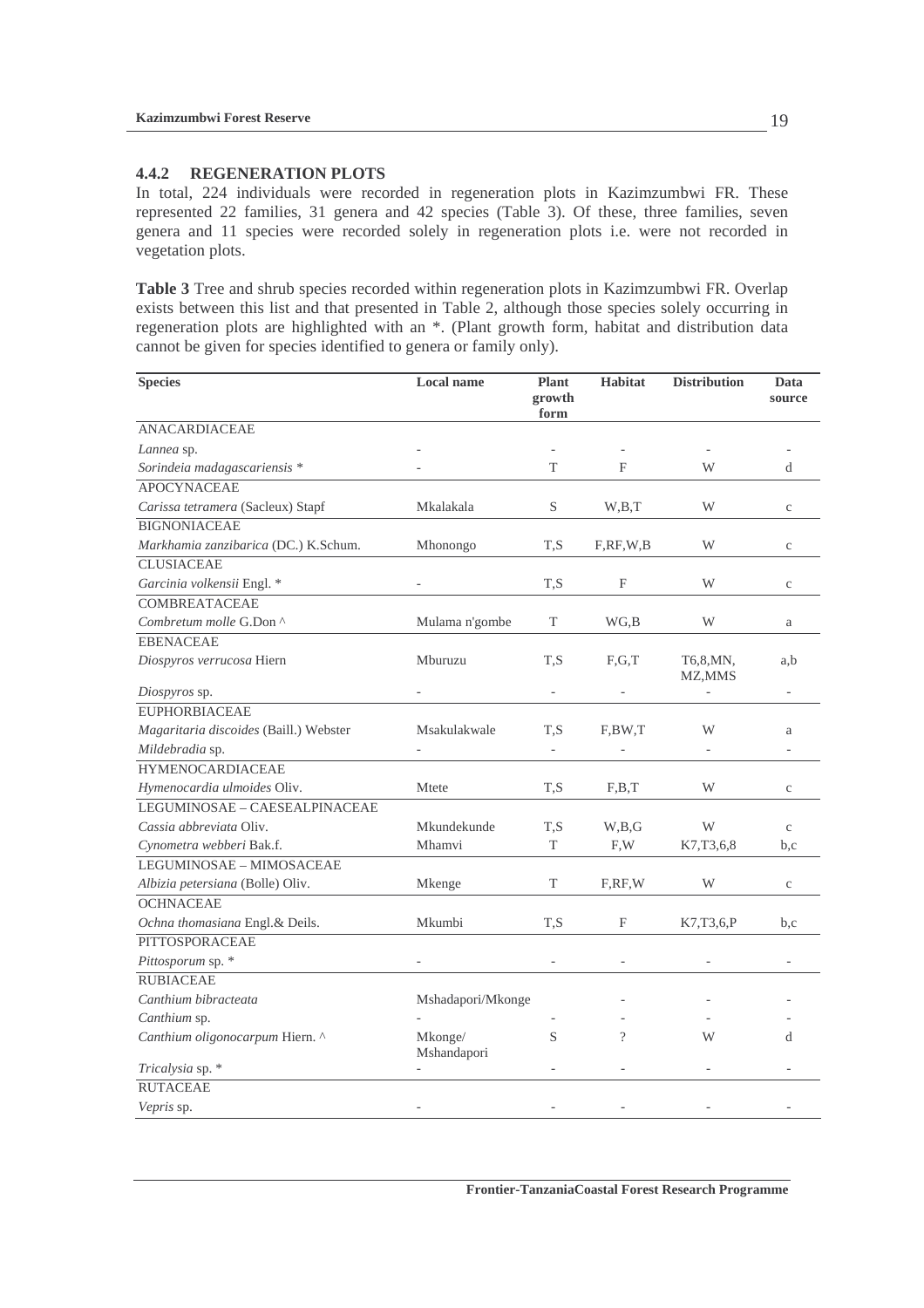#### **4.4.2 REGENERATION PLOTS**

In total, 224 individuals were recorded in regeneration plots in Kazimzumbwi FR. These represented 22 families, 31 genera and 42 species (Table 3). Of these, three families, seven genera and 11 species were recorded solely in regeneration plots i.e. were not recorded in vegetation plots.

**Table 3** Tree and shrub species recorded within regeneration plots in Kazimzumbwi FR. Overlap exists between this list and that presented in Table 2, although those species solely occurring in regeneration plots are highlighted with an \*. (Plant growth form, habitat and distribution data cannot be given for species identified to genera or family only).

| <b>Species</b>                         | <b>Local name</b>      | <b>Plant</b><br>growth<br>form | <b>Habitat</b> | <b>Distribution</b> | Data<br>source |
|----------------------------------------|------------------------|--------------------------------|----------------|---------------------|----------------|
| <b>ANACARDIACEAE</b>                   |                        |                                |                |                     |                |
| Lannea sp.                             |                        |                                |                |                     |                |
| Sorindeia madagascariensis *           |                        | T                              | F              | W                   | d              |
| <b>APOCYNACEAE</b>                     |                        |                                |                |                     |                |
| Carissa tetramera (Sacleux) Stapf      | Mkalakala              | S                              | W,B,T          | W                   | $\mathbf c$    |
| <b>BIGNONIACEAE</b>                    |                        |                                |                |                     |                |
| Markhamia zanzibarica (DC.) K.Schum.   | Mhonongo               | T,S                            | F, RF, W, B    | W                   | C              |
| <b>CLUSIACEAE</b>                      |                        |                                |                |                     |                |
| Garcinia volkensii Engl. *             |                        | T.S                            | F              | W                   | $\mathbf{C}$   |
| <b>COMBREATACEAE</b>                   |                        |                                |                |                     |                |
| Combretum molle G.Don ^                | Mulama n'gombe         | T                              | WG,B           | W                   | a              |
| <b>EBENACEAE</b>                       |                        |                                |                |                     |                |
| Diospyros verrucosa Hiern              | Mburuzu                | T,S                            | F,G,T          | T6,8,MN,<br>MZ, MMS | a,b            |
| Diospyros sp.                          |                        |                                |                |                     |                |
| <b>EUPHORBIACEAE</b>                   |                        |                                |                |                     |                |
| Magaritaria discoides (Baill.) Webster | Msakulakwale           | T.S                            | F,BW,T         | W                   | a              |
| Mildebradia sp.                        |                        | $\blacksquare$                 |                |                     |                |
| <b>HYMENOCARDIACEAE</b>                |                        |                                |                |                     |                |
| Hymenocardia ulmoides Oliv.            | Mtete                  | T,S                            | F,B,T          | W                   | $\mathbf c$    |
| LEGUMINOSAE - CAESEALPINACEAE          |                        |                                |                |                     |                |
| Cassia abbreviata Oliv.                | Mkundekunde            | T,S                            | W,B,G          | W                   | $\mathbf{C}$   |
| Cynometra webberi Bak.f.               | Mhamvi                 | T                              | F, W           | K7, T3, 6, 8        | b,c            |
| LEGUMINOSAE - MIMOSACEAE               |                        |                                |                |                     |                |
| Albizia petersiana (Bolle) Oliv.       | Mkenge                 | T                              | F,RF,W         | W                   | $\mathbf{C}$   |
| <b>OCHNACEAE</b>                       |                        |                                |                |                     |                |
| Ochna thomasiana Engl.& Deils.         | Mkumbi                 | T,S                            | F              | K7,T3,6,P           | b,c            |
| PITTOSPORACEAE                         |                        |                                |                |                     |                |
| Pittosporum sp. *                      |                        |                                |                |                     |                |
| <b>RUBIACEAE</b>                       |                        |                                |                |                     |                |
| Canthium bibracteata                   | Mshadapori/Mkonge      |                                |                |                     |                |
| Canthium sp.                           |                        |                                |                |                     |                |
| Canthium oligonocarpum Hiern. ^        | Mkonge/<br>Mshandapori | S                              | $\gamma$       | W                   | d              |
| Tricalysia sp. *                       |                        |                                |                |                     |                |
| <b>RUTACEAE</b>                        |                        |                                |                |                     |                |
| Vepris sp.                             |                        |                                |                |                     |                |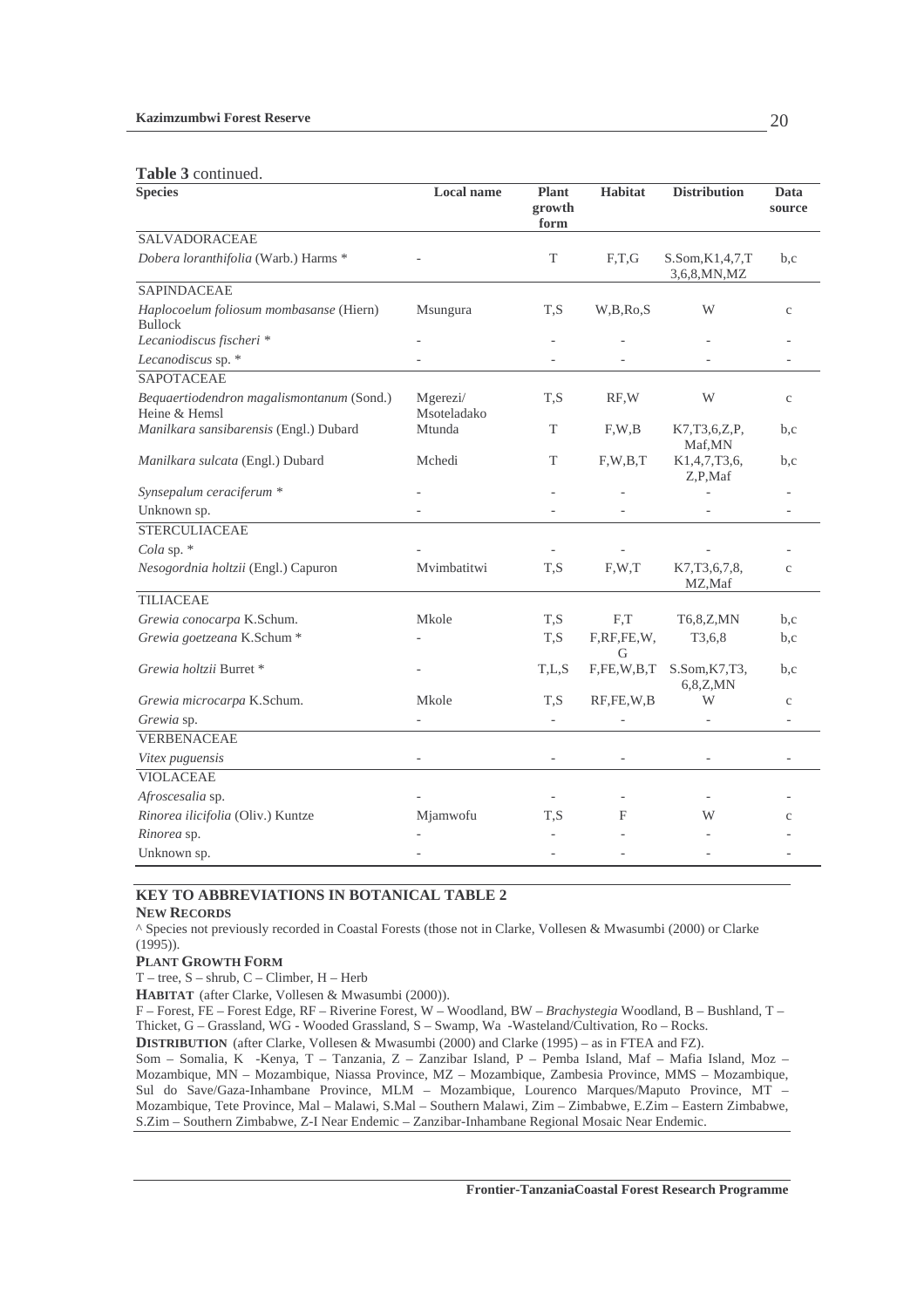#### **Table 3** continued.

| <b>LUDIU O COMMUNICO.</b><br><b>Species</b>                | <b>Local name</b>       | <b>Plant</b><br>growth<br>form | <b>Habitat</b>  | <b>Distribution</b>                 | Data<br>source |
|------------------------------------------------------------|-------------------------|--------------------------------|-----------------|-------------------------------------|----------------|
| <b>SALVADORACEAE</b>                                       |                         |                                |                 |                                     |                |
| Dobera loranthifolia (Warb.) Harms *                       |                         | T                              | F,T,G           | S.Som, K1, 4, 7, T<br>3,6,8, MN, MZ | b,c            |
| <b>SAPINDACEAE</b>                                         |                         |                                |                 |                                     |                |
| Haplocoelum foliosum mombasanse (Hiern)<br><b>Bullock</b>  | Msungura                | T,S                            | W,B,Ro,S        | W                                   | $\mathbf{C}$   |
| Lecaniodiscus fischeri *                                   |                         |                                |                 |                                     |                |
| Lecanodiscus sp. *                                         |                         |                                |                 |                                     |                |
| <b>SAPOTACEAE</b>                                          |                         |                                |                 |                                     |                |
| Bequaertiodendron magalismontanum (Sond.)<br>Heine & Hemsl | Mgerezi/<br>Msoteladako | T.S                            | RF.W            | W                                   | $\mathbf{C}$   |
| Manilkara sansibarensis (Engl.) Dubard                     | Mtunda                  | T                              | F, W, B         | K7,T3,6,Z,P,<br>Maf, MN             | b,c            |
| Manilkara sulcata (Engl.) Dubard                           | Mchedi                  | T                              | F, W, B, T      | K1,4,7,T3,6,<br>Z,P,Maf             | b.c            |
| Synsepalum ceraciferum *                                   |                         |                                |                 |                                     |                |
| Unknown sp.                                                |                         |                                |                 |                                     |                |
| <b>STERCULIACEAE</b>                                       |                         |                                |                 |                                     |                |
| Cola sp. $*$                                               |                         |                                |                 |                                     |                |
| Nesogordnia holtzii (Engl.) Capuron                        | Mvimbatitwi             | T,S                            | F.W.T           | K7, T3, 6, 7, 8,<br>MZ, Maf         | $\mathbf{C}$   |
| <b>TILIACEAE</b>                                           |                         |                                |                 |                                     |                |
| Grewia conocarpa K.Schum.                                  | Mkole                   | T,S                            | F,T             | T6,8,Z,MN                           | b,c            |
| Grewia goetzeana K.Schum *                                 |                         | T,S                            | F,RF,FE,W,<br>G | T3,6,8                              | b,c            |
| Grewia holtzii Burret *                                    |                         | T,L,S                          | F, FE, W, B, T  | S.Som, K7, T3,<br>6,8,Z,MN          | b.c            |
| Grewia microcarpa K.Schum.                                 | Mkole                   | T,S                            | RF,FE,W,B       | W                                   | $\rm{c}$       |
| Grewia sp.                                                 |                         | $\overline{\phantom{a}}$       |                 |                                     |                |
| <b>VERBENACEAE</b>                                         |                         |                                |                 |                                     |                |
| Vitex puguensis                                            |                         |                                |                 |                                     |                |
| <b>VIOLACEAE</b>                                           |                         |                                |                 |                                     |                |
| Afroscesalia sp.                                           |                         |                                |                 |                                     |                |
| Rinorea ilicifolia (Oliv.) Kuntze                          | Mjamwofu                | T.S                            | F               | W                                   | C              |
| Rinorea sp.                                                |                         |                                |                 |                                     |                |
| Unknown sp.                                                |                         |                                |                 |                                     |                |

### **KEY TO ABBREVIATIONS IN BOTANICAL TABLE 2**

### **NEW RECORDS**

^ Species not previously recorded in Coastal Forests (those not in Clarke, Vollesen & Mwasumbi (2000) or Clarke (1995)).

#### **PLANT GROWTH FORM**

T – tree, S – shrub, C – Climber, H – Herb

**HABITAT** (after Clarke, Vollesen & Mwasumbi (2000)).

F – Forest, FE – Forest Edge, RF – Riverine Forest, W – Woodland, BW – *Brachystegia* Woodland, B – Bushland, T – Thicket, G – Grassland, WG - Wooded Grassland, S – Swamp, Wa -Wasteland/Cultivation, Ro – Rocks.

**DISTRIBUTION** (after Clarke, Vollesen & Mwasumbi (2000) and Clarke (1995) – as in FTEA and FZ).

Som – Somalia, K -Kenya, T – Tanzania, Z – Zanzibar Island, P – Pemba Island, Maf – Mafia Island, Moz – Mozambique, MN – Mozambique, Niassa Province, MZ – Mozambique, Zambesia Province, MMS – Mozambique, Sul do Save/Gaza-Inhambane Province, MLM – Mozambique, Lourenco Marques/Maputo Province, MT – Mozambique, Tete Province, Mal – Malawi, S.Mal – Southern Malawi, Zim – Zimbabwe, E.Zim – Eastern Zimbabwe, S.Zim – Southern Zimbabwe, Z-I Near Endemic – Zanzibar-Inhambane Regional Mosaic Near Endemic.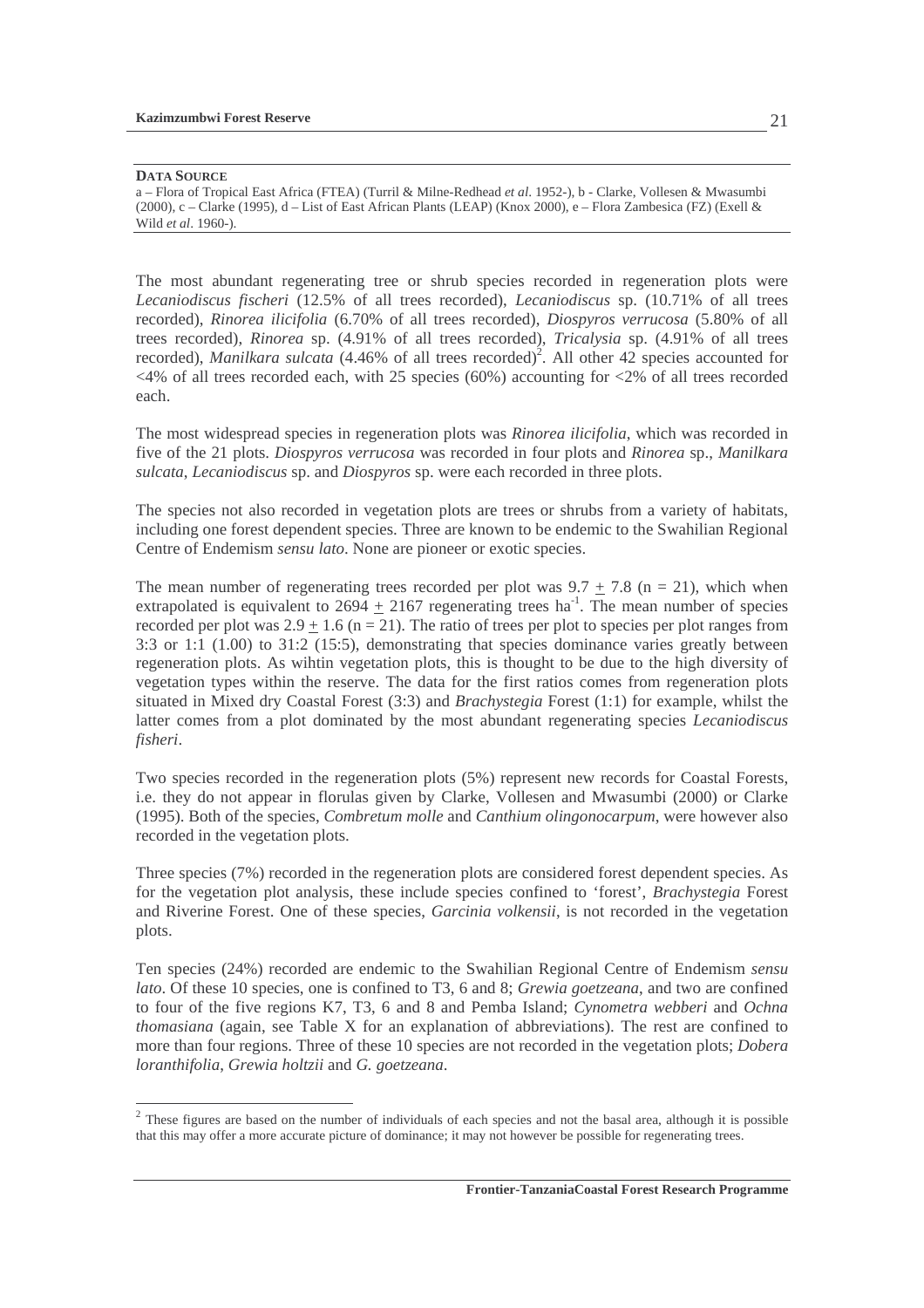#### **DATA SOURCE**

The most abundant regenerating tree or shrub species recorded in regeneration plots were *Lecaniodiscus fischeri* (12.5% of all trees recorded), *Lecaniodiscus* sp. (10.71% of all trees recorded), *Rinorea ilicifolia* (6.70% of all trees recorded), *Diospyros verrucosa* (5.80% of all trees recorded), *Rinorea* sp. (4.91% of all trees recorded), *Tricalysia* sp. (4.91% of all trees recorded), *Manilkara sulcata* (4.46% of all trees recorded)<sup>2</sup>. All other 42 species accounted for  $\langle 4\%$  of all trees recorded each, with 25 species (60%) accounting for  $\langle 2\%$  of all trees recorded each.

The most widespread species in regeneration plots was *Rinorea ilicifolia*, which was recorded in five of the 21 plots. *Diospyros verrucosa* was recorded in four plots and *Rinorea* sp., *Manilkara sulcata*, *Lecaniodiscus* sp. and *Diospyros* sp. were each recorded in three plots.

The species not also recorded in vegetation plots are trees or shrubs from a variety of habitats, including one forest dependent species. Three are known to be endemic to the Swahilian Regional Centre of Endemism *sensu lato*. None are pioneer or exotic species.

The mean number of regenerating trees recorded per plot was  $9.7 + 7.8$  (n = 21), which when extrapolated is equivalent to  $2694 + 2167$  regenerating trees ha<sup>-1</sup>. The mean number of species recorded per plot was  $2.9 + 1.6$  (n = 21). The ratio of trees per plot to species per plot ranges from 3:3 or 1:1 (1.00) to 31:2 (15:5), demonstrating that species dominance varies greatly between regeneration plots. As wihtin vegetation plots, this is thought to be due to the high diversity of vegetation types within the reserve. The data for the first ratios comes from regeneration plots situated in Mixed dry Coastal Forest (3:3) and *Brachystegia* Forest (1:1) for example, whilst the latter comes from a plot dominated by the most abundant regenerating species *Lecaniodiscus fisheri*.

Two species recorded in the regeneration plots (5%) represent new records for Coastal Forests, i.e. they do not appear in florulas given by Clarke, Vollesen and Mwasumbi (2000) or Clarke (1995). Both of the species, *Combretum molle* and *Canthium olingonocarpum*, were however also recorded in the vegetation plots.

Three species (7%) recorded in the regeneration plots are considered forest dependent species. As for the vegetation plot analysis, these include species confined to 'forest', *Brachystegia* Forest and Riverine Forest. One of these species, *Garcinia volkensii*, is not recorded in the vegetation plots.

Ten species (24%) recorded are endemic to the Swahilian Regional Centre of Endemism *sensu lato*. Of these 10 species, one is confined to T3, 6 and 8; *Grewia goetzeana*, and two are confined to four of the five regions K7, T3, 6 and 8 and Pemba Island; *Cynometra webberi* and *Ochna thomasiana* (again, see Table X for an explanation of abbreviations). The rest are confined to more than four regions. Three of these 10 species are not recorded in the vegetation plots; *Dobera loranthifolia*, *Grewia holtzii* and *G. goetzeana*.

a – Flora of Tropical East Africa (FTEA) (Turril & Milne-Redhead *et al*. 1952-), b - Clarke, Vollesen & Mwasumbi (2000), c – Clarke (1995), d – List of East African Plants (LEAP) (Knox 2000), e – Flora Zambesica (FZ) (Exell & Wild *et al*. 1960-).

<sup>&</sup>lt;sup>2</sup> These figures are based on the number of individuals of each species and not the basal area, although it is possible that this may offer a more accurate picture of dominance; it may not however be possible for regenerating trees.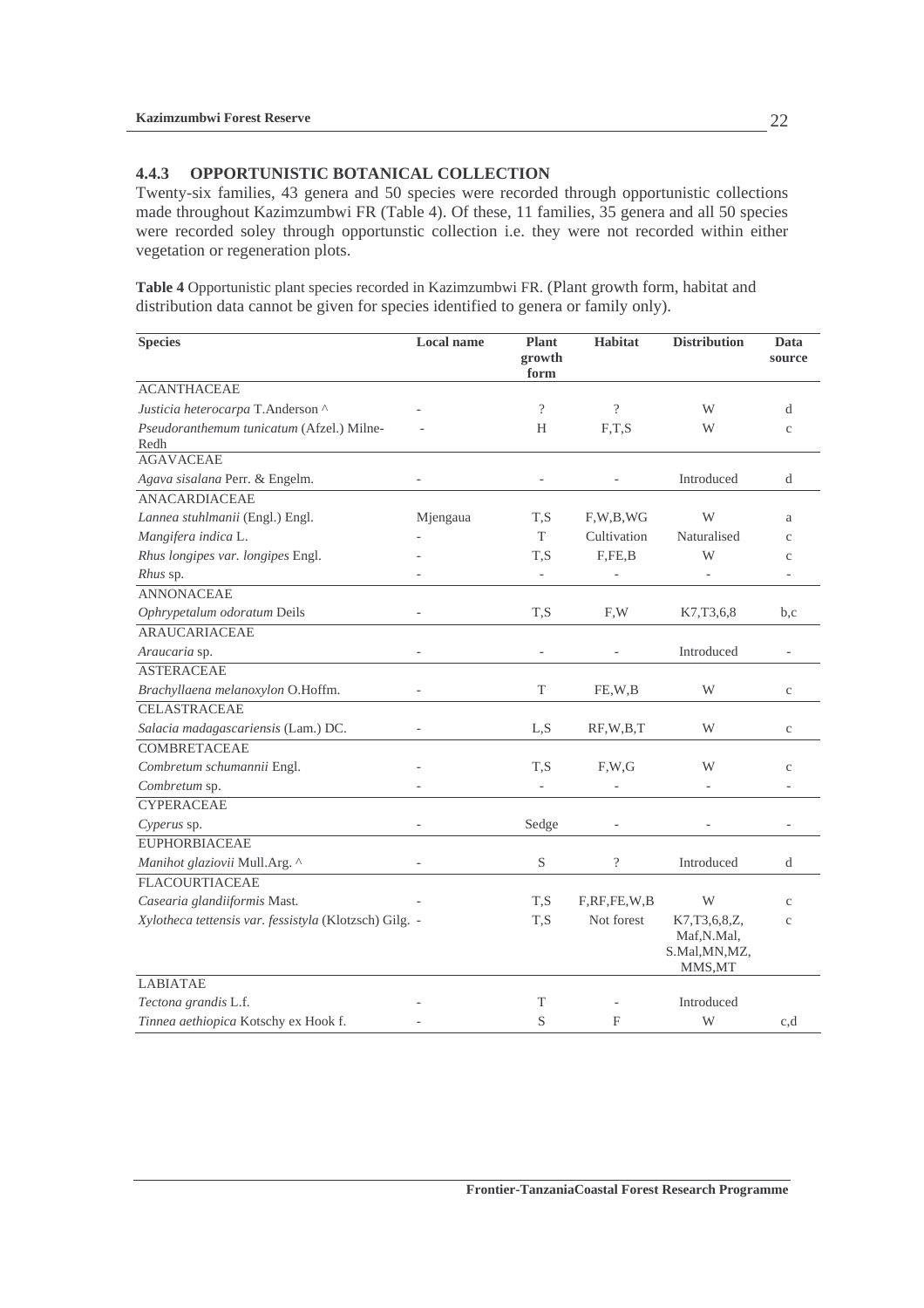#### **4.4.3 OPPORTUNISTIC BOTANICAL COLLECTION**

Twenty-six families, 43 genera and 50 species were recorded through opportunistic collections made throughout Kazimzumbwi FR (Table 4). Of these, 11 families, 35 genera and all 50 species were recorded soley through opportunstic collection i.e. they were not recorded within either vegetation or regeneration plots.

**Table 4** Opportunistic plant species recorded in Kazimzumbwi FR. (Plant growth form, habitat and distribution data cannot be given for species identified to genera or family only).

| <b>Species</b>                                         | <b>Local name</b>        | <b>Plant</b><br>growth<br>form | <b>Habitat</b> | <b>Distribution</b>                                          | Data<br>source    |
|--------------------------------------------------------|--------------------------|--------------------------------|----------------|--------------------------------------------------------------|-------------------|
| <b>ACANTHACEAE</b>                                     |                          |                                |                |                                                              |                   |
| Justicia heterocarpa T.Anderson ^                      |                          | $\overline{?}$                 | $\overline{?}$ | W                                                            | d                 |
| Pseudoranthemum tunicatum (Afzel.) Milne-<br>Redh      |                          | H                              | F,T,S          | W                                                            | $\mathbf{C}$      |
| <b>AGAVACEAE</b>                                       |                          |                                |                |                                                              |                   |
| Agava sisalana Perr. & Engelm.                         |                          |                                |                | Introduced                                                   | d                 |
| <b>ANACARDIACEAE</b>                                   |                          |                                |                |                                                              |                   |
| Lannea stuhlmanii (Engl.) Engl.                        | Mjengaua                 | T,S                            | F, W, B, WG    | W                                                            | a                 |
| Mangifera indica L.                                    |                          | T                              | Cultivation    | Naturalised                                                  | $\mathbf{c}$      |
| Rhus longipes var. longipes Engl.                      |                          | T,S                            | F, FE, B       | W                                                            | $\mathbf{c}$      |
| <i>Rhus</i> sp.                                        |                          |                                |                |                                                              |                   |
| <b>ANNONACEAE</b>                                      |                          |                                |                |                                                              |                   |
| Ophrypetalum odoratum Deils                            |                          | T,S                            | F,W            | K7,T3,6,8                                                    | b,c               |
| <b>ARAUCARIACEAE</b>                                   |                          |                                |                |                                                              |                   |
| Araucaria sp.                                          | ÷,                       | $\qquad \qquad \blacksquare$   |                | Introduced                                                   | $\qquad \qquad -$ |
| <b>ASTERACEAE</b>                                      |                          |                                |                |                                                              |                   |
| Brachyllaena melanoxylon O.Hoffm.                      | $\overline{\phantom{0}}$ | T                              | FE,W,B         | W                                                            | $\mathbf C$       |
| <b>CELASTRACEAE</b>                                    |                          |                                |                |                                                              |                   |
| Salacia madagascariensis (Lam.) DC.                    |                          | L,S                            | RF, W, B, T    | W                                                            | C                 |
| <b>COMBRETACEAE</b>                                    |                          |                                |                |                                                              |                   |
| Combretum schumannii Engl.                             |                          | T,S                            | F.W.G          | W                                                            | $\mathbf{C}$      |
| Combretum sp.                                          |                          |                                |                |                                                              |                   |
| <b>CYPERACEAE</b>                                      |                          |                                |                |                                                              |                   |
| Cyperus sp.                                            |                          | Sedge                          |                |                                                              |                   |
| <b>EUPHORBIACEAE</b>                                   |                          |                                |                |                                                              |                   |
| Manihot glaziovii Mull.Arg. ^                          |                          | S                              | $\overline{?}$ | Introduced                                                   | d                 |
| <b>FLACOURTIACEAE</b>                                  |                          |                                |                |                                                              |                   |
| Casearia glandiiformis Mast.                           |                          | T,S                            | F,RF,FE,W,B    | W                                                            | $\mathbf{C}$      |
| Xylotheca tettensis var. fessistyla (Klotzsch) Gilg. - |                          | T,S                            | Not forest     | K7, T3, 6, 8, Z,<br>Maf, N.Mal,<br>S.Mal, MN, MZ,<br>MMS, MT | $\mathbf{C}$      |
| <b>LABIATAE</b>                                        |                          |                                |                |                                                              |                   |
| Tectona grandis L.f.                                   |                          | T                              |                | Introduced                                                   |                   |
| Tinnea aethiopica Kotschy ex Hook f.                   |                          | S                              | F              | W                                                            | c,d               |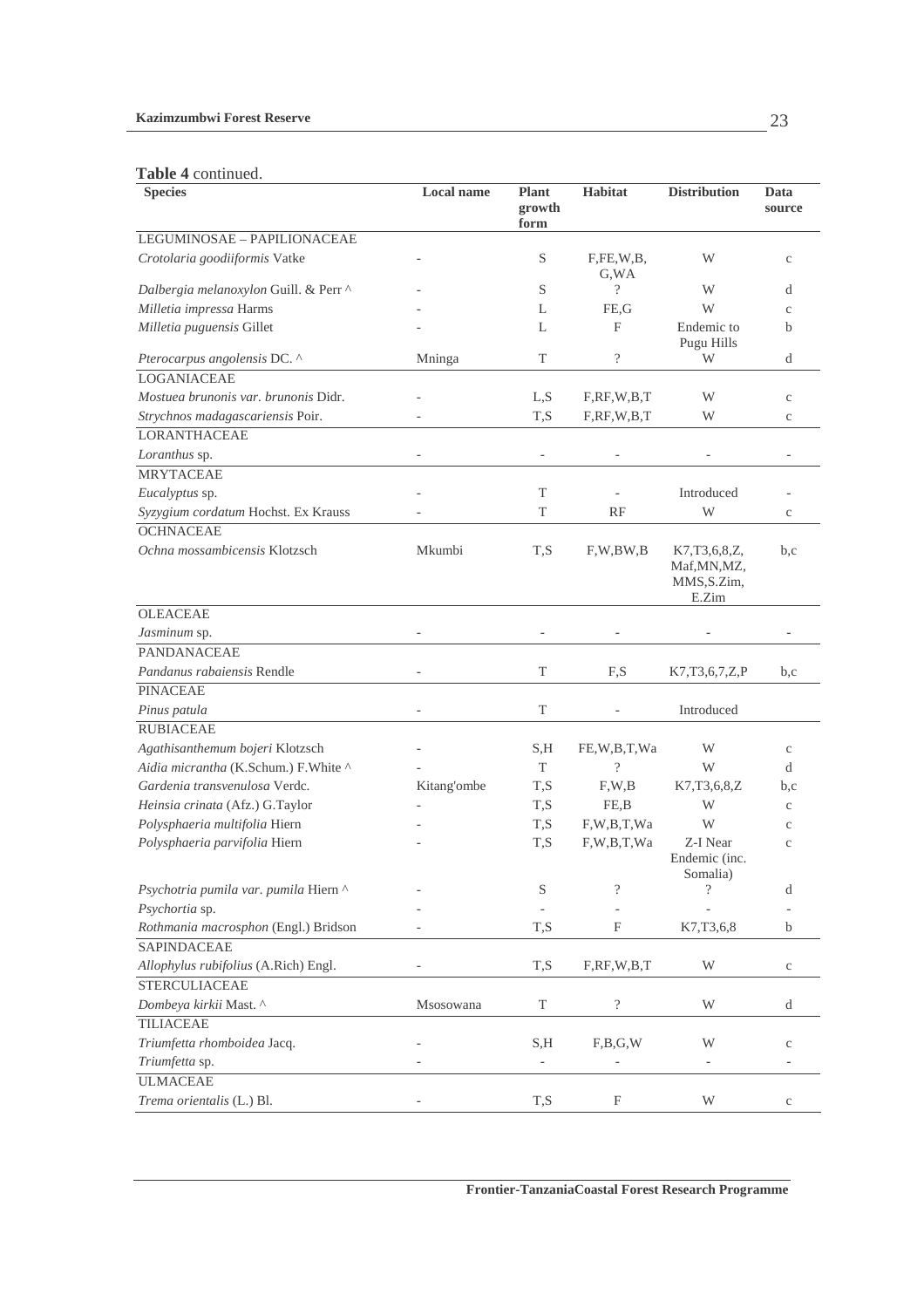#### **Kazimzumbwi Forest Reserve**

#### **Table 4** continued.

| <b>Tanic 4 community</b><br><b>Species</b> | <b>Local name</b>        | <b>Plant</b><br>growth | <b>Habitat</b>            | <b>Distribution</b>                                      | Data<br>source |
|--------------------------------------------|--------------------------|------------------------|---------------------------|----------------------------------------------------------|----------------|
| LEGUMINOSAE - PAPILIONACEAE                |                          | form                   |                           |                                                          |                |
| Crotolaria goodiiformis Vatke              |                          | S                      | F,FE,W,B,<br>G, WA        | W                                                        | $\rm{c}$       |
| Dalbergia melanoxylon Guill. & Perr ^      |                          | S                      | $\overline{\mathcal{L}}$  | W                                                        | d              |
| Milletia impressa Harms                    |                          | L                      | FE,G                      | W                                                        | $\mathbf{C}$   |
| Milletia puguensis Gillet                  |                          | L                      | F                         | Endemic to<br>Pugu Hills                                 | b              |
| Pterocarpus angolensis DC. ^               | Mninga                   | T                      | $\overline{\mathcal{C}}$  | W                                                        | d              |
| <b>LOGANIACEAE</b>                         |                          |                        |                           |                                                          |                |
| Mostuea brunonis var. brunonis Didr.       |                          | L,S                    | F, RF, W, B, T            | W                                                        | $\mathbf C$    |
| Strychnos madagascariensis Poir.           |                          | T,S                    | F, RF, W, B, T            | W                                                        | $\mathbf{C}$   |
| <b>LORANTHACEAE</b>                        |                          |                        |                           |                                                          |                |
| Loranthus sp.                              | $\overline{\phantom{a}}$ |                        |                           |                                                          |                |
| <b>MRYTACEAE</b>                           |                          |                        |                           |                                                          |                |
| Eucalyptus sp.                             |                          | T                      |                           | Introduced                                               |                |
| Syzygium cordatum Hochst. Ex Krauss        |                          | T                      | RF                        | W                                                        | $\rm{c}$       |
| <b>OCHNACEAE</b>                           |                          |                        |                           |                                                          |                |
| Ochna mossambicensis Klotzsch              | Mkumbi                   | T,S                    | F, W, BW, B               | K7, T3, 6, 8, Z,<br>Maf, MN, MZ,<br>MMS, S.Zim,<br>E.Zim | b,c            |
| <b>OLEACEAE</b>                            |                          |                        |                           |                                                          |                |
| Jasminum sp.                               |                          |                        |                           |                                                          |                |
| <b>PANDANACEAE</b>                         |                          |                        |                           |                                                          |                |
| Pandanus rabaiensis Rendle                 |                          | T                      | F,S                       | K7, T3, 6, 7, Z, P                                       | b,c            |
| <b>PINACEAE</b>                            |                          |                        |                           |                                                          |                |
| Pinus patula                               |                          | T                      |                           | Introduced                                               |                |
| <b>RUBIACEAE</b>                           |                          |                        |                           |                                                          |                |
| Agathisanthemum bojeri Klotzsch            |                          | S,H                    | FE,W,B,T,Wa               | W                                                        | $\mathbf{C}$   |
| Aidia micrantha (K.Schum.) F.White ^       |                          | T                      | $\overline{\mathcal{L}}$  | W                                                        | d              |
| Gardenia transvenulosa Verdc.              | Kitang'ombe              | T,S                    | F, W, B                   | K7,T3,6,8,Z                                              | b,c            |
| Heinsia crinata (Afz.) G.Taylor            |                          | T, S                   | FE,B                      | W                                                        | $\rm _c$       |
| Polysphaeria multifolia Hiern              |                          | T, S                   | F,W,B,T,Wa                | W                                                        | $\mathbf{C}$   |
| Polysphaeria parvifolia Hiern              |                          | T,S                    | F,W,B,T,Wa                | Z-I Near<br>Endemic (inc.<br>Somalia)                    | $\mathbf{C}$   |
| Psychotria pumila var. pumila Hiern ^      |                          | S                      | $\overline{\mathcal{C}}$  | $\overline{\cdot}$                                       | d              |
| Psychortia sp.                             |                          |                        |                           |                                                          |                |
| Rothmania macrosphon (Engl.) Bridson       |                          | T,S                    | F                         | K7,T3,6,8                                                | b              |
| <b>SAPINDACEAE</b>                         |                          |                        |                           |                                                          |                |
| Allophylus rubifolius (A.Rich) Engl.       |                          | T,S                    | F, RF, W, B, T            | W                                                        | $\rm{c}$       |
| <b>STERCULIACEAE</b>                       |                          |                        |                           |                                                          |                |
| Dombeya kirkii Mast. ^                     | Msosowana                | $\mathbf T$            | $\overline{\mathcal{L}}$  | W                                                        | d              |
| <b>TILIACEAE</b>                           |                          |                        |                           |                                                          |                |
| Triumfetta rhomboidea Jacq.                |                          | S,H                    | F,B,G,W                   | W                                                        | $\rm{c}$       |
| Triumfetta sp.                             |                          |                        |                           |                                                          |                |
| <b>ULMACEAE</b>                            |                          |                        |                           |                                                          |                |
| Trema orientalis (L.) Bl.                  |                          | T,S                    | $\boldsymbol{\mathrm{F}}$ | W                                                        | $\mathbf C$    |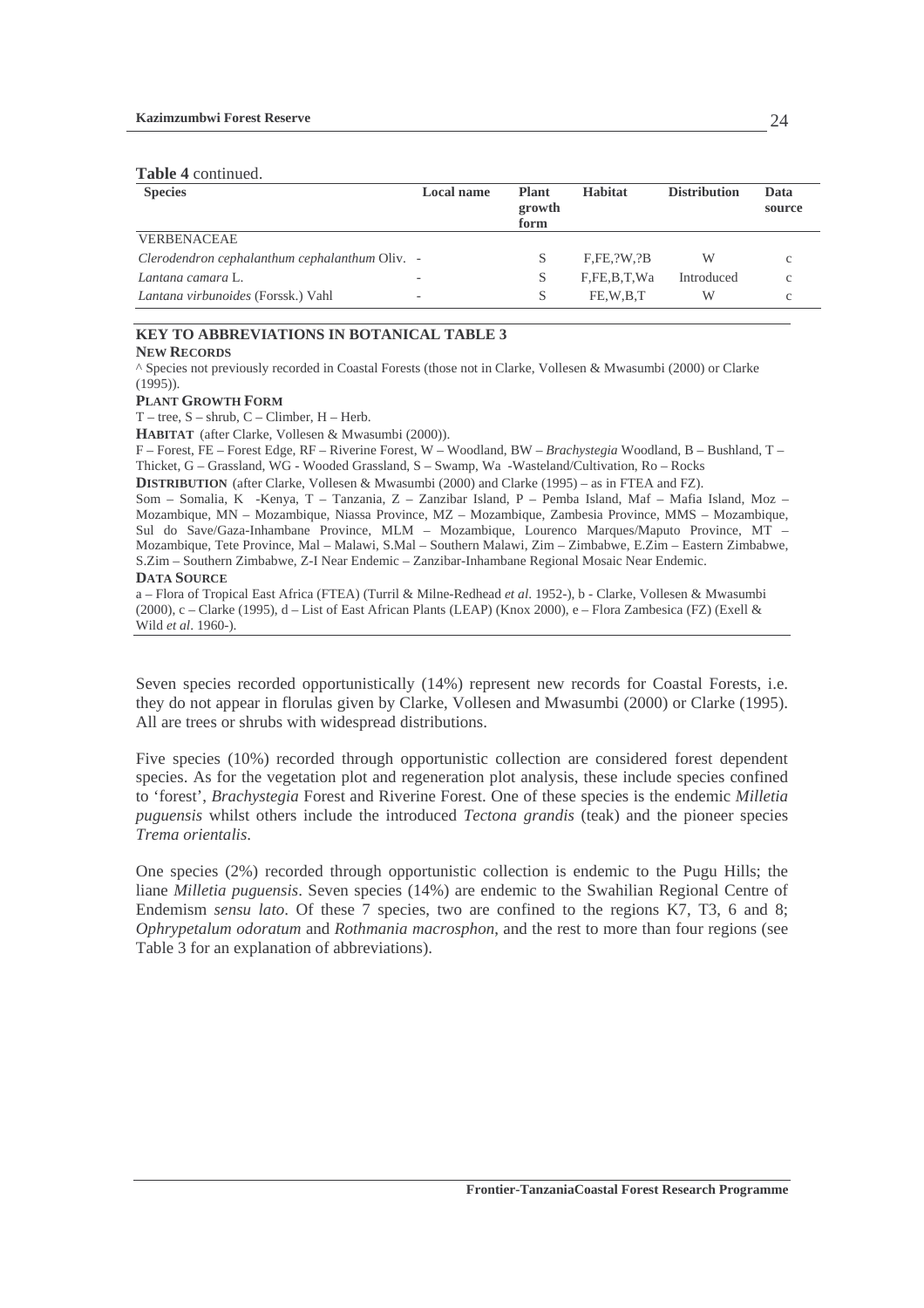#### **Table 4** continued.

| <b>Species</b>                                 | <b>Local name</b> | <b>Plant</b><br>growth<br>form | <b>Habitat</b> | <b>Distribution</b> | Data<br>source |
|------------------------------------------------|-------------------|--------------------------------|----------------|---------------------|----------------|
| <b>VERBENACEAE</b>                             |                   |                                |                |                     |                |
| Clerodendron cephalanthum cephalanthum Oliv. - |                   | S                              | F.FE. ?W. ?B   | W                   |                |
| Lantana camara L.                              |                   | S                              | F,FE,B,T,Wa    | Introduced          | c              |
| Lantana virbunoides (Forssk.) Vahl             | -                 | S                              | FE.W.B.T       | W                   | c              |

### **KEY TO ABBREVIATIONS IN BOTANICAL TABLE 3**

#### **NEW RECORDS**

^ Species not previously recorded in Coastal Forests (those not in Clarke, Vollesen & Mwasumbi (2000) or Clarke  $(1995)$ ).

#### **PLANT GROWTH FORM**

T – tree, S – shrub, C – Climber, H – Herb.

**HABITAT** (after Clarke, Vollesen & Mwasumbi (2000)).

F – Forest, FE – Forest Edge, RF – Riverine Forest, W – Woodland, BW – *Brachystegia* Woodland, B – Bushland, T – Thicket, G – Grassland, WG - Wooded Grassland, S – Swamp, Wa -Wasteland/Cultivation, Ro – Rocks

**DISTRIBUTION** (after Clarke, Vollesen & Mwasumbi (2000) and Clarke (1995) – as in FTEA and FZ).

Som – Somalia, K -Kenya, T – Tanzania, Z – Zanzibar Island, P – Pemba Island, Maf – Mafia Island, Moz – Mozambique, MN – Mozambique, Niassa Province, MZ – Mozambique, Zambesia Province, MMS – Mozambique, Sul do Save/Gaza-Inhambane Province, MLM – Mozambique, Lourenco Marques/Maputo Province, MT – Mozambique, Tete Province, Mal – Malawi, S.Mal – Southern Malawi, Zim – Zimbabwe, E.Zim – Eastern Zimbabwe, S.Zim – Southern Zimbabwe, Z-I Near Endemic – Zanzibar-Inhambane Regional Mosaic Near Endemic. **DATA SOURCE**

a – Flora of Tropical East Africa (FTEA) (Turril & Milne-Redhead *et al*. 1952-), b - Clarke, Vollesen & Mwasumbi (2000), c – Clarke (1995), d – List of East African Plants (LEAP) (Knox 2000), e – Flora Zambesica (FZ) (Exell & Wild *et al*. 1960-).

Seven species recorded opportunistically (14%) represent new records for Coastal Forests, i.e. they do not appear in florulas given by Clarke, Vollesen and Mwasumbi (2000) or Clarke (1995). All are trees or shrubs with widespread distributions.

Five species (10%) recorded through opportunistic collection are considered forest dependent species. As for the vegetation plot and regeneration plot analysis, these include species confined to 'forest', *Brachystegia* Forest and Riverine Forest. One of these species is the endemic *Milletia puguensis* whilst others include the introduced *Tectona grandis* (teak) and the pioneer species *Trema orientalis*.

One species (2%) recorded through opportunistic collection is endemic to the Pugu Hills; the liane *Milletia puguensis*. Seven species (14%) are endemic to the Swahilian Regional Centre of Endemism *sensu lato*. Of these 7 species, two are confined to the regions K7, T3, 6 and 8; *Ophrypetalum odoratum* and *Rothmania macrosphon*, and the rest to more than four regions (see Table 3 for an explanation of abbreviations).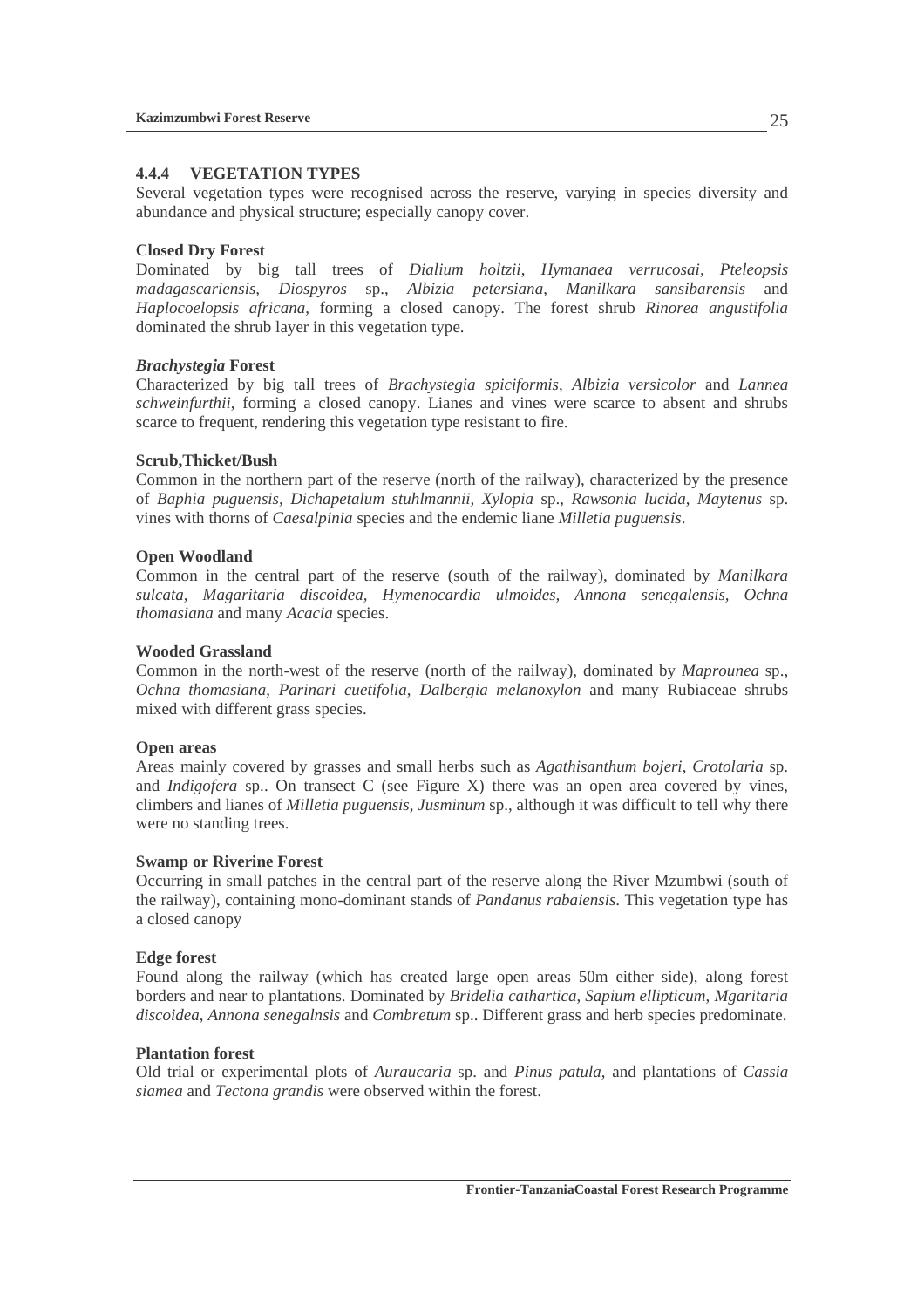### **4.4.4 VEGETATION TYPES**

Several vegetation types were recognised across the reserve, varying in species diversity and abundance and physical structure; especially canopy cover.

### **Closed Dry Forest**

Dominated by big tall trees of *Dialium holtzii*, *Hymanaea verrucosai, Pteleopsis madagascariensis, Diospyros* sp., *Albizia petersiana*, *Manilkara sansibarensis* and *Haplocoelopsis africana*, forming a closed canopy. The forest shrub *Rinorea angustifolia* dominated the shrub layer in this vegetation type.

### *Brachystegia* **Forest**

Characterized by big tall trees of *Brachystegia spiciformis*, *Albizia versicolor* and *Lannea schweinfurthii*, forming a closed canopy. Lianes and vines were scarce to absent and shrubs scarce to frequent, rendering this vegetation type resistant to fire.

### **Scrub,Thicket/Bush**

Common in the northern part of the reserve (north of the railway), characterized by the presence of *Baphia puguensis, Dichapetalum stuhlmannii, Xylopia* sp., *Rawsonia lucida*, *Maytenus* sp. vines with thorns of *Caesalpinia* species and the endemic liane *Milletia puguensis*.

### **Open Woodland**

Common in the central part of the reserve (south of the railway), dominated by *Manilkara sulcata*, *Magaritaria discoidea, Hymenocardia ulmoides, Annona senegalensis, Ochna thomasiana* and many *Acacia* species.

### **Wooded Grassland**

Common in the north-west of the reserve (north of the railway), dominated by *Maprounea* sp., *Ochna thomasiana*, *Parinari cuetifolia*, *Dalbergia melanoxylon* and many Rubiaceae shrubs mixed with different grass species.

### **Open areas**

Areas mainly covered by grasses and small herbs such as *Agathisanthum bojeri*, *Crotolaria* sp. and *Indigofera* sp.. On transect C (see Figure X) there was an open area covered by vines, climbers and lianes of *Milletia puguensis*, *Jusminum* sp., although it was difficult to tell why there were no standing trees.

### **Swamp or Riverine Forest**

Occurring in small patches in the central part of the reserve along the River Mzumbwi (south of the railway), containing mono-dominant stands of *Pandanus rabaiensis*. This vegetation type has a closed canopy

### **Edge forest**

Found along the railway (which has created large open areas 50m either side), along forest borders and near to plantations. Dominated by *Bridelia cathartica*, *Sapium ellipticum*, *Mgaritaria discoidea*, *Annona senegalnsis* and *Combretum* sp.. Different grass and herb species predominate.

### **Plantation forest**

Old trial or experimental plots of *Auraucaria* sp. and *Pinus patula*, and plantations of *Cassia siamea* and *Tectona grandis* were observed within the forest.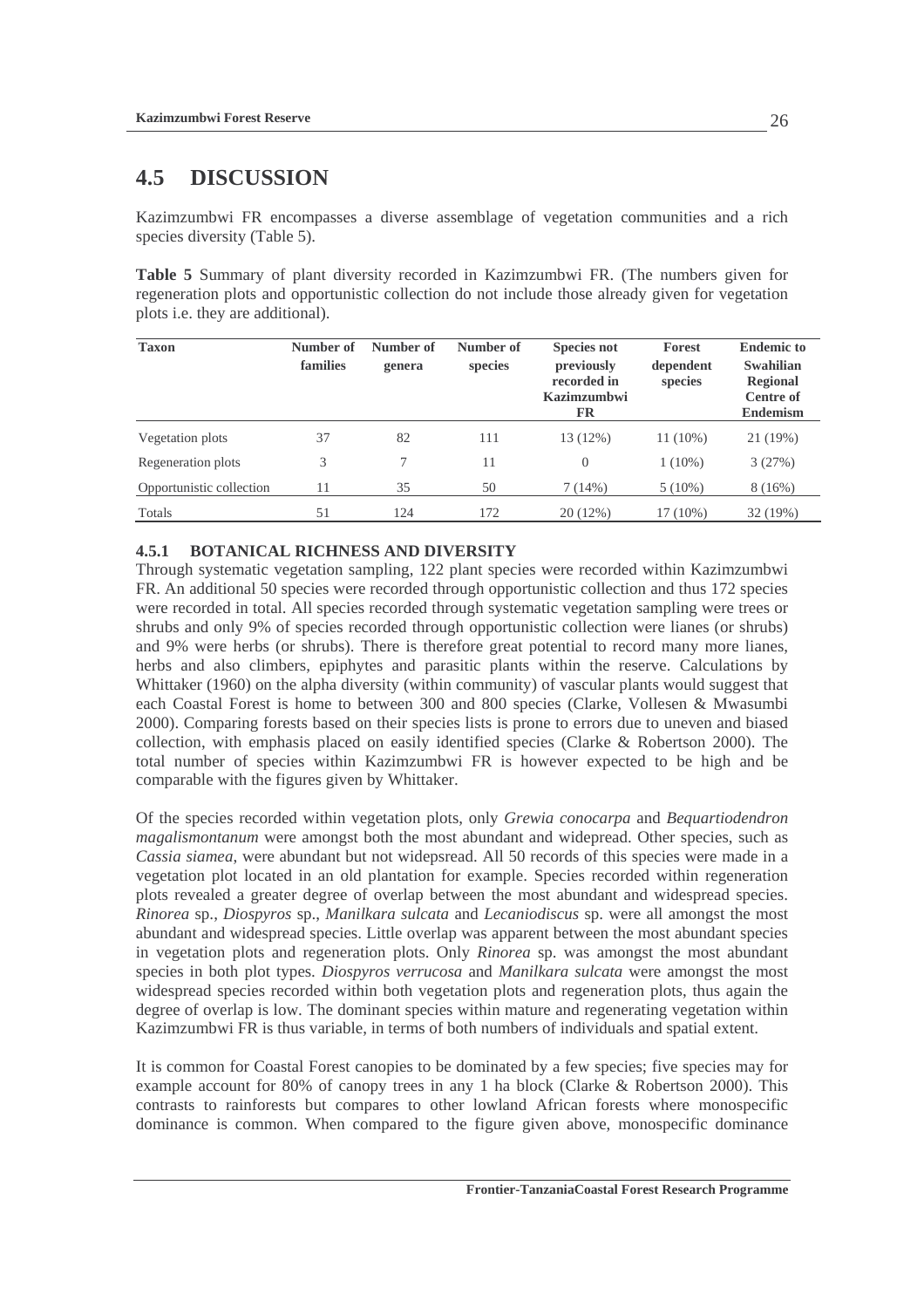# **4.5 DISCUSSION**

Kazimzumbwi FR encompasses a diverse assemblage of vegetation communities and a rich species diversity (Table 5).

**Table 5** Summary of plant diversity recorded in Kazimzumbwi FR. (The numbers given for regeneration plots and opportunistic collection do not include those already given for vegetation plots i.e. they are additional).

| <b>Taxon</b>             | Number of<br>families | Number of<br>genera | Number of<br>species | <b>Species not</b><br>previously<br>recorded in<br><b>Kazimzumbwi</b><br>FR | Forest<br>dependent<br>species | <b>Endemic to</b><br><b>Swahilian</b><br><b>Regional</b><br><b>Centre of</b><br><b>Endemism</b> |
|--------------------------|-----------------------|---------------------|----------------------|-----------------------------------------------------------------------------|--------------------------------|-------------------------------------------------------------------------------------------------|
| Vegetation plots         | 37                    | 82                  | 111                  | 13 (12%)                                                                    | $11(10\%)$                     | 21 (19%)                                                                                        |
| Regeneration plots       | 3                     | $\tau$              | 11                   | $\overline{0}$                                                              | $1(10\%)$                      | 3(27%)                                                                                          |
| Opportunistic collection | 11                    | 35                  | 50                   | 7(14%)                                                                      | $5(10\%)$                      | 8(16%)                                                                                          |
| Totals                   | 51                    | 124                 | 172                  | 20(12%)                                                                     | 17 (10%)                       | 32 (19%)                                                                                        |

### **4.5.1 BOTANICAL RICHNESS AND DIVERSITY**

Through systematic vegetation sampling, 122 plant species were recorded within Kazimzumbwi FR. An additional 50 species were recorded through opportunistic collection and thus 172 species were recorded in total. All species recorded through systematic vegetation sampling were trees or shrubs and only 9% of species recorded through opportunistic collection were lianes (or shrubs) and 9% were herbs (or shrubs). There is therefore great potential to record many more lianes, herbs and also climbers, epiphytes and parasitic plants within the reserve. Calculations by Whittaker (1960) on the alpha diversity (within community) of vascular plants would suggest that each Coastal Forest is home to between 300 and 800 species (Clarke, Vollesen & Mwasumbi 2000). Comparing forests based on their species lists is prone to errors due to uneven and biased collection, with emphasis placed on easily identified species (Clarke & Robertson 2000). The total number of species within Kazimzumbwi FR is however expected to be high and be comparable with the figures given by Whittaker.

Of the species recorded within vegetation plots, only *Grewia conocarpa* and *Bequartiodendron magalismontanum* were amongst both the most abundant and widepread. Other species, such as *Cassia siamea*, were abundant but not widepsread. All 50 records of this species were made in a vegetation plot located in an old plantation for example. Species recorded within regeneration plots revealed a greater degree of overlap between the most abundant and widespread species. *Rinorea* sp., *Diospyros* sp., *Manilkara sulcata* and *Lecaniodiscus* sp. were all amongst the most abundant and widespread species. Little overlap was apparent between the most abundant species in vegetation plots and regeneration plots. Only *Rinorea* sp. was amongst the most abundant species in both plot types. *Diospyros verrucosa* and *Manilkara sulcata* were amongst the most widespread species recorded within both vegetation plots and regeneration plots, thus again the degree of overlap is low. The dominant species within mature and regenerating vegetation within Kazimzumbwi FR is thus variable, in terms of both numbers of individuals and spatial extent.

It is common for Coastal Forest canopies to be dominated by a few species; five species may for example account for 80% of canopy trees in any 1 ha block (Clarke & Robertson 2000). This contrasts to rainforests but compares to other lowland African forests where monospecific dominance is common. When compared to the figure given above, monospecific dominance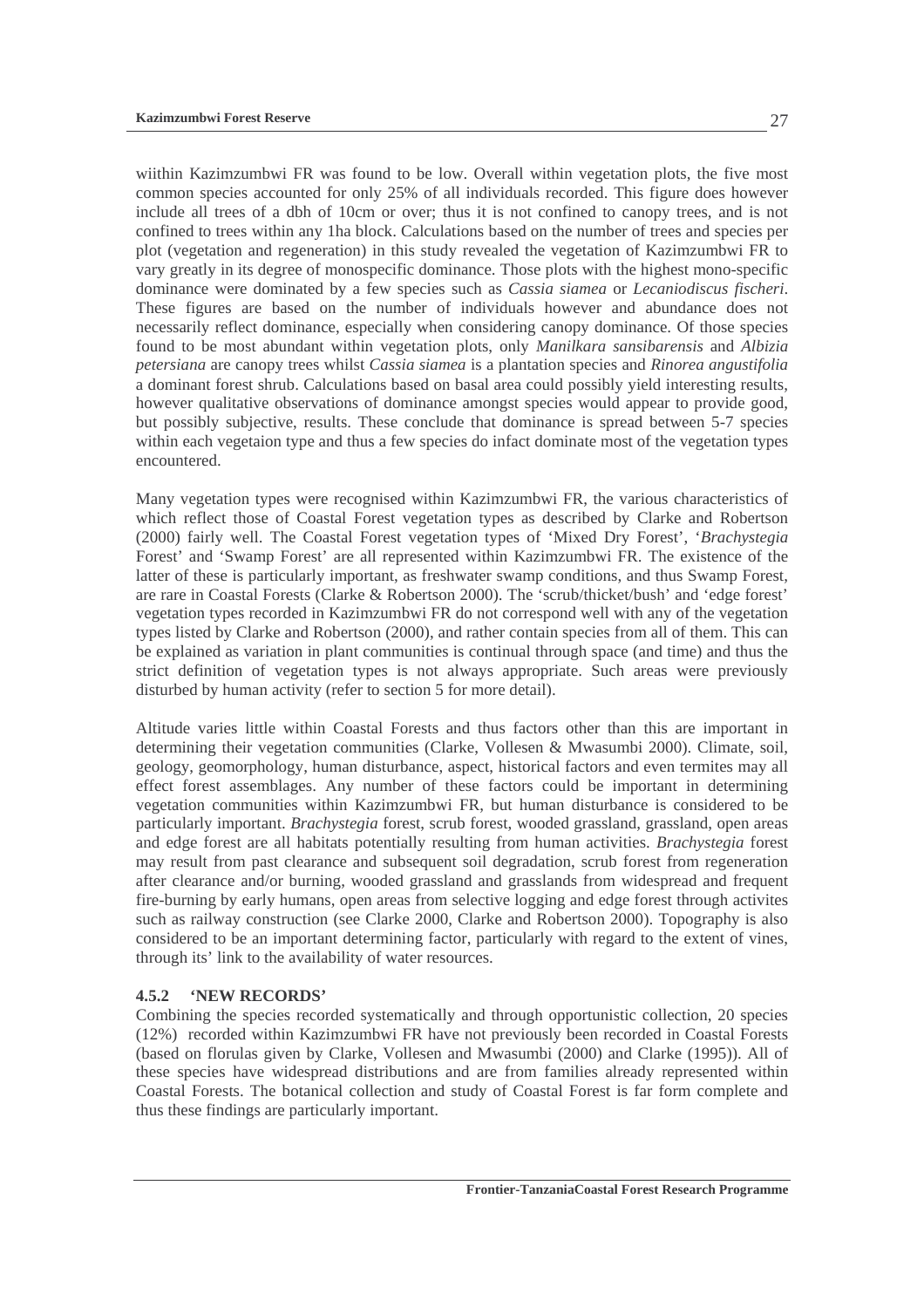wiithin Kazimzumbwi FR was found to be low. Overall within vegetation plots, the five most common species accounted for only 25% of all individuals recorded. This figure does however include all trees of a dbh of 10cm or over; thus it is not confined to canopy trees, and is not confined to trees within any 1ha block. Calculations based on the number of trees and species per plot (vegetation and regeneration) in this study revealed the vegetation of Kazimzumbwi FR to vary greatly in its degree of monospecific dominance. Those plots with the highest mono-specific dominance were dominated by a few species such as *Cassia siamea* or *Lecaniodiscus fischeri*. These figures are based on the number of individuals however and abundance does not necessarily reflect dominance, especially when considering canopy dominance. Of those species found to be most abundant within vegetation plots, only *Manilkara sansibarensis* and *Albizia petersiana* are canopy trees whilst *Cassia siamea* is a plantation species and *Rinorea angustifolia* a dominant forest shrub. Calculations based on basal area could possibly yield interesting results, however qualitative observations of dominance amongst species would appear to provide good, but possibly subjective, results. These conclude that dominance is spread between 5-7 species within each vegetaion type and thus a few species do infact dominate most of the vegetation types encountered.

Many vegetation types were recognised within Kazimzumbwi FR, the various characteristics of which reflect those of Coastal Forest vegetation types as described by Clarke and Robertson (2000) fairly well. The Coastal Forest vegetation types of 'Mixed Dry Forest', '*Brachystegia* Forest' and 'Swamp Forest' are all represented within Kazimzumbwi FR. The existence of the latter of these is particularly important, as freshwater swamp conditions, and thus Swamp Forest, are rare in Coastal Forests (Clarke & Robertson 2000). The 'scrub/thicket/bush' and 'edge forest' vegetation types recorded in Kazimzumbwi FR do not correspond well with any of the vegetation types listed by Clarke and Robertson (2000), and rather contain species from all of them. This can be explained as variation in plant communities is continual through space (and time) and thus the strict definition of vegetation types is not always appropriate. Such areas were previously disturbed by human activity (refer to section 5 for more detail).

Altitude varies little within Coastal Forests and thus factors other than this are important in determining their vegetation communities (Clarke, Vollesen & Mwasumbi 2000). Climate, soil, geology, geomorphology, human disturbance, aspect, historical factors and even termites may all effect forest assemblages. Any number of these factors could be important in determining vegetation communities within Kazimzumbwi FR, but human disturbance is considered to be particularly important. *Brachystegia* forest, scrub forest, wooded grassland, grassland, open areas and edge forest are all habitats potentially resulting from human activities. *Brachystegia* forest may result from past clearance and subsequent soil degradation, scrub forest from regeneration after clearance and/or burning, wooded grassland and grasslands from widespread and frequent fire-burning by early humans, open areas from selective logging and edge forest through activites such as railway construction (see Clarke 2000, Clarke and Robertson 2000). Topography is also considered to be an important determining factor, particularly with regard to the extent of vines, through its' link to the availability of water resources.

### **4.5.2 'NEW RECORDS'**

Combining the species recorded systematically and through opportunistic collection, 20 species (12%) recorded within Kazimzumbwi FR have not previously been recorded in Coastal Forests (based on florulas given by Clarke, Vollesen and Mwasumbi (2000) and Clarke (1995)). All of these species have widespread distributions and are from families already represented within Coastal Forests. The botanical collection and study of Coastal Forest is far form complete and thus these findings are particularly important.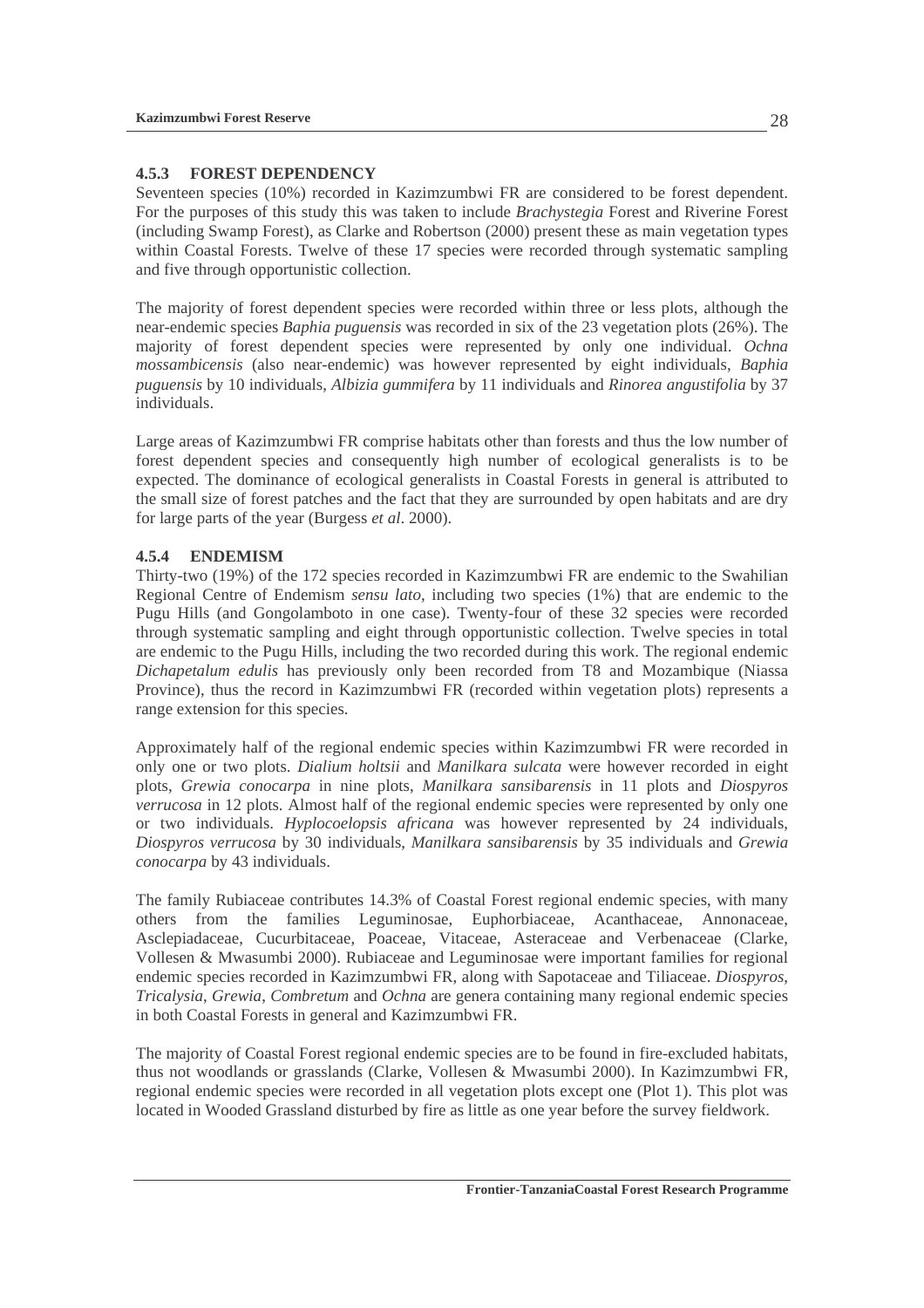### **4.5.3 FOREST DEPENDENCY**

Seventeen species (10%) recorded in Kazimzumbwi FR are considered to be forest dependent. For the purposes of this study this was taken to include *Brachystegia* Forest and Riverine Forest (including Swamp Forest), as Clarke and Robertson (2000) present these as main vegetation types within Coastal Forests. Twelve of these 17 species were recorded through systematic sampling and five through opportunistic collection.

The majority of forest dependent species were recorded within three or less plots, although the near-endemic species *Baphia puguensis* was recorded in six of the 23 vegetation plots (26%). The majority of forest dependent species were represented by only one individual. *Ochna mossambicensis* (also near-endemic) was however represented by eight individuals, *Baphia puguensis* by 10 individuals, *Albizia gummifera* by 11 individuals and *Rinorea angustifolia* by 37 individuals.

Large areas of Kazimzumbwi FR comprise habitats other than forests and thus the low number of forest dependent species and consequently high number of ecological generalists is to be expected. The dominance of ecological generalists in Coastal Forests in general is attributed to the small size of forest patches and the fact that they are surrounded by open habitats and are dry for large parts of the year (Burgess *et al*. 2000).

## **4.5.4 ENDEMISM**

Thirty-two (19%) of the 172 species recorded in Kazimzumbwi FR are endemic to the Swahilian Regional Centre of Endemism *sensu lato*, including two species (1%) that are endemic to the Pugu Hills (and Gongolamboto in one case). Twenty-four of these 32 species were recorded through systematic sampling and eight through opportunistic collection. Twelve species in total are endemic to the Pugu Hills, including the two recorded during this work. The regional endemic *Dichapetalum edulis* has previously only been recorded from T8 and Mozambique (Niassa Province), thus the record in Kazimzumbwi FR (recorded within vegetation plots) represents a range extension for this species.

Approximately half of the regional endemic species within Kazimzumbwi FR were recorded in only one or two plots. *Dialium holtsii* and *Manilkara sulcata* were however recorded in eight plots, *Grewia conocarpa* in nine plots, *Manilkara sansibarensis* in 11 plots and *Diospyros verrucosa* in 12 plots. Almost half of the regional endemic species were represented by only one or two individuals. *Hyplocoelopsis africana* was however represented by 24 individuals, *Diospyros verrucosa* by 30 individuals, *Manilkara sansibarensis* by 35 individuals and *Grewia conocarpa* by 43 individuals.

The family Rubiaceae contributes 14.3% of Coastal Forest regional endemic species, with many others from the families Leguminosae, Euphorbiaceae, Acanthaceae, Annonaceae, Asclepiadaceae, Cucurbitaceae, Poaceae, Vitaceae, Asteraceae and Verbenaceae (Clarke, Vollesen & Mwasumbi 2000). Rubiaceae and Leguminosae were important families for regional endemic species recorded in Kazimzumbwi FR, along with Sapotaceae and Tiliaceae. *Diospyros*, *Tricalysia*, *Grewia*, *Combretum* and *Ochna* are genera containing many regional endemic species in both Coastal Forests in general and Kazimzumbwi FR.

The majority of Coastal Forest regional endemic species are to be found in fire-excluded habitats, thus not woodlands or grasslands (Clarke, Vollesen & Mwasumbi 2000). In Kazimzumbwi FR, regional endemic species were recorded in all vegetation plots except one (Plot 1). This plot was located in Wooded Grassland disturbed by fire as little as one year before the survey fieldwork.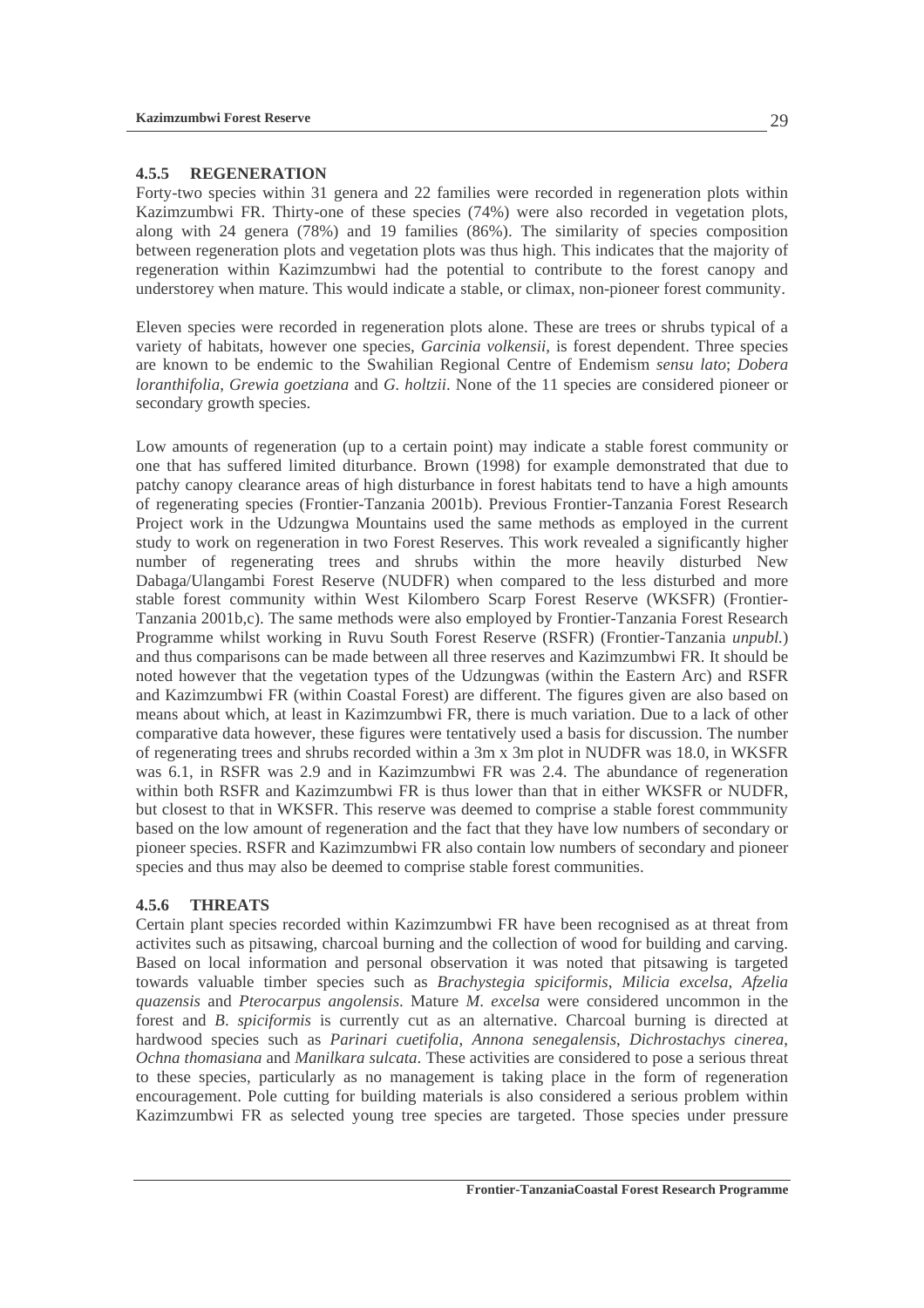### **4.5.5 REGENERATION**

Forty-two species within 31 genera and 22 families were recorded in regeneration plots within Kazimzumbwi FR. Thirty-one of these species (74%) were also recorded in vegetation plots, along with 24 genera (78%) and 19 families (86%). The similarity of species composition between regeneration plots and vegetation plots was thus high. This indicates that the majority of regeneration within Kazimzumbwi had the potential to contribute to the forest canopy and understorey when mature. This would indicate a stable, or climax, non-pioneer forest community.

Eleven species were recorded in regeneration plots alone. These are trees or shrubs typical of a variety of habitats, however one species, *Garcinia volkensii*, is forest dependent. Three species are known to be endemic to the Swahilian Regional Centre of Endemism *sensu lato*; *Dobera loranthifolia*, *Grewia goetziana* and *G. holtzii*. None of the 11 species are considered pioneer or secondary growth species.

Low amounts of regeneration (up to a certain point) may indicate a stable forest community or one that has suffered limited diturbance. Brown (1998) for example demonstrated that due to patchy canopy clearance areas of high disturbance in forest habitats tend to have a high amounts of regenerating species (Frontier-Tanzania 2001b). Previous Frontier-Tanzania Forest Research Project work in the Udzungwa Mountains used the same methods as employed in the current study to work on regeneration in two Forest Reserves. This work revealed a significantly higher number of regenerating trees and shrubs within the more heavily disturbed New Dabaga/Ulangambi Forest Reserve (NUDFR) when compared to the less disturbed and more stable forest community within West Kilombero Scarp Forest Reserve (WKSFR) (Frontier-Tanzania 2001b,c). The same methods were also employed by Frontier-Tanzania Forest Research Programme whilst working in Ruvu South Forest Reserve (RSFR) (Frontier-Tanzania *unpubl.*) and thus comparisons can be made between all three reserves and Kazimzumbwi FR. It should be noted however that the vegetation types of the Udzungwas (within the Eastern Arc) and RSFR and Kazimzumbwi FR (within Coastal Forest) are different. The figures given are also based on means about which, at least in Kazimzumbwi FR, there is much variation. Due to a lack of other comparative data however, these figures were tentatively used a basis for discussion. The number of regenerating trees and shrubs recorded within a 3m x 3m plot in NUDFR was 18.0, in WKSFR was 6.1, in RSFR was 2.9 and in Kazimzumbwi FR was 2.4. The abundance of regeneration within both RSFR and Kazimzumbwi FR is thus lower than that in either WKSFR or NUDFR, but closest to that in WKSFR. This reserve was deemed to comprise a stable forest commmunity based on the low amount of regeneration and the fact that they have low numbers of secondary or pioneer species. RSFR and Kazimzumbwi FR also contain low numbers of secondary and pioneer species and thus may also be deemed to comprise stable forest communities.

### **4.5.6 THREATS**

Certain plant species recorded within Kazimzumbwi FR have been recognised as at threat from activites such as pitsawing, charcoal burning and the collection of wood for building and carving. Based on local information and personal observation it was noted that pitsawing is targeted towards valuable timber species such as *Brachystegia spiciformis*, *Milicia excelsa*, *Afzelia quazensis* and *Pterocarpus angolensis*. Mature *M*. *excelsa* were considered uncommon in the forest and *B*. *spiciformis* is currently cut as an alternative. Charcoal burning is directed at hardwood species such as *Parinari cuetifolia*, *Annona senegalensis*, *Dichrostachys cinerea*, *Ochna thomasiana* and *Manilkara sulcata*. These activities are considered to pose a serious threat to these species, particularly as no management is taking place in the form of regeneration encouragement. Pole cutting for building materials is also considered a serious problem within Kazimzumbwi FR as selected young tree species are targeted. Those species under pressure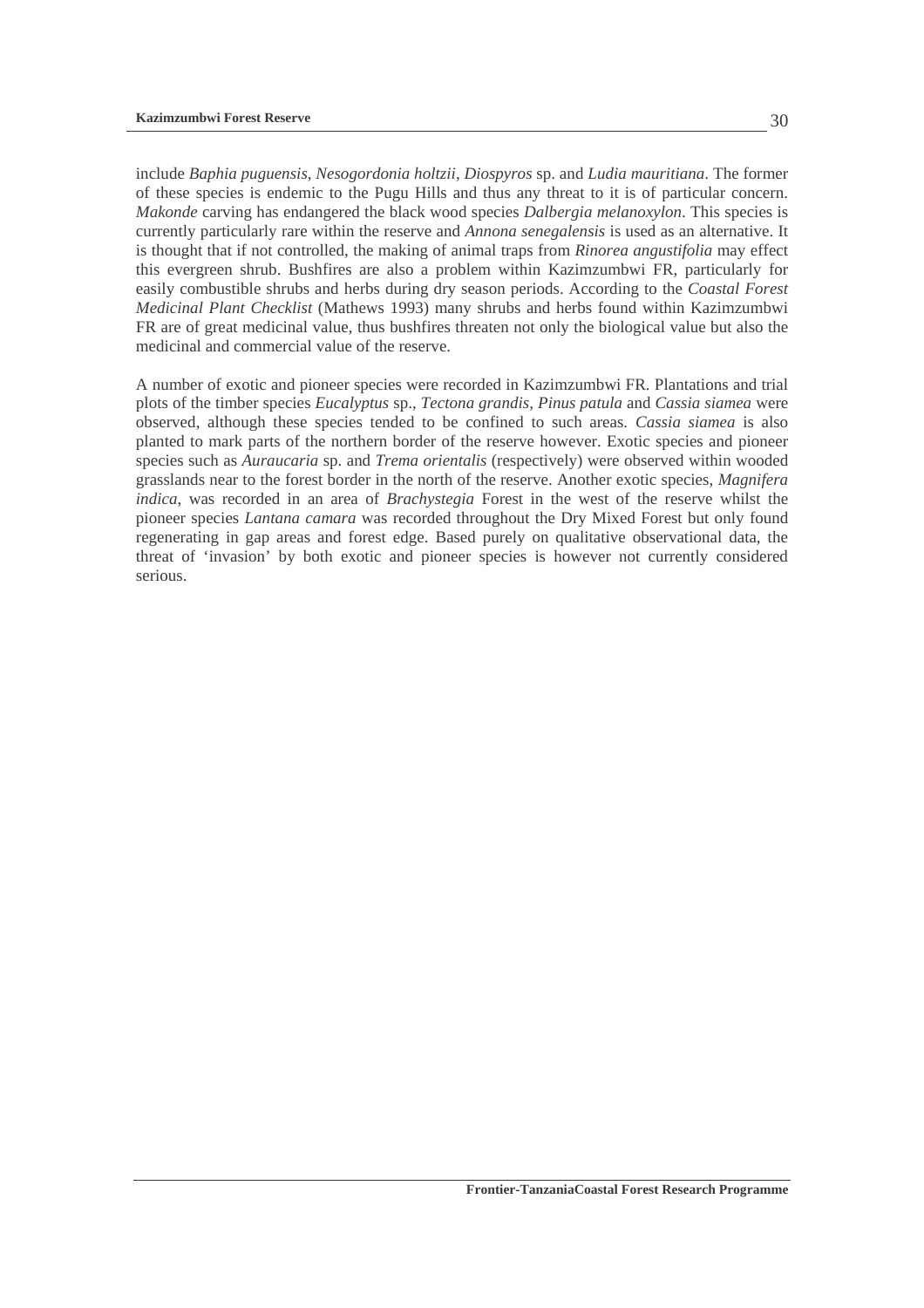include *Baphia puguensis*, *Nesogordonia holtzii*, *Diospyros* sp. and *Ludia mauritiana*. The former of these species is endemic to the Pugu Hills and thus any threat to it is of particular concern. *Makonde* carving has endangered the black wood species *Dalbergia melanoxylon*. This species is currently particularly rare within the reserve and *Annona senegalensis* is used as an alternative. It is thought that if not controlled, the making of animal traps from *Rinorea angustifolia* may effect this evergreen shrub. Bushfires are also a problem within Kazimzumbwi FR, particularly for easily combustible shrubs and herbs during dry season periods. According to the *Coastal Forest Medicinal Plant Checklist* (Mathews 1993) many shrubs and herbs found within Kazimzumbwi FR are of great medicinal value, thus bushfires threaten not only the biological value but also the medicinal and commercial value of the reserve.

A number of exotic and pioneer species were recorded in Kazimzumbwi FR. Plantations and trial plots of the timber species *Eucalyptus* sp., *Tectona grandis, Pinus patula* and *Cassia siamea* were observed, although these species tended to be confined to such areas. *Cassia siamea* is also planted to mark parts of the northern border of the reserve however. Exotic species and pioneer species such as *Auraucaria* sp. and *Trema orientalis* (respectively) were observed within wooded grasslands near to the forest border in the north of the reserve. Another exotic species, *Magnifera indica*, was recorded in an area of *Brachystegia* Forest in the west of the reserve whilst the pioneer species *Lantana camara* was recorded throughout the Dry Mixed Forest but only found regenerating in gap areas and forest edge. Based purely on qualitative observational data, the threat of 'invasion' by both exotic and pioneer species is however not currently considered serious.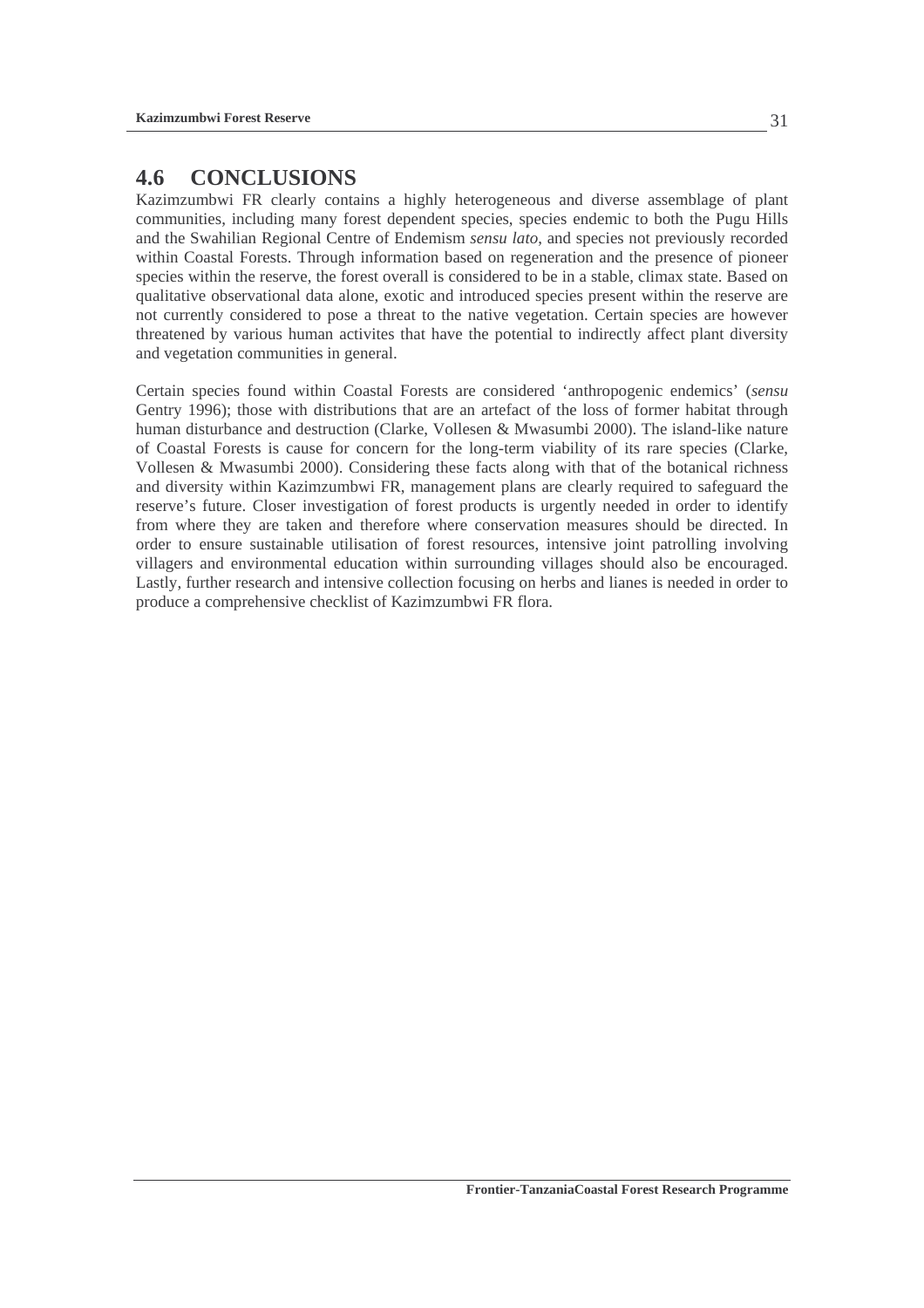## **4.6 CONCLUSIONS**

Kazimzumbwi FR clearly contains a highly heterogeneous and diverse assemblage of plant communities, including many forest dependent species, species endemic to both the Pugu Hills and the Swahilian Regional Centre of Endemism *sensu lato*, and species not previously recorded within Coastal Forests. Through information based on regeneration and the presence of pioneer species within the reserve, the forest overall is considered to be in a stable, climax state. Based on qualitative observational data alone, exotic and introduced species present within the reserve are not currently considered to pose a threat to the native vegetation. Certain species are however threatened by various human activites that have the potential to indirectly affect plant diversity and vegetation communities in general.

Certain species found within Coastal Forests are considered 'anthropogenic endemics' (*sensu*  Gentry 1996); those with distributions that are an artefact of the loss of former habitat through human disturbance and destruction (Clarke, Vollesen & Mwasumbi 2000). The island-like nature of Coastal Forests is cause for concern for the long-term viability of its rare species (Clarke, Vollesen & Mwasumbi 2000). Considering these facts along with that of the botanical richness and diversity within Kazimzumbwi FR, management plans are clearly required to safeguard the reserve's future. Closer investigation of forest products is urgently needed in order to identify from where they are taken and therefore where conservation measures should be directed. In order to ensure sustainable utilisation of forest resources, intensive joint patrolling involving villagers and environmental education within surrounding villages should also be encouraged. Lastly, further research and intensive collection focusing on herbs and lianes is needed in order to produce a comprehensive checklist of Kazimzumbwi FR flora.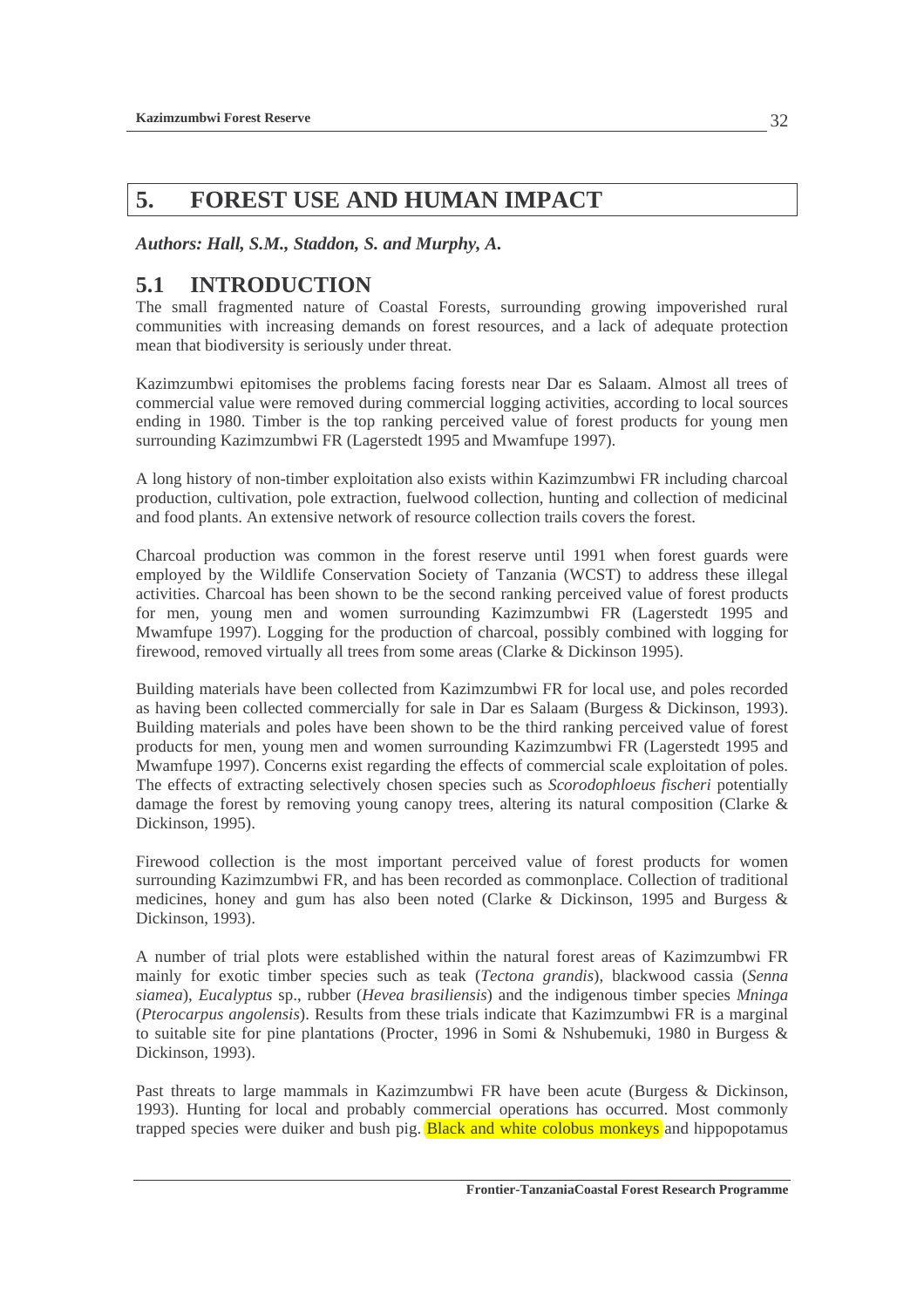# **5. FOREST USE AND HUMAN IMPACT**

*Authors: Hall, S.M., Staddon, S. and Murphy, A.* 

# **5.1 INTRODUCTION**

The small fragmented nature of Coastal Forests, surrounding growing impoverished rural communities with increasing demands on forest resources, and a lack of adequate protection mean that biodiversity is seriously under threat.

Kazimzumbwi epitomises the problems facing forests near Dar es Salaam. Almost all trees of commercial value were removed during commercial logging activities, according to local sources ending in 1980. Timber is the top ranking perceived value of forest products for young men surrounding Kazimzumbwi FR (Lagerstedt 1995 and Mwamfupe 1997).

A long history of non-timber exploitation also exists within Kazimzumbwi FR including charcoal production, cultivation, pole extraction, fuelwood collection, hunting and collection of medicinal and food plants. An extensive network of resource collection trails covers the forest.

Charcoal production was common in the forest reserve until 1991 when forest guards were employed by the Wildlife Conservation Society of Tanzania (WCST) to address these illegal activities. Charcoal has been shown to be the second ranking perceived value of forest products for men, young men and women surrounding Kazimzumbwi FR (Lagerstedt 1995 and Mwamfupe 1997). Logging for the production of charcoal, possibly combined with logging for firewood, removed virtually all trees from some areas (Clarke & Dickinson 1995).

Building materials have been collected from Kazimzumbwi FR for local use, and poles recorded as having been collected commercially for sale in Dar es Salaam (Burgess & Dickinson, 1993). Building materials and poles have been shown to be the third ranking perceived value of forest products for men, young men and women surrounding Kazimzumbwi FR (Lagerstedt 1995 and Mwamfupe 1997). Concerns exist regarding the effects of commercial scale exploitation of poles. The effects of extracting selectively chosen species such as *Scorodophloeus fischeri* potentially damage the forest by removing young canopy trees, altering its natural composition (Clarke & Dickinson, 1995).

Firewood collection is the most important perceived value of forest products for women surrounding Kazimzumbwi FR, and has been recorded as commonplace. Collection of traditional medicines, honey and gum has also been noted (Clarke & Dickinson, 1995 and Burgess & Dickinson, 1993).

A number of trial plots were established within the natural forest areas of Kazimzumbwi FR mainly for exotic timber species such as teak (*Tectona grandis*), blackwood cassia (*Senna siamea*), *Eucalyptus* sp., rubber (*Hevea brasiliensis*) and the indigenous timber species *Mninga*  (*Pterocarpus angolensis*). Results from these trials indicate that Kazimzumbwi FR is a marginal to suitable site for pine plantations (Procter, 1996 in Somi & Nshubemuki, 1980 in Burgess & Dickinson, 1993).

Past threats to large mammals in Kazimzumbwi FR have been acute (Burgess & Dickinson, 1993). Hunting for local and probably commercial operations has occurred. Most commonly trapped species were duiker and bush pig. **Black and white colobus monkeys** and hippopotamus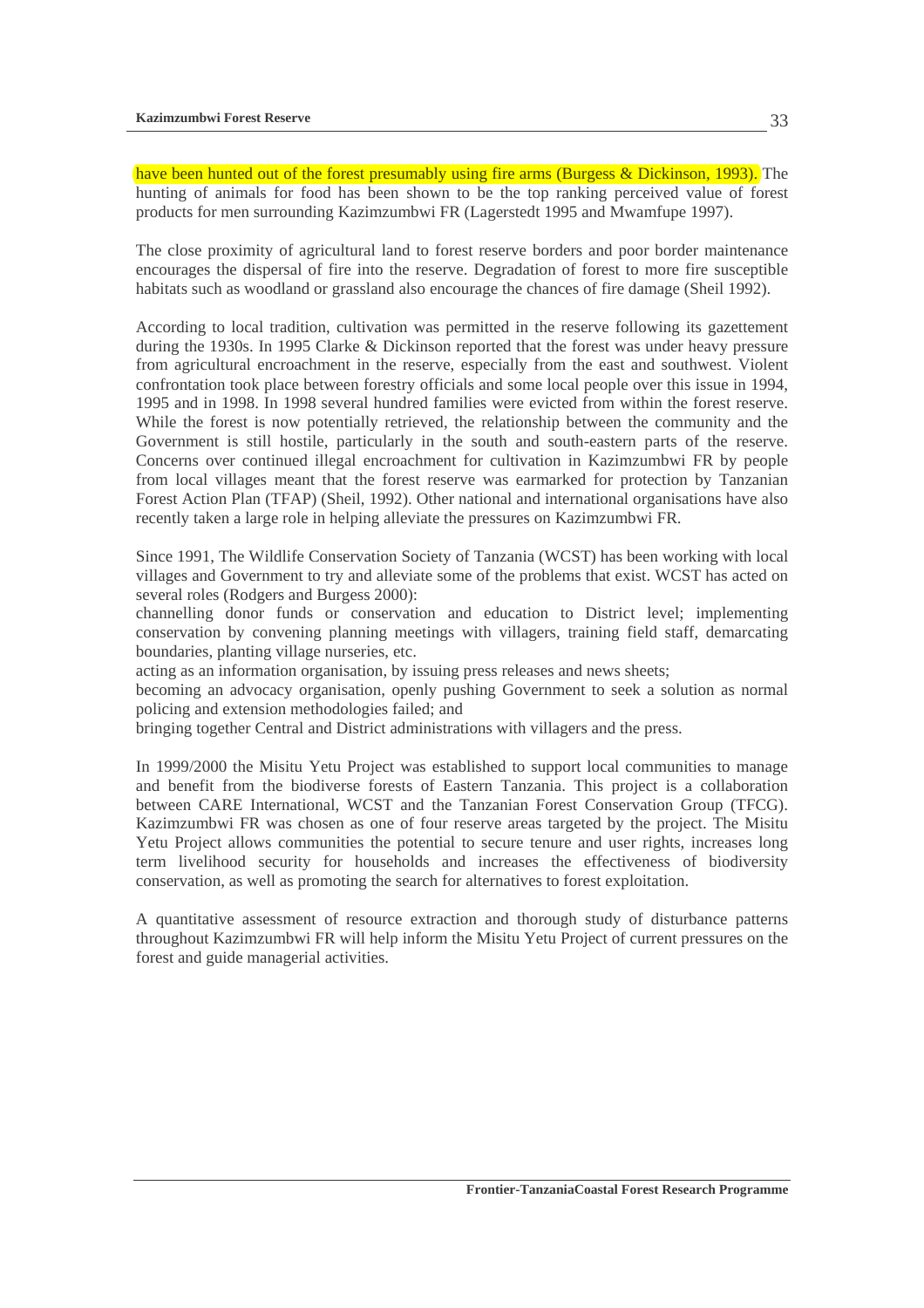have been hunted out of the forest presumably using fire arms (Burgess & Dickinson, 1993). The hunting of animals for food has been shown to be the top ranking perceived value of forest products for men surrounding Kazimzumbwi FR (Lagerstedt 1995 and Mwamfupe 1997).

The close proximity of agricultural land to forest reserve borders and poor border maintenance encourages the dispersal of fire into the reserve. Degradation of forest to more fire susceptible habitats such as woodland or grassland also encourage the chances of fire damage (Sheil 1992).

According to local tradition, cultivation was permitted in the reserve following its gazettement during the 1930s. In 1995 Clarke & Dickinson reported that the forest was under heavy pressure from agricultural encroachment in the reserve, especially from the east and southwest. Violent confrontation took place between forestry officials and some local people over this issue in 1994, 1995 and in 1998. In 1998 several hundred families were evicted from within the forest reserve. While the forest is now potentially retrieved, the relationship between the community and the Government is still hostile, particularly in the south and south-eastern parts of the reserve. Concerns over continued illegal encroachment for cultivation in Kazimzumbwi FR by people from local villages meant that the forest reserve was earmarked for protection by Tanzanian Forest Action Plan (TFAP) (Sheil, 1992). Other national and international organisations have also recently taken a large role in helping alleviate the pressures on Kazimzumbwi FR.

Since 1991, The Wildlife Conservation Society of Tanzania (WCST) has been working with local villages and Government to try and alleviate some of the problems that exist. WCST has acted on several roles (Rodgers and Burgess 2000):

channelling donor funds or conservation and education to District level; implementing conservation by convening planning meetings with villagers, training field staff, demarcating boundaries, planting village nurseries, etc.

acting as an information organisation, by issuing press releases and news sheets;

becoming an advocacy organisation, openly pushing Government to seek a solution as normal policing and extension methodologies failed; and

bringing together Central and District administrations with villagers and the press.

In 1999/2000 the Misitu Yetu Project was established to support local communities to manage and benefit from the biodiverse forests of Eastern Tanzania. This project is a collaboration between CARE International, WCST and the Tanzanian Forest Conservation Group (TFCG). Kazimzumbwi FR was chosen as one of four reserve areas targeted by the project. The Misitu Yetu Project allows communities the potential to secure tenure and user rights, increases long term livelihood security for households and increases the effectiveness of biodiversity conservation, as well as promoting the search for alternatives to forest exploitation.

A quantitative assessment of resource extraction and thorough study of disturbance patterns throughout Kazimzumbwi FR will help inform the Misitu Yetu Project of current pressures on the forest and guide managerial activities.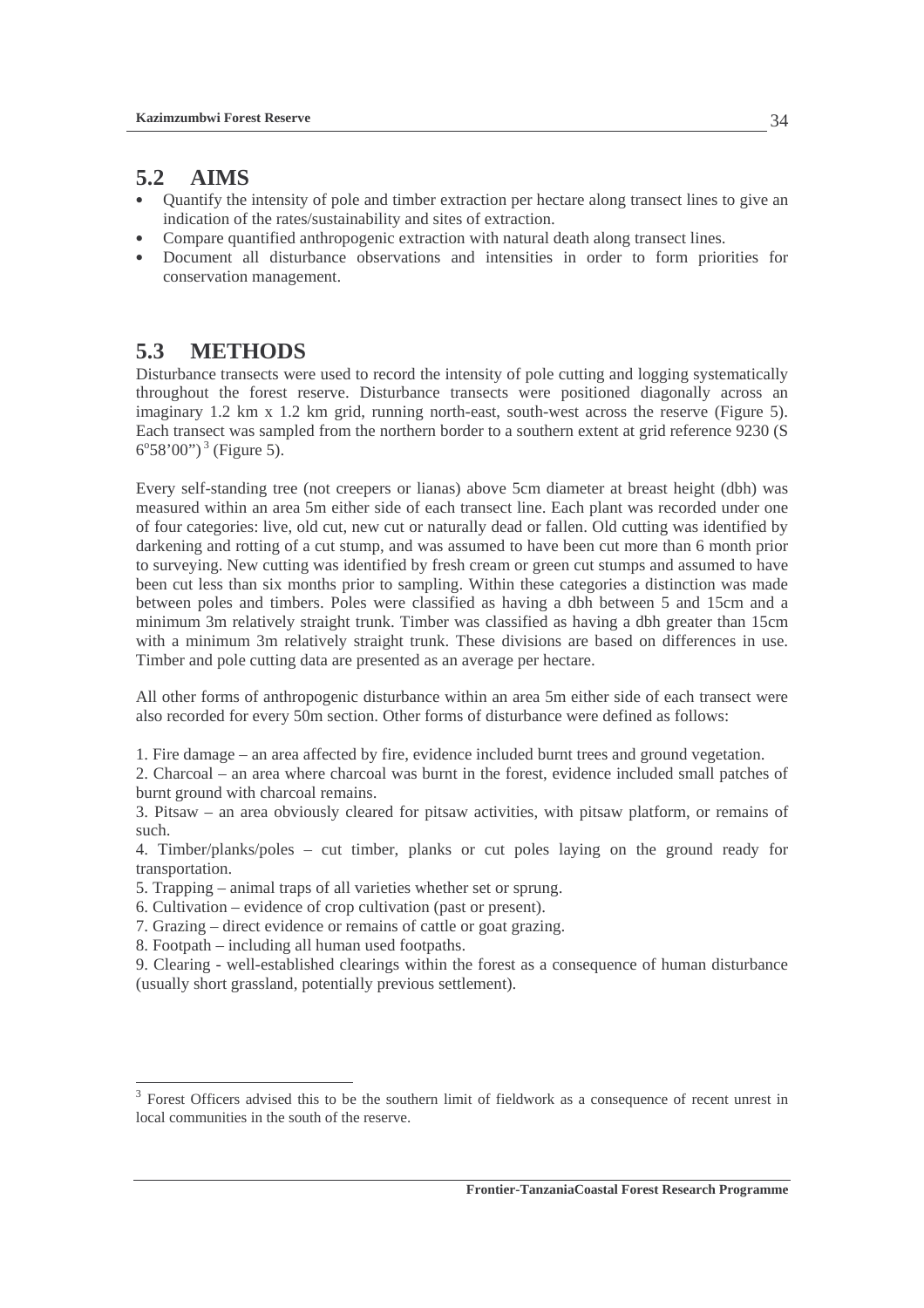## **5.2 AIMS**

- Ouantify the intensity of pole and timber extraction per hectare along transect lines to give an indication of the rates/sustainability and sites of extraction.
- Compare quantified anthropogenic extraction with natural death along transect lines.
- Document all disturbance observations and intensities in order to form priorities for conservation management.

## **5.3 METHODS**

Disturbance transects were used to record the intensity of pole cutting and logging systematically throughout the forest reserve. Disturbance transects were positioned diagonally across an imaginary 1.2 km x 1.2 km grid, running north-east, south-west across the reserve (Figure 5). Each transect was sampled from the northern border to a southern extent at grid reference 9230 (S  $6^{\circ}58^{\circ}00$ ")<sup>3</sup> (Figure 5).

Every self-standing tree (not creepers or lianas) above 5cm diameter at breast height (dbh) was measured within an area 5m either side of each transect line. Each plant was recorded under one of four categories: live, old cut, new cut or naturally dead or fallen. Old cutting was identified by darkening and rotting of a cut stump, and was assumed to have been cut more than 6 month prior to surveying. New cutting was identified by fresh cream or green cut stumps and assumed to have been cut less than six months prior to sampling. Within these categories a distinction was made between poles and timbers. Poles were classified as having a dbh between 5 and 15cm and a minimum 3m relatively straight trunk. Timber was classified as having a dbh greater than 15cm with a minimum 3m relatively straight trunk. These divisions are based on differences in use. Timber and pole cutting data are presented as an average per hectare.

All other forms of anthropogenic disturbance within an area 5m either side of each transect were also recorded for every 50m section. Other forms of disturbance were defined as follows:

1. Fire damage – an area affected by fire, evidence included burnt trees and ground vegetation.

2. Charcoal – an area where charcoal was burnt in the forest, evidence included small patches of burnt ground with charcoal remains.

3. Pitsaw – an area obviously cleared for pitsaw activities, with pitsaw platform, or remains of such.

4. Timber/planks/poles – cut timber, planks or cut poles laying on the ground ready for transportation.

- 5. Trapping animal traps of all varieties whether set or sprung.
- 6. Cultivation evidence of crop cultivation (past or present).
- 7. Grazing direct evidence or remains of cattle or goat grazing.
- 8. Footpath including all human used footpaths.

 $\overline{a}$ 

9. Clearing - well-established clearings within the forest as a consequence of human disturbance (usually short grassland, potentially previous settlement).

<sup>&</sup>lt;sup>3</sup> Forest Officers advised this to be the southern limit of fieldwork as a consequence of recent unrest in local communities in the south of the reserve.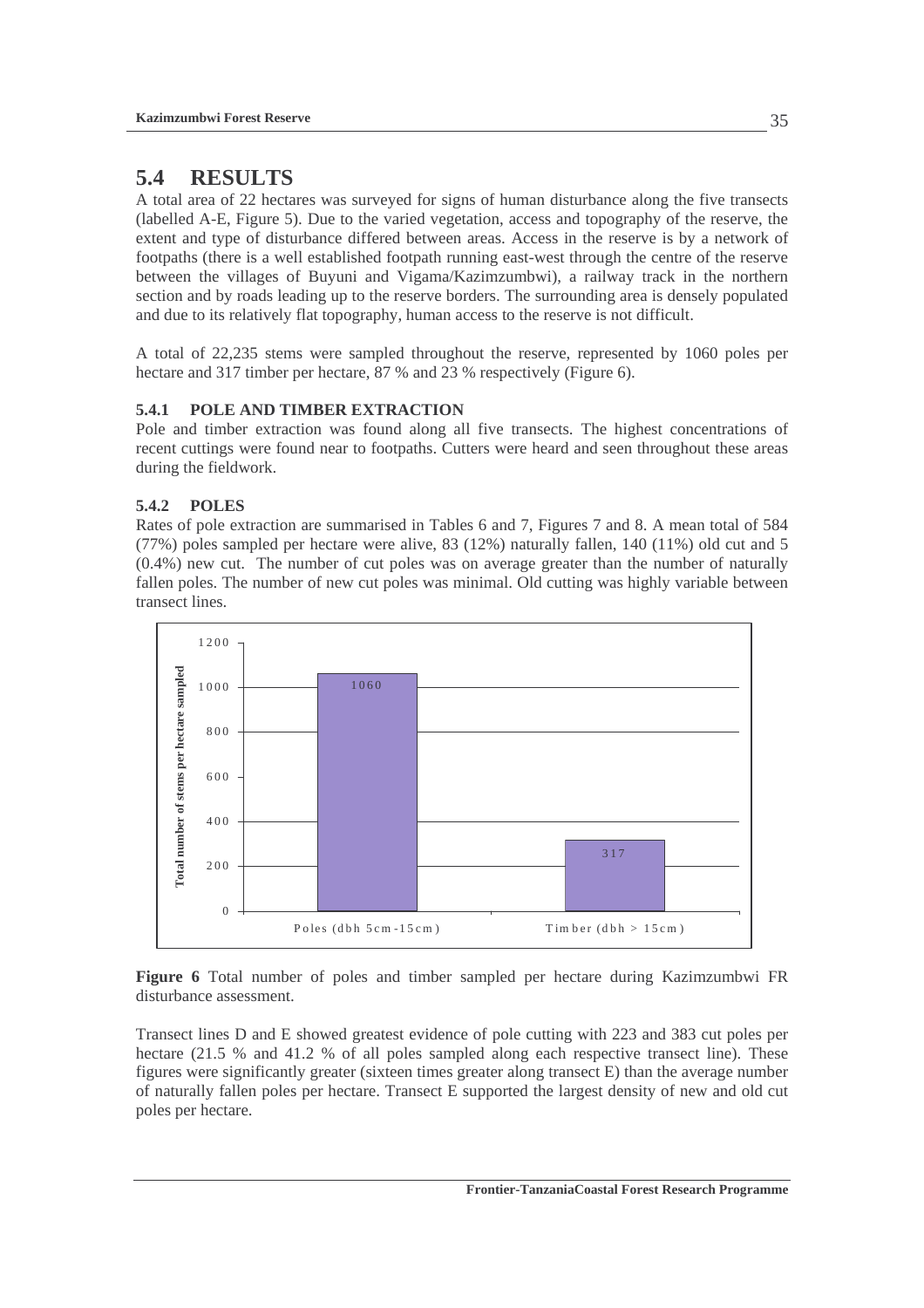## **5.4 RESULTS**

A total area of 22 hectares was surveyed for signs of human disturbance along the five transects (labelled A-E, Figure 5). Due to the varied vegetation, access and topography of the reserve, the extent and type of disturbance differed between areas. Access in the reserve is by a network of footpaths (there is a well established footpath running east-west through the centre of the reserve between the villages of Buyuni and Vigama/Kazimzumbwi), a railway track in the northern section and by roads leading up to the reserve borders. The surrounding area is densely populated and due to its relatively flat topography, human access to the reserve is not difficult.

A total of 22,235 stems were sampled throughout the reserve, represented by 1060 poles per hectare and 317 timber per hectare, 87 % and 23 % respectively (Figure 6).

### **5.4.1 POLE AND TIMBER EXTRACTION**

Pole and timber extraction was found along all five transects. The highest concentrations of recent cuttings were found near to footpaths. Cutters were heard and seen throughout these areas during the fieldwork.

### **5.4.2 POLES**

Rates of pole extraction are summarised in Tables 6 and 7, Figures 7 and 8. A mean total of 584 (77%) poles sampled per hectare were alive, 83 (12%) naturally fallen, 140 (11%) old cut and 5 (0.4%) new cut. The number of cut poles was on average greater than the number of naturally fallen poles. The number of new cut poles was minimal. Old cutting was highly variable between transect lines.



**Figure 6** Total number of poles and timber sampled per hectare during Kazimzumbwi FR disturbance assessment.

Transect lines D and E showed greatest evidence of pole cutting with 223 and 383 cut poles per hectare (21.5 % and 41.2 % of all poles sampled along each respective transect line). These figures were significantly greater (sixteen times greater along transect E) than the average number of naturally fallen poles per hectare. Transect E supported the largest density of new and old cut poles per hectare.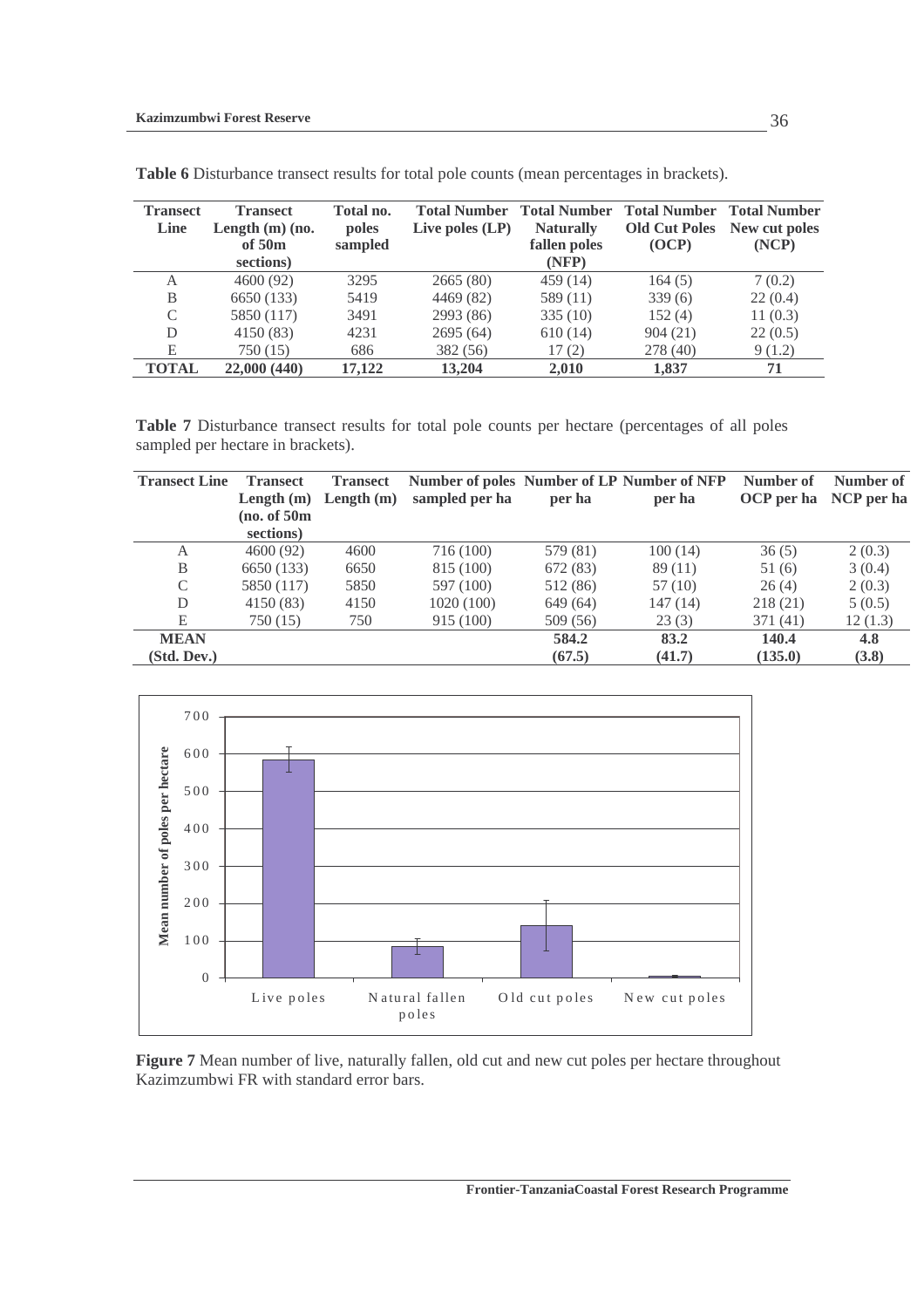| <b>Transect</b> | <b>Transect</b> | Total no.                                                  | <b>Total Number</b> | <b>Total Number</b>              | <b>Total Number Total Number</b> |                        |  |
|-----------------|-----------------|------------------------------------------------------------|---------------------|----------------------------------|----------------------------------|------------------------|--|
| Line            | of 50m          | Length $(m)$ (no.<br>Live poles $(LP)$<br>poles<br>sampled |                     | <b>Naturally</b><br>fallen poles | <b>Old Cut Poles</b><br>(OCP)    | New cut poles<br>(NCP) |  |
|                 | sections)       |                                                            |                     | (NFP)                            |                                  |                        |  |
| А               | 4600 (92)       | 3295                                                       | 2665(80)            | 459(14)                          | 164(5)                           | 7(0.2)                 |  |
| B               | 6650 (133)      | 5419                                                       | 4469 (82)           | 589 (11)                         | 339(6)                           | 22(0.4)                |  |
| C               | 5850 (117)      | 3491                                                       | 2993 (86)           | 335(10)                          | 152(4)                           | 11(0.3)                |  |
| D               | 4150 (83)       | 4231                                                       | 2695(64)            | 610(14)                          | 904(21)                          | 22(0.5)                |  |
| Е               | 750 (15)        | 686                                                        | 382 (56)            | 17(2)                            | 278 (40)                         | 9(1.2)                 |  |
| <b>TOTAL</b>    | 22,000 (440)    | 17,122                                                     | 13,204              | 2.010                            | 1,837                            | 71                     |  |

**Table 6** Disturbance transect results for total pole counts (mean percentages in brackets).

**Table 7** Disturbance transect results for total pole counts per hectare (percentages of all poles sampled per hectare in brackets).

| <b>Transect Line</b> | <b>Transect</b> | <b>Transect</b> |                |          | Number of poles Number of LP Number of NFP | Number of  | Number of  |
|----------------------|-----------------|-----------------|----------------|----------|--------------------------------------------|------------|------------|
|                      | Length $(m)$    | Length $(m)$    | sampled per ha | per ha   | per ha                                     | OCP per ha | NCP per ha |
|                      | (no. of 50m)    |                 |                |          |                                            |            |            |
|                      | sections)       |                 |                |          |                                            |            |            |
| А                    | 4600(92)        | 4600            | 716 (100)      | 579 (81) | 100(14)                                    | 36(5)      | 2(0.3)     |
| B                    | 6650 (133)      | 6650            | 815 (100)      | 672 (83) | 89(11)                                     | 51(6)      | 3(0.4)     |
| C                    | 5850 (117)      | 5850            | 597 (100)      | 512 (86) | 57 (10)                                    | 26(4)      | 2(0.3)     |
| D                    | 4150 (83)       | 4150            | 1020 (100)     | 649 (64) | 147 (14)                                   | 218 (21)   | 5(0.5)     |
| E                    | 750 (15)        | 750             | 915 (100)      | 509 (56) | 23(3)                                      | 371(41)    | 12(1.3)    |
| <b>MEAN</b>          |                 |                 |                | 584.2    | 83.2                                       | 140.4      | 4.8        |
| (Std. Dev.)          |                 |                 |                | (67.5)   | (41.7)                                     | (135.0)    | (3.8)      |



**Figure 7** Mean number of live, naturally fallen, old cut and new cut poles per hectare throughout Kazimzumbwi FR with standard error bars.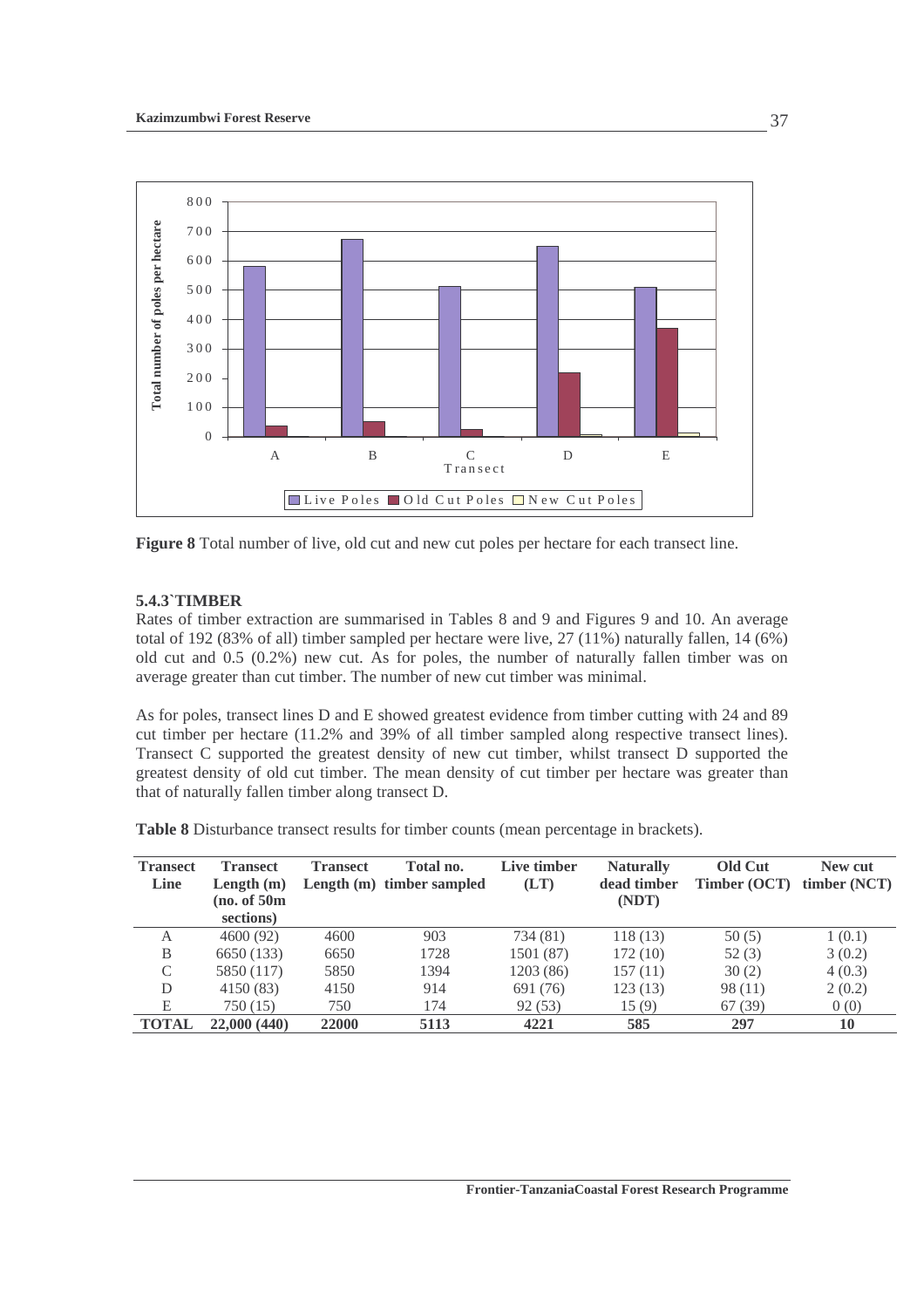

**Figure 8** Total number of live, old cut and new cut poles per hectare for each transect line.

## **5.4.3`TIMBER**

Rates of timber extraction are summarised in Tables 8 and 9 and Figures 9 and 10. An average total of 192 (83% of all) timber sampled per hectare were live, 27 (11%) naturally fallen, 14 (6%) old cut and 0.5 (0.2%) new cut. As for poles, the number of naturally fallen timber was on average greater than cut timber. The number of new cut timber was minimal.

As for poles, transect lines D and E showed greatest evidence from timber cutting with 24 and 89 cut timber per hectare (11.2% and 39% of all timber sampled along respective transect lines). Transect C supported the greatest density of new cut timber, whilst transect D supported the greatest density of old cut timber. The mean density of cut timber per hectare was greater than that of naturally fallen timber along transect D.

**Table 8** Disturbance transect results for timber counts (mean percentage in brackets).

| <b>Transect</b><br>Line | <b>Transect</b><br>Length $(m)$<br>(no. of 50m)<br>sections) | <b>Transect</b> | Total no.<br>Length (m) timber sampled | Live timber<br>(LT) | <b>Naturally</b><br>dead timber<br>(NDT) | Old Cut<br>Timber (OCT) | New cut<br>timber (NCT) |
|-------------------------|--------------------------------------------------------------|-----------------|----------------------------------------|---------------------|------------------------------------------|-------------------------|-------------------------|
| A                       | 4600 (92)                                                    | 4600            | 903                                    | 734 (81)            | 118(13)                                  | 50(5)                   | 1(0.1)                  |
| B                       | 6650 (133)                                                   | 6650            | 1728                                   | 1501 (87)           | 172(10)                                  | 52(3)                   | 3(0.2)                  |
| C                       | 5850 (117)                                                   | 5850            | 1394                                   | 1203(86)            | 157(11)                                  | 30(2)                   | 4(0.3)                  |
| D                       | 4150 (83)                                                    | 4150            | 914                                    | 691 (76)            | 123(13)                                  | 98(11)                  | 2(0.2)                  |
| E                       | 750(15)                                                      | 750             | 174                                    | 92(53)              | 15(9)                                    | 67 (39)                 | 0(0)                    |
| TOTAL                   | 22,000 (440)                                                 | 22000           | 5113                                   | 4221                | 585                                      | 297                     | 10                      |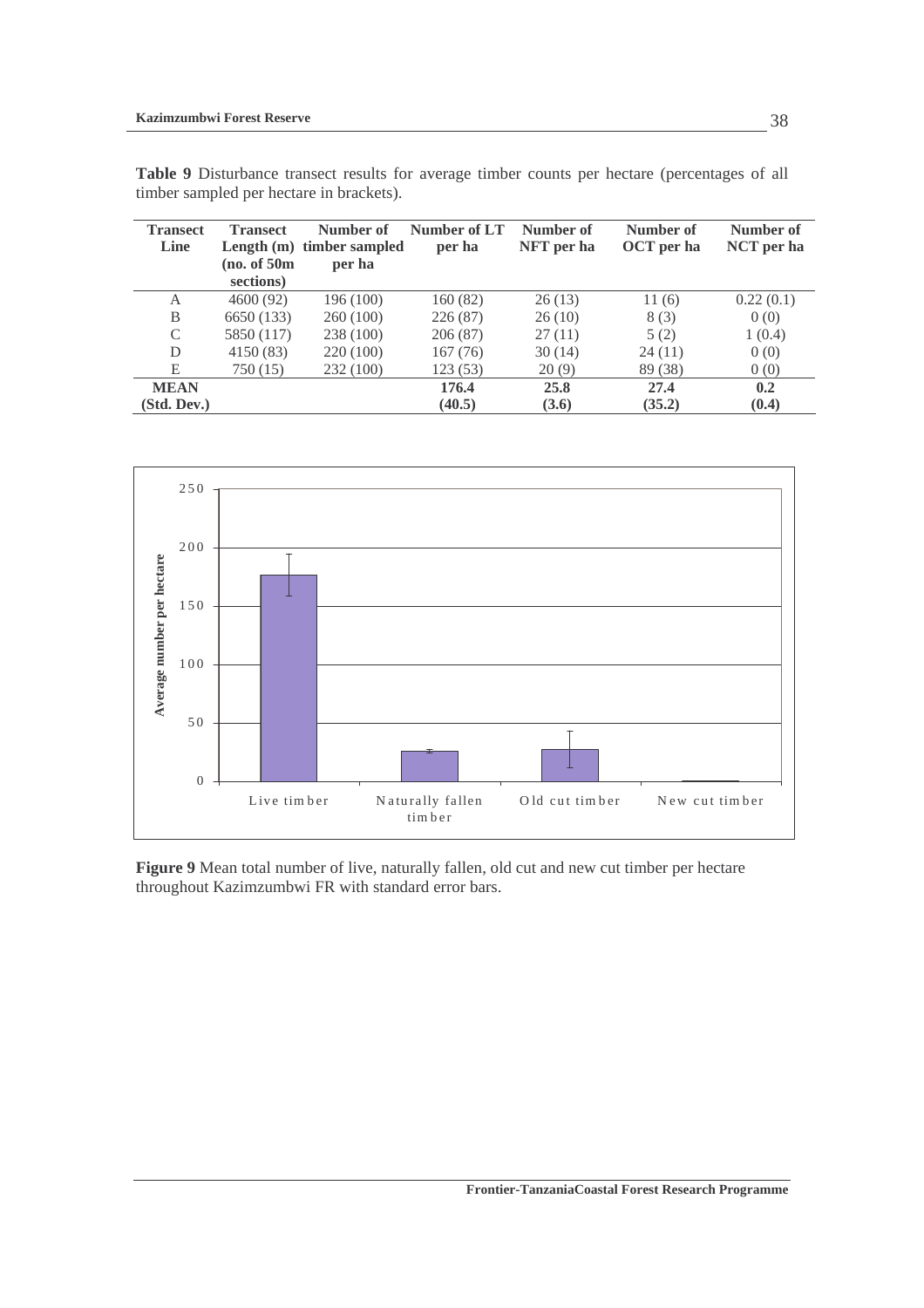| <b>Transect</b> | <b>Transect</b> | Number of                 | Number of LT | Number of  | Number of  | Number of  |
|-----------------|-----------------|---------------------------|--------------|------------|------------|------------|
| Line            |                 | Length (m) timber sampled | per ha       | NFT per ha | OCT per ha | NCT per ha |
|                 | (no. of 50m)    | per ha                    |              |            |            |            |
|                 | sections)       |                           |              |            |            |            |
| A               | 4600(92)        | 196 (100)                 | 160(82)      | 26(13)     | 11(6)      | 0.22(0.1)  |
| B               | 6650 (133)      | 260(100)                  | 226(87)      | 26(10)     | 8(3)       | 0(0)       |
| C               | 5850 (117)      | 238 (100)                 | 206(87)      | 27(11)     | 5(2)       | 1(0.4)     |
| D               | 4150(83)        | 220 (100)                 | 167(76)      | 30(14)     | 24(11)     | 0(0)       |
| E               | 750 (15)        | 232 (100)                 | 123(53)      | 20(9)      | 89 (38)    | 0(0)       |
| <b>MEAN</b>     |                 |                           | 176.4        | 25.8       | 27.4       | 0.2        |
| (Std. Dev.)     |                 |                           | (40.5)       | (3.6)      | (35.2)     | (0.4)      |

**Table 9** Disturbance transect results for average timber counts per hectare (percentages of all timber sampled per hectare in brackets).



**Figure 9** Mean total number of live, naturally fallen, old cut and new cut timber per hectare throughout Kazimzumbwi FR with standard error bars.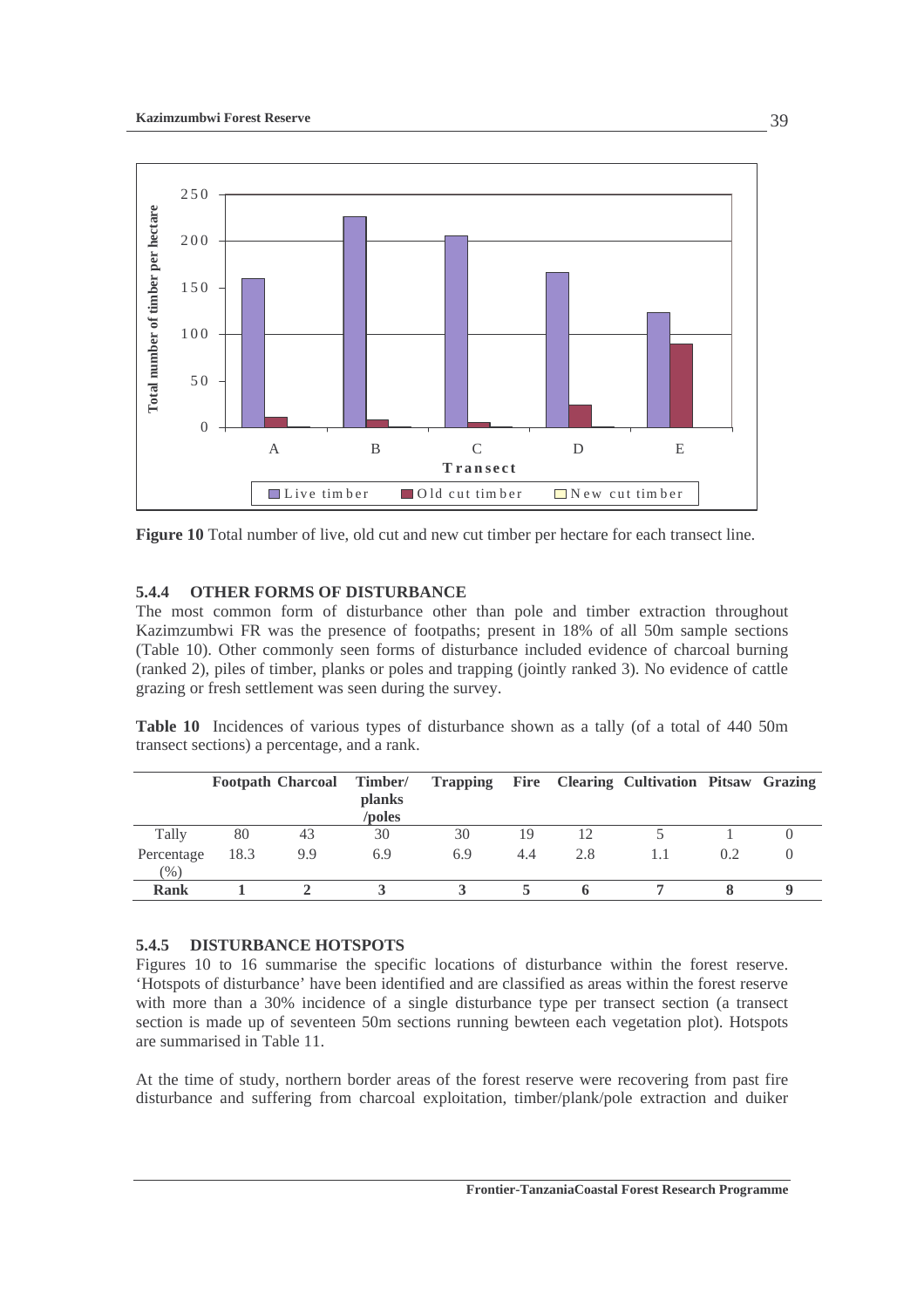

**Figure 10** Total number of live, old cut and new cut timber per hectare for each transect line.

### **5.4.4 OTHER FORMS OF DISTURBANCE**

The most common form of disturbance other than pole and timber extraction throughout Kazimzumbwi FR was the presence of footpaths; present in 18% of all 50m sample sections (Table 10). Other commonly seen forms of disturbance included evidence of charcoal burning (ranked 2), piles of timber, planks or poles and trapping (jointly ranked 3). No evidence of cattle grazing or fresh settlement was seen during the survey.

**Table 10** Incidences of various types of disturbance shown as a tally (of a total of 440 50m transect sections) a percentage, and a rank.

|                      |      | <b>Footpath Charcoal Timber/</b> | <b>planks</b><br>/poles |     |     |     | Trapping Fire Clearing Cultivation Pitsaw Grazing |     |  |
|----------------------|------|----------------------------------|-------------------------|-----|-----|-----|---------------------------------------------------|-----|--|
| Tally                | 80   | 43                               | 30                      | 30  | 19  | 12  |                                                   |     |  |
| Percentage<br>$(\%)$ | 18.3 | 9.9                              | 6.9                     | 6.9 | 4.4 | 2.8 |                                                   | 0.2 |  |
| <b>Rank</b>          |      |                                  |                         |     |     |     |                                                   |     |  |

### **5.4.5 DISTURBANCE HOTSPOTS**

Figures 10 to 16 summarise the specific locations of disturbance within the forest reserve. 'Hotspots of disturbance' have been identified and are classified as areas within the forest reserve with more than a 30% incidence of a single disturbance type per transect section (a transect section is made up of seventeen 50m sections running bewteen each vegetation plot). Hotspots are summarised in Table 11.

At the time of study, northern border areas of the forest reserve were recovering from past fire disturbance and suffering from charcoal exploitation, timber/plank/pole extraction and duiker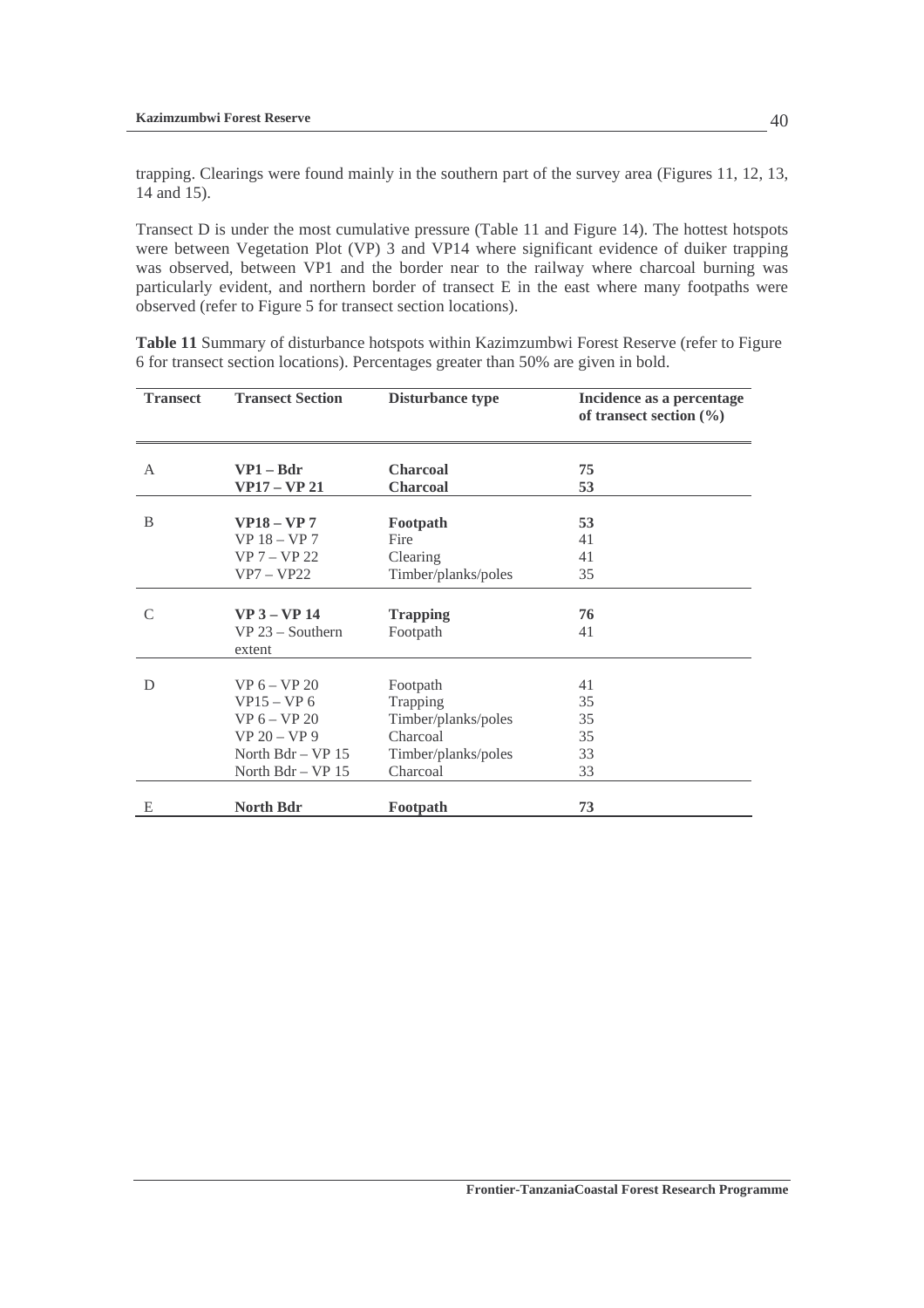trapping. Clearings were found mainly in the southern part of the survey area (Figures 11, 12, 13, 14 and 15).

Transect D is under the most cumulative pressure (Table 11 and Figure 14). The hottest hotspots were between Vegetation Plot (VP) 3 and VP14 where significant evidence of duiker trapping was observed, between VP1 and the border near to the railway where charcoal burning was particularly evident, and northern border of transect E in the east where many footpaths were observed (refer to Figure 5 for transect section locations).

**Table 11** Summary of disturbance hotspots within Kazimzumbwi Forest Reserve (refer to Figure 6 for transect section locations). Percentages greater than 50% are given in bold.

| <b>Transect</b> | <b>Transect Section</b>                          | Disturbance type            | Incidence as a percentage<br>of transect section $(\% )$ |
|-----------------|--------------------------------------------------|-----------------------------|----------------------------------------------------------|
| A               | $VP1 - Bdr$                                      | <b>Charcoal</b>             | 75                                                       |
|                 | <b>VP17 – VP 21</b>                              | <b>Charcoal</b>             | 53                                                       |
| B               | <b>VP18 - VP 7</b>                               | Footpath                    | 53                                                       |
|                 | $VP$ 18 – $VP$ 7                                 | Fire                        | 41                                                       |
|                 | $VP 7 - VP 22$                                   | Clearing                    | 41                                                       |
|                 | $VP7 - VP22$                                     | Timber/planks/poles         | 35                                                       |
| $\mathcal{C}$   | $VP$ 3 – $VP$ 14<br>$VP$ 23 – Southern<br>extent | <b>Trapping</b><br>Footpath | 76<br>41                                                 |
| D               | $VP_6 - VP_20$                                   | Footpath                    | 41                                                       |
|                 | $VP15 - VP 6$                                    | Trapping                    | 35                                                       |
|                 | $VP 6 - VP 20$                                   | Timber/planks/poles         | 35                                                       |
|                 | $VP 20 - VP 9$                                   | Charcoal                    | 35                                                       |
|                 | North $Bdr - VP 15$                              | Timber/planks/poles         | 33                                                       |
|                 | North Bdr - VP 15                                | Charcoal                    | 33                                                       |
| E               | <b>North Bdr</b>                                 | Footpath                    | 73                                                       |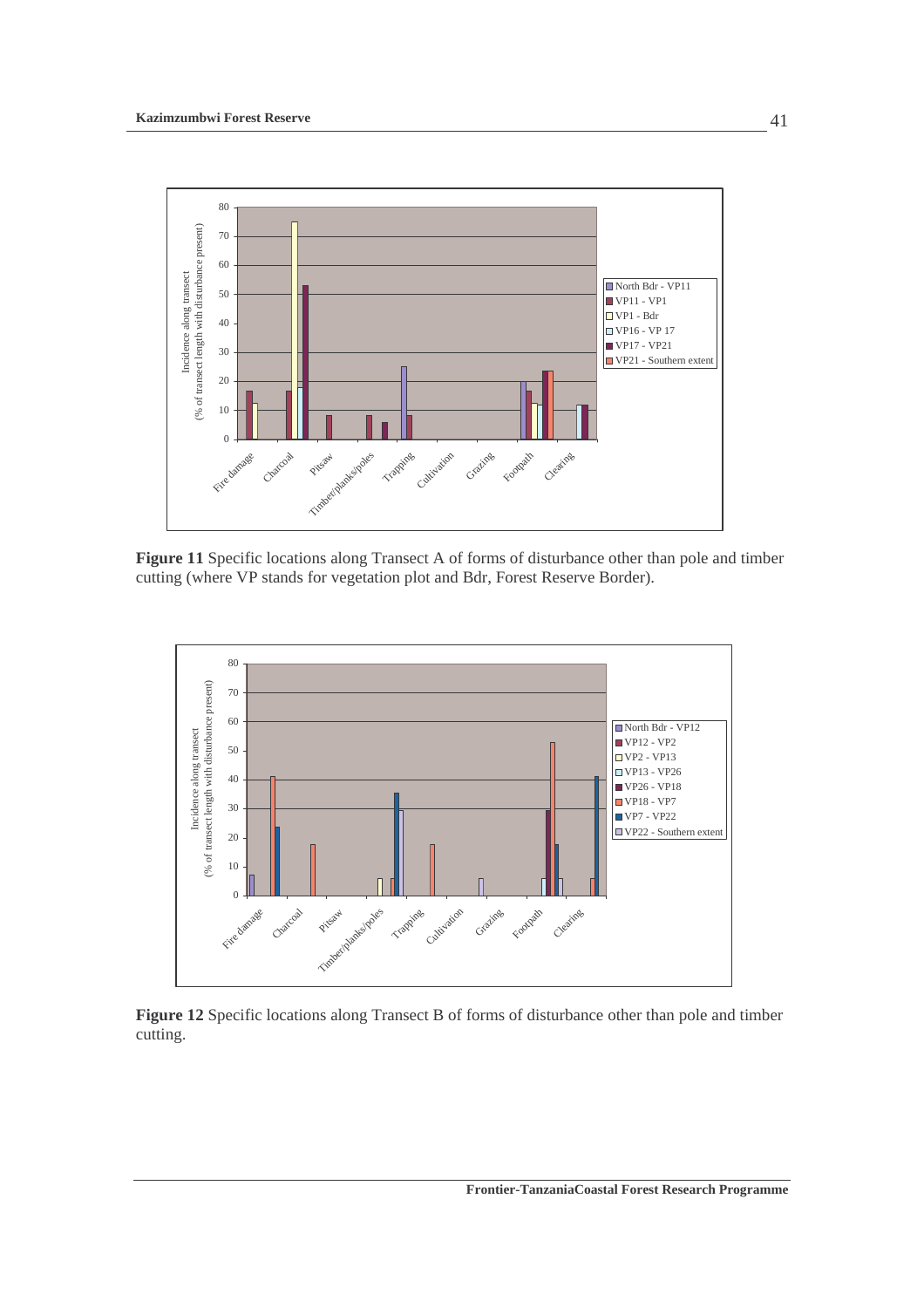

**Figure 11** Specific locations along Transect A of forms of disturbance other than pole and timber cutting (where VP stands for vegetation plot and Bdr, Forest Reserve Border).



**Figure 12** Specific locations along Transect B of forms of disturbance other than pole and timber cutting.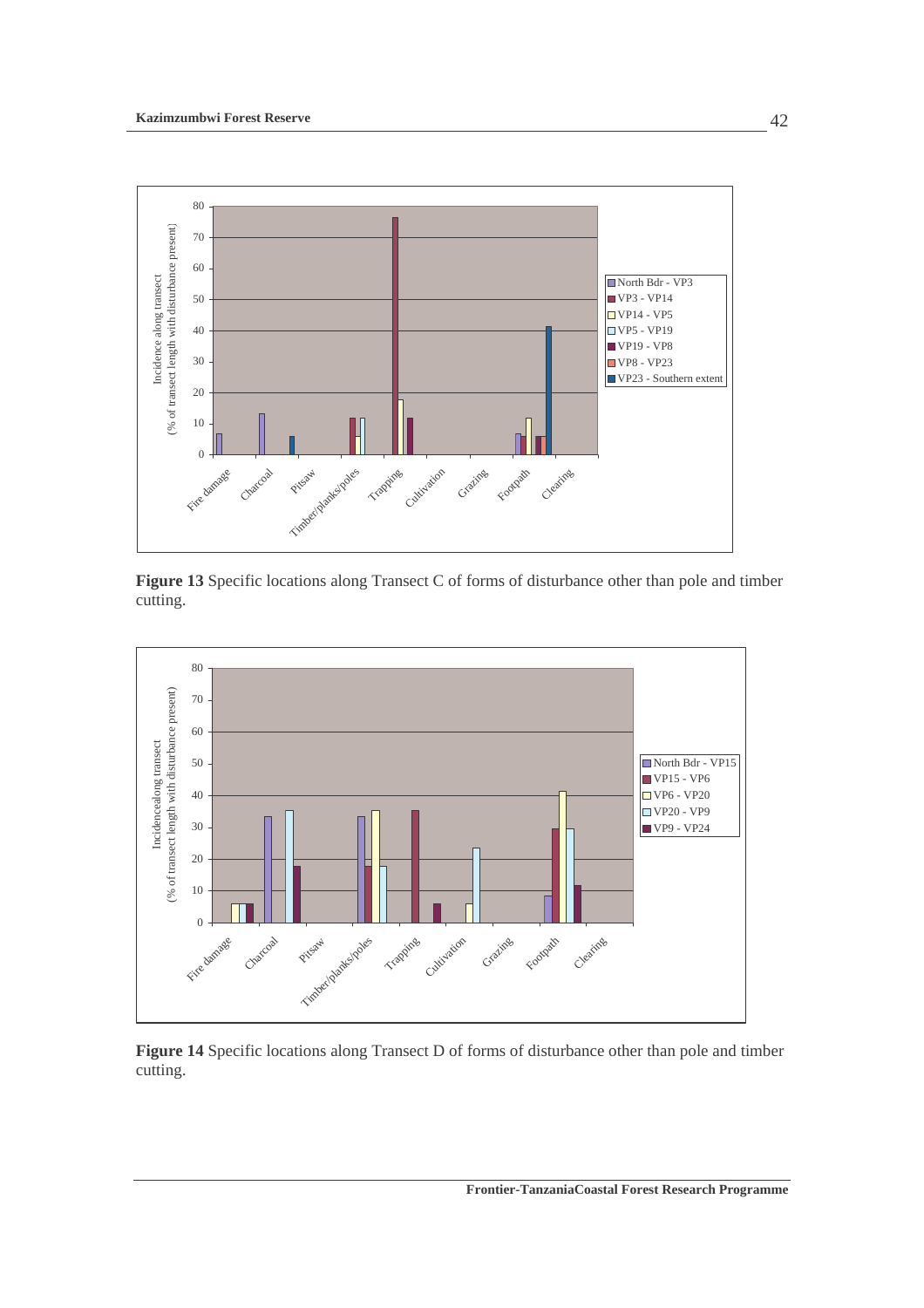

**Figure 13** Specific locations along Transect C of forms of disturbance other than pole and timber cutting.



**Figure 14** Specific locations along Transect D of forms of disturbance other than pole and timber cutting.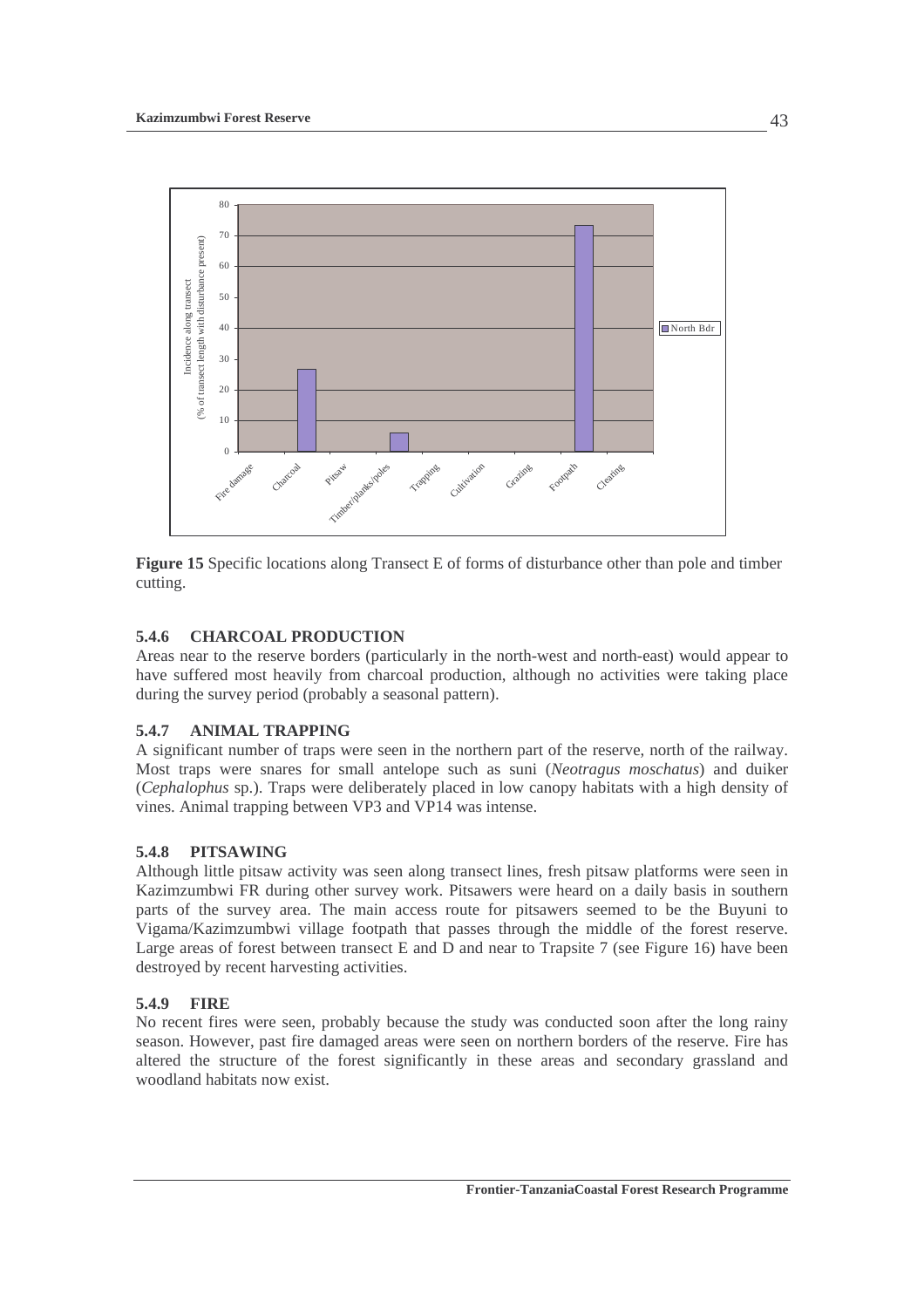

**Figure 15** Specific locations along Transect E of forms of disturbance other than pole and timber cutting.

### **5.4.6 CHARCOAL PRODUCTION**

Areas near to the reserve borders (particularly in the north-west and north-east) would appear to have suffered most heavily from charcoal production, although no activities were taking place during the survey period (probably a seasonal pattern).

## **5.4.7 ANIMAL TRAPPING**

A significant number of traps were seen in the northern part of the reserve, north of the railway. Most traps were snares for small antelope such as suni (*Neotragus moschatus*) and duiker (*Cephalophus* sp.). Traps were deliberately placed in low canopy habitats with a high density of vines. Animal trapping between VP3 and VP14 was intense.

### **5.4.8 PITSAWING**

Although little pitsaw activity was seen along transect lines, fresh pitsaw platforms were seen in Kazimzumbwi FR during other survey work. Pitsawers were heard on a daily basis in southern parts of the survey area. The main access route for pitsawers seemed to be the Buyuni to Vigama/Kazimzumbwi village footpath that passes through the middle of the forest reserve. Large areas of forest between transect E and D and near to Trapsite 7 (see Figure 16) have been destroyed by recent harvesting activities.

### **5.4.9 FIRE**

No recent fires were seen, probably because the study was conducted soon after the long rainy season. However, past fire damaged areas were seen on northern borders of the reserve. Fire has altered the structure of the forest significantly in these areas and secondary grassland and woodland habitats now exist.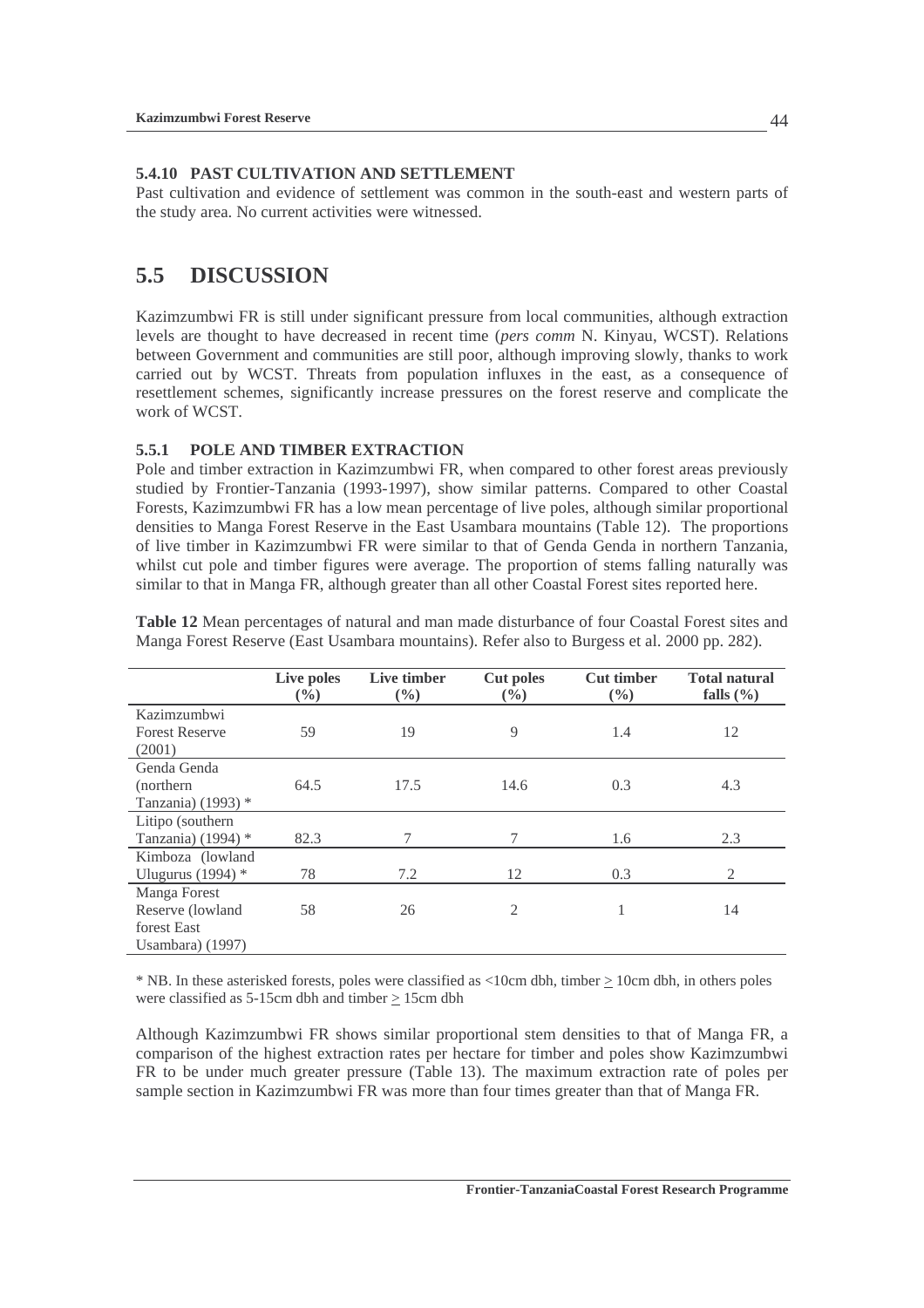### **5.4.10 PAST CULTIVATION AND SETTLEMENT**

Past cultivation and evidence of settlement was common in the south-east and western parts of the study area. No current activities were witnessed.

## **5.5 DISCUSSION**

Kazimzumbwi FR is still under significant pressure from local communities, although extraction levels are thought to have decreased in recent time (*pers comm* N. Kinyau, WCST). Relations between Government and communities are still poor, although improving slowly, thanks to work carried out by WCST. Threats from population influxes in the east, as a consequence of resettlement schemes, significantly increase pressures on the forest reserve and complicate the work of WCST.

### **5.5.1 POLE AND TIMBER EXTRACTION**

Pole and timber extraction in Kazimzumbwi FR, when compared to other forest areas previously studied by Frontier-Tanzania (1993-1997), show similar patterns. Compared to other Coastal Forests, Kazimzumbwi FR has a low mean percentage of live poles, although similar proportional densities to Manga Forest Reserve in the East Usambara mountains (Table 12). The proportions of live timber in Kazimzumbwi FR were similar to that of Genda Genda in northern Tanzania, whilst cut pole and timber figures were average. The proportion of stems falling naturally was similar to that in Manga FR, although greater than all other Coastal Forest sites reported here.

|                                                                      | Live poles<br>$\left(\frac{0}{0}\right)$ | Live timber<br>$(\%)$ | <b>Cut poles</b><br>$(\%)$ | <b>Cut timber</b><br>$(\%)$ | <b>Total natural</b><br>falls $(\% )$ |
|----------------------------------------------------------------------|------------------------------------------|-----------------------|----------------------------|-----------------------------|---------------------------------------|
| Kazimzumbwi<br><b>Forest Reserve</b><br>(2001)                       | 59                                       | 19                    | 9                          | 1.4                         | 12                                    |
| Genda Genda<br>(northern)<br>Tanzania) (1993) *                      | 64.5                                     | 17.5                  | 14.6                       | 0.3                         | 4.3                                   |
| Litipo (southern)<br>Tanzania) (1994) $*$                            | 82.3                                     | 7                     | 7                          | 1.6                         | 2.3                                   |
| Kimboza (lowland<br>Ulugurus (1994) $*$                              | 78                                       | 7.2                   | 12                         | 0.3                         | 2                                     |
| Manga Forest<br>Reserve (lowland<br>forest East<br>Usambara $(1997)$ | 58                                       | 26                    | 2                          |                             | 14                                    |

**Table 12** Mean percentages of natural and man made disturbance of four Coastal Forest sites and Manga Forest Reserve (East Usambara mountains). Refer also to Burgess et al. 2000 pp. 282).

\* NB. In these asterisked forests, poles were classified as <10cm dbh, timber > 10cm dbh, in others poles were classified as 5-15cm dbh and timber > 15cm dbh

Although Kazimzumbwi FR shows similar proportional stem densities to that of Manga FR, a comparison of the highest extraction rates per hectare for timber and poles show Kazimzumbwi FR to be under much greater pressure (Table 13). The maximum extraction rate of poles per sample section in Kazimzumbwi FR was more than four times greater than that of Manga FR.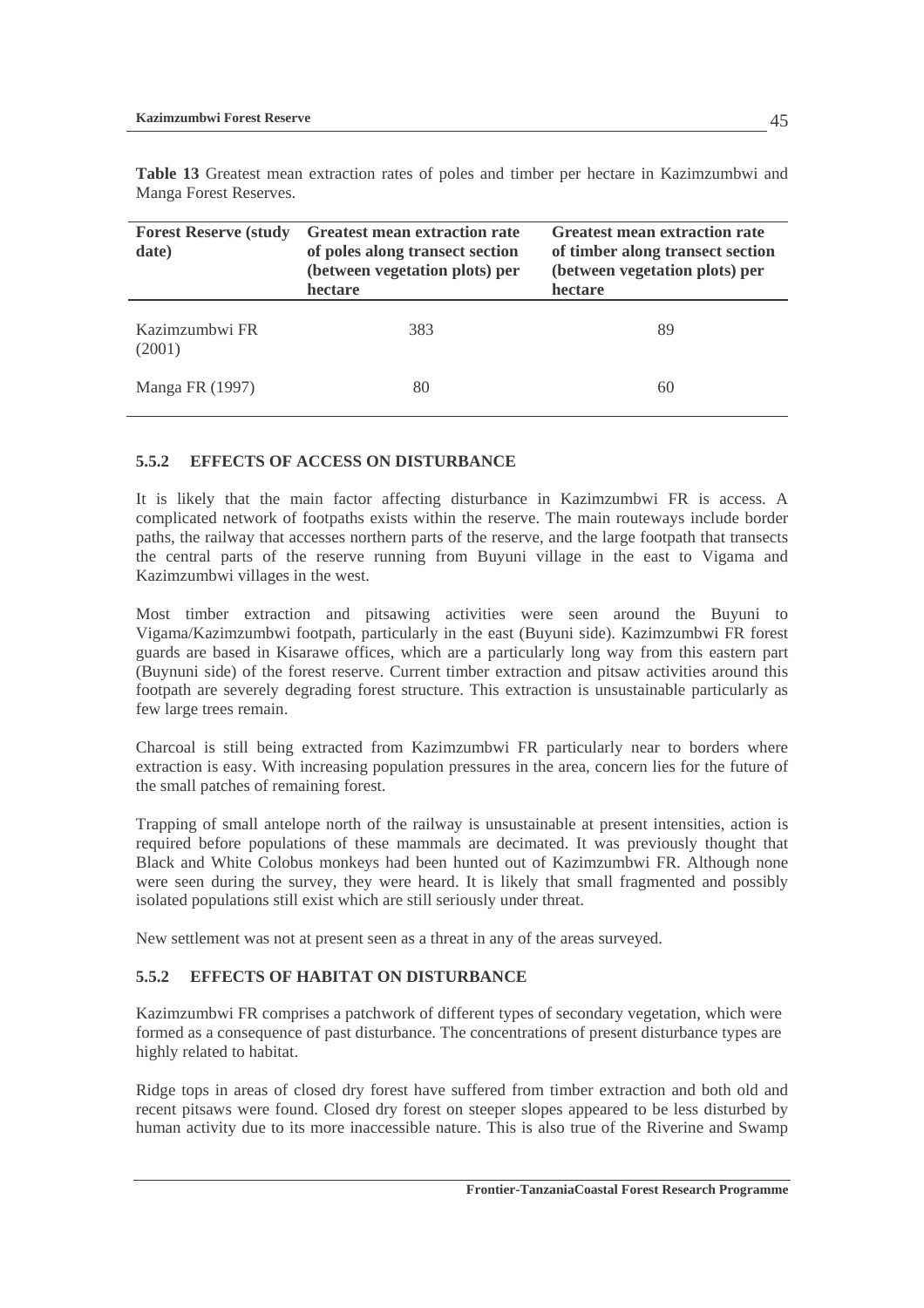**Table 13** Greatest mean extraction rates of poles and timber per hectare in Kazimzumbwi and Manga Forest Reserves.

| <b>Forest Reserve (study</b><br>date) | Greatest mean extraction rate<br>of poles along transect section<br>(between vegetation plots) per<br>hectare | Greatest mean extraction rate<br>of timber along transect section<br>(between vegetation plots) per<br>hectare |  |  |  |
|---------------------------------------|---------------------------------------------------------------------------------------------------------------|----------------------------------------------------------------------------------------------------------------|--|--|--|
| Kazimzumbwi FR<br>(2001)              | 383                                                                                                           | 89                                                                                                             |  |  |  |
| Manga FR (1997)                       | 80                                                                                                            | 60                                                                                                             |  |  |  |

### **5.5.2 EFFECTS OF ACCESS ON DISTURBANCE**

It is likely that the main factor affecting disturbance in Kazimzumbwi FR is access. A complicated network of footpaths exists within the reserve. The main routeways include border paths, the railway that accesses northern parts of the reserve, and the large footpath that transects the central parts of the reserve running from Buyuni village in the east to Vigama and Kazimzumbwi villages in the west.

Most timber extraction and pitsawing activities were seen around the Buyuni to Vigama/Kazimzumbwi footpath, particularly in the east (Buyuni side). Kazimzumbwi FR forest guards are based in Kisarawe offices, which are a particularly long way from this eastern part (Buynuni side) of the forest reserve. Current timber extraction and pitsaw activities around this footpath are severely degrading forest structure. This extraction is unsustainable particularly as few large trees remain.

Charcoal is still being extracted from Kazimzumbwi FR particularly near to borders where extraction is easy. With increasing population pressures in the area, concern lies for the future of the small patches of remaining forest.

Trapping of small antelope north of the railway is unsustainable at present intensities, action is required before populations of these mammals are decimated. It was previously thought that Black and White Colobus monkeys had been hunted out of Kazimzumbwi FR. Although none were seen during the survey, they were heard. It is likely that small fragmented and possibly isolated populations still exist which are still seriously under threat.

New settlement was not at present seen as a threat in any of the areas surveyed.

### **5.5.2 EFFECTS OF HABITAT ON DISTURBANCE**

Kazimzumbwi FR comprises a patchwork of different types of secondary vegetation, which were formed as a consequence of past disturbance. The concentrations of present disturbance types are highly related to habitat.

Ridge tops in areas of closed dry forest have suffered from timber extraction and both old and recent pitsaws were found. Closed dry forest on steeper slopes appeared to be less disturbed by human activity due to its more inaccessible nature. This is also true of the Riverine and Swamp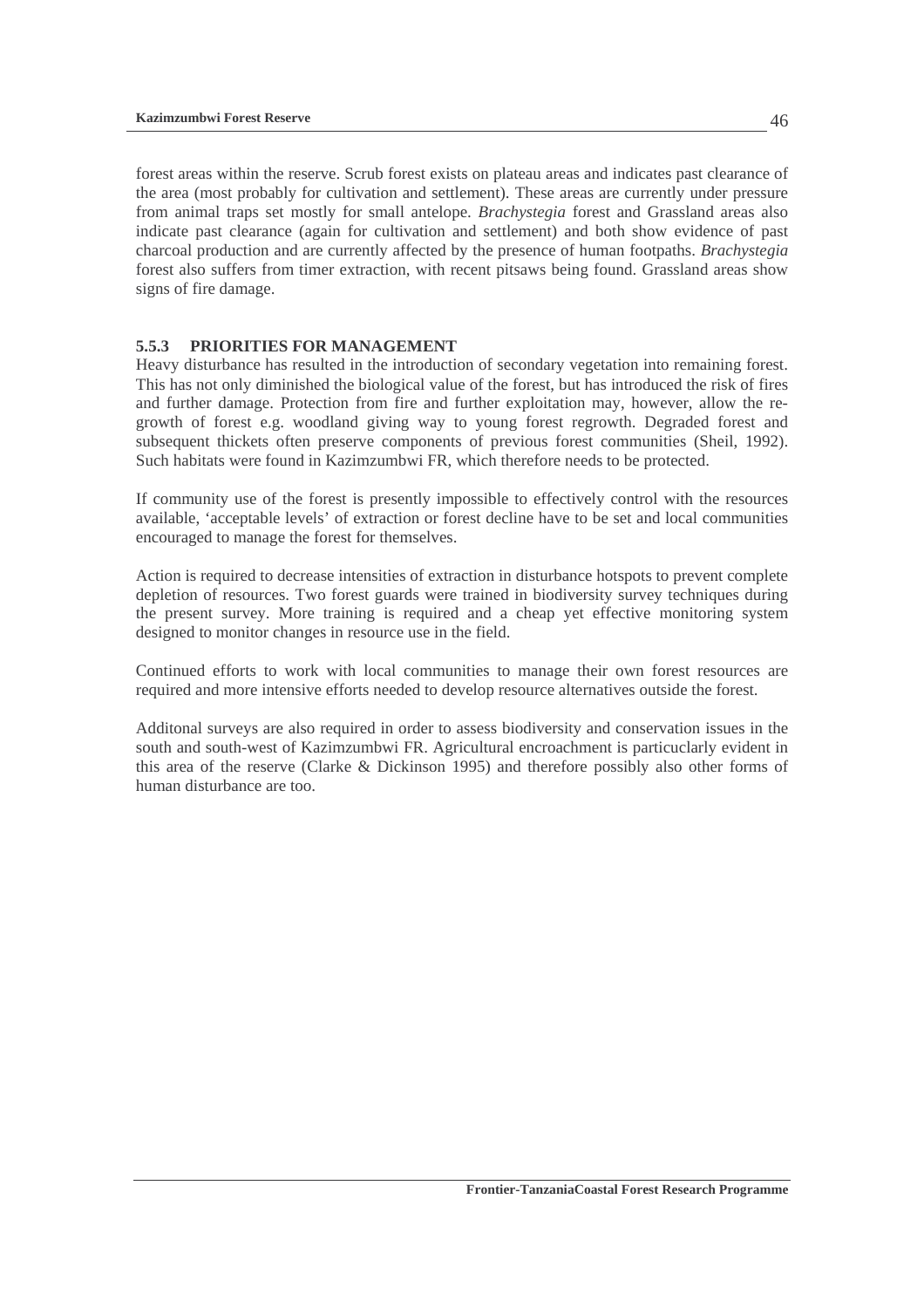forest areas within the reserve. Scrub forest exists on plateau areas and indicates past clearance of the area (most probably for cultivation and settlement). These areas are currently under pressure from animal traps set mostly for small antelope. *Brachystegia* forest and Grassland areas also indicate past clearance (again for cultivation and settlement) and both show evidence of past charcoal production and are currently affected by the presence of human footpaths. *Brachystegia* forest also suffers from timer extraction, with recent pitsaws being found. Grassland areas show signs of fire damage.

### **5.5.3 PRIORITIES FOR MANAGEMENT**

Heavy disturbance has resulted in the introduction of secondary vegetation into remaining forest. This has not only diminished the biological value of the forest, but has introduced the risk of fires and further damage. Protection from fire and further exploitation may, however, allow the regrowth of forest e.g. woodland giving way to young forest regrowth. Degraded forest and subsequent thickets often preserve components of previous forest communities (Sheil, 1992). Such habitats were found in Kazimzumbwi FR, which therefore needs to be protected.

If community use of the forest is presently impossible to effectively control with the resources available, 'acceptable levels' of extraction or forest decline have to be set and local communities encouraged to manage the forest for themselves.

Action is required to decrease intensities of extraction in disturbance hotspots to prevent complete depletion of resources. Two forest guards were trained in biodiversity survey techniques during the present survey. More training is required and a cheap yet effective monitoring system designed to monitor changes in resource use in the field.

Continued efforts to work with local communities to manage their own forest resources are required and more intensive efforts needed to develop resource alternatives outside the forest.

Additonal surveys are also required in order to assess biodiversity and conservation issues in the south and south-west of Kazimzumbwi FR. Agricultural encroachment is particuclarly evident in this area of the reserve (Clarke & Dickinson 1995) and therefore possibly also other forms of human disturbance are too.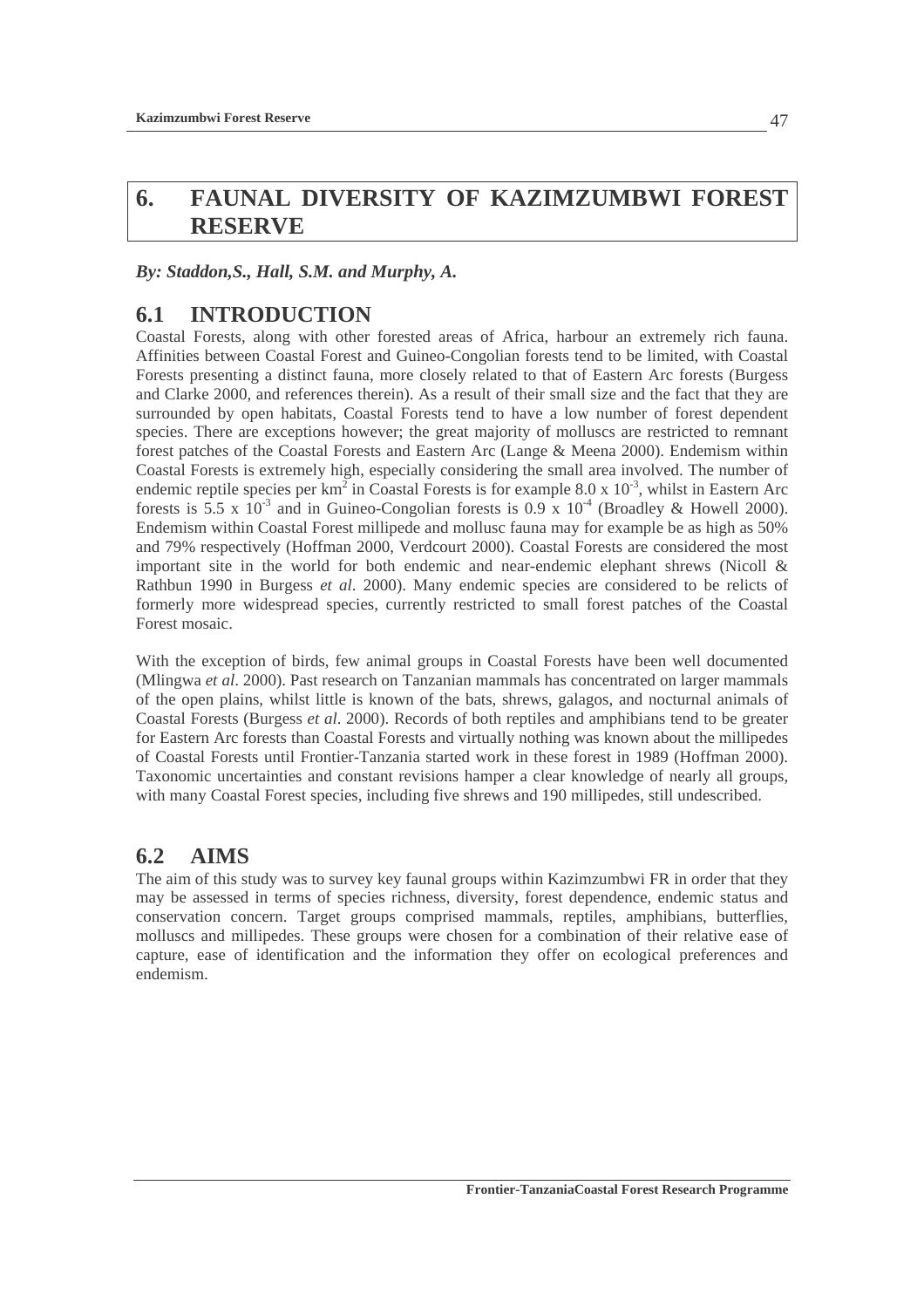# **6. FAUNAL DIVERSITY OF KAZIMZUMBWI FOREST RESERVE**

*By: Staddon,S., Hall, S.M. and Murphy, A.* 

# **6.1 INTRODUCTION**

Coastal Forests, along with other forested areas of Africa, harbour an extremely rich fauna. Affinities between Coastal Forest and Guineo-Congolian forests tend to be limited, with Coastal Forests presenting a distinct fauna, more closely related to that of Eastern Arc forests (Burgess and Clarke 2000, and references therein). As a result of their small size and the fact that they are surrounded by open habitats, Coastal Forests tend to have a low number of forest dependent species. There are exceptions however; the great majority of molluscs are restricted to remnant forest patches of the Coastal Forests and Eastern Arc (Lange & Meena 2000). Endemism within Coastal Forests is extremely high, especially considering the small area involved. The number of endemic reptile species per  $km^2$  in Coastal Forests is for example 8.0 x  $10^{-3}$ , whilst in Eastern Arc forests is 5.5 x  $10^{-3}$  and in Guineo-Congolian forests is 0.9 x  $10^{-4}$  (Broadley & Howell 2000). Endemism within Coastal Forest millipede and mollusc fauna may for example be as high as 50% and 79% respectively (Hoffman 2000, Verdcourt 2000). Coastal Forests are considered the most important site in the world for both endemic and near-endemic elephant shrews (Nicoll  $\&$ Rathbun 1990 in Burgess *et al*. 2000). Many endemic species are considered to be relicts of formerly more widespread species, currently restricted to small forest patches of the Coastal Forest mosaic.

With the exception of birds, few animal groups in Coastal Forests have been well documented (Mlingwa *et al*. 2000). Past research on Tanzanian mammals has concentrated on larger mammals of the open plains, whilst little is known of the bats, shrews, galagos, and nocturnal animals of Coastal Forests (Burgess *et al*. 2000). Records of both reptiles and amphibians tend to be greater for Eastern Arc forests than Coastal Forests and virtually nothing was known about the millipedes of Coastal Forests until Frontier-Tanzania started work in these forest in 1989 (Hoffman 2000). Taxonomic uncertainties and constant revisions hamper a clear knowledge of nearly all groups, with many Coastal Forest species, including five shrews and 190 millipedes, still undescribed.

# **6.2 AIMS**

The aim of this study was to survey key faunal groups within Kazimzumbwi FR in order that they may be assessed in terms of species richness, diversity, forest dependence, endemic status and conservation concern. Target groups comprised mammals, reptiles, amphibians, butterflies, molluscs and millipedes. These groups were chosen for a combination of their relative ease of capture, ease of identification and the information they offer on ecological preferences and endemism.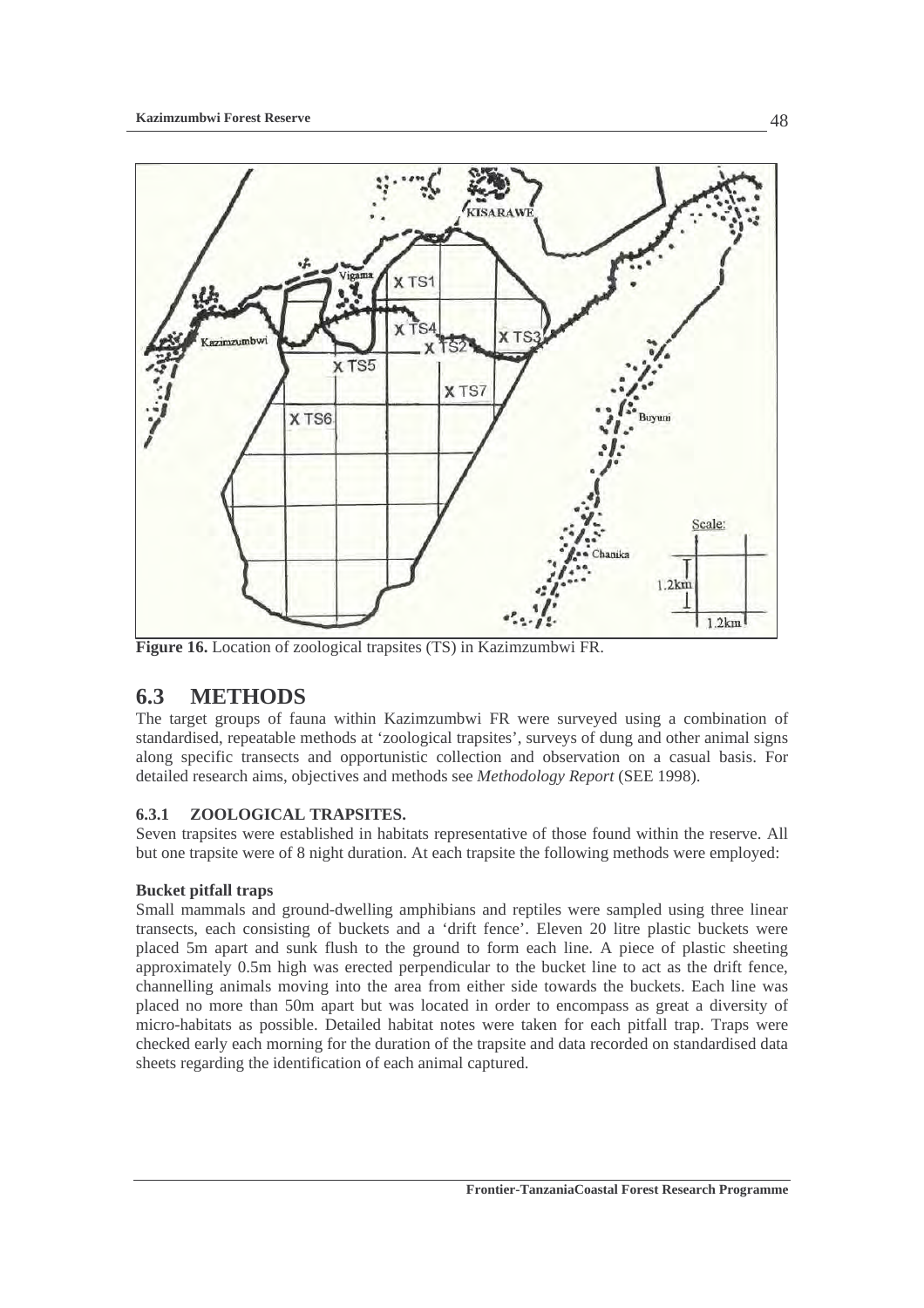

**Figure 16.** Location of zoological trapsites (TS) in Kazimzumbwi FR.

# **6.3 METHODS**

The target groups of fauna within Kazimzumbwi FR were surveyed using a combination of standardised, repeatable methods at 'zoological trapsites', surveys of dung and other animal signs along specific transects and opportunistic collection and observation on a casual basis. For detailed research aims, objectives and methods see *Methodology Report* (SEE 1998).

## **6.3.1 ZOOLOGICAL TRAPSITES.**

Seven trapsites were established in habitats representative of those found within the reserve. All but one trapsite were of 8 night duration. At each trapsite the following methods were employed:

## **Bucket pitfall traps**

Small mammals and ground-dwelling amphibians and reptiles were sampled using three linear transects, each consisting of buckets and a 'drift fence'. Eleven 20 litre plastic buckets were placed 5m apart and sunk flush to the ground to form each line. A piece of plastic sheeting approximately 0.5m high was erected perpendicular to the bucket line to act as the drift fence, channelling animals moving into the area from either side towards the buckets. Each line was placed no more than 50m apart but was located in order to encompass as great a diversity of micro-habitats as possible. Detailed habitat notes were taken for each pitfall trap. Traps were checked early each morning for the duration of the trapsite and data recorded on standardised data sheets regarding the identification of each animal captured.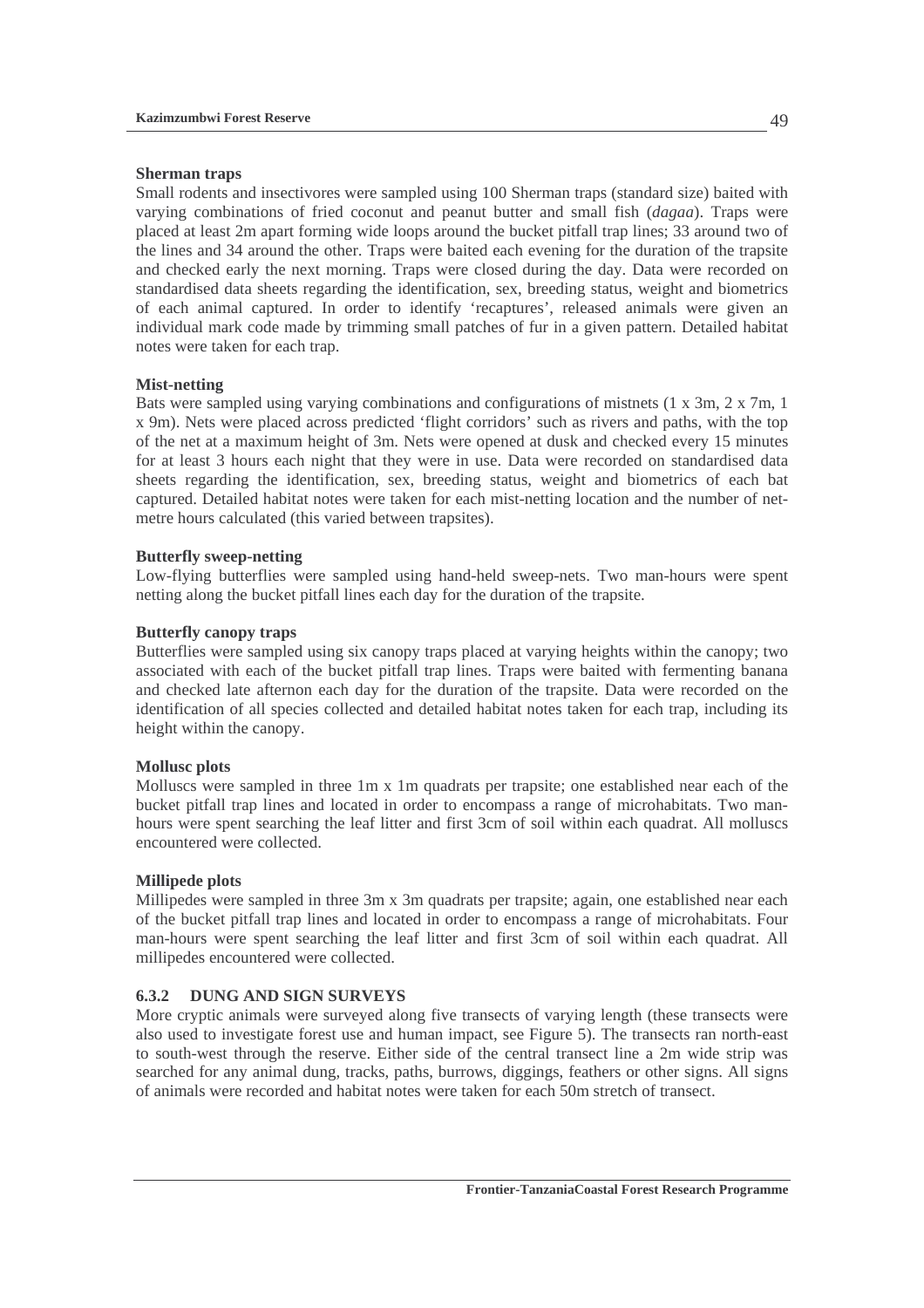### **Sherman traps**

Small rodents and insectivores were sampled using 100 Sherman traps (standard size) baited with varying combinations of fried coconut and peanut butter and small fish (*dagaa*). Traps were placed at least 2m apart forming wide loops around the bucket pitfall trap lines; 33 around two of the lines and 34 around the other. Traps were baited each evening for the duration of the trapsite and checked early the next morning. Traps were closed during the day. Data were recorded on standardised data sheets regarding the identification, sex, breeding status, weight and biometrics of each animal captured. In order to identify 'recaptures', released animals were given an individual mark code made by trimming small patches of fur in a given pattern. Detailed habitat notes were taken for each trap.

### **Mist-netting**

Bats were sampled using varying combinations and configurations of mistnets (1 x 3m, 2 x 7m, 1 x 9m). Nets were placed across predicted 'flight corridors' such as rivers and paths, with the top of the net at a maximum height of 3m. Nets were opened at dusk and checked every 15 minutes for at least 3 hours each night that they were in use. Data were recorded on standardised data sheets regarding the identification, sex, breeding status, weight and biometrics of each bat captured. Detailed habitat notes were taken for each mist-netting location and the number of netmetre hours calculated (this varied between trapsites).

### **Butterfly sweep-netting**

Low-flying butterflies were sampled using hand-held sweep-nets. Two man-hours were spent netting along the bucket pitfall lines each day for the duration of the trapsite.

### **Butterfly canopy traps**

Butterflies were sampled using six canopy traps placed at varying heights within the canopy; two associated with each of the bucket pitfall trap lines. Traps were baited with fermenting banana and checked late afternon each day for the duration of the trapsite. Data were recorded on the identification of all species collected and detailed habitat notes taken for each trap, including its height within the canopy.

#### **Mollusc plots**

Molluscs were sampled in three 1m x 1m quadrats per trapsite; one established near each of the bucket pitfall trap lines and located in order to encompass a range of microhabitats. Two manhours were spent searching the leaf litter and first 3cm of soil within each quadrat. All molluscs encountered were collected.

### **Millipede plots**

Millipedes were sampled in three 3m x 3m quadrats per trapsite; again, one established near each of the bucket pitfall trap lines and located in order to encompass a range of microhabitats. Four man-hours were spent searching the leaf litter and first 3cm of soil within each quadrat. All millipedes encountered were collected.

### **6.3.2 DUNG AND SIGN SURVEYS**

More cryptic animals were surveyed along five transects of varying length (these transects were also used to investigate forest use and human impact, see Figure 5). The transects ran north-east to south-west through the reserve. Either side of the central transect line a 2m wide strip was searched for any animal dung, tracks, paths, burrows, diggings, feathers or other signs. All signs of animals were recorded and habitat notes were taken for each 50m stretch of transect.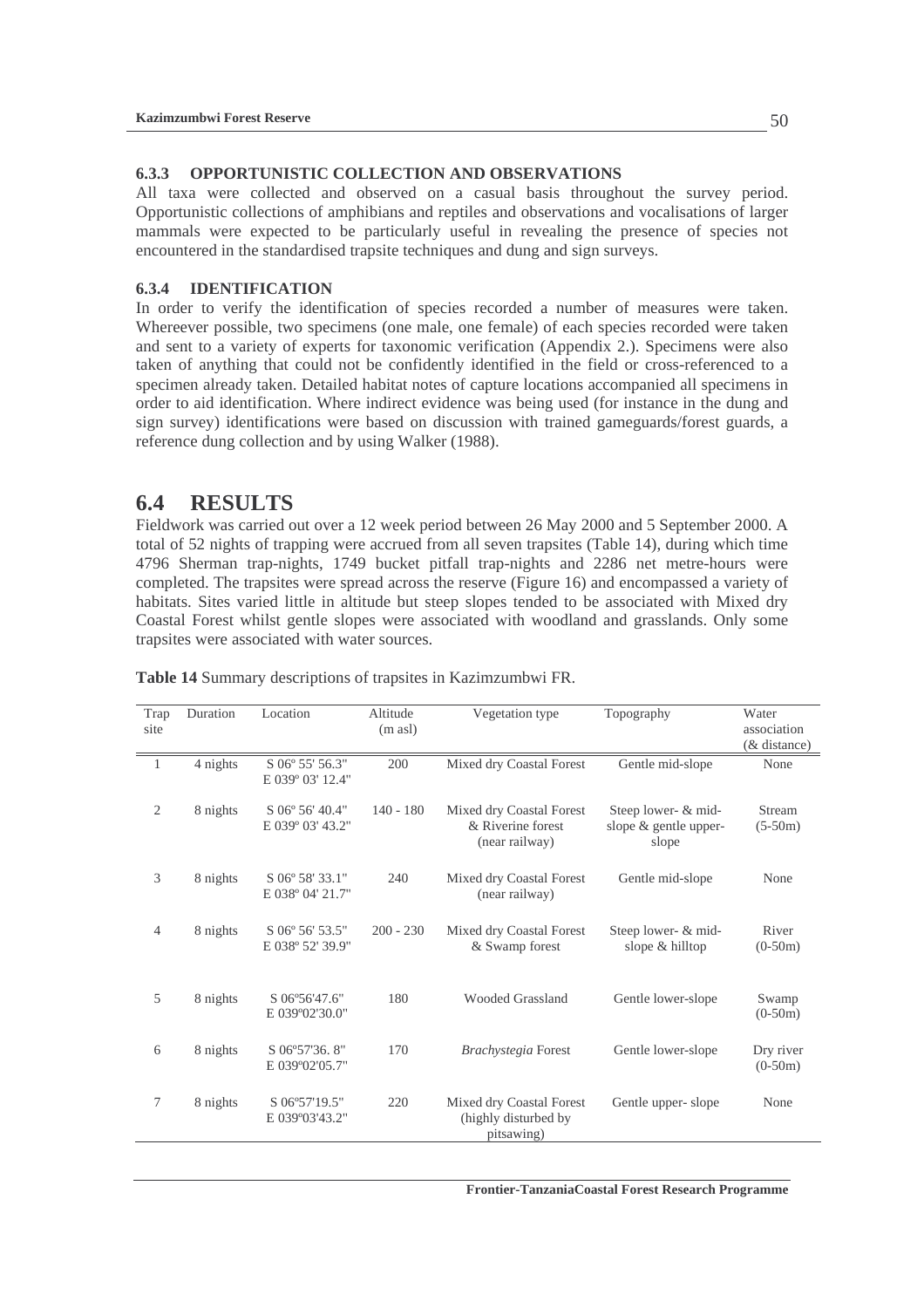### **6.3.3 OPPORTUNISTIC COLLECTION AND OBSERVATIONS**

All taxa were collected and observed on a casual basis throughout the survey period. Opportunistic collections of amphibians and reptiles and observations and vocalisations of larger mammals were expected to be particularly useful in revealing the presence of species not encountered in the standardised trapsite techniques and dung and sign surveys.

### **6.3.4 IDENTIFICATION**

In order to verify the identification of species recorded a number of measures were taken. Whereever possible, two specimens (one male, one female) of each species recorded were taken and sent to a variety of experts for taxonomic verification (Appendix 2.). Specimens were also taken of anything that could not be confidently identified in the field or cross-referenced to a specimen already taken. Detailed habitat notes of capture locations accompanied all specimens in order to aid identification. Where indirect evidence was being used (for instance in the dung and sign survey) identifications were based on discussion with trained gameguards/forest guards, a reference dung collection and by using Walker (1988).

## **6.4 RESULTS**

Fieldwork was carried out over a 12 week period between 26 May 2000 and 5 September 2000. A total of 52 nights of trapping were accrued from all seven trapsites (Table 14), during which time 4796 Sherman trap-nights, 1749 bucket pitfall trap-nights and 2286 net metre-hours were completed. The trapsites were spread across the reserve (Figure 16) and encompassed a variety of habitats. Sites varied little in altitude but steep slopes tended to be associated with Mixed dry Coastal Forest whilst gentle slopes were associated with woodland and grasslands. Only some trapsites were associated with water sources.

| Trap<br>site   | Duration | Location                            | Altitude<br>$(m \text{ as } l)$ | Vegetation type                                                 | Topography                                            | Water<br>association<br>$(x$ distance) |
|----------------|----------|-------------------------------------|---------------------------------|-----------------------------------------------------------------|-------------------------------------------------------|----------------------------------------|
| 1              | 4 nights | S 06° 55' 56.3"<br>E 039° 03' 12.4" | 200                             | Mixed dry Coastal Forest                                        | Gentle mid-slope                                      | None                                   |
| $\overline{2}$ | 8 nights | S 06° 56' 40.4"<br>E 039° 03' 43.2" | $140 - 180$                     | Mixed dry Coastal Forest<br>& Riverine forest<br>(near railway) | Steep lower- & mid-<br>slope & gentle upper-<br>slope | <b>Stream</b><br>$(5-50m)$             |
| 3              | 8 nights | S 06° 58′ 33.1″<br>E 038° 04' 21.7" | 240                             | Mixed dry Coastal Forest<br>(near railway)                      | Gentle mid-slope                                      | None                                   |
| $\overline{4}$ | 8 nights | S 06° 56' 53.5"<br>E 038° 52' 39.9" | $200 - 230$                     | Mixed dry Coastal Forest<br>& Swamp forest                      | Steep lower- & mid-<br>slope & hilltop                | River<br>$(0-50m)$                     |
| 5              | 8 nights | S 06°56'47.6"<br>E 039°02'30.0"     | 180                             | <b>Wooded Grassland</b>                                         | Gentle lower-slope                                    | Swamp<br>$(0-50m)$                     |
| 6              | 8 nights | S 06°57'36.8"<br>E 039°02'05.7"     | 170                             | Brachystegia Forest                                             | Gentle lower-slope                                    | Dry river<br>$(0-50m)$                 |
| $\tau$         | 8 nights | S 06°57'19.5"<br>E 039°03'43.2"     | 220                             | Mixed dry Coastal Forest<br>(highly disturbed by<br>pitsawing)  | Gentle upper-slope                                    | None                                   |

**Table 14** Summary descriptions of trapsites in Kazimzumbwi FR.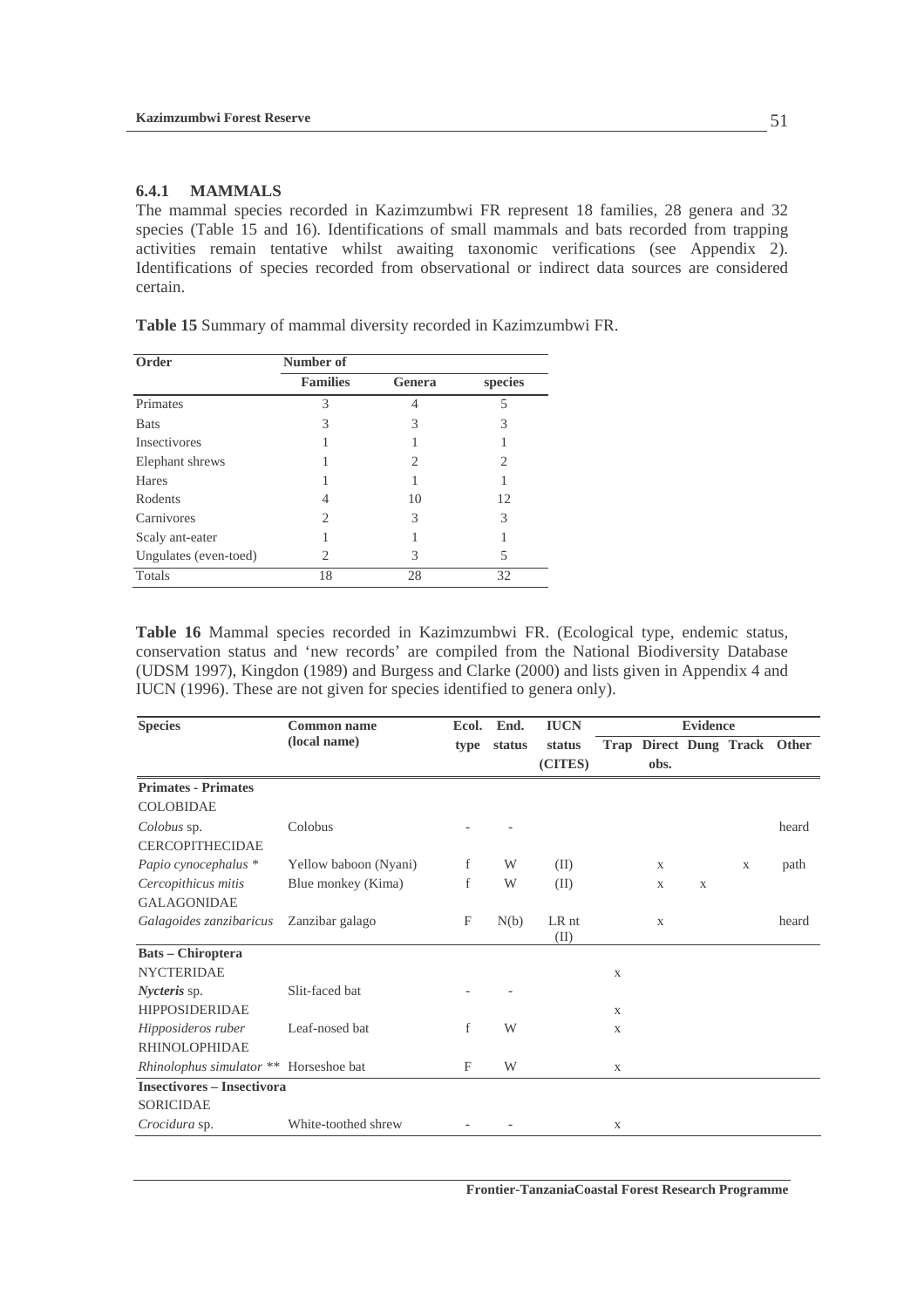### **6.4.1 MAMMALS**

The mammal species recorded in Kazimzumbwi FR represent 18 families, 28 genera and 32 species (Table 15 and 16). Identifications of small mammals and bats recorded from trapping activities remain tentative whilst awaiting taxonomic verifications (see Appendix 2). Identifications of species recorded from observational or indirect data sources are considered certain.

| Order                 | Number of       |        |         |
|-----------------------|-----------------|--------|---------|
|                       | <b>Families</b> | Genera | species |
| Primates              | 3               |        | 5       |
| <b>Bats</b>           | 3               | 3      | 3       |
| Insectivores          |                 |        |         |
| Elephant shrews       |                 | 2      | 2       |
| Hares                 |                 |        |         |
| Rodents               | 4               | 10     | 12      |
| Carnivores            | 2               | 3      | 3       |
| Scaly ant-eater       |                 |        |         |
| Ungulates (even-toed) | 2               | 3      | 5       |
| Totals                | 18              | 28     | 32      |

**Table 15** Summary of mammal diversity recorded in Kazimzumbwi FR.

**Table 16** Mammal species recorded in Kazimzumbwi FR. (Ecological type, endemic status, conservation status and 'new records' are compiled from the National Biodiversity Database (UDSM 1997), Kingdon (1989) and Burgess and Clarke (2000) and lists given in Appendix 4 and IUCN (1996). These are not given for species identified to genera only).

| <b>Species</b>                         | <b>Common name</b>    | Ecol. | End.   | <b>IUCN</b>   |              |              | <b>Evidence</b> |                              |       |
|----------------------------------------|-----------------------|-------|--------|---------------|--------------|--------------|-----------------|------------------------------|-------|
|                                        | (local name)          | type  | status | status        |              |              |                 | Trap Direct Dung Track Other |       |
|                                        |                       |       |        | (CITES)       |              | obs.         |                 |                              |       |
| <b>Primates - Primates</b>             |                       |       |        |               |              |              |                 |                              |       |
| <b>COLOBIDAE</b>                       |                       |       |        |               |              |              |                 |                              |       |
| Colobus sp.                            | Colobus               |       |        |               |              |              |                 |                              | heard |
| <b>CERCOPITHECIDAE</b>                 |                       |       |        |               |              |              |                 |                              |       |
| Papio cynocephalus *                   | Yellow baboon (Nyani) | f     | W      | (II)          |              | $\mathbf{X}$ |                 | X                            | path  |
| Cercopithicus mitis                    | Blue monkey (Kima)    | f     | W      | (II)          |              | X            | $\mathbf X$     |                              |       |
| <b>GALAGONIDAE</b>                     |                       |       |        |               |              |              |                 |                              |       |
| Galagoides zanzibaricus                | Zanzibar galago       | F     | N(b)   | LR nt<br>(II) |              | X            |                 |                              | heard |
| <b>Bats – Chiroptera</b>               |                       |       |        |               |              |              |                 |                              |       |
| <b>NYCTERIDAE</b>                      |                       |       |        |               | $\mathbf{X}$ |              |                 |                              |       |
| <i>Nycteris</i> sp.                    | Slit-faced bat        |       |        |               |              |              |                 |                              |       |
| <b>HIPPOSIDERIDAE</b>                  |                       |       |        |               | X            |              |                 |                              |       |
| Hipposideros ruber                     | Leaf-nosed bat        | f     | W      |               | X            |              |                 |                              |       |
| RHINOLOPHIDAE                          |                       |       |        |               |              |              |                 |                              |       |
| Rhinolophus simulator ** Horseshoe bat |                       | F     | W      |               | X            |              |                 |                              |       |
| <b>Insectivores - Insectivora</b>      |                       |       |        |               |              |              |                 |                              |       |
| <b>SORICIDAE</b>                       |                       |       |        |               |              |              |                 |                              |       |
| Crocidura sp.                          | White-toothed shrew   |       |        |               | $\mathbf X$  |              |                 |                              |       |

**Frontier-TanzaniaCoastal Forest Research Programme**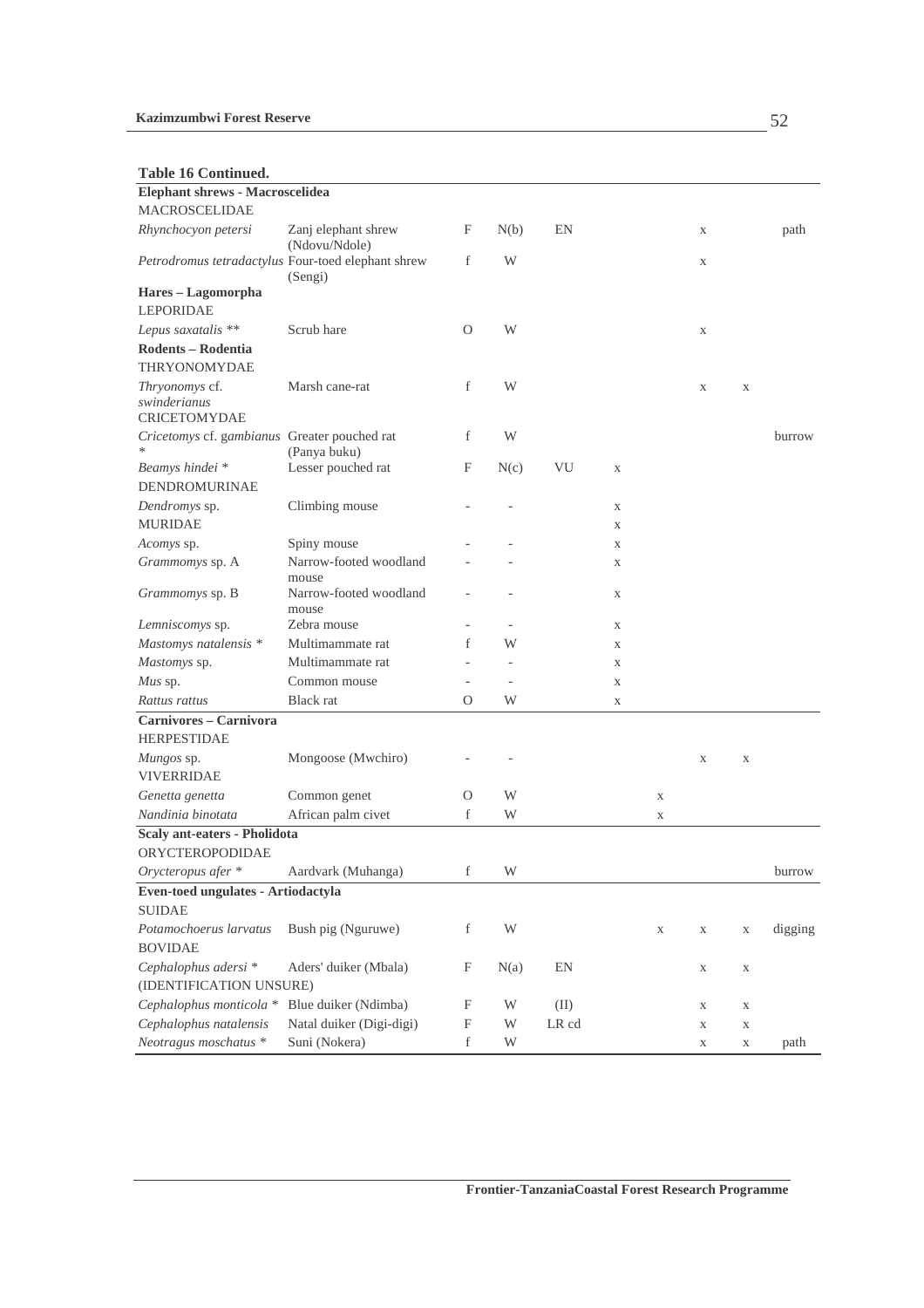**Table 16 Continued.** 

| Elephant shrews - Macroscelidea                       |                                      |                           |      |       |             |             |   |             |         |
|-------------------------------------------------------|--------------------------------------|---------------------------|------|-------|-------------|-------------|---|-------------|---------|
| <b>MACROSCELIDAE</b>                                  |                                      |                           |      |       |             |             |   |             |         |
| Rhynchocyon petersi                                   | Zanj elephant shrew<br>(Ndovu/Ndole) | F                         | N(b) | EN    |             |             | X |             | path    |
| Petrodromus tetradactylus Four-toed elephant shrew    | (Sengi)                              | f                         | W    |       |             |             | X |             |         |
| Hares - Lagomorpha                                    |                                      |                           |      |       |             |             |   |             |         |
| <b>LEPORIDAE</b>                                      |                                      |                           |      |       |             |             |   |             |         |
| Lepus saxatalis **                                    | Scrub hare                           | $\Omega$                  | W    |       |             |             | X |             |         |
| Rodents - Rodentia                                    |                                      |                           |      |       |             |             |   |             |         |
| THRYONOMYDAE                                          |                                      |                           |      |       |             |             |   |             |         |
| Thryonomys cf.<br>swinderianus<br><b>CRICETOMYDAE</b> | Marsh cane-rat                       | f                         | W    |       |             |             | X | $\mathbf X$ |         |
| Cricetomys cf. gambianus Greater pouched rat          | (Panya buku)                         | f                         | W    |       |             |             |   |             | burrow  |
| Beamys hindei <sup>*</sup><br>DENDROMURINAE           | Lesser pouched rat                   | F                         | N(c) | VU    | $\mathbf X$ |             |   |             |         |
| Dendromys sp.                                         | Climbing mouse                       |                           |      |       | $\mathbf X$ |             |   |             |         |
| <b>MURIDAE</b>                                        |                                      |                           |      |       | X           |             |   |             |         |
| Acomys sp.                                            | Spiny mouse                          |                           |      |       | X           |             |   |             |         |
| Grammomys sp. A                                       | Narrow-footed woodland<br>mouse      |                           |      |       | X           |             |   |             |         |
| Grammomys sp. B                                       | Narrow-footed woodland<br>mouse      |                           |      |       | $\mathbf X$ |             |   |             |         |
| Lemniscomys sp.                                       | Zebra mouse                          |                           |      |       | X           |             |   |             |         |
| Mastomys natalensis *                                 | Multimammate rat                     | f                         | W    |       | $\mathbf X$ |             |   |             |         |
| Mastomys sp.                                          | Multimammate rat                     |                           |      |       | X           |             |   |             |         |
| Mus sp.                                               | Common mouse                         | $\sim$                    |      |       | $\mathbf X$ |             |   |             |         |
| Rattus rattus                                         | Black rat                            | $\Omega$                  | W    |       | $\mathbf X$ |             |   |             |         |
| Carnivores - Carnivora                                |                                      |                           |      |       |             |             |   |             |         |
| <b>HERPESTIDAE</b>                                    |                                      |                           |      |       |             |             |   |             |         |
| Mungos sp.<br><b>VIVERRIDAE</b>                       | Mongoose (Mwchiro)                   |                           |      |       |             |             | X | X           |         |
| Genetta genetta                                       | Common genet                         | O                         | W    |       |             | X           |   |             |         |
| Nandinia binotata                                     | African palm civet                   | f                         | W    |       |             | X           |   |             |         |
| Scaly ant-eaters - Pholidota<br>ORYCTEROPODIDAE       |                                      |                           |      |       |             |             |   |             |         |
| Orycteropus afer *                                    | Aardvark (Muhanga)                   | f                         | W    |       |             |             |   |             | burrow  |
| Even-toed ungulates - Artiodactyla                    |                                      |                           |      |       |             |             |   |             |         |
| <b>SUIDAE</b>                                         |                                      |                           |      |       |             |             |   |             |         |
| Potamochoerus larvatus                                | Bush pig (Nguruwe)                   | f                         | W    |       |             | $\mathbf X$ | X | $\mathbf X$ | digging |
| <b>BOVIDAE</b>                                        |                                      |                           |      |       |             |             |   |             |         |
| Cephalophus adersi *<br>(IDENTIFICATION UNSURE)       | Aders' duiker (Mbala)                | $\boldsymbol{\mathrm{F}}$ | N(a) | EN    |             |             | X | $\mathbf X$ |         |
| Cephalophus monticola *                               | Blue duiker (Ndimba)                 | $\boldsymbol{\mathrm{F}}$ | W    | (II)  |             |             | X | $\mathbf X$ |         |
| Cephalophus natalensis                                | Natal duiker (Digi-digi)             | $\boldsymbol{\mathrm{F}}$ | W    | LR cd |             |             | X | $\mathbf X$ |         |
| Neotragus moschatus *                                 | Suni (Nokera)                        | $\mathbf f$               | W    |       |             |             | X | $\mathbf X$ | path    |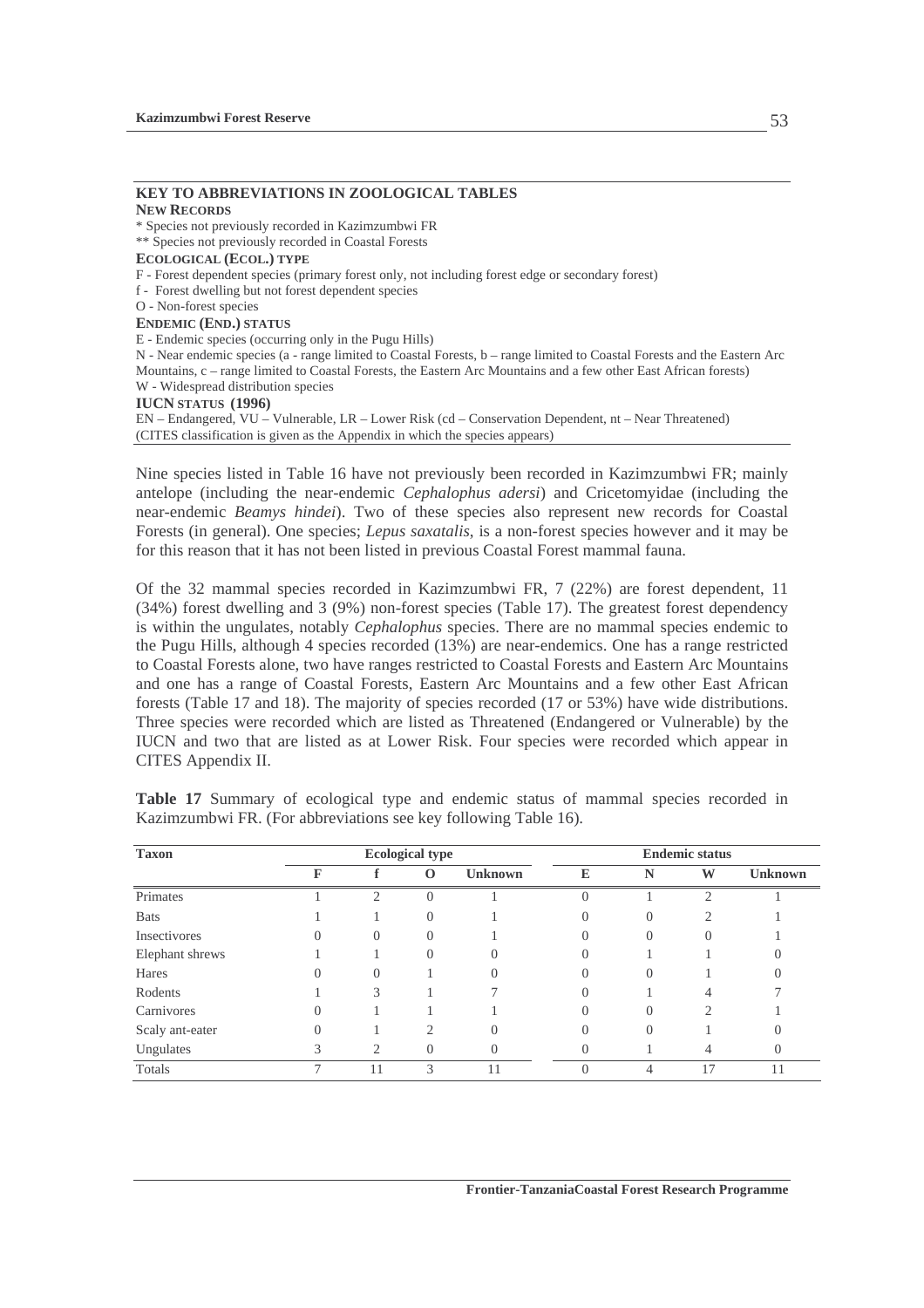## **KEY TO ABBREVIATIONS IN ZOOLOGICAL TABLES**

**NEW RECORDS** \* Species not previously recorded in Kazimzumbwi FR \*\* Species not previously recorded in Coastal Forests **ECOLOGICAL (ECOL.) TYPE**  F - Forest dependent species (primary forest only, not including forest edge or secondary forest) f - Forest dwelling but not forest dependent species O - Non-forest species **ENDEMIC (END.) STATUS** E - Endemic species (occurring only in the Pugu Hills) N - Near endemic species (a - range limited to Coastal Forests, b – range limited to Coastal Forests and the Eastern Arc Mountains, c – range limited to Coastal Forests, the Eastern Arc Mountains and a few other East African forests) W - Widespread distribution species **IUCN STATUS (1996)**  EN – Endangered, VU – Vulnerable, LR – Lower Risk (cd – Conservation Dependent, nt – Near Threatened)

(CITES classification is given as the Appendix in which the species appears)

Nine species listed in Table 16 have not previously been recorded in Kazimzumbwi FR; mainly antelope (including the near-endemic *Cephalophus adersi*) and Cricetomyidae (including the near-endemic *Beamys hindei*). Two of these species also represent new records for Coastal Forests (in general). One species; *Lepus saxatalis*, is a non-forest species however and it may be for this reason that it has not been listed in previous Coastal Forest mammal fauna.

Of the 32 mammal species recorded in Kazimzumbwi FR, 7 (22%) are forest dependent, 11 (34%) forest dwelling and 3 (9%) non-forest species (Table 17). The greatest forest dependency is within the ungulates, notably *Cephalophus* species. There are no mammal species endemic to the Pugu Hills, although 4 species recorded (13%) are near-endemics. One has a range restricted to Coastal Forests alone, two have ranges restricted to Coastal Forests and Eastern Arc Mountains and one has a range of Coastal Forests, Eastern Arc Mountains and a few other East African forests (Table 17 and 18). The majority of species recorded (17 or 53%) have wide distributions. Three species were recorded which are listed as Threatened (Endangered or Vulnerable) by the IUCN and two that are listed as at Lower Risk. Four species were recorded which appear in CITES Appendix II.

| <b>Taxon</b>    |   |                  | <b>Ecological type</b> |                | <b>Endemic status</b> |                  |    |                |
|-----------------|---|------------------|------------------------|----------------|-----------------------|------------------|----|----------------|
|                 | F |                  | $\bf{O}$               | <b>Unknown</b> | E                     | N                | W  | <b>Unknown</b> |
| Primates        |   | ◠                | $\theta$               |                |                       |                  |    |                |
| <b>Bats</b>     |   |                  | $\Omega$               |                |                       | $\left( \right)$ |    |                |
| Insectivores    | υ | $\cup$           | $\left( \right)$       |                |                       | $\left( \right)$ |    |                |
| Elephant shrews |   |                  | $\left( \right)$       |                |                       |                  |    |                |
| Hares           |   | $\left( \right)$ |                        |                |                       | $\left( \right)$ |    |                |
| Rodents         |   |                  |                        |                |                       |                  |    |                |
| Carnivores      | 0 |                  |                        |                |                       | $\left( \right)$ |    |                |
| Scaly ant-eater | O |                  |                        |                |                       | $\mathcal{O}$    |    |                |
| Ungulates       |   |                  | $\Omega$               |                |                       |                  |    |                |
| Totals          |   | 11               | $\mathcal{L}$          |                |                       | 4                | 17 | 11             |

**Table 17** Summary of ecological type and endemic status of mammal species recorded in Kazimzumbwi FR. (For abbreviations see key following Table 16).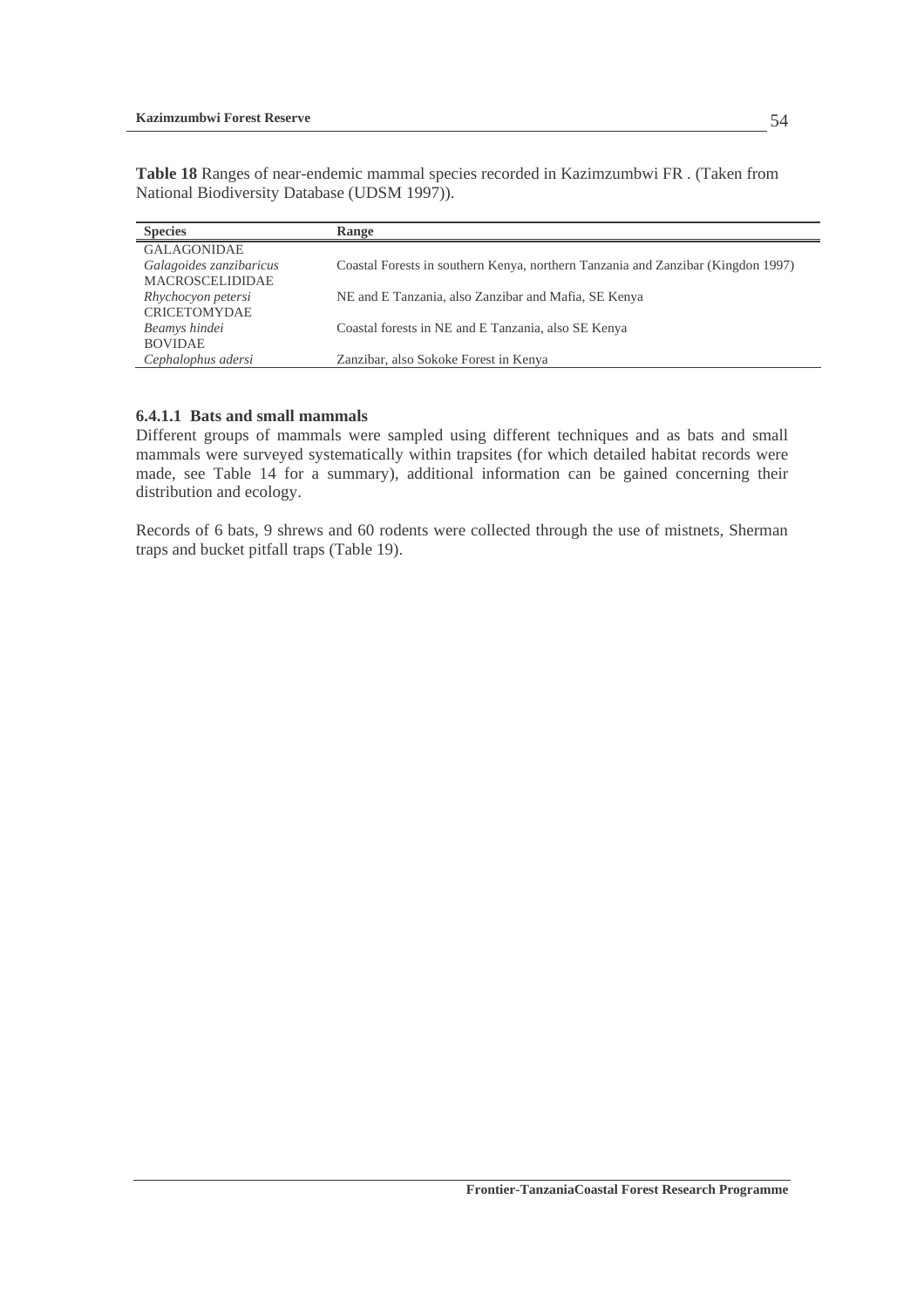**Table 18** Ranges of near-endemic mammal species recorded in Kazimzumbwi FR . (Taken from National Biodiversity Database (UDSM 1997)).

| <b>Species</b>          | Range                                                                            |
|-------------------------|----------------------------------------------------------------------------------|
| <b>GALAGONIDAE</b>      |                                                                                  |
| Galagoides zanzibaricus | Coastal Forests in southern Kenya, northern Tanzania and Zanzibar (Kingdon 1997) |
| MACROSCELIDIDAE         |                                                                                  |
| Rhychocyon petersi      | NE and E Tanzania, also Zanzibar and Mafia, SE Kenya                             |
| <b>CRICETOMYDAE</b>     |                                                                                  |
| Beamys hindei           | Coastal forests in NE and E Tanzania, also SE Kenya                              |
| <b>BOVIDAE</b>          |                                                                                  |
| Cephalophus adersi      | Zanzibar, also Sokoke Forest in Kenya                                            |

### **6.4.1.1 Bats and small mammals**

Different groups of mammals were sampled using different techniques and as bats and small mammals were surveyed systematically within trapsites (for which detailed habitat records were made, see Table 14 for a summary), additional information can be gained concerning their distribution and ecology.

Records of 6 bats, 9 shrews and 60 rodents were collected through the use of mistnets, Sherman traps and bucket pitfall traps (Table 19).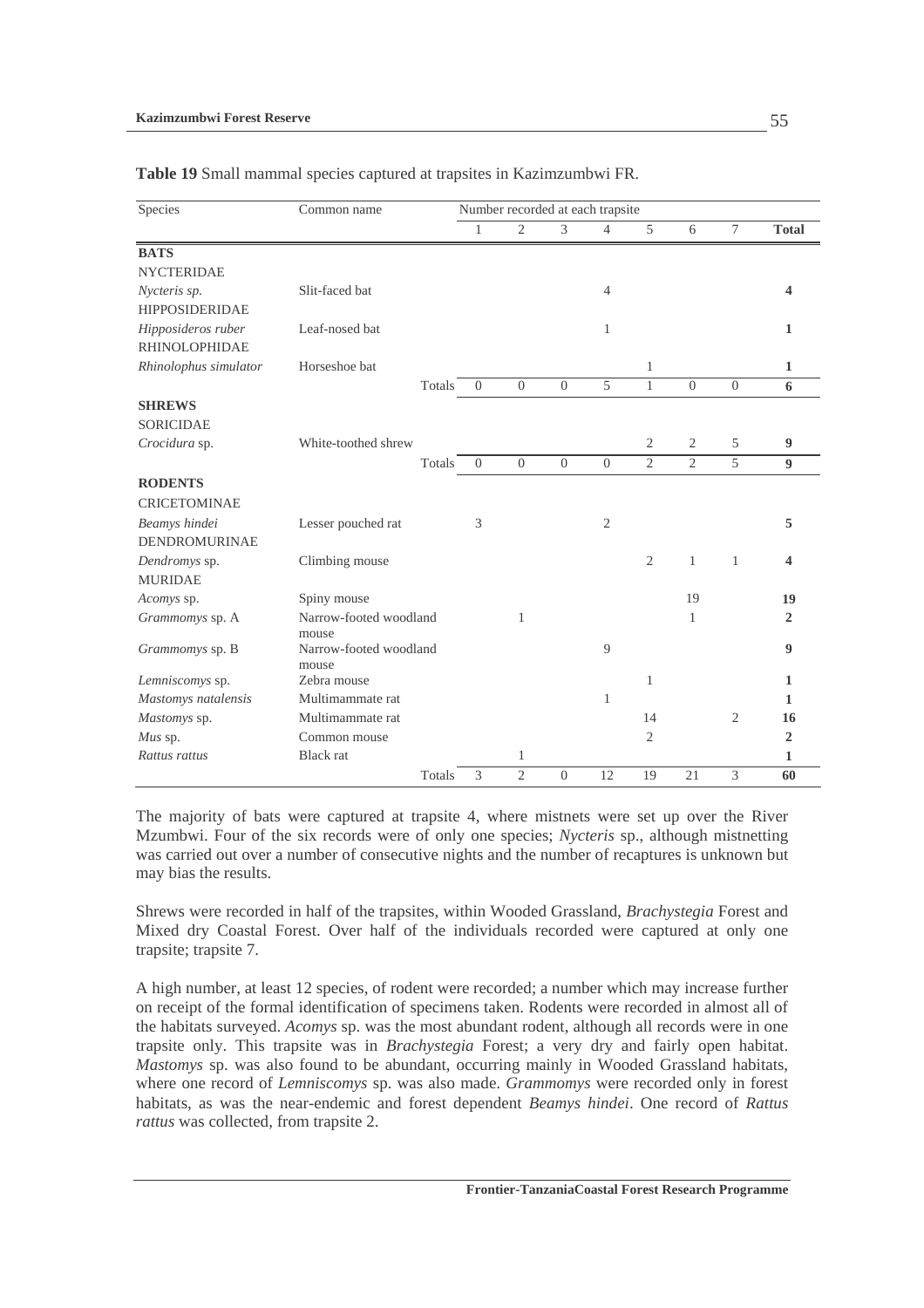| Species                  | Common name            |          | Number recorded at each trapsite |                          |                |                |                |                |                  |
|--------------------------|------------------------|----------|----------------------------------|--------------------------|----------------|----------------|----------------|----------------|------------------|
|                          |                        | 1        | $\overline{2}$                   | $\overline{\mathcal{E}}$ | $\overline{4}$ | 5              | 6              | $\overline{7}$ | <b>Total</b>     |
| <b>BATS</b>              |                        |          |                                  |                          |                |                |                |                |                  |
| <b>NYCTERIDAE</b>        |                        |          |                                  |                          |                |                |                |                |                  |
| Nycteris sp.             | Slit-faced bat         |          |                                  |                          | $\overline{4}$ |                |                |                | 4                |
| <b>HIPPOSIDERIDAE</b>    |                        |          |                                  |                          |                |                |                |                |                  |
| Hipposideros ruber       | Leaf-nosed bat         |          |                                  |                          | $\mathbf{1}$   |                |                |                | $\mathbf{1}$     |
| <b>RHINOLOPHIDAE</b>     |                        |          |                                  |                          |                |                |                |                |                  |
| Rhinolophus simulator    | Horseshoe bat          |          |                                  |                          |                | 1              |                |                | 1                |
|                          | Totals                 | $\theta$ | $\overline{0}$                   | $\theta$                 | 5              | $\mathbf{1}$   | $\theta$       | $\overline{0}$ | 6                |
| <b>SHREWS</b>            |                        |          |                                  |                          |                |                |                |                |                  |
| <b>SORICIDAE</b>         |                        |          |                                  |                          |                |                |                |                |                  |
| Crocidura sp.            | White-toothed shrew    |          |                                  |                          |                | 2              | $\mathbf{2}$   | 5              | 9                |
|                          | Totals                 | $\Omega$ | $\overline{0}$                   | $\Omega$                 | $\Omega$       | $\overline{2}$ | $\overline{2}$ | $\overline{5}$ | $\boldsymbol{9}$ |
| <b>RODENTS</b>           |                        |          |                                  |                          |                |                |                |                |                  |
| <b>CRICETOMINAE</b>      |                        |          |                                  |                          |                |                |                |                |                  |
| Beamys hindei            | Lesser pouched rat     | 3        |                                  |                          | $\overline{2}$ |                |                |                | 5                |
| <b>DENDROMURINAE</b>     |                        |          |                                  |                          |                |                |                |                |                  |
| Dendromys sp.            | Climbing mouse         |          |                                  |                          |                | $\overline{2}$ | 1              | 1              | 4                |
| <b>MURIDAE</b>           |                        |          |                                  |                          |                |                |                |                |                  |
| Acomys sp.               | Spiny mouse            |          |                                  |                          |                |                | 19             |                | 19               |
| Grammomys sp. A          | Narrow-footed woodland |          | 1                                |                          |                |                | 1              |                | $\mathbf{2}$     |
|                          | mouse                  |          |                                  |                          |                |                |                |                |                  |
| Grammomys sp. B          | Narrow-footed woodland |          |                                  |                          | 9              |                |                |                | $\boldsymbol{9}$ |
| Lemniscomys sp.          | mouse<br>Zebra mouse   |          |                                  |                          |                | 1              |                |                | 1                |
| Mastomys natalensis      | Multimammate rat       |          |                                  |                          | $\mathbf{1}$   |                |                |                | 1                |
|                          | Multimammate rat       |          |                                  |                          |                | 14             |                | 2              | 16               |
| Mastomys sp.             | Common mouse           |          |                                  |                          |                | $\overline{2}$ |                |                | $\overline{2}$   |
| Mus sp.<br>Rattus rattus | <b>Black</b> rat       |          |                                  |                          |                |                |                |                | 1                |
|                          | Totals                 | 3        | 1<br>$\overline{c}$              | $\theta$                 | 12             | 19             | 21             | 3              |                  |
|                          |                        |          |                                  |                          |                |                |                |                | 60               |

**Table 19** Small mammal species captured at trapsites in Kazimzumbwi FR.

The majority of bats were captured at trapsite 4, where mistnets were set up over the River Mzumbwi. Four of the six records were of only one species; *Nycteris* sp., although mistnetting was carried out over a number of consecutive nights and the number of recaptures is unknown but may bias the results.

Shrews were recorded in half of the trapsites, within Wooded Grassland, *Brachystegia* Forest and Mixed dry Coastal Forest. Over half of the individuals recorded were captured at only one trapsite; trapsite 7.

A high number, at least 12 species, of rodent were recorded; a number which may increase further on receipt of the formal identification of specimens taken. Rodents were recorded in almost all of the habitats surveyed. *Acomys* sp. was the most abundant rodent, although all records were in one trapsite only. This trapsite was in *Brachystegia* Forest; a very dry and fairly open habitat. *Mastomys* sp. was also found to be abundant, occurring mainly in Wooded Grassland habitats, where one record of *Lemniscomys* sp. was also made. *Grammomys* were recorded only in forest habitats, as was the near-endemic and forest dependent *Beamys hindei*. One record of *Rattus rattus* was collected, from trapsite 2.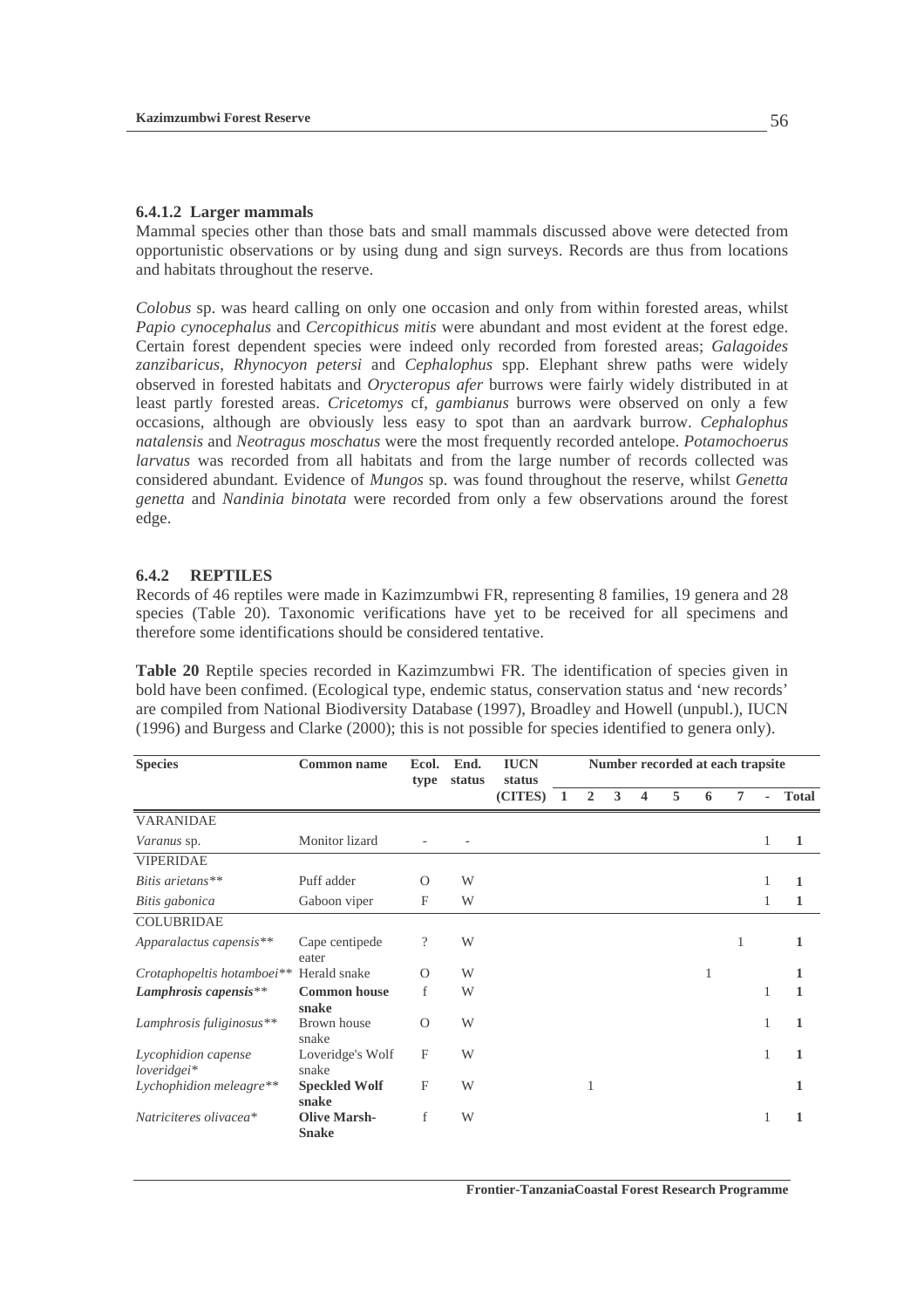#### **6.4.1.2 Larger mammals**

Mammal species other than those bats and small mammals discussed above were detected from opportunistic observations or by using dung and sign surveys. Records are thus from locations and habitats throughout the reserve.

*Colobus* sp. was heard calling on only one occasion and only from within forested areas, whilst *Papio cynocephalus* and *Cercopithicus mitis* were abundant and most evident at the forest edge. Certain forest dependent species were indeed only recorded from forested areas; *Galagoides zanzibaricus*, *Rhynocyon petersi* and *Cephalophus* spp. Elephant shrew paths were widely observed in forested habitats and *Orycteropus afer* burrows were fairly widely distributed in at least partly forested areas. *Cricetomys* cf, *gambianus* burrows were observed on only a few occasions, although are obviously less easy to spot than an aardvark burrow. *Cephalophus natalensis* and *Neotragus moschatus* were the most frequently recorded antelope. *Potamochoerus larvatus* was recorded from all habitats and from the large number of records collected was considered abundant. Evidence of *Mungos* sp. was found throughout the reserve, whilst *Genetta genetta* and *Nandinia binotata* were recorded from only a few observations around the forest edge.

#### **6.4.2 REPTILES**

Records of 46 reptiles were made in Kazimzumbwi FR, representing 8 families, 19 genera and 28 species (Table 20). Taxonomic verifications have yet to be received for all specimens and therefore some identifications should be considered tentative.

**Table 20** Reptile species recorded in Kazimzumbwi FR. The identification of species given in bold have been confimed. (Ecological type, endemic status, conservation status and 'new records' are compiled from National Biodiversity Database (1997), Broadley and Howell (unpubl.), IUCN (1996) and Burgess and Clarke (2000); this is not possible for species identified to genera only).

| <b>Species</b>                       | <b>Common name</b>                  | Ecol.<br>type            | End.<br>status | <b>IUCN</b><br>status | Number recorded at each trapsite |                |   |   |   |   |                |    |              |
|--------------------------------------|-------------------------------------|--------------------------|----------------|-----------------------|----------------------------------|----------------|---|---|---|---|----------------|----|--------------|
|                                      |                                     |                          |                | (CITES)               | - 1                              | $\overline{2}$ | 3 | 4 | 5 | 6 | $\overline{7}$ | ä, | <b>Total</b> |
| <b>VARANIDAE</b>                     |                                     |                          |                |                       |                                  |                |   |   |   |   |                |    |              |
| <i>Varanus</i> sp.                   | Monitor lizard                      |                          |                |                       |                                  |                |   |   |   |   |                |    | 1            |
| <b>VIPERIDAE</b>                     |                                     |                          |                |                       |                                  |                |   |   |   |   |                |    |              |
| Bitis arietans**                     | Puff adder                          | $\Omega$                 | W              |                       |                                  |                |   |   |   |   |                |    | 1            |
| Bitis gabonica                       | Gaboon viper                        | $\mathbf{F}$             | W              |                       |                                  |                |   |   |   |   |                |    | 1            |
| <b>COLUBRIDAE</b>                    |                                     |                          |                |                       |                                  |                |   |   |   |   |                |    |              |
| Apparalactus capensis**              | Cape centipede<br>eater             | $\overline{\mathcal{L}}$ | W              |                       |                                  |                |   |   |   |   | 1              |    | 1            |
| Crotaphopeltis hotamboei**           | Herald snake                        | $\Omega$                 | W              |                       |                                  |                |   |   |   | 1 |                |    | 1            |
| Lamphrosis capensis**                | <b>Common house</b><br>snake        | f                        | W              |                       |                                  |                |   |   |   |   |                |    | 1            |
| Lamphrosis fuliginosus**             | Brown house<br>snake                | $\Omega$                 | W              |                       |                                  |                |   |   |   |   |                |    | 1            |
| Lycophidion capense<br>$loveridgei*$ | Loveridge's Wolf<br>snake           | F                        | W              |                       |                                  |                |   |   |   |   |                |    | 1            |
| Lychophidion meleagre**              | <b>Speckled Wolf</b><br>snake       | F                        | W              |                       |                                  | 1              |   |   |   |   |                |    | 1            |
| Natriciteres olivacea*               | <b>Olive Marsh-</b><br><b>Snake</b> | f                        | W              |                       |                                  |                |   |   |   |   |                |    | 1            |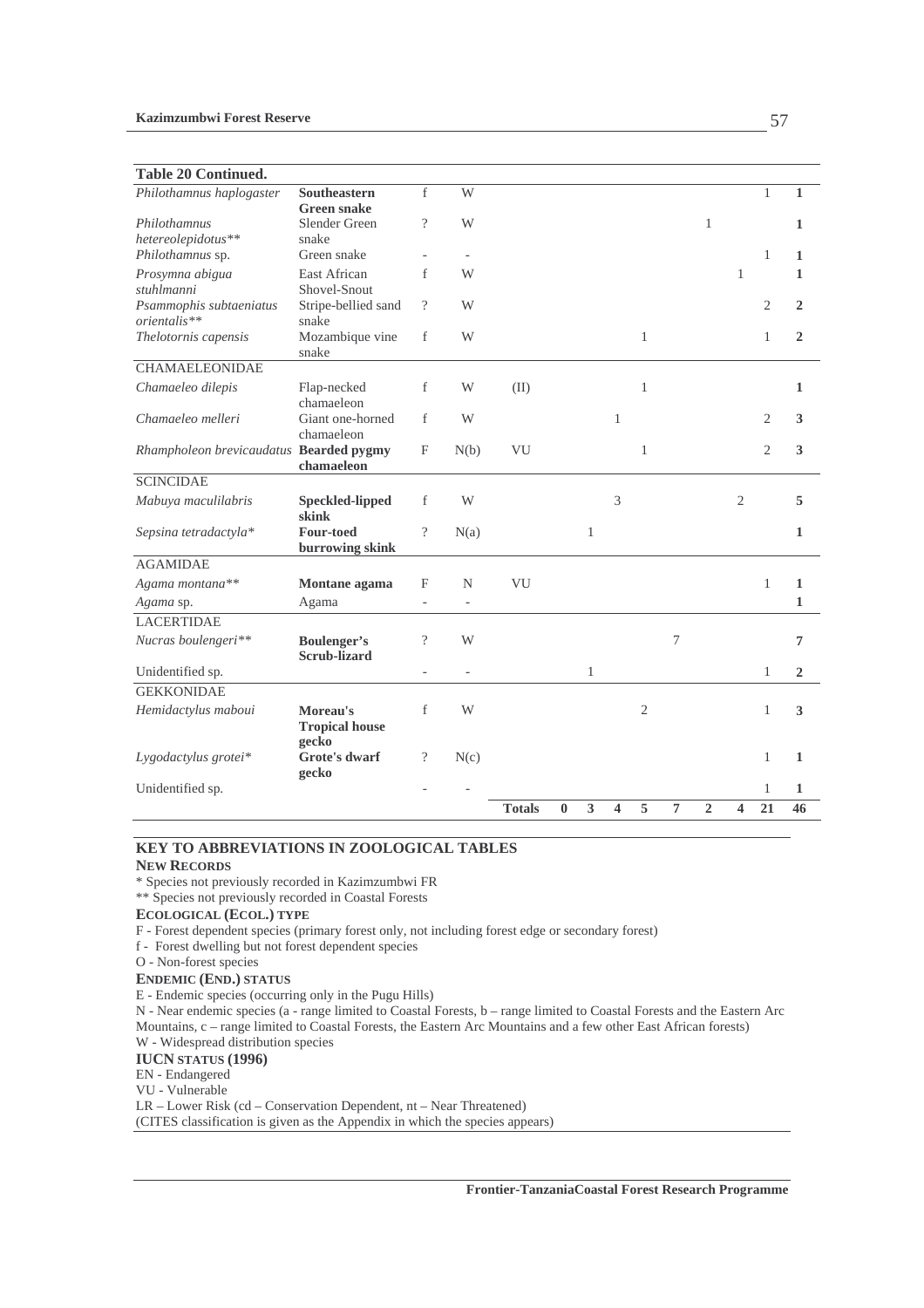### **Table 20 Continued.**

| Philothamnus haplogaster                | Southeastern<br><b>Green snake</b>        | f                  | W                        |               |          |   |                          |                |                |                |                |                | 1              |
|-----------------------------------------|-------------------------------------------|--------------------|--------------------------|---------------|----------|---|--------------------------|----------------|----------------|----------------|----------------|----------------|----------------|
| Philothamnus                            | Slender Green                             | $\gamma$           | W                        |               |          |   |                          |                |                | $\mathbf{1}$   |                |                | $\mathbf{1}$   |
| hetereolepidotus**                      | snake                                     |                    |                          |               |          |   |                          |                |                |                |                |                |                |
| Philothamnus sp.                        | Green snake                               |                    |                          |               |          |   |                          |                |                |                |                | $\mathbf{1}$   | $\mathbf{1}$   |
| Prosymna abigua                         | East African                              | f                  | W                        |               |          |   |                          |                |                |                | $\mathbf{1}$   |                | $\mathbf{1}$   |
| stuhlmanni                              | Shovel-Snout                              |                    |                          |               |          |   |                          |                |                |                |                |                |                |
| Psammophis subtaeniatus<br>orientalis** | Stripe-bellied sand                       | $\gamma$           | W                        |               |          |   |                          |                |                |                |                | $\overline{2}$ | $\overline{2}$ |
| Thelotornis capensis                    | snake<br>Mozambique vine                  | f                  | W                        |               |          |   |                          | $\mathbf{1}$   |                |                |                | 1              | $\overline{2}$ |
|                                         | snake                                     |                    |                          |               |          |   |                          |                |                |                |                |                |                |
| <b>CHAMAELEONIDAE</b>                   |                                           |                    |                          |               |          |   |                          |                |                |                |                |                |                |
| Chamaeleo dilepis                       | Flap-necked                               | f                  | W                        | (II)          |          |   |                          | $\mathbf{1}$   |                |                |                |                | $\mathbf{1}$   |
|                                         | chamaeleon                                |                    |                          |               |          |   |                          |                |                |                |                |                |                |
| Chamaeleo melleri                       | Giant one-horned                          | f                  | W                        |               |          |   | $\mathbf{1}$             |                |                |                |                | $\overline{2}$ | $\mathbf{3}$   |
|                                         | chamaeleon                                |                    |                          |               |          |   |                          |                |                |                |                |                |                |
| Rhampholeon brevicaudatus Bearded pygmy | chamaeleon                                | F                  | N(b)                     | VU            |          |   |                          | $\mathbf{1}$   |                |                |                | $\mathfrak{2}$ | 3              |
| <b>SCINCIDAE</b>                        |                                           |                    |                          |               |          |   |                          |                |                |                |                |                |                |
| Mabuya maculilabris                     | <b>Speckled-lipped</b>                    | f                  | W                        |               |          |   | $\overline{\mathcal{E}}$ |                |                |                | $\overline{2}$ |                | 5              |
|                                         | skink                                     |                    |                          |               |          |   |                          |                |                |                |                |                |                |
| Sepsina tetradactyla*                   | <b>Four-toed</b>                          | $\gamma$           | N(a)                     |               |          | 1 |                          |                |                |                |                |                | $\mathbf{1}$   |
| <b>AGAMIDAE</b>                         | burrowing skink                           |                    |                          |               |          |   |                          |                |                |                |                |                |                |
|                                         |                                           |                    |                          |               |          |   |                          |                |                |                |                |                |                |
| Agama montana**                         | Montane agama                             | F                  | $\mathbf N$              | VU            |          |   |                          |                |                |                |                | $\mathbf{1}$   | $\mathbf{1}$   |
| Agama sp.                               | Agama                                     |                    | $\overline{\phantom{a}}$ |               |          |   |                          |                |                |                |                |                | 1              |
| <b>LACERTIDAE</b>                       |                                           |                    |                          |               |          |   |                          |                |                |                |                |                |                |
| Nucras boulengeri**                     | <b>Boulenger's</b><br><b>Scrub-lizard</b> | $\gamma$           | W                        |               |          |   |                          |                | 7              |                |                |                | $\overline{7}$ |
| Unidentified sp.                        |                                           | $\frac{1}{2}$      | $\blacksquare$           |               |          | 1 |                          |                |                |                |                | 1              | $\overline{2}$ |
| <b>GEKKONIDAE</b>                       |                                           |                    |                          |               |          |   |                          |                |                |                |                |                |                |
| Hemidactylus maboui                     | Moreau's                                  | f                  | W                        |               |          |   |                          | $\mathfrak{2}$ |                |                |                | 1              | 3              |
|                                         | <b>Tropical house</b>                     |                    |                          |               |          |   |                          |                |                |                |                |                |                |
| Lygodactylus grotei*                    | gecko<br>Grote's dwarf                    | $\overline{\cdot}$ | N(c)                     |               |          |   |                          |                |                |                |                | 1              | 1              |
|                                         | gecko                                     |                    |                          |               |          |   |                          |                |                |                |                |                |                |
| Unidentified sp.                        |                                           |                    |                          |               |          |   |                          |                |                |                |                | $\mathbf{1}$   | $\mathbf{1}$   |
|                                         |                                           |                    |                          | <b>Totals</b> | $\bf{0}$ | 3 | $\overline{\mathbf{4}}$  | 5              | $\overline{7}$ | $\overline{2}$ | 4              | 21             | 46             |
|                                         |                                           |                    |                          |               |          |   |                          |                |                |                |                |                |                |

## **KEY TO ABBREVIATIONS IN ZOOLOGICAL TABLES**

#### **NEW RECORDS**

\* Species not previously recorded in Kazimzumbwi FR

\*\* Species not previously recorded in Coastal Forests

### **ECOLOGICAL (ECOL.) TYPE**

F - Forest dependent species (primary forest only, not including forest edge or secondary forest)

f - Forest dwelling but not forest dependent species

## **ENDEMIC (END.) STATUS**

E - Endemic species (occurring only in the Pugu Hills)

N - Near endemic species (a - range limited to Coastal Forests, b – range limited to Coastal Forests and the Eastern Arc Mountains, c – range limited to Coastal Forests, the Eastern Arc Mountains and a few other East African forests) W - Widespread distribution species

**IUCN STATUS (1996)** 

#### EN - Endangered

VU - Vulnerable

LR – Lower Risk (cd – Conservation Dependent, nt – Near Threatened)

(CITES classification is given as the Appendix in which the species appears)

O - Non-forest species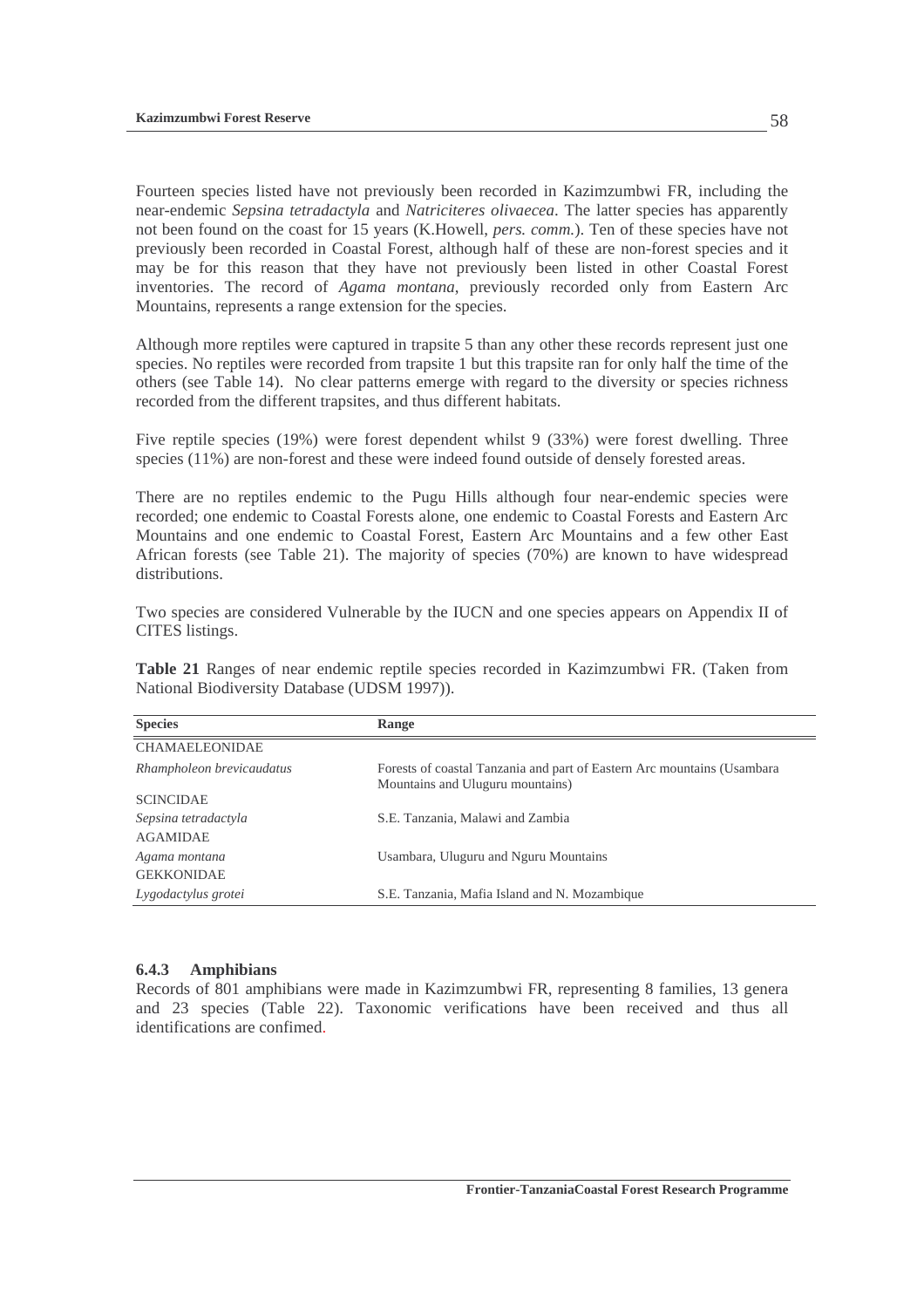Fourteen species listed have not previously been recorded in Kazimzumbwi FR, including the near-endemic *Sepsina tetradactyla* and *Natriciteres olivaecea*. The latter species has apparently not been found on the coast for 15 years (K.Howell, *pers. comm.*). Ten of these species have not previously been recorded in Coastal Forest, although half of these are non-forest species and it may be for this reason that they have not previously been listed in other Coastal Forest inventories. The record of *Agama montana*, previously recorded only from Eastern Arc Mountains, represents a range extension for the species.

Although more reptiles were captured in trapsite 5 than any other these records represent just one species. No reptiles were recorded from trapsite 1 but this trapsite ran for only half the time of the others (see Table 14). No clear patterns emerge with regard to the diversity or species richness recorded from the different trapsites, and thus different habitats.

Five reptile species (19%) were forest dependent whilst 9 (33%) were forest dwelling. Three species (11%) are non-forest and these were indeed found outside of densely forested areas.

There are no reptiles endemic to the Pugu Hills although four near-endemic species were recorded; one endemic to Coastal Forests alone, one endemic to Coastal Forests and Eastern Arc Mountains and one endemic to Coastal Forest, Eastern Arc Mountains and a few other East African forests (see Table 21). The majority of species (70%) are known to have widespread distributions.

Two species are considered Vulnerable by the IUCN and one species appears on Appendix II of CITES listings.

**Table 21** Ranges of near endemic reptile species recorded in Kazimzumbwi FR. (Taken from National Biodiversity Database (UDSM 1997)).

| <b>Species</b>                          | <b>Range</b>                                                                                                 |
|-----------------------------------------|--------------------------------------------------------------------------------------------------------------|
| <b>CHAMAELEONIDAE</b>                   |                                                                                                              |
| Rhampholeon brevicaudatus               | Forests of coastal Tanzania and part of Eastern Arc mountains (Usambara)<br>Mountains and Uluguru mountains) |
| <b>SCINCIDAE</b>                        |                                                                                                              |
| Sepsina tetradactyla<br><b>AGAMIDAE</b> | S.E. Tanzania, Malawi and Zambia                                                                             |
| Agama montana<br><b>GEKKONIDAE</b>      | Usambara, Uluguru and Nguru Mountains                                                                        |
| Lygodactylus grotei                     | S.E. Tanzania, Mafia Island and N. Mozambique                                                                |

### **6.4.3 Amphibians**

Records of 801 amphibians were made in Kazimzumbwi FR, representing 8 families, 13 genera and 23 species (Table 22). Taxonomic verifications have been received and thus all identifications are confimed.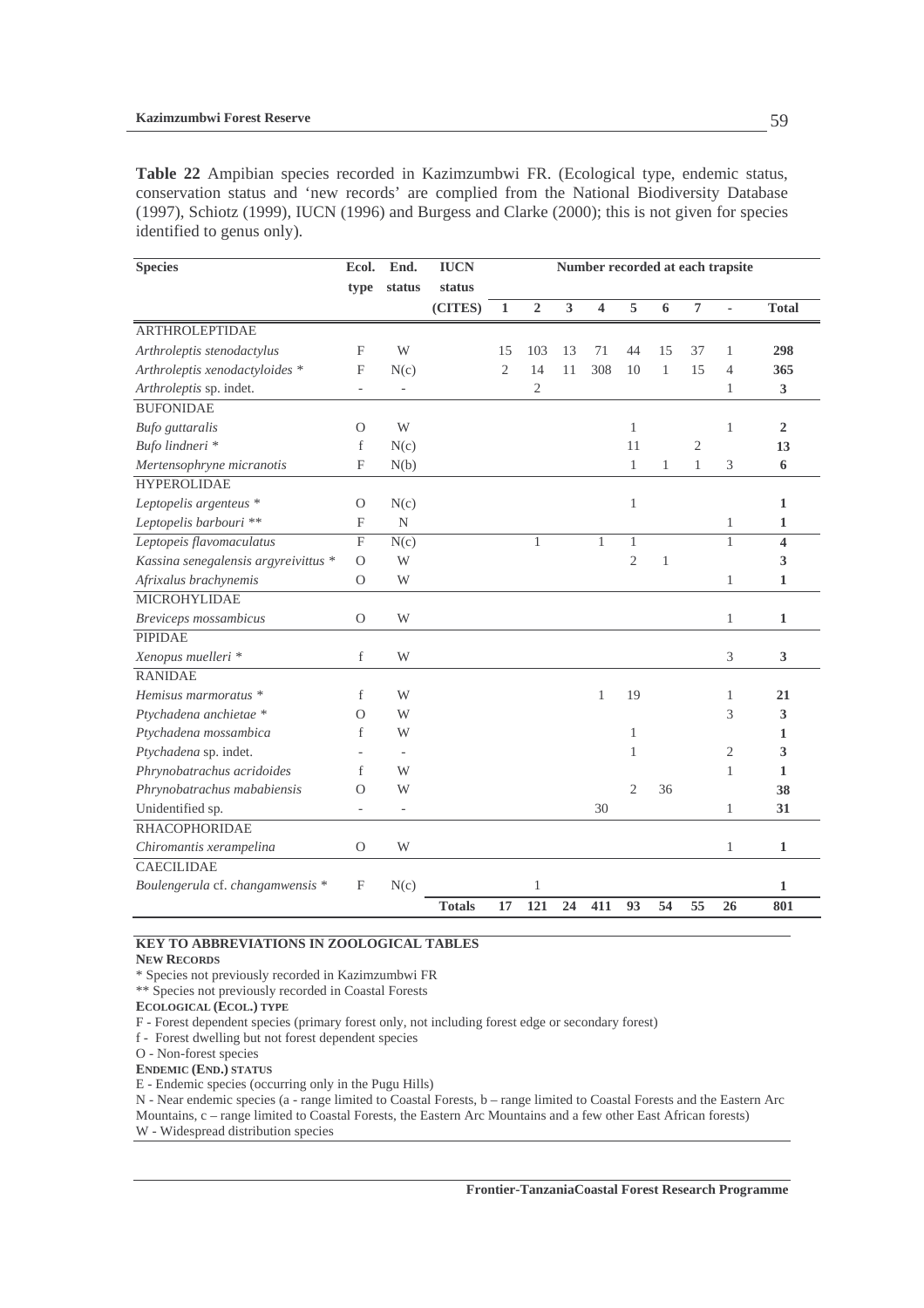**Table 22** Ampibian species recorded in Kazimzumbwi FR. (Ecological type, endemic status, conservation status and 'new records' are complied from the National Biodiversity Database (1997), Schiotz (1999), IUCN (1996) and Burgess and Clarke (2000); this is not given for species identified to genus only).

| <b>Species</b>                       | Ecol.                     | End.                         | <b>IUCN</b>   | Number recorded at each trapsite |                |                         |                         |                |              |                |                |                         |
|--------------------------------------|---------------------------|------------------------------|---------------|----------------------------------|----------------|-------------------------|-------------------------|----------------|--------------|----------------|----------------|-------------------------|
|                                      | type                      | status                       | status        |                                  |                |                         |                         |                |              |                |                |                         |
|                                      |                           |                              | (CITES)       | $\mathbf 1$                      | $\overline{2}$ | $\overline{\mathbf{3}}$ | $\overline{\mathbf{4}}$ | 5              | 6            | $\overline{7}$ |                | <b>Total</b>            |
| <b>ARTHROLEPTIDAE</b>                |                           |                              |               |                                  |                |                         |                         |                |              |                |                |                         |
| Arthroleptis stenodactylus           | F                         | W                            |               | 15                               | 103            | 13                      | 71                      | 44             | 15           | 37             | 1              | 298                     |
| Arthroleptis xenodactyloides *       | F                         | N(c)                         |               | $\overline{2}$                   | 14             | 11                      | 308                     | 10             | $\mathbf{1}$ | 15             | 4              | 365                     |
| Arthroleptis sp. indet.              | $\overline{\phantom{a}}$  | ÷,                           |               |                                  | $\overline{2}$ |                         |                         |                |              |                | 1              | 3                       |
| <b>BUFONIDAE</b>                     |                           |                              |               |                                  |                |                         |                         |                |              |                |                |                         |
| Bufo guttaralis                      | $\Omega$                  | W                            |               |                                  |                |                         |                         | $\mathbf{1}$   |              |                | 1              | $\mathbf{2}$            |
| Bufo lindneri *                      | f                         | N(c)                         |               |                                  |                |                         |                         | 11             |              | $\overline{2}$ |                | 13                      |
| Mertensophryne micranotis            | F                         | N(b)                         |               |                                  |                |                         |                         | $\mathbf{1}$   | 1            | 1              | 3              | 6                       |
| <b>HYPEROLIDAE</b>                   |                           |                              |               |                                  |                |                         |                         |                |              |                |                |                         |
| Leptopelis argenteus *               | $\mathcal{O}$             | N(c)                         |               |                                  |                |                         |                         | $\mathbf{1}$   |              |                |                | 1                       |
| Leptopelis barbouri **               | $\boldsymbol{\mathrm{F}}$ | N                            |               |                                  |                |                         |                         |                |              |                | $\mathbf{1}$   | 1                       |
| Leptopeis flavomaculatus             | $\mathbf{F}$              | N(c)                         |               |                                  | $\mathbf{1}$   |                         | 1                       | 1              |              |                | $\mathbf{1}$   | $\overline{\mathbf{4}}$ |
| Kassina senegalensis argyreivittus * | $\Omega$                  | W                            |               |                                  |                |                         |                         | $\overline{2}$ | $\mathbf{1}$ |                |                | 3                       |
| Afrixalus brachynemis                | $\mathcal{O}$             | W                            |               |                                  |                |                         |                         |                |              |                | 1              | 1                       |
| MICROHYLIDAE                         |                           |                              |               |                                  |                |                         |                         |                |              |                |                |                         |
| Breviceps mossambicus                | $\Omega$                  | W                            |               |                                  |                |                         |                         |                |              |                | $\mathbf{1}$   | 1                       |
| <b>PIPIDAE</b>                       |                           |                              |               |                                  |                |                         |                         |                |              |                |                |                         |
| Xenopus muelleri *                   | f                         | W                            |               |                                  |                |                         |                         |                |              |                | 3              | $\mathbf{3}$            |
| <b>RANIDAE</b>                       |                           |                              |               |                                  |                |                         |                         |                |              |                |                |                         |
| Hemisus marmoratus *                 | f                         | W                            |               |                                  |                |                         | $\mathbf{1}$            | 19             |              |                | 1              | 21                      |
| Ptychadena anchietae *               | $\Omega$                  | W                            |               |                                  |                |                         |                         |                |              |                | 3              | 3                       |
| Ptychadena mossambica                | f                         | W                            |               |                                  |                |                         |                         | $\mathbf{1}$   |              |                |                | 1                       |
| Ptychadena sp. indet.                |                           |                              |               |                                  |                |                         |                         | $\mathbf{1}$   |              |                | $\mathfrak{2}$ | 3                       |
| Phrynobatrachus acridoides           | f                         | W                            |               |                                  |                |                         |                         |                |              |                | 1              | 1                       |
| Phrynobatrachus mababiensis          | О                         | W                            |               |                                  |                |                         |                         | $\overline{2}$ | 36           |                |                | 38                      |
| Unidentified sp.                     | $\overline{\phantom{0}}$  | $\qquad \qquad \blacksquare$ |               |                                  |                |                         | 30                      |                |              |                | 1              | 31                      |
| <b>RHACOPHORIDAE</b>                 |                           |                              |               |                                  |                |                         |                         |                |              |                |                |                         |
| Chiromantis xerampelina              | $\Omega$                  | W                            |               |                                  |                |                         |                         |                |              |                | $\mathbf{1}$   | $\mathbf{1}$            |
| <b>CAECILIDAE</b>                    |                           |                              |               |                                  |                |                         |                         |                |              |                |                |                         |
| Boulengerula cf. changamwensis *     | F                         | N(c)                         |               |                                  | $\mathbf{1}$   |                         |                         |                |              |                |                | 1                       |
|                                      |                           |                              | <b>Totals</b> | 17                               | 121            | 24                      | 411                     | 93             | 54           | 55             | 26             | 801                     |

### **KEY TO ABBREVIATIONS IN ZOOLOGICAL TABLES**

#### **NEW RECORDS**

- \* Species not previously recorded in Kazimzumbwi FR
- \*\* Species not previously recorded in Coastal Forests

**ECOLOGICAL (ECOL.) TYPE** 

F - Forest dependent species (primary forest only, not including forest edge or secondary forest)

f - Forest dwelling but not forest dependent species

- O Non-forest species
- **ENDEMIC (END.) STATUS**

E - Endemic species (occurring only in the Pugu Hills)

N - Near endemic species (a - range limited to Coastal Forests, b – range limited to Coastal Forests and the Eastern Arc Mountains, c – range limited to Coastal Forests, the Eastern Arc Mountains and a few other East African forests) W - Widespread distribution species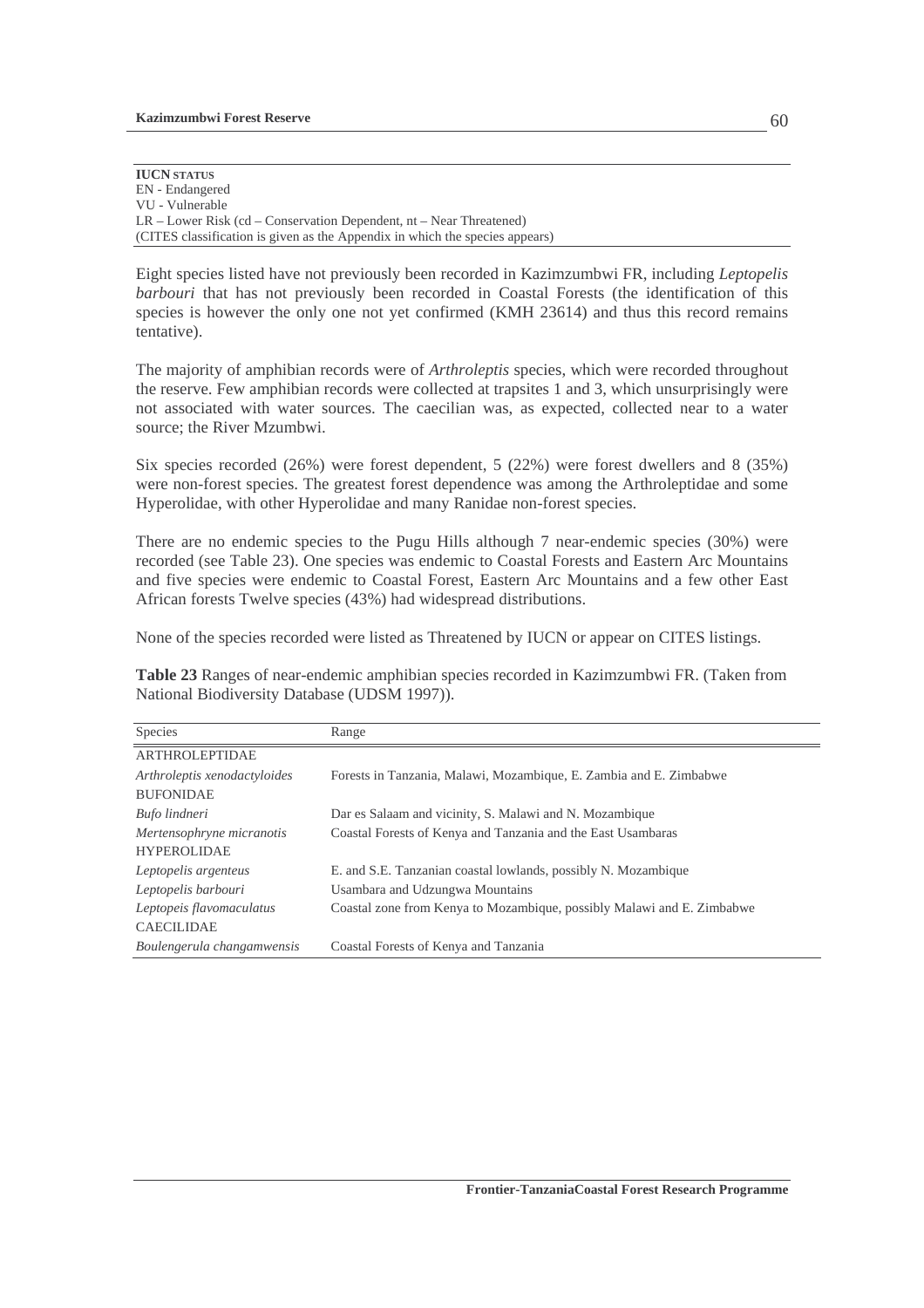| <b>IUCN STATUS</b>                                                           |
|------------------------------------------------------------------------------|
| EN - Endangered                                                              |
| VU - Vulnerable                                                              |
| $LR$ – Lower Risk (cd – Conservation Dependent, nt – Near Threatened)        |
| (CITES classification is given as the Appendix in which the species appears) |

Eight species listed have not previously been recorded in Kazimzumbwi FR, including *Leptopelis barbouri* that has not previously been recorded in Coastal Forests (the identification of this species is however the only one not yet confirmed (KMH 23614) and thus this record remains tentative).

The majority of amphibian records were of *Arthroleptis* species, which were recorded throughout the reserve. Few amphibian records were collected at trapsites 1 and 3, which unsurprisingly were not associated with water sources. The caecilian was, as expected, collected near to a water source; the River Mzumbwi.

Six species recorded (26%) were forest dependent, 5 (22%) were forest dwellers and 8 (35%) were non-forest species. The greatest forest dependence was among the Arthroleptidae and some Hyperolidae, with other Hyperolidae and many Ranidae non-forest species.

There are no endemic species to the Pugu Hills although 7 near-endemic species (30%) were recorded (see Table 23). One species was endemic to Coastal Forests and Eastern Arc Mountains and five species were endemic to Coastal Forest, Eastern Arc Mountains and a few other East African forests Twelve species (43%) had widespread distributions.

None of the species recorded were listed as Threatened by IUCN or appear on CITES listings.

**Table 23** Ranges of near-endemic amphibian species recorded in Kazimzumbwi FR. (Taken from National Biodiversity Database (UDSM 1997)).

| Species                      | Range                                                                  |
|------------------------------|------------------------------------------------------------------------|
| <b>ARTHROLEPTIDAE</b>        |                                                                        |
| Arthroleptis xenodactyloides | Forests in Tanzania, Malawi, Mozambique, E. Zambia and E. Zimbabwe     |
| <b>BUFONIDAE</b>             |                                                                        |
| Bufo lindneri                | Dar es Salaam and vicinity, S. Malawi and N. Mozambique                |
| Mertensophryne micranotis    | Coastal Forests of Kenya and Tanzania and the East Usambaras           |
| <b>HYPEROLIDAE</b>           |                                                                        |
| Leptopelis argenteus         | E. and S.E. Tanzanian coastal lowlands, possibly N. Mozambique         |
| Leptopelis barbouri          | Usambara and Udzungwa Mountains                                        |
| Leptopeis flavomaculatus     | Coastal zone from Kenya to Mozambique, possibly Malawi and E. Zimbabwe |
| <b>CAECILIDAE</b>            |                                                                        |
| Boulengerula changamwensis   | Coastal Forests of Kenya and Tanzania                                  |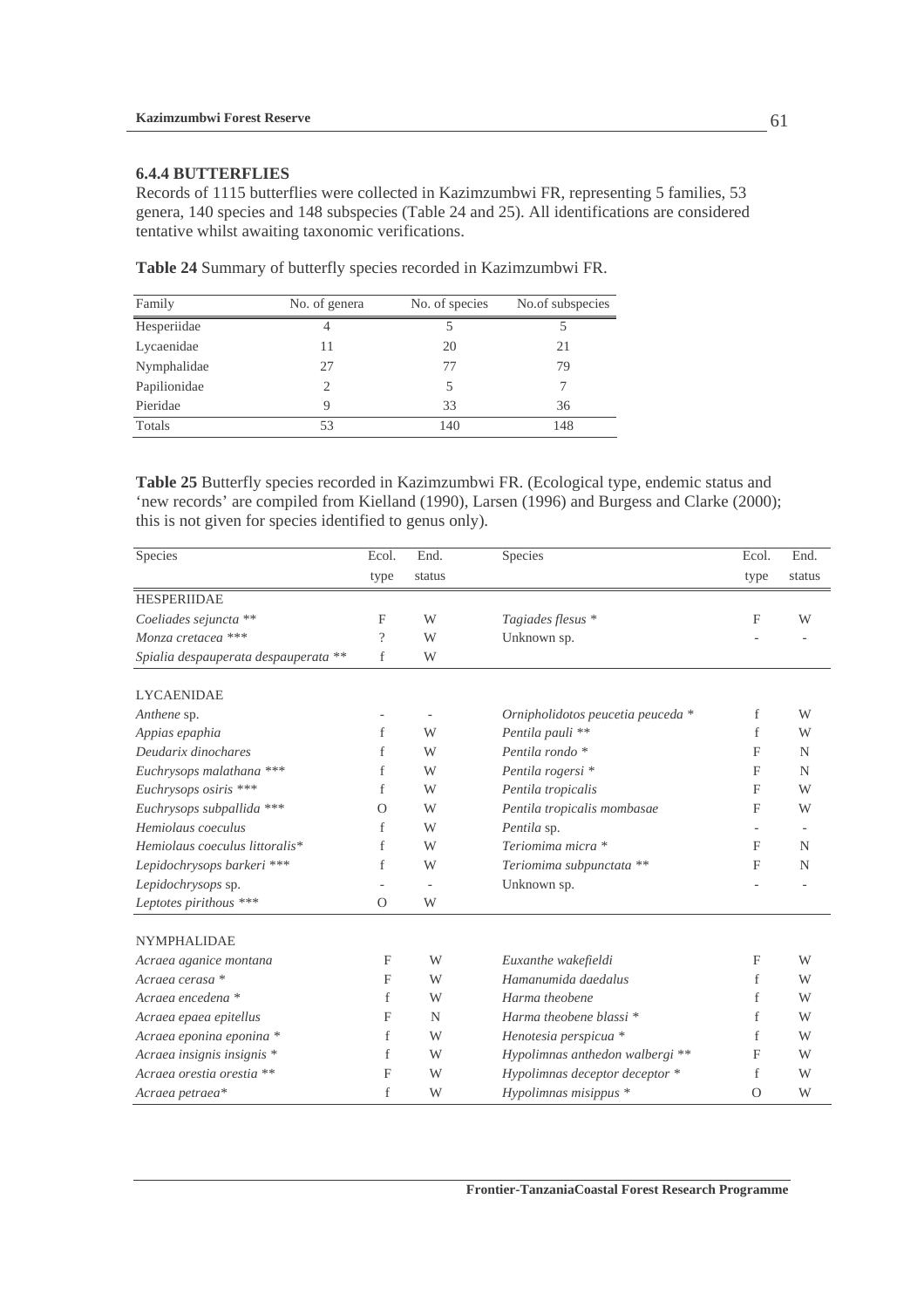### **6.4.4 BUTTERFLIES**

Records of 1115 butterflies were collected in Kazimzumbwi FR, representing 5 families, 53 genera, 140 species and 148 subspecies (Table 24 and 25). All identifications are considered tentative whilst awaiting taxonomic verifications.

| Family       | No. of genera               | No. of species | No.of subspecies |
|--------------|-----------------------------|----------------|------------------|
| Hesperiidae  | 4                           |                |                  |
| Lycaenidae   | 11                          | 20             | 21               |
| Nymphalidae  | 27                          | 77             | 79               |
| Papilionidae | $\mathcal{D}_{\mathcal{A}}$ | 5              |                  |
| Pieridae     |                             | 33             | 36               |
| Totals       | 53                          | 140            | 148              |

**Table 24** Summary of butterfly species recorded in Kazimzumbwi FR.

**Table 25** Butterfly species recorded in Kazimzumbwi FR. (Ecological type, endemic status and 'new records' are compiled from Kielland (1990), Larsen (1996) and Burgess and Clarke (2000); this is not given for species identified to genus only).

| Species                              | Ecol.        | End.   | Species                           | Ecol.    | End.   |
|--------------------------------------|--------------|--------|-----------------------------------|----------|--------|
|                                      | type         | status |                                   | type     | status |
| <b>HESPERIIDAE</b>                   |              |        |                                   |          |        |
| Coeliades sejuncta **                | F            | W      | Tagiades flesus *                 | F        | W      |
| Monza cretacea ***                   | $\gamma$     | W      | Unknown sp.                       |          |        |
| Spialia despauperata despauperata ** | f            | W      |                                   |          |        |
| <b>LYCAENIDAE</b>                    |              |        |                                   |          |        |
| Anthene sp.                          |              |        | Ornipholidotos peucetia peuceda * | f        | W      |
| Appias epaphia                       | f            | W      | Pentila pauli **                  | f        | W      |
| Deudarix dinochares                  | f            | W      | Pentila rondo *                   | F        | N      |
| Euchrysops malathana ***             | f            | W      | Pentila rogersi *                 | F        | N      |
| Euchrysops osiris ***                | f            | W      | Pentila tropicalis                | F        | W      |
| Euchrysops subpallida ***            | $\Omega$     | W      | Pentila tropicalis mombasae       | F        | W      |
| Hemiolaus coeculus                   | f            | W      | Pentila sp.                       |          |        |
| Hemiolaus coeculus littoralis*       | f            | W      | Teriomima micra *                 | F        | N      |
| Lepidochrysops barkeri ***           | f            | W      | Teriomima subpunctata **          | F        | N      |
| Lepidochrysops sp.                   |              |        | Unknown sp.                       |          |        |
| Leptotes pirithous ***               | $\Omega$     | W      |                                   |          |        |
| <b>NYMPHALIDAE</b>                   |              |        |                                   |          |        |
| Acraea aganice montana               | F            | W      | Euxanthe wakefieldi               | F        | W      |
| Acraea cerasa *                      | $\mathbf{F}$ | W      | Hamanumida daedalus               | f        | W      |
| Acraea encedena *                    | f            | W      | Harma theobene                    | f        | W      |
| Acraea epaea epitellus               | $\mathbf{F}$ | N      | Harma theobene blassi *           | f        | W      |
| Acraea eponina eponina *             | f            | W      | Henotesia perspicua *             | f        | W      |
| Acraea insignis insignis *           | f            | W      | Hypolimnas anthedon walbergi **   | F        | W      |
| Acraea orestia orestia **            | $\mathbf{F}$ | W      | Hypolimnas deceptor deceptor *    | f        | W      |
| Acraea petraea*                      | f            | W      | Hypolimnas misippus *             | $\Omega$ | W      |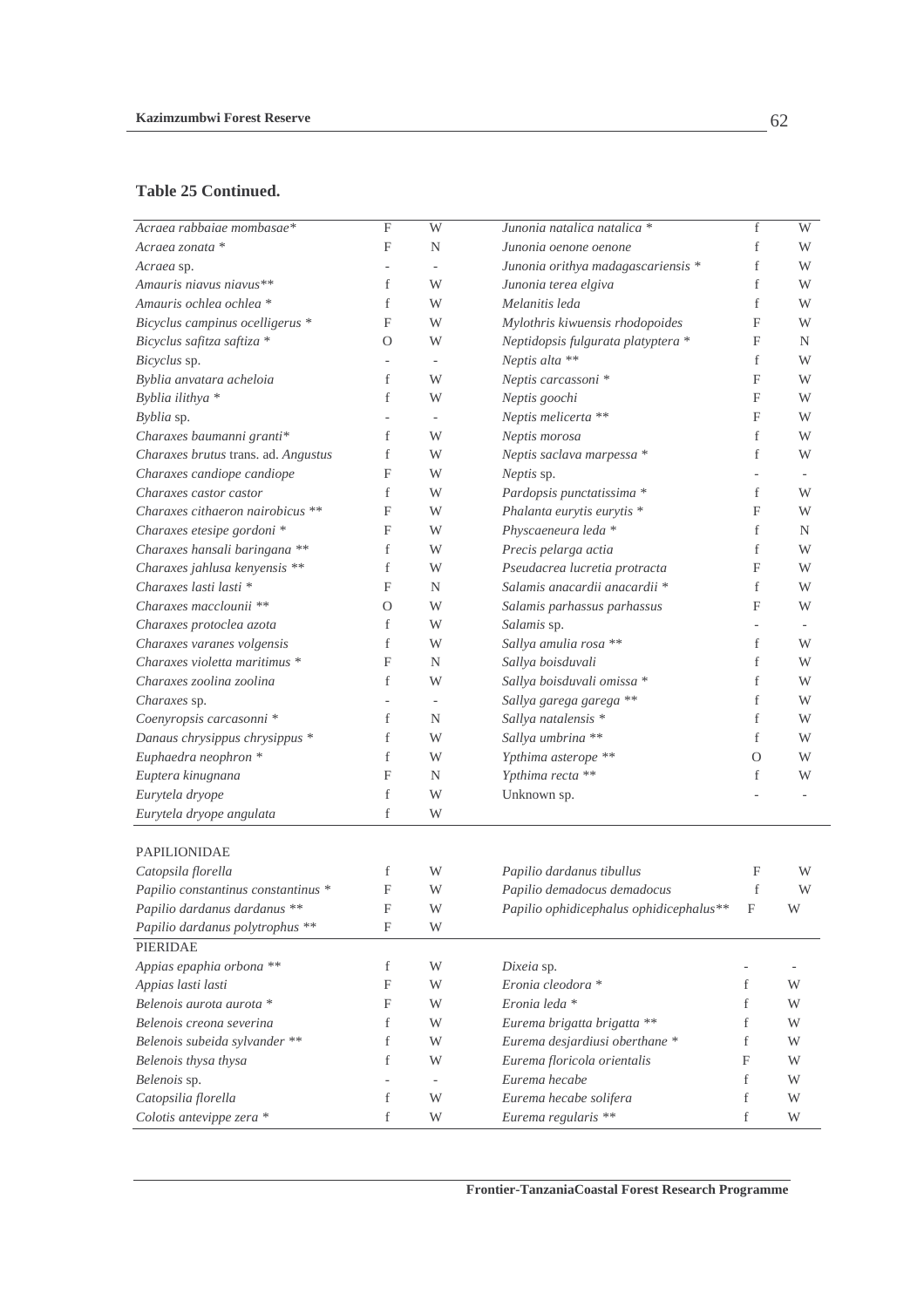#### **Table 25 Continued.**

| Acraea rabbaiae mombasae*           | $\overline{F}$ | W                        | Junonia natalica natalica *             | f                         | $\overline{\text{W}}$ |
|-------------------------------------|----------------|--------------------------|-----------------------------------------|---------------------------|-----------------------|
| Acraea zonata *                     | F              | $\mathbf N$              | Junonia oenone oenone                   | f                         | W                     |
| Acraea sp.                          |                |                          | Junonia orithya madagascariensis *      | f                         | W                     |
| Amauris niavus niavus**             | f              | W                        | Junonia terea elgiva                    | f                         | W                     |
| Amauris ochlea ochlea *             | f              | W                        | Melanitis leda                          | f                         | W                     |
| Bicyclus campinus ocelligerus *     | F              | W                        | Mylothris kiwuensis rhodopoides         | F                         | W                     |
| Bicyclus safitza saftiza *          | $\Omega$       | W                        | Neptidopsis fulgurata platyptera *      | F                         | N                     |
| Bicyclus sp.                        |                |                          | Neptis alta **                          | f                         | W                     |
| Byblia anvatara acheloia            | f              | W                        | Neptis carcassoni *                     | F                         | W                     |
| Byblia ilithya *                    | f              | W                        | Neptis goochi                           | F                         | W                     |
| Byblia sp.                          |                |                          | Neptis melicerta **                     | F                         | W                     |
| Charaxes baumanni granti*           | f              | W                        | Neptis morosa                           | f                         | W                     |
| Charaxes brutus trans. ad. Angustus | f              | W                        | Neptis saclava marpessa *               | f                         | W                     |
| Charaxes candiope candiope          | F              | W                        | Neptis sp.                              |                           |                       |
| Charaxes castor castor              | f              | W                        | Pardopsis punctatissima *               | f                         | W                     |
| Charaxes cithaeron nairobicus **    | F              | W                        | Phalanta eurytis eurytis *              | F                         | W                     |
| Charaxes etesipe gordoni *          | F              | W                        | Physcaeneura leda *                     | f                         | N                     |
| Charaxes hansali baringana **       | f              | W                        | Precis pelarga actia                    | f                         | W                     |
| Charaxes jahlusa kenyensis **       | f              | W                        | Pseudacrea lucretia protracta           | F                         | W                     |
| Charaxes lasti lasti *              | F              | N                        | Salamis anacardii anacardii *           | f                         | W                     |
| Charaxes macclounii **              | O              | W                        | Salamis parhassus parhassus             | F                         | W                     |
| Charaxes protoclea azota            | f              | W                        | Salamis sp.                             |                           |                       |
| Charaxes varanes volgensis          | f              | W                        | Sallya amulia rosa **                   | f                         | W                     |
| Charaxes violetta maritimus *       | F              | N                        | Sallya boisduvali                       | f                         | W                     |
| Charaxes zoolina zoolina            | f              | W                        | Sallya boisduvali omissa *              | f                         | W                     |
| Charaxes sp.                        |                |                          | Sallya garega garega **                 | f                         | W                     |
| Coenyropsis carcasonni *            | f              | N                        | Sallya natalensis *                     | f                         | W                     |
| Danaus chrysippus chrysippus *      | f              | W                        | Sallya umbrina **                       | f                         | W                     |
| Euphaedra neophron *                | f              | W                        | Ypthima asterope **                     | O                         | W                     |
| Euptera kinugnana                   | F              | N                        | Ypthima recta **                        | f                         | W                     |
| Eurytela dryope                     | f              | W                        | Unknown sp.                             |                           |                       |
| Eurytela dryope angulata            | f              | W                        |                                         |                           |                       |
| <b>PAPILIONIDAE</b>                 |                |                          |                                         |                           |                       |
| Catopsila florella                  | f              | W                        | Papilio dardanus tibullus               | F                         | W                     |
| Papilio constantinus constantinus * | F              | W                        | Papilio demadocus demadocus             | f                         | W                     |
| Papilio dardanus dardanus **        | F              | W                        | Papilio ophidicephalus ophidicephalus** | $\boldsymbol{\mathrm{F}}$ | W                     |
| Papilio dardanus polytrophus **     | F              | W                        |                                         |                           |                       |
| <b>PIERIDAE</b>                     |                |                          |                                         |                           |                       |
| Appias epaphia orbona **            | f              | W                        | Dixeia sp.                              |                           |                       |
| Appias lasti lasti                  | F              | W                        | Eronia cleodora *                       | f                         | W                     |
| Belenois aurota aurota *            | F              | W                        | Eronia leda *                           | f                         | W                     |
| Belenois creona severina            | f              | W                        | Eurema brigatta brigatta **             | f                         | W                     |
| Belenois subeida sylvander **       | f              | W                        | Eurema desjardiusi oberthane *          | f                         | W                     |
| Belenois thysa thysa                | f              | W                        | Eurema floricola orientalis             | F                         | W                     |
| Belenois sp.                        |                | $\overline{\phantom{a}}$ | Eurema hecabe                           | f                         | W                     |
| Catopsilia florella                 | f              | W                        | Eurema hecabe solifera                  | f                         | W                     |
| Colotis antevippe zera *            | f              | W                        | Eurema regularis **                     | f                         | W                     |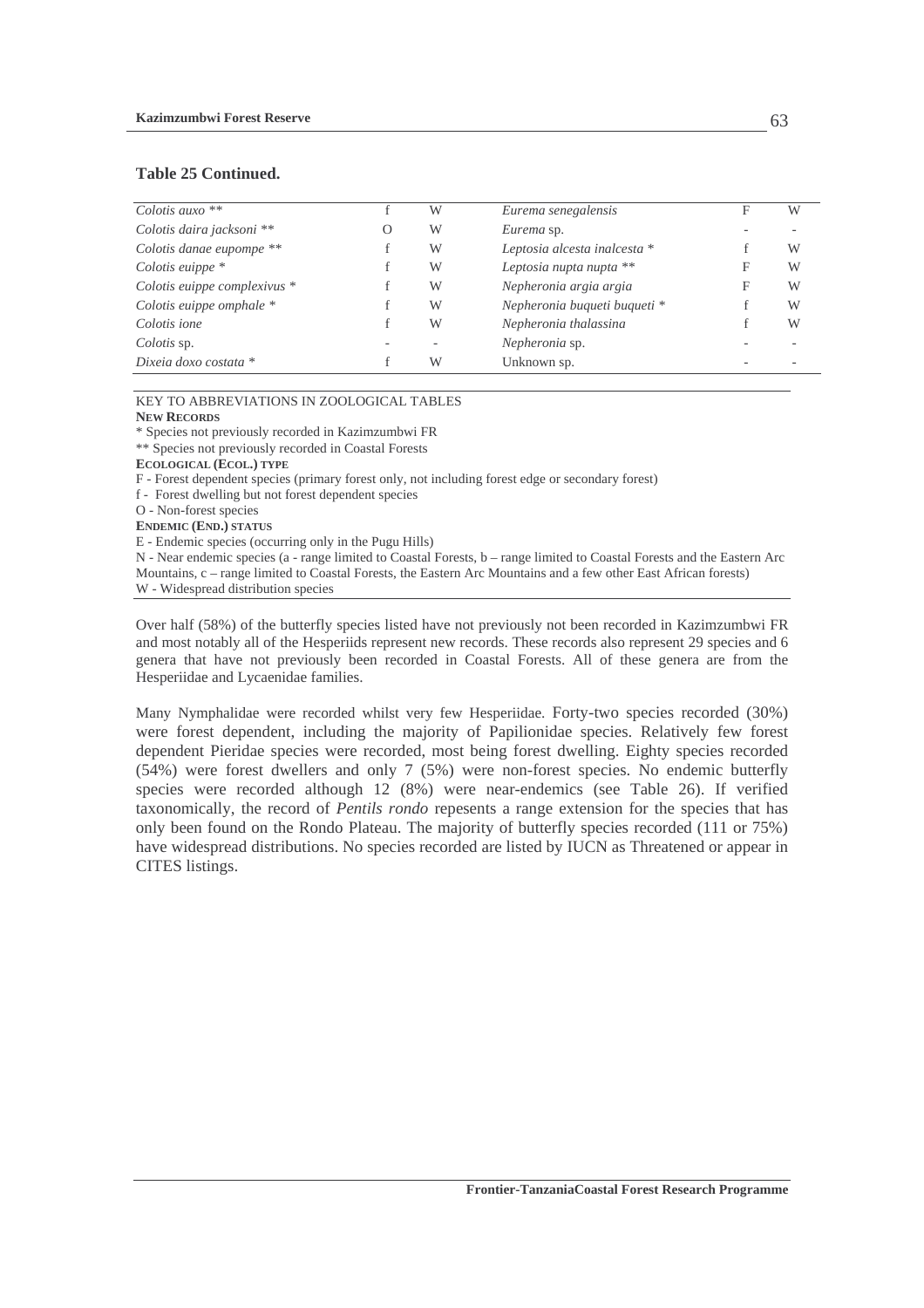#### **Table 25 Continued.**

| Colotis auxo $**$            | W | Eurema senegalensis          | F | W |
|------------------------------|---|------------------------------|---|---|
| Colotis daira jacksoni **    | W | Eurema sp.                   |   |   |
| Colotis danae eupompe **     | W | Leptosia alcesta inalcesta * |   | W |
| Colotis euippe $*$           | W | Leptosia nupta nupta **      |   | W |
| Colotis euippe complexivus * | W | Nepheronia argia argia       | F | W |
| Colotis euippe omphale $*$   | W | Nepheronia buqueti buqueti * |   | W |
| Colotis ione                 | W | Nepheronia thalassina        |   | W |
| Colotis sp.                  |   | Nepheronia sp.               |   |   |
| Dixeia doxo costata $*$      | W | Unknown sp.                  |   |   |

#### KEY TO ABBREVIATIONS IN ZOOLOGICAL TABLES

#### **NEW RECORDS**

\* Species not previously recorded in Kazimzumbwi FR

\*\* Species not previously recorded in Coastal Forests

**ECOLOGICAL (ECOL.) TYPE** 

F - Forest dependent species (primary forest only, not including forest edge or secondary forest)

- f Forest dwelling but not forest dependent species
- O Non-forest species

**ENDEMIC (END.) STATUS**

E - Endemic species (occurring only in the Pugu Hills)

N - Near endemic species (a - range limited to Coastal Forests, b – range limited to Coastal Forests and the Eastern Arc Mountains, c – range limited to Coastal Forests, the Eastern Arc Mountains and a few other East African forests)

W - Widespread distribution species

Over half (58%) of the butterfly species listed have not previously not been recorded in Kazimzumbwi FR and most notably all of the Hesperiids represent new records. These records also represent 29 species and 6 genera that have not previously been recorded in Coastal Forests. All of these genera are from the Hesperiidae and Lycaenidae families.

Many Nymphalidae were recorded whilst very few Hesperiidae. Forty-two species recorded (30%) were forest dependent, including the majority of Papilionidae species. Relatively few forest dependent Pieridae species were recorded, most being forest dwelling. Eighty species recorded (54%) were forest dwellers and only 7 (5%) were non-forest species. No endemic butterfly species were recorded although 12 (8%) were near-endemics (see Table 26). If verified taxonomically, the record of *Pentils rondo* repesents a range extension for the species that has only been found on the Rondo Plateau. The majority of butterfly species recorded (111 or 75%) have widespread distributions. No species recorded are listed by IUCN as Threatened or appear in CITES listings.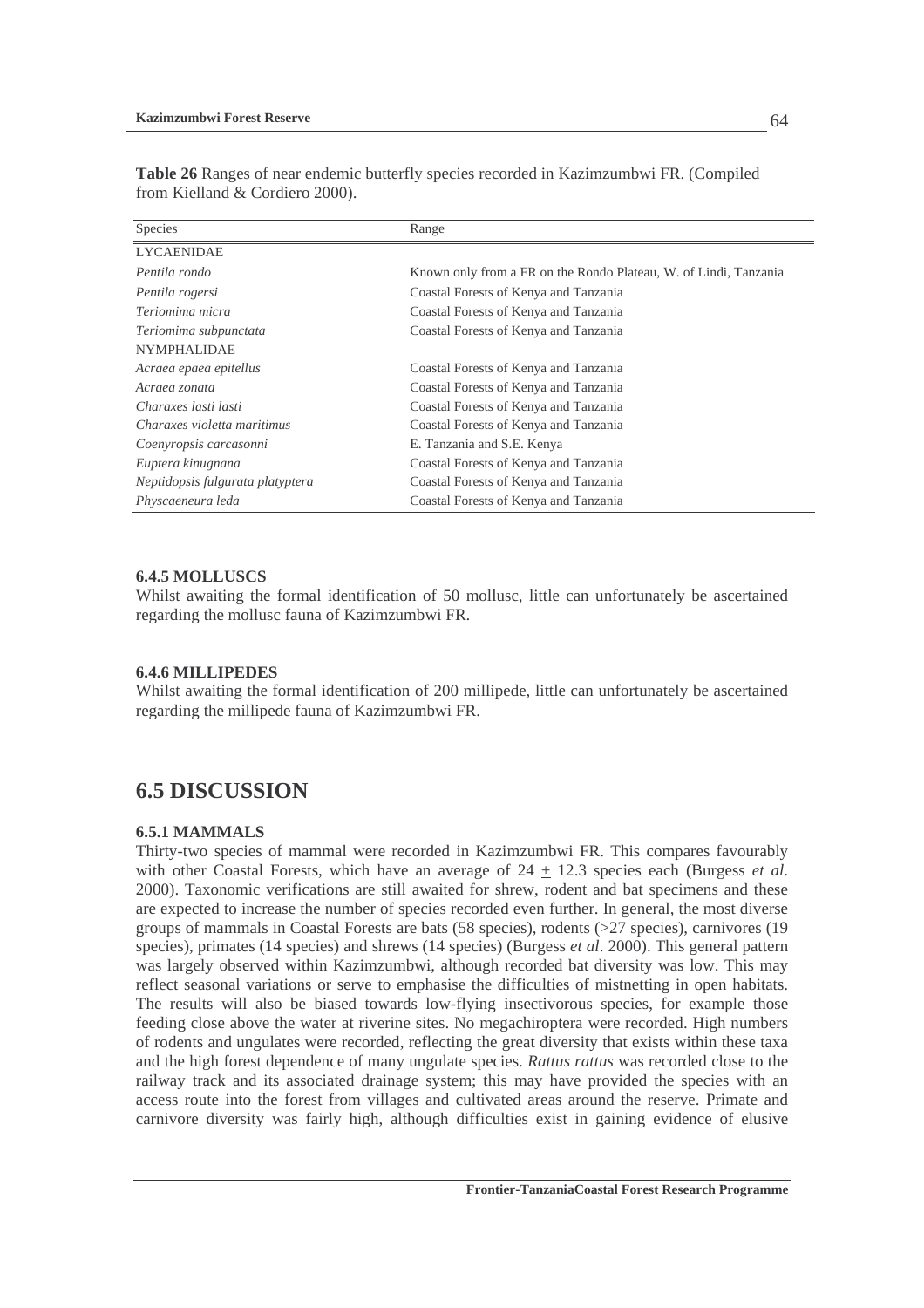| Species                          | Range                                                            |
|----------------------------------|------------------------------------------------------------------|
| <b>LYCAENIDAE</b>                |                                                                  |
| Pentila rondo                    | Known only from a FR on the Rondo Plateau, W. of Lindi, Tanzania |
| Pentila rogersi                  | Coastal Forests of Kenya and Tanzania                            |
| Teriomima micra                  | Coastal Forests of Kenya and Tanzania                            |
| Teriomima subpunctata            | Coastal Forests of Kenya and Tanzania                            |
| <b>NYMPHALIDAE</b>               |                                                                  |
| Acraea epaea epitellus           | Coastal Forests of Kenya and Tanzania                            |
| Acraea zonata                    | Coastal Forests of Kenya and Tanzania                            |
| Charaxes lasti lasti             | Coastal Forests of Kenya and Tanzania                            |
| Charaxes violetta maritimus      | Coastal Forests of Kenya and Tanzania                            |
| Coenyropsis carcasonni           | E. Tanzania and S.E. Kenya                                       |
| Euptera kinugnana                | Coastal Forests of Kenya and Tanzania                            |
| Neptidopsis fulgurata platyptera | Coastal Forests of Kenya and Tanzania                            |
| Physcaeneura leda                | Coastal Forests of Kenya and Tanzania                            |

**Table 26** Ranges of near endemic butterfly species recorded in Kazimzumbwi FR. (Compiled from Kielland & Cordiero 2000).

#### **6.4.5 MOLLUSCS**

Whilst awaiting the formal identification of 50 mollusc, little can unfortunately be ascertained regarding the mollusc fauna of Kazimzumbwi FR.

#### **6.4.6 MILLIPEDES**

Whilst awaiting the formal identification of 200 millipede, little can unfortunately be ascertained regarding the millipede fauna of Kazimzumbwi FR.

### **6.5 DISCUSSION**

#### **6.5.1 MAMMALS**

Thirty-two species of mammal were recorded in Kazimzumbwi FR. This compares favourably with other Coastal Forests, which have an average of 24 + 12.3 species each (Burgess *et al*. 2000). Taxonomic verifications are still awaited for shrew, rodent and bat specimens and these are expected to increase the number of species recorded even further. In general, the most diverse groups of mammals in Coastal Forests are bats (58 species), rodents (>27 species), carnivores (19 species), primates (14 species) and shrews (14 species) (Burgess *et al*. 2000). This general pattern was largely observed within Kazimzumbwi, although recorded bat diversity was low. This may reflect seasonal variations or serve to emphasise the difficulties of mistnetting in open habitats. The results will also be biased towards low-flying insectivorous species, for example those feeding close above the water at riverine sites. No megachiroptera were recorded. High numbers of rodents and ungulates were recorded, reflecting the great diversity that exists within these taxa and the high forest dependence of many ungulate species. *Rattus rattus* was recorded close to the railway track and its associated drainage system; this may have provided the species with an access route into the forest from villages and cultivated areas around the reserve. Primate and carnivore diversity was fairly high, although difficulties exist in gaining evidence of elusive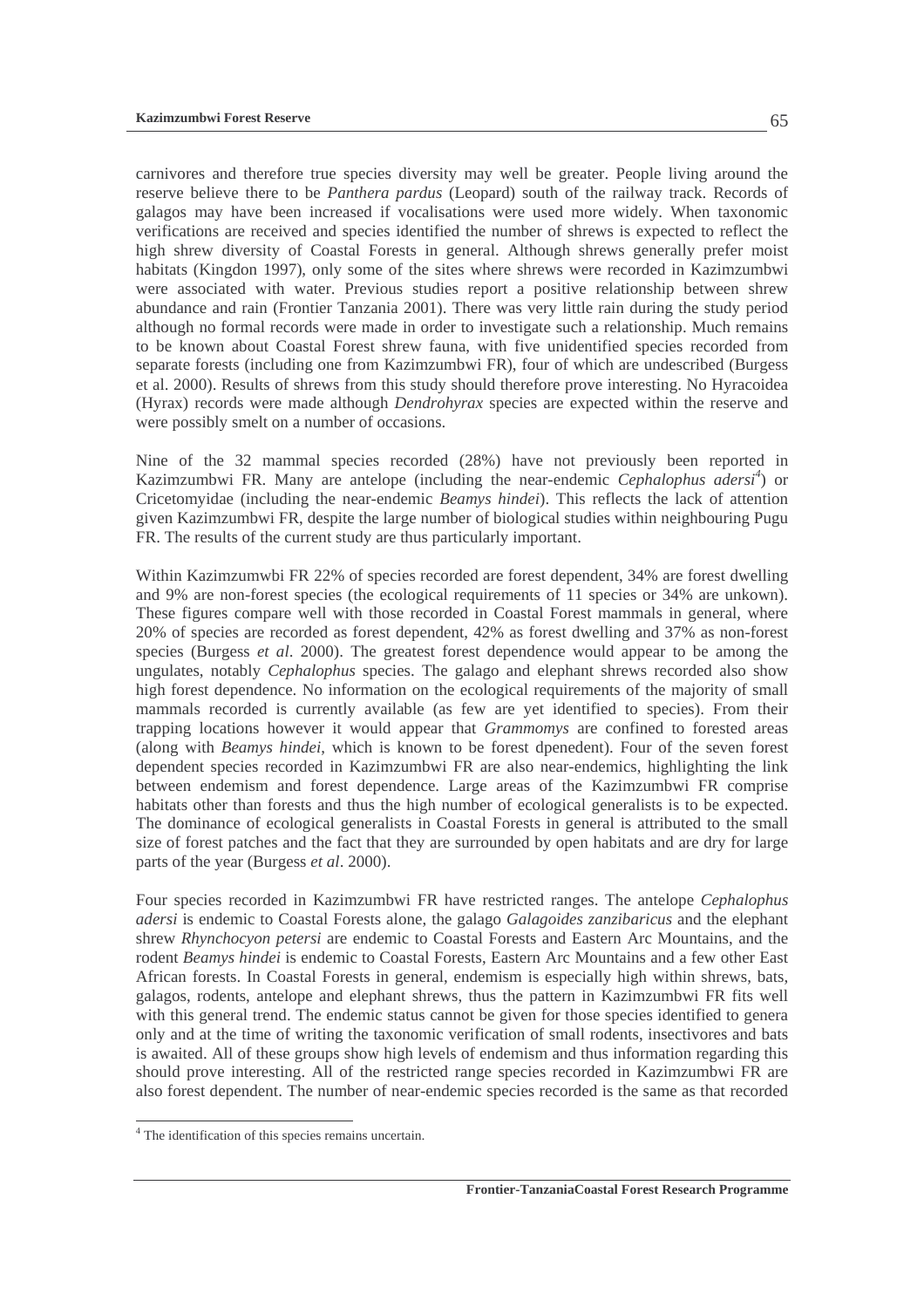carnivores and therefore true species diversity may well be greater. People living around the reserve believe there to be *Panthera pardus* (Leopard) south of the railway track. Records of galagos may have been increased if vocalisations were used more widely. When taxonomic verifications are received and species identified the number of shrews is expected to reflect the high shrew diversity of Coastal Forests in general. Although shrews generally prefer moist habitats (Kingdon 1997), only some of the sites where shrews were recorded in Kazimzumbwi were associated with water. Previous studies report a positive relationship between shrew abundance and rain (Frontier Tanzania 2001). There was very little rain during the study period although no formal records were made in order to investigate such a relationship. Much remains to be known about Coastal Forest shrew fauna, with five unidentified species recorded from separate forests (including one from Kazimzumbwi FR), four of which are undescribed (Burgess et al. 2000). Results of shrews from this study should therefore prove interesting. No Hyracoidea (Hyrax) records were made although *Dendrohyrax* species are expected within the reserve and were possibly smelt on a number of occasions.

Nine of the 32 mammal species recorded (28%) have not previously been reported in Kazimzumbwi FR. Many are antelope (including the near-endemic *Cephalophus adersi<sup>4</sup>* ) or Cricetomyidae (including the near-endemic *Beamys hindei*). This reflects the lack of attention given Kazimzumbwi FR, despite the large number of biological studies within neighbouring Pugu FR. The results of the current study are thus particularly important.

Within Kazimzumwbi FR 22% of species recorded are forest dependent, 34% are forest dwelling and 9% are non-forest species (the ecological requirements of 11 species or 34% are unkown). These figures compare well with those recorded in Coastal Forest mammals in general, where 20% of species are recorded as forest dependent, 42% as forest dwelling and 37% as non-forest species (Burgess *et al*. 2000). The greatest forest dependence would appear to be among the ungulates, notably *Cephalophus* species. The galago and elephant shrews recorded also show high forest dependence. No information on the ecological requirements of the majority of small mammals recorded is currently available (as few are yet identified to species). From their trapping locations however it would appear that *Grammomys* are confined to forested areas (along with *Beamys hindei*, which is known to be forest dpenedent). Four of the seven forest dependent species recorded in Kazimzumbwi FR are also near-endemics, highlighting the link between endemism and forest dependence. Large areas of the Kazimzumbwi FR comprise habitats other than forests and thus the high number of ecological generalists is to be expected. The dominance of ecological generalists in Coastal Forests in general is attributed to the small size of forest patches and the fact that they are surrounded by open habitats and are dry for large parts of the year (Burgess *et al*. 2000).

Four species recorded in Kazimzumbwi FR have restricted ranges. The antelope *Cephalophus adersi* is endemic to Coastal Forests alone, the galago *Galagoides zanzibaricus* and the elephant shrew *Rhynchocyon petersi* are endemic to Coastal Forests and Eastern Arc Mountains, and the rodent *Beamys hindei* is endemic to Coastal Forests, Eastern Arc Mountains and a few other East African forests. In Coastal Forests in general, endemism is especially high within shrews, bats, galagos, rodents, antelope and elephant shrews, thus the pattern in Kazimzumbwi FR fits well with this general trend. The endemic status cannot be given for those species identified to genera only and at the time of writing the taxonomic verification of small rodents, insectivores and bats is awaited. All of these groups show high levels of endemism and thus information regarding this should prove interesting. All of the restricted range species recorded in Kazimzumbwi FR are also forest dependent. The number of near-endemic species recorded is the same as that recorded

 4 The identification of this species remains uncertain.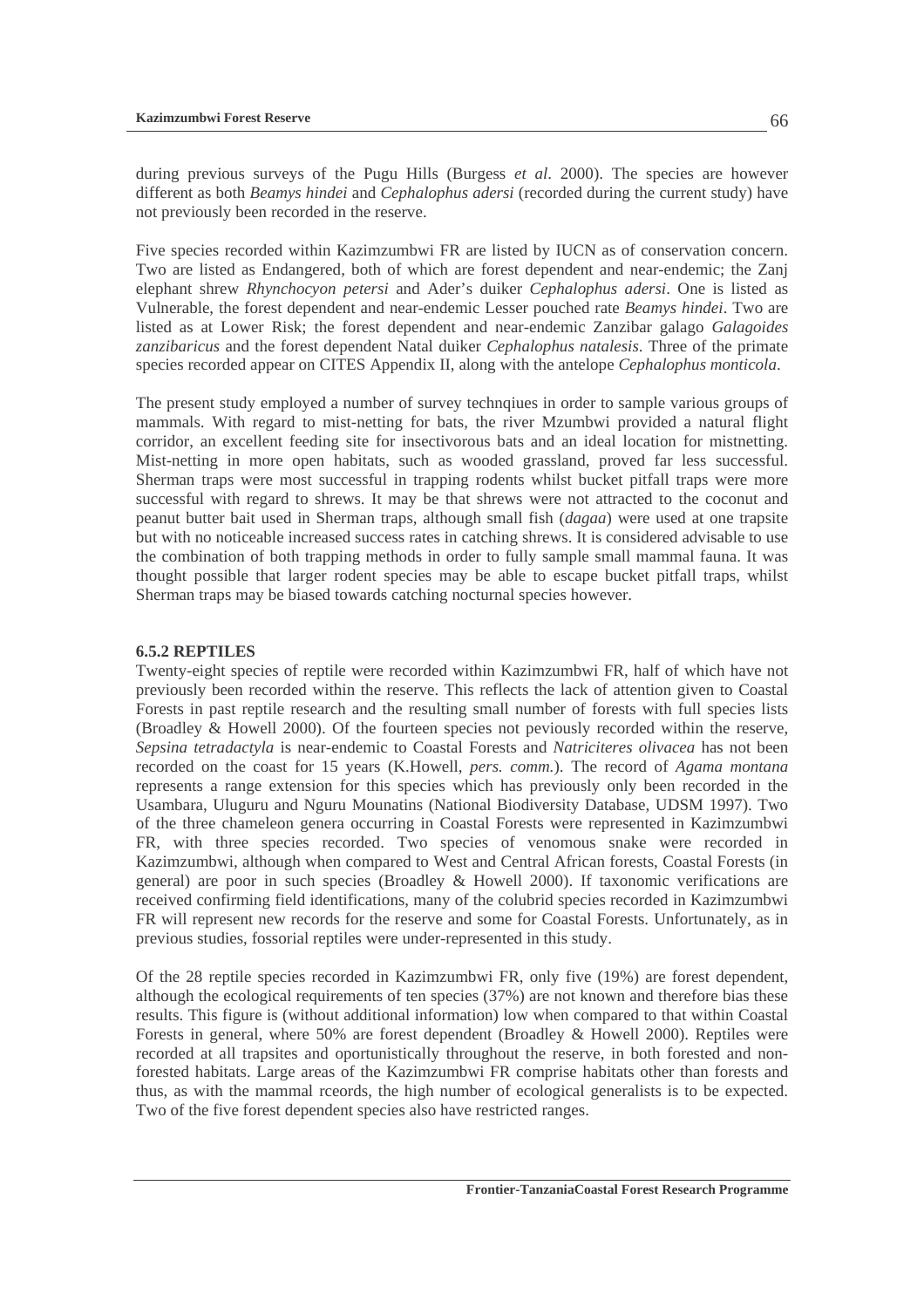during previous surveys of the Pugu Hills (Burgess *et al*. 2000). The species are however different as both *Beamys hindei* and *Cephalophus adersi* (recorded during the current study) have not previously been recorded in the reserve.

Five species recorded within Kazimzumbwi FR are listed by IUCN as of conservation concern. Two are listed as Endangered, both of which are forest dependent and near-endemic; the Zanj elephant shrew *Rhynchocyon petersi* and Ader's duiker *Cephalophus adersi*. One is listed as Vulnerable, the forest dependent and near-endemic Lesser pouched rate *Beamys hindei*. Two are listed as at Lower Risk; the forest dependent and near-endemic Zanzibar galago *Galagoides zanzibaricus* and the forest dependent Natal duiker *Cephalophus natalesis*. Three of the primate species recorded appear on CITES Appendix II, along with the antelope *Cephalophus monticola*.

The present study employed a number of survey technqiues in order to sample various groups of mammals. With regard to mist-netting for bats, the river Mzumbwi provided a natural flight corridor, an excellent feeding site for insectivorous bats and an ideal location for mistnetting. Mist-netting in more open habitats, such as wooded grassland, proved far less successful. Sherman traps were most successful in trapping rodents whilst bucket pitfall traps were more successful with regard to shrews. It may be that shrews were not attracted to the coconut and peanut butter bait used in Sherman traps, although small fish (*dagaa*) were used at one trapsite but with no noticeable increased success rates in catching shrews. It is considered advisable to use the combination of both trapping methods in order to fully sample small mammal fauna. It was thought possible that larger rodent species may be able to escape bucket pitfall traps, whilst Sherman traps may be biased towards catching nocturnal species however.

#### **6.5.2 REPTILES**

Twenty-eight species of reptile were recorded within Kazimzumbwi FR, half of which have not previously been recorded within the reserve. This reflects the lack of attention given to Coastal Forests in past reptile research and the resulting small number of forests with full species lists (Broadley & Howell 2000). Of the fourteen species not peviously recorded within the reserve, *Sepsina tetradactyla* is near-endemic to Coastal Forests and *Natriciteres olivacea* has not been recorded on the coast for 15 years (K.Howell, *pers. comm.*). The record of *Agama montana* represents a range extension for this species which has previously only been recorded in the Usambara, Uluguru and Nguru Mounatins (National Biodiversity Database, UDSM 1997). Two of the three chameleon genera occurring in Coastal Forests were represented in Kazimzumbwi FR, with three species recorded. Two species of venomous snake were recorded in Kazimzumbwi, although when compared to West and Central African forests, Coastal Forests (in general) are poor in such species (Broadley & Howell 2000). If taxonomic verifications are received confirming field identifications, many of the colubrid species recorded in Kazimzumbwi FR will represent new records for the reserve and some for Coastal Forests. Unfortunately, as in previous studies, fossorial reptiles were under-represented in this study.

Of the 28 reptile species recorded in Kazimzumbwi FR, only five (19%) are forest dependent, although the ecological requirements of ten species (37%) are not known and therefore bias these results. This figure is (without additional information) low when compared to that within Coastal Forests in general, where 50% are forest dependent (Broadley & Howell 2000). Reptiles were recorded at all trapsites and oportunistically throughout the reserve, in both forested and nonforested habitats. Large areas of the Kazimzumbwi FR comprise habitats other than forests and thus, as with the mammal rceords, the high number of ecological generalists is to be expected. Two of the five forest dependent species also have restricted ranges.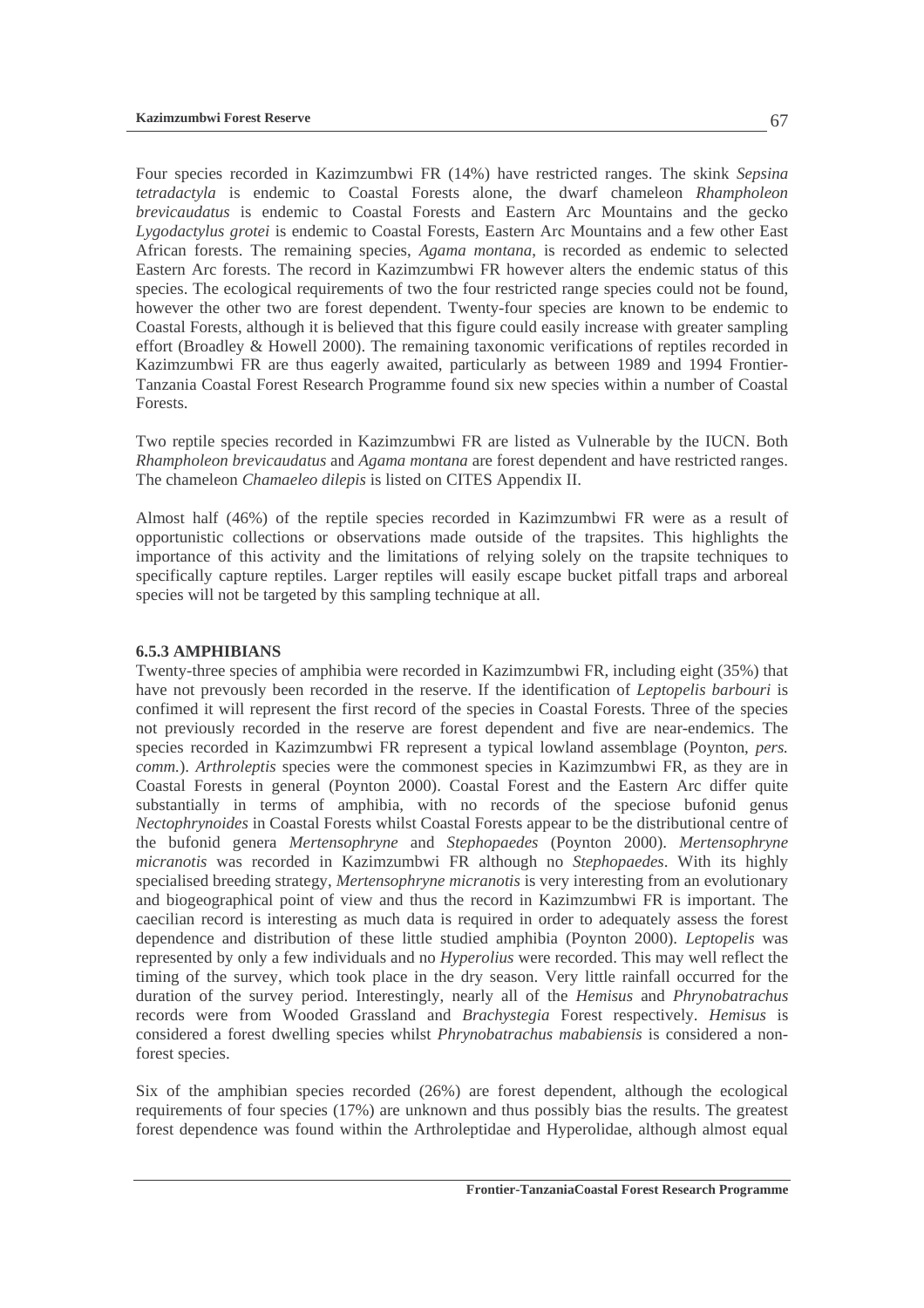Four species recorded in Kazimzumbwi FR (14%) have restricted ranges. The skink *Sepsina tetradactyla* is endemic to Coastal Forests alone, the dwarf chameleon *Rhampholeon brevicaudatus* is endemic to Coastal Forests and Eastern Arc Mountains and the gecko *Lygodactylus grotei* is endemic to Coastal Forests, Eastern Arc Mountains and a few other East African forests. The remaining species, *Agama montana*, is recorded as endemic to selected Eastern Arc forests. The record in Kazimzumbwi FR however alters the endemic status of this species. The ecological requirements of two the four restricted range species could not be found, however the other two are forest dependent. Twenty-four species are known to be endemic to Coastal Forests, although it is believed that this figure could easily increase with greater sampling effort (Broadley & Howell 2000). The remaining taxonomic verifications of reptiles recorded in Kazimzumbwi FR are thus eagerly awaited, particularly as between 1989 and 1994 Frontier-Tanzania Coastal Forest Research Programme found six new species within a number of Coastal **Forests** 

Two reptile species recorded in Kazimzumbwi FR are listed as Vulnerable by the IUCN. Both *Rhampholeon brevicaudatus* and *Agama montana* are forest dependent and have restricted ranges. The chameleon *Chamaeleo dilepis* is listed on CITES Appendix II.

Almost half (46%) of the reptile species recorded in Kazimzumbwi FR were as a result of opportunistic collections or observations made outside of the trapsites. This highlights the importance of this activity and the limitations of relying solely on the trapsite techniques to specifically capture reptiles. Larger reptiles will easily escape bucket pitfall traps and arboreal species will not be targeted by this sampling technique at all.

#### **6.5.3 AMPHIBIANS**

Twenty-three species of amphibia were recorded in Kazimzumbwi FR, including eight (35%) that have not prevously been recorded in the reserve. If the identification of *Leptopelis barbouri* is confimed it will represent the first record of the species in Coastal Forests. Three of the species not previously recorded in the reserve are forest dependent and five are near-endemics. The species recorded in Kazimzumbwi FR represent a typical lowland assemblage (Poynton, *pers. comm.*). *Arthroleptis* species were the commonest species in Kazimzumbwi FR, as they are in Coastal Forests in general (Poynton 2000). Coastal Forest and the Eastern Arc differ quite substantially in terms of amphibia, with no records of the speciose bufonid genus *Nectophrynoides* in Coastal Forests whilst Coastal Forests appear to be the distributional centre of the bufonid genera *Mertensophryne* and *Stephopaedes* (Poynton 2000). *Mertensophryne micranotis* was recorded in Kazimzumbwi FR although no *Stephopaedes*. With its highly specialised breeding strategy, *Mertensophryne micranotis* is very interesting from an evolutionary and biogeographical point of view and thus the record in Kazimzumbwi FR is important. The caecilian record is interesting as much data is required in order to adequately assess the forest dependence and distribution of these little studied amphibia (Poynton 2000). *Leptopelis* was represented by only a few individuals and no *Hyperolius* were recorded. This may well reflect the timing of the survey, which took place in the dry season. Very little rainfall occurred for the duration of the survey period. Interestingly, nearly all of the *Hemisus* and *Phrynobatrachus*  records were from Wooded Grassland and *Brachystegia* Forest respectively. *Hemisus* is considered a forest dwelling species whilst *Phrynobatrachus mababiensis* is considered a nonforest species.

Six of the amphibian species recorded (26%) are forest dependent, although the ecological requirements of four species (17%) are unknown and thus possibly bias the results. The greatest forest dependence was found within the Arthroleptidae and Hyperolidae, although almost equal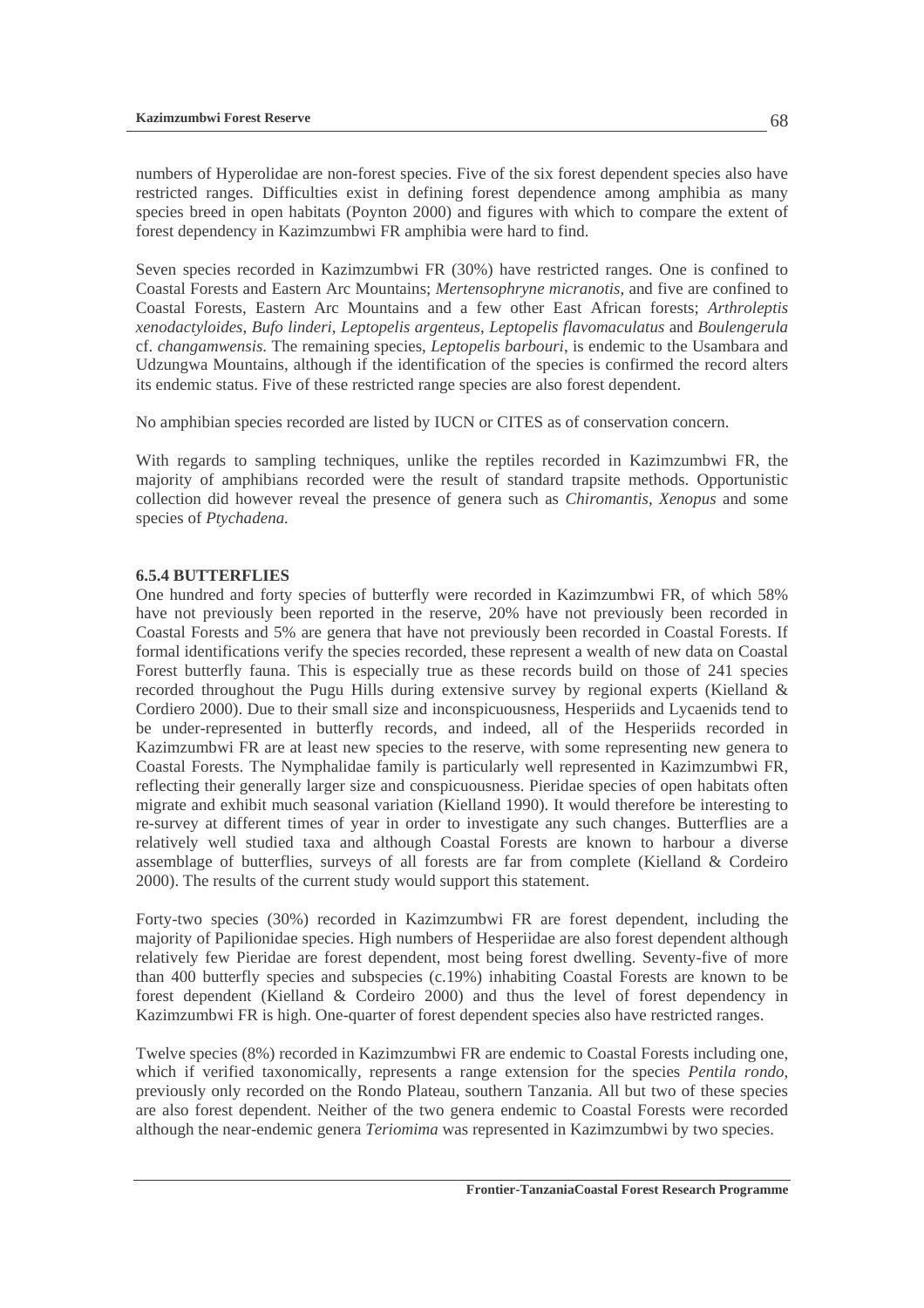numbers of Hyperolidae are non-forest species. Five of the six forest dependent species also have restricted ranges. Difficulties exist in defining forest dependence among amphibia as many species breed in open habitats (Poynton 2000) and figures with which to compare the extent of forest dependency in Kazimzumbwi FR amphibia were hard to find.

Seven species recorded in Kazimzumbwi FR (30%) have restricted ranges. One is confined to Coastal Forests and Eastern Arc Mountains; *Mertensophryne micranotis*, and five are confined to Coastal Forests, Eastern Arc Mountains and a few other East African forests; *Arthroleptis xenodactyloides*, *Bufo linderi*, *Leptopelis argenteus*, *Leptopelis flavomaculatus* and *Boulengerula*  cf. *changamwensis*. The remaining species, *Leptopelis barbouri*, is endemic to the Usambara and Udzungwa Mountains, although if the identification of the species is confirmed the record alters its endemic status. Five of these restricted range species are also forest dependent.

No amphibian species recorded are listed by IUCN or CITES as of conservation concern.

With regards to sampling techniques, unlike the reptiles recorded in Kazimzumbwi FR, the majority of amphibians recorded were the result of standard trapsite methods. Opportunistic collection did however reveal the presence of genera such as *Chiromantis*, *Xenopus* and some species of *Ptychadena.*

#### **6.5.4 BUTTERFLIES**

One hundred and forty species of butterfly were recorded in Kazimzumbwi FR, of which 58% have not previously been reported in the reserve, 20% have not previously been recorded in Coastal Forests and 5% are genera that have not previously been recorded in Coastal Forests. If formal identifications verify the species recorded, these represent a wealth of new data on Coastal Forest butterfly fauna. This is especially true as these records build on those of 241 species recorded throughout the Pugu Hills during extensive survey by regional experts (Kielland & Cordiero 2000). Due to their small size and inconspicuousness, Hesperiids and Lycaenids tend to be under-represented in butterfly records, and indeed, all of the Hesperiids recorded in Kazimzumbwi FR are at least new species to the reserve, with some representing new genera to Coastal Forests. The Nymphalidae family is particularly well represented in Kazimzumbwi FR, reflecting their generally larger size and conspicuousness. Pieridae species of open habitats often migrate and exhibit much seasonal variation (Kielland 1990). It would therefore be interesting to re-survey at different times of year in order to investigate any such changes. Butterflies are a relatively well studied taxa and although Coastal Forests are known to harbour a diverse assemblage of butterflies, surveys of all forests are far from complete (Kielland & Cordeiro 2000). The results of the current study would support this statement.

Forty-two species (30%) recorded in Kazimzumbwi FR are forest dependent, including the majority of Papilionidae species. High numbers of Hesperiidae are also forest dependent although relatively few Pieridae are forest dependent, most being forest dwelling. Seventy-five of more than 400 butterfly species and subspecies (c.19%) inhabiting Coastal Forests are known to be forest dependent (Kielland & Cordeiro 2000) and thus the level of forest dependency in Kazimzumbwi FR is high. One-quarter of forest dependent species also have restricted ranges.

Twelve species (8%) recorded in Kazimzumbwi FR are endemic to Coastal Forests including one, which if verified taxonomically, represents a range extension for the species *Pentila rondo*, previously only recorded on the Rondo Plateau, southern Tanzania. All but two of these species are also forest dependent. Neither of the two genera endemic to Coastal Forests were recorded although the near-endemic genera *Teriomima* was represented in Kazimzumbwi by two species.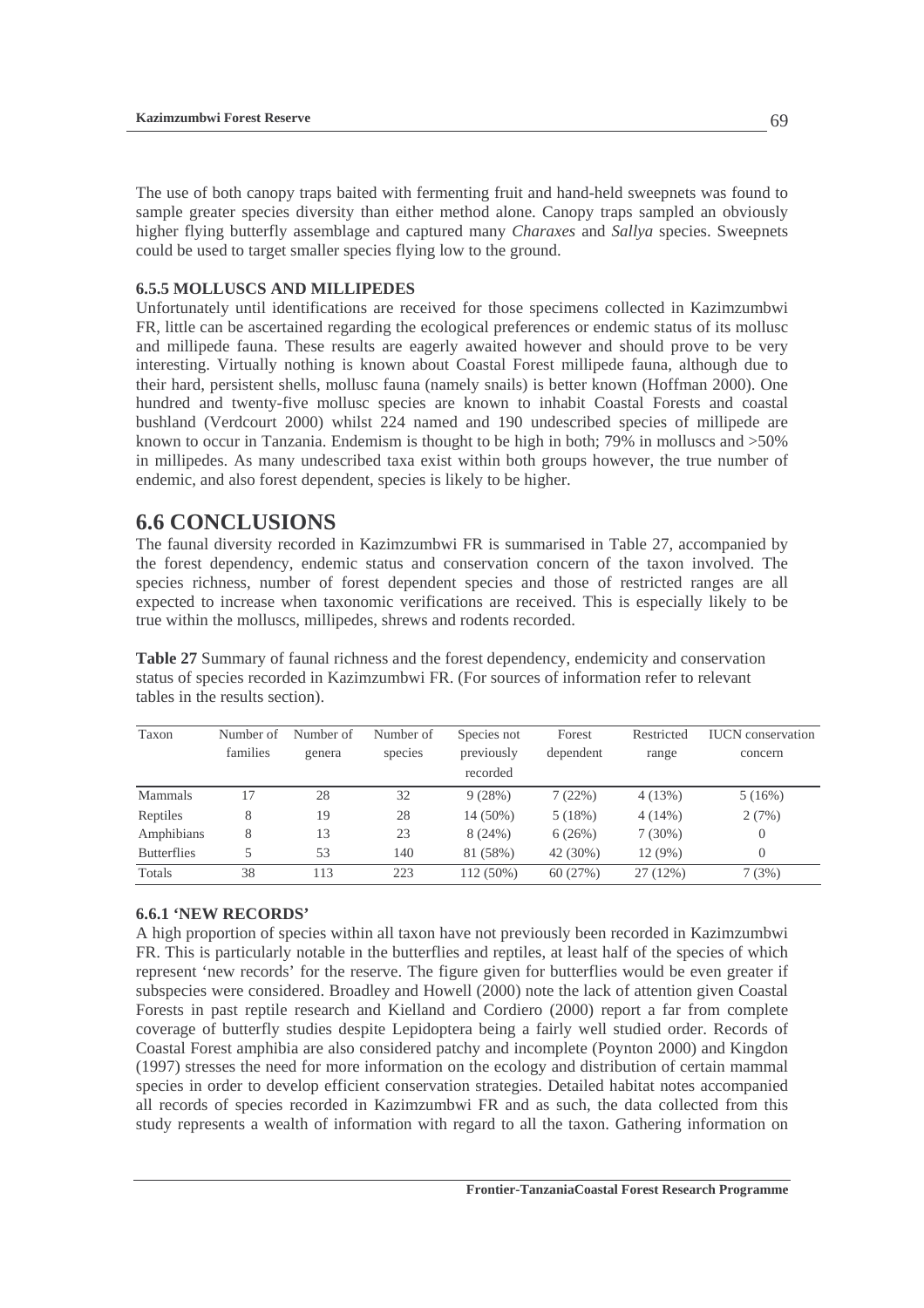The use of both canopy traps baited with fermenting fruit and hand-held sweepnets was found to sample greater species diversity than either method alone. Canopy traps sampled an obviously higher flying butterfly assemblage and captured many *Charaxes* and *Sallya* species. Sweepnets could be used to target smaller species flying low to the ground.

#### **6.5.5 MOLLUSCS AND MILLIPEDES**

Unfortunately until identifications are received for those specimens collected in Kazimzumbwi FR, little can be ascertained regarding the ecological preferences or endemic status of its mollusc and millipede fauna. These results are eagerly awaited however and should prove to be very interesting. Virtually nothing is known about Coastal Forest millipede fauna, although due to their hard, persistent shells, mollusc fauna (namely snails) is better known (Hoffman 2000). One hundred and twenty-five mollusc species are known to inhabit Coastal Forests and coastal bushland (Verdcourt 2000) whilst 224 named and 190 undescribed species of millipede are known to occur in Tanzania. Endemism is thought to be high in both; 79% in molluscs and >50% in millipedes. As many undescribed taxa exist within both groups however, the true number of endemic, and also forest dependent, species is likely to be higher.

### **6.6 CONCLUSIONS**

The faunal diversity recorded in Kazimzumbwi FR is summarised in Table 27, accompanied by the forest dependency, endemic status and conservation concern of the taxon involved. The species richness, number of forest dependent species and those of restricted ranges are all expected to increase when taxonomic verifications are received. This is especially likely to be true within the molluscs, millipedes, shrews and rodents recorded.

**Table 27** Summary of faunal richness and the forest dependency, endemicity and conservation status of species recorded in Kazimzumbwi FR. (For sources of information refer to relevant tables in the results section).

| Taxon              | Number of | Number of | Number of | Species not | Forest    | Restricted | <b>IUCN</b> conservation |
|--------------------|-----------|-----------|-----------|-------------|-----------|------------|--------------------------|
|                    | families  | genera    | species   | previously  | dependent | range      | concern                  |
|                    |           |           |           | recorded    |           |            |                          |
| Mammals            | 17        | 28        | 32        | 9(28%)      | 7(22%)    | 4(13%)     | 5(16%)                   |
| Reptiles           | 8         | 19        | 28        | 14 (50%)    | 5(18%)    | $4(14\%)$  | 2(7%)                    |
| Amphibians         | 8         | 13        | 23        | 8(24%)      | 6(26%)    | $7(30\%)$  | $\overline{0}$           |
| <b>Butterflies</b> |           | 53        | 140       | 81 (58%)    | 42 (30%)  | 12(9%)     | $\overline{0}$           |
| Totals             | 38        | 113       | 223       | 112 (50%)   | 60(27%)   | 27(12%)    | 7(3%)                    |

#### **6.6.1 'NEW RECORDS'**

A high proportion of species within all taxon have not previously been recorded in Kazimzumbwi FR. This is particularly notable in the butterflies and reptiles, at least half of the species of which represent 'new records' for the reserve. The figure given for butterflies would be even greater if subspecies were considered. Broadley and Howell (2000) note the lack of attention given Coastal Forests in past reptile research and Kielland and Cordiero (2000) report a far from complete coverage of butterfly studies despite Lepidoptera being a fairly well studied order. Records of Coastal Forest amphibia are also considered patchy and incomplete (Poynton 2000) and Kingdon (1997) stresses the need for more information on the ecology and distribution of certain mammal species in order to develop efficient conservation strategies. Detailed habitat notes accompanied all records of species recorded in Kazimzumbwi FR and as such, the data collected from this study represents a wealth of information with regard to all the taxon. Gathering information on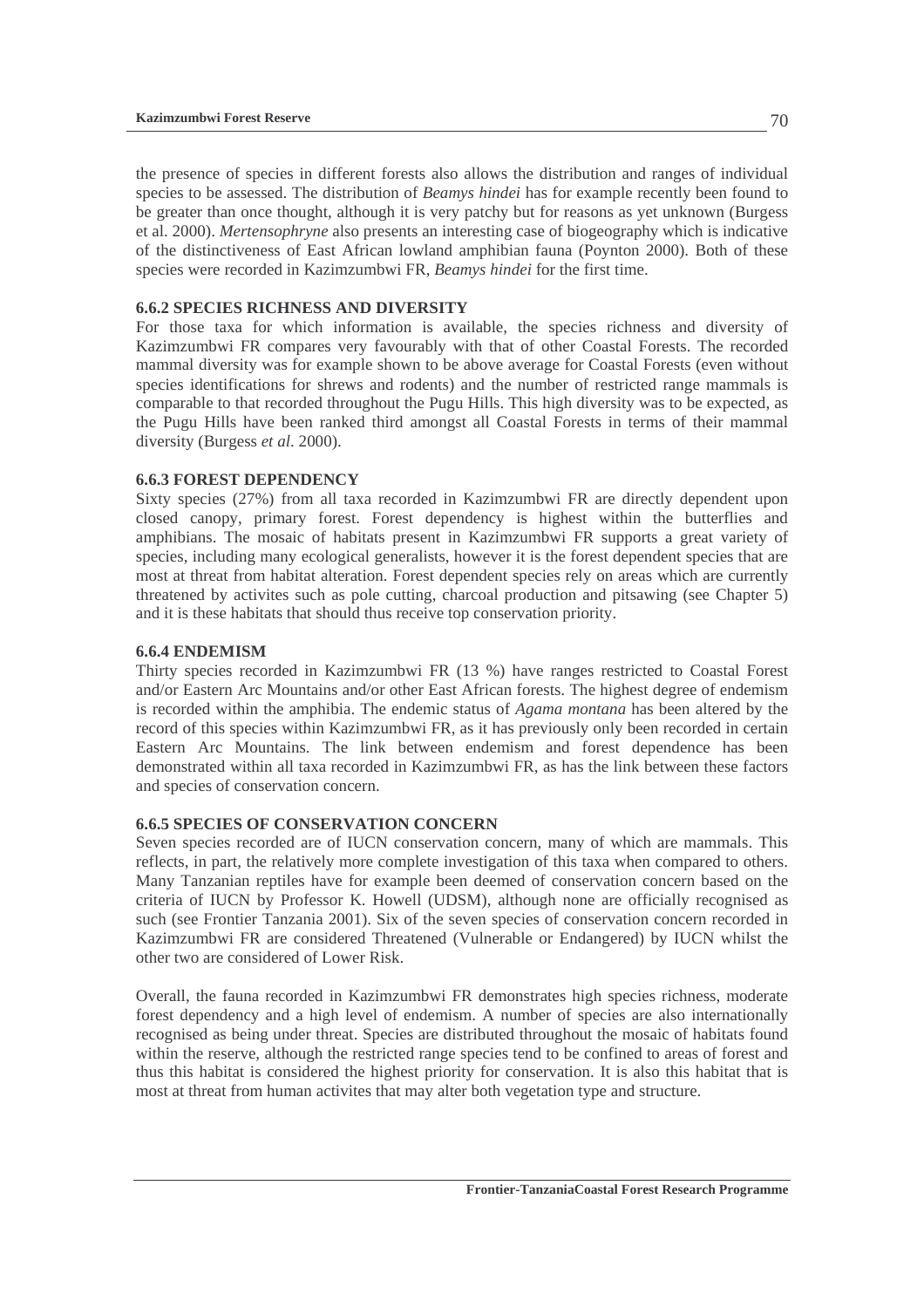the presence of species in different forests also allows the distribution and ranges of individual species to be assessed. The distribution of *Beamys hindei* has for example recently been found to be greater than once thought, although it is very patchy but for reasons as yet unknown (Burgess et al. 2000). *Mertensophryne* also presents an interesting case of biogeography which is indicative of the distinctiveness of East African lowland amphibian fauna (Poynton 2000). Both of these species were recorded in Kazimzumbwi FR, *Beamys hindei* for the first time.

#### **6.6.2 SPECIES RICHNESS AND DIVERSITY**

For those taxa for which information is available, the species richness and diversity of Kazimzumbwi FR compares very favourably with that of other Coastal Forests. The recorded mammal diversity was for example shown to be above average for Coastal Forests (even without species identifications for shrews and rodents) and the number of restricted range mammals is comparable to that recorded throughout the Pugu Hills. This high diversity was to be expected, as the Pugu Hills have been ranked third amongst all Coastal Forests in terms of their mammal diversity (Burgess *et al*. 2000).

#### **6.6.3 FOREST DEPENDENCY**

Sixty species (27%) from all taxa recorded in Kazimzumbwi FR are directly dependent upon closed canopy, primary forest. Forest dependency is highest within the butterflies and amphibians. The mosaic of habitats present in Kazimzumbwi FR supports a great variety of species, including many ecological generalists, however it is the forest dependent species that are most at threat from habitat alteration. Forest dependent species rely on areas which are currently threatened by activites such as pole cutting, charcoal production and pitsawing (see Chapter 5) and it is these habitats that should thus receive top conservation priority.

#### **6.6.4 ENDEMISM**

Thirty species recorded in Kazimzumbwi FR (13 %) have ranges restricted to Coastal Forest and/or Eastern Arc Mountains and/or other East African forests. The highest degree of endemism is recorded within the amphibia. The endemic status of *Agama montana* has been altered by the record of this species within Kazimzumbwi FR, as it has previously only been recorded in certain Eastern Arc Mountains. The link between endemism and forest dependence has been demonstrated within all taxa recorded in Kazimzumbwi FR, as has the link between these factors and species of conservation concern.

#### **6.6.5 SPECIES OF CONSERVATION CONCERN**

Seven species recorded are of IUCN conservation concern, many of which are mammals. This reflects, in part, the relatively more complete investigation of this taxa when compared to others. Many Tanzanian reptiles have for example been deemed of conservation concern based on the criteria of IUCN by Professor K. Howell (UDSM), although none are officially recognised as such (see Frontier Tanzania 2001). Six of the seven species of conservation concern recorded in Kazimzumbwi FR are considered Threatened (Vulnerable or Endangered) by IUCN whilst the other two are considered of Lower Risk.

Overall, the fauna recorded in Kazimzumbwi FR demonstrates high species richness, moderate forest dependency and a high level of endemism. A number of species are also internationally recognised as being under threat. Species are distributed throughout the mosaic of habitats found within the reserve, although the restricted range species tend to be confined to areas of forest and thus this habitat is considered the highest priority for conservation. It is also this habitat that is most at threat from human activites that may alter both vegetation type and structure.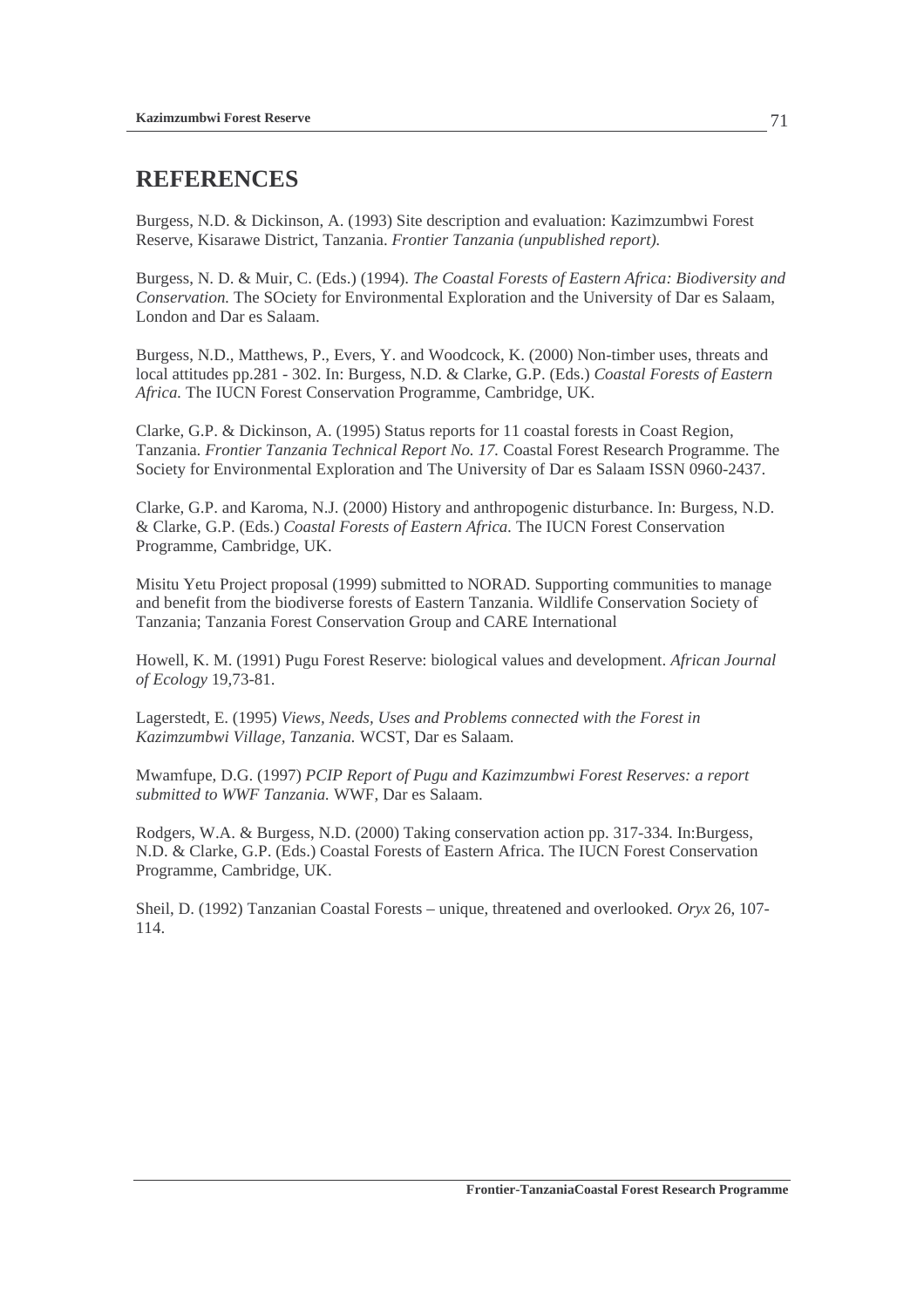# **REFERENCES**

Burgess, N.D. & Dickinson, A. (1993) Site description and evaluation: Kazimzumbwi Forest Reserve, Kisarawe District, Tanzania. *Frontier Tanzania (unpublished report).* 

Burgess, N. D. & Muir, C. (Eds.) (1994). *The Coastal Forests of Eastern Africa: Biodiversity and Conservation.* The SOciety for Environmental Exploration and the University of Dar es Salaam, London and Dar es Salaam.

Burgess, N.D., Matthews, P., Evers, Y. and Woodcock, K. (2000) Non-timber uses, threats and local attitudes pp.281 - 302. In: Burgess, N.D. & Clarke, G.P. (Eds.) *Coastal Forests of Eastern Africa.* The IUCN Forest Conservation Programme, Cambridge, UK.

Clarke, G.P. & Dickinson, A. (1995) Status reports for 11 coastal forests in Coast Region, Tanzania. *Frontier Tanzania Technical Report No. 17.* Coastal Forest Research Programme. The Society for Environmental Exploration and The University of Dar es Salaam ISSN 0960-2437.

Clarke, G.P. and Karoma, N.J. (2000) History and anthropogenic disturbance. In: Burgess, N.D. & Clarke, G.P. (Eds.) *Coastal Forests of Eastern Africa.* The IUCN Forest Conservation Programme, Cambridge, UK.

Misitu Yetu Project proposal (1999) submitted to NORAD. Supporting communities to manage and benefit from the biodiverse forests of Eastern Tanzania. Wildlife Conservation Society of Tanzania; Tanzania Forest Conservation Group and CARE International

Howell, K. M. (1991) Pugu Forest Reserve: biological values and development. *African Journal of Ecology* 19,73-81.

Lagerstedt, E. (1995) *Views, Needs, Uses and Problems connected with the Forest in Kazimzumbwi Village, Tanzania.* WCST, Dar es Salaam.

Mwamfupe, D.G. (1997) *PCIP Report of Pugu and Kazimzumbwi Forest Reserves: a report submitted to WWF Tanzania.* WWF, Dar es Salaam.

Rodgers, W.A. & Burgess, N.D. (2000) Taking conservation action pp. 317-334. In:Burgess, N.D. & Clarke, G.P. (Eds.) Coastal Forests of Eastern Africa. The IUCN Forest Conservation Programme, Cambridge, UK.

Sheil, D. (1992) Tanzanian Coastal Forests – unique, threatened and overlooked. *Oryx* 26, 107- 114.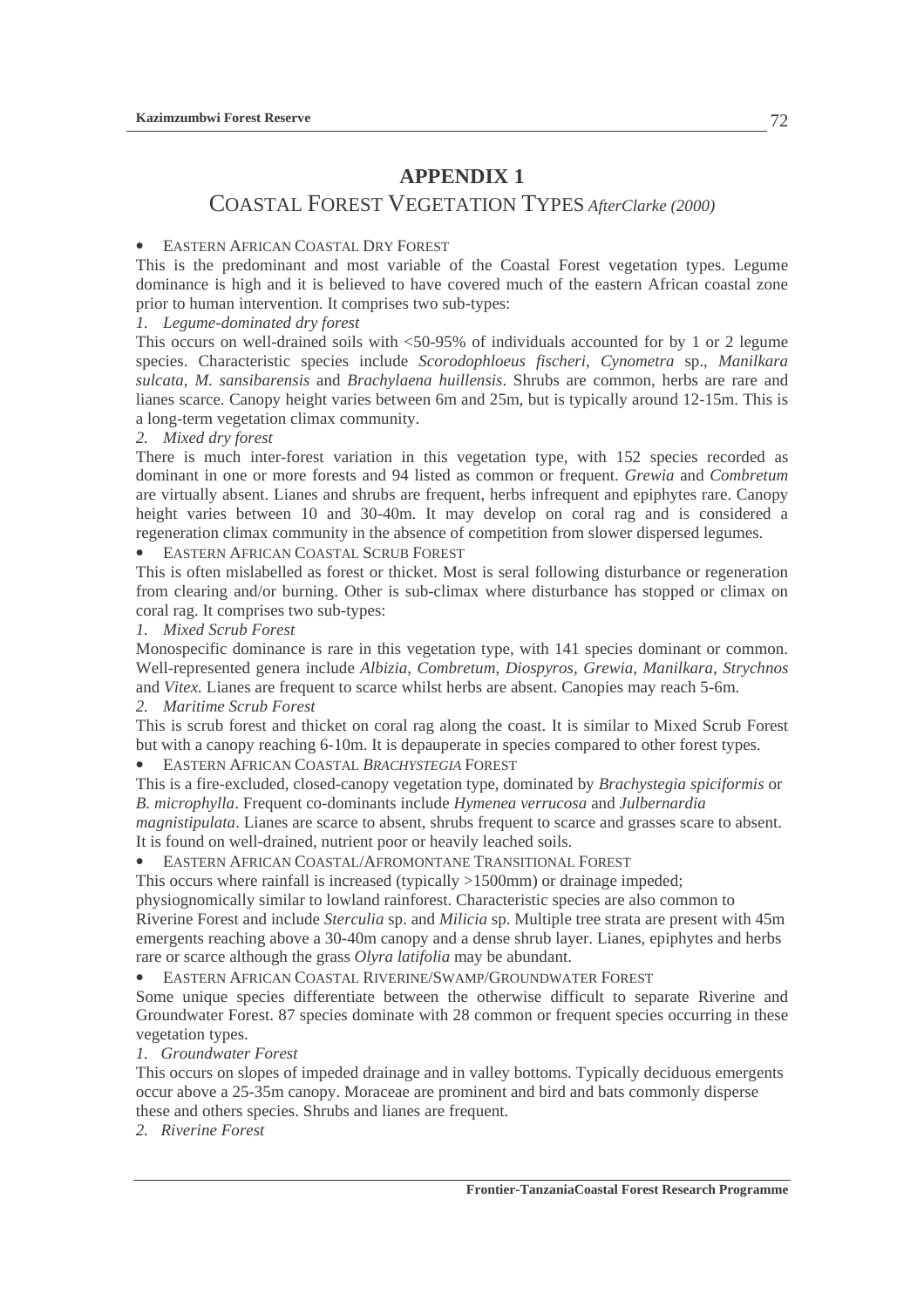### **APPENDIX 1**

## COASTAL FOREST VEGETATION TYPES *AfterClarke (2000)*

#### • EASTERN AFRICAN COASTAL DRY FOREST

This is the predominant and most variable of the Coastal Forest vegetation types. Legume dominance is high and it is believed to have covered much of the eastern African coastal zone prior to human intervention. It comprises two sub-types:

*1. Legume-dominated dry forest* 

This occurs on well-drained soils with <50-95% of individuals accounted for by 1 or 2 legume species. Characteristic species include *Scorodophloeus fischeri*, *Cynometra* sp., *Manilkara sulcata*, *M. sansibarensis* and *Brachylaena huillensis*. Shrubs are common, herbs are rare and lianes scarce. Canopy height varies between 6m and 25m, but is typically around 12-15m. This is a long-term vegetation climax community.

#### *2. Mixed dry forest*

There is much inter-forest variation in this vegetation type, with 152 species recorded as dominant in one or more forests and 94 listed as common or frequent. *Grewia* and *Combretum* are virtually absent. Lianes and shrubs are frequent, herbs infrequent and epiphytes rare. Canopy height varies between 10 and 30-40m. It may develop on coral rag and is considered a regeneration climax community in the absence of competition from slower dispersed legumes.

• EASTERN AFRICAN COASTAL SCRUB FOREST

This is often mislabelled as forest or thicket. Most is seral following disturbance or regeneration from clearing and/or burning. Other is sub-climax where disturbance has stopped or climax on coral rag. It comprises two sub-types:

*1. Mixed Scrub Forest* 

Monospecific dominance is rare in this vegetation type, with 141 species dominant or common. Well-represented genera include *Albizia*, *Combretum*, *Diospyros, Grewia*, *Manilkara*, *Strychnos* and *Vitex.* Lianes are frequent to scarce whilst herbs are absent. Canopies may reach 5-6m. *2. Maritime Scrub Forest* 

This is scrub forest and thicket on coral rag along the coast. It is similar to Mixed Scrub Forest but with a canopy reaching 6-10m. It is depauperate in species compared to other forest types.

• EASTERN AFRICAN COASTAL *BRACHYSTEGIA* FOREST

This is a fire-excluded, closed-canopy vegetation type, dominated by *Brachystegia spiciformis* or *B. microphylla*. Frequent co-dominants include *Hymenea verrucosa* and *Julbernardia magnistipulata*. Lianes are scarce to absent, shrubs frequent to scarce and grasses scare to absent.

It is found on well-drained, nutrient poor or heavily leached soils.

• EASTERN AFRICAN COASTAL/AFROMONTANE TRANSITIONAL FOREST

This occurs where rainfall is increased (typically >1500mm) or drainage impeded;

physiognomically similar to lowland rainforest. Characteristic species are also common to Riverine Forest and include *Sterculia* sp. and *Milicia* sp. Multiple tree strata are present with 45m emergents reaching above a 30-40m canopy and a dense shrub layer. Lianes, epiphytes and herbs rare or scarce although the grass *Olyra latifolia* may be abundant.

• EASTERN AFRICAN COASTAL RIVERINE/SWAMP/GROUNDWATER FOREST

Some unique species differentiate between the otherwise difficult to separate Riverine and Groundwater Forest. 87 species dominate with 28 common or frequent species occurring in these vegetation types.

*1. Groundwater Forest* 

This occurs on slopes of impeded drainage and in valley bottoms. Typically deciduous emergents occur above a 25-35m canopy. Moraceae are prominent and bird and bats commonly disperse these and others species. Shrubs and lianes are frequent.

*2. Riverine Forest*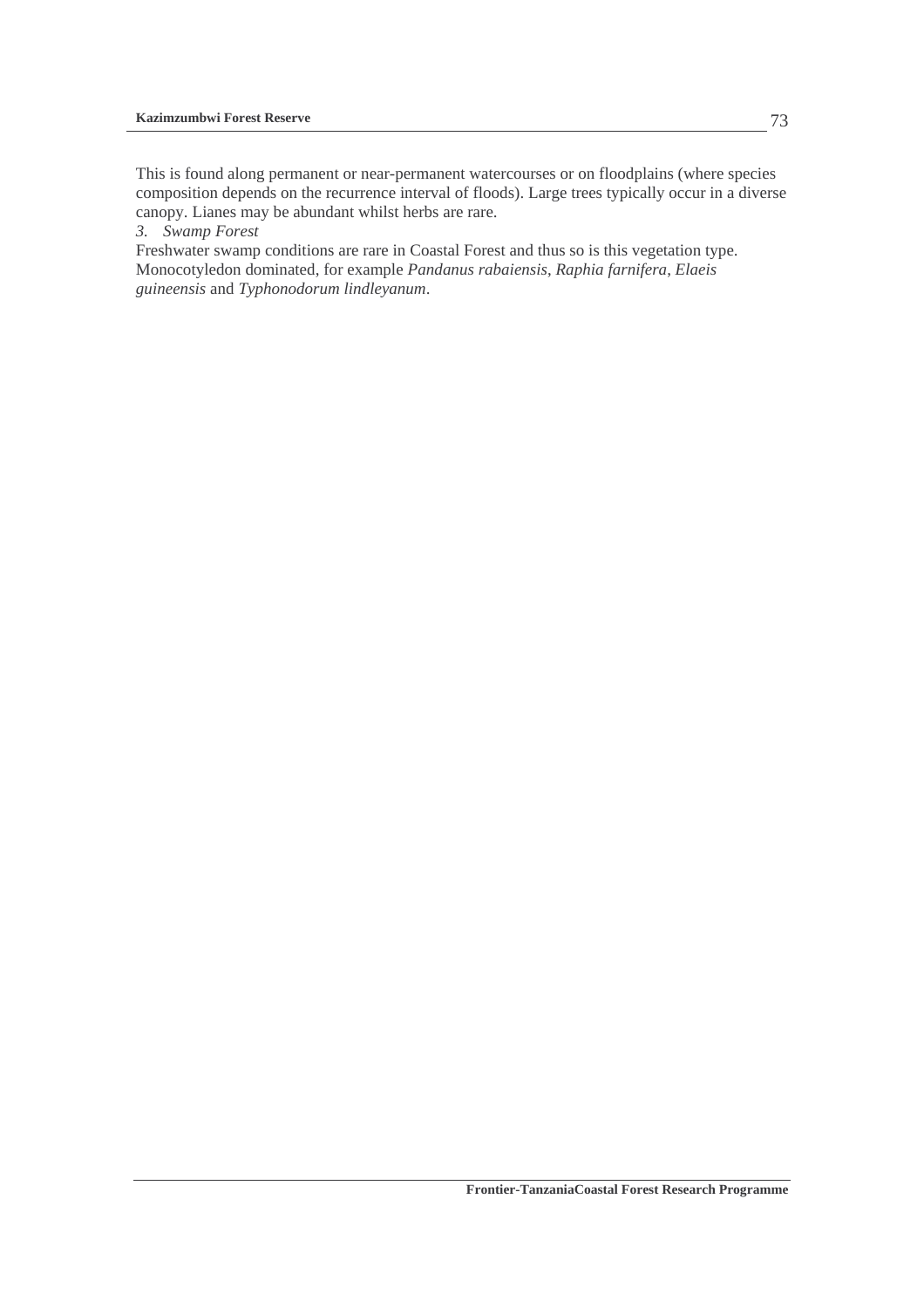This is found along permanent or near-permanent watercourses or on floodplains (where species composition depends on the recurrence interval of floods). Large trees typically occur in a diverse canopy. Lianes may be abundant whilst herbs are rare.

*3. Swamp Forest* 

Freshwater swamp conditions are rare in Coastal Forest and thus so is this vegetation type. Monocotyledon dominated, for example *Pandanus rabaiensis*, *Raphia farnifera*, *Elaeis guineensis* and *Typhonodorum lindleyanum*.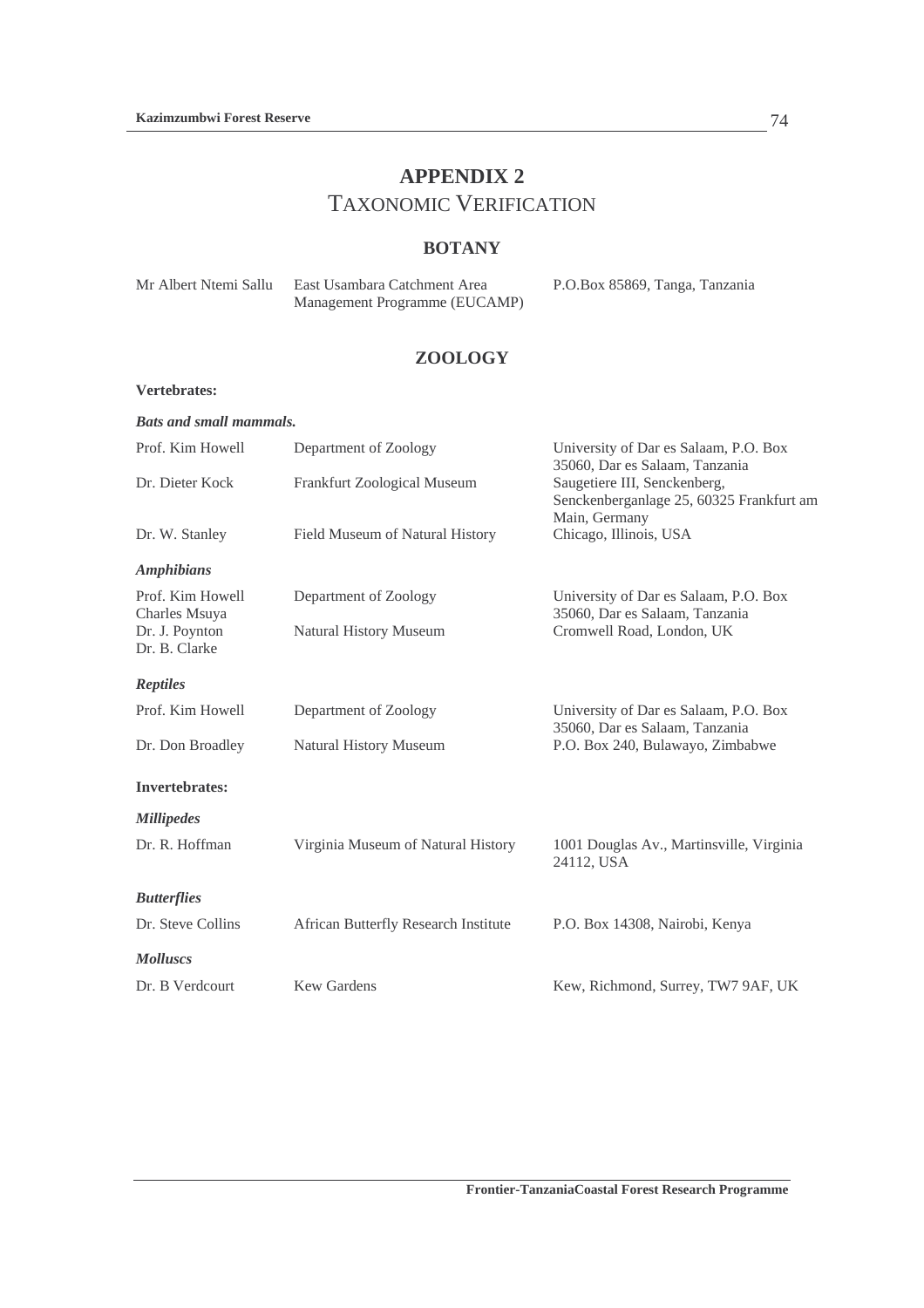# **APPENDIX 2**  TAXONOMIC VERIFICATION

### **BOTANY**

| Mr Albert Ntemi Sallu | East Usambara Catchment Area  | P.O.Box 85869, Tanga, Tanzania |
|-----------------------|-------------------------------|--------------------------------|
|                       | Management Programme (EUCAMP) |                                |

### **ZOOLOGY**

#### **Vertebrates:**

| <b>Bats and small mammals.</b>    |                                      |                                                                                           |
|-----------------------------------|--------------------------------------|-------------------------------------------------------------------------------------------|
| Prof. Kim Howell                  | Department of Zoology                | University of Dar es Salaam, P.O. Box<br>35060, Dar es Salaam, Tanzania                   |
| Dr. Dieter Kock                   | Frankfurt Zoological Museum          | Saugetiere III, Senckenberg,<br>Senckenberganlage 25, 60325 Frankfurt am<br>Main, Germany |
| Dr. W. Stanley                    | Field Museum of Natural History      | Chicago, Illinois, USA                                                                    |
| <b>Amphibians</b>                 |                                      |                                                                                           |
| Prof. Kim Howell<br>Charles Msuya | Department of Zoology                | University of Dar es Salaam, P.O. Box<br>35060, Dar es Salaam, Tanzania                   |
| Dr. J. Poynton<br>Dr. B. Clarke   | Natural History Museum               | Cromwell Road, London, UK                                                                 |
| <b>Reptiles</b>                   |                                      |                                                                                           |
| Prof. Kim Howell                  | Department of Zoology                | University of Dar es Salaam, P.O. Box<br>35060, Dar es Salaam, Tanzania                   |
| Dr. Don Broadley                  | Natural History Museum               | P.O. Box 240, Bulawayo, Zimbabwe                                                          |
| <b>Invertebrates:</b>             |                                      |                                                                                           |
| <b>Millipedes</b>                 |                                      |                                                                                           |
| Dr. R. Hoffman                    | Virginia Museum of Natural History   | 1001 Douglas Av., Martinsville, Virginia<br>24112, USA                                    |
| <b>Butterflies</b>                |                                      |                                                                                           |
| Dr. Steve Collins                 | African Butterfly Research Institute | P.O. Box 14308, Nairobi, Kenya                                                            |
| <b>Molluscs</b>                   |                                      |                                                                                           |
| Dr. B Verdcourt                   | <b>Kew Gardens</b>                   | Kew, Richmond, Surrey, TW7 9AF, UK                                                        |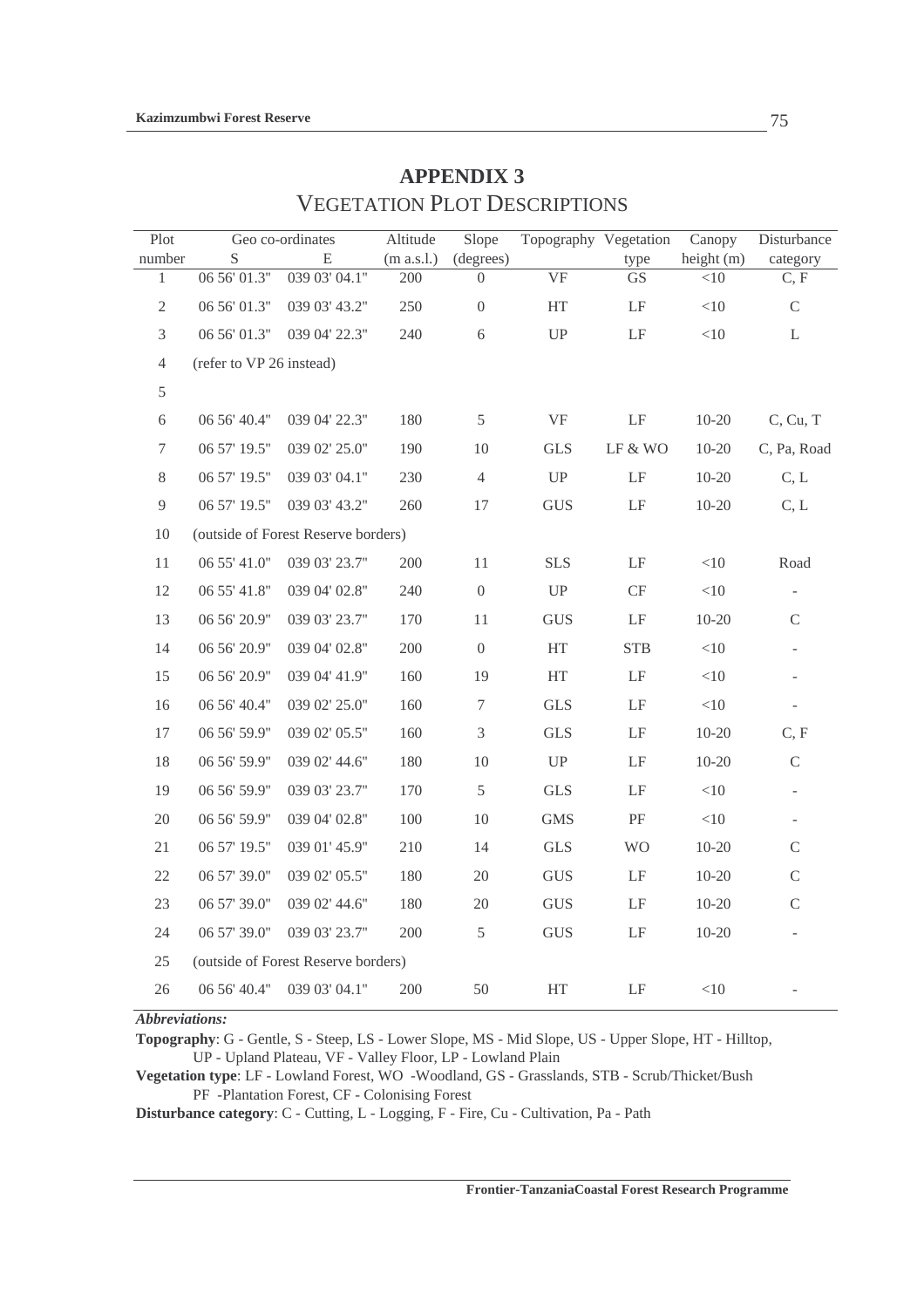| Plot             |                          | Geo co-ordinates                    | Altitude   | Slope            | Topography Vegetation      |                     | Canopy     | Disturbance              |
|------------------|--------------------------|-------------------------------------|------------|------------------|----------------------------|---------------------|------------|--------------------------|
| number           | S                        | E                                   | (m a.s.l.) | (degrees)        |                            | type                | height (m) | category                 |
| $\mathbf{1}$     | 06 56' 01.3"             | 039 03' 04.1"                       | 200        | $\Omega$         | <b>VF</b>                  | <b>GS</b>           | <10        | C, F                     |
| $\sqrt{2}$       | 06 56' 01.3"             | 039 03' 43.2"                       | 250        | $\boldsymbol{0}$ | $\rm HT$                   | $\rm LF$            | $<\!\!10$  | $\mathsf C$              |
| 3                | 06 56' 01.3"             | 039 04' 22.3"                       | 240        | 6                | ${\rm UP}$                 | $\operatorname{LF}$ | $<\!\!10$  | L                        |
| 4                | (refer to VP 26 instead) |                                     |            |                  |                            |                     |            |                          |
| 5                |                          |                                     |            |                  |                            |                     |            |                          |
| $\sqrt{6}$       | 06 56' 40.4"             | 039 04' 22.3"                       | 180        | $\mathfrak s$    | $\rm{VF}$                  | $\rm LF$            | $10 - 20$  | C, Cu, T                 |
| $\boldsymbol{7}$ | 06 57' 19.5"             | 039 02' 25.0"                       | 190        | 10               | <b>GLS</b>                 | $LF & WO$           | $10 - 20$  | C, Pa, Road              |
| 8                | 06 57' 19.5"             | 039 03' 04.1"                       | 230        | $\overline{4}$   | $\ensuremath{\mathrm{UP}}$ | $\rm LF$            | $10 - 20$  | C, L                     |
| $\overline{9}$   | 06 57' 19.5"             | 039 03' 43.2"                       | 260        | 17               | <b>GUS</b>                 | $\rm LF$            | $10 - 20$  | C, L                     |
| 10               |                          | (outside of Forest Reserve borders) |            |                  |                            |                     |            |                          |
| 11               | 06 55' 41.0"             | 039 03' 23.7"                       | 200        | 11               | <b>SLS</b>                 | $\rm LF$            | $<$ 10     | Road                     |
| 12               | 06 55' 41.8"             | 039 04' 02.8"                       | 240        | $\overline{0}$   | ${\rm UP}$                 | $\mathrm{CF}$       | $<$ 10     |                          |
| 13               | 06 56' 20.9"             | 039 03' 23.7"                       | 170        | 11               | <b>GUS</b>                 | $\rm LF$            | $10-20$    | $\mathbf C$              |
| 14               | 06 56' 20.9"             | 039 04' 02.8"                       | 200        | $\overline{0}$   | HT                         | <b>STB</b>          | <10        | $\overline{\phantom{a}}$ |
| 15               | 06 56' 20.9"             | 039 04' 41.9"                       | 160        | 19               | HT                         | $\rm LF$            | $<$ 10     | $\overline{\phantom{a}}$ |
| 16               | 06 56' 40.4"             | 039 02' 25.0"                       | 160        | $\boldsymbol{7}$ | <b>GLS</b>                 | $\operatorname{LF}$ | $<$ 10     | $\qquad \qquad -$        |
| 17               | 06 56' 59.9"             | 039 02' 05.5"                       | 160        | $\mathfrak{Z}$   | <b>GLS</b>                 | $\operatorname{LF}$ | $10 - 20$  | C, F                     |
| 18               | 06 56' 59.9"             | 039 02' 44.6"                       | 180        | $10\,$           | $\ensuremath{\mathrm{UP}}$ | $\rm LF$            | $10-20$    | $\mathsf C$              |
| 19               | 06 56' 59.9"             | 039 03' 23.7"                       | 170        | $\mathfrak s$    | <b>GLS</b>                 | $\rm LF$            | $<$ 10     | $\overline{\phantom{a}}$ |
| $20\,$           | 06 56' 59.9"             | 039 04' 02.8"                       | 100        | 10               | <b>GMS</b>                 | $\rm PF$            | $<\!\!10$  | $\overline{\phantom{a}}$ |
| 21               | 06 57' 19.5"             | 039 01' 45.9"                       | 210        | 14               | GLS                        | <b>WO</b>           | $10 - 20$  | $\mathsf C$              |
| $22\,$           | 06 57' 39.0"             | 039 02' 05.5"                       | 180        | $20\,$           | $\rm GUS$                  | $\rm LF$            | $10 - 20$  | $\mathsf C$              |
| 23               | 06 57' 39.0"             | 039 02' 44.6"                       | 180        | 20               | $\rm GUS$                  | $\rm LF$            | $10 - 20$  | $\mathbf C$              |
| 24               | 06 57' 39.0"             | 039 03' 23.7"                       | 200        | $\mathfrak s$    | $\rm GUS$                  | $\rm LF$            | $10 - 20$  | $\overline{\phantom{a}}$ |
| 25               |                          | (outside of Forest Reserve borders) |            |                  |                            |                     |            |                          |
| 26               | 06 56' 40.4"             | 039 03' 04.1"                       | 200        | 50               | HT                         | $\rm LF$            | $<\!\!10$  |                          |

# **APPENDIX 3**  VEGETATION PLOT DESCRIPTIONS

*Abbreviations:* 

**Topography**: G - Gentle, S - Steep, LS - Lower Slope, MS - Mid Slope, US - Upper Slope, HT - Hilltop, UP - Upland Plateau, VF - Valley Floor, LP - Lowland Plain

**Vegetation type**: LF - Lowland Forest, WO -Woodland, GS - Grasslands, STB - Scrub/Thicket/Bush PF -Plantation Forest, CF - Colonising Forest

**Disturbance category**: C - Cutting, L - Logging, F - Fire, Cu - Cultivation, Pa - Path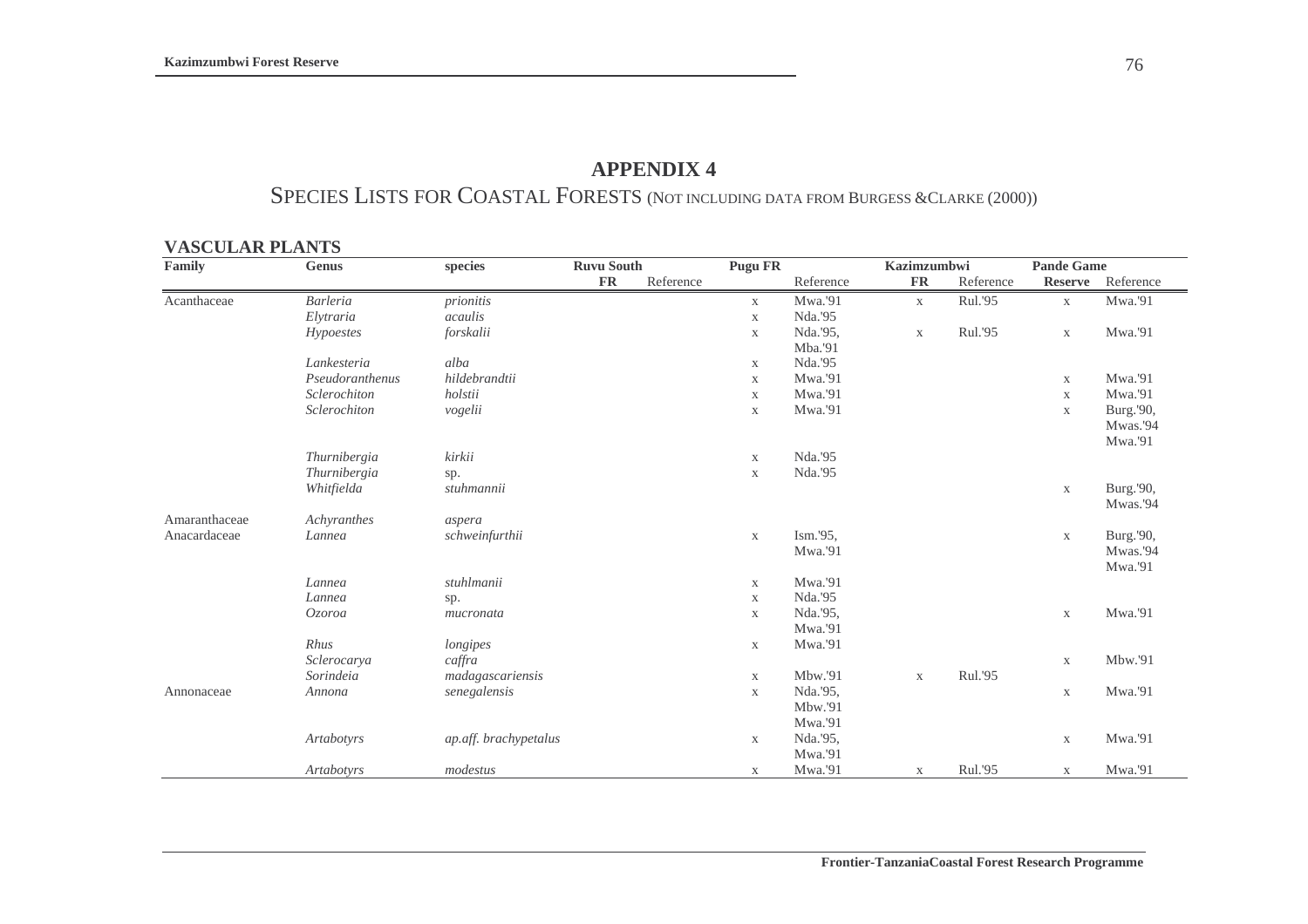### **APPENDIX 4**

# SPECIES LISTS FOR COASTAL FORESTS (NOT INCLUDING DATA FROM BURGESS &CLARKE (2000))

#### **VASCULAR PLANTS**

| Family        | Genus             | species               | <b>Ruvu South</b> |           | <b>Pugu FR</b> |           | Kazimzumbwi  |           | <b>Pande Game</b> |           |
|---------------|-------------------|-----------------------|-------------------|-----------|----------------|-----------|--------------|-----------|-------------------|-----------|
|               |                   |                       | <b>FR</b>         | Reference |                | Reference | <b>FR</b>    | Reference | <b>Reserve</b>    | Reference |
| Acanthaceae   | <b>Barleria</b>   | prionitis             |                   |           | X              | Mwa.'91   | $\mathbf{X}$ | Rul.'95   | $\mathbf X$       | Mwa.'91   |
|               | Elytraria         | acaulis               |                   |           | $\mathbf X$    | Nda.'95   |              |           |                   |           |
|               | Hypoestes         | forskalii             |                   |           | $\mathbf X$    | Nda.'95,  | $\mathbf X$  | Rul.'95   | $\mathbf X$       | Mwa.'91   |
|               |                   |                       |                   |           |                | Mba.'91   |              |           |                   |           |
|               | Lankesteria       | alba                  |                   |           | X              | Nda.'95   |              |           |                   |           |
|               | Pseudoranthenus   | hildebrandtii         |                   |           | $\mathbf X$    | Mwa.'91   |              |           | $\mathbf X$       | Mwa.'91   |
|               | Sclerochiton      | holstii               |                   |           | $\mathbf X$    | Mwa.'91   |              |           | $\mathbf X$       | Mwa.'91   |
|               | Sclerochiton      | vogelii               |                   |           | $\mathbf{X}$   | Mwa.'91   |              |           | $\mathbf X$       | Burg.'90, |
|               |                   |                       |                   |           |                |           |              |           |                   | Mwas.'94  |
|               |                   |                       |                   |           |                |           |              |           |                   | Mwa.'91   |
|               | Thurnibergia      | kirkii                |                   |           | $\mathbf X$    | Nda.'95   |              |           |                   |           |
|               | Thurnibergia      | sp.                   |                   |           | $\mathbf X$    | Nda.'95   |              |           |                   |           |
|               | Whitfielda        | stuhmannii            |                   |           |                |           |              |           | X                 | Burg.'90, |
|               |                   |                       |                   |           |                |           |              |           |                   | Mwas.'94  |
| Amaranthaceae | Achyranthes       | aspera                |                   |           |                |           |              |           |                   |           |
| Anacardaceae  | Lannea            | schweinfurthii        |                   |           | $\mathbf X$    | Ism.'95,  |              |           | $\mathbf X$       | Burg.'90, |
|               |                   |                       |                   |           |                | Mwa.'91   |              |           |                   | Mwas.'94  |
|               |                   |                       |                   |           |                |           |              |           |                   | Mwa.'91   |
|               | Lannea            | stuhlmanii            |                   |           | $\mathbf X$    | Mwa.'91   |              |           |                   |           |
|               | Lannea            | sp.                   |                   |           | $\mathbf X$    | Nda.'95   |              |           |                   |           |
|               | Ozoroa            | mucronata             |                   |           | X              | Nda.'95,  |              |           | $\mathbf X$       | Mwa.'91   |
|               |                   |                       |                   |           |                | Mwa.'91   |              |           |                   |           |
|               | Rhus              | longipes              |                   |           | X              | Mwa.'91   |              |           |                   |           |
|               | Sclerocarya       | caffra                |                   |           |                |           |              |           | $\mathbf X$       | Mbw.'91   |
|               | Sorindeia         | madagascariensis      |                   |           | $\mathbf X$    | Mbw.'91   | $\mathbf X$  | Rul.'95   |                   |           |
| Annonaceae    | Annona            | senegalensis          |                   |           | $\mathbf X$    | Nda.'95,  |              |           | $\mathbf X$       | Mwa.'91   |
|               |                   |                       |                   |           |                | Mbw.'91   |              |           |                   |           |
|               |                   |                       |                   |           |                | Mwa.'91   |              |           |                   |           |
|               | Artabotyrs        | ap.aff. brachypetalus |                   |           | $\mathbf{X}$   | Nda.'95,  |              |           | $\mathbf X$       | Mwa.'91   |
|               |                   |                       |                   |           |                | Mwa.'91   |              |           |                   |           |
|               | <b>Artabotyrs</b> | modestus              |                   |           | X              | Mwa.'91   | $\mathbf{X}$ | Rul.'95   | $\mathbf X$       | Mwa.'91   |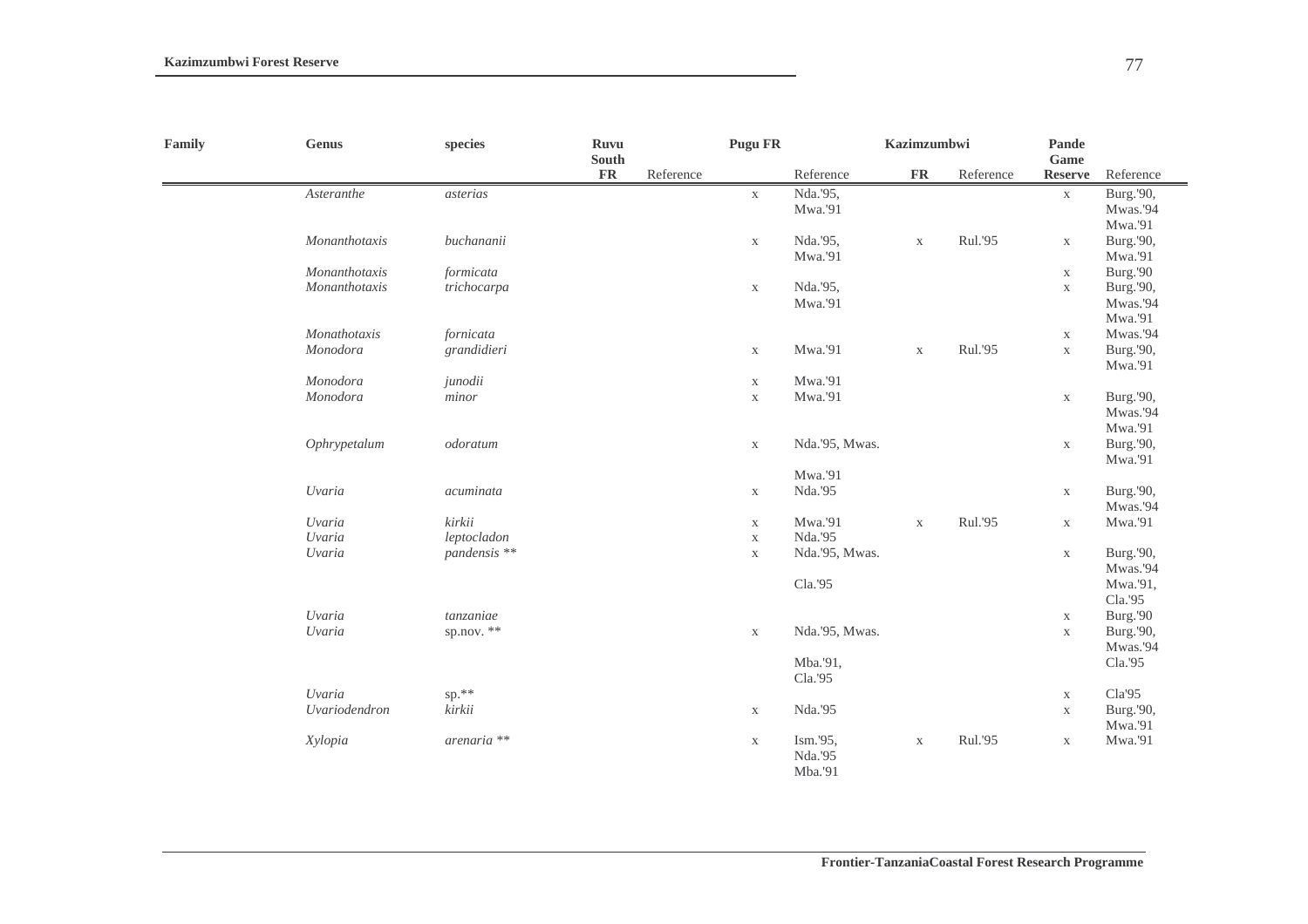| Family<br><b>Genus</b> |                                | species        | <b>Ruvu</b><br>South |           |              | Kazimzumbwi    |             |           | Pande<br>Game  |           |  |
|------------------------|--------------------------------|----------------|----------------------|-----------|--------------|----------------|-------------|-----------|----------------|-----------|--|
|                        |                                |                | $\mathbf{FR}$        | Reference |              | Reference      | <b>FR</b>   | Reference | <b>Reserve</b> | Reference |  |
|                        | $\label{thm:star} Asteran the$ | asterias       |                      |           | $\mathbf{X}$ | Nda.'95,       |             |           | $\mathbf X$    | Burg.'90, |  |
|                        |                                |                |                      |           |              | Mwa.'91        |             |           |                | Mwas.'94  |  |
|                        |                                |                |                      |           |              |                |             |           |                | Mwa.'91   |  |
|                        | Monanthotaxis                  | buchananii     |                      |           | $\mathbf X$  | Nda.'95,       | $\mathbf X$ | Rul.'95   | $\mathbf X$    | Burg.'90, |  |
|                        |                                |                |                      |           |              | Mwa.'91        |             |           |                | Mwa.'91   |  |
|                        | Monanthotaxis                  | formicata      |                      |           |              |                |             |           | $\mathbf X$    | Burg.'90  |  |
|                        | Monanthotaxis                  | trichocarpa    |                      |           | $\mathbf X$  | Nda.'95,       |             |           | $\mathbf X$    | Burg.'90, |  |
|                        |                                |                |                      |           |              | Mwa.'91        |             |           |                | Mwas.'94  |  |
|                        |                                |                |                      |           |              |                |             |           |                | Mwa.'91   |  |
|                        | Monathotaxis                   | fornicata      |                      |           |              |                |             |           | $\mathbf X$    | Mwas.'94  |  |
|                        | Monodora                       | grandidieri    |                      |           | $\mathbf X$  | Mwa.'91        | $\mathbf X$ | Rul.'95   | $\mathbf X$    | Burg.'90, |  |
|                        |                                |                |                      |           |              |                |             |           |                | Mwa.'91   |  |
|                        | Monodora                       | junodii        |                      |           | $\mathbf X$  | Mwa.'91        |             |           |                |           |  |
|                        | Monodora                       | minor          |                      |           | $\mathbf X$  | Mwa.'91        |             |           | $\mathbf X$    | Burg.'90, |  |
|                        |                                |                |                      |           |              |                |             |           |                | Mwas.'94  |  |
|                        |                                |                |                      |           |              |                |             |           |                | Mwa.'91   |  |
|                        | Ophrypetalum                   | odoratum       |                      |           | $\mathbf X$  | Nda.'95, Mwas. |             |           | $\mathbf X$    | Burg.'90, |  |
|                        |                                |                |                      |           |              |                |             |           |                | Mwa.'91   |  |
|                        |                                |                |                      |           |              | Mwa.'91        |             |           |                |           |  |
|                        | Uvaria                         | acuminata      |                      |           | $\mathbf X$  | Nda.'95        |             |           | $\mathbf X$    | Burg.'90, |  |
|                        |                                |                |                      |           |              |                |             |           |                | Mwas.'94  |  |
|                        | Uvaria                         | kirkii         |                      |           | $\mathbf X$  | Mwa.'91        | $\mathbf X$ | Rul.'95   | $\mathbf X$    | Mwa.'91   |  |
|                        | Uvaria                         | leptocladon    |                      |           | $\mathbf X$  | Nda.'95        |             |           |                |           |  |
|                        | Uvaria                         | pandensis **   |                      |           | $\mathbf X$  | Nda.'95, Mwas. |             |           | $\mathbf X$    | Burg.'90, |  |
|                        |                                |                |                      |           |              |                |             |           |                | Mwas.'94  |  |
|                        |                                |                |                      |           |              | Cla.'95        |             |           |                | Mwa.'91,  |  |
|                        |                                |                |                      |           |              |                |             |           |                | Cla.'95   |  |
|                        | Uvaria                         | tanzaniae      |                      |           |              |                |             |           | $\mathbf X$    | Burg.'90  |  |
|                        | Uvaria                         | sp.nov. $**$   |                      |           | $\mathbf X$  | Nda.'95, Mwas. |             |           | $\mathbf X$    | Burg.'90, |  |
|                        |                                |                |                      |           |              |                |             |           |                | Mwas.'94  |  |
|                        |                                |                |                      |           |              | Mba.'91,       |             |           |                | Cla.'95   |  |
|                        |                                |                |                      |           |              | Cla.'95        |             |           |                |           |  |
|                        | Uvaria                         | sp.**          |                      |           |              |                |             |           | $\mathbf X$    | Cla'95    |  |
|                        | Uvariodendron                  | kirkii         |                      |           | $\mathbf X$  | Nda.'95        |             |           | $\mathbf X$    | Burg.'90, |  |
|                        |                                |                |                      |           |              |                |             |           |                | Mwa.'91   |  |
|                        | Xylopia                        | $a$ renaria ** |                      |           | $\mathbf X$  | Ism.'95,       | $\mathbf X$ | Rul.'95   | $\mathbf X$    | Mwa.'91   |  |
|                        |                                |                |                      |           |              | Nda.'95        |             |           |                |           |  |
|                        |                                |                |                      |           |              | Mba.'91        |             |           |                |           |  |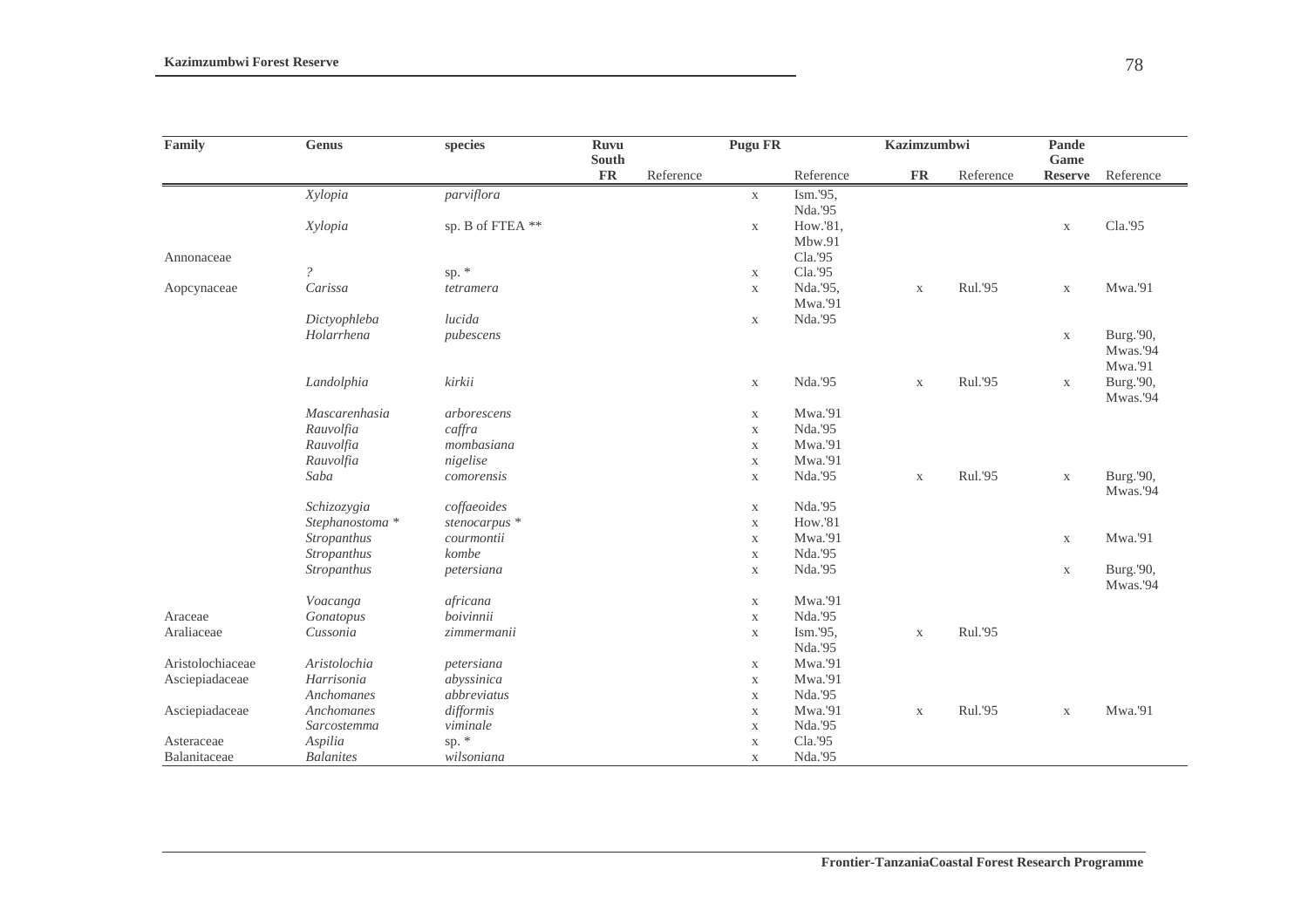| Family           | <b>Genus</b>     | species          | <b>Ruvu</b><br><b>South</b> |           | <b>Pugu FR</b>             |           | <b>Kazimzumbwi</b> |           | Pande<br>Game  |                       |
|------------------|------------------|------------------|-----------------------------|-----------|----------------------------|-----------|--------------------|-----------|----------------|-----------------------|
|                  |                  |                  | ${\bf FR}$                  | Reference |                            | Reference | <b>FR</b>          | Reference | <b>Reserve</b> | Reference             |
|                  | Xylopia          | parviflora       |                             |           | $\mathbf X$                | Ism.'95,  |                    |           |                |                       |
|                  |                  |                  |                             |           |                            | Nda.'95   |                    |           |                |                       |
|                  | Xylopia          | sp. B of FTEA ** |                             |           | $\mathbf{X}$               | How.'81,  |                    |           | $\mathbf X$    | Cla.'95               |
|                  |                  |                  |                             |           |                            | Mbw.91    |                    |           |                |                       |
| Annonaceae       |                  |                  |                             |           |                            | Cla.'95   |                    |           |                |                       |
|                  | $\overline{?}$   | sp. *            |                             |           | $\mathbf{X}$               | Cla.'95   |                    |           |                |                       |
| Aopcynaceae      | Carissa          | tetramera        |                             |           | $\mathbf X$                | Nda.'95,  | $\mathbf X$        | Rul.'95   | $\mathbf X$    | Mwa.'91               |
|                  |                  |                  |                             |           |                            | Mwa.'91   |                    |           |                |                       |
|                  | Dictyophleba     | lucida           |                             |           | $\mathbf X$                | Nda.'95   |                    |           |                |                       |
|                  | Holarrhena       | pubescens        |                             |           |                            |           |                    |           | $\mathbf X$    | Burg.'90,             |
|                  |                  |                  |                             |           |                            |           |                    |           |                | Mwas.'94              |
|                  |                  |                  |                             |           |                            |           |                    |           |                | Mwa.'91               |
|                  | Landolphia       | kirkii           |                             |           | $\mathbf X$                | Nda.'95   | $\mathbf X$        | Rul.'95   | $\mathbf X$    | Burg.'90,<br>Mwas.'94 |
|                  | Mascarenhasia    | arborescens      |                             |           | $\mathbf X$                | Mwa.'91   |                    |           |                |                       |
|                  | Rauvolfia        | caffra           |                             |           | $\mathbf X$                | Nda.'95   |                    |           |                |                       |
|                  | Rauvolfia        | mombasiana       |                             |           | $\mathbf X$                | Mwa.'91   |                    |           |                |                       |
|                  | Rauvolfia        | nigelise         |                             |           | $\mathbf X$                | Mwa.'91   |                    |           |                |                       |
|                  | Saba             | comorensis       |                             |           | $\mathbf X$                | Nda.'95   | $\mathbf X$        | Rul.'95   | $\mathbf X$    | Burg.'90,<br>Mwas.'94 |
|                  | Schizozygia      | coffaeoides      |                             |           |                            | Nda.'95   |                    |           |                |                       |
|                  | Stephanostoma *  | stenocarpus *    |                             |           | $\mathbf X$                | How.'81   |                    |           |                |                       |
|                  | Stropanthus      | courmontii       |                             |           | $\mathbf X$<br>$\mathbf X$ | Mwa.'91   |                    |           | $\mathbf X$    | Mwa.'91               |
|                  | Stropanthus      | kombe            |                             |           | $\mathbf X$                | Nda.'95   |                    |           |                |                       |
|                  | Stropanthus      | petersiana       |                             |           | $\mathbf X$                | Nda.'95   |                    |           | $\mathbf X$    | Burg.'90,             |
|                  |                  |                  |                             |           |                            |           |                    |           |                | Mwas.'94              |
|                  | Voacanga         | africana         |                             |           | $\mathbf X$                | Mwa.'91   |                    |           |                |                       |
| Araceae          | Gonatopus        | boivinnii        |                             |           | $\mathbf X$                | Nda.'95   |                    |           |                |                       |
| Araliaceae       | Cussonia         | zimmermanii      |                             |           | $\mathbf X$                | Ism.'95,  | $\mathbf X$        | Rul.'95   |                |                       |
|                  |                  |                  |                             |           |                            | Nda.'95   |                    |           |                |                       |
| Aristolochiaceae | Aristolochia     | petersiana       |                             |           | $\mathbf X$                | Mwa.'91   |                    |           |                |                       |
| Asciepiadaceae   | Harrisonia       | abyssinica       |                             |           | $\mathbf X$                | Mwa.'91   |                    |           |                |                       |
|                  | Anchomanes       | abbreviatus      |                             |           | $\mathbf X$                | Nda.'95   |                    |           |                |                       |
| Asciepiadaceae   | Anchomanes       | difformis        |                             |           | $\mathbf X$                | Mwa.'91   | $\mathbf X$        | Rul.'95   | $\mathbf X$    | Mwa.'91               |
|                  | Sarcostemma      | viminale         |                             |           | $\mathbf X$                | Nda.'95   |                    |           |                |                       |
| Asteraceae       | Aspilia          | sp. $*$          |                             |           | $\mathbf X$                | Cla.'95   |                    |           |                |                       |
| Balanitaceae     | <b>Balanites</b> | wilsoniana       |                             |           | $\mathbf X$                | Nda.'95   |                    |           |                |                       |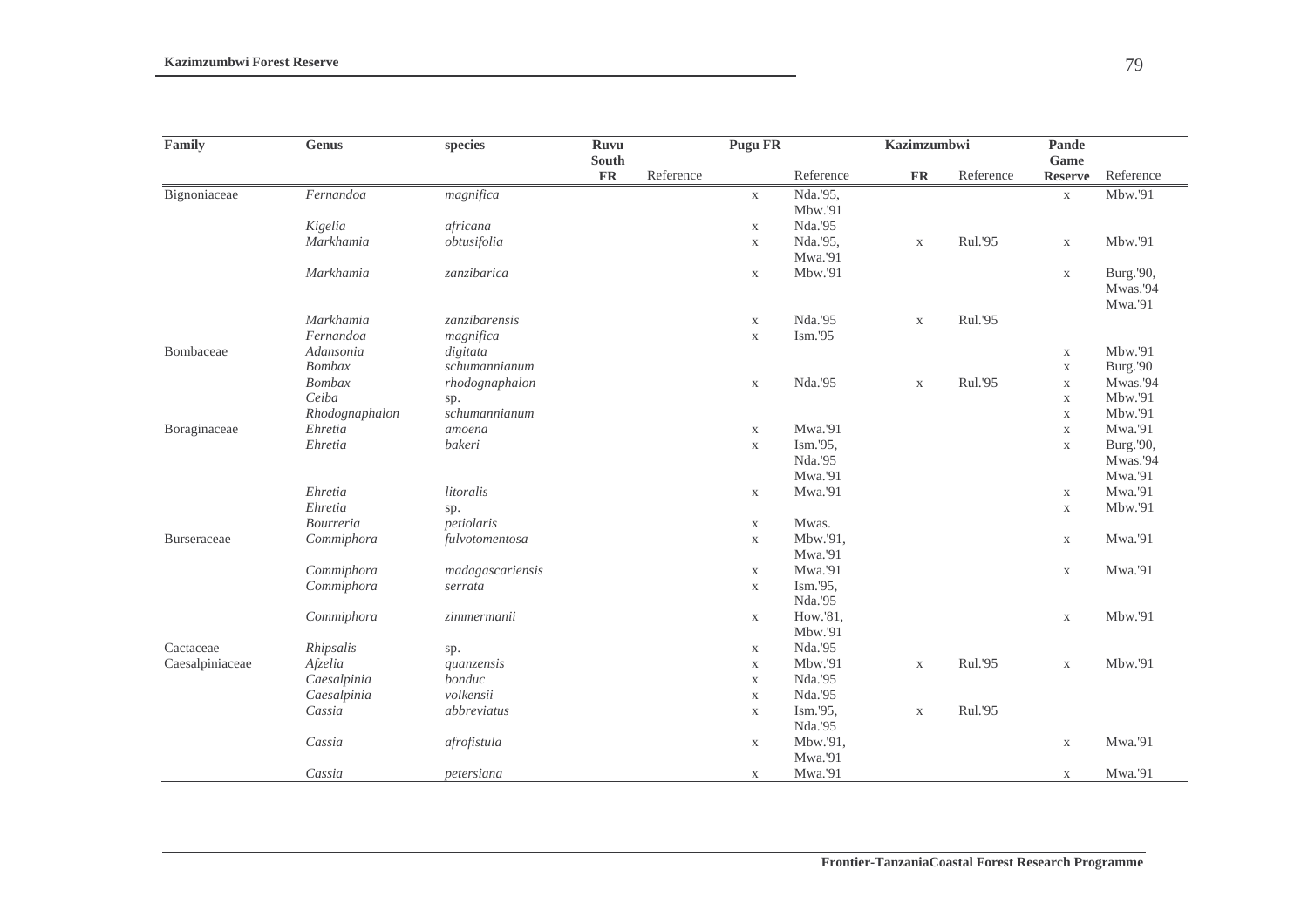| Family          | <b>Genus</b>   | species          | <b>Ruvu</b><br>South |           |             | <b>Pugu FR</b> |               | Kazimzumbwi |                        |           |
|-----------------|----------------|------------------|----------------------|-----------|-------------|----------------|---------------|-------------|------------------------|-----------|
|                 |                |                  | <b>FR</b>            | Reference |             | Reference      | $\mathbf{FR}$ | Reference   | Game<br><b>Reserve</b> | Reference |
| Bignoniaceae    | Fernandoa      | magnifica        |                      |           | $\mathbf X$ | Nda.'95,       |               |             | $\mathbf X$            | Mbw.'91   |
|                 |                |                  |                      |           |             | Mbw.'91        |               |             |                        |           |
|                 | Kigelia        | africana         |                      |           | $\mathbf X$ | Nda.'95        |               |             |                        |           |
|                 | Markhamia      | obtusifolia      |                      |           | $\mathbf X$ | Nda.'95,       | $\mathbf X$   | Rul.'95     | $\mathbf X$            | Mbw.'91   |
|                 |                |                  |                      |           |             | Mwa.'91        |               |             |                        |           |
|                 | Markhamia      | zanzibarica      |                      |           | $\mathbf X$ | Mbw.'91        |               |             | $\mathbf X$            | Burg.'90, |
|                 |                |                  |                      |           |             |                |               |             |                        | Mwas.'94  |
|                 |                |                  |                      |           |             |                |               |             |                        | Mwa.'91   |
|                 | Markhamia      | zanzibarensis    |                      |           | $\mathbf X$ | Nda.'95        | $\mathbf X$   | Rul.'95     |                        |           |
|                 | Fernandoa      | magnifica        |                      |           | $\mathbf X$ | Ism.'95        |               |             |                        |           |
| Bombaceae       | Adansonia      | digitata         |                      |           |             |                |               |             | $\mathbf X$            | Mbw.'91   |
|                 | <b>Bombax</b>  | schumannianum    |                      |           |             |                |               |             | $\mathbf X$            | Burg.'90  |
|                 | <b>Bombax</b>  | rhodognaphalon   |                      |           | $\mathbf X$ | Nda.'95        | $\mathbf X$   | Rul.'95     | $\mathbf X$            | Mwas.'94  |
|                 | Ceiba          | sp.              |                      |           |             |                |               |             | $\mathbf X$            | Mbw.'91   |
|                 | Rhodognaphalon | schumannianum    |                      |           |             |                |               |             | $\mathbf X$            | Mbw.'91   |
| Boraginaceae    | Ehretia        | amoena           |                      |           | $\mathbf X$ | Mwa.'91        |               |             | $\mathbf X$            | Mwa.'91   |
|                 | Ehretia        | bakeri           |                      |           | $\mathbf X$ | Ism.'95,       |               |             | $\mathbf X$            | Burg.'90, |
|                 |                |                  |                      |           |             | Nda.'95        |               |             |                        | Mwas.'94  |
|                 |                |                  |                      |           |             | Mwa.'91        |               |             |                        | Mwa.'91   |
|                 | Ehretia        | litoralis        |                      |           | $\mathbf X$ | Mwa.'91        |               |             | $\mathbf X$            | Mwa.'91   |
|                 | Ehretia        | sp.              |                      |           |             |                |               |             | $\mathbf X$            | Mbw.'91   |
|                 | Bourreria      | petiolaris       |                      |           | $\mathbf X$ | Mwas.          |               |             |                        |           |
| Burseraceae     | Commiphora     | fulvotomentosa   |                      |           | $\mathbf X$ | Mbw.'91,       |               |             | $\mathbf X$            | Mwa.'91   |
|                 |                |                  |                      |           |             | Mwa.'91        |               |             |                        |           |
|                 | Commiphora     | madagascariensis |                      |           | $\mathbf X$ | Mwa.'91        |               |             | $\mathbf X$            | Mwa.'91   |
|                 | Commiphora     | serrata          |                      |           | $\mathbf X$ | Ism.'95,       |               |             |                        |           |
|                 |                |                  |                      |           |             | Nda.'95        |               |             |                        |           |
|                 | Commiphora     | zimmermanii      |                      |           | $\mathbf X$ | How.'81,       |               |             | $\mathbf X$            | Mbw.'91   |
|                 |                |                  |                      |           |             | Mbw.'91        |               |             |                        |           |
| Cactaceae       | Rhipsalis      | sp.              |                      |           | $\mathbf X$ | Nda.'95        |               |             |                        |           |
| Caesalpiniaceae | Afzelia        | quanzensis       |                      |           | $\mathbf X$ | Mbw.'91        | $\mathbf X$   | Rul.'95     | $\mathbf X$            | Mbw.'91   |
|                 | Caesalpinia    | bonduc           |                      |           | $\mathbf X$ | Nda.'95        |               |             |                        |           |
|                 | Caesalpinia    | volkensii        |                      |           | $\mathbf X$ | Nda.'95        |               |             |                        |           |
|                 | Cassia         | abbreviatus      |                      |           | $\mathbf X$ | Ism.'95,       | $\mathbf X$   | Rul.'95     |                        |           |
|                 |                |                  |                      |           |             | Nda.'95        |               |             |                        |           |
|                 | Cassia         | afrofistula      |                      |           | $\mathbf X$ | Mbw.'91,       |               |             | $\mathbf X$            | Mwa.'91   |
|                 |                |                  |                      |           |             | Mwa.'91        |               |             |                        |           |
|                 | Cassia         | petersiana       |                      |           | $\mathbf X$ | Mwa.'91        |               |             | $\mathbf X$            | Mwa.'91   |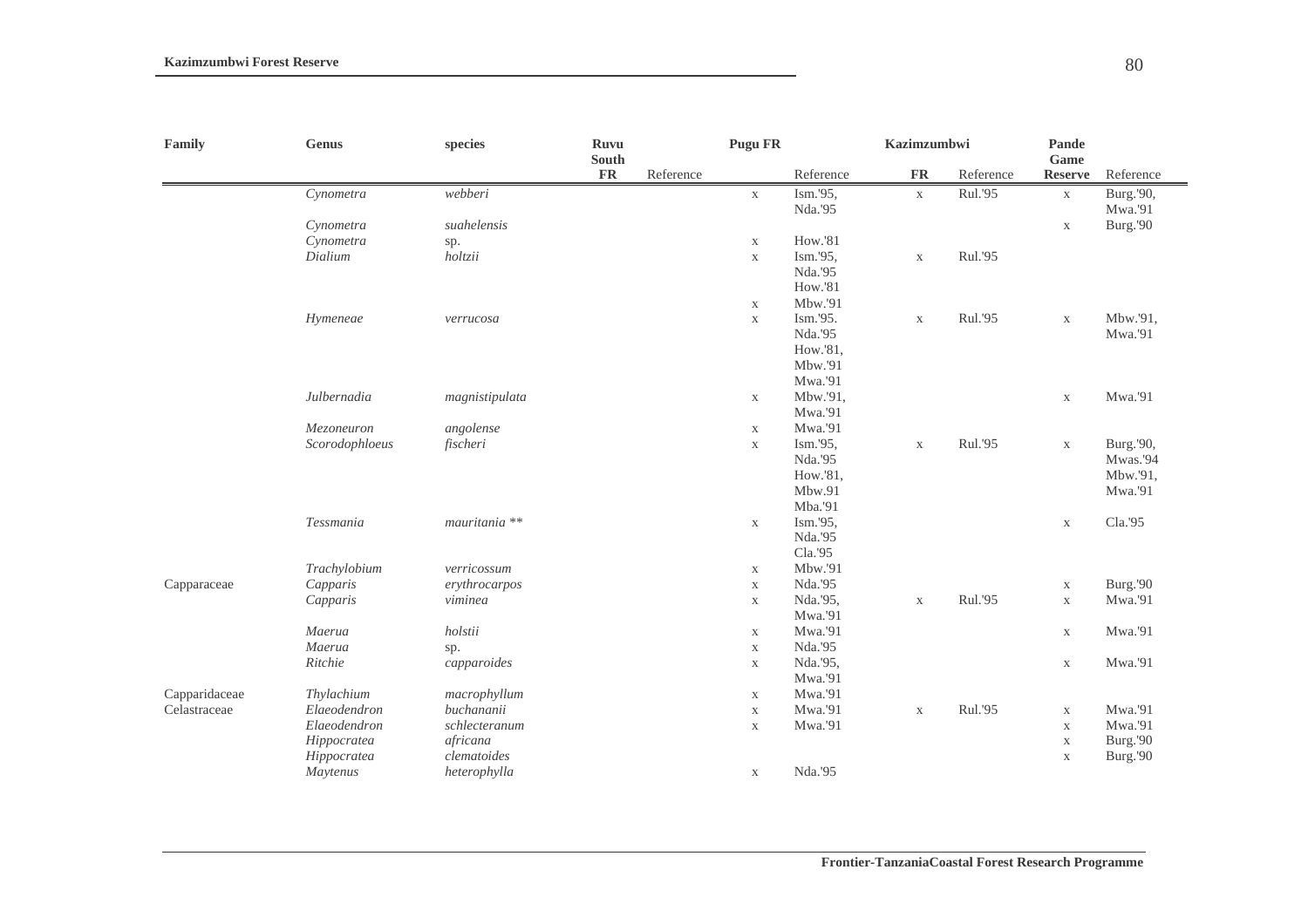| Family        | <b>Genus</b>   | species                  | <b>Ruvu</b><br>South |           | <b>Pugu FR</b> |                     | Kazimzumbwi |           | Pande<br>Game              |                      |
|---------------|----------------|--------------------------|----------------------|-----------|----------------|---------------------|-------------|-----------|----------------------------|----------------------|
|               |                |                          | <b>FR</b>            | Reference |                | Reference           | <b>FR</b>   | Reference | <b>Reserve</b>             | Reference            |
|               | Cynometra      | webberi                  |                      |           | $\mathbf X$    | Ism.'95,<br>Nda.'95 | $\mathbf X$ | Rul.'95   | $\mathbf X$                | Burg.'90,<br>Mwa.'91 |
|               | Cynometra      | suahelensis              |                      |           |                |                     |             |           | $\mathbf X$                | Burg.'90             |
|               | Cynometra      | sp.                      |                      |           | $\mathbf X$    | How.'81             |             |           |                            |                      |
|               | Dialium        | holtzii                  |                      |           | $\mathbf X$    | Ism.'95,            | $\mathbf X$ | Rul.'95   |                            |                      |
|               |                |                          |                      |           |                | Nda.'95             |             |           |                            |                      |
|               |                |                          |                      |           |                | How.'81             |             |           |                            |                      |
|               |                |                          |                      |           | $\mathbf X$    | Mbw.'91             |             |           |                            |                      |
|               | Hymeneae       | verrucosa                |                      |           | $\mathbf X$    | Ism.'95.            | $\mathbf X$ | Rul.'95   | $\mathbf X$                | Mbw.'91,             |
|               |                |                          |                      |           |                | Nda.'95             |             |           |                            | Mwa.'91              |
|               |                |                          |                      |           |                | How.'81,            |             |           |                            |                      |
|               |                |                          |                      |           |                | Mbw.'91             |             |           |                            |                      |
|               |                |                          |                      |           |                | Mwa.'91             |             |           |                            |                      |
|               | Julbernadia    | magnistipulata           |                      |           | $\mathbf X$    | Mbw.'91,            |             |           | $\mathbf X$                | Mwa.'91              |
|               |                |                          |                      |           |                | Mwa.'91             |             |           |                            |                      |
|               | Mezoneuron     | angolense                |                      |           | X              | Mwa.'91             |             |           |                            |                      |
|               | Scorodophloeus | fischeri                 |                      |           | $\mathbf X$    | Ism.'95,            | $\mathbf X$ | Rul.'95   | $\mathbf X$                | Burg.'90,            |
|               |                |                          |                      |           |                | Nda.'95             |             |           |                            | Mwas.'94             |
|               |                |                          |                      |           |                | How.'81,            |             |           |                            | Mbw.'91,             |
|               |                |                          |                      |           |                | Mbw.91              |             |           |                            | Mwa.'91              |
|               |                |                          |                      |           |                | Mba.'91             |             |           |                            |                      |
|               | Tessmania      | mauritania <sup>**</sup> |                      |           | $\mathbf X$    | Ism.'95,<br>Nda.'95 |             |           | $\mathbf X$                | Cla.'95              |
|               |                |                          |                      |           |                | Cla.'95             |             |           |                            |                      |
|               | Trachylobium   | verricossum              |                      |           | $\mathbf X$    | Mbw.'91             |             |           |                            |                      |
| Capparaceae   | Capparis       | erythrocarpos            |                      |           | $\mathbf X$    | Nda.'95             |             |           |                            | Burg.'90             |
|               | Capparis       | viminea                  |                      |           | $\mathbf X$    | Nda.'95,            | $\mathbf X$ | Rul.'95   | $\mathbf X$<br>$\mathbf X$ | Mwa.'91              |
|               |                |                          |                      |           |                | Mwa.'91             |             |           |                            |                      |
|               | Maerua         | holstii                  |                      |           | $\mathbf X$    | Mwa.'91             |             |           | $\mathbf X$                | Mwa.'91              |
|               | Maerua         | sp.                      |                      |           | $\mathbf X$    | Nda.'95             |             |           |                            |                      |
|               | Ritchie        | capparoides              |                      |           | $\mathbf X$    | Nda.'95,            |             |           | $\mathbf X$                | Mwa.'91              |
|               |                |                          |                      |           |                | Mwa.'91             |             |           |                            |                      |
| Capparidaceae | Thylachium     | macrophyllum             |                      |           | $\mathbf X$    | Mwa.'91             |             |           |                            |                      |
| Celastraceae  | Elaeodendron   | buchananii               |                      |           | $\mathbf X$    | Mwa.'91             | $\mathbf X$ | Rul.'95   | $\mathbf X$                | Mwa.'91              |
|               | Elaeodendron   | schlecteranum            |                      |           | $\mathbf X$    | Mwa.'91             |             |           | $\mathbf X$                | Mwa.'91              |
|               | Hippocratea    | africana                 |                      |           |                |                     |             |           | $\mathbf X$                | Burg.'90             |
|               | Hippocratea    | clematoides              |                      |           |                |                     |             |           | $\mathbf X$                | Burg.'90             |
|               | Maytenus       | heterophylla             |                      |           | $\mathbf X$    | Nda.'95             |             |           |                            |                      |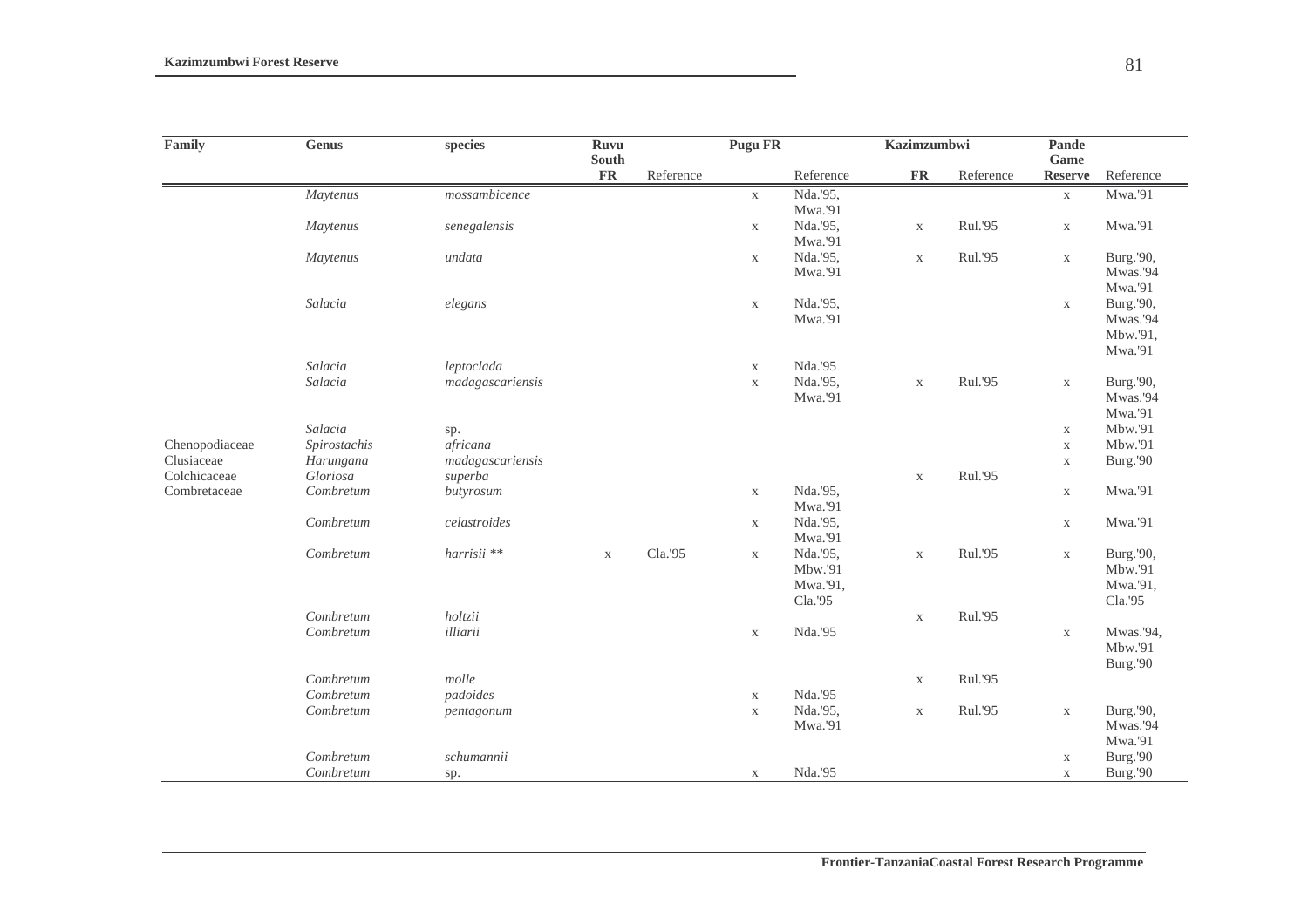| Family         | <b>Genus</b> | species          | Ruvu<br>South |           | <b>Pugu FR</b> |           | Kazimzumbwi   |           | <b>Pande</b><br>Game |           |
|----------------|--------------|------------------|---------------|-----------|----------------|-----------|---------------|-----------|----------------------|-----------|
|                |              |                  | <b>FR</b>     | Reference |                | Reference | $\mathbf{FR}$ | Reference | <b>Reserve</b>       | Reference |
|                | Maytenus     | mossambicence    |               |           | $\mathbf X$    | Nda.'95,  |               |           | $\mathbf X$          | Mwa.'91   |
|                |              |                  |               |           |                | Mwa.'91   |               |           |                      |           |
|                | Maytenus     | senegalensis     |               |           | $\mathbf X$    | Nda.'95,  | $\mathbf X$   | Rul.'95   | $\mathbf X$          | Mwa.'91   |
|                |              |                  |               |           |                | Mwa.'91   |               |           |                      |           |
|                | Maytenus     | undata           |               |           | $\mathbf X$    | Nda.'95,  | $\mathbf X$   | Rul.'95   | $\mathbf X$          | Burg.'90, |
|                |              |                  |               |           |                | Mwa.'91   |               |           |                      | Mwas.'94  |
|                |              |                  |               |           |                |           |               |           |                      | Mwa.'91   |
|                | Salacia      | elegans          |               |           | $\mathbf X$    | Nda.'95,  |               |           | $\mathbf X$          | Burg.'90, |
|                |              |                  |               |           |                | Mwa.'91   |               |           |                      | Mwas.'94  |
|                |              |                  |               |           |                |           |               |           |                      | Mbw.'91,  |
|                |              |                  |               |           |                |           |               |           |                      | Mwa.'91   |
|                | Salacia      | leptoclada       |               |           | $\mathbf X$    | Nda.'95   |               |           |                      |           |
|                | Salacia      | madagascariensis |               |           | $\mathbf X$    | Nda.'95,  | $\mathbf X$   | Rul.'95   | $\mathbf X$          | Burg.'90, |
|                |              |                  |               |           |                | Mwa.'91   |               |           |                      | Mwas.'94  |
|                |              |                  |               |           |                |           |               |           |                      | Mwa.'91   |
|                | Salacia      | sp.              |               |           |                |           |               |           | $\mathbf X$          | Mbw.'91   |
| Chenopodiaceae | Spirostachis | africana         |               |           |                |           |               |           | $\mathbf X$          | Mbw.'91   |
| Clusiaceae     | Harungana    | madagascariensis |               |           |                |           |               |           | $\mathbf X$          | Burg.'90  |
| Colchicaceae   | Gloriosa     | superba          |               |           |                |           | $\mathbf X$   | Rul.'95   |                      |           |
| Combretaceae   | Combretum    | butyrosum        |               |           | $\mathbf X$    | Nda.'95,  |               |           | $\mathbf X$          | Mwa.'91   |
|                |              |                  |               |           |                | Mwa.'91   |               |           |                      |           |
|                | Combretum    | celastroides     |               |           | $\mathbf X$    | Nda.'95,  |               |           | $\mathbf X$          | Mwa.'91   |
|                |              |                  |               |           |                | Mwa.'91   |               |           |                      |           |
|                | Combretum    | harrisii **      | $\mathbf X$   | Cla.'95   | $\mathbf X$    | Nda.'95,  | $\mathbf X$   | Rul.'95   | $\mathbf X$          | Burg.'90, |
|                |              |                  |               |           |                | Mbw.'91   |               |           |                      | Mbw.'91   |
|                |              |                  |               |           |                | Mwa.'91,  |               |           |                      | Mwa.'91,  |
|                |              |                  |               |           |                | Cla.'95   |               |           |                      | Cla.'95   |
|                | Combretum    | holtzii          |               |           |                |           | $\mathbf X$   | Rul.'95   |                      |           |
|                | Combretum    | illiarii         |               |           | $\mathbf X$    | Nda.'95   |               |           | $\mathbf X$          | Mwas.'94, |
|                |              |                  |               |           |                |           |               |           |                      | Mbw.'91   |
|                |              |                  |               |           |                |           |               |           |                      | Burg.'90  |
|                | Combretum    | molle            |               |           |                |           | $\mathbf X$   | Rul.'95   |                      |           |
|                | Combretum    | padoides         |               |           | $\mathbf X$    | Nda.'95   |               |           |                      |           |
|                | Combretum    | pentagonum       |               |           | $\mathbf X$    | Nda.'95,  | $\mathbf X$   | Rul.'95   | $\mathbf X$          | Burg.'90, |
|                |              |                  |               |           |                | Mwa.'91   |               |           |                      | Mwas.'94  |
|                |              |                  |               |           |                |           |               |           |                      | Mwa.'91   |
|                | Combretum    | schumannii       |               |           |                |           |               |           | $\mathbf X$          | Burg.'90  |
|                | Combretum    | sp.              |               |           | $\mathbf X$    | Nda.'95   |               |           | $\mathbf X$          | Burg.'90  |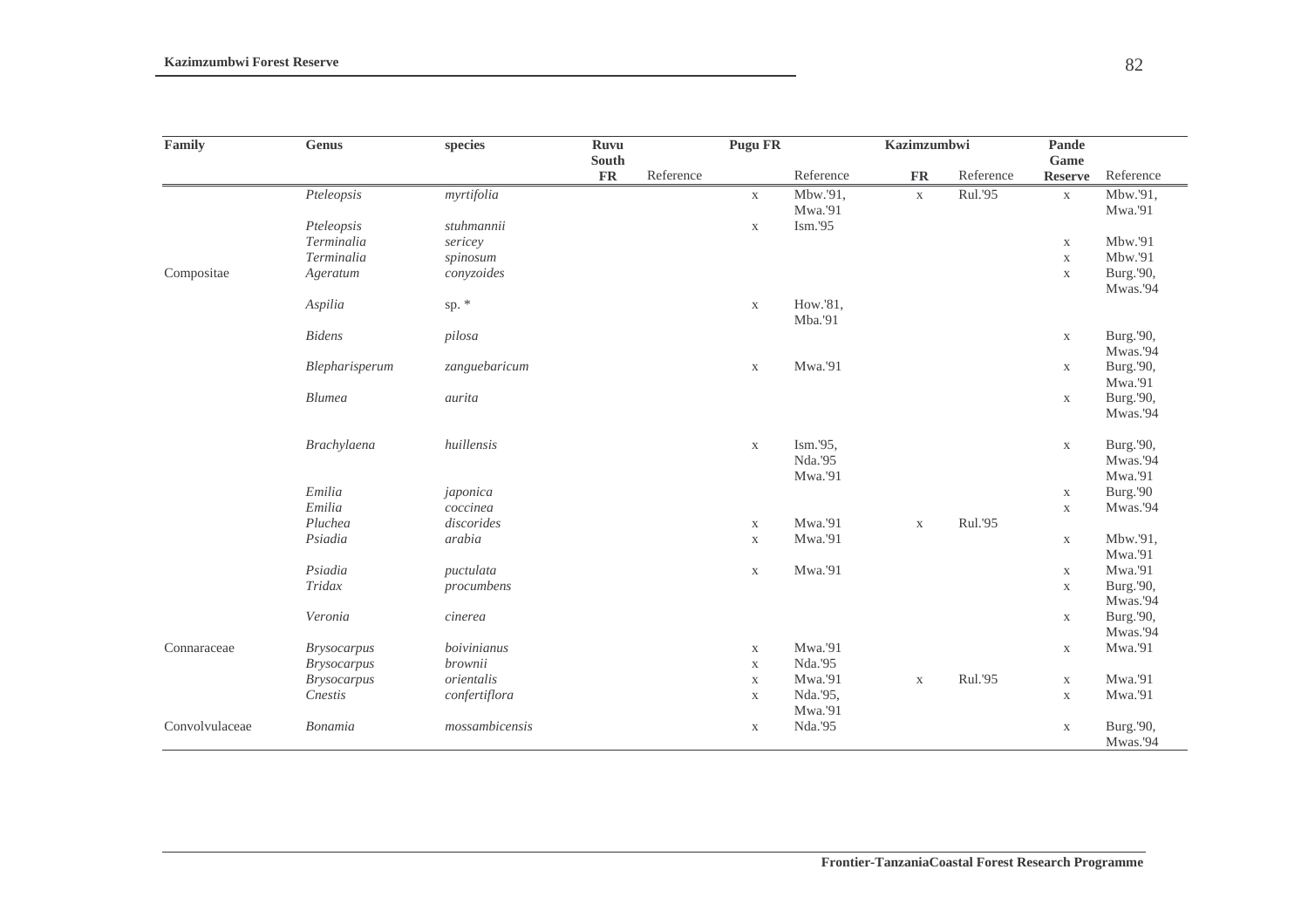| Family         | <b>Genus</b>       | species        | <b>Ruvu</b>        |           | Pugu FR     |           | <b>Kazimzumbwi</b> |           | Pande                  |           |
|----------------|--------------------|----------------|--------------------|-----------|-------------|-----------|--------------------|-----------|------------------------|-----------|
|                |                    |                | South<br><b>FR</b> | Reference |             | Reference | <b>FR</b>          | Reference | Game<br><b>Reserve</b> | Reference |
|                | Pteleopsis         | myrtifolia     |                    |           |             | Mbw.'91,  |                    | Rul.'95   |                        | Mbw.'91,  |
|                |                    |                |                    |           | $\mathbf X$ | Mwa.'91   | $\mathbf X$        |           | $\mathbf X$            | Mwa.'91   |
|                | Pteleopsis         | stuhmannii     |                    |           | $\mathbf X$ | Ism.'95   |                    |           |                        |           |
|                | Terminalia         | sericey        |                    |           |             |           |                    |           | $\mathbf X$            | Mbw.'91   |
|                | Terminalia         | spinosum       |                    |           |             |           |                    |           | $\mathbf X$            | Mbw.'91   |
| Compositae     | Ageratum           | conyzoides     |                    |           |             |           |                    |           | $\mathbf X$            | Burg.'90, |
|                |                    |                |                    |           |             |           |                    |           |                        | Mwas.'94  |
|                | Aspilia            | sp. *          |                    |           | $\mathbf X$ | How.'81,  |                    |           |                        |           |
|                |                    |                |                    |           |             | Mba.'91   |                    |           |                        |           |
|                | <b>Bidens</b>      | pilosa         |                    |           |             |           |                    |           | $\mathbf X$            | Burg.'90, |
|                |                    |                |                    |           |             |           |                    |           |                        | Mwas.'94  |
|                | Blepharisperum     | zanguebaricum  |                    |           | $\mathbf X$ | Mwa.'91   |                    |           | $\mathbf X$            | Burg.'90, |
|                |                    |                |                    |           |             |           |                    |           |                        | Mwa.'91   |
|                | <b>Blumea</b>      | aurita         |                    |           |             |           |                    |           | $\mathbf X$            | Burg.'90, |
|                |                    |                |                    |           |             |           |                    |           |                        | Mwas.'94  |
|                | Brachylaena        | huillensis     |                    |           | $\mathbf X$ | Ism.'95,  |                    |           | $\mathbf X$            | Burg.'90, |
|                |                    |                |                    |           |             | Nda.'95   |                    |           |                        | Mwas.'94  |
|                |                    |                |                    |           |             | Mwa.'91   |                    |           |                        | Mwa.'91   |
|                | Emilia             | japonica       |                    |           |             |           |                    |           | $\mathbf X$            | Burg.'90  |
|                | Emilia             | coccinea       |                    |           |             |           |                    |           | $\mathbf X$            | Mwas.'94  |
|                | Pluchea            | discorides     |                    |           | $\mathbf X$ | Mwa.'91   | $\mathbf X$        | Rul.'95   |                        |           |
|                | Psiadia            | arabia         |                    |           | $\mathbf X$ | Mwa.'91   |                    |           | $\mathbf X$            | Mbw.'91,  |
|                |                    |                |                    |           |             |           |                    |           |                        | Mwa.'91   |
|                | Psiadia            | puctulata      |                    |           | $\mathbf X$ | Mwa.'91   |                    |           | $\mathbf X$            | Mwa.'91   |
|                | Tridax             | procumbens     |                    |           |             |           |                    |           | $\mathbf X$            | Burg.'90, |
|                |                    |                |                    |           |             |           |                    |           |                        | Mwas.'94  |
|                | Veronia            | cinerea        |                    |           |             |           |                    |           | $\mathbf X$            | Burg.'90, |
|                |                    |                |                    |           |             |           |                    |           |                        | Mwas.'94  |
| Connaraceae    | <b>Brysocarpus</b> | boivinianus    |                    |           | $\mathbf X$ | Mwa.'91   |                    |           | $\mathbf X$            | Mwa.'91   |
|                | <b>Brysocarpus</b> | brownii        |                    |           | $\mathbf X$ | Nda.'95   |                    |           |                        |           |
|                | <b>Brysocarpus</b> | orientalis     |                    |           | $\mathbf X$ | Mwa.'91   | $\mathbf X$        | Rul.'95   | $\mathbf X$            | Mwa.'91   |
|                | Cnestis            | confertiflora  |                    |           | $\mathbf X$ | Nda.'95,  |                    |           | $\mathbf X$            | Mwa.'91   |
|                |                    |                |                    |           |             | Mwa.'91   |                    |           |                        |           |
| Convolvulaceae | Bonamia            | mossambicensis |                    |           | $\mathbf X$ | Nda.'95   |                    |           | $\mathbf X$            | Burg.'90, |
|                |                    |                |                    |           |             |           |                    |           |                        | Mwas.'94  |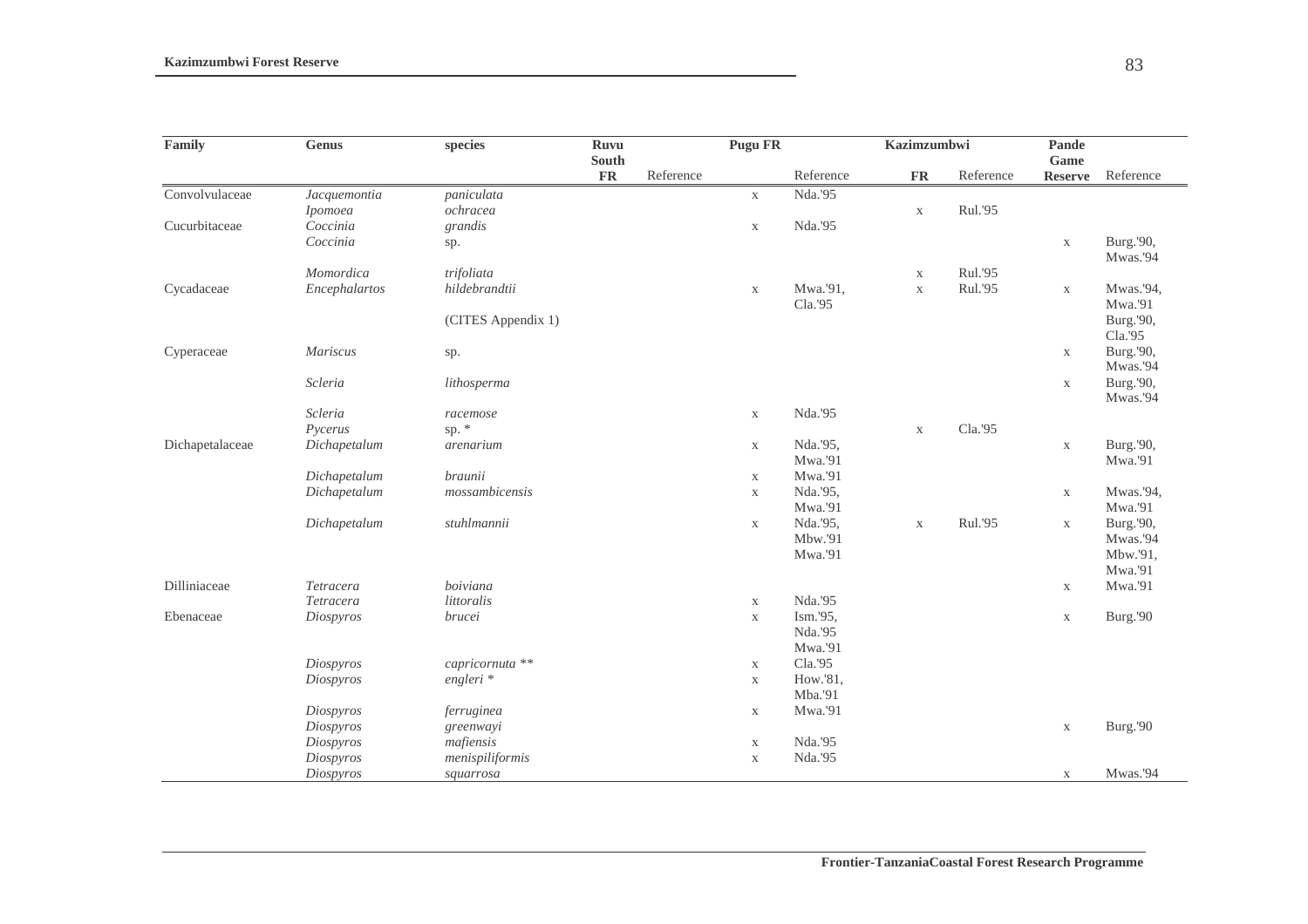| Family          | Genus         | species            | <b>Ruvu</b> |           | <b>Pugu FR</b> |                     | <b>Kazimzumbwi</b> |           | Pande                  |                      |
|-----------------|---------------|--------------------|-------------|-----------|----------------|---------------------|--------------------|-----------|------------------------|----------------------|
|                 |               |                    | South<br>FR | Reference |                | Reference           | $\mathbf{FR}$      | Reference | Game<br><b>Reserve</b> | Reference            |
| Convolvulaceae  | Jacquemontia  | paniculata         |             |           | $\mathbf X$    | Nda.'95             |                    |           |                        |                      |
|                 | Ipomoea       | ochracea           |             |           |                |                     | $\mathbf X$        | Rul.'95   |                        |                      |
| Cucurbitaceae   | Coccinia      | grandis            |             |           | $\mathbf X$    | Nda.'95             |                    |           |                        |                      |
|                 | Coccinia      | sp.                |             |           |                |                     |                    |           | $\mathbf X$            | Burg.'90,            |
|                 |               |                    |             |           |                |                     |                    |           |                        | Mwas.'94             |
|                 | Momordica     | trifoliata         |             |           |                |                     | $\mathbf X$        | Rul.'95   |                        |                      |
| Cycadaceae      | Encephalartos | hildebrandtii      |             |           | $\mathbf X$    | Mwa.'91,            | $\mathbf X$        | Rul.'95   | $\mathbf X$            | Mwas.'94,            |
|                 |               |                    |             |           |                | Cla.'95             |                    |           |                        | Mwa.'91              |
|                 |               | (CITES Appendix 1) |             |           |                |                     |                    |           |                        | Burg.'90,            |
|                 |               |                    |             |           |                |                     |                    |           |                        | Cla.'95              |
| Cyperaceae      | Mariscus      | sp.                |             |           |                |                     |                    |           | $\mathbf X$            | Burg.'90,            |
|                 |               |                    |             |           |                |                     |                    |           |                        | Mwas.'94             |
|                 | Scleria       | lithosperma        |             |           |                |                     |                    |           | $\mathbf X$            | Burg.'90,            |
|                 |               |                    |             |           |                |                     |                    |           |                        | Mwas.'94             |
|                 | Scleria       | racemose           |             |           | $\mathbf X$    | Nda.'95             |                    |           |                        |                      |
|                 | Pycerus       | sp. $*$            |             |           |                |                     | $\mathbf X$        | Cla.'95   |                        |                      |
| Dichapetalaceae | Dichapetalum  | arenarium          |             |           | $\mathbf X$    | Nda.'95,            |                    |           | $\mathbf X$            | Burg.'90,            |
|                 |               |                    |             |           |                | Mwa.'91             |                    |           |                        | Mwa.'91              |
|                 | Dichapetalum  | braunii            |             |           | $\mathbf X$    | Mwa.'91             |                    |           |                        |                      |
|                 | Dichapetalum  | mossambicensis     |             |           | $\mathbf X$    | Nda.'95,            |                    |           | $\mathbf X$            | Mwas.'94,            |
|                 | Dichapetalum  | stuhlmannii        |             |           |                | Mwa.'91<br>Nda.'95, |                    | Rul.'95   |                        | Mwa.'91<br>Burg.'90, |
|                 |               |                    |             |           | X              | Mbw.'91             | $\mathbf X$        |           | $\mathbf X$            | Mwas.'94             |
|                 |               |                    |             |           |                | Mwa.'91             |                    |           |                        | Mbw.'91,             |
|                 |               |                    |             |           |                |                     |                    |           |                        | Mwa.'91              |
| Dilliniaceae    | Tetracera     | boiviana           |             |           |                |                     |                    |           | $\mathbf X$            | Mwa.'91              |
|                 | Tetracera     | littoralis         |             |           | $\mathbf X$    | Nda.'95             |                    |           |                        |                      |
| Ebenaceae       | Diospyros     | brucei             |             |           | $\mathbf X$    | Ism.'95,            |                    |           | $\mathbf X$            | Burg.'90             |
|                 |               |                    |             |           |                | Nda.'95             |                    |           |                        |                      |
|                 |               |                    |             |           |                | Mwa.'91             |                    |           |                        |                      |
|                 | Diospyros     | capricornuta **    |             |           | $\mathbf X$    | Cla.'95             |                    |           |                        |                      |
|                 | Diospyros     | $engleri *$        |             |           | $\mathbf X$    | How.'81,            |                    |           |                        |                      |
|                 |               |                    |             |           |                | Mba.'91             |                    |           |                        |                      |
|                 | Diospyros     | ferruginea         |             |           | $\mathbf X$    | Mwa.'91             |                    |           |                        |                      |
|                 | Diospyros     | greenwayi          |             |           |                |                     |                    |           | $\mathbf X$            | Burg.'90             |
|                 | Diospyros     | mafiensis          |             |           | $\mathbf X$    | Nda.'95             |                    |           |                        |                      |
|                 | Diospyros     | menispiliformis    |             |           | $\mathbf X$    | Nda.'95             |                    |           |                        |                      |
|                 | Diospyros     | squarrosa          |             |           |                |                     |                    |           | $\mathbf X$            | Mwas.'94             |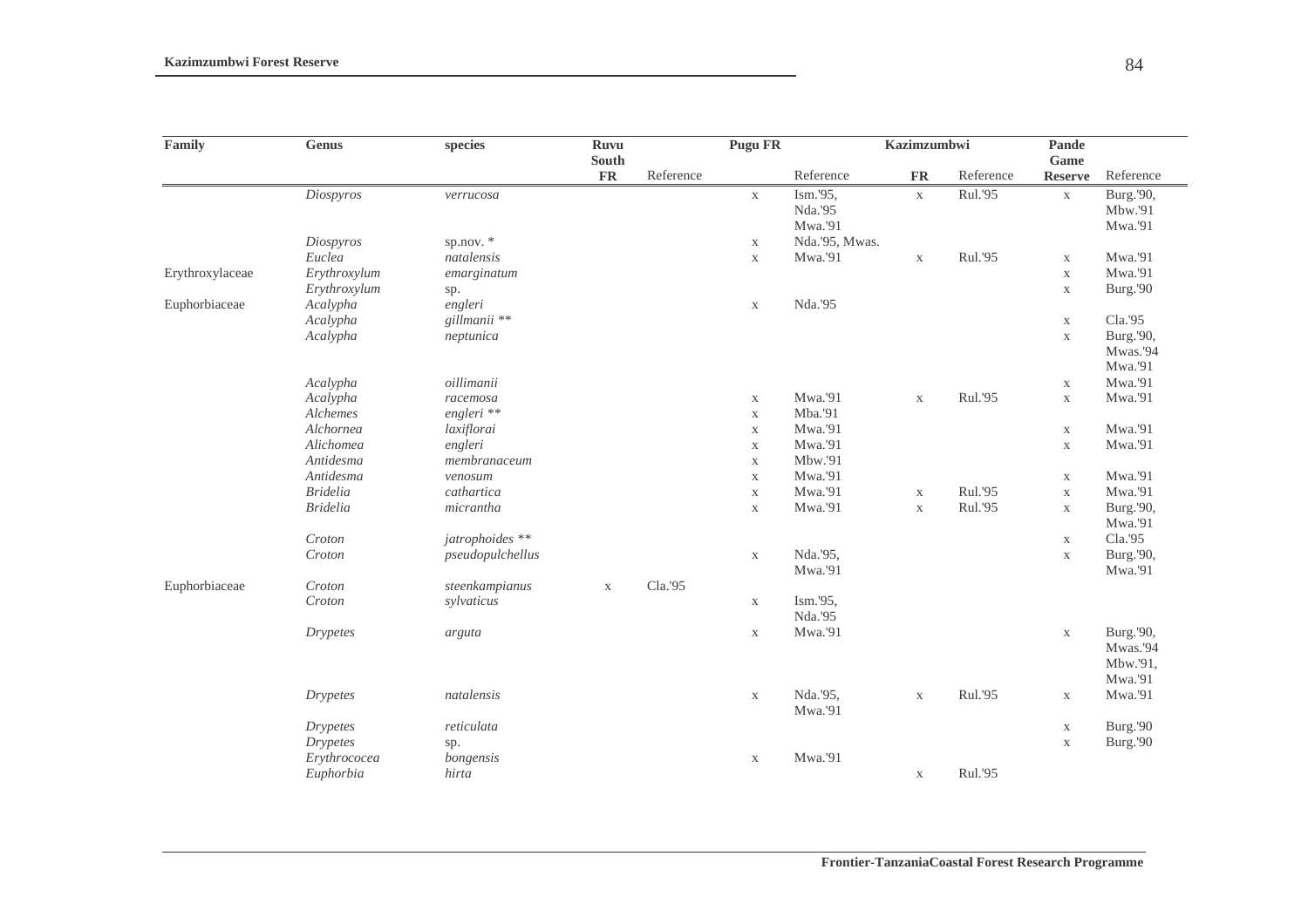| Family          | <b>Genus</b>    | species          | <b>Ruvu</b><br>South |           | <b>Pugu FR</b> |                | Kazimzumbwi |           | Pande<br>Game |           |
|-----------------|-----------------|------------------|----------------------|-----------|----------------|----------------|-------------|-----------|---------------|-----------|
|                 |                 |                  | FR                   | Reference |                | Reference      | <b>FR</b>   | Reference | Reserve       | Reference |
|                 | Diospyros       | verrucosa        |                      |           | $\mathbf X$    | Ism.'95,       | $\mathbf X$ | Rul.'95   | $\mathbf X$   | Burg.'90, |
|                 |                 |                  |                      |           |                | Nda.'95        |             |           |               | Mbw.'91   |
|                 |                 |                  |                      |           |                | Mwa.'91        |             |           |               | Mwa.'91   |
|                 | Diospyros       | sp.nov. $*$      |                      |           | $\mathbf X$    | Nda.'95, Mwas. |             |           |               |           |
|                 | Euclea          | natalensis       |                      |           | $\mathbf X$    | Mwa.'91        | $\mathbf X$ | Rul.'95   | $\mathbf X$   | Mwa.'91   |
| Erythroxylaceae | Erythroxylum    | emarginatum      |                      |           |                |                |             |           | $\mathbf X$   | Mwa.'91   |
|                 | Erythroxylum    | sp.              |                      |           |                |                |             |           | $\mathbf X$   | Burg.'90  |
| Euphorbiaceae   | Acalypha        | engleri          |                      |           | $\mathbf X$    | Nda.'95        |             |           |               |           |
|                 | Acalypha        | gillmanii **     |                      |           |                |                |             |           | $\mathbf X$   | Cla.'95   |
|                 | Acalypha        | neptunica        |                      |           |                |                |             |           | $\mathbf X$   | Burg.'90, |
|                 |                 |                  |                      |           |                |                |             |           |               | Mwas.'94  |
|                 |                 |                  |                      |           |                |                |             |           |               | Mwa.'91   |
|                 | Acalypha        | oillimanii       |                      |           |                |                |             |           | $\mathbf X$   | Mwa.'91   |
|                 | Acalypha        | racemosa         |                      |           | $\mathbf X$    | Mwa.'91        | $\mathbf X$ | Rul.'95   | $\mathbf X$   | Mwa.'91   |
|                 | Alchemes        | engleri **       |                      |           | $\mathbf X$    | Mba.'91        |             |           |               |           |
|                 | Alchornea       | laxiflorai       |                      |           | $\mathbf X$    | Mwa.'91        |             |           | $\mathbf X$   | Mwa.'91   |
|                 | Alichomea       | engleri          |                      |           | $\mathbf X$    | Mwa.'91        |             |           | $\mathbf X$   | Mwa.'91   |
|                 | Antidesma       | membranaceum     |                      |           | $\mathbf X$    | Mbw.'91        |             |           |               |           |
|                 | Antidesma       | venosum          |                      |           | $\mathbf X$    | Mwa.'91        |             |           | $\mathbf X$   | Mwa.'91   |
|                 | <b>Bridelia</b> | cathartica       |                      |           | $\mathbf X$    | Mwa.'91        | $\mathbf X$ | Rul.'95   | $\mathbf X$   | Mwa.'91   |
|                 | <b>Bridelia</b> | micrantha        |                      |           | $\mathbf X$    | Mwa.'91        | $\mathbf X$ | Rul.'95   | $\mathbf X$   | Burg.'90, |
|                 |                 |                  |                      |           |                |                |             |           |               | Mwa.'91   |
|                 | Croton          | jatrophoides **  |                      |           |                |                |             |           | $\mathbf X$   | Cla.'95   |
|                 | Croton          | pseudopulchellus |                      |           | $\mathbf X$    | Nda.'95,       |             |           | $\mathbf X$   | Burg.'90, |
|                 |                 |                  |                      |           |                | Mwa.'91        |             |           |               | Mwa.'91   |
| Euphorbiaceae   | Croton          | steenkampianus   | $\mathbf X$          | Cla.'95   |                |                |             |           |               |           |
|                 | Croton          | sylvaticus       |                      |           | $\mathbf X$    | Ism.'95,       |             |           |               |           |
|                 |                 |                  |                      |           |                | Nda.'95        |             |           |               |           |
|                 | <b>Drypetes</b> | arguta           |                      |           | $\mathbf X$    | Mwa.'91        |             |           | $\mathbf X$   | Burg.'90, |
|                 |                 |                  |                      |           |                |                |             |           |               | Mwas.'94  |
|                 |                 |                  |                      |           |                |                |             |           |               | Mbw.'91,  |
|                 |                 |                  |                      |           |                |                |             |           |               | Mwa.'91   |
|                 | <b>Drypetes</b> | natalensis       |                      |           | $\mathbf X$    | Nda.'95,       | $\mathbf X$ | Rul.'95   | $\mathbf X$   | Mwa.'91   |
|                 |                 |                  |                      |           |                | Mwa.'91        |             |           |               |           |
|                 | <b>Drypetes</b> | reticulata       |                      |           |                |                |             |           | $\mathbf X$   | Burg.'90  |
|                 | <b>Drypetes</b> | sp.              |                      |           |                |                |             |           | $\mathbf X$   | Burg.'90  |
|                 | Erythrococea    | bongensis        |                      |           | $\mathbf X$    | Mwa.'91        |             |           |               |           |
|                 | Euphorbia       | hirta            |                      |           |                |                | $\mathbf X$ | Rul.'95   |               |           |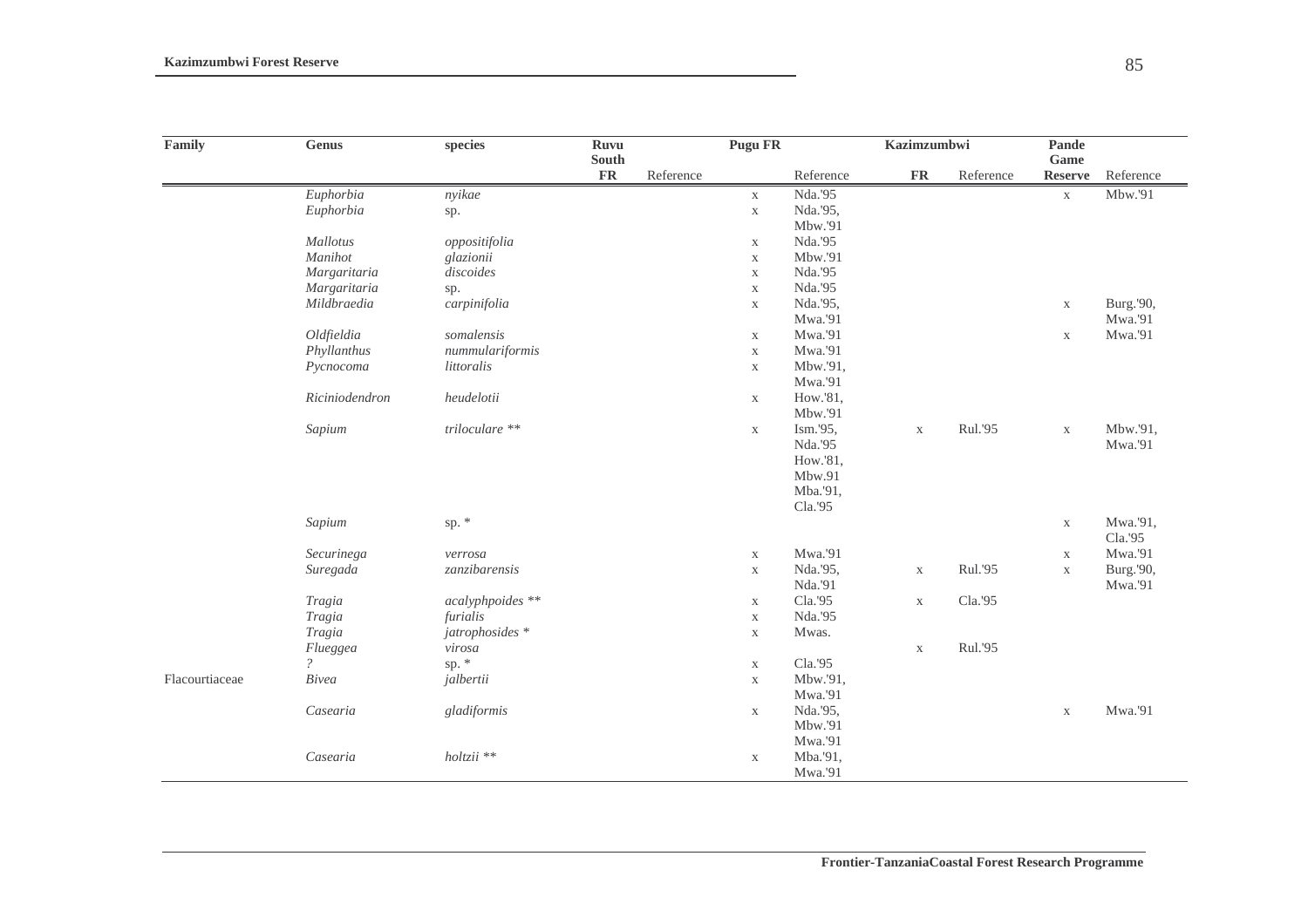| Family         | Genus          | species          | Ruvu<br>South |           | <b>Pugu FR</b> |           | Kazimzumbwi |           | Pande<br>Game  |           |
|----------------|----------------|------------------|---------------|-----------|----------------|-----------|-------------|-----------|----------------|-----------|
|                |                |                  | <b>FR</b>     | Reference |                | Reference | <b>FR</b>   | Reference | <b>Reserve</b> | Reference |
|                | Euphorbia      | nyikae           |               |           | $\mathbf X$    | Nda.'95   |             |           | $\mathbf X$    | Mbw.'91   |
|                | Euphorbia      | sp.              |               |           | $\mathbf X$    | Nda.'95,  |             |           |                |           |
|                |                |                  |               |           |                | Mbw.'91   |             |           |                |           |
|                | Mallotus       | oppositifolia    |               |           | $\mathbf X$    | Nda.'95   |             |           |                |           |
|                | Manihot        | glazionii        |               |           | $\mathbf X$    | Mbw.'91   |             |           |                |           |
|                | Margaritaria   | discoides        |               |           | $\mathbf X$    | Nda.'95   |             |           |                |           |
|                | Margaritaria   | sp.              |               |           | $\mathbf X$    | Nda.'95   |             |           |                |           |
|                | Mildbraedia    | carpinifolia     |               |           | $\mathbf X$    | Nda.'95,  |             |           | $\mathbf X$    | Burg.'90, |
|                |                |                  |               |           |                | Mwa.'91   |             |           |                | Mwa.'91   |
|                | Oldfieldia     | somalensis       |               |           | $\mathbf X$    | Mwa.'91   |             |           | $\mathbf X$    | Mwa.'91   |
|                | Phyllanthus    | nummulariformis  |               |           | $\mathbf X$    | Mwa.'91   |             |           |                |           |
|                | Pycnocoma      | littoralis       |               |           | $\mathbf X$    | Mbw.'91,  |             |           |                |           |
|                |                |                  |               |           |                | Mwa.'91   |             |           |                |           |
|                | Riciniodendron | heudelotii       |               |           | $\mathbf X$    | How.'81,  |             |           |                |           |
|                |                |                  |               |           |                | Mbw.'91   |             |           |                |           |
|                | Sapium         | triloculare **   |               |           | $\mathbf X$    | Ism.'95,  | $\mathbf X$ | Rul.'95   | $\mathbf X$    | Mbw.'91,  |
|                |                |                  |               |           |                | Nda.'95   |             |           |                | Mwa.'91   |
|                |                |                  |               |           |                | How.'81,  |             |           |                |           |
|                |                |                  |               |           |                | Mbw.91    |             |           |                |           |
|                |                |                  |               |           |                | Mba.'91,  |             |           |                |           |
|                |                |                  |               |           |                | Cla.'95   |             |           |                |           |
|                | Sapium         | sp. $*$          |               |           |                |           |             |           | $\mathbf X$    | Mwa.'91,  |
|                |                |                  |               |           |                |           |             |           |                | Cla.'95   |
|                | Securinega     | verrosa          |               |           | $\mathbf X$    | Mwa.'91   |             |           | $\mathbf X$    | Mwa.'91   |
|                | Suregada       | zanzibarensis    |               |           | $\mathbf X$    | Nda.'95,  | $\mathbf X$ | Rul.'95   | $\mathbf X$    | Burg.'90, |
|                |                |                  |               |           |                | Nda.'91   |             |           |                | Mwa.'91   |
|                | Tragia         | acalyphpoides ** |               |           | $\mathbf X$    | Cla.'95   | $\mathbf X$ | Cla.'95   |                |           |
|                | Tragia         | furialis         |               |           | $\mathbf X$    | Nda.'95   |             |           |                |           |
|                | Tragia         | jatrophosides *  |               |           | $\mathbf X$    | Mwas.     |             |           |                |           |
|                | Flueggea       | virosa           |               |           |                |           | $\mathbf X$ | Rul.'95   |                |           |
|                | $\mathcal{P}$  | sp. *            |               |           | $\mathbf X$    | Cla.'95   |             |           |                |           |
| Flacourtiaceae | Bivea          | jalbertii        |               |           | $\mathbf X$    | Mbw.'91,  |             |           |                |           |
|                |                |                  |               |           |                | Mwa.'91   |             |           |                |           |
|                | Casearia       | gladiformis      |               |           | $\mathbf X$    | Nda.'95,  |             |           | $\mathbf X$    | Mwa.'91   |
|                |                |                  |               |           |                | Mbw.'91   |             |           |                |           |
|                |                |                  |               |           |                | Mwa.'91   |             |           |                |           |
|                | Casearia       | holtzii **       |               |           | $\mathbf X$    | Mba.'91,  |             |           |                |           |
|                |                |                  |               |           |                | Mwa.'91   |             |           |                |           |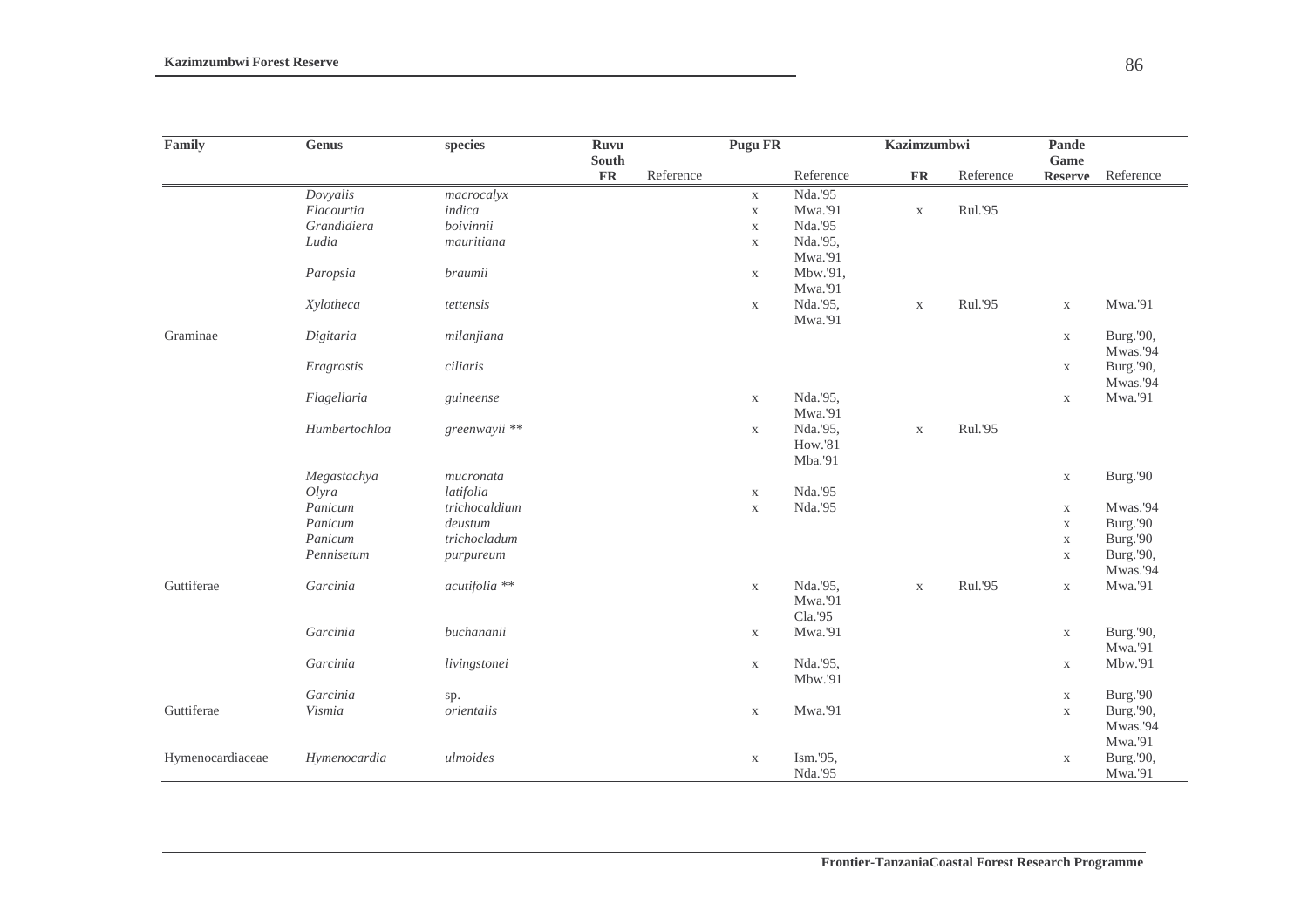| Family           | ${\bf Genus}$ | species       | <b>Ruvu</b>   |           | <b>Pugu FR</b> |                | <b>Kazimzumbwi</b> |           | Pande          |           |
|------------------|---------------|---------------|---------------|-----------|----------------|----------------|--------------------|-----------|----------------|-----------|
|                  |               |               | <b>South</b>  |           |                |                |                    |           | Game           |           |
|                  |               |               | $\mathbf{FR}$ | Reference |                | Reference      | <b>FR</b>          | Reference | <b>Reserve</b> | Reference |
|                  | Dovyalis      | macrocalyx    |               |           | $\mathbf X$    | Nda.'95        |                    |           |                |           |
|                  | Flacourtia    | indica        |               |           | $\mathbf X$    | Mwa.'91        | $\mathbf X$        | Rul.'95   |                |           |
|                  | Grandidiera   | boivinnii     |               |           | $\mathbf X$    | Nda.'95        |                    |           |                |           |
|                  | Ludia         | mauritiana    |               |           | $\mathbf X$    | Nda.'95,       |                    |           |                |           |
|                  |               |               |               |           |                | Mwa.'91        |                    |           |                |           |
|                  | Paropsia      | braumii       |               |           | $\mathbf X$    | Mbw.'91,       |                    |           |                |           |
|                  |               |               |               |           |                | Mwa.'91        |                    |           |                |           |
|                  | Xylotheca     | tettensis     |               |           | $\mathbf X$    | Nda.'95,       | $\mathbf X$        | Rul.'95   | $\mathbf X$    | Mwa.'91   |
|                  |               |               |               |           |                | Mwa.'91        |                    |           |                |           |
| Graminae         | Digitaria     | milanjiana    |               |           |                |                |                    |           | $\mathbf X$    | Burg.'90, |
|                  |               |               |               |           |                |                |                    |           |                | Mwas.'94  |
|                  | Eragrostis    | ciliaris      |               |           |                |                |                    |           | $\mathbf X$    | Burg.'90, |
|                  |               |               |               |           |                |                |                    |           |                | Mwas.'94  |
|                  | Flagellaria   | guineense     |               |           | $\mathbf X$    | Nda.'95,       |                    |           | $\mathbf X$    | Mwa.'91   |
|                  |               |               |               |           |                | Mwa.'91        |                    |           |                |           |
|                  | Humbertochloa | greenwayii ** |               |           | $\mathbf{X}$   | Nda.'95,       | $\mathbf X$        | Rul.'95   |                |           |
|                  |               |               |               |           |                | <b>How.'81</b> |                    |           |                |           |
|                  |               |               |               |           |                | Mba.'91        |                    |           |                |           |
|                  | Megastachya   | mucronata     |               |           |                |                |                    |           | $\mathbf X$    | Burg.'90  |
|                  | Olyra         | latifolia     |               |           | $\mathbf X$    | Nda.'95        |                    |           |                |           |
|                  | Panicum       | trichocaldium |               |           | $\mathbf X$    | Nda.'95        |                    |           | $\mathbf X$    | Mwas.'94  |
|                  | Panicum       | deustum       |               |           |                |                |                    |           | $\mathbf X$    | Burg.'90  |
|                  | Panicum       | trichocladum  |               |           |                |                |                    |           | $\mathbf X$    | Burg.'90  |
|                  | Pennisetum    | purpureum     |               |           |                |                |                    |           | $\mathbf X$    | Burg.'90, |
|                  |               |               |               |           |                |                |                    |           |                | Mwas.'94  |
| Guttiferae       | Garcinia      | acutifolia ** |               |           | $\mathbf X$    | Nda.'95,       | $\mathbf X$        | Rul.'95   | $\mathbf X$    | Mwa.'91   |
|                  |               |               |               |           |                | Mwa.'91        |                    |           |                |           |
|                  |               |               |               |           |                | Cla.'95        |                    |           |                |           |
|                  | Garcinia      | buchananii    |               |           | $\mathbf X$    | Mwa.'91        |                    |           | $\mathbf X$    | Burg.'90, |
|                  |               |               |               |           |                |                |                    |           |                | Mwa.'91   |
|                  | Garcinia      | livingstonei  |               |           | $\mathbf X$    | Nda.'95,       |                    |           | $\mathbf X$    | Mbw.'91   |
|                  |               |               |               |           |                | Mbw.'91        |                    |           |                |           |
|                  | Garcinia      | sp.           |               |           |                |                |                    |           | $\mathbf X$    | Burg.'90  |
| Guttiferae       | Vismia        | orientalis    |               |           | $\mathbf X$    | Mwa.'91        |                    |           | $\mathbf X$    | Burg.'90, |
|                  |               |               |               |           |                |                |                    |           |                | Mwas.'94  |
|                  |               |               |               |           |                |                |                    |           |                | Mwa.'91   |
| Hymenocardiaceae | Hymenocardia  | ulmoides      |               |           | $\mathbf X$    | Ism.'95,       |                    |           | $\mathbf X$    | Burg.'90, |
|                  |               |               |               |           |                | Nda.'95        |                    |           |                | Mwa.'91   |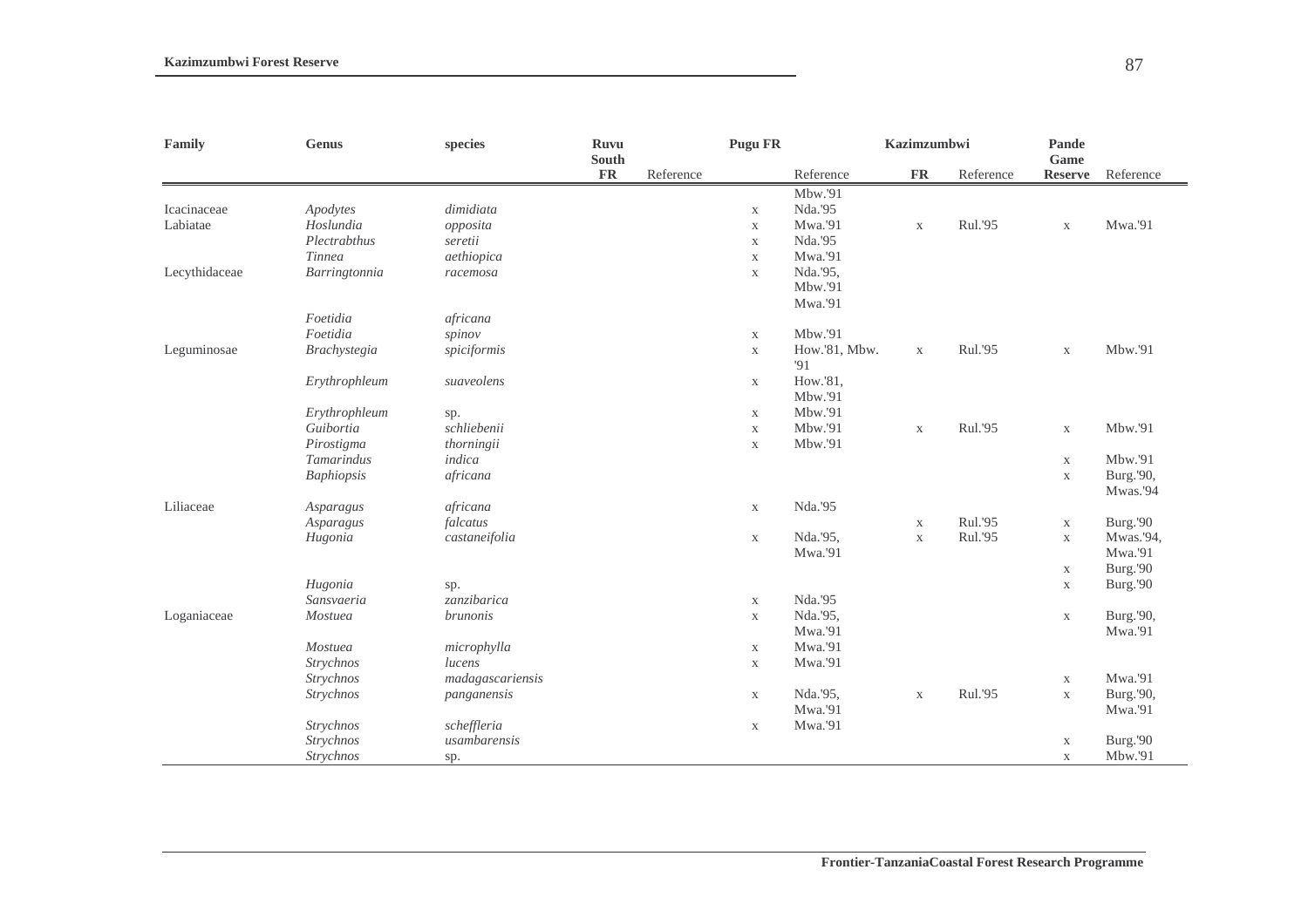| Family        | <b>Genus</b>        | species          | <b>Ruvu</b><br>South |           | <b>Pugu FR</b> |               | Kazimzumbwi |           | Pande<br>Game  |           |
|---------------|---------------------|------------------|----------------------|-----------|----------------|---------------|-------------|-----------|----------------|-----------|
|               |                     |                  | $\mathbf{FR}$        | Reference |                | Reference     | ${\bf FR}$  | Reference | <b>Reserve</b> | Reference |
|               |                     |                  |                      |           |                | Mbw.'91       |             |           |                |           |
| Icacinaceae   | Apodytes            | dimidiata        |                      |           | $\mathbf X$    | Nda.'95       |             |           |                |           |
| Labiatae      | Hoslundia           | opposita         |                      |           | $\mathbf X$    | Mwa.'91       | $\mathbf X$ | Rul.'95   | $\mathbf X$    | Mwa.'91   |
|               | Plectrabthus        | seretii          |                      |           | $\mathbf X$    | Nda.'95       |             |           |                |           |
|               | <b>Tinnea</b>       | aethiopica       |                      |           | $\mathbf{X}$   | Mwa.'91       |             |           |                |           |
| Lecythidaceae | Barringtonnia       | racemosa         |                      |           | $\mathbf X$    | Nda.'95,      |             |           |                |           |
|               |                     |                  |                      |           |                | Mbw.'91       |             |           |                |           |
|               |                     |                  |                      |           |                | Mwa.'91       |             |           |                |           |
|               | Foetidia            | africana         |                      |           |                |               |             |           |                |           |
|               | Foetidia            | spinov           |                      |           | $\mathbf{X}$   | Mbw.'91       |             |           |                |           |
| Leguminosae   | <b>Brachystegia</b> | spiciformis      |                      |           | $\mathbf X$    | How.'81, Mbw. | $\mathbf X$ | Rul.'95   | $\mathbf X$    | Mbw.'91   |
|               |                     |                  |                      |           |                | '91           |             |           |                |           |
|               | Erythrophleum       | suaveolens       |                      |           | X              | How.'81,      |             |           |                |           |
|               |                     |                  |                      |           |                | Mbw.'91       |             |           |                |           |
|               | Erythrophleum       | sp.              |                      |           | $\mathbf X$    | Mbw.'91       |             |           |                |           |
|               | Guibortia           | schliebenii      |                      |           | $\mathbf X$    | Mbw.'91       | $\mathbf X$ | Rul.'95   | $\mathbf X$    | Mbw.'91   |
|               | Pirostigma          | thorningii       |                      |           | $\mathbf X$    | Mbw.'91       |             |           |                |           |
|               | Tamarindus          | indica           |                      |           |                |               |             |           | $\mathbf X$    | Mbw.'91   |
|               | <b>Baphiopsis</b>   | africana         |                      |           |                |               |             |           | $\mathbf X$    | Burg.'90, |
|               |                     |                  |                      |           |                |               |             |           |                | Mwas.'94  |
| Liliaceae     | Asparagus           | africana         |                      |           | $\mathbf X$    | Nda.'95       |             |           |                |           |
|               | Asparagus           | falcatus         |                      |           |                |               | $\mathbf X$ | Rul.'95   | $\mathbf X$    | Burg.'90  |
|               | Hugonia             | castaneifolia    |                      |           | $\mathbf X$    | Nda.'95,      | $\mathbf X$ | Rul.'95   | $\mathbf X$    | Mwas.'94, |
|               |                     |                  |                      |           |                | Mwa.'91       |             |           |                | Mwa.'91   |
|               |                     |                  |                      |           |                |               |             |           | $\mathbf X$    | Burg.'90  |
|               | Hugonia             | sp.              |                      |           |                |               |             |           | $\mathbf X$    | Burg.'90  |
|               | Sansvaeria          | zanzibarica      |                      |           | $\mathbf X$    | Nda.'95       |             |           |                |           |
| Loganiaceae   | Mostuea             | <i>brunonis</i>  |                      |           | $\mathbf X$    | Nda.'95,      |             |           | $\mathbf X$    | Burg.'90, |
|               |                     |                  |                      |           |                | Mwa.'91       |             |           |                | Mwa.'91   |
|               | Mostuea             | microphylla      |                      |           | $\mathbf X$    | Mwa.'91       |             |           |                |           |
|               | Strychnos           | lucens           |                      |           | $\mathbf X$    | Mwa.'91       |             |           |                |           |
|               | Strychnos           | madagascariensis |                      |           |                |               |             |           | $\mathbf X$    | Mwa.'91   |
|               | Strychnos           | panganensis      |                      |           | $\mathbf X$    | Nda.'95,      | $\mathbf X$ | Rul.'95   | $\mathbf X$    | Burg.'90, |
|               |                     |                  |                      |           |                | Mwa.'91       |             |           |                | Mwa.'91   |
|               | Strychnos           | scheffleria      |                      |           | $\mathbf X$    | Mwa.'91       |             |           |                |           |
|               | Strychnos           | usambarensis     |                      |           |                |               |             |           | $\mathbf X$    | Burg.'90  |
|               | Strychnos           | sp.              |                      |           |                |               |             |           | $\mathbf X$    | Mbw.'91   |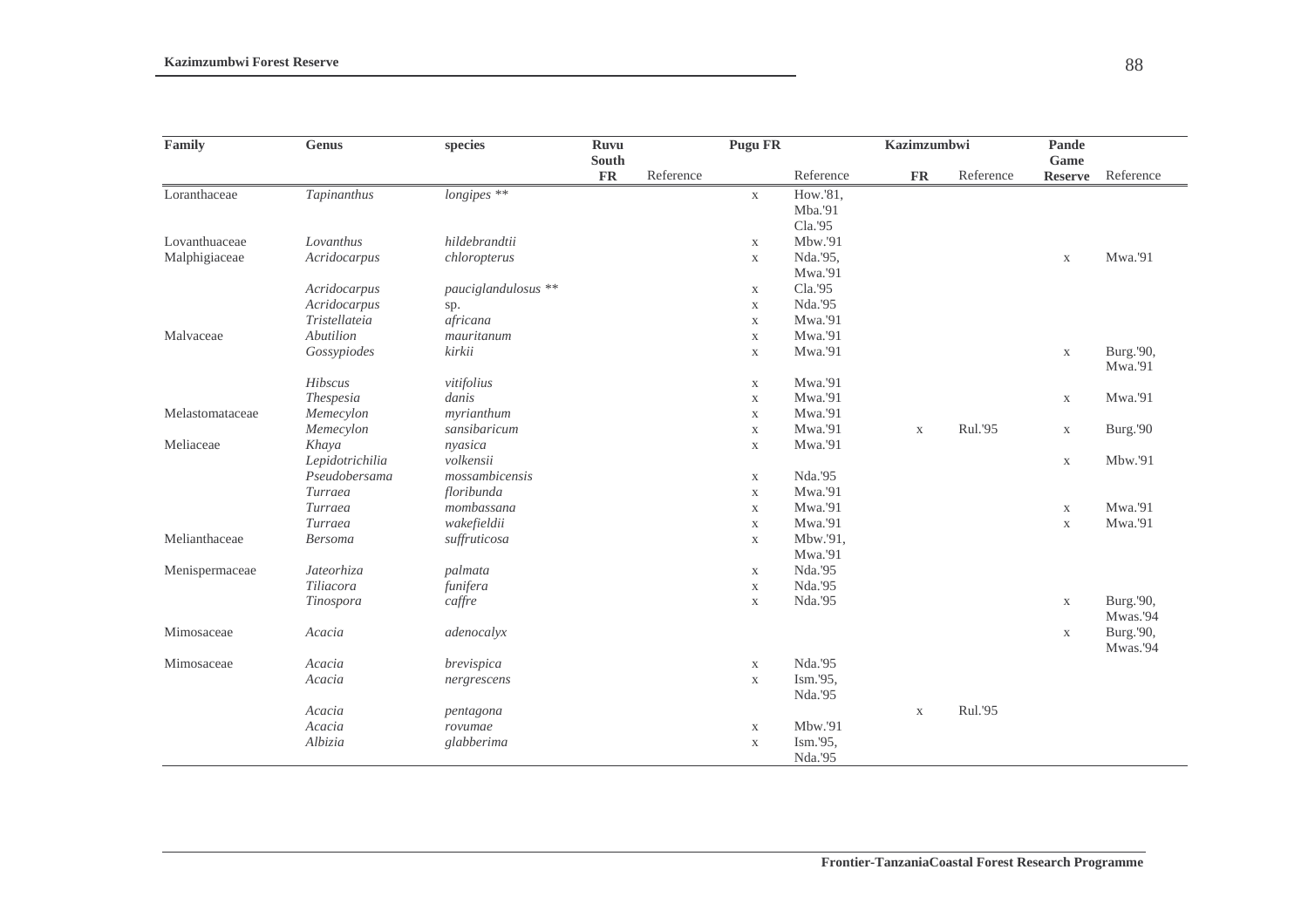| Family          | <b>Genus</b>    | species             | <b>Ruvu</b>        |           | <b>Pugu FR</b> |           | <b>Kazimzumbwi</b> |           | Pande<br>Game  |           |
|-----------------|-----------------|---------------------|--------------------|-----------|----------------|-----------|--------------------|-----------|----------------|-----------|
|                 |                 |                     | South<br><b>FR</b> | Reference |                | Reference | <b>FR</b>          | Reference | <b>Reserve</b> | Reference |
| Loranthaceae    | Tapinanthus     | longipes **         |                    |           | $\mathbf X$    | How.'81,  |                    |           |                |           |
|                 |                 |                     |                    |           |                | Mba.'91   |                    |           |                |           |
|                 |                 |                     |                    |           |                | Cla.'95   |                    |           |                |           |
| Lovanthuaceae   | Lovanthus       | hildebrandtii       |                    |           | $\mathbf X$    | Mbw.'91   |                    |           |                |           |
| Malphigiaceae   | Acridocarpus    | chloropterus        |                    |           | $\mathbf X$    | Nda.'95,  |                    |           | $\mathbf X$    | Mwa.'91   |
|                 |                 |                     |                    |           |                | Mwa.'91   |                    |           |                |           |
|                 | Acridocarpus    | pauciglandulosus ** |                    |           | $\mathbf X$    | Cla.'95   |                    |           |                |           |
|                 | Acridocarpus    | sp.                 |                    |           | $\mathbf X$    | Nda.'95   |                    |           |                |           |
|                 | Tristellateia   | africana            |                    |           | $\mathbf X$    | Mwa.'91   |                    |           |                |           |
| Malvaceae       | Abutilion       | mauritanum          |                    |           | $\mathbf X$    | Mwa.'91   |                    |           |                |           |
|                 | Gossypiodes     | kirkii              |                    |           | $\mathbf X$    | Mwa.'91   |                    |           | $\mathbf X$    | Burg.'90, |
|                 |                 |                     |                    |           |                |           |                    |           |                | Mwa.'91   |
|                 | Hibscus         | vitifolius          |                    |           | $\mathbf X$    | Mwa.'91   |                    |           |                |           |
|                 | Thespesia       | danis               |                    |           | $\mathbf X$    | Mwa.'91   |                    |           | $\mathbf X$    | Mwa.'91   |
| Melastomataceae | Memecylon       | myrianthum          |                    |           | $\mathbf X$    | Mwa.'91   |                    |           |                |           |
|                 | Memecylon       | sansibaricum        |                    |           | $\mathbf X$    | Mwa.'91   | $\mathbf X$        | Rul.'95   | $\mathbf X$    | Burg.'90  |
| Meliaceae       | Khaya           | nyasica             |                    |           | $\mathbf X$    | Mwa.'91   |                    |           |                |           |
|                 | Lepidotrichilia | volkensii           |                    |           |                |           |                    |           | $\mathbf X$    | Mbw.'91   |
|                 | Pseudobersama   | mossambicensis      |                    |           | $\mathbf X$    | Nda.'95   |                    |           |                |           |
|                 | Turraea         | floribunda          |                    |           | $\mathbf X$    | Mwa.'91   |                    |           |                |           |
|                 | Turraea         | mombassana          |                    |           | $\mathbf X$    | Mwa.'91   |                    |           | $\mathbf X$    | Mwa.'91   |
|                 | Turraea         | wakefieldii         |                    |           | $\mathbf X$    | Mwa.'91   |                    |           | $\mathbf X$    | Mwa.'91   |
| Melianthaceae   | <b>Bersoma</b>  | suffruticosa        |                    |           | $\mathbf X$    | Mbw.'91,  |                    |           |                |           |
|                 |                 |                     |                    |           |                | Mwa.'91   |                    |           |                |           |
| Menispermaceae  | Jateorhiza      | palmata             |                    |           | $\mathbf{X}$   | Nda.'95   |                    |           |                |           |
|                 | Tiliacora       | funifera            |                    |           | $\mathbf X$    | Nda.'95   |                    |           |                |           |
|                 | Tinospora       | caffre              |                    |           | $\mathbf X$    | Nda.'95   |                    |           | $\mathbf X$    | Burg.'90, |
|                 |                 |                     |                    |           |                |           |                    |           |                | Mwas.'94  |
| Mimosaceae      | Acacia          | adenocalyx          |                    |           |                |           |                    |           | $\mathbf X$    | Burg.'90, |
|                 |                 |                     |                    |           |                |           |                    |           |                | Mwas.'94  |
| Mimosaceae      | Acacia          | brevispica          |                    |           | $\mathbf X$    | Nda.'95   |                    |           |                |           |
|                 | Acacia          | nergrescens         |                    |           | $\mathbf X$    | Ism.'95,  |                    |           |                |           |
|                 |                 |                     |                    |           |                | Nda.'95   |                    |           |                |           |
|                 | Acacia          | pentagona           |                    |           |                |           | $\mathbf X$        | Rul.'95   |                |           |
|                 | Acacia          | rovumae             |                    |           | $\mathbf X$    | Mbw.'91   |                    |           |                |           |
|                 | Albizia         | glabberima          |                    |           | $\mathbf X$    | Ism.'95,  |                    |           |                |           |
|                 |                 |                     |                    |           |                | Nda.'95   |                    |           |                |           |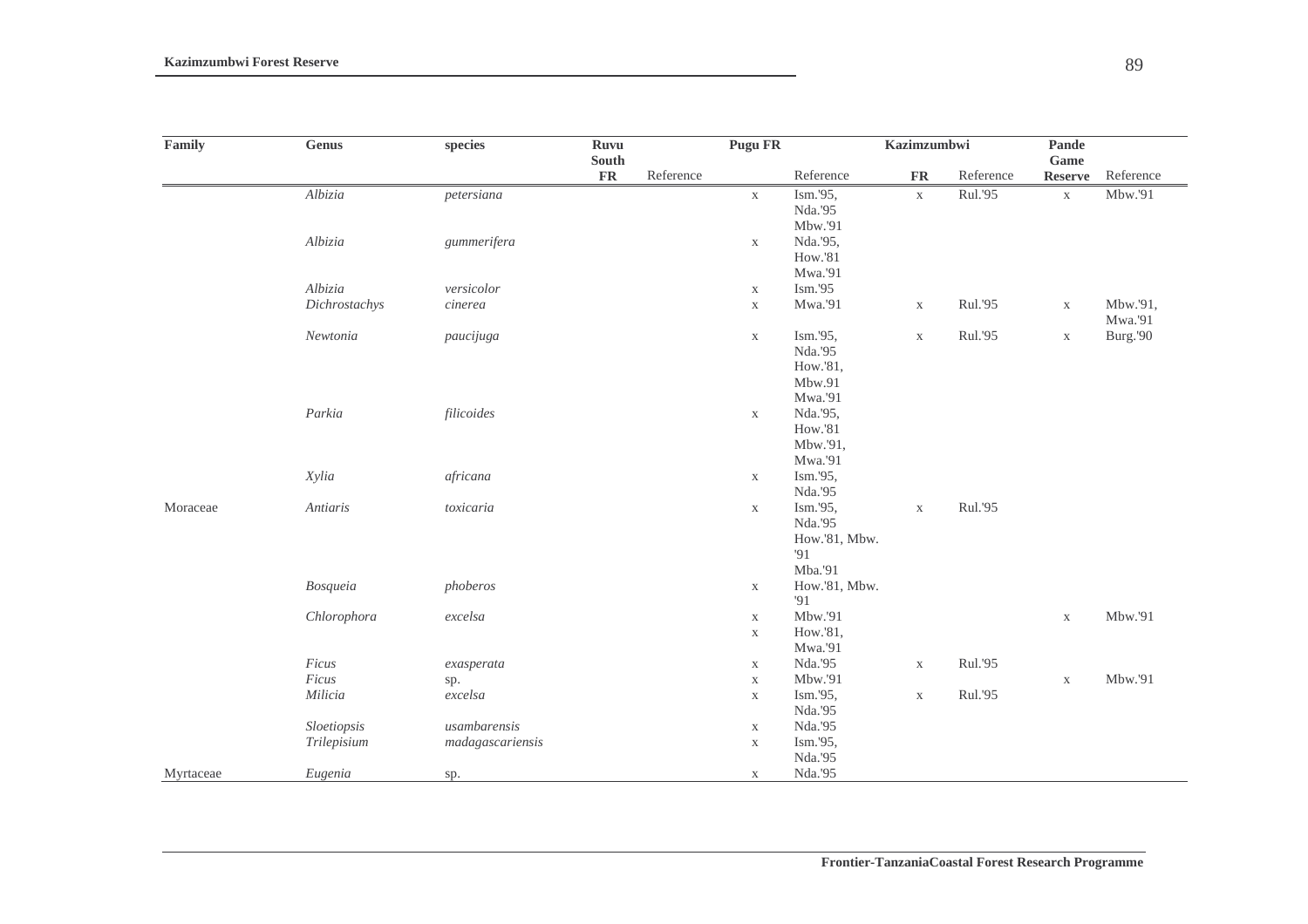| Family    | Genus         | species          | Ruvu       | South     | Pugu FR     |                     | Kazimzumbwi |           | <b>Pande</b><br>Game |           |
|-----------|---------------|------------------|------------|-----------|-------------|---------------------|-------------|-----------|----------------------|-----------|
|           |               |                  | ${\bf FR}$ | Reference |             | Reference           | ${\bf FR}$  | Reference | <b>Reserve</b>       | Reference |
|           | Albizia       | petersiana       |            |           | $\mathbf X$ | Ism.'95,            | $\mathbf X$ | Rul.'95   | $\mathbf X$          | Mbw.'91   |
|           |               |                  |            |           |             | Nda.'95             |             |           |                      |           |
|           |               |                  |            |           |             | Mbw.'91             |             |           |                      |           |
|           | Albizia       | gummerifera      |            |           | $\mathbf X$ | Nda.'95,            |             |           |                      |           |
|           |               |                  |            |           |             | How.'81             |             |           |                      |           |
|           |               |                  |            |           |             | Mwa.'91             |             |           |                      |           |
|           | Albizia       | versicolor       |            |           | $\mathbf X$ | Ism.'95             |             |           |                      |           |
|           | Dichrostachys | c                |            |           | $\mathbf X$ | Mwa.'91             | $\mathbf X$ | Rul.'95   | $\mathbf X$          | Mbw.'91,  |
|           |               |                  |            |           |             |                     |             |           |                      | Mwa.'91   |
|           | Newtonia      | paucijuga        |            |           | $\mathbf X$ | Ism.'95,            | $\mathbf X$ | Rul.'95   | $\mathbf X$          | Burg.'90  |
|           |               |                  |            |           |             | Nda.'95<br>How.'81, |             |           |                      |           |
|           |               |                  |            |           |             | Mbw.91              |             |           |                      |           |
|           |               |                  |            |           |             | Mwa.'91             |             |           |                      |           |
|           | Parkia        | filicoides       |            |           | $\mathbf X$ | Nda.'95,            |             |           |                      |           |
|           |               |                  |            |           |             | How.'81             |             |           |                      |           |
|           |               |                  |            |           |             | Mbw.'91,            |             |           |                      |           |
|           |               |                  |            |           |             | Mwa.'91             |             |           |                      |           |
|           | Xylia         | africana         |            |           | $\mathbf X$ | Ism.'95,            |             |           |                      |           |
|           |               |                  |            |           |             | Nda.'95             |             |           |                      |           |
| Moraceae  | Antiaris      | toxicaria        |            |           | $\mathbf X$ | Ism.'95,            | $\mathbf X$ | Rul.'95   |                      |           |
|           |               |                  |            |           |             | Nda.'95             |             |           |                      |           |
|           |               |                  |            |           |             | How.'81, Mbw.       |             |           |                      |           |
|           |               |                  |            |           |             | '91                 |             |           |                      |           |
|           |               |                  |            |           |             | Mba.'91             |             |           |                      |           |
|           | Bosqueia      | phoberos         |            |           | $\mathbf X$ | How.'81, Mbw.       |             |           |                      |           |
|           |               |                  |            |           |             | 91                  |             |           |                      |           |
|           | Chlorophora   | $excelsa$        |            |           | $\mathbf X$ | Mbw.'91             |             |           | $\mathbf X$          | Mbw.'91   |
|           |               |                  |            |           | $\mathbf X$ | How.'81,            |             |           |                      |           |
|           |               |                  |            |           |             | Mwa.'91             |             |           |                      |           |
|           | Ficus         | exasperata       |            |           | $\mathbf X$ | Nda.'95             | $\mathbf X$ | Rul.'95   |                      |           |
|           | Ficus         | sp.              |            |           | $\mathbf X$ | Mbw.'91             |             |           | $\mathbf X$          | Mbw.'91   |
|           | Milicia       | excelsa          |            |           | $\mathbf X$ | Ism.'95,            | $\mathbf X$ | Rul.'95   |                      |           |
|           |               |                  |            |           |             | Nda.'95             |             |           |                      |           |
|           | Sloetiopsis   | usambarensis     |            |           | $\mathbf X$ | Nda.'95             |             |           |                      |           |
|           | Trilepisium   | madagascariensis |            |           | $\mathbf X$ | Ism.'95,            |             |           |                      |           |
|           |               |                  |            |           |             | Nda.'95             |             |           |                      |           |
| Myrtaceae | Eugenia       | sp.              |            |           | $\mathbf X$ | Nda.'95             |             |           |                      |           |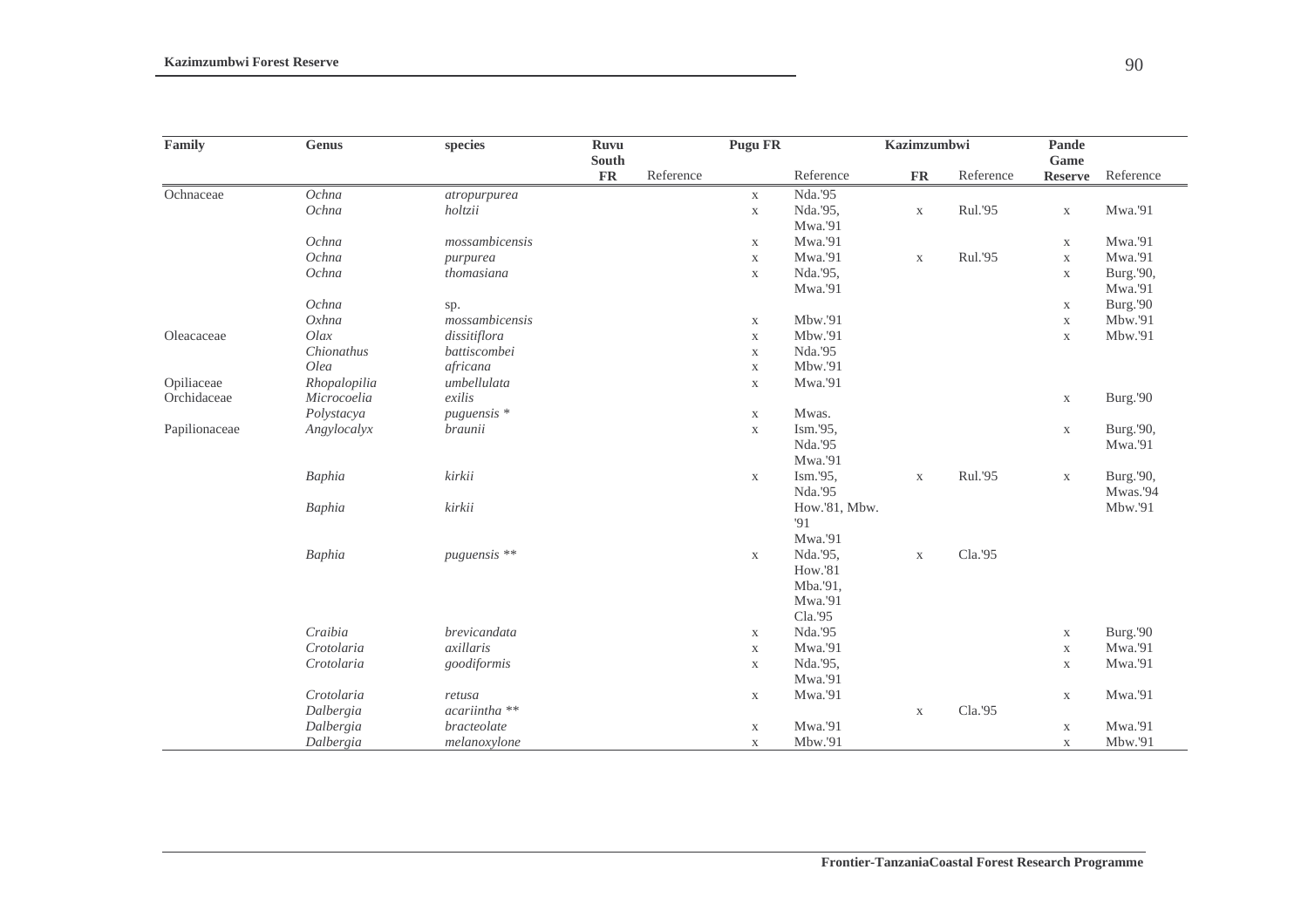| Family        | <b>Genus</b> | species        | Ruvu          |           | <b>Pugu FR</b> |               | Kazimzumbwi |           | Pande          |           |
|---------------|--------------|----------------|---------------|-----------|----------------|---------------|-------------|-----------|----------------|-----------|
|               |              |                | South         |           |                |               |             |           | Game           |           |
|               |              |                | $\mathbf{FR}$ | Reference |                | Reference     | ${\bf FR}$  | Reference | <b>Reserve</b> | Reference |
| Ochnaceae     | Ochna        | atropurpurea   |               |           | $\mathbf X$    | Nda.'95       |             |           |                |           |
|               | Ochna        | holtzii        |               |           | $\mathbf X$    | Nda.'95,      | $\mathbf X$ | Rul.'95   | $\mathbf X$    | Mwa.'91   |
|               |              |                |               |           |                | Mwa.'91       |             |           |                |           |
|               | Ochna        | mossambicensis |               |           | $\mathbf X$    | Mwa.'91       |             |           | $\mathbf X$    | Mwa.'91   |
|               | Ochna        | purpurea       |               |           | $\mathbf X$    | Mwa.'91       | $\mathbf X$ | Rul.'95   | $\mathbf X$    | Mwa.'91   |
|               | Ochna        | thomasiana     |               |           | $\mathbf X$    | Nda.'95,      |             |           | $\mathbf X$    | Burg.'90, |
|               |              |                |               |           |                | Mwa.'91       |             |           |                | Mwa.'91   |
|               | Ochna        | sp.            |               |           |                |               |             |           | $\mathbf X$    | Burg.'90  |
|               | $Ox$ hna     | mossambicensis |               |           | $\mathbf X$    | Mbw.'91       |             |           | $\mathbf X$    | Mbw.'91   |
| Oleacaceae    | Olax         | dissitiflora   |               |           | $\mathbf X$    | Mbw.'91       |             |           | $\mathbf X$    | Mbw.'91   |
|               | Chionathus   | battiscombei   |               |           | $\mathbf X$    | Nda.'95       |             |           |                |           |
|               | Olea         | africana       |               |           | $\mathbf X$    | Mbw.'91       |             |           |                |           |
| Opiliaceae    | Rhopalopilia | umbellulata    |               |           | $\mathbf X$    | Mwa.'91       |             |           |                |           |
| Orchidaceae   | Microcoelia  | exilis         |               |           |                |               |             |           | $\mathbf X$    | Burg.'90  |
|               | Polystacya   | puguensis *    |               |           | $\mathbf X$    | Mwas.         |             |           |                |           |
| Papilionaceae | Angylocalyx  | braunii        |               |           | $\mathbf X$    | Ism.'95,      |             |           | $\mathbf X$    | Burg.'90, |
|               |              |                |               |           |                | Nda.'95       |             |           |                | Mwa.'91   |
|               |              |                |               |           |                | Mwa.'91       |             |           |                |           |
|               | Baphia       | kirkii         |               |           | $\mathbf X$    | Ism.'95,      | $\mathbf X$ | Rul.'95   | $\mathbf X$    | Burg.'90, |
|               |              |                |               |           |                | Nda.'95       |             |           |                | Mwas.'94  |
|               | Baphia       | kirkii         |               |           |                | How.'81, Mbw. |             |           |                | Mbw.'91   |
|               |              |                |               |           |                | '91           |             |           |                |           |
|               |              |                |               |           |                | Mwa.'91       |             |           |                |           |
|               | Baphia       | puguensis **   |               |           | $\mathbf X$    | Nda.'95,      | $\mathbf X$ | Cla.'95   |                |           |
|               |              |                |               |           |                | How.'81       |             |           |                |           |
|               |              |                |               |           |                | Mba.'91,      |             |           |                |           |
|               |              |                |               |           |                | Mwa.'91       |             |           |                |           |
|               |              |                |               |           |                | Cla.'95       |             |           |                |           |
|               | Craibia      | brevicandata   |               |           | $\mathbf X$    | Nda.'95       |             |           | $\mathbf X$    | Burg.'90  |
|               | Crotolaria   | axillaris      |               |           | $\mathbf X$    | Mwa.'91       |             |           | $\mathbf X$    | Mwa.'91   |
|               | Crotolaria   | goodiformis    |               |           | $\mathbf X$    | Nda.'95,      |             |           | $\mathbf X$    | Mwa.'91   |
|               |              |                |               |           |                | Mwa.'91       |             |           |                |           |
|               | Crotolaria   | retusa         |               |           | $\mathbf{X}$   | Mwa.'91       |             |           | $\mathbf X$    | Mwa.'91   |
|               | Dalbergia    | acariintha **  |               |           |                |               | $\mathbf X$ | Cla.'95   |                |           |
|               | Dalbergia    | bracteolate    |               |           | $\mathbf X$    | Mwa.'91       |             |           | $\mathbf X$    | Mwa.'91   |
|               | Dalbergia    | melanoxylone   |               |           | $\mathbf X$    | Mbw.'91       |             |           | $\mathbf X$    | Mbw.'91   |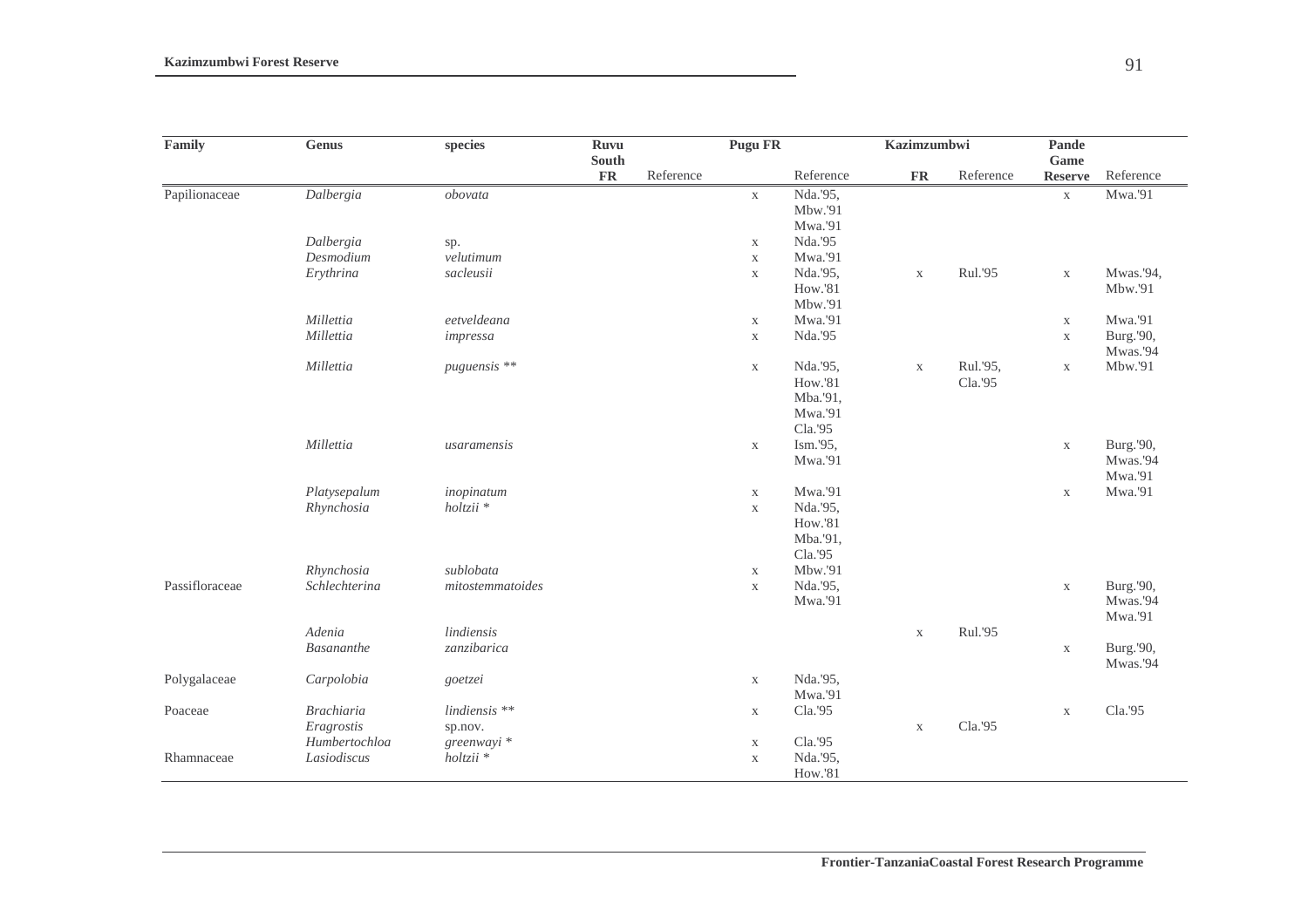| Family         | <b>Genus</b>      | species              | <b>Ruvu</b><br>South |           | <b>Pugu FR</b> |                     | Kazimzumbwi   |           | Pande<br>Game  |           |
|----------------|-------------------|----------------------|----------------------|-----------|----------------|---------------------|---------------|-----------|----------------|-----------|
|                |                   |                      | <b>FR</b>            | Reference |                | Reference           | $\mathbf{FR}$ | Reference | <b>Reserve</b> | Reference |
| Papilionaceae  | Dalbergia         | obovata              |                      |           | $\mathbf X$    | Nda.'95,            |               |           | $\mathbf X$    | Mwa.'91   |
|                |                   |                      |                      |           |                | Mbw.'91             |               |           |                |           |
|                |                   |                      |                      |           |                | Mwa.'91             |               |           |                |           |
|                | Dalbergia         | sp.                  |                      |           | $\mathbf X$    | Nda.'95             |               |           |                |           |
|                | Desmodium         | velutimum            |                      |           | $\mathbf X$    | Mwa.'91             |               |           |                |           |
|                | Erythrina         | sacleusii            |                      |           | $\mathbf X$    | Nda.'95,            | $\mathbf X$   | Rul.'95   | $\mathbf X$    | Mwas.'94, |
|                |                   |                      |                      |           |                | How.'81             |               |           |                | Mbw.'91   |
|                |                   |                      |                      |           |                | Mbw.'91             |               |           |                |           |
|                | Millettia         | eetveldeana          |                      |           | $\mathbf X$    | Mwa.'91             |               |           | $\mathbf X$    | Mwa.'91   |
|                | Millettia         | impressa             |                      |           | $\mathbf X$    | Nda.'95             |               |           | $\mathbf X$    | Burg.'90, |
|                |                   |                      |                      |           |                |                     |               |           |                | Mwas.'94  |
|                | Millettia         | puguensis **         |                      |           | X              | Nda.'95,            | $\mathbf X$   | Rul.'95,  | $\mathbf X$    | Mbw.'91   |
|                |                   |                      |                      |           |                | How.'81             |               | Cla.'95   |                |           |
|                |                   |                      |                      |           |                | Mba.'91,<br>Mwa.'91 |               |           |                |           |
|                |                   |                      |                      |           |                | Cla.'95             |               |           |                |           |
|                | Millettia         | usaramensis          |                      |           |                | Ism.'95,            |               |           |                | Burg.'90, |
|                |                   |                      |                      |           | $\mathbf X$    | Mwa.'91             |               |           | $\mathbf X$    | Mwas.'94  |
|                |                   |                      |                      |           |                |                     |               |           |                | Mwa.'91   |
|                | Platysepalum      | inopinatum           |                      |           | $\mathbf X$    | Mwa.'91             |               |           | $\mathbf X$    | Mwa.'91   |
|                | Rhynchosia        | $holtzii *$          |                      |           | $\mathbf X$    | Nda.'95,            |               |           |                |           |
|                |                   |                      |                      |           |                | How.'81             |               |           |                |           |
|                |                   |                      |                      |           |                | Mba.'91,            |               |           |                |           |
|                |                   |                      |                      |           |                | Cla.'95             |               |           |                |           |
|                | Rhynchosia        | sublobata            |                      |           | $\mathbf X$    | Mbw.'91             |               |           |                |           |
| Passifloraceae | Schlechterina     | mitostemmatoides     |                      |           | $\mathbf X$    | Nda.'95,            |               |           | $\mathbf X$    | Burg.'90, |
|                |                   |                      |                      |           |                | Mwa.'91             |               |           |                | Mwas.'94  |
|                |                   |                      |                      |           |                |                     |               |           |                | Mwa.'91   |
|                | Adenia            | lindiensis           |                      |           |                |                     | $\mathbf X$   | Rul.'95   |                |           |
|                | <b>Basananthe</b> | zanzibarica          |                      |           |                |                     |               |           | $\mathbf X$    | Burg.'90, |
|                |                   |                      |                      |           |                |                     |               |           |                | Mwas.'94  |
| Polygalaceae   | Carpolobia        | goetzei              |                      |           | $\mathbf X$    | Nda.'95,            |               |           |                |           |
|                |                   |                      |                      |           |                | Mwa.'91             |               |           |                |           |
| Poaceae        | <b>Brachiaria</b> | lindiensis **        |                      |           | $\mathbf X$    | Cla.'95             |               |           | $\mathbf X$    | Cla.'95   |
|                | Eragrostis        | sp.nov.              |                      |           |                |                     | $\mathbf X$   | Cla.'95   |                |           |
|                | Humbertochloa     | greenwayi *          |                      |           | $\mathbf X$    | Cla.'95             |               |           |                |           |
| Rhamnaceae     | Lasiodiscus       | holtzii <sup>*</sup> |                      |           | $\mathbf X$    | Nda.'95,            |               |           |                |           |
|                |                   |                      |                      |           |                | How.'81             |               |           |                |           |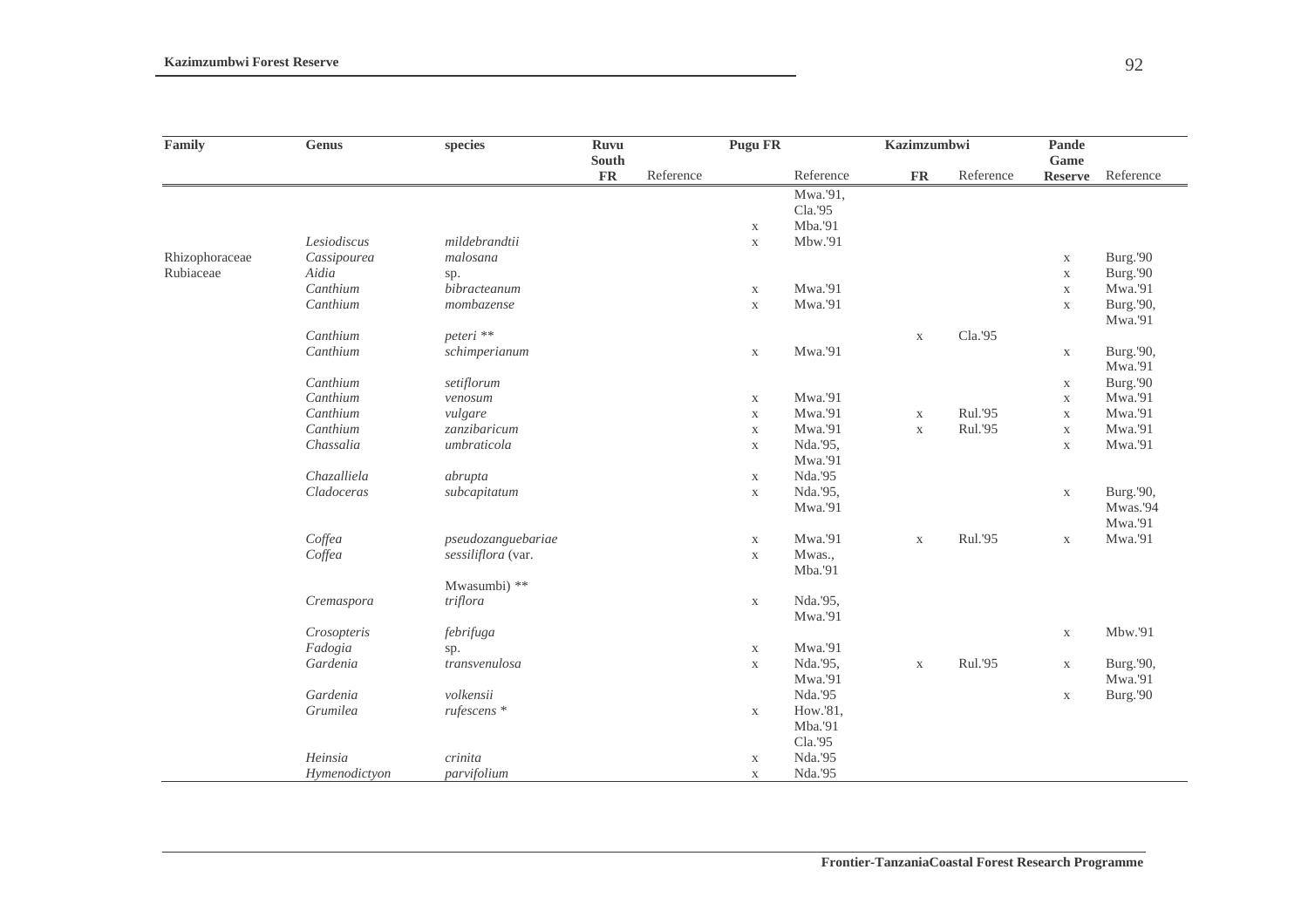| Family         | Genus         | species            | <b>Ruvu</b><br>South |           | <b>Pugu FR</b> |           | Kazimzumbwi |           | Pande<br>Game  |           |
|----------------|---------------|--------------------|----------------------|-----------|----------------|-----------|-------------|-----------|----------------|-----------|
|                |               |                    | <b>FR</b>            | Reference |                | Reference | <b>FR</b>   | Reference | <b>Reserve</b> | Reference |
|                |               |                    |                      |           |                | Mwa.'91,  |             |           |                |           |
|                |               |                    |                      |           |                | Cla.'95   |             |           |                |           |
|                |               |                    |                      |           | $\mathbf X$    | Mba.'91   |             |           |                |           |
|                | Lesiodiscus   | mildebrandtii      |                      |           | $\mathbf X$    | Mbw.'91   |             |           |                |           |
| Rhizophoraceae | Cassipourea   | malosana           |                      |           |                |           |             |           | $\mathbf X$    | Burg.'90  |
| Rubiaceae      | Aidia         | sp.                |                      |           |                |           |             |           | $\mathbf X$    | Burg.'90  |
|                | Canthium      | bibracteanum       |                      |           | $\mathbf X$    | Mwa.'91   |             |           | $\mathbf X$    | Mwa.'91   |
|                | Canthium      | mombazense         |                      |           | $\mathbf X$    | Mwa.'91   |             |           | $\mathbf X$    | Burg.'90, |
|                |               |                    |                      |           |                |           |             |           |                | Mwa.'91   |
|                | Canthium      | peteri **          |                      |           |                |           | $\mathbf X$ | Cla.'95   |                |           |
|                | Canthium      | schimperianum      |                      |           | $\mathbf X$    | Mwa.'91   |             |           | $\mathbf X$    | Burg.'90, |
|                |               |                    |                      |           |                |           |             |           |                | Mwa.'91   |
|                | Canthium      | setiflorum         |                      |           |                |           |             |           | $\mathbf X$    | Burg.'90  |
|                | Canthium      | venosum            |                      |           | $\mathbf X$    | Mwa.'91   |             |           | $\mathbf X$    | Mwa.'91   |
|                | Canthium      | vulgare            |                      |           | $\mathbf X$    | Mwa.'91   | $\mathbf X$ | Rul.'95   | $\mathbf X$    | Mwa.'91   |
|                | Canthium      | zanzibaricum       |                      |           | $\mathbf X$    | Mwa.'91   | $\mathbf X$ | Rul.'95   | $\mathbf X$    | Mwa.'91   |
|                | Chassalia     | umbraticola        |                      |           | $\mathbf X$    | Nda.'95,  |             |           | $\mathbf X$    | Mwa.'91   |
|                |               |                    |                      |           |                | Mwa.'91   |             |           |                |           |
|                | Chazalliela   | abrupta            |                      |           | $\mathbf X$    | Nda.'95   |             |           |                |           |
|                | Cladoceras    | subcapitatum       |                      |           | $\mathbf X$    | Nda.'95,  |             |           | $\mathbf X$    | Burg.'90, |
|                |               |                    |                      |           |                | Mwa.'91   |             |           |                | Mwas.'94  |
|                |               |                    |                      |           |                |           |             |           |                | Mwa.'91   |
|                | Coffea        | pseudozanguebariae |                      |           | $\mathbf X$    | Mwa.'91   | $\mathbf X$ | Rul.'95   | $\mathbf X$    | Mwa.'91   |
|                | Coffea        | sessiliflora (var. |                      |           | $\mathbf X$    | Mwas.,    |             |           |                |           |
|                |               |                    |                      |           |                | Mba.'91   |             |           |                |           |
|                |               | Mwasumbi) **       |                      |           |                |           |             |           |                |           |
|                | Cremaspora    | triflora           |                      |           | $\mathbf X$    | Nda.'95,  |             |           |                |           |
|                |               |                    |                      |           |                | Mwa.'91   |             |           |                |           |
|                | Crosopteris   | febrifuga          |                      |           |                |           |             |           | $\mathbf X$    | Mbw.'91   |
|                | Fadogia       | sp.                |                      |           | $\mathbf X$    | Mwa.'91   |             |           |                |           |
|                | Gardenia      | transvenulosa      |                      |           | $\mathbf X$    | Nda.'95,  | $\mathbf X$ | Rul.'95   | $\mathbf X$    | Burg.'90, |
|                |               |                    |                      |           |                | Mwa.'91   |             |           |                | Mwa.'91   |
|                | Gardenia      | volkensii          |                      |           |                | Nda.'95   |             |           | $\mathbf X$    | Burg.'90  |
|                | Grumilea      | rufescens *        |                      |           | $\mathbf X$    | How.'81,  |             |           |                |           |
|                |               |                    |                      |           |                | Mba.'91   |             |           |                |           |
|                |               |                    |                      |           |                | Cla.'95   |             |           |                |           |
|                | Heinsia       | crinita            |                      |           | $\mathbf X$    | Nda.'95   |             |           |                |           |
|                | Hymenodictyon | parvifolium        |                      |           | $\mathbf X$    | Nda.'95   |             |           |                |           |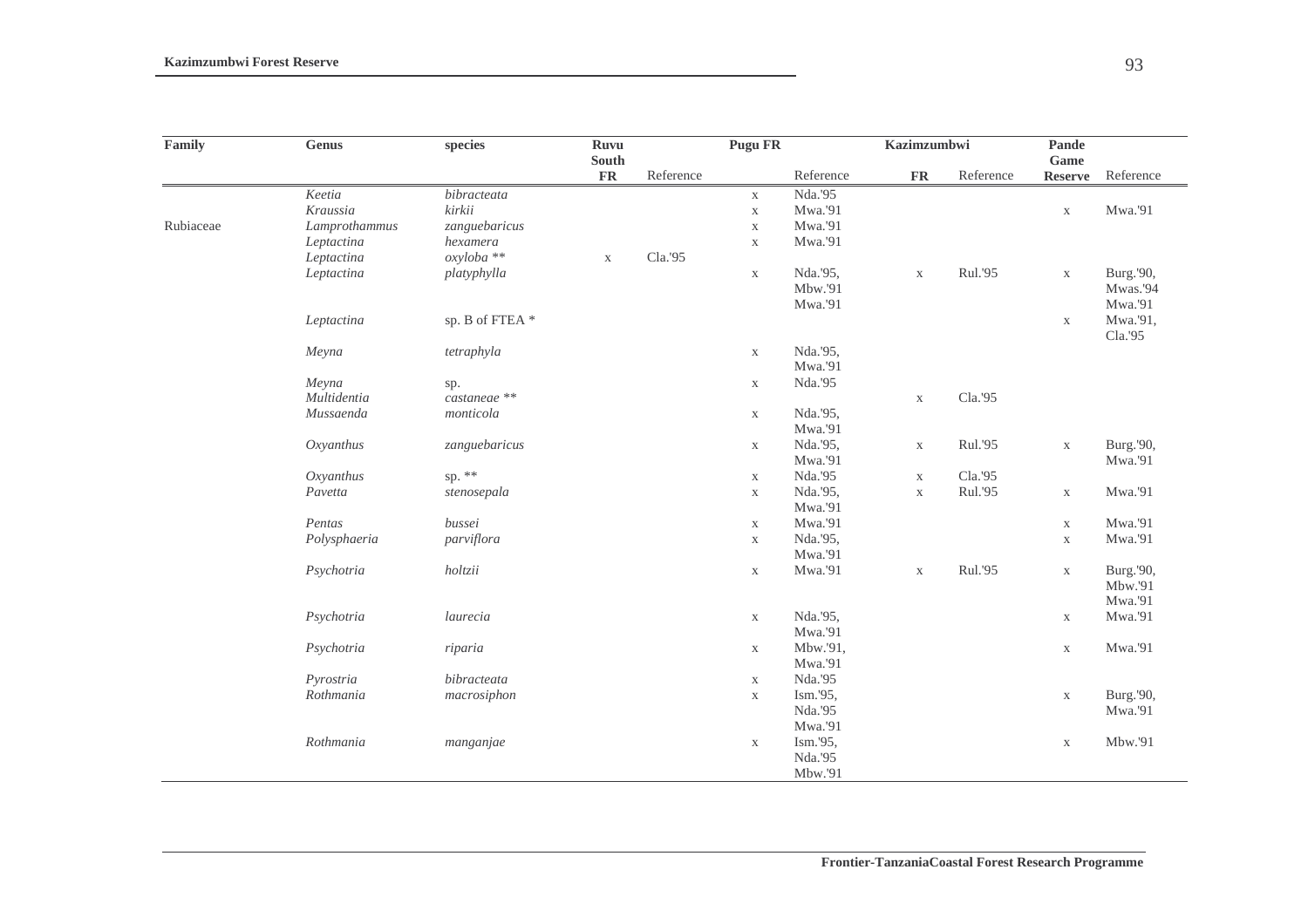| Family    | <b>Genus</b>  | species        | <b>Ruvu</b>            |           | Pugu FR     |           | Kazimzumbwi         |           | Pande                  |                     |  |
|-----------|---------------|----------------|------------------------|-----------|-------------|-----------|---------------------|-----------|------------------------|---------------------|--|
|           |               |                | South<br>$\mathbf{FR}$ | Reference |             | Reference | ${\rm \mathbf{FR}}$ | Reference | Game<br><b>Reserve</b> | Reference           |  |
|           | Keetia        | bibracteata    |                        |           | $\mathbf X$ | Nda.'95   |                     |           |                        |                     |  |
|           | Kraussia      | kirkii         |                        |           | $\mathbf X$ | Mwa.'91   |                     |           | $\mathbf X$            | Mwa.'91             |  |
| Rubiaceae | Lamprothammus | zanguebaricus  |                        |           | $\mathbf X$ | Mwa.'91   |                     |           |                        |                     |  |
|           | Leptactina    | hexamera       |                        |           | $\mathbf X$ | Mwa.'91   |                     |           |                        |                     |  |
|           | Leptactina    | oxyloba **     | $\mathbf X$            | Cla.'95   |             |           |                     |           |                        |                     |  |
|           | Leptactina    | platyphylla    |                        |           | $\mathbf X$ | Nda.'95,  | $\mathbf X$         | Rul.'95   | $\mathbf X$            | Burg.'90,           |  |
|           |               |                |                        |           |             | Mbw.'91   |                     |           |                        | Mwas.'94            |  |
|           |               |                |                        |           |             | Mwa.'91   |                     |           |                        | Mwa.'91             |  |
|           | Leptactina    | sp. B of FTEA* |                        |           |             |           |                     |           | $\mathbf X$            | Mwa.'91,<br>Cla.'95 |  |
|           | Meyna         | tetraphyla     |                        |           | $\mathbf X$ | Nda.'95,  |                     |           |                        |                     |  |
|           |               |                |                        |           |             | Mwa.'91   |                     |           |                        |                     |  |
|           | Meyna         | sp.            |                        |           | $\mathbf X$ | Nda.'95   |                     |           |                        |                     |  |
|           | Multidentia   | castaneae **   |                        |           |             |           | $\mathbf X$         | Cla.'95   |                        |                     |  |
|           | Mussaenda     | monticola      |                        |           | $\mathbf X$ | Nda.'95,  |                     |           |                        |                     |  |
|           |               |                |                        |           |             | Mwa.'91   |                     |           |                        |                     |  |
|           | Oxyanthus     | zanguebaricus  |                        |           | $\mathbf X$ | Nda.'95,  | $\mathbf X$         | Rul.'95   | $\mathbf X$            | Burg.'90,           |  |
|           |               |                |                        |           |             | Mwa.'91   |                     |           |                        | Mwa.'91             |  |
|           | Oxyanthus     | sp. $**$       |                        |           | $\mathbf X$ | Nda.'95   | $\mathbf X$         | Cla.'95   |                        |                     |  |
|           | Pavetta       | stenosepala    |                        |           | $\mathbf X$ | Nda.'95,  | $\mathbf X$         | Rul.'95   | $\mathbf X$            | Mwa.'91             |  |
|           |               |                |                        |           |             | Mwa.'91   |                     |           |                        |                     |  |
|           | Pentas        | bussei         |                        |           | $\mathbf X$ | Mwa.'91   |                     |           | $\mathbf X$            | Mwa.'91             |  |
|           | Polysphaeria  | parviflora     |                        |           | $\mathbf X$ | Nda.'95,  |                     |           | $\mathbf X$            | Mwa.'91             |  |
|           |               |                |                        |           |             | Mwa.'91   |                     |           |                        |                     |  |
|           | Psychotria    | holtzii        |                        |           | $\mathbf X$ | Mwa.'91   | $\mathbf X$         | Rul.'95   | $\mathbf X$            | Burg.'90,           |  |
|           |               |                |                        |           |             |           |                     |           |                        | Mbw.'91             |  |
|           |               |                |                        |           |             |           |                     |           |                        | Mwa.'91             |  |
|           | Psychotria    | laurecia       |                        |           | $\mathbf X$ | Nda.'95,  |                     |           | $\mathbf X$            | Mwa.'91             |  |
|           |               |                |                        |           |             | Mwa.'91   |                     |           |                        |                     |  |
|           | Psychotria    | riparia        |                        |           | $\mathbf X$ | Mbw.'91,  |                     |           | $\mathbf X$            | Mwa.'91             |  |
|           |               |                |                        |           |             | Mwa.'91   |                     |           |                        |                     |  |
|           | Pyrostria     | bibracteata    |                        |           | $\mathbf X$ | Nda.'95   |                     |           |                        |                     |  |
|           | Rothmania     | macrosiphon    |                        |           | $\mathbf X$ | Ism.'95,  |                     |           | $\mathbf X$            | Burg.'90,           |  |
|           |               |                |                        |           |             | Nda.'95   |                     |           |                        | Mwa.'91             |  |
|           |               |                |                        |           |             | Mwa.'91   |                     |           |                        |                     |  |
|           | Rothmania     | manganjae      |                        |           | $\mathbf X$ | Ism.'95,  |                     |           | $\mathbf X$            | Mbw.'91             |  |
|           |               |                |                        |           |             | Nda.'95   |                     |           |                        |                     |  |
|           |               |                |                        |           |             | Mbw.'91   |                     |           |                        |                     |  |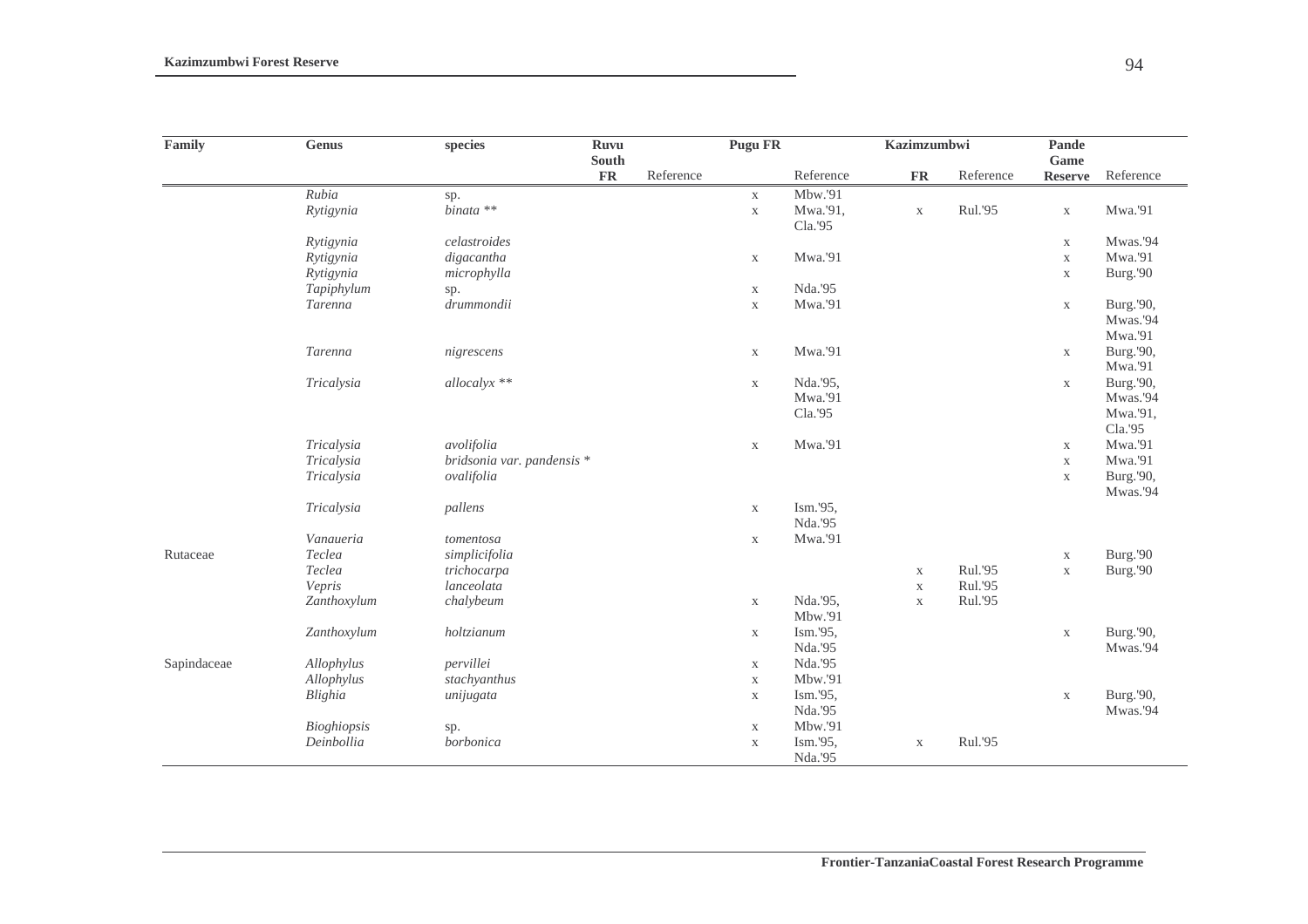| Family      | <b>Genus</b> | species                    | Ruvu                |           | <b>Pugu FR</b> |           | Kazimzumbwi |                         | Pande<br>Game  |           |
|-------------|--------------|----------------------------|---------------------|-----------|----------------|-----------|-------------|-------------------------|----------------|-----------|
|             |              |                            | South<br>${\bf FR}$ | Reference |                | Reference |             | ${\bf FR}$<br>Reference |                | Reference |
|             | Rubia        | sp.                        |                     |           | $\mathbf X$    | Mbw.'91   |             |                         | <b>Reserve</b> |           |
|             | Rytigynia    | $binata$ **                |                     |           | $\mathbf{X}$   | Mwa.'91,  | $\mathbf X$ | Rul.'95                 | $\mathbf X$    | Mwa.'91   |
|             |              |                            |                     |           |                | Cla.'95   |             |                         |                |           |
|             | Rytigynia    | celastroides               |                     |           |                |           |             |                         | $\mathbf X$    | Mwas.'94  |
|             | Rytigynia    | digacantha                 |                     |           | X              | Mwa.'91   |             |                         | $\mathbf X$    | Mwa.'91   |
|             | Rytigynia    | microphylla                |                     |           |                |           |             |                         | $\mathbf X$    | Burg.'90  |
|             | Tapiphylum   | sp.                        |                     |           | $\mathbf X$    | Nda.'95   |             |                         |                |           |
|             | Tarenna      | drummondii                 |                     |           | $\mathbf X$    | Mwa.'91   |             |                         | $\mathbf X$    | Burg.'90, |
|             |              |                            |                     |           |                |           |             |                         |                | Mwas.'94  |
|             |              |                            |                     |           |                |           |             |                         |                | Mwa.'91   |
|             | Tarenna      | nigrescens                 |                     |           | $\mathbf X$    | Mwa.'91   |             |                         | $\mathbf X$    | Burg.'90, |
|             |              |                            |                     |           |                |           |             |                         |                | Mwa.'91   |
|             | Tricalysia   | allocalyx **               |                     |           | $\mathbf X$    | Nda.'95,  |             |                         | $\mathbf X$    | Burg.'90, |
|             |              |                            |                     |           |                | Mwa.'91   |             |                         |                | Mwas.'94  |
|             |              |                            |                     |           |                | Cla.'95   |             |                         |                | Mwa.'91,  |
|             |              |                            |                     |           |                |           |             |                         |                | Cla.'95   |
|             | Tricalysia   | avolifolia                 |                     |           | $\mathbf X$    | Mwa.'91   |             |                         | $\mathbf X$    | Mwa.'91   |
|             | Tricalysia   | bridsonia var. pandensis * |                     |           |                |           |             |                         | $\mathbf X$    | Mwa.'91   |
|             | Tricalysia   | ovalifolia                 |                     |           |                |           |             |                         | $\mathbf X$    | Burg.'90, |
|             |              |                            |                     |           |                |           |             |                         |                | Mwas.'94  |
|             | Tricalysia   | pallens                    |                     |           | $\mathbf X$    | Ism.'95,  |             |                         |                |           |
|             |              |                            |                     |           |                | Nda.'95   |             |                         |                |           |
|             | Vanaueria    | tomentosa                  |                     |           | $\mathbf X$    | Mwa.'91   |             |                         |                |           |
| Rutaceae    | Teclea       | simplicifolia              |                     |           |                |           |             |                         | $\mathbf X$    | Burg.'90  |
|             | Teclea       | trichocarpa                |                     |           |                |           | $\mathbf X$ | Rul.'95                 | $\mathbf X$    | Burg.'90  |
|             | Vepris       | lanceolata                 |                     |           |                |           | $\mathbf X$ | Rul.'95                 |                |           |
|             | Zanthoxylum  | chalybeum                  |                     |           | $\mathbf X$    | Nda.'95,  | $\mathbf X$ | Rul.'95                 |                |           |
|             |              |                            |                     |           |                | Mbw.'91   |             |                         |                |           |
|             | Zanthoxylum  | holtzianum                 |                     |           | $\mathbf X$    | Ism.'95,  |             |                         | $\mathbf X$    | Burg.'90, |
|             |              |                            |                     |           |                | Nda.'95   |             |                         |                | Mwas.'94  |
| Sapindaceae | Allophylus   | pervillei                  |                     |           | $\mathbf X$    | Nda.'95   |             |                         |                |           |
|             | Allophylus   | stachyanthus               |                     |           | $\mathbf X$    | Mbw.'91   |             |                         |                |           |
|             | Blighia      | unijugata                  |                     |           | $\mathbf X$    | Ism.'95,  |             |                         | $\mathbf X$    | Burg.'90, |
|             |              |                            |                     |           |                | Nda.'95   |             |                         |                | Mwas.'94  |
|             | Bioghiopsis  | sp.                        |                     |           | $\mathbf X$    | Mbw.'91   |             |                         |                |           |
|             | Deinbollia   | borbonica                  |                     |           | $\mathbf X$    | Ism.'95,  | $\mathbf X$ | Rul.'95                 |                |           |
|             |              |                            |                     |           |                | Nda.'95   |             |                         |                |           |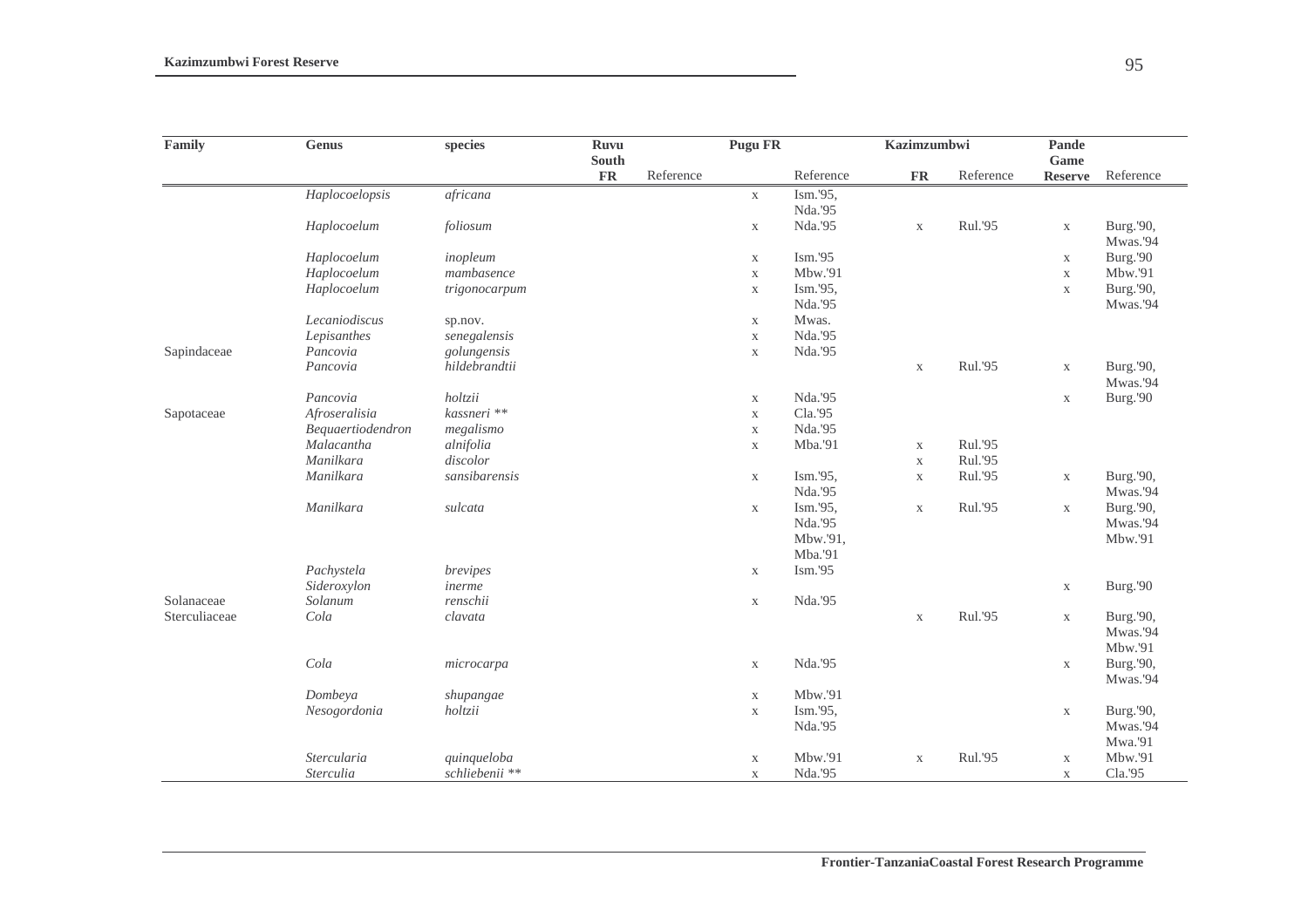| Family        | <b>Genus</b>      | species        | <b>Ruvu</b><br>South |           | <b>Pugu FR</b> |           | Kazimzumbwi |           | Pande<br>Game  |                       |
|---------------|-------------------|----------------|----------------------|-----------|----------------|-----------|-------------|-----------|----------------|-----------------------|
|               |                   |                | <b>FR</b>            | Reference |                | Reference | <b>FR</b>   | Reference | <b>Reserve</b> | Reference             |
|               | Haplocoelopsis    | africana       |                      |           | $\mathbf X$    | Ism.'95,  |             |           |                |                       |
|               |                   |                |                      |           |                | Nda.'95   |             |           |                |                       |
|               | Haplocoelum       | foliosum       |                      |           | $\mathbf X$    | Nda.'95   | $\mathbf X$ | Rul.'95   | $\mathbf X$    | Burg.'90,<br>Mwas.'94 |
|               | Haplocoelum       | inopleum       |                      |           | $\mathbf X$    | Ism.'95   |             |           | $\mathbf X$    | Burg.'90              |
|               | Haplocoelum       | mambasence     |                      |           | $\mathbf X$    | Mbw.'91   |             |           | $\mathbf X$    | Mbw.'91               |
|               | Haplocoelum       | trigonocarpum  |                      |           | $\mathbf X$    | Ism.'95,  |             |           | $\mathbf X$    | Burg.'90,             |
|               |                   |                |                      |           |                | Nda.'95   |             |           |                | Mwas.'94              |
|               | Lecaniodiscus     | sp.nov.        |                      |           | $\mathbf X$    | Mwas.     |             |           |                |                       |
|               | Lepisanthes       | senegalensis   |                      |           | $\mathbf X$    | Nda.'95   |             |           |                |                       |
| Sapindaceae   | Pancovia          | golungensis    |                      |           | $\mathbf X$    | Nda.'95   |             |           |                |                       |
|               | Pancovia          | hildebrandtii  |                      |           |                |           | $\mathbf X$ | Rul.'95   | $\mathbf X$    | Burg.'90,<br>Mwas.'94 |
|               | Pancovia          | holtzii        |                      |           | $\mathbf X$    | Nda.'95   |             |           | $\mathbf X$    | Burg.'90              |
| Sapotaceae    | Afroseralisia     | kassneri **    |                      |           | $\mathbf X$    | Cla.'95   |             |           |                |                       |
|               | Bequaertiodendron | megalismo      |                      |           | $\mathbf X$    | Nda.'95   |             |           |                |                       |
|               | Malacantha        | alnifolia      |                      |           | $\mathbf X$    | Mba.'91   | $\mathbf X$ | Rul.'95   |                |                       |
|               | Manilkara         | discolor       |                      |           |                |           | $\mathbf X$ | Rul.'95   |                |                       |
|               | Manilkara         | sansibarensis  |                      |           | $\mathbf X$    | Ism.'95,  | $\mathbf X$ | Rul.'95   | $\mathbf X$    | Burg.'90,             |
|               |                   |                |                      |           |                | Nda.'95   |             |           |                | Mwas.'94              |
|               | Manilkara         | sulcata        |                      |           | $\mathbf X$    | Ism.'95,  | $\mathbf X$ | Rul.'95   | $\mathbf X$    | Burg.'90,             |
|               |                   |                |                      |           |                | Nda.'95   |             |           |                | Mwas.'94              |
|               |                   |                |                      |           |                | Mbw.'91,  |             |           |                | Mbw.'91               |
|               |                   |                |                      |           |                | Mba.'91   |             |           |                |                       |
|               | Pachystela        | brevipes       |                      |           | $\mathbf X$    | Ism.'95   |             |           |                |                       |
|               | Sideroxylon       | inerme         |                      |           |                |           |             |           | $\mathbf X$    | Burg.'90              |
| Solanaceae    | Solanum           | renschii       |                      |           | $\mathbf X$    | Nda.'95   |             |           |                |                       |
| Sterculiaceae | Cola              | clavata        |                      |           |                |           | $\mathbf X$ | Rul.'95   | $\mathbf X$    | Burg.'90,             |
|               |                   |                |                      |           |                |           |             |           |                | Mwas.'94              |
|               |                   |                |                      |           |                |           |             |           |                | Mbw.'91               |
|               | Cola              | microcarpa     |                      |           | $\mathbf X$    | Nda.'95   |             |           | $\mathbf X$    | Burg.'90,             |
|               |                   |                |                      |           |                |           |             |           |                | Mwas.'94              |
|               | Dombeya           | shupangae      |                      |           | $\mathbf X$    | Mbw.'91   |             |           |                |                       |
|               | Nesogordonia      | holtzii        |                      |           | $\mathbf X$    | Ism.'95,  |             |           | $\mathbf X$    | Burg.'90,             |
|               |                   |                |                      |           |                | Nda.'95   |             |           |                | Mwas.'94              |
|               |                   |                |                      |           |                |           |             |           |                | Mwa.'91               |
|               | Stercularia       | quinqueloba    |                      |           | $\mathbf X$    | Mbw.'91   | $\mathbf X$ | Rul.'95   | $\mathbf X$    | Mbw.'91               |
|               | Sterculia         | schliebenii ** |                      |           | $\mathbf X$    | Nda.'95   |             |           | $\mathbf X$    | Cla.'95               |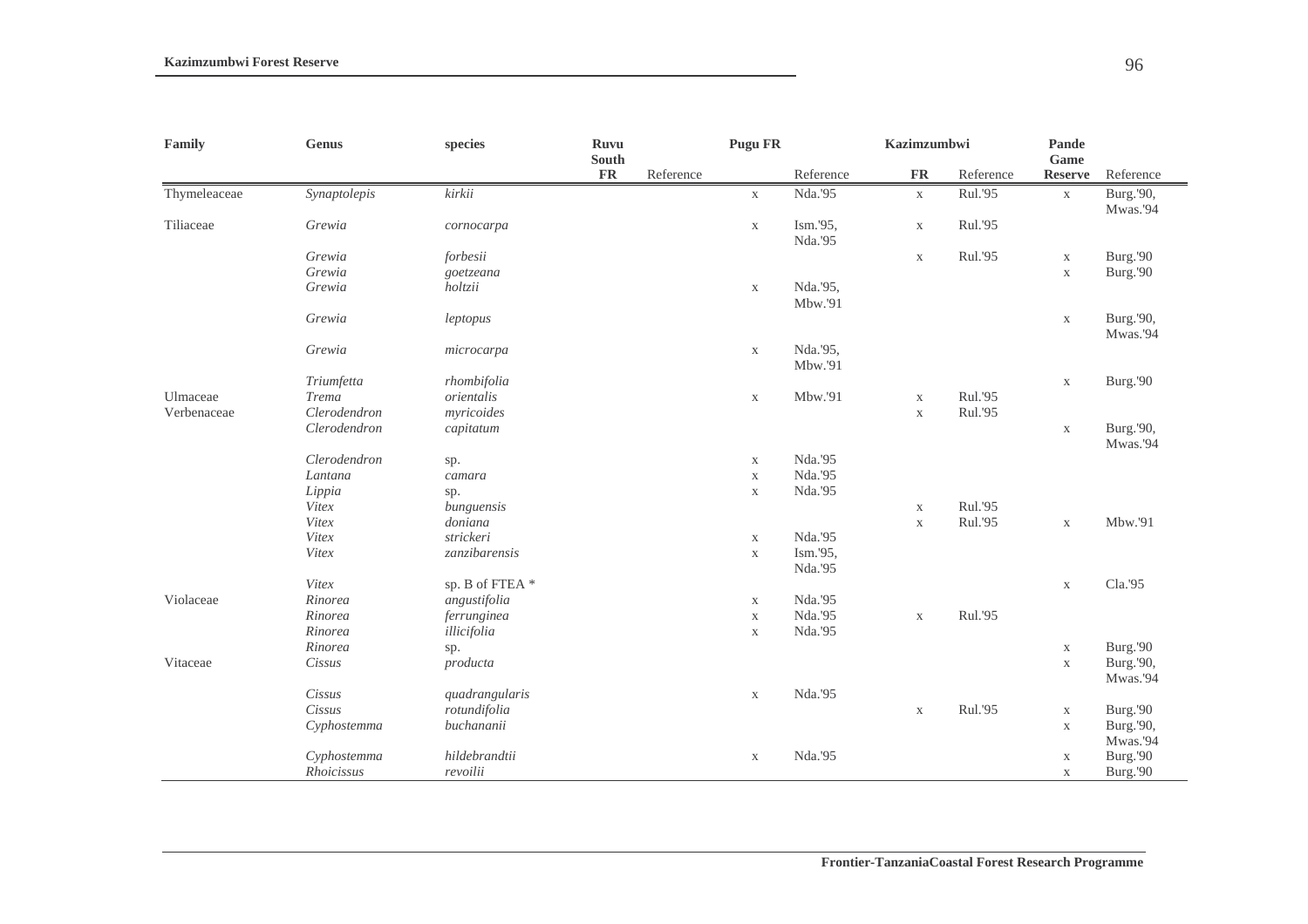| Family       | <b>Genus</b> | species        |               | Ruvu<br>South |             | <b>Pugu FR</b>      | <b>Kazimzumbwi</b> |           | Pande<br>Game  |                       |
|--------------|--------------|----------------|---------------|---------------|-------------|---------------------|--------------------|-----------|----------------|-----------------------|
|              |              |                | $\mathbf{FR}$ | Reference     |             | Reference           | ${\bf FR}$         | Reference | <b>Reserve</b> | Reference             |
| Thymeleaceae | Synaptolepis | kirkii         |               |               | $\mathbf X$ | Nda.'95             | $\mathbf X$        | Rul.'95   | $\mathbf X$    | Burg.'90,<br>Mwas.'94 |
| Tiliaceae    | Grewia       | cornocarpa     |               |               | $\mathbf X$ | Ism.'95,<br>Nda.'95 | $\mathbf X$        | Rul.'95   |                |                       |
|              | Grewia       | forbesii       |               |               |             |                     | $\mathbf X$        | Rul.'95   | $\mathbf X$    | Burg.'90              |
|              | Grewia       | goetzeana      |               |               |             |                     |                    |           | $\mathbf X$    | Burg.'90              |
|              | Grewia       | holtzii        |               |               | $\mathbf X$ | Nda.'95,<br>Mbw.'91 |                    |           |                |                       |
|              | Grewia       | leptopus       |               |               |             |                     |                    |           | $\mathbf X$    | Burg.'90,<br>Mwas.'94 |
|              | Grewia       | microcarpa     |               |               | $\mathbf X$ | Nda.'95,<br>Mbw.'91 |                    |           |                |                       |
|              | Triumfetta   | rhombifolia    |               |               |             |                     |                    |           | $\mathbf X$    | Burg.'90              |
| Ulmaceae     | <b>Trema</b> | orientalis     |               |               | $\mathbf X$ | Mbw.'91             | $\mathbf X$        | Rul.'95   |                |                       |
| Verbenaceae  | Clerodendron | myricoides     |               |               |             |                     | $\mathbf X$        | Rul.'95   |                |                       |
|              | Clerodendron | capitatum      |               |               |             |                     |                    |           | $\mathbf X$    | Burg.'90,<br>Mwas.'94 |
|              | Clerodendron | sp.            |               |               | $\mathbf X$ | Nda.'95             |                    |           |                |                       |
|              | Lantana      | camara         |               |               | $\mathbf X$ | Nda.'95             |                    |           |                |                       |
|              | Lippia       | sp.            |               |               | $\mathbf X$ | Nda.'95             |                    |           |                |                       |
|              | Vitex        | bunguensis     |               |               |             |                     | $\mathbf X$        | Rul.'95   |                |                       |
|              | Vitex        | doniana        |               |               |             |                     | $\mathbf X$        | Rul.'95   | $\mathbf X$    | Mbw.'91               |
|              | Vitex        | strickeri      |               |               | $\mathbf X$ | Nda.'95             |                    |           |                |                       |
|              | Vitex        | zanzibarensis  |               |               | $\mathbf X$ | Ism.'95,            |                    |           |                |                       |
|              |              |                |               |               |             | Nda.'95             |                    |           |                |                       |
|              | Vitex        | sp. B of FTEA* |               |               |             |                     |                    |           | $\mathbf X$    | Cla.'95               |
| Violaceae    | Rinorea      | angustifolia   |               |               | $\mathbf X$ | Nda.'95             |                    |           |                |                       |
|              | Rinorea      | ferrunginea    |               |               | $\mathbf X$ | Nda.'95             | $\mathbf X$        | Rul.'95   |                |                       |
|              | Rinorea      | illicifolia    |               |               | $\mathbf X$ | Nda.'95             |                    |           |                |                       |
|              | Rinorea      | sp.            |               |               |             |                     |                    |           | $\mathbf X$    | Burg.'90              |
| Vitaceae     | Cissus       | producta       |               |               |             |                     |                    |           | $\mathbf X$    | Burg.'90,             |
|              |              |                |               |               |             |                     |                    |           |                | Mwas.'94              |
|              | Cissus       | quadrangularis |               |               | $\mathbf X$ | Nda.'95             |                    |           |                |                       |
|              | Cissus       | rotundifolia   |               |               |             |                     | $\mathbf X$        | Rul.'95   | $\mathbf X$    | Burg.'90              |
|              | Cyphostemma  | buchananii     |               |               |             |                     |                    |           | $\mathbf X$    | Burg.'90,             |
|              |              |                |               |               |             |                     |                    |           |                | Mwas.'94              |
|              | Cyphostemma  | hildebrandtii  |               |               | $\mathbf X$ | Nda.'95             |                    |           | $\mathbf X$    | Burg.'90              |
|              | Rhoicissus   | revoilii       |               |               |             |                     |                    |           | $\mathbf X$    | Burg.'90              |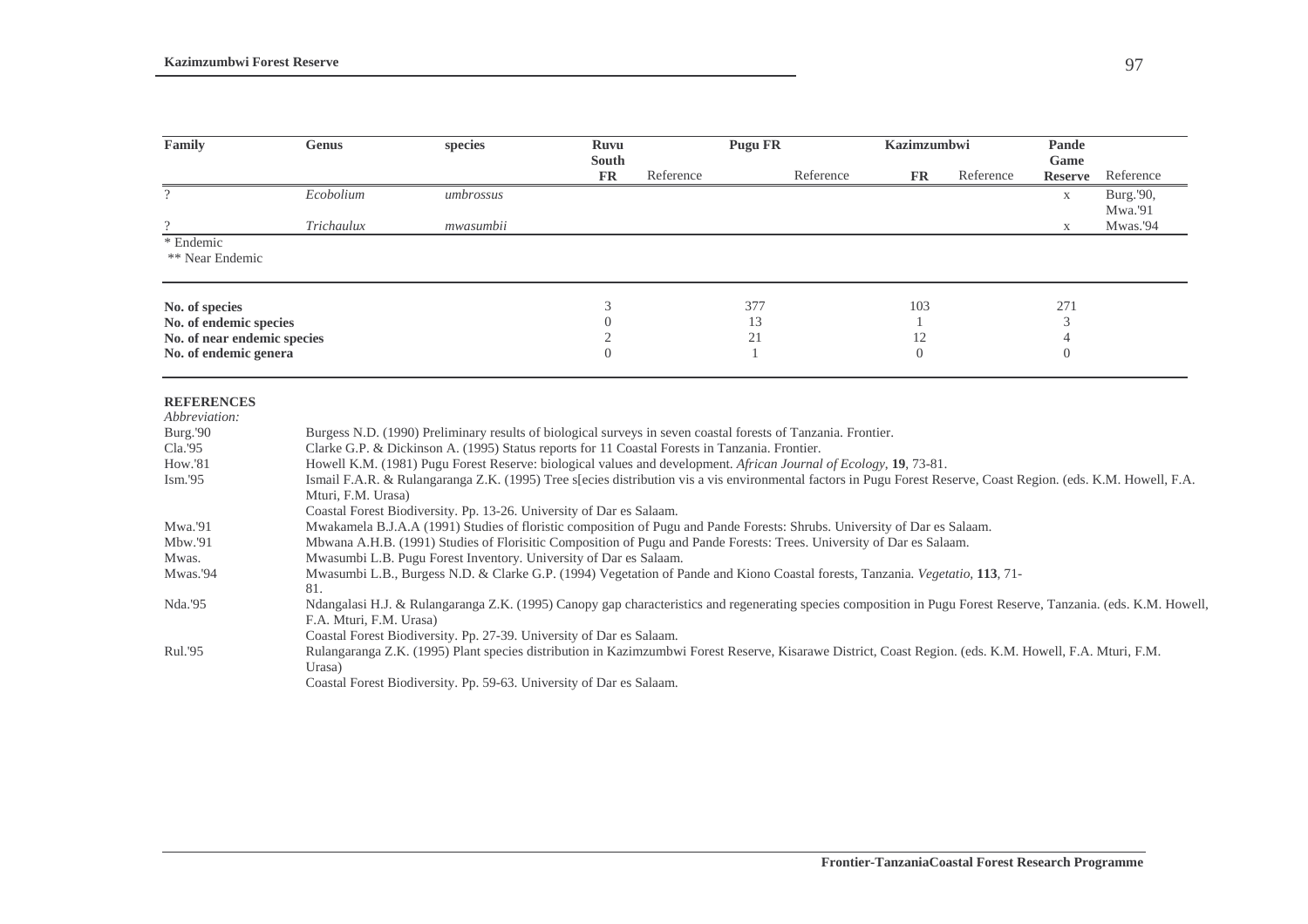| Family                                                                                     | <b>Genus</b>            | species                                                                                                                                                                                                                                                                                                                                                                                                                                                                                                                                                                                                                                                                                                       | <b>Ruvu</b>               | <b>Pugu FR</b> |              |           | Kazimzumbwi |           | Pande                  |                      |
|--------------------------------------------------------------------------------------------|-------------------------|---------------------------------------------------------------------------------------------------------------------------------------------------------------------------------------------------------------------------------------------------------------------------------------------------------------------------------------------------------------------------------------------------------------------------------------------------------------------------------------------------------------------------------------------------------------------------------------------------------------------------------------------------------------------------------------------------------------|---------------------------|----------------|--------------|-----------|-------------|-----------|------------------------|----------------------|
|                                                                                            |                         |                                                                                                                                                                                                                                                                                                                                                                                                                                                                                                                                                                                                                                                                                                               | <b>South</b><br><b>FR</b> | Reference      |              | Reference | FR          | Reference | Game<br><b>Reserve</b> | Reference            |
| $\overline{?}$                                                                             | Ecobolium               | umbrossus                                                                                                                                                                                                                                                                                                                                                                                                                                                                                                                                                                                                                                                                                                     |                           |                |              |           |             |           | X                      | Burg.'90,<br>Mwa.'91 |
| $\Omega$                                                                                   | Trichaulux              | mwasumbii                                                                                                                                                                                                                                                                                                                                                                                                                                                                                                                                                                                                                                                                                                     |                           |                |              |           |             |           | X                      | Mwas.'94             |
| * Endemic<br>** Near Endemic                                                               |                         |                                                                                                                                                                                                                                                                                                                                                                                                                                                                                                                                                                                                                                                                                                               |                           |                |              |           |             |           |                        |                      |
| No. of species                                                                             |                         |                                                                                                                                                                                                                                                                                                                                                                                                                                                                                                                                                                                                                                                                                                               | 3                         |                | 377          |           | 103         |           | 271                    |                      |
| No. of endemic species                                                                     |                         |                                                                                                                                                                                                                                                                                                                                                                                                                                                                                                                                                                                                                                                                                                               | $\Omega$                  |                | 13           |           |             |           | 3                      |                      |
| No. of near endemic species                                                                |                         |                                                                                                                                                                                                                                                                                                                                                                                                                                                                                                                                                                                                                                                                                                               | $\mathfrak{2}$            |                | 21           |           | 12          |           | 4                      |                      |
| No. of endemic general                                                                     |                         |                                                                                                                                                                                                                                                                                                                                                                                                                                                                                                                                                                                                                                                                                                               | $\Omega$                  |                | $\mathbf{1}$ |           | $\Omega$    |           | $\overline{0}$         |                      |
| <b>REFERENCES</b><br>Abbreviation:<br>Burg.'90<br>Cla.'95<br>How.'81<br>Ism.'95<br>Mwa.'91 | Mturi, F.M. Urasa)      | Burgess N.D. (1990) Preliminary results of biological surveys in seven coastal forests of Tanzania. Frontier.<br>Clarke G.P. & Dickinson A. (1995) Status reports for 11 Coastal Forests in Tanzania. Frontier.<br>Howell K.M. (1981) Pugu Forest Reserve: biological values and development. African Journal of Ecology, 19, 73-81.<br>Ismail F.A.R. & Rulangaranga Z.K. (1995) Tree s[ecies distribution vis a vis environmental factors in Pugu Forest Reserve, Coast Region. (eds. K.M. Howell, F.A.<br>Coastal Forest Biodiversity. Pp. 13-26. University of Dar es Salaam.<br>Mwakamela B.J.A.A (1991) Studies of floristic composition of Pugu and Pande Forests: Shrubs. University of Dar es Salaam. |                           |                |              |           |             |           |                        |                      |
| Mbw.'91                                                                                    |                         | Mbwana A.H.B. (1991) Studies of Florisitic Composition of Pugu and Pande Forests: Trees. University of Dar es Salaam.                                                                                                                                                                                                                                                                                                                                                                                                                                                                                                                                                                                         |                           |                |              |           |             |           |                        |                      |
| Mwas.                                                                                      |                         | Mwasumbi L.B. Pugu Forest Inventory. University of Dar es Salaam.                                                                                                                                                                                                                                                                                                                                                                                                                                                                                                                                                                                                                                             |                           |                |              |           |             |           |                        |                      |
| Mwas.'94                                                                                   | 81.                     | Mwasumbi L.B., Burgess N.D. & Clarke G.P. (1994) Vegetation of Pande and Kiono Coastal forests, Tanzania. Vegetatio, 113, 71-                                                                                                                                                                                                                                                                                                                                                                                                                                                                                                                                                                                 |                           |                |              |           |             |           |                        |                      |
| Nda.'95                                                                                    | F.A. Mturi, F.M. Urasa) | Ndangalasi H.J. & Rulangaranga Z.K. (1995) Canopy gap characteristics and regenerating species composition in Pugu Forest Reserve, Tanzania. (eds. K.M. Howell,<br>Coastal Forest Biodiversity. Pp. 27-39. University of Dar es Salaam.                                                                                                                                                                                                                                                                                                                                                                                                                                                                       |                           |                |              |           |             |           |                        |                      |
| Rul.'95                                                                                    | Urasa)                  | Rulangaranga Z.K. (1995) Plant species distribution in Kazimzumbwi Forest Reserve, Kisarawe District, Coast Region. (eds. K.M. Howell, F.A. Mturi, F.M.<br>Coastal Forest Biodiversity. Pp. 59-63. University of Dar es Salaam.                                                                                                                                                                                                                                                                                                                                                                                                                                                                               |                           |                |              |           |             |           |                        |                      |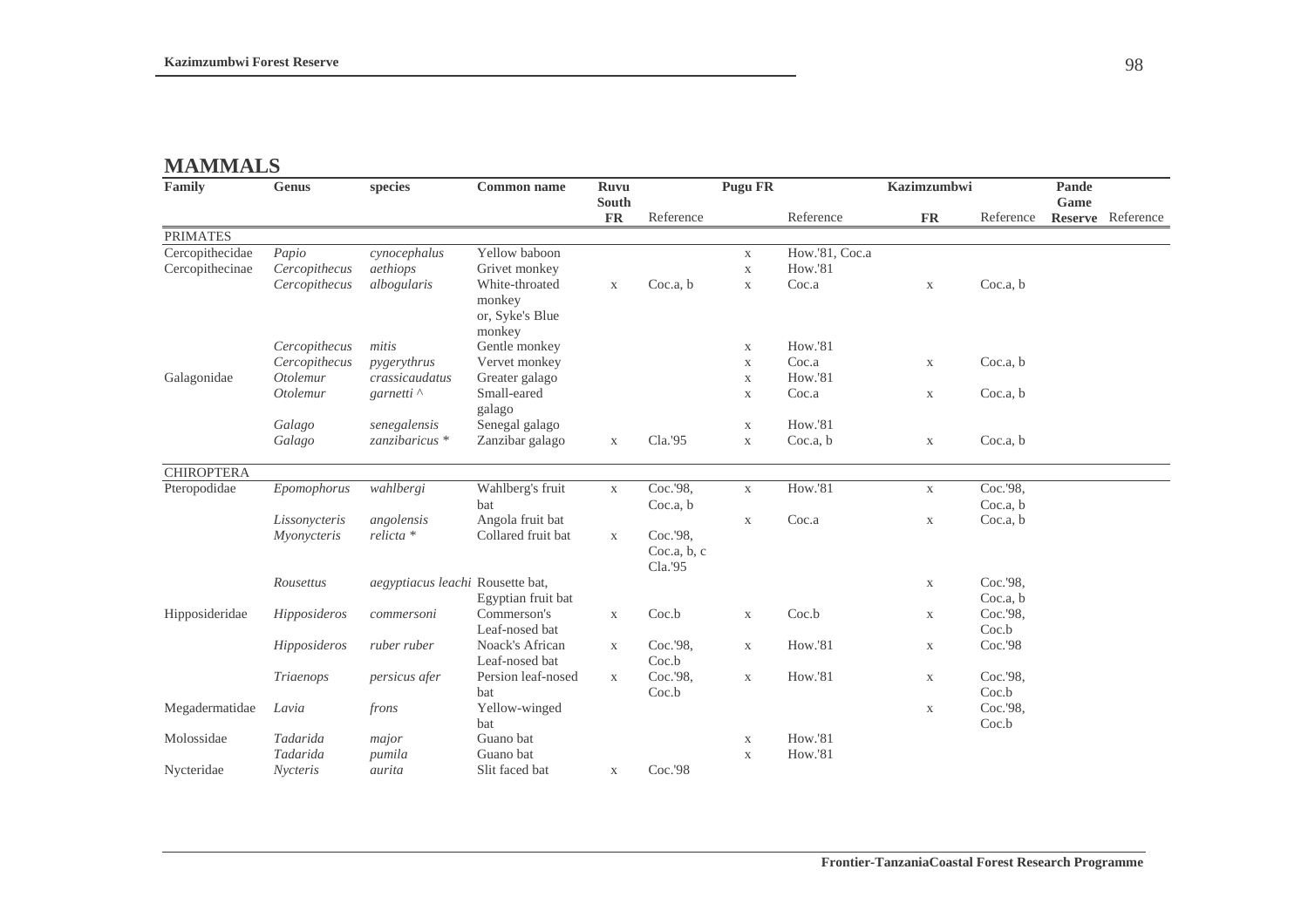# **MAMMALS**

| Family            | Genus           | species                                 | <b>Common name</b>                                    | <b>Ruvu</b><br>South |                                    | Pugu FR     |                | <b>Kazimzumbwi</b>        |           | Pande<br>Game |                   |
|-------------------|-----------------|-----------------------------------------|-------------------------------------------------------|----------------------|------------------------------------|-------------|----------------|---------------------------|-----------|---------------|-------------------|
|                   |                 |                                         |                                                       | <b>FR</b>            | Reference                          |             | Reference      | <b>FR</b>                 | Reference |               | Reserve Reference |
| <b>PRIMATES</b>   |                 |                                         |                                                       |                      |                                    |             |                |                           |           |               |                   |
| Cercopithecidae   | Papio           | cynocephalus                            | Yellow baboon                                         |                      |                                    | $\mathbf X$ | How.'81, Coc.a |                           |           |               |                   |
| Cercopithecinae   | Cercopithecus   | aethiops                                | Grivet monkey                                         |                      |                                    | $\mathbf X$ | <b>How.'81</b> |                           |           |               |                   |
|                   | Cercopithecus   | albogularis                             | White-throated<br>monkey<br>or, Syke's Blue<br>monkey | $\mathbf X$          | Coc.a, b                           | $\mathbf X$ | Coc.a          | $\boldsymbol{\mathrm{X}}$ | Coc.a, b  |               |                   |
|                   | Cercopithecus   | mitis                                   | Gentle monkey                                         |                      |                                    | X           | <b>How.'81</b> |                           |           |               |                   |
|                   | Cercopithecus   | pygerythrus                             | Vervet monkey                                         |                      |                                    | $\mathbf X$ | Coc.a          | $\mathbf X$               | Coc.a, b  |               |                   |
| Galagonidae       | Otolemur        | crassicaudatus                          | Greater galago                                        |                      |                                    | $\mathbf X$ | <b>How.'81</b> |                           |           |               |                   |
|                   | Otolemur        | garnetti <sup><math>\wedge</math></sup> | Small-eared<br>galago                                 |                      |                                    | $\mathbf X$ | Coc.a          | $\mathbf{X}$              | Coc.a, b  |               |                   |
|                   | Galago          | senegalensis                            | Senegal galago                                        |                      |                                    | $\mathbf X$ | <b>How.'81</b> |                           |           |               |                   |
|                   | Galago          | zanzibaricus *                          | Zanzibar galago                                       | $\mathbf X$          | Cla.'95                            | $\mathbf X$ | Coc.a, b       | $\boldsymbol{\mathrm{X}}$ | Coc.a, b  |               |                   |
| <b>CHIROPTERA</b> |                 |                                         |                                                       |                      |                                    |             |                |                           |           |               |                   |
| Pteropodidae      | Epomophorus     | wahlbergi                               | Wahlberg's fruit                                      | $\mathbf X$          | Coc.'98,                           | $\mathbf X$ | How.'81        | $\mathbf X$               | Coc.'98,  |               |                   |
|                   |                 |                                         | bat                                                   |                      | Coc.a, b                           |             |                |                           | Coc.a, b  |               |                   |
|                   | Lissonycteris   | angolensis                              | Angola fruit bat                                      |                      |                                    | $\mathbf X$ | Coc.a          | $\mathbf X$               | Coc.a, b  |               |                   |
|                   | Myonycteris     | relicta *                               | Collared fruit bat                                    | $\mathbf X$          | Coc.'98,<br>Coc.a, b, c<br>Cla.'95 |             |                |                           |           |               |                   |
|                   | Rousettus       | aegyptiacus leachi Rousette bat,        |                                                       |                      |                                    |             |                | $\mathbf X$               | Coc.'98,  |               |                   |
|                   |                 |                                         | Egyptian fruit bat                                    |                      |                                    |             |                |                           | Coc.a, b  |               |                   |
| Hipposideridae    | Hipposideros    | commersoni                              | Commerson's                                           | $\mathbf X$          | Coc.b                              | $\mathbf X$ | Coc.b          | $\mathbf X$               | Coc.'98,  |               |                   |
|                   |                 |                                         | Leaf-nosed bat                                        |                      |                                    |             |                |                           | Coc.b     |               |                   |
|                   | Hipposideros    | ruber ruber                             | Noack's African<br>Leaf-nosed bat                     | $\mathbf X$          | Coc.'98,<br>Coc.b                  | $\mathbf X$ | <b>How.'81</b> | $\mathbf X$               | Coc.'98   |               |                   |
|                   | Triaenops       | persicus afer                           | Persion leaf-nosed                                    | $\mathbf X$          | Coc.'98,                           | $\mathbf X$ | <b>How.'81</b> | $\mathbf X$               | Coc.'98,  |               |                   |
|                   |                 |                                         | bat                                                   |                      | Coc.b                              |             |                |                           | Coc.b     |               |                   |
| Megadermatidae    | Lavia           | frons                                   | Yellow-winged                                         |                      |                                    |             |                | $\mathbf X$               | Coc.'98,  |               |                   |
|                   |                 |                                         | bat                                                   |                      |                                    |             |                |                           | Coc.b     |               |                   |
| Molossidae        | Tadarida        | major                                   | Guano bat                                             |                      |                                    | $\mathbf X$ | <b>How.'81</b> |                           |           |               |                   |
|                   | Tadarida        | pumila                                  | Guano bat                                             |                      |                                    | $\mathbf X$ | <b>How.'81</b> |                           |           |               |                   |
| Nycteridae        | <i>Nycteris</i> | aurita                                  | Slit faced bat                                        | $\mathbf X$          | Coc.'98                            |             |                |                           |           |               |                   |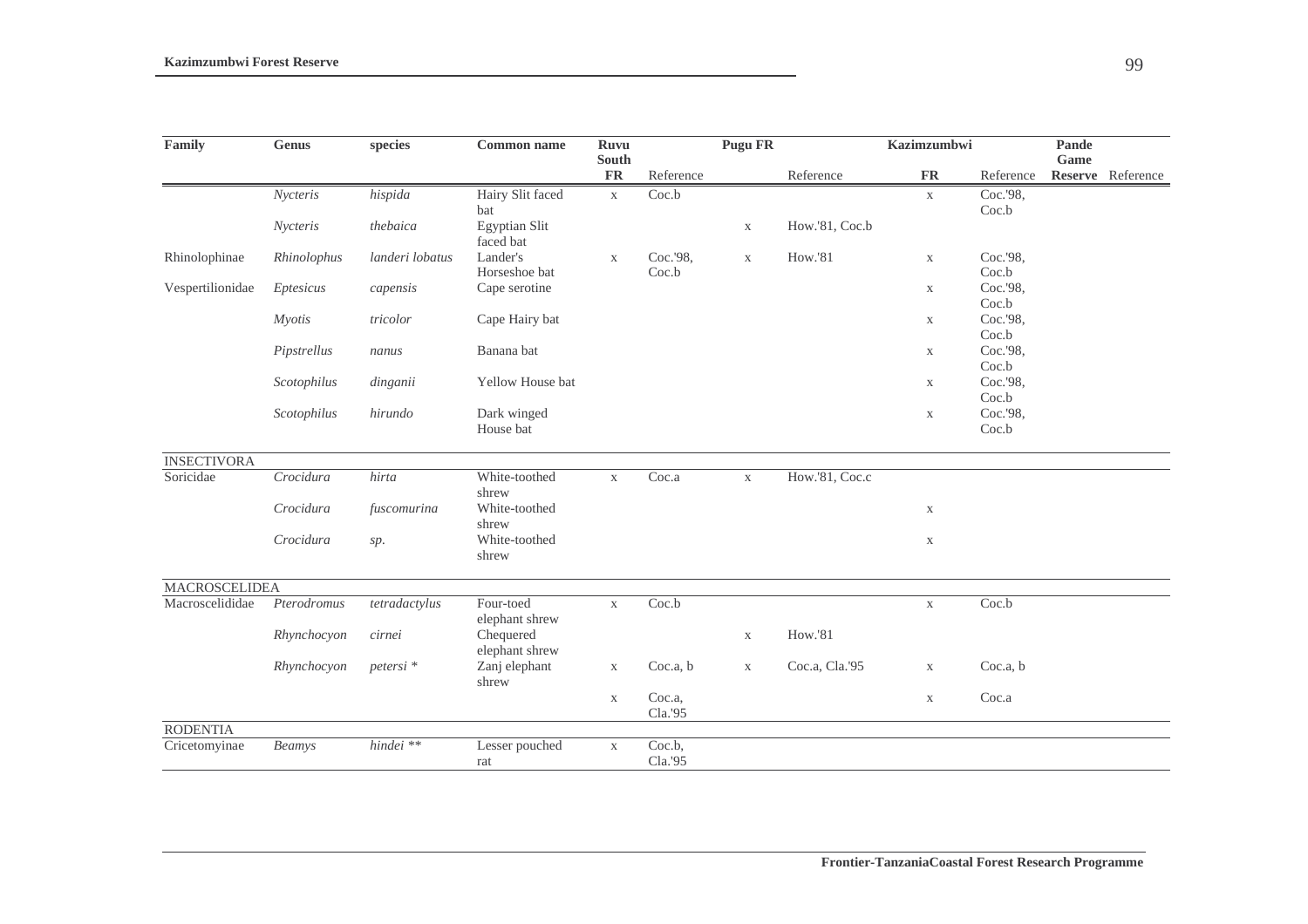| Family               | <b>Genus</b>  | species              | <b>Common name</b>          | <b>Ruvu</b>         |                   | <b>Pugu FR</b> |                | Kazimzumbwi  |                   | Pande |                   |
|----------------------|---------------|----------------------|-----------------------------|---------------------|-------------------|----------------|----------------|--------------|-------------------|-------|-------------------|
|                      |               |                      |                             | South               |                   |                |                |              |                   | Game  |                   |
|                      |               |                      |                             | ${\rm \mathbf{FR}}$ | Reference         |                | Reference      | ${\rm FR}$   | Reference         |       | Reserve Reference |
|                      | Nycteris      | hispida              | Hairy Slit faced            | $\mathbf X$         | Coc.b             |                |                | $\mathbf X$  | Coc.'98,          |       |                   |
|                      |               |                      | bat                         |                     |                   |                |                |              | Coc.b             |       |                   |
|                      | Nycteris      | thebaica             | Egyptian Slit<br>faced bat  |                     |                   | $\mathbf X$    | How.'81, Coc.b |              |                   |       |                   |
| Rhinolophinae        | Rhinolophus   | landeri lobatus      | Lander's<br>Horseshoe bat   | $\mathbf X$         | Coc.'98,<br>Coc.b | $\mathbf X$    | How.'81        | $\mathbf X$  | Coc.'98,<br>Coc.b |       |                   |
| Vespertilionidae     | Eptesicus     | capensis             | Cape serotine               |                     |                   |                |                | $\mathbf X$  | Coc.'98,<br>Coc.b |       |                   |
|                      | <b>Myotis</b> | tricolor             | Cape Hairy bat              |                     |                   |                |                | $\mathbf X$  | Coc.'98,<br>Coc.b |       |                   |
|                      | Pipstrellus   | nanus                | Banana bat                  |                     |                   |                |                | $\mathbf{X}$ | Coc.'98,          |       |                   |
|                      | Scotophilus   | dinganii             | Yellow House bat            |                     |                   |                |                | X            | Coc.b<br>Coc.'98, |       |                   |
|                      |               |                      |                             |                     |                   |                |                |              | Coc.b             |       |                   |
|                      | Scotophilus   | hirundo              | Dark winged<br>House bat    |                     |                   |                |                | $\mathbf X$  | Coc.'98,<br>Coc.b |       |                   |
| <b>INSECTIVORA</b>   |               |                      |                             |                     |                   |                |                |              |                   |       |                   |
| Soricidae            | Crocidura     | hirta                | White-toothed               | $\mathbf X$         | Coc.a             | $\mathbf X$    | How.'81, Coc.c |              |                   |       |                   |
|                      |               |                      | shrew                       |                     |                   |                |                |              |                   |       |                   |
|                      | Crocidura     | fuscomurina          | White-toothed<br>shrew      |                     |                   |                |                | $\mathbf X$  |                   |       |                   |
|                      | Crocidura     | sp.                  | White-toothed<br>shrew      |                     |                   |                |                | $\mathbf X$  |                   |       |                   |
| <b>MACROSCELIDEA</b> |               |                      |                             |                     |                   |                |                |              |                   |       |                   |
| Macroscelididae      | Pterodromus   | tetradactylus        | Four-toed<br>elephant shrew | $\mathbf X$         | Coc.b             |                |                | $\mathbf X$  | Coc.b             |       |                   |
|                      | Rhynchocyon   | cirnei               | Chequered<br>elephant shrew |                     |                   | $\mathbf X$    | How.'81        |              |                   |       |                   |
|                      | Rhynchocyon   | petersi <sup>*</sup> | Zanj elephant<br>shrew      | $\mathbf{X}$        | Coc.a, b          | $\mathbf X$    | Coc.a, Cla.'95 | $\mathbf X$  | Coc.a, b          |       |                   |
|                      |               |                      |                             | $\mathbf X$         | Coc.a,<br>Cla.'95 |                |                | $\mathbf X$  | Coc.a             |       |                   |
| <b>RODENTIA</b>      |               |                      |                             |                     |                   |                |                |              |                   |       |                   |
| Cricetomyinae        | Beamys        | $hindei$ **          | Lesser pouched              | $\mathbf X$         | Coc.b,            |                |                |              |                   |       |                   |
|                      |               |                      | rat                         |                     | Cla.'95           |                |                |              |                   |       |                   |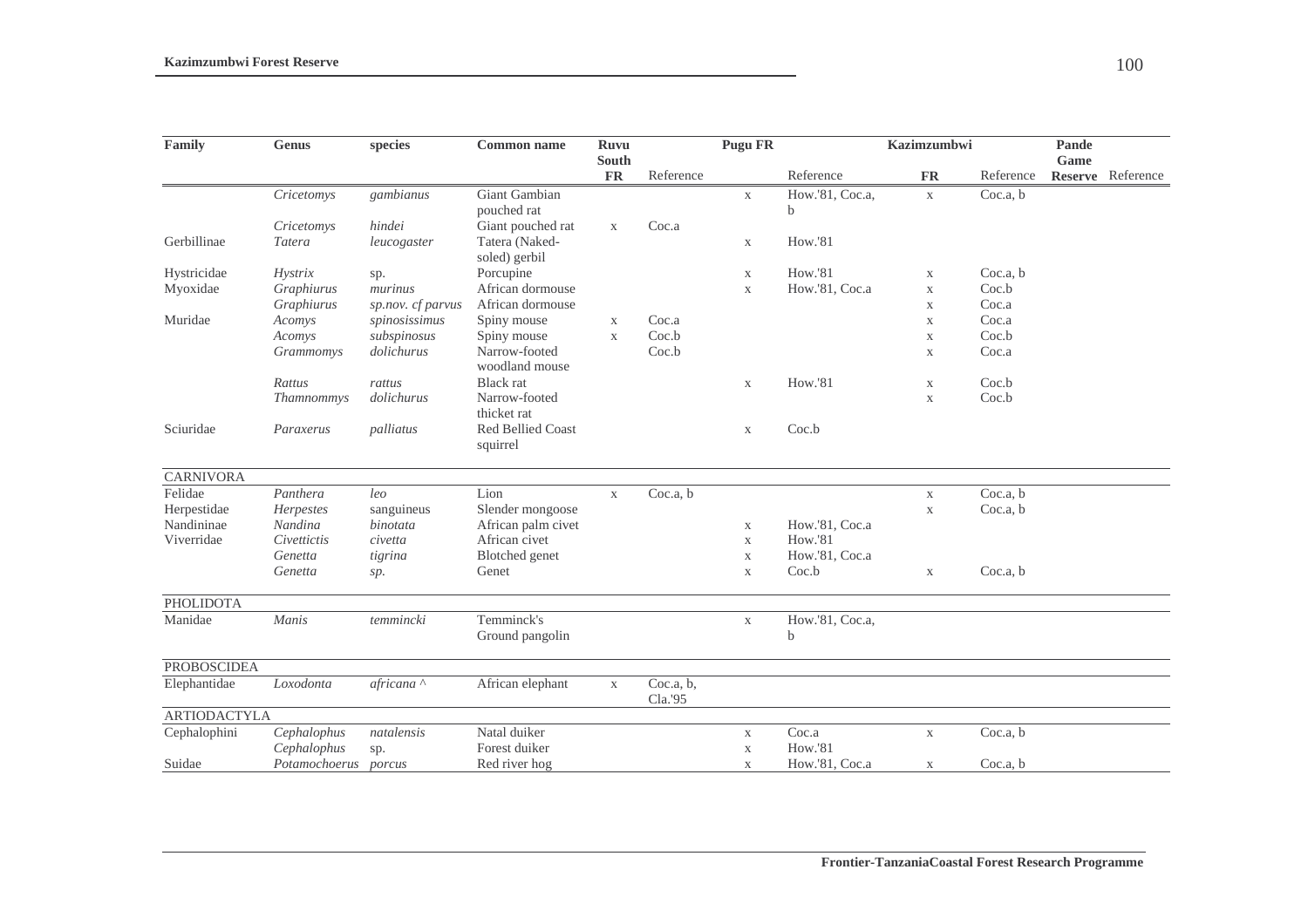| Family              | Genus                | species           | <b>Common name</b>                   | <b>Ruvu</b>               |                      | <b>Pugu FR</b> |                           | <b>Kazimzumbwi</b>        |           | Pande |                   |
|---------------------|----------------------|-------------------|--------------------------------------|---------------------------|----------------------|----------------|---------------------------|---------------------------|-----------|-------|-------------------|
|                     |                      |                   |                                      | <b>South</b><br><b>FR</b> | Reference            |                | Reference                 | <b>FR</b>                 | Reference | Game  | Reserve Reference |
|                     | Cricetomys           | gambianus         | Giant Gambian                        |                           |                      | $\mathbf X$    | How.'81, Coc.a,           | $\mathbf{X}$              | Coc.a, b  |       |                   |
|                     |                      |                   | pouched rat                          |                           |                      |                | b                         |                           |           |       |                   |
|                     | Cricetomys           | hindei            | Giant pouched rat                    | $\mathbf X$               | Coc.a                |                |                           |                           |           |       |                   |
| Gerbillinae         | Tatera               | leucogaster       | Tatera (Naked-<br>soled) gerbil      |                           |                      | X              | <b>How.'81</b>            |                           |           |       |                   |
| Hystricidae         | Hystrix              | sp.               | Porcupine                            |                           |                      | $\mathbf X$    | <b>How.'81</b>            | X                         | Coc.a, b  |       |                   |
| Myoxidae            | Graphiurus           | murinus           | African dormouse                     |                           |                      | $\mathbf X$    | How.'81, Coc.a            | $\mathbf X$               | Coc.b     |       |                   |
|                     | Graphiurus           | sp.nov. cf parvus | African dormouse                     |                           |                      |                |                           | X                         | Coc.a     |       |                   |
| Muridae             | Acomys               | spinosissimus     | Spiny mouse                          | $\mathbf X$               | Coc.a                |                |                           | $\mathbf X$               | Coc.a     |       |                   |
|                     | Acomys               | subspinosus       | Spiny mouse                          | $\mathbf{X}$              | Coc.b                |                |                           | $\mathbf X$               | Coc.b     |       |                   |
|                     | Grammomys            | dolichurus        | Narrow-footed<br>woodland mouse      |                           | Coc.b                |                |                           | $\mathbf X$               | Coc.a     |       |                   |
|                     | Rattus               | rattus            | <b>Black</b> rat                     |                           |                      | $\mathbf X$    | <b>How.'81</b>            | X                         | Coc.b     |       |                   |
|                     | Thamnommys           | dolichurus        | Narrow-footed                        |                           |                      |                |                           | X                         | Coc.b     |       |                   |
|                     |                      |                   | thicket rat                          |                           |                      |                |                           |                           |           |       |                   |
| Sciuridae           | Paraxerus            | palliatus         | <b>Red Bellied Coast</b><br>squirrel |                           |                      | X              | Coc.b                     |                           |           |       |                   |
| <b>CARNIVORA</b>    |                      |                   |                                      |                           |                      |                |                           |                           |           |       |                   |
| Felidae             | Panthera             | leq               | Lion                                 | $\mathbf X$               | Coc.a, b             |                |                           | $\mathbf X$               | Coc.a, b  |       |                   |
| Herpestidae         | Herpestes            | sanguineus        | Slender mongoose                     |                           |                      |                |                           | X                         | Coc.a, b  |       |                   |
| Nandininae          | Nandina              | binotata          | African palm civet                   |                           |                      | $\mathbf X$    | How.'81, Coc.a            |                           |           |       |                   |
| Viverridae          | Civettictis          | civetta           | African civet                        |                           |                      | $\mathbf X$    | <b>How.'81</b>            |                           |           |       |                   |
|                     | Genetta              | tigrina           | Blotched genet                       |                           |                      | $\mathbf X$    | How.'81, Coc.a            |                           |           |       |                   |
|                     | Genetta              | sp.               | Genet                                |                           |                      | $\mathbf X$    | Coc.b                     | $\boldsymbol{\mathrm{X}}$ | Coc.a, b  |       |                   |
| <b>PHOLIDOTA</b>    |                      |                   |                                      |                           |                      |                |                           |                           |           |       |                   |
| Manidae             | Manis                | temmincki         | Temminck's<br>Ground pangolin        |                           |                      | $\mathbf X$    | How.'81, Coc.a,<br>h      |                           |           |       |                   |
| <b>PROBOSCIDEA</b>  |                      |                   |                                      |                           |                      |                |                           |                           |           |       |                   |
| Elephantidae        | Loxodonta            | africana ^        | African elephant                     | $\mathbf X$               | Coc.a, b,<br>Cla.'95 |                |                           |                           |           |       |                   |
| <b>ARTIODACTYLA</b> |                      |                   |                                      |                           |                      |                |                           |                           |           |       |                   |
| Cephalophini        | Cephalophus          | natalensis        | Natal duiker                         |                           |                      | $\mathbf X$    | $\overline{\text{Coc.a}}$ | $\mathbf X$               | Coc.a, b  |       |                   |
|                     | Cephalophus          | sp.               | Forest duiker                        |                           |                      | X              | How.'81                   |                           |           |       |                   |
| Suidae              | Potamochoerus porcus |                   | Red river hog                        |                           |                      | $\mathbf X$    | How.'81, Coc.a            | $\mathbf{X}$              | Coc.a, b  |       |                   |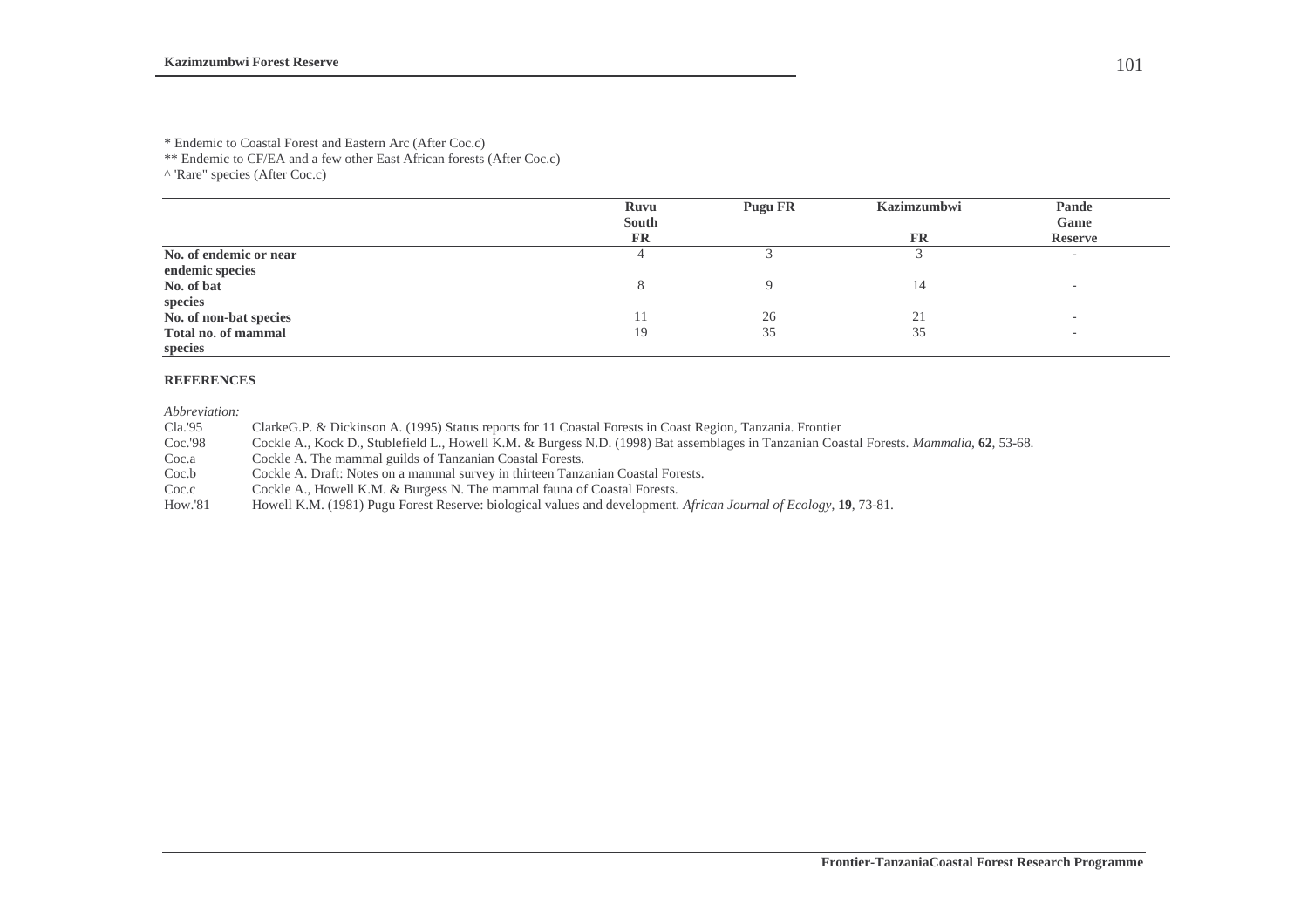\*\* Endemic to CF/EA and a few other East African forests (After Coc.c)

^ 'Rare" species (After Coc.c)

|                        | Ruvu<br><b>South</b> | Pugu FR | <b>Kazimzumbwi</b> | Pande                    |
|------------------------|----------------------|---------|--------------------|--------------------------|
|                        | <b>FR</b>            |         | FR                 | Game<br><b>Reserve</b>   |
| No. of endemic or near |                      |         |                    | $\overline{\phantom{a}}$ |
| endemic species        |                      |         |                    |                          |
| No. of bat             |                      |         | 14                 |                          |
| species                |                      |         |                    |                          |
| No. of non-bat species |                      | 26      | 21                 | $\overline{\phantom{0}}$ |
| Total no. of mammal    | 19                   | 35      | 35                 |                          |
| species                |                      |         |                    |                          |

### **REFERENCES**

*Abbreviation:* 

Cla.'95 ClarkeG.P. & Dickinson A. (1995) Status reports for 11 Coastal Forests in Coast Region, Tanzania. Frontier

Coc.'98 Cockle A., Kock D., Stublefield L., Howell K.M. & Burgess N.D. (1998) Bat assemblages in Tanzanian Coastal Forests. *Mammalia*, **62**, 53-68.

Coc.a Cockle A. The mammal guilds of Tanzanian Coastal Forests.<br>Coc.b Cockle A. Draft: Notes on a mammal survey in thirteen Tanza

Cockle A. Draft: Notes on a mammal survey in thirteen Tanzanian Coastal Forests.

Coc.c Cockle A., Howell K.M. & Burgess N. The mammal fauna of Coastal Forests.<br>How.'81 Howell K.M. (1981) Pugu Forest Reserve: biological values and development.

How.'81 Howell K.M. (1981) Pugu Forest Reserve: biological values and development. *African Journal of Ecology*, **19**, 73-81.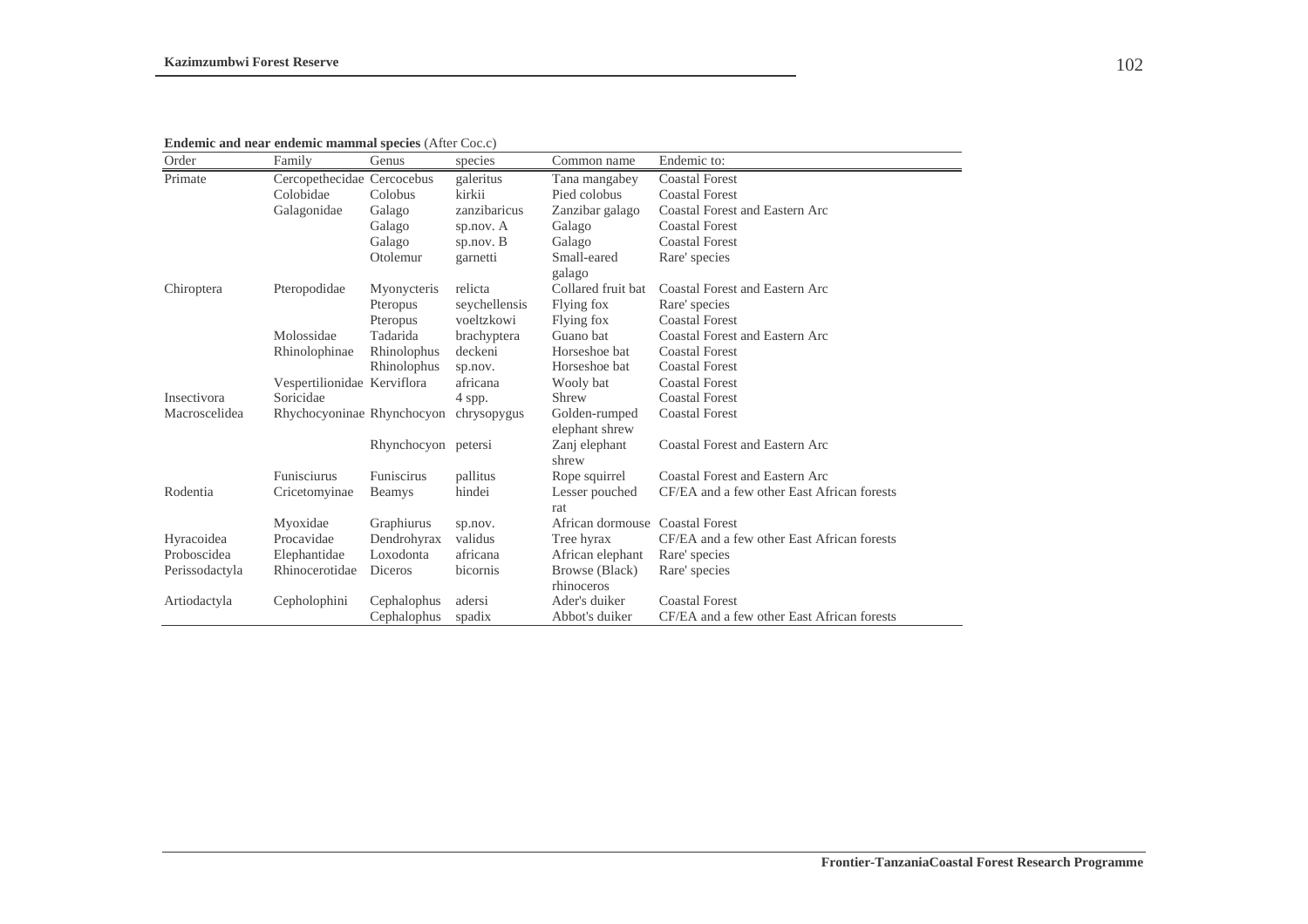**Endemic and near endemic mammal species** (After Coc.c)

| Order          | Family                      | Genus               | species       | Common name                     | Endemic to:                                |
|----------------|-----------------------------|---------------------|---------------|---------------------------------|--------------------------------------------|
| Primate        | Cercopethecidae Cercocebus  |                     | galeritus     | Tana mangabey                   | <b>Coastal Forest</b>                      |
|                | Colobidae                   | Colobus             | kirkii        | Pied colobus                    | <b>Coastal Forest</b>                      |
|                | Galagonidae                 | Galago              | zanzibaricus  | Zanzibar galago                 | <b>Coastal Forest and Eastern Arc</b>      |
|                |                             | Galago              | sp.nov. A     | Galago                          | <b>Coastal Forest</b>                      |
|                |                             | Galago              | sp.nov. B     | Galago                          | <b>Coastal Forest</b>                      |
|                |                             | Otolemur            | garnetti      | Small-eared                     | Rare' species                              |
|                |                             |                     |               | galago                          |                                            |
| Chiroptera     | Pteropodidae                | Myonycteris         | relicta       | Collared fruit bat              | <b>Coastal Forest and Eastern Arc</b>      |
|                |                             | Pteropus            | seychellensis | Flying fox                      | Rare' species                              |
|                |                             | Pteropus            | voeltzkowi    | Flying fox                      | <b>Coastal Forest</b>                      |
|                | Molossidae                  | Tadarida            | brachyptera   | Guano bat                       | <b>Coastal Forest and Eastern Arc</b>      |
|                | Rhinolophinae               | Rhinolophus         | deckeni       | Horseshoe bat                   | <b>Coastal Forest</b>                      |
|                |                             | Rhinolophus         | sp.nov.       | Horseshoe bat                   | <b>Coastal Forest</b>                      |
|                | Vespertilionidae Kerviflora |                     | africana      | Wooly bat                       | <b>Coastal Forest</b>                      |
| Insectivora    | Soricidae                   |                     | 4 spp.        | Shrew                           | <b>Coastal Forest</b>                      |
| Macroscelidea  | Rhychocyoninae Rhynchocyon  |                     | chrysopygus   | Golden-rumped                   | <b>Coastal Forest</b>                      |
|                |                             |                     |               | elephant shrew                  |                                            |
|                |                             | Rhynchocyon petersi |               | Zanj elephant                   | <b>Coastal Forest and Eastern Arc</b>      |
|                |                             |                     |               | shrew                           |                                            |
|                | <b>Funisciurus</b>          | Funiscirus          | pallitus      | Rope squirrel                   | <b>Coastal Forest and Eastern Arc</b>      |
| Rodentia       | Cricetomyinae               | Beamys              | hindei        | Lesser pouched                  | CF/EA and a few other East African forests |
|                |                             |                     |               | rat                             |                                            |
|                | Myoxidae                    | Graphiurus          | sp.nov.       | African dormouse Coastal Forest |                                            |
| Hyracoidea     | Procavidae                  | Dendrohyrax         | validus       | Tree hyrax                      | CF/EA and a few other East African forests |
| Proboscidea    | Elephantidae                | Loxodonta           | africana      | African elephant                | Rare' species                              |
| Perissodactyla | Rhinocerotidae              | Diceros             | bicornis      | Browse (Black)                  | Rare' species                              |
|                |                             |                     |               | rhinoceros                      |                                            |
| Artiodactyla   | Cepholophini                | Cephalophus         | adersi        | Ader's duiker                   | <b>Coastal Forest</b>                      |
|                |                             | Cephalophus         | spadix        | Abbot's duiker                  | CF/EA and a few other East African forests |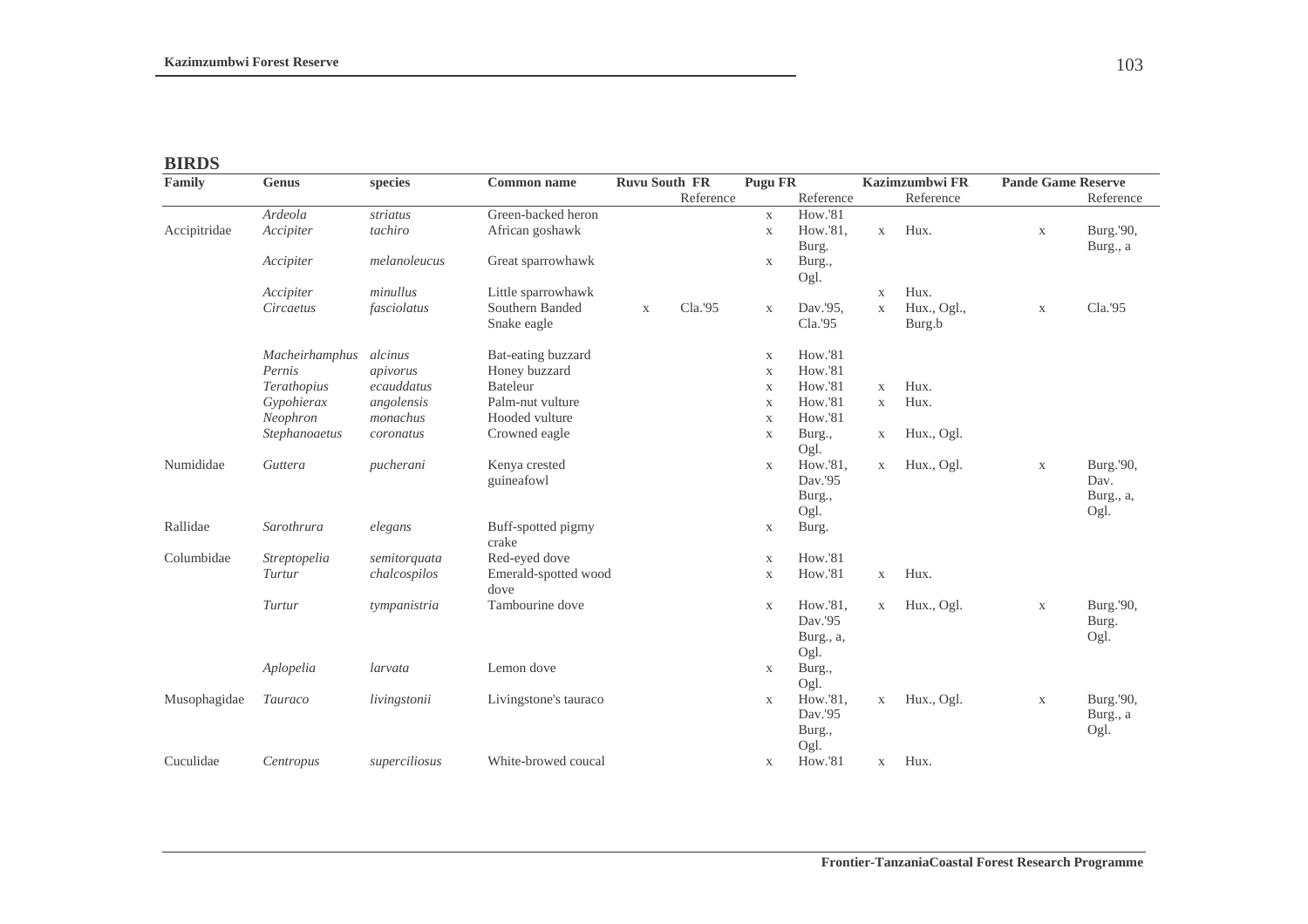## **BIRDS**

| Family       | Genus          | species       | <b>Common name</b>             | <b>Ruvu South FR</b> |           | <b>Pugu FR</b>            |                                          |              | Kazimzumbwi FR        | <b>Pande Game Reserve</b> |                                        |
|--------------|----------------|---------------|--------------------------------|----------------------|-----------|---------------------------|------------------------------------------|--------------|-----------------------|---------------------------|----------------------------------------|
|              |                |               |                                |                      | Reference |                           | Reference                                |              | Reference             |                           | Reference                              |
|              | Ardeola        | striatus      | Green-backed heron             |                      |           | $\mathbf X$               | <b>How.'81</b>                           |              |                       |                           |                                        |
| Accipitridae | Accipiter      | tachiro       | African goshawk                |                      |           | $\mathbf X$               | How.'81,<br>Burg.                        | X            | Hux.                  | $\mathbf{X}$              | Burg.'90,                              |
|              | Accipiter      | melanoleucus  | Great sparrowhawk              |                      |           | $\mathbf X$               | Burg.,<br>Ogl.                           |              |                       |                           | Burg., a                               |
|              | Accipiter      | minullus      | Little sparrowhawk             |                      |           |                           |                                          | $\mathbf{X}$ | Hux.                  |                           |                                        |
|              | Circaetus      | fasciolatus   | Southern Banded<br>Snake eagle | $\mathbf X$          | Cla.'95   | $\mathbf X$               | Dav.'95,<br>Cla.'95                      | $\mathbf X$  | Hux., Ogl.,<br>Burg.b | $\mathbf X$               | Cla.'95                                |
|              | Macheirhamphus | alcinus       | Bat-eating buzzard             |                      |           | $\boldsymbol{\mathrm{X}}$ | <b>How.'81</b>                           |              |                       |                           |                                        |
|              | Pernis         | apivorus      | Honey buzzard                  |                      |           | $\mathbf X$               | <b>How.'81</b>                           |              |                       |                           |                                        |
|              | Terathopius    | ecauddatus    | <b>Bateleur</b>                |                      |           | $\mathbf X$               | How.'81                                  | $\mathbf{X}$ | Hux.                  |                           |                                        |
|              | Gypohierax     | angolensis    | Palm-nut vulture               |                      |           | $\mathbf X$               | <b>How.'81</b>                           | $\mathbf{X}$ | Hux.                  |                           |                                        |
|              | Neophron       | monachus      | Hooded vulture                 |                      |           | $\mathbf X$               | <b>How.'81</b>                           |              |                       |                           |                                        |
|              | Stephanoaetus  | coronatus     | Crowned eagle                  |                      |           | $\mathbf X$               | Burg.,<br>Ogl.                           | $\mathbf{X}$ | Hux., Ogl.            |                           |                                        |
| Numididae    | Guttera        | pucherani     | Kenya crested<br>guineafowl    |                      |           | $\mathbf X$               | How.'81,<br>Dav.'95<br>Burg.,<br>Ogl.    | X            | Hux., Ogl.            | $\mathbf X$               | Burg.'90,<br>Dav.<br>Burg., a,<br>Ogl. |
| Rallidae     | Sarothrura     | elegans       | Buff-spotted pigmy<br>crake    |                      |           | $\mathbf X$               | Burg.                                    |              |                       |                           |                                        |
| Columbidae   | Streptopelia   | semitorquata  | Red-eyed dove                  |                      |           | X                         | <b>How.'81</b>                           |              |                       |                           |                                        |
|              | Turtur         | chalcospilos  | Emerald-spotted wood<br>dove   |                      |           | $\mathbf X$               | How.'81                                  | X            | Hux.                  |                           |                                        |
|              | Turtur         | tympanistria  | Tambourine dove                |                      |           | $\mathbf X$               | How.'81,<br>Dav.'95<br>Burg., a,<br>Ogl. | X            | Hux., Ogl.            | $\mathbf X$               | Burg.'90,<br>Burg.<br>Ogl.             |
|              | Aplopelia      | larvata       | Lemon dove                     |                      |           | $\mathbf X$               | Burg.,<br>Ogl.                           |              |                       |                           |                                        |
| Musophagidae | Tauraco        | livingstonii  | Livingstone's tauraco          |                      |           | $\mathbf X$               | How.'81,<br>Dav.'95<br>Burg.,<br>Ogl.    | $\mathbf X$  | Hux., Ogl.            | $\mathbf X$               | Burg.'90,<br>Burg., a<br>Ogl.          |
| Cuculidae    | Centropus      | superciliosus | White-browed coucal            |                      |           | $\mathbf X$               | <b>How.'81</b>                           | X            | Hux.                  |                           |                                        |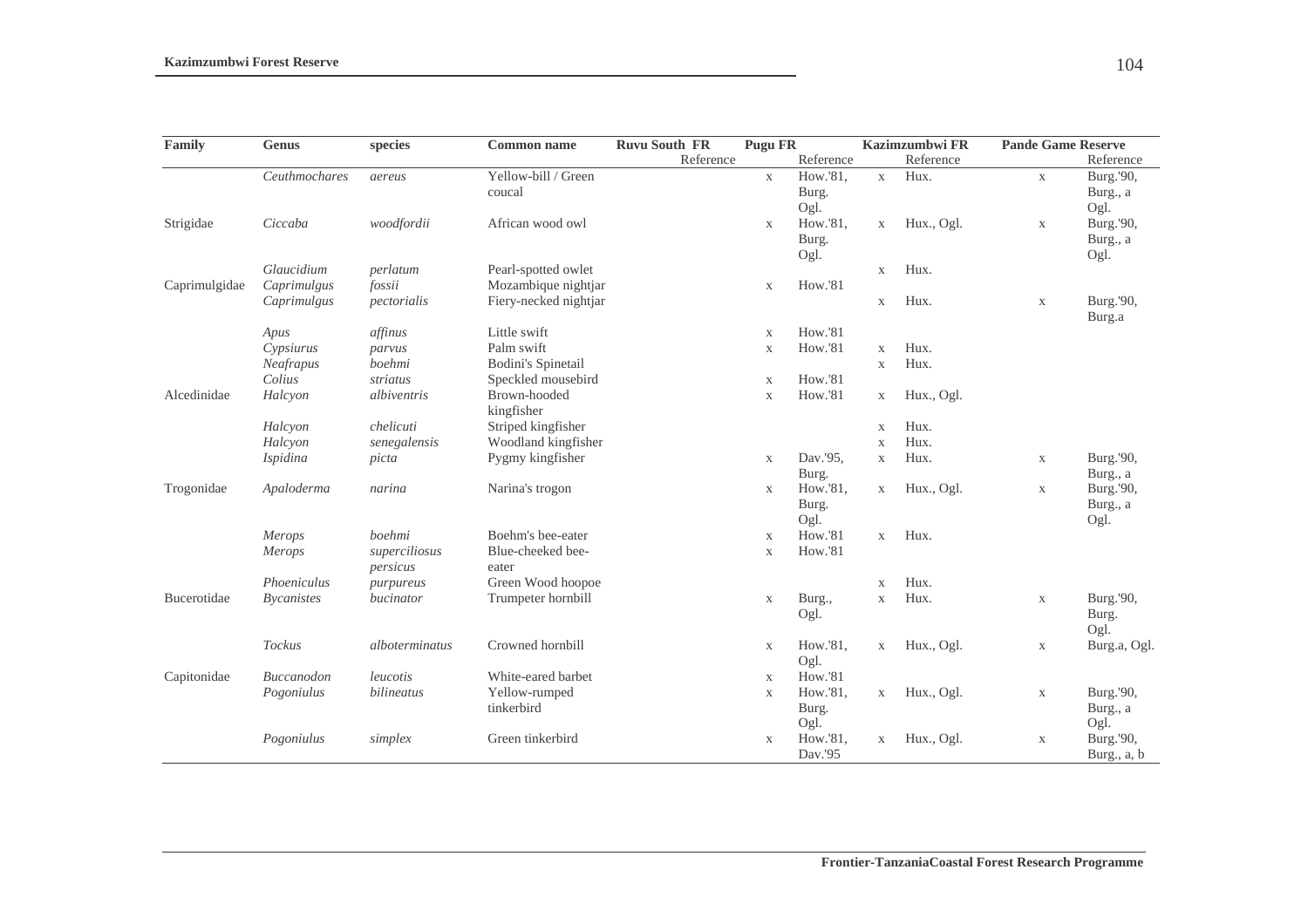| Family        | Genus             | species        | Common name               | <b>Ruvu South FR</b> | <b>Pugu FR</b> |                |              | <b>Kazimzumbwi FR</b> | <b>Pande Game Reserve</b> |               |
|---------------|-------------------|----------------|---------------------------|----------------------|----------------|----------------|--------------|-----------------------|---------------------------|---------------|
|               |                   |                |                           | Reference            |                | Reference      |              | Reference             |                           | Reference     |
|               | Ceuthmochares     | aereus         | Yellow-bill / Green       |                      | $\mathbf X$    | How.'81,       | $\mathbf X$  | Hux.                  | $\mathbf X$               | Burg.'90,     |
|               |                   |                | coucal                    |                      |                | Burg.          |              |                       |                           | Burg., a      |
|               |                   |                |                           |                      |                | Ogl.           |              |                       |                           | Ogl.          |
| Strigidae     | Ciccaba           | woodfordii     | African wood owl          |                      | $\mathbf X$    | How.'81,       | $\mathbf X$  | Hux., Ogl.            | $\mathbf X$               | Burg.'90,     |
|               |                   |                |                           |                      |                | Burg.          |              |                       |                           | Burg., a      |
|               |                   |                |                           |                      |                | Ogl.           |              |                       |                           | Ogl.          |
|               | Glaucidium        | perlatum       | Pearl-spotted owlet       |                      |                |                | $\mathbf X$  | Hux.                  |                           |               |
| Caprimulgidae | Caprimulgus       | fossii         | Mozambique nightjar       |                      | $\mathbf X$    | <b>How.'81</b> |              |                       |                           |               |
|               | Caprimulgus       | pectorialis    | Fiery-necked nightjar     |                      |                |                | $\mathbf X$  | Hux.                  | $\mathbf X$               | Burg.'90,     |
|               |                   |                |                           |                      |                |                |              |                       |                           | Burg.a        |
|               | Apus              | affinus        | Little swift              |                      | $\mathbf X$    | <b>How.'81</b> |              |                       |                           |               |
|               | Cypsiurus         | parvus         | Palm swift                |                      | $\mathbf X$    | <b>How.'81</b> | $\mathbf X$  | Hux.                  |                           |               |
|               | Neafrapus         | boehmi         | <b>Bodini's Spinetail</b> |                      |                |                | X            | Hux.                  |                           |               |
|               | Colius            | striatus       | Speckled mousebird        |                      | $\mathbf X$    | <b>How.'81</b> |              |                       |                           |               |
| Alcedinidae   | Halcyon           | albiventris    | Brown-hooded              |                      | $\mathbf X$    | <b>How.'81</b> | $\mathbf X$  | Hux., Ogl.            |                           |               |
|               |                   |                | kingfisher                |                      |                |                |              |                       |                           |               |
|               | Halcyon           | chelicuti      | Striped kingfisher        |                      |                |                | $\mathbf X$  | Hux.                  |                           |               |
|               | Halcyon           | senegalensis   | Woodland kingfisher       |                      |                |                | X            | Hux.                  |                           |               |
|               | Ispidina          | picta          | Pygmy kingfisher          |                      | $\mathbf X$    | Dav.'95,       | $\mathbf X$  | Hux.                  | $\mathbf X$               | Burg.'90,     |
|               |                   |                |                           |                      |                | Burg.          |              |                       |                           | Burg., a      |
| Trogonidae    | Apaloderma        | narina         | Narina's trogon           |                      | $\mathbf X$    | How.'81,       | $\mathbf X$  | Hux., Ogl.            | $\mathbf X$               | Burg.'90,     |
|               |                   |                |                           |                      |                | Burg.          |              |                       |                           | Burg., a      |
|               |                   |                |                           |                      |                | Ogl.           |              |                       |                           | Ogl.          |
|               | Merops            | boehmi         | Boehm's bee-eater         |                      | $\mathbf X$    | <b>How.'81</b> | $\mathbf{X}$ | Hux.                  |                           |               |
|               | Merops            | superciliosus  | Blue-cheeked bee-         |                      | $\mathbf X$    | <b>How.'81</b> |              |                       |                           |               |
|               |                   | persicus       | eater                     |                      |                |                |              |                       |                           |               |
|               | Phoeniculus       | purpureus      | Green Wood hoopoe         |                      |                |                | $\mathbf X$  | Hux.                  |                           |               |
| Bucerotidae   | <b>Bycanistes</b> | bucinator      | Trumpeter hornbill        |                      | $\mathbf X$    | Burg.,         | $\mathbf X$  | Hux.                  | $\mathbf X$               | Burg.'90,     |
|               |                   |                |                           |                      |                | Ogl.           |              |                       |                           | Burg.         |
|               |                   |                |                           |                      |                |                |              |                       |                           | Ogl.          |
|               | Tockus            | alboterminatus | Crowned hornbill          |                      | $\mathbf{X}$   | How.'81,       | $\mathbf X$  | Hux., Ogl.            | $\mathbf X$               | Burg.a, Ogl.  |
|               |                   |                |                           |                      |                | Ogl.           |              |                       |                           |               |
| Capitonidae   | Buccanodon        | leucotis       | White-eared barbet        |                      | $\mathbf X$    | <b>How.'81</b> |              |                       |                           |               |
|               | Pogoniulus        | bilineatus     | Yellow-rumped             |                      | $\mathbf X$    | How.'81,       | $\mathbf X$  | Hux., Ogl.            | $\mathbf X$               | Burg.'90,     |
|               |                   |                | tinkerbird                |                      |                | Burg.          |              |                       |                           | Burg., a      |
|               |                   |                |                           |                      |                | Ogl.           |              |                       |                           | Ogl.          |
|               | Pogoniulus        | simplex        | Green tinkerbird          |                      | X              | How.'81,       | $\mathbf X$  | Hux., Ogl.            | $\mathbf X$               | Burg.'90,     |
|               |                   |                |                           |                      |                | Dav.'95        |              |                       |                           | Burg., $a, b$ |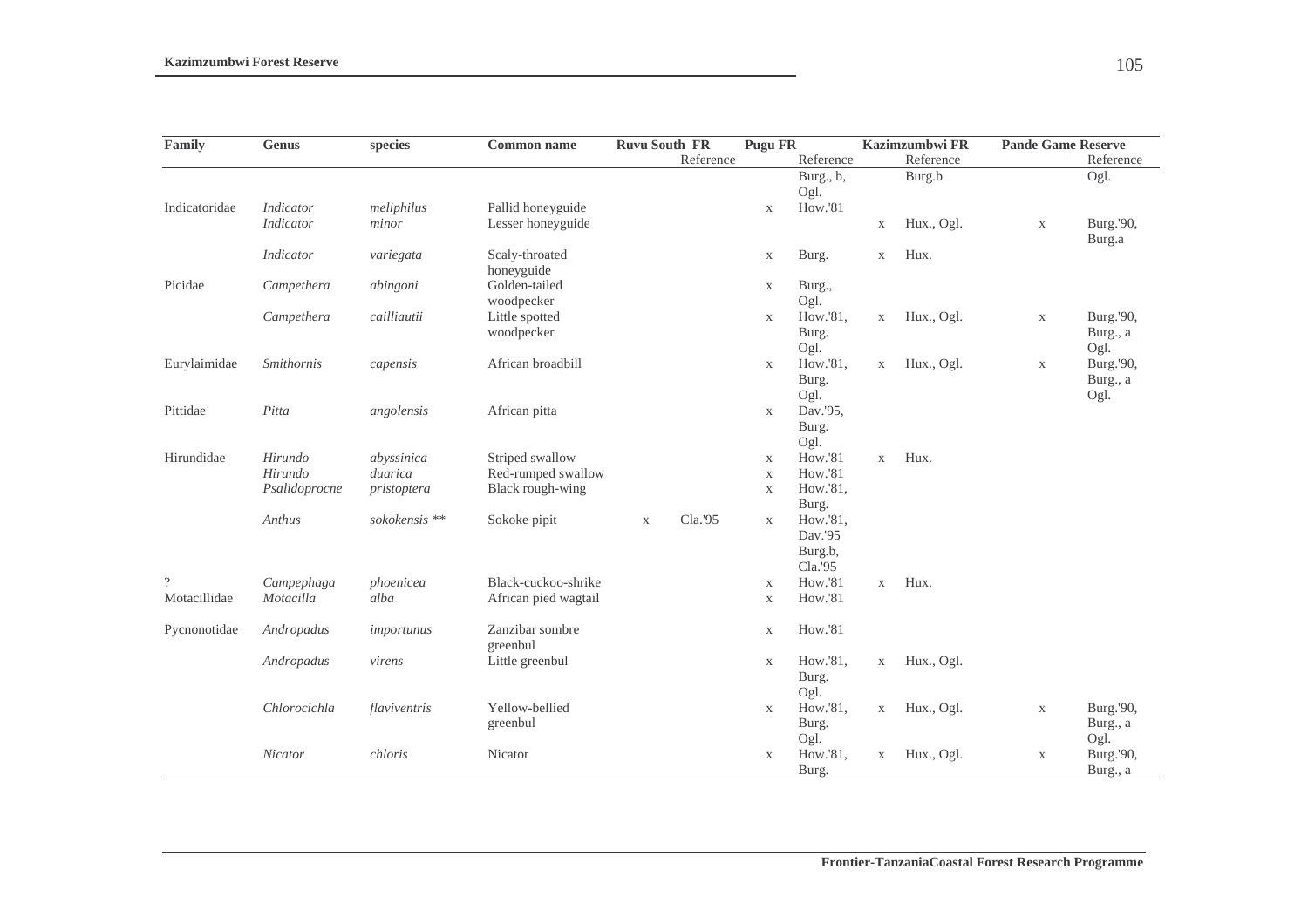| Family         | <b>Genus</b>     | species                  | <b>Common name</b>   | <b>Ruvu South FR</b> |           | <b>Pugu FR</b> |                    |             | Kazimzumbwi FR | <b>Pande Game Reserve</b> |           |
|----------------|------------------|--------------------------|----------------------|----------------------|-----------|----------------|--------------------|-------------|----------------|---------------------------|-----------|
|                |                  |                          |                      |                      | Reference |                | Reference          |             | Reference      |                           | Reference |
|                |                  |                          |                      |                      |           |                | Burg., b,          |             | Burg.b         |                           | Ogl.      |
|                |                  |                          |                      |                      |           |                | Ogl.               |             |                |                           |           |
| Indicatoridae  | <b>Indicator</b> | meliphilus               | Pallid honeyguide    |                      |           | $\mathbf X$    | How.'81            |             |                |                           |           |
|                | <b>Indicator</b> | minor                    | Lesser honeyguide    |                      |           |                |                    | $\mathbf X$ | Hux., Ogl.     | $\mathbf X$               | Burg.'90, |
|                |                  |                          |                      |                      |           |                |                    |             |                |                           | Burg.a    |
|                | Indicator        | variegata                | Scaly-throated       |                      |           | $\mathbf X$    | Burg.              | $\mathbf X$ | Hux.           |                           |           |
|                |                  |                          | honeyguide           |                      |           |                |                    |             |                |                           |           |
| Picidae        | Campethera       | abingoni                 | Golden-tailed        |                      |           | X              | Burg.,             |             |                |                           |           |
|                |                  |                          | woodpecker           |                      |           |                | Ogl.               |             |                |                           |           |
|                | Campethera       | cailliautii              | Little spotted       |                      |           | $\mathbf X$    | How.'81,           | $\mathbf X$ | Hux., Ogl.     | $\mathbf X$               | Burg.'90, |
|                |                  |                          | woodpecker           |                      |           |                | Burg.              |             |                |                           | Burg., a  |
|                |                  |                          |                      |                      |           |                | Ogl.               |             |                |                           | Ogl.      |
| Eurylaimidae   | Smithornis       | capensis                 | African broadbill    |                      |           | $\mathbf X$    | How.'81,           | $\mathbf X$ | Hux., Ogl.     | $\mathbf X$               | Burg.'90, |
|                |                  |                          |                      |                      |           |                | Burg.              |             |                |                           | Burg., a  |
|                |                  |                          |                      |                      |           |                | Ogl.               |             |                |                           | Ogl.      |
| Pittidae       | Pitta            | angolensis               | African pitta        |                      |           | $\mathbf X$    | Dav.'95,           |             |                |                           |           |
|                |                  |                          |                      |                      |           |                | Burg.              |             |                |                           |           |
|                |                  |                          |                      |                      |           |                | Ogl.               |             |                |                           |           |
| Hirundidae     | Hirundo          | abyssinica               | Striped swallow      |                      |           | $\mathbf X$    | How.'81            | $\mathbf X$ | Hux.           |                           |           |
|                | Hirundo          | duarica                  | Red-rumped swallow   |                      |           | $\mathbf X$    | <b>How.'81</b>     |             |                |                           |           |
|                | Psalidoprocne    | pristoptera              | Black rough-wing     |                      |           | $\mathbf X$    | How.'81,           |             |                |                           |           |
|                | Anthus           | sokokensis <sup>**</sup> |                      |                      | Cla.'95   |                | Burg.<br>How.'81,  |             |                |                           |           |
|                |                  |                          | Sokoke pipit         | $\mathbf X$          |           | $\mathbf{X}$   | Dav.'95            |             |                |                           |           |
|                |                  |                          |                      |                      |           |                |                    |             |                |                           |           |
|                |                  |                          |                      |                      |           |                | Burg.b,<br>Cla.'95 |             |                |                           |           |
| $\overline{?}$ | Campephaga       | phoenicea                | Black-cuckoo-shrike  |                      |           | $\mathbf X$    | How.'81            | $\mathbf X$ | Hux.           |                           |           |
| Motacillidae   | Motacilla        | alba                     | African pied wagtail |                      |           | $\mathbf X$    | <b>How.'81</b>     |             |                |                           |           |
|                |                  |                          |                      |                      |           |                |                    |             |                |                           |           |
| Pycnonotidae   | Andropadus       | importunus               | Zanzibar sombre      |                      |           | $\mathbf X$    | How.'81            |             |                |                           |           |
|                |                  |                          | greenbul             |                      |           |                |                    |             |                |                           |           |
|                | Andropadus       | virens                   | Little greenbul      |                      |           | $\mathbf X$    | How.'81,           | $\mathbf X$ | Hux., Ogl.     |                           |           |
|                |                  |                          |                      |                      |           |                | Burg.              |             |                |                           |           |
|                |                  |                          |                      |                      |           |                | Ogl.               |             |                |                           |           |
|                | Chlorocichla     | flaviventris             | Yellow-bellied       |                      |           | $\mathbf X$    | How.'81,           | $\mathbf X$ | Hux., Ogl.     | $\mathbf X$               | Burg.'90, |
|                |                  |                          | greenbul             |                      |           |                | Burg.              |             |                |                           | Burg., a  |
|                |                  |                          |                      |                      |           |                | Ogl.               |             |                |                           | Ogl.      |
|                | Nicator          | chloris                  | Nicator              |                      |           | $\mathbf X$    | How.'81,           | $\mathbf X$ | Hux., Ogl.     | $\mathbf X$               | Burg.'90, |
|                |                  |                          |                      |                      |           |                | Burg.              |             |                |                           | Burg., a  |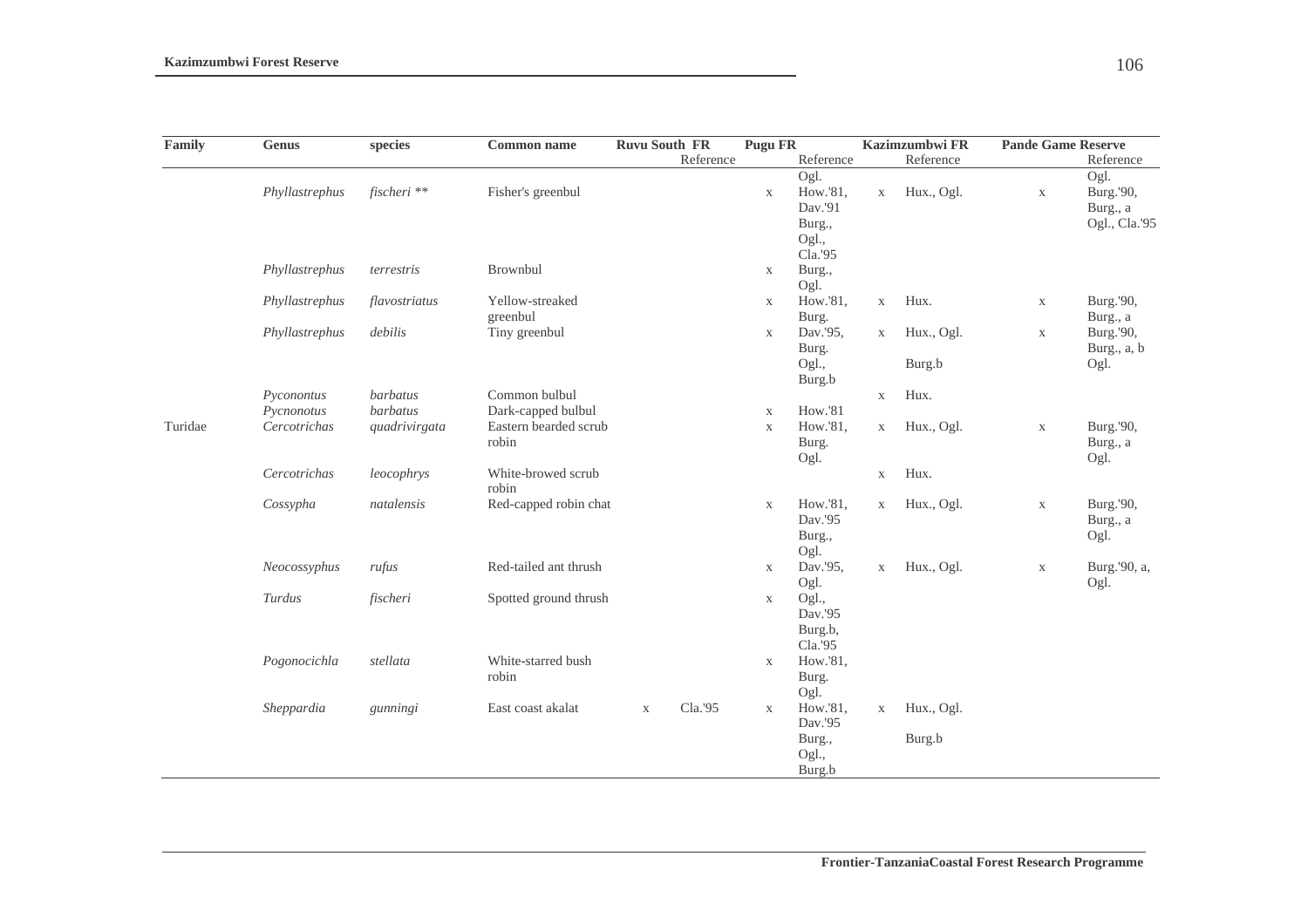| Family  | <b>Genus</b>   | species         | <b>Common name</b>             | <b>Ruvu South FR</b> |           | <b>Pugu FR</b> |                                                           |              | Kazimzumbwi FR       | <b>Pande Game Reserve</b> |                                                |
|---------|----------------|-----------------|--------------------------------|----------------------|-----------|----------------|-----------------------------------------------------------|--------------|----------------------|---------------------------|------------------------------------------------|
|         |                |                 |                                |                      | Reference |                | Reference                                                 |              | Reference            |                           | Reference                                      |
|         | Phyllastrephus | fischeri **     | Fisher's greenbul              |                      |           | $\mathbf X$    | Ogl.<br>How.'81,<br>Dav.'91<br>Burg.,<br>Ogl.,<br>Cla.'95 | $\mathbf X$  | Hux., Ogl.           | $\mathbf X$               | Ogl.<br>Burg.'90,<br>Burg., a<br>Ogl., Cla.'95 |
|         | Phyllastrephus | terrestris      | Brownbul                       |                      |           | $\mathbf X$    | Burg.,<br>Ogl.                                            |              |                      |                           |                                                |
|         | Phyllastrephus | flavostriatus   | Yellow-streaked<br>greenbul    |                      |           | $\mathbf X$    | How.'81,<br>Burg.                                         | $\mathbf X$  | Hux.                 | $\mathbf X$               | Burg.'90,<br>Burg., a                          |
|         | Phyllastrephus | debilis         | Tiny greenbul                  |                      |           | X              | Dav.'95,<br>Burg.<br>Ogl.,<br>Burg.b                      | $\mathbf{X}$ | Hux., Ogl.<br>Burg.b | $\mathbf X$               | Burg.'90,<br>Burg., a, b<br>Ogl.               |
|         | Pyconontus     | <b>barbatus</b> | Common bulbul                  |                      |           |                |                                                           | $\mathbf X$  | Hux.                 |                           |                                                |
|         | Pycnonotus     | barbatus        | Dark-capped bulbul             |                      |           | $\mathbf X$    | How.'81                                                   |              |                      |                           |                                                |
| Turidae | Cercotrichas   | quadrivirgata   | Eastern bearded scrub<br>robin |                      |           | $\mathbf X$    | How.'81,<br>Burg.<br>Ogl.                                 | $\mathbf X$  | Hux., Ogl.           | $\mathbf X$               | Burg.'90,<br>Burg., a<br>Ogl.                  |
|         | Cercotrichas   | leocophrys      | White-browed scrub<br>robin    |                      |           |                |                                                           | $\mathbf X$  | Hux.                 |                           |                                                |
|         | Cossypha       | natalensis      | Red-capped robin chat          |                      |           | $\mathbf X$    | How.'81,<br>Dav.'95<br>Burg.,<br>Ogl.                     | $\mathbf X$  | Hux., Ogl.           | $\mathbf X$               | Burg.'90,<br>Burg., a<br>Ogl.                  |
|         | Neocossyphus   | rufus           | Red-tailed ant thrush          |                      |           | $\mathbf X$    | Dav.'95,<br>Ogl.                                          | $\mathbf X$  | Hux., Ogl.           | $\mathbf X$               | Burg.'90, a,<br>Ogl.                           |
|         | Turdus         | fischeri        | Spotted ground thrush          |                      |           | $\mathbf X$    | Ogl.,<br>Dav.'95<br>Burg.b,<br>Cla.'95                    |              |                      |                           |                                                |
|         | Pogonocichla   | stellata        | White-starred bush<br>robin    |                      |           | $\mathbf X$    | How.'81,<br>Burg.<br>Ogl.                                 |              |                      |                           |                                                |
|         | Sheppardia     | gunningi        | East coast akalat              | $\mathbf X$          | Cla.'95   | $\mathbf{X}$   | How.'81,<br>Dav.'95                                       | $\mathbf X$  | Hux., Ogl.           |                           |                                                |
|         |                |                 |                                |                      |           |                | Burg.,<br>Ogl.,<br>Burg.b                                 |              | Burg.b               |                           |                                                |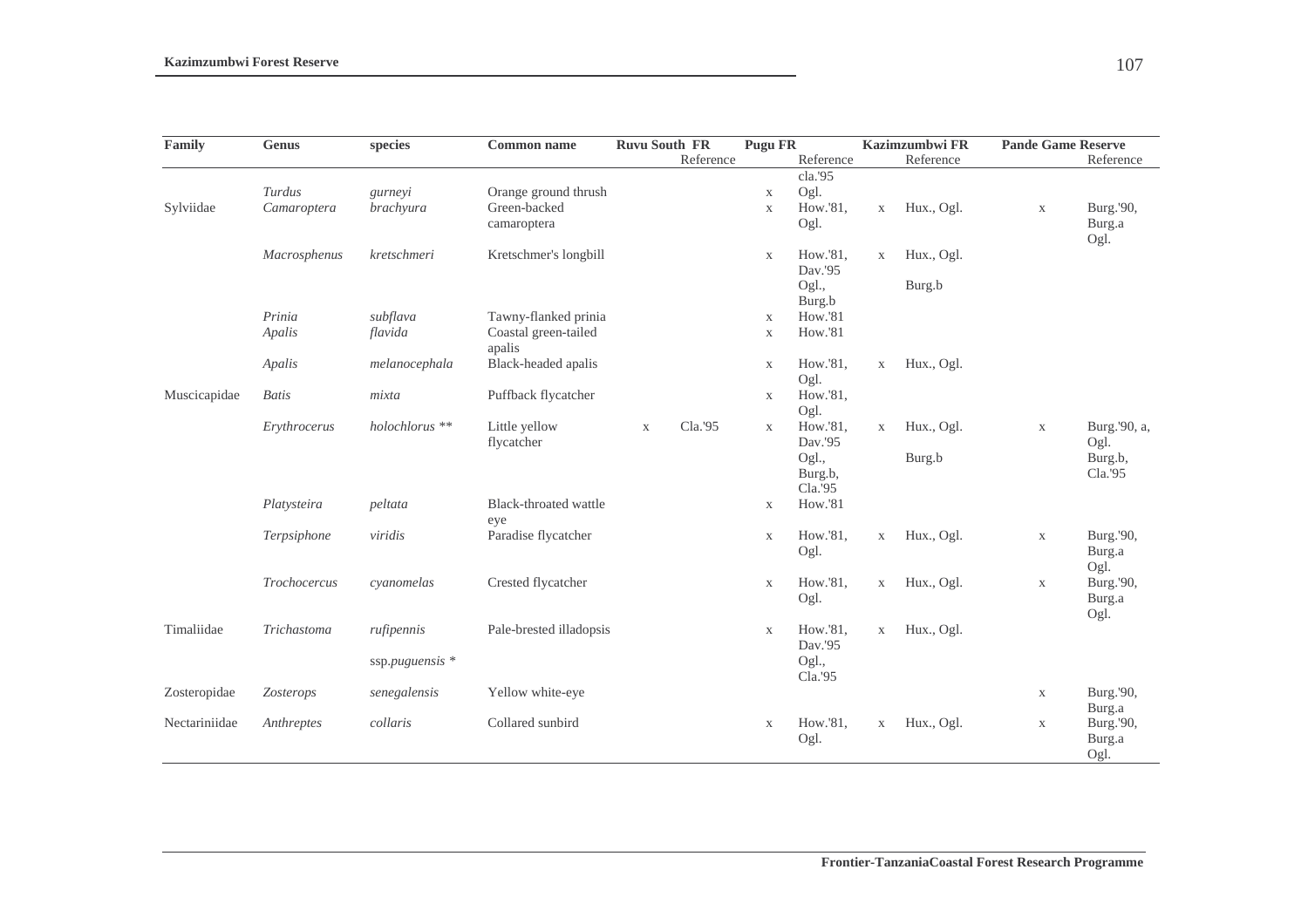| Family        | Genus        | species           | <b>Common name</b>             | <b>Ruvu South FR</b> |           | <b>Pugu FR</b> |                             |              | Kazimzumbwi FR | <b>Pande Game Reserve</b> |                             |
|---------------|--------------|-------------------|--------------------------------|----------------------|-----------|----------------|-----------------------------|--------------|----------------|---------------------------|-----------------------------|
|               |              |                   |                                |                      | Reference |                | Reference                   |              | Reference      |                           | Reference                   |
|               |              |                   |                                |                      |           |                | cla.'95                     |              |                |                           |                             |
|               | Turdus       | gurneyi           | Orange ground thrush           |                      |           | $\mathbf X$    | Ogl.                        |              |                |                           |                             |
| Sylviidae     | Camaroptera  | brachyura         | Green-backed                   |                      |           | $\mathbf X$    | How.'81,                    | $\mathbf X$  | Hux., Ogl.     | $\mathbf X$               | Burg.'90,                   |
|               |              |                   | camaroptera                    |                      |           |                | Ogl.                        |              |                |                           | Burg.a<br>Ogl.              |
|               | Macrosphenus | kretschmeri       | Kretschmer's longbill          |                      |           | $\mathbf X$    | How.'81,<br>Dav.'95         | $\mathbf{X}$ | Hux., Ogl.     |                           |                             |
|               |              |                   |                                |                      |           |                | Ogl.,<br>Burg.b             |              | Burg.b         |                           |                             |
|               | Prinia       | subflava          | Tawny-flanked prinia           |                      |           | $\mathbf X$    | How.'81                     |              |                |                           |                             |
|               | Apalis       | flavida           | Coastal green-tailed<br>apalis |                      |           | $\mathbf X$    | <b>How.'81</b>              |              |                |                           |                             |
|               | Apalis       | melanocephala     | Black-headed apalis            |                      |           | $\mathbf X$    | How.'81,<br>Ogl.            | $\mathbf X$  | Hux., Ogl.     |                           |                             |
| Muscicapidae  | <b>Batis</b> | mixta             | Puffback flycatcher            |                      |           | $\mathbf{X}$   | How.'81,<br>Ogl.            |              |                |                           |                             |
|               | Erythrocerus | holochlorus **    | Little yellow<br>flycatcher    | $\mathbf X$          | Cla.'95   | $\mathbf{X}$   | How.'81,<br>Dav.'95         | $\mathbf X$  | Hux., Ogl.     | $\mathbf X$               | Burg.'90, a,<br>Ogl.        |
|               |              |                   |                                |                      |           |                | Ogl.,<br>Burg.b,<br>Cla.'95 |              | Burg.b         |                           | Burg.b,<br>Cla.'95          |
|               | Platysteira  | peltata           | Black-throated wattle<br>eye   |                      |           | $\mathbf X$    | How.'81                     |              |                |                           |                             |
|               | Terpsiphone  | viridis           | Paradise flycatcher            |                      |           | $\mathbf X$    | How.'81,<br>Ogl.            | $\mathbf X$  | Hux., Ogl.     | $\mathbf X$               | Burg.'90,<br>Burg.a<br>Ogl. |
|               | Trochocercus | cyanomelas        | Crested flycatcher             |                      |           | $\mathbf X$    | How.'81,<br>Ogl.            | $\mathbf X$  | Hux., Ogl.     | $\mathbf X$               | Burg.'90,<br>Burg.a<br>Ogl. |
| Timaliidae    | Trichastoma  | rufipennis        | Pale-brested illadopsis        |                      |           | $\mathbf{X}$   | How.'81,<br>Dav.'95         | $\mathbf{X}$ | Hux., Ogl.     |                           |                             |
|               |              | ssp.puguensis $*$ |                                |                      |           |                | Ogl.,<br>Cla.'95            |              |                |                           |                             |
| Zosteropidae  | Zosterops    | senegalensis      | Yellow white-eye               |                      |           |                |                             |              |                | $\mathbf X$               | Burg.'90,<br>Burg.a         |
| Nectariniidae | Anthreptes   | collaris          | Collared sunbird               |                      |           | $\mathbf X$    | How.'81,                    | $\mathbf X$  | Hux., Ogl.     | $\mathbf X$               | Burg.'90,                   |
|               |              |                   |                                |                      |           |                | Ogl.                        |              |                |                           | Burg.a                      |
|               |              |                   |                                |                      |           |                |                             |              |                |                           | Ogl.                        |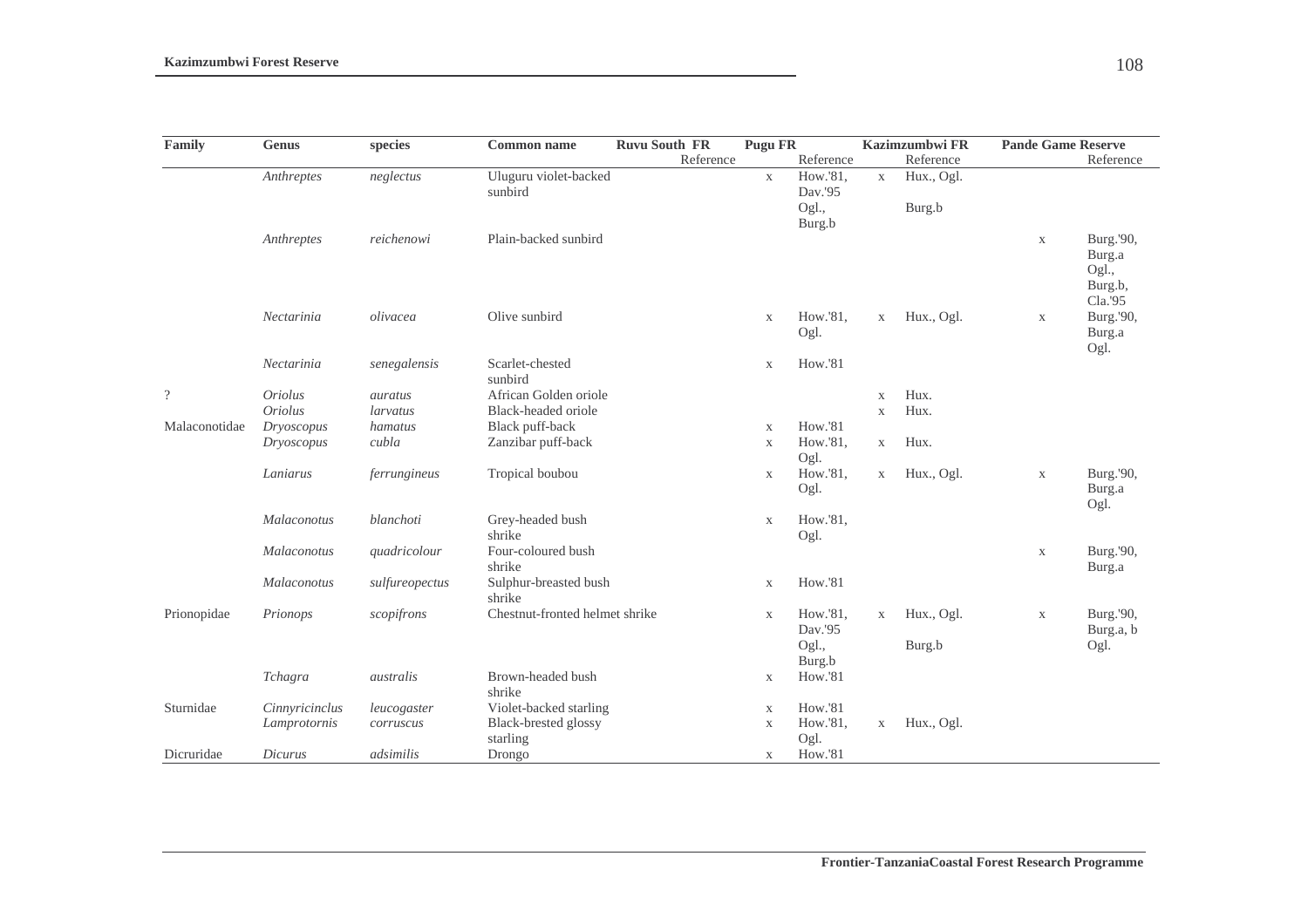| Family                   | Genus          | species        | <b>Common name</b>             | <b>Ruvu South FR</b> | Pugu FR      |                |              | Kazimzumbwi FR | <b>Pande Game Reserve</b> |           |
|--------------------------|----------------|----------------|--------------------------------|----------------------|--------------|----------------|--------------|----------------|---------------------------|-----------|
|                          |                |                |                                | Reference            |              | Reference      |              | Reference      |                           | Reference |
|                          | Anthreptes     | neglectus      | Uluguru violet-backed          |                      | $\mathbf X$  | How.'81,       | $\mathbf X$  | Hux., Ogl.     |                           |           |
|                          |                |                | sunbird                        |                      |              | Dav.'95        |              |                |                           |           |
|                          |                |                |                                |                      |              | Ogl.,          |              | Burg.b         |                           |           |
|                          |                |                |                                |                      |              | Burg.b         |              |                |                           |           |
|                          | Anthreptes     | reichenowi     | Plain-backed sunbird           |                      |              |                |              |                | $\mathbf X$               | Burg.'90, |
|                          |                |                |                                |                      |              |                |              |                |                           | Burg.a    |
|                          |                |                |                                |                      |              |                |              |                |                           | Ogl.,     |
|                          |                |                |                                |                      |              |                |              |                |                           | Burg.b,   |
|                          |                |                |                                |                      |              |                |              |                |                           | Cla.'95   |
|                          | Nectarinia     | olivacea       | Olive sunbird                  |                      | $\mathbf X$  | How.'81,       | $\mathbf X$  | Hux., Ogl.     | $\mathbf X$               | Burg.'90, |
|                          |                |                |                                |                      |              | Ogl.           |              |                |                           | Burg.a    |
|                          |                |                |                                |                      |              |                |              |                |                           | Ogl.      |
|                          | Nectarinia     | senegalensis   | Scarlet-chested                |                      | $\mathbf X$  | <b>How.'81</b> |              |                |                           |           |
|                          |                |                | sunbird                        |                      |              |                |              |                |                           |           |
| $\overline{\mathcal{L}}$ | <b>Oriolus</b> | auratus        | African Golden oriole          |                      |              |                | X            | Hux.           |                           |           |
|                          | <b>Oriolus</b> | larvatus       | Black-headed oriole            |                      |              |                | $\mathbf{X}$ | Hux.           |                           |           |
| Malaconotidae            | Dryoscopus     | hamatus        | Black puff-back                |                      | $\mathbf X$  | <b>How.'81</b> |              |                |                           |           |
|                          | Dryoscopus     | cubla          | Zanzibar puff-back             |                      | $\mathbf{X}$ | How.'81,       | X            | Hux.           |                           |           |
|                          |                |                |                                |                      |              | Ogl.           |              |                |                           |           |
|                          | Laniarus       | ferrungineus   | Tropical boubou                |                      | $\mathbf X$  | How.'81,       | X            | Hux., Ogl.     | $\mathbf X$               | Burg.'90, |
|                          |                |                |                                |                      |              | Ogl.           |              |                |                           | Burg.a    |
|                          |                |                |                                |                      |              |                |              |                |                           | Ogl.      |
|                          | Malaconotus    | blanchoti      | Grey-headed bush               |                      | $\mathbf X$  | How.'81,       |              |                |                           |           |
|                          |                |                | shrike                         |                      |              | Ogl.           |              |                |                           |           |
|                          | Malaconotus    | quadricolour   | Four-coloured bush             |                      |              |                |              |                | $\mathbf X$               | Burg.'90, |
|                          |                |                | shrike                         |                      |              |                |              |                |                           | Burg.a    |
|                          | Malaconotus    | sulfureopectus | Sulphur-breasted bush          |                      | $\mathbf X$  | <b>How.'81</b> |              |                |                           |           |
|                          |                |                | shrike                         |                      |              |                |              |                |                           |           |
| Prionopidae              | Prionops       | scopifrons     | Chestnut-fronted helmet shrike |                      | $\mathbf{X}$ | How.'81,       | $\mathbf X$  | Hux., Ogl.     | $\mathbf X$               | Burg.'90, |
|                          |                |                |                                |                      |              | Dav.'95        |              |                |                           | Burg.a, b |
|                          |                |                |                                |                      |              | Ogl.,          |              | Burg.b         |                           | Ogl.      |
|                          |                |                |                                |                      |              | Burg.b         |              |                |                           |           |
|                          | Tchagra        | australis      | Brown-headed bush              |                      | $\mathbf X$  | <b>How.'81</b> |              |                |                           |           |
|                          |                |                | shrike                         |                      |              |                |              |                |                           |           |
| Sturnidae                | Cinnyricinclus | leucogaster    | Violet-backed starling         |                      | $\mathbf X$  | How.'81        |              |                |                           |           |
|                          | Lamprotornis   | corruscus      | Black-brested glossy           |                      | X            | How.'81,       | X            | Hux., Ogl.     |                           |           |
|                          |                |                | starling                       |                      |              | Ogl.           |              |                |                           |           |
| Dicruridae               | Dicurus        | adsimilis      | Drongo                         |                      | X            | How.'81        |              |                |                           |           |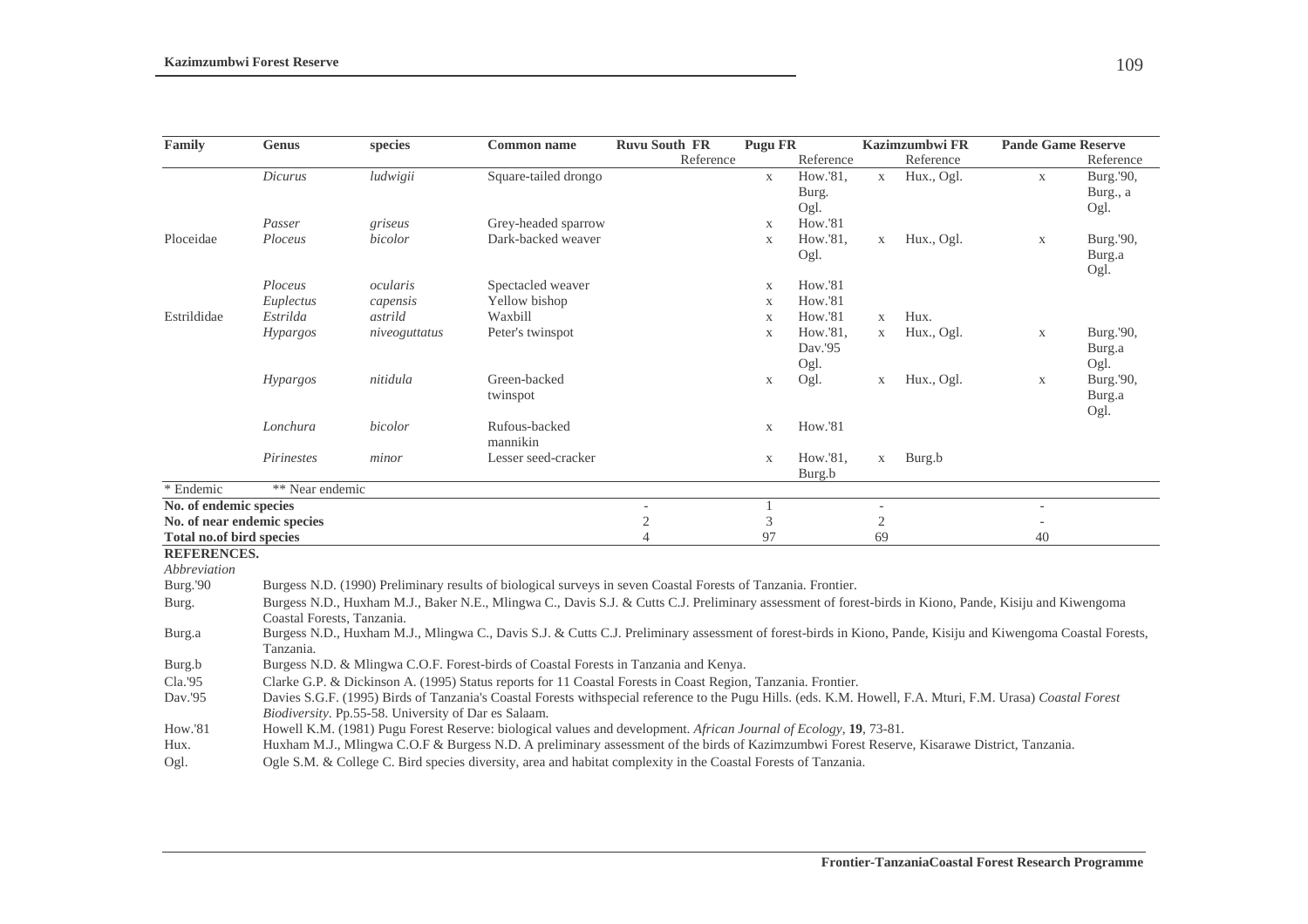| Family                   | <b>Genus</b>                | species                                              | <b>Common name</b>                                                                                                                                           | <b>Ruvu South FR</b> | <b>Pugu FR</b> |           |                | Kazimzumbwi FR | <b>Pande Game Reserve</b> |                |
|--------------------------|-----------------------------|------------------------------------------------------|--------------------------------------------------------------------------------------------------------------------------------------------------------------|----------------------|----------------|-----------|----------------|----------------|---------------------------|----------------|
|                          |                             |                                                      |                                                                                                                                                              | Reference            |                | Reference |                | Reference      |                           | Reference      |
|                          | Dicurus                     | ludwigii                                             | Square-tailed drongo                                                                                                                                         |                      | $\mathbf{X}$   | How.'81,  | $\mathbf X$    | Hux., Ogl.     | $\mathbf X$               | Burg.'90,      |
|                          |                             |                                                      |                                                                                                                                                              |                      |                | Burg.     |                |                |                           | Burg., a       |
|                          |                             |                                                      |                                                                                                                                                              |                      |                | Ogl.      |                |                |                           | Ogl.           |
|                          | Passer                      | griseus                                              | Grey-headed sparrow                                                                                                                                          |                      | $\mathbf{X}$   | How.'81   |                |                |                           |                |
| Ploceidae                | Ploceus                     | bicolor                                              | Dark-backed weaver                                                                                                                                           |                      | $\mathbf{X}$   | How.'81,  | $\mathbf X$    | Hux., Ogl.     | $\mathbf X$               | Burg.'90,      |
|                          |                             |                                                      |                                                                                                                                                              |                      |                | Ogl.      |                |                |                           | Burg.a<br>Ogl. |
|                          | Ploceus                     | ocularis                                             | Spectacled weaver                                                                                                                                            |                      | $\mathbf X$    | How.'81   |                |                |                           |                |
|                          | Euplectus                   | capensis                                             | Yellow bishop                                                                                                                                                |                      | $\mathbf X$    | How.'81   |                |                |                           |                |
| Estrildidae              | Estrilda                    | astrild                                              | Waxbill                                                                                                                                                      |                      | X              | How.'81   | $\mathbf X$    | Hux.           |                           |                |
|                          | <b>Hypargos</b>             | niveoguttatus                                        | Peter's twinspot                                                                                                                                             |                      | $\mathbf X$    | How.'81,  | $\mathbf X$    | Hux., Ogl.     | $\mathbf X$               | Burg.'90,      |
|                          |                             |                                                      |                                                                                                                                                              |                      |                | Dav.'95   |                |                |                           | Burg.a         |
|                          |                             |                                                      |                                                                                                                                                              |                      |                | Ogl.      |                |                |                           | Ogl.           |
|                          | Hypargos                    | nitidula                                             | Green-backed                                                                                                                                                 |                      | $\mathbf X$    | Ogl.      | $\mathbf X$    | Hux., Ogl.     | $\mathbf X$               | Burg.'90,      |
|                          |                             |                                                      | twinspot                                                                                                                                                     |                      |                |           |                |                |                           | Burg.a         |
|                          |                             |                                                      |                                                                                                                                                              |                      |                |           |                |                |                           | Ogl.           |
|                          | Lonchura                    | bicolor                                              | Rufous-backed                                                                                                                                                |                      | $\mathbf X$    | How.'81   |                |                |                           |                |
|                          |                             |                                                      | mannikin                                                                                                                                                     |                      |                |           |                |                |                           |                |
|                          | Pirinestes                  | minor                                                | Lesser seed-cracker                                                                                                                                          |                      | $\mathbf X$    | How.'81,  | $\mathbf X$    | Burg.b         |                           |                |
| * Endemic                | ** Near endemic             |                                                      |                                                                                                                                                              |                      |                | Burg.b    |                |                |                           |                |
| No. of endemic species   |                             |                                                      |                                                                                                                                                              |                      |                |           |                |                |                           |                |
|                          | No. of near endemic species |                                                      |                                                                                                                                                              | $\sqrt{2}$           | 3              |           | $\mathfrak{2}$ |                |                           |                |
| Total no.of bird species |                             |                                                      |                                                                                                                                                              | $\overline{4}$       | 97             |           | 69             |                | 40                        |                |
| <b>REFERENCES.</b>       |                             |                                                      |                                                                                                                                                              |                      |                |           |                |                |                           |                |
| Abbreviation             |                             |                                                      |                                                                                                                                                              |                      |                |           |                |                |                           |                |
| Burg.'90                 |                             |                                                      | Burgess N.D. (1990) Preliminary results of biological surveys in seven Coastal Forests of Tanzania. Frontier.                                                |                      |                |           |                |                |                           |                |
| Burg.                    |                             |                                                      | Burgess N.D., Huxham M.J., Baker N.E., Mlingwa C., Davis S.J. & Cutts C.J. Preliminary assessment of forest-birds in Kiono, Pande, Kisiju and Kiwengoma      |                      |                |           |                |                |                           |                |
|                          | Coastal Forests, Tanzania.  |                                                      |                                                                                                                                                              |                      |                |           |                |                |                           |                |
| Burg.a                   |                             |                                                      | Burgess N.D., Huxham M.J., Mlingwa C., Davis S.J. & Cutts C.J. Preliminary assessment of forest-birds in Kiono, Pande, Kisiju and Kiwengoma Coastal Forests, |                      |                |           |                |                |                           |                |
|                          | Tanzania.                   |                                                      |                                                                                                                                                              |                      |                |           |                |                |                           |                |
| Burg.b                   |                             |                                                      | Burgess N.D. & Mlingwa C.O.F. Forest-birds of Coastal Forests in Tanzania and Kenya.                                                                         |                      |                |           |                |                |                           |                |
| Cla.'95                  |                             |                                                      | Clarke G.P. & Dickinson A. (1995) Status reports for 11 Coastal Forests in Coast Region, Tanzania. Frontier.                                                 |                      |                |           |                |                |                           |                |
| Dav.'95                  |                             |                                                      | Davies S.G.F. (1995) Birds of Tanzania's Coastal Forests withspecial reference to the Pugu Hills. (eds. K.M. Howell, F.A. Mturi, F.M. Urasa) Coastal Forest  |                      |                |           |                |                |                           |                |
|                          |                             | Biodiversity. Pp.55-58. University of Dar es Salaam. |                                                                                                                                                              |                      |                |           |                |                |                           |                |
| How.'81                  |                             |                                                      | Howell K.M. (1981) Pugu Forest Reserve: biological values and development. African Journal of Ecology, 19, 73-81.                                            |                      |                |           |                |                |                           |                |
| Hux.                     |                             |                                                      | Huxham M.J., Mlingwa C.O.F & Burgess N.D. A preliminary assessment of the birds of Kazimzumbwi Forest Reserve, Kisarawe District, Tanzania.                  |                      |                |           |                |                |                           |                |
| Ogl.                     |                             |                                                      | Ogle S.M. & College C. Bird species diversity, area and habitat complexity in the Coastal Forests of Tanzania.                                               |                      |                |           |                |                |                           |                |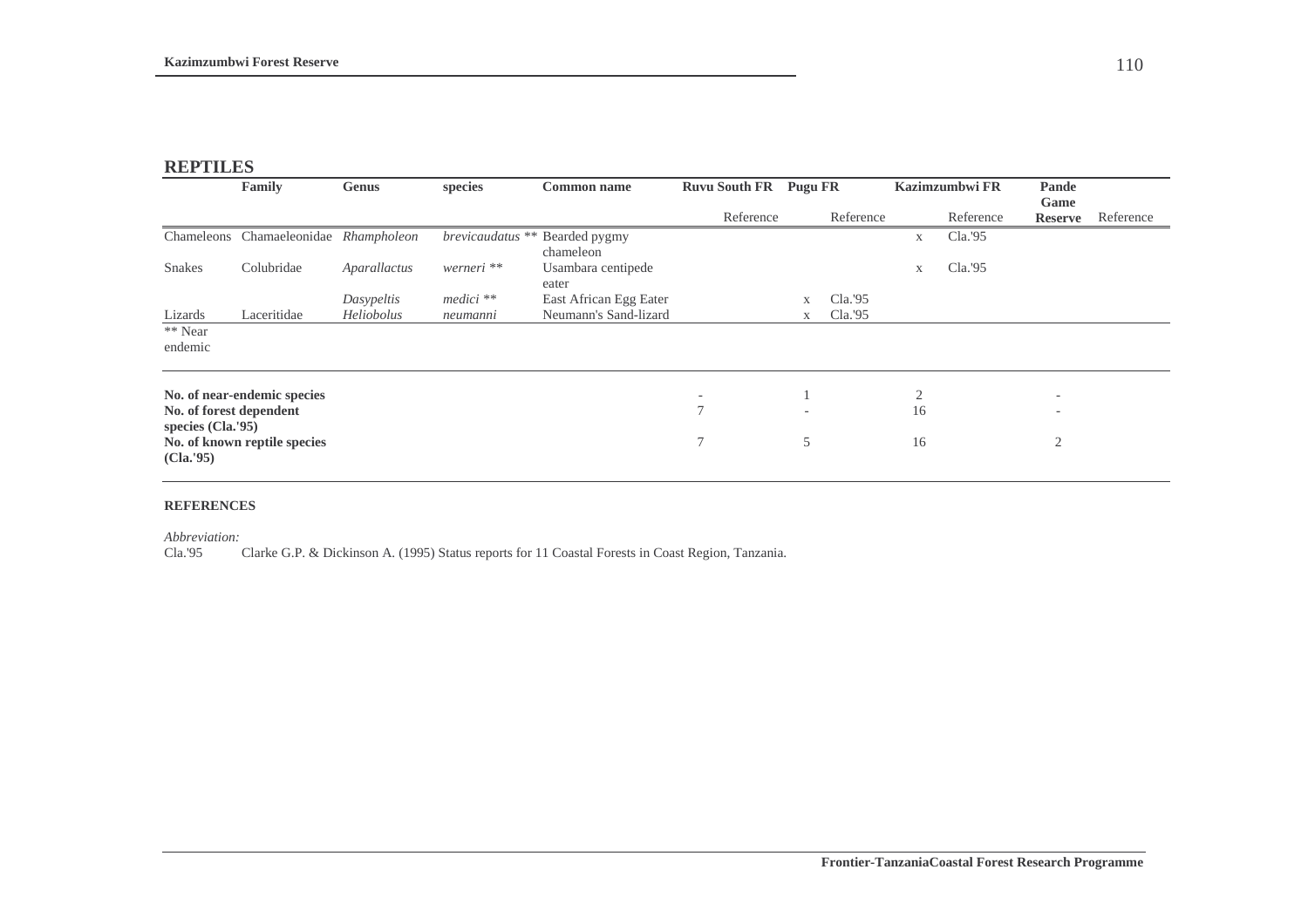## **REPTILES**

|                                | <b>Family</b>                | Genus        | species          | <b>Common name</b>          | <b>Ruvu South FR</b> | <b>Pugu FR</b> |           |                      | Kazimzumbwi FR | Pande                  |           |
|--------------------------------|------------------------------|--------------|------------------|-----------------------------|----------------------|----------------|-----------|----------------------|----------------|------------------------|-----------|
|                                |                              |              |                  |                             | Reference            |                | Reference |                      | Reference      | Game<br><b>Reserve</b> | Reference |
|                                | Chameleons Chamaeleonidae    | Rhampholeon  | brevicaudatus ** | Bearded pygmy<br>chameleon  |                      |                |           | $\mathbf{X}$         | Cla.95         |                        |           |
| <b>Snakes</b>                  | Colubridae                   | Aparallactus | werneri **       | Usambara centipede<br>eater |                      |                |           | $\mathbf X$          | Cla.'95        |                        |           |
|                                |                              | Dasypeltis   | $medici$ **      | East African Egg Eater      |                      | X              | Cla.'95   |                      |                |                        |           |
| Lizards                        | Laceritidae                  | Heliobolus   | neumanni         | Neumann's Sand-lizard       |                      | X              | Cla.'95   |                      |                |                        |           |
| ** Near<br>endemic             |                              |              |                  |                             |                      |                |           |                      |                |                        |           |
| No. of forest dependent        | No. of near-endemic species  |              |                  |                             | 7                    |                |           | $\overline{2}$<br>16 |                | -<br>$\qquad \qquad$   |           |
| species (Cla.'95)<br>(Cla.'95) | No. of known reptile species |              |                  |                             | 7                    | 5              |           | 16                   |                | $\overline{2}$         |           |

#### **REFERENCES**

*Abbreviation:*

Cla.'95 Clarke G.P. & Dickinson A. (1995) Status reports for 11 Coastal Forests in Coast Region, Tanzania.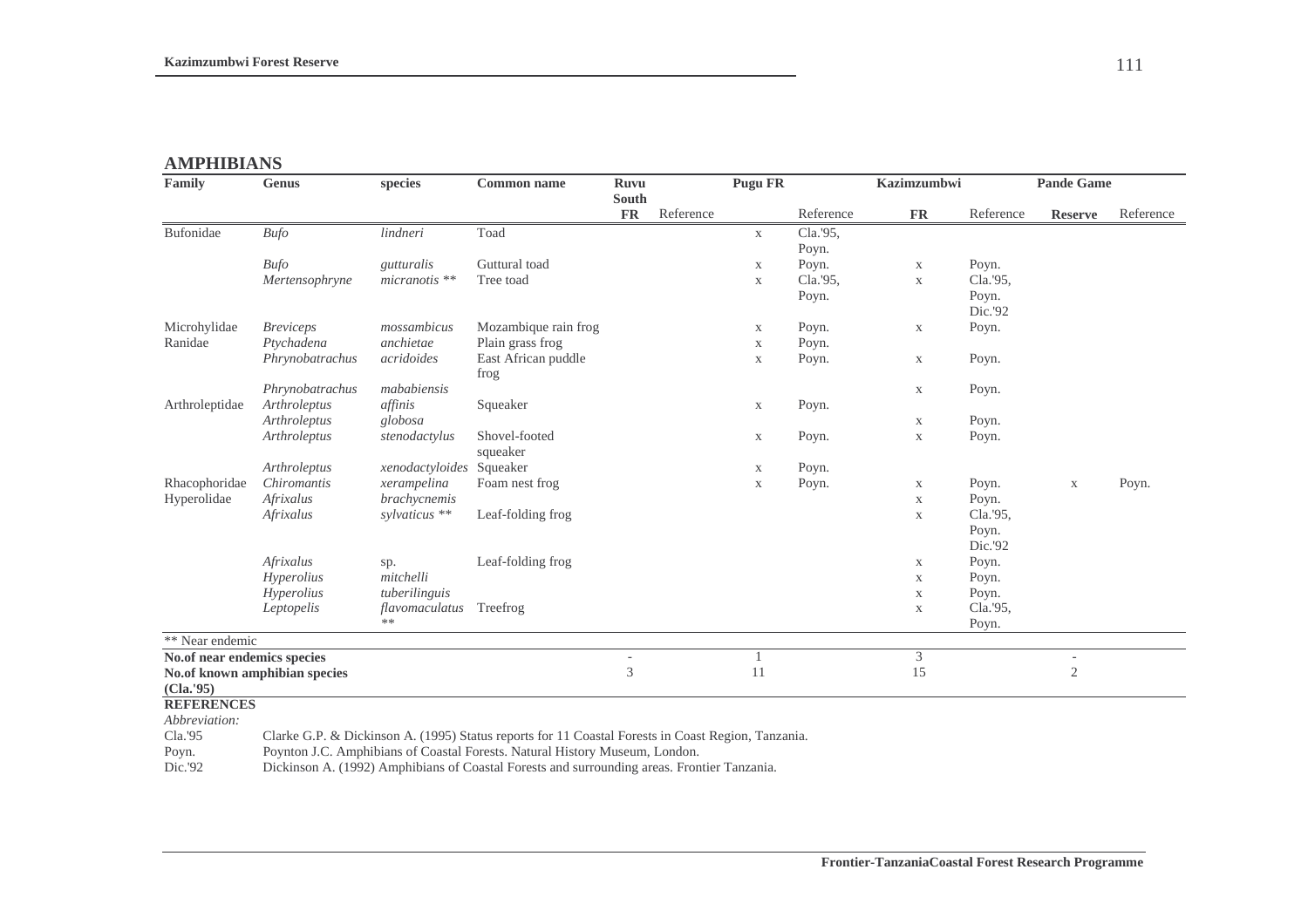# **AMPHIBIANS**

| Family                      | <b>Genus</b>                  | species                  | <b>Common name</b>          | <b>Ruvu</b>                   |           | Pugu FR     |           | <b>Kazimzumbwi</b> |                  | <b>Pande Game</b> |           |
|-----------------------------|-------------------------------|--------------------------|-----------------------------|-------------------------------|-----------|-------------|-----------|--------------------|------------------|-------------------|-----------|
|                             |                               |                          |                             | <b>South</b><br>$\mathbf{FR}$ | Reference |             | Reference | <b>FR</b>          | Reference        | <b>Reserve</b>    | Reference |
| Bufonidae                   | <b>Bufo</b>                   | lindneri                 | Toad                        |                               |           | $\mathbf X$ | Cla.'95,  |                    |                  |                   |           |
|                             |                               |                          |                             |                               |           |             | Poyn.     |                    |                  |                   |           |
|                             | <b>Bufo</b>                   | gutturalis               | Guttural toad               |                               |           | $\mathbf X$ | Poyn.     | $\mathbf X$        | Poyn.            |                   |           |
|                             | Mertensophryne                | micranotis **            | Tree toad                   |                               |           | $\mathbf X$ | Cla.'95,  | $\mathbf X$        | Cla.'95,         |                   |           |
|                             |                               |                          |                             |                               |           |             | Poyn.     |                    | Poyn.<br>Dic.'92 |                   |           |
| Microhylidae                | <b>Breviceps</b>              | mossambicus              | Mozambique rain frog        |                               |           | $\mathbf X$ | Poyn.     | $\mathbf X$        | Poyn.            |                   |           |
| Ranidae                     | Ptychadena                    | anchietae                | Plain grass frog            |                               |           | $\mathbf X$ | Poyn.     |                    |                  |                   |           |
|                             | Phrynobatrachus               | acridoides               | East African puddle<br>frog |                               |           | $\mathbf X$ | Poyn.     | $\mathbf X$        | Poyn.            |                   |           |
|                             | Phrynobatrachus               | mababiensis              |                             |                               |           |             |           | $\mathbf X$        | Poyn.            |                   |           |
| Arthroleptidae              | Arthroleptus                  | affinis                  | Squeaker                    |                               |           | $\mathbf X$ | Poyn.     |                    |                  |                   |           |
|                             | Arthroleptus                  | globosa                  |                             |                               |           |             |           | $\mathbf X$        | Poyn.            |                   |           |
|                             | Arthroleptus                  | stenodactylus            | Shovel-footed<br>squeaker   |                               |           | $\mathbf X$ | Poyn.     | $\mathbf X$        | Poyn.            |                   |           |
|                             | Arthroleptus                  | xenodactyloides Squeaker |                             |                               |           | $\mathbf X$ | Poyn.     |                    |                  |                   |           |
| Rhacophoridae               | Chiromantis                   | xerampelina              | Foam nest frog              |                               |           | $\mathbf X$ | Poyn.     | $\mathbf X$        | Poyn.            | $\mathbf X$       | Poyn.     |
| Hyperolidae                 | Afrixalus                     | <i>brachycnemis</i>      |                             |                               |           |             |           | $\mathbf X$        | Poyn.            |                   |           |
|                             | Afrixalus                     | sylvaticus **            | Leaf-folding frog           |                               |           |             |           | $\mathbf X$        | Cla.'95,         |                   |           |
|                             |                               |                          |                             |                               |           |             |           |                    | Poyn.            |                   |           |
|                             |                               |                          |                             |                               |           |             |           |                    | Dic.'92          |                   |           |
|                             | Afrixalus                     | sp.                      | Leaf-folding frog           |                               |           |             |           | $\mathbf X$        | Poyn.            |                   |           |
|                             | Hyperolius                    | mitchelli                |                             |                               |           |             |           | $\mathbf X$        | Poyn.            |                   |           |
|                             | Hyperolius                    | tuberilinguis            |                             |                               |           |             |           | $\mathbf X$        | Poyn.            |                   |           |
|                             | Leptopelis                    | flavomaculatus           | Treefrog                    |                               |           |             |           | $\mathbf X$        | Cla.'95,         |                   |           |
|                             |                               | $***$                    |                             |                               |           |             |           |                    | Poyn.            |                   |           |
| ** Near endemic             |                               |                          |                             |                               |           |             |           |                    |                  |                   |           |
| No.of near endemics species |                               |                          |                             |                               |           |             |           | 3                  |                  |                   |           |
|                             | No.of known amphibian species |                          |                             | 3                             |           | 11          |           | 15                 |                  | $\mathbf{2}$      |           |
| (Cla.'95)                   |                               |                          |                             |                               |           |             |           |                    |                  |                   |           |
| <b>REFERENCES</b>           |                               |                          |                             |                               |           |             |           |                    |                  |                   |           |
| Abbreviation:               |                               |                          |                             |                               |           |             |           |                    |                  |                   |           |

Cla.'95 Clarke G.P. & Dickinson A. (1995) Status reports for 11 Coastal Forests in Coast Region, Tanzania.<br>Poyn. Poynton J.C. Amphibians of Coastal Forests. Natural History Museum, London.

Poyn. Poynton J.C. Amphibians of Coastal Forests. Natural History Museum, London.

Dic.'92 Dickinson A. (1992) Amphibians of Coastal Forests and surrounding areas. Frontier Tanzania.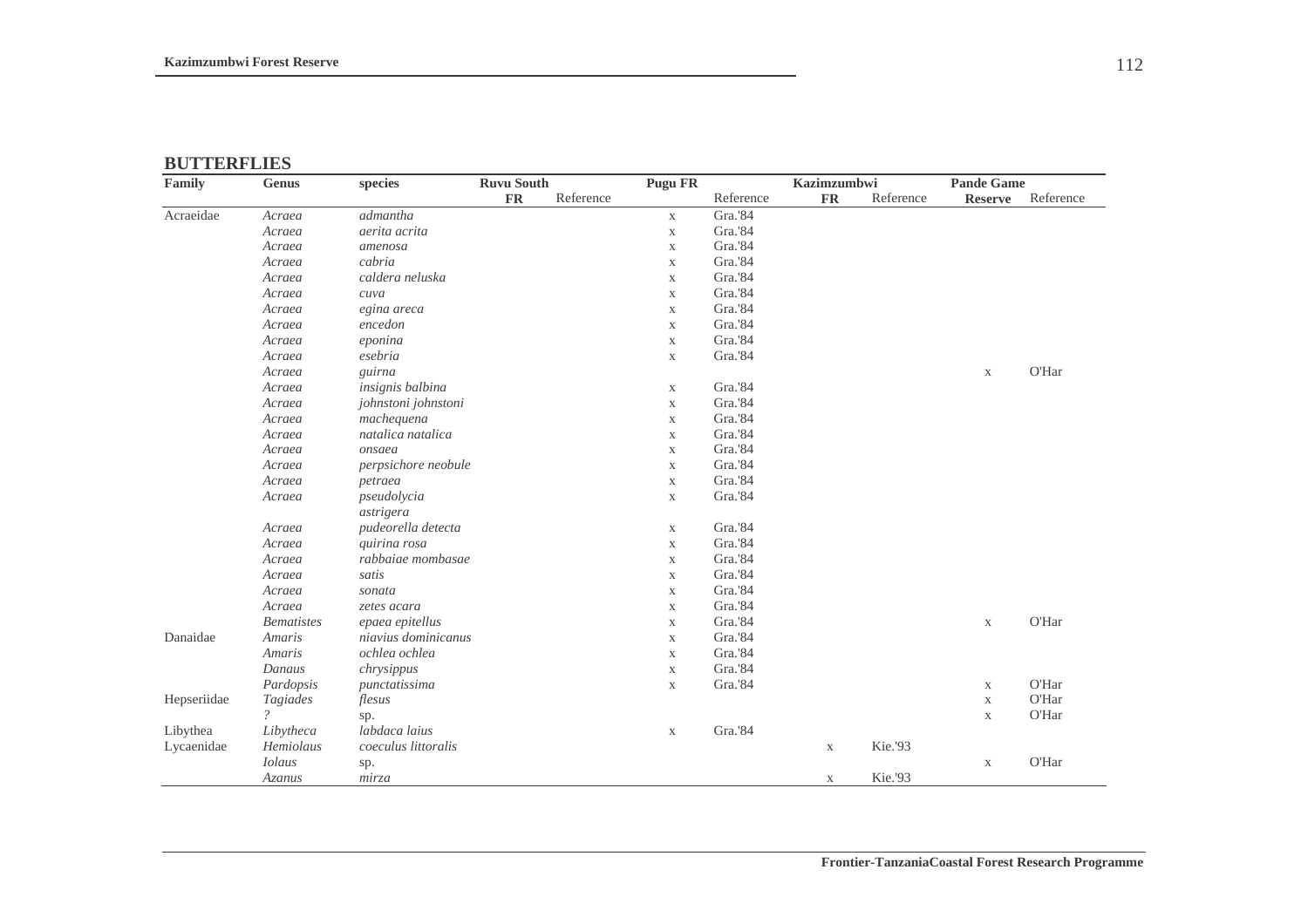### **BUTTERFLIES**

| Family      | <b>Genus</b>               | <b>Ruvu South</b><br>species |           |           | <b>Pugu FR</b> |           | Kazimzumbwi |           | <b>Pande Game</b> |           |
|-------------|----------------------------|------------------------------|-----------|-----------|----------------|-----------|-------------|-----------|-------------------|-----------|
|             |                            |                              | <b>FR</b> | Reference |                | Reference | <b>FR</b>   | Reference | <b>Reserve</b>    | Reference |
| Acraeidae   | Acraea                     | admantha                     |           |           | $\mathbf{X}$   | Gra.'84   |             |           |                   |           |
|             | Acraea                     | aerita acrita                |           |           | $\mathbf X$    | Gra.'84   |             |           |                   |           |
|             | Acraea                     | amenosa                      |           |           | $\mathbf X$    | Gra.'84   |             |           |                   |           |
|             | Acraea                     | cabria                       |           |           | $\mathbf X$    | Gra.'84   |             |           |                   |           |
|             | Acraea                     | caldera neluska              |           |           | $\mathbf X$    | Gra.'84   |             |           |                   |           |
|             | Acraea                     | cuva                         |           |           | $\mathbf X$    | Gra.'84   |             |           |                   |           |
|             | Acraea                     | egina areca                  |           |           | $\mathbf X$    | Gra.'84   |             |           |                   |           |
|             | Acraea                     | encedon                      |           |           | $\mathbf X$    | Gra.'84   |             |           |                   |           |
|             | Acraea                     | eponina                      |           |           | $\mathbf X$    | Gra.'84   |             |           |                   |           |
|             | Acraea                     | esebria                      |           |           | $\mathbf X$    | Gra.'84   |             |           |                   |           |
|             | Acraea                     | guirna                       |           |           |                |           |             |           | $\mathbf X$       | O'Har     |
|             | Acraea                     | insignis balbina             |           |           | $\mathbf X$    | Gra.'84   |             |           |                   |           |
|             | Acraea                     | johnstoni johnstoni          |           |           | $\mathbf X$    | Gra.'84   |             |           |                   |           |
|             | Acraea                     | machequena                   |           |           | $\mathbf X$    | Gra.'84   |             |           |                   |           |
|             | Acraea                     | natalica natalica            |           |           | $\mathbf X$    | Gra.'84   |             |           |                   |           |
|             | Acraea                     | onsaea                       |           |           | $\mathbf X$    | Gra.'84   |             |           |                   |           |
|             | Acraea                     | perpsichore neobule          |           |           | $\mathbf X$    | Gra.'84   |             |           |                   |           |
|             | Acraea                     | petraea                      |           |           | $\mathbf X$    | Gra.'84   |             |           |                   |           |
|             | Acraea                     | pseudolycia                  |           |           | $\mathbf X$    | Gra.'84   |             |           |                   |           |
|             |                            | astrigera                    |           |           |                |           |             |           |                   |           |
|             | Acraea                     | pudeorella detecta           |           |           | $\mathbf X$    | Gra.'84   |             |           |                   |           |
|             | Acraea                     | quirina rosa                 |           |           | $\mathbf X$    | Gra.'84   |             |           |                   |           |
|             | Acraea                     | rabbaiae mombasae            |           |           | $\mathbf X$    | Gra.'84   |             |           |                   |           |
|             | Acraea                     | satis                        |           |           | $\mathbf X$    | Gra.'84   |             |           |                   |           |
|             | Acraea                     | sonata                       |           |           | $\mathbf X$    | Gra.'84   |             |           |                   |           |
|             | Acraea                     | zetes acara                  |           |           | $\mathbf X$    | Gra.'84   |             |           |                   |           |
|             | <b>Bematistes</b>          | epaea epitellus              |           |           | $\mathbf X$    | Gra.'84   |             |           | $\mathbf X$       | O'Har     |
| Danaidae    | <b>Amaris</b>              | niavius dominicanus          |           |           | $\mathbf X$    | Gra.'84   |             |           |                   |           |
|             | <b>Amaris</b>              | ochlea ochlea                |           |           | $\mathbf X$    | Gra.'84   |             |           |                   |           |
|             | Danaus                     | chrysippus                   |           |           | $\mathbf X$    | Gra.'84   |             |           |                   |           |
|             | Pardopsis                  | punctatissima                |           |           | $\mathbf X$    | Gra.'84   |             |           | $\mathbf X$       | O'Har     |
| Hepseriidae | Tagiades                   | flesus                       |           |           |                |           |             |           | $\mathbf X$       | O'Har     |
|             | $\boldsymbol{\mathcal{P}}$ | sp.                          |           |           |                |           |             |           | $\mathbf X$       | O'Har     |
| Libythea    | Libytheca                  | labdaca laius                |           |           | $\mathbf X$    | Gra.'84   |             |           |                   |           |
| Lycaenidae  | Hemiolaus                  | coeculus littoralis          |           |           |                |           | $\mathbf X$ | Kie.'93   |                   |           |
|             | <b>Iolaus</b>              | sp.                          |           |           |                |           |             |           | $\mathbf X$       | O'Har     |
|             | Azanus                     | mirza                        |           |           |                |           | $\mathbf X$ | Kie.'93   |                   |           |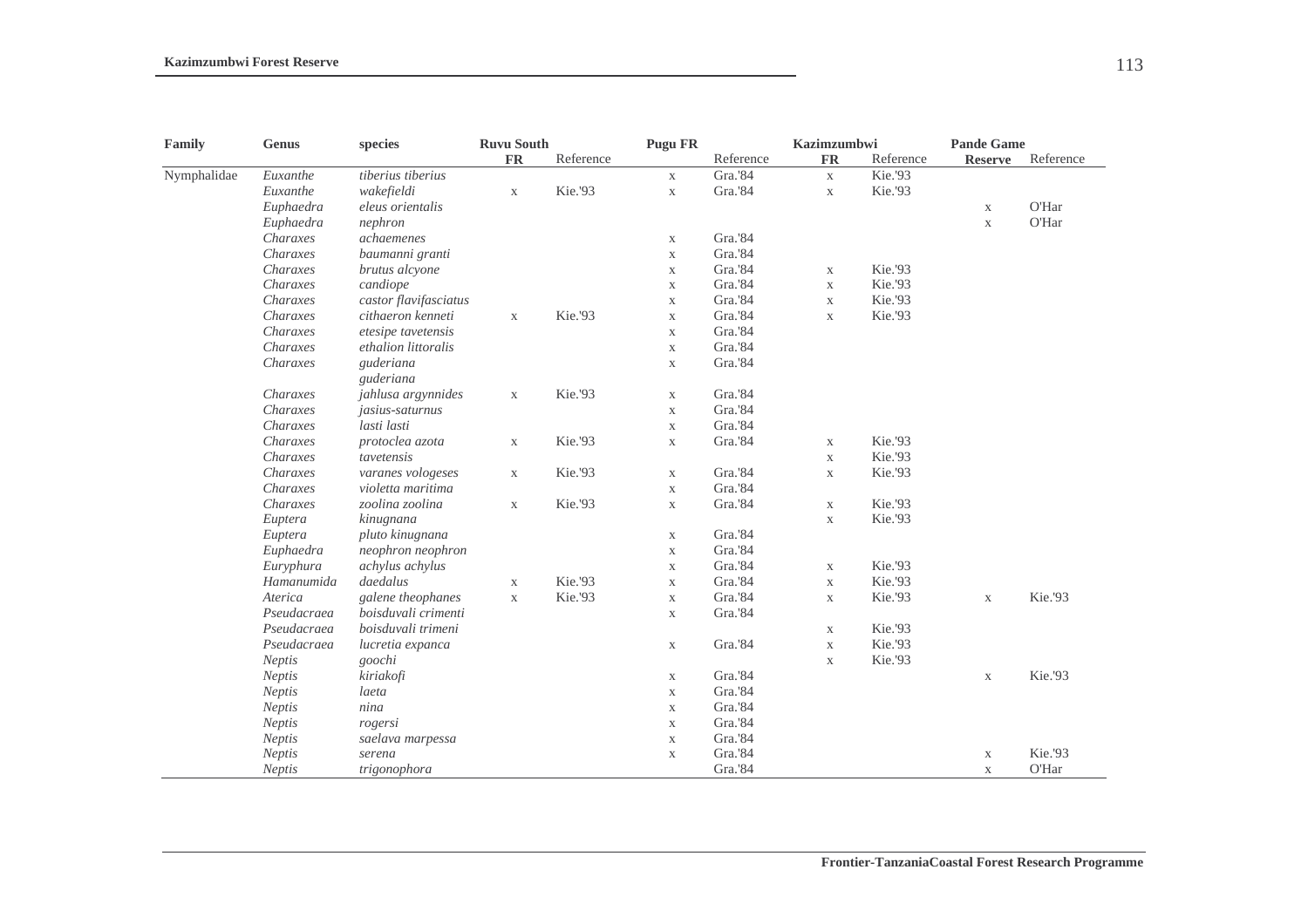| Family      | Genus         | species                | <b>Ruvu South</b> |           | <b>Pugu FR</b> |           | Kazimzumbwi |           | <b>Pande Game</b> |           |
|-------------|---------------|------------------------|-------------------|-----------|----------------|-----------|-------------|-----------|-------------------|-----------|
|             |               |                        | <b>FR</b>         | Reference |                | Reference | <b>FR</b>   | Reference | <b>Reserve</b>    | Reference |
| Nymphalidae | Euxanthe      | tiberius tiberius      |                   |           | $\mathbf X$    | Gra.'84   | $\mathbf X$ | Kie.'93   |                   |           |
|             | Euxanthe      | wakefieldi             | $\mathbf X$       | Kie.'93   | $\mathbf X$    | Gra.'84   | $\mathbf X$ | Kie.'93   |                   |           |
|             | Euphaedra     | eleus orientalis       |                   |           |                |           |             |           | $\mathbf X$       | O'Har     |
|             | Euphaedra     | nephron                |                   |           |                |           |             |           | $\mathbf X$       | O'Har     |
|             | Charaxes      | achaemenes             |                   |           | $\mathbf X$    | Gra.'84   |             |           |                   |           |
|             | Charaxes      | baumanni granti        |                   |           | $\mathbf X$    | Gra.'84   |             |           |                   |           |
|             | Charaxes      | brutus alcyone         |                   |           | $\mathbf X$    | Gra.'84   | $\mathbf X$ | Kie.'93   |                   |           |
|             | Charaxes      | candiope               |                   |           | $\mathbf X$    | Gra.'84   | $\mathbf X$ | Kie.'93   |                   |           |
|             | Charaxes      | castor flavifasciatus  |                   |           | $\mathbf X$    | Gra.'84   | $\mathbf X$ | Kie.'93   |                   |           |
|             | Charaxes      | cithaeron kenneti      | $\mathbf X$       | Kie.'93   | $\mathbf X$    | Gra.'84   | $\mathbf X$ | Kie.'93   |                   |           |
|             | Charaxes      | etesipe tavetensis     |                   |           | $\mathbf X$    | Gra.'84   |             |           |                   |           |
|             | Charaxes      | ethalion littoralis    |                   |           | $\mathbf X$    | Gra.'84   |             |           |                   |           |
|             | Charaxes      | guderiana<br>guderiana |                   |           | $\mathbf X$    | Gra.'84   |             |           |                   |           |
|             | Charaxes      | jahlusa argynnides     | $\mathbf X$       | Kie.'93   | $\mathbf X$    | Gra.'84   |             |           |                   |           |
|             | Charaxes      | jasius-saturnus        |                   |           | $\mathbf X$    | Gra.'84   |             |           |                   |           |
|             | Charaxes      | lasti lasti            |                   |           | $\mathbf X$    | Gra.'84   |             |           |                   |           |
|             | Charaxes      | protoclea azota        | $\mathbf X$       | Kie.'93   | $\mathbf X$    | Gra.'84   | $\mathbf X$ | Kie.'93   |                   |           |
|             | Charaxes      | tavetensis             |                   |           |                |           | $\mathbf X$ | Kie.'93   |                   |           |
|             | Charaxes      | varanes vologeses      | $\mathbf X$       | Kie.'93   | $\mathbf X$    | Gra.'84   | $\mathbf X$ | Kie.'93   |                   |           |
|             | Charaxes      | violetta maritima      |                   |           | $\mathbf X$    | Gra.'84   |             |           |                   |           |
|             | Charaxes      | zoolina zoolina        | $\mathbf X$       | Kie.'93   | $\mathbf X$    | Gra.'84   | $\mathbf X$ | Kie.'93   |                   |           |
|             | Euptera       | kinugnana              |                   |           |                |           | $\mathbf X$ | Kie.'93   |                   |           |
|             | Euptera       | pluto kinugnana        |                   |           | $\mathbf X$    | Gra.'84   |             |           |                   |           |
|             | Euphaedra     | neophron neophron      |                   |           | $\mathbf X$    | Gra.'84   |             |           |                   |           |
|             | Euryphura     | achylus achylus        |                   |           | $\mathbf X$    | Gra.'84   | $\mathbf X$ | Kie.'93   |                   |           |
|             | Hamanumida    | daedalus               | $\mathbf X$       | Kie.'93   | $\mathbf X$    | Gra.'84   | $\mathbf X$ | Kie.'93   |                   |           |
|             | Aterica       | galene theophanes      | $\mathbf X$       | Kie.'93   | $\mathbf X$    | Gra.'84   | $\mathbf X$ | Kie.'93   | $\mathbf X$       | Kie.'93   |
|             | Pseudacraea   | boisduvali crimenti    |                   |           | $\mathbf X$    | Gra.'84   |             |           |                   |           |
|             | Pseudacraea   | boisduvali trimeni     |                   |           |                |           | $\mathbf X$ | Kie.'93   |                   |           |
|             | Pseudacraea   | lucretia expanca       |                   |           | $\mathbf X$    | Gra.'84   | $\mathbf X$ | Kie.'93   |                   |           |
|             | Neptis        | goochi                 |                   |           |                |           | $\mathbf X$ | Kie.'93   |                   |           |
|             | Neptis        | kiriakofi              |                   |           | $\mathbf X$    | Gra.'84   |             |           | $\mathbf X$       | Kie.'93   |
|             | <b>Neptis</b> | laeta                  |                   |           | $\mathbf X$    | Gra.'84   |             |           |                   |           |
|             | Neptis        | nina                   |                   |           | $\mathbf X$    | Gra.'84   |             |           |                   |           |
|             | <b>Neptis</b> | rogersi                |                   |           | $\mathbf X$    | Gra.'84   |             |           |                   |           |
|             | <b>Neptis</b> | saelava marpessa       |                   |           | $\mathbf X$    | Gra.'84   |             |           |                   |           |
|             | <b>Neptis</b> | serena                 |                   |           | $\mathbf X$    | Gra.'84   |             |           | $\mathbf X$       | Kie.'93   |
|             | <b>Neptis</b> | trigonophora           |                   |           |                | Gra.'84   |             |           | $\mathbf{X}$      | O'Har     |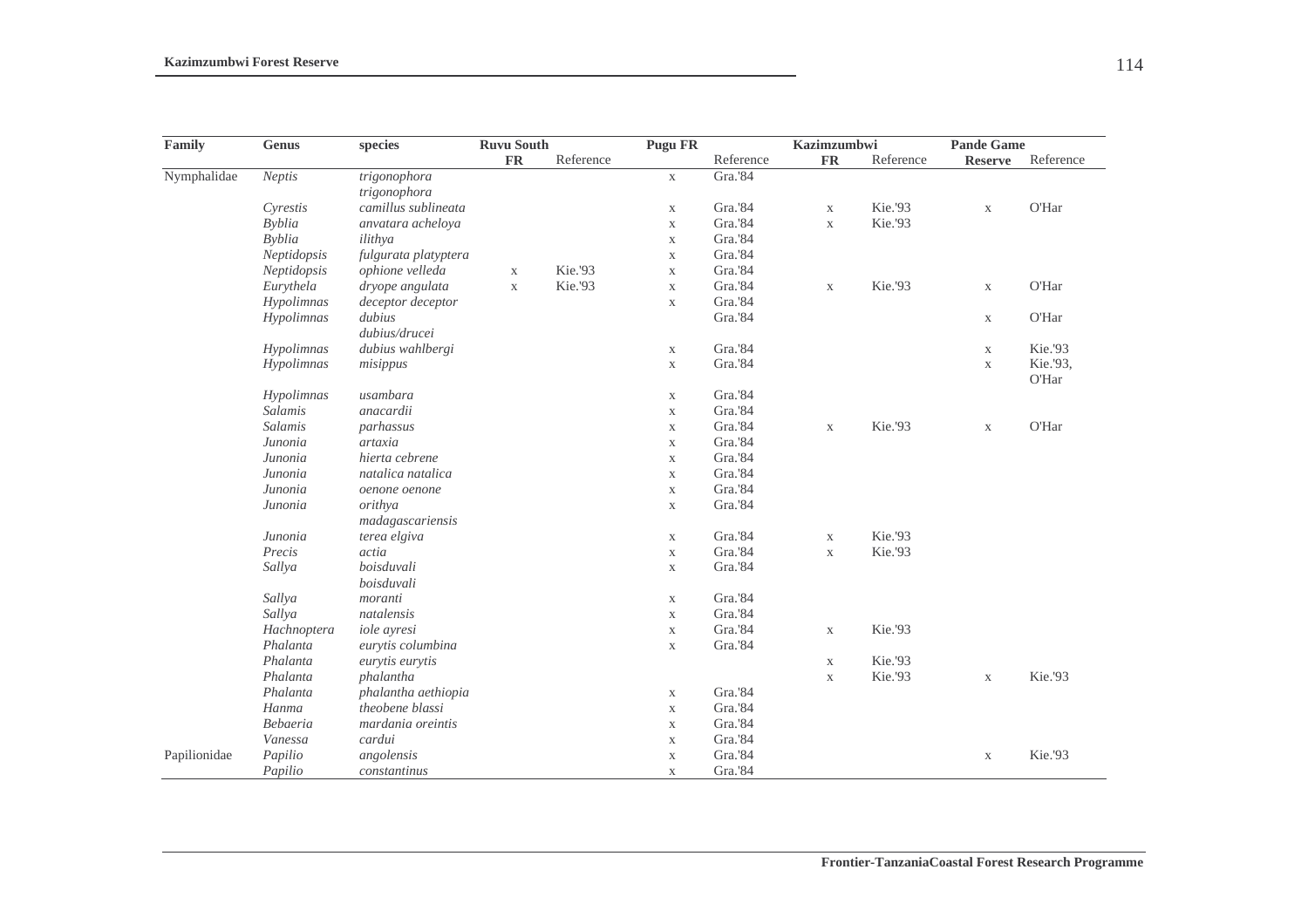| Family       | <b>Genus</b>  | species              | <b>Ruvu South</b> |           | <b>Pugu FR</b> |           | <b>Kazimzumbwi</b> |           | <b>Pande Game</b> |           |
|--------------|---------------|----------------------|-------------------|-----------|----------------|-----------|--------------------|-----------|-------------------|-----------|
|              |               |                      | $\mathbf{FR}$     | Reference |                | Reference | <b>FR</b>          | Reference | <b>Reserve</b>    | Reference |
| Nymphalidae  | Neptis        | trigonophora         |                   |           | $\mathbf X$    | Gra.'84   |                    |           |                   |           |
|              |               | trigonophora         |                   |           |                |           |                    |           |                   |           |
|              | Cyrestis      | camillus sublineata  |                   |           | $\mathbf X$    | Gra.'84   | $\mathbf X$        | Kie.'93   | $\mathbf X$       | O'Har     |
|              | <b>Byblia</b> | anvatara acheloya    |                   |           | $\mathbf X$    | Gra.'84   | $\mathbf X$        | Kie.'93   |                   |           |
|              | <b>Byblia</b> | ilithya              |                   |           | $\mathbf X$    | Gra.'84   |                    |           |                   |           |
|              | Neptidopsis   | fulgurata platyptera |                   |           | $\mathbf X$    | Gra.'84   |                    |           |                   |           |
|              | Neptidopsis   | ophione velleda      | $\mathbf X$       | Kie.'93   | $\mathbf X$    | Gra.'84   |                    |           |                   |           |
|              | Eurythela     | dryope angulata      | $\mathbf X$       | Kie.'93   | $\mathbf X$    | Gra.'84   | $\mathbf X$        | Kie.'93   | $\mathbf X$       | O'Har     |
|              | Hypolimnas    | deceptor deceptor    |                   |           | $\mathbf X$    | Gra.'84   |                    |           |                   |           |
|              | Hypolimnas    | dubius               |                   |           |                | Gra.'84   |                    |           | $\mathbf X$       | O'Har     |
|              |               | dubius/drucei        |                   |           |                |           |                    |           |                   |           |
|              | Hypolimnas    | dubius wahlbergi     |                   |           | $\mathbf X$    | Gra.'84   |                    |           | $\mathbf X$       | Kie.'93   |
|              | Hypolimnas    | misippus             |                   |           | $\mathbf X$    | Gra.'84   |                    |           | $\mathbf X$       | Kie.'93,  |
|              |               |                      |                   |           |                |           |                    |           |                   | O'Har     |
|              | Hypolimnas    | usambara             |                   |           | $\mathbf X$    | Gra.'84   |                    |           |                   |           |
|              | Salamis       | anacardii            |                   |           | $\mathbf X$    | Gra.'84   |                    |           |                   |           |
|              | Salamis       | parhassus            |                   |           | $\mathbf X$    | Gra.'84   | $\mathbf X$        | Kie.'93   | $\mathbf X$       | O'Har     |
|              | Junonia       | artaxia              |                   |           | $\mathbf X$    | Gra.'84   |                    |           |                   |           |
|              | Junonia       | hierta cebrene       |                   |           | $\mathbf X$    | Gra.'84   |                    |           |                   |           |
|              | Junonia       | natalica natalica    |                   |           | $\mathbf X$    | Gra.'84   |                    |           |                   |           |
|              | Junonia       | oenone oenone        |                   |           | $\mathbf X$    | Gra.'84   |                    |           |                   |           |
|              | Junonia       | orithya              |                   |           | $\mathbf X$    | Gra.'84   |                    |           |                   |           |
|              |               | madagascariensis     |                   |           |                |           |                    |           |                   |           |
|              | Junonia       | terea elgiva         |                   |           | $\mathbf X$    | Gra.'84   | $\mathbf X$        | Kie.'93   |                   |           |
|              | Precis        | actia                |                   |           | $\mathbf X$    | Gra.'84   | $\mathbf X$        | Kie.'93   |                   |           |
|              | Sallya        | boisduvali           |                   |           | $\mathbf X$    | Gra.'84   |                    |           |                   |           |
|              |               | boisduvali           |                   |           |                |           |                    |           |                   |           |
|              | Sallya        | moranti              |                   |           | $\mathbf X$    | Gra.'84   |                    |           |                   |           |
|              | Sallya        | natalensis           |                   |           | $\mathbf X$    | Gra.'84   |                    |           |                   |           |
|              | Hachnoptera   | iole ayresi          |                   |           | $\mathbf X$    | Gra.'84   | $\mathbf X$        | Kie.'93   |                   |           |
|              | Phalanta      | eurytis columbina    |                   |           | $\mathbf X$    | Gra.'84   |                    |           |                   |           |
|              | Phalanta      | eurytis eurytis      |                   |           |                |           | $\mathbf X$        | Kie.'93   |                   |           |
|              | Phalanta      | phalantha            |                   |           |                |           | $\mathbf X$        | Kie.'93   | $\mathbf X$       | Kie.'93   |
|              | Phalanta      | phalantha aethiopia  |                   |           | $\mathbf X$    | Gra.'84   |                    |           |                   |           |
|              | Hanma         | theobene blassi      |                   |           | $\mathbf X$    | Gra.'84   |                    |           |                   |           |
|              | Bebaeria      | mardania oreintis    |                   |           | $\mathbf X$    | Gra.'84   |                    |           |                   |           |
|              | Vanessa       | cardui               |                   |           | $\mathbf X$    | Gra.'84   |                    |           |                   |           |
| Papilionidae | Papilio       | angolensis           |                   |           | $\mathbf X$    | Gra.'84   |                    |           | $\mathbf X$       | Kie.'93   |
|              | Papilio       | constantinus         |                   |           | $\mathbf X$    | Gra.'84   |                    |           |                   |           |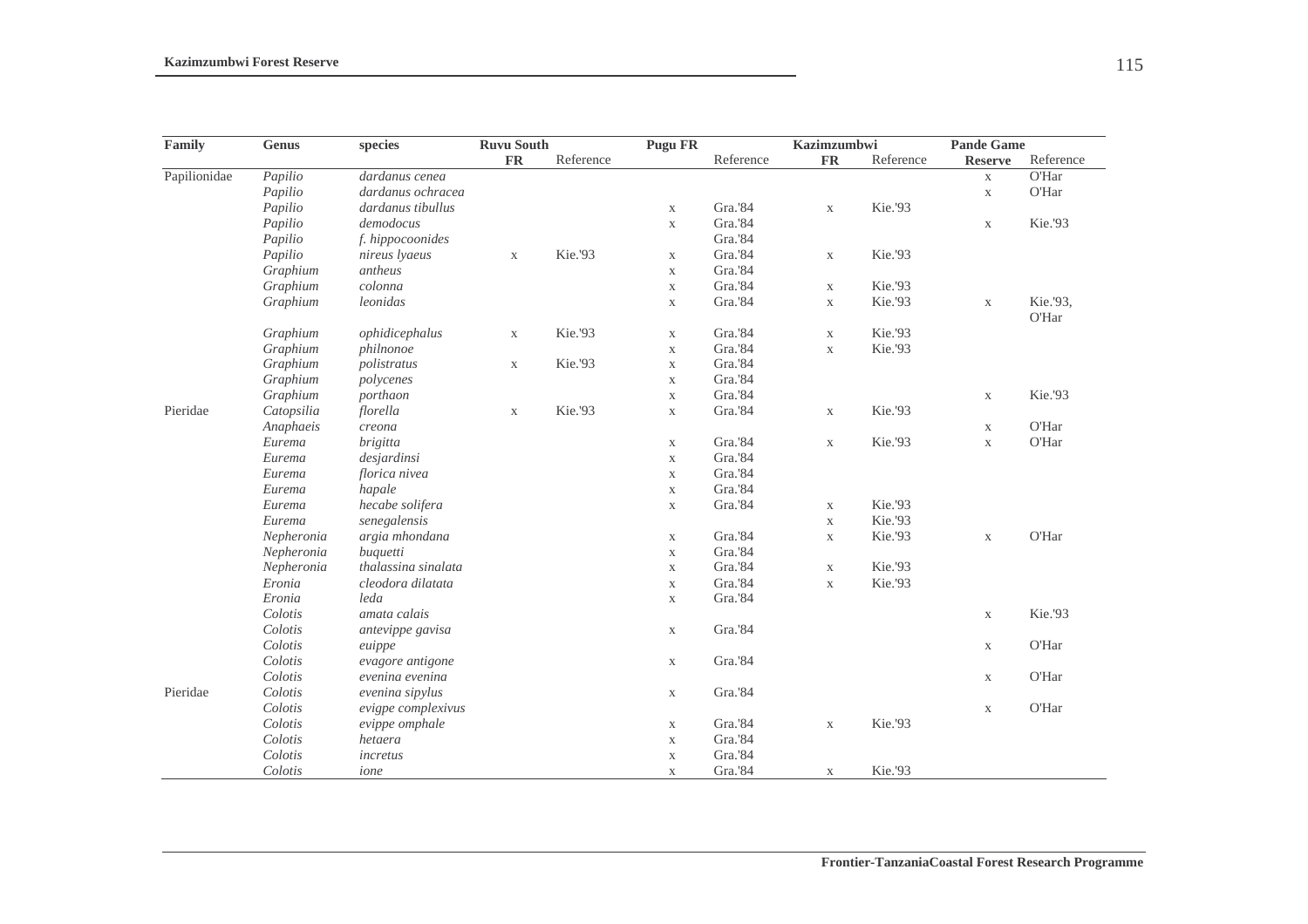| Family       | Genus      | species             | <b>Ruvu South</b> |           | <b>Pugu FR</b> |           | <b>Kazimzumbwi</b> |           | <b>Pande Game</b> |           |
|--------------|------------|---------------------|-------------------|-----------|----------------|-----------|--------------------|-----------|-------------------|-----------|
|              |            |                     | <b>FR</b>         | Reference |                | Reference | <b>FR</b>          | Reference | <b>Reserve</b>    | Reference |
| Papilionidae | Papilio    | dardanus cenea      |                   |           |                |           |                    |           | $\mathbf X$       | O'Har     |
|              | Papilio    | dardanus ochracea   |                   |           |                |           |                    |           | $\mathbf X$       | O'Har     |
|              | Papilio    | dardanus tibullus   |                   |           | $\mathbf X$    | Gra.'84   | $\mathbf X$        | Kie.'93   |                   |           |
|              | Papilio    | demodocus           |                   |           | $\mathbf X$    | Gra.'84   |                    |           | $\mathbf X$       | Kie.'93   |
|              | Papilio    | f. hippocoonides    |                   |           |                | Gra.'84   |                    |           |                   |           |
|              | Papilio    | nireus lyaeus       | $\mathbf X$       | Kie.'93   | $\mathbf X$    | Gra.'84   | $\mathbf X$        | Kie.'93   |                   |           |
|              | Graphium   | antheus             |                   |           | $\mathbf X$    | Gra.'84   |                    |           |                   |           |
|              | Graphium   | colonna             |                   |           | $\mathbf X$    | Gra.'84   | $\mathbf X$        | Kie.'93   |                   |           |
|              | Graphium   | leonidas            |                   |           | $\mathbf X$    | Gra.'84   | $\mathbf X$        | Kie.'93   | $\mathbf X$       | Kie.'93,  |
|              |            |                     |                   |           |                |           |                    |           |                   | O'Har     |
|              | Graphium   | ophidicephalus      | $\mathbf X$       | Kie.'93   | $\mathbf X$    | Gra.'84   | $\mathbf X$        | Kie.'93   |                   |           |
|              | Graphium   | philnonoe           |                   |           | $\mathbf X$    | Gra.'84   | $\mathbf X$        | Kie.'93   |                   |           |
|              | Graphium   | polistratus         | $\mathbf X$       | Kie.'93   | $\mathbf X$    | Gra.'84   |                    |           |                   |           |
|              | Graphium   | polycenes           |                   |           | $\mathbf X$    | Gra.'84   |                    |           |                   |           |
|              | Graphium   | porthaon            |                   |           | $\mathbf X$    | Gra.'84   |                    |           | $\mathbf X$       | Kie.'93   |
| Pieridae     | Catopsilia | florella            | $\mathbf X$       | Kie.'93   | $\mathbf X$    | Gra.'84   | $\mathbf X$        | Kie.'93   |                   |           |
|              | Anaphaeis  | creona              |                   |           |                |           |                    |           | $\mathbf X$       | O'Har     |
|              | Eurema     | <i>brigitta</i>     |                   |           | $\mathbf X$    | Gra.'84   | $\mathbf X$        | Kie.'93   | $\mathbf X$       | O'Har     |
|              | Eurema     | desjardinsi         |                   |           | $\mathbf X$    | Gra.'84   |                    |           |                   |           |
|              | Eurema     | florica nivea       |                   |           | $\mathbf X$    | Gra.'84   |                    |           |                   |           |
|              | Eurema     | hapale              |                   |           | $\mathbf X$    | Gra.'84   |                    |           |                   |           |
|              | Eurema     | hecabe solifera     |                   |           | $\mathbf X$    | Gra.'84   | $\mathbf X$        | Kie.'93   |                   |           |
|              | Eurema     | senegalensis        |                   |           |                |           | $\mathbf X$        | Kie.'93   |                   |           |
|              | Nepheronia | argia mhondana      |                   |           | $\mathbf X$    | Gra.'84   | $\mathbf X$        | Kie.'93   | $\mathbf X$       | O'Har     |
|              | Nepheronia | buquetti            |                   |           | $\mathbf X$    | Gra.'84   |                    |           |                   |           |
|              | Nepheronia | thalassina sinalata |                   |           | $\mathbf X$    | Gra.'84   | $\mathbf X$        | Kie.'93   |                   |           |
|              | Eronia     | cleodora dilatata   |                   |           | $\mathbf X$    | Gra.'84   | $\mathbf X$        | Kie.'93   |                   |           |
|              | Eronia     | leda                |                   |           | $\mathbf X$    | Gra.'84   |                    |           |                   |           |
|              | Colotis    | amata calais        |                   |           |                |           |                    |           | $\mathbf X$       | Kie.'93   |
|              | Colotis    | antevippe gavisa    |                   |           | $\mathbf X$    | Gra.'84   |                    |           |                   |           |
|              | Colotis    | euippe              |                   |           |                |           |                    |           | $\mathbf X$       | O'Har     |
|              | Colotis    | evagore antigone    |                   |           | $\mathbf X$    | Gra.'84   |                    |           |                   |           |
|              | Colotis    | evenina evenina     |                   |           |                |           |                    |           | X                 | O'Har     |
| Pieridae     | Colotis    | evenina sipylus     |                   |           | $\mathbf X$    | Gra.'84   |                    |           |                   |           |
|              | Colotis    | evigpe complexivus  |                   |           |                |           |                    |           | $\mathbf X$       | O'Har     |
|              | Colotis    | evippe omphale      |                   |           | $\mathbf X$    | Gra.'84   | $\mathbf X$        | Kie.'93   |                   |           |
|              | Colotis    | hetaera             |                   |           | $\mathbf X$    | Gra.'84   |                    |           |                   |           |
|              | Colotis    | incretus            |                   |           | $\mathbf X$    | Gra.'84   |                    |           |                   |           |
|              | Colotis    | ione                |                   |           | $\mathbf X$    | Gra.'84   | $\mathbf X$        | Kie.'93   |                   |           |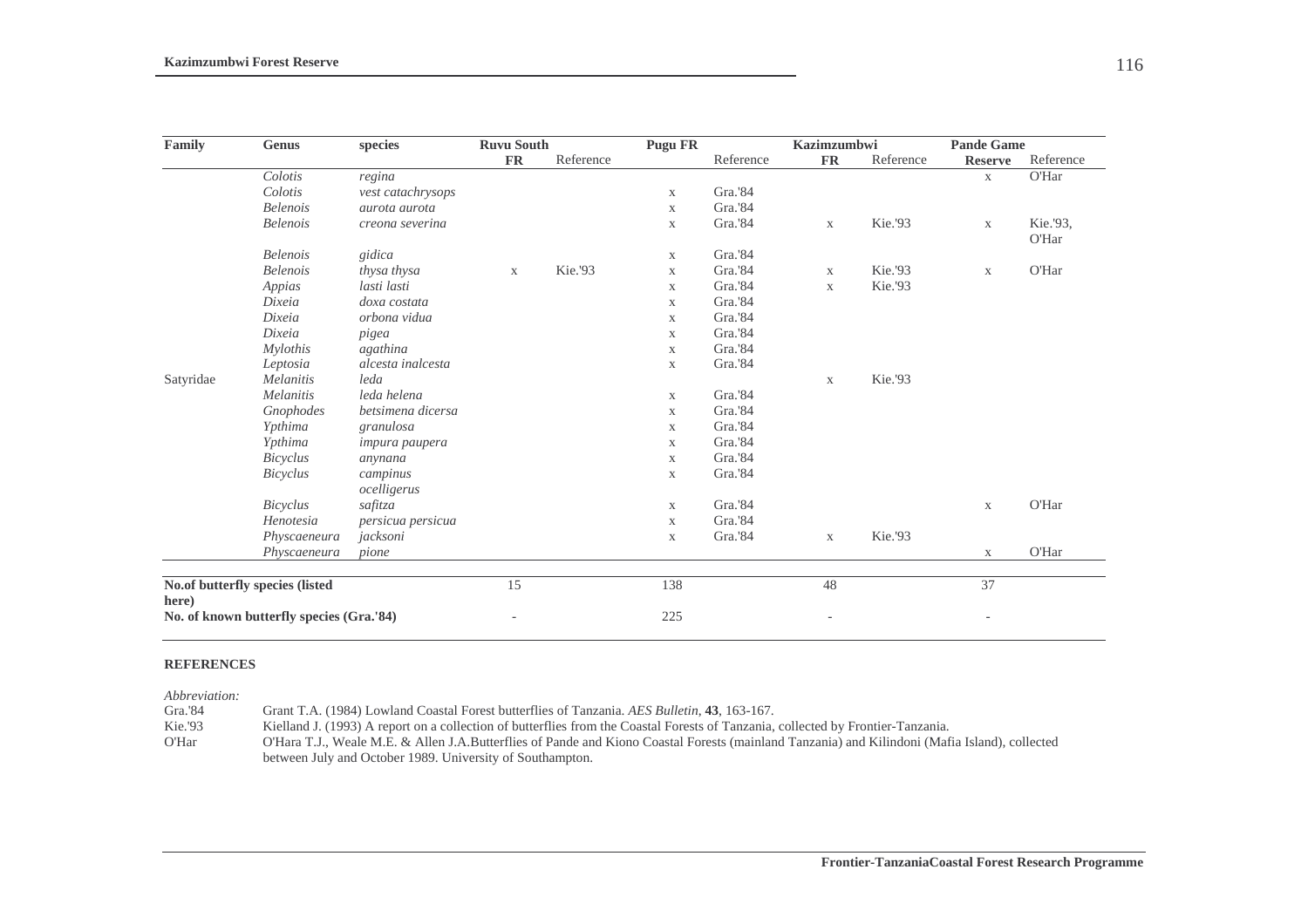| Family                                            | <b>Genus</b>    | species                 | <b>Ruvu South</b> |           | <b>Pugu FR</b> |           | <b>Kazimzumbwi</b>  |           | <b>Pande Game</b> |                   |
|---------------------------------------------------|-----------------|-------------------------|-------------------|-----------|----------------|-----------|---------------------|-----------|-------------------|-------------------|
|                                                   |                 |                         | <b>FR</b>         | Reference |                | Reference | ${\rm \mathbf{FR}}$ | Reference | <b>Reserve</b>    | Reference         |
|                                                   | Colotis         | regina                  |                   |           |                |           |                     |           | $\mathbf X$       | O'Har             |
|                                                   | Colotis         | vest catachrysops       |                   |           | $\mathbf X$    | Gra.'84   |                     |           |                   |                   |
|                                                   | <b>Belenois</b> | aurota aurota           |                   |           | $\mathbf X$    | Gra.'84   |                     |           |                   |                   |
|                                                   | <b>Belenois</b> | creona severina         |                   |           | $\mathbf X$    | Gra.'84   | $\mathbf X$         | Kie.'93   | $\mathbf X$       | Kie.'93,<br>O'Har |
|                                                   | <b>Belenois</b> | gidica                  |                   |           | $\mathbf X$    | Gra.'84   |                     |           |                   |                   |
|                                                   | <b>Belenois</b> | thysa thysa             | $\mathbf X$       | Kie.'93   | $\mathbf X$    | Gra.'84   | $\mathbf X$         | Kie.'93   | $\mathbf X$       | O'Har             |
|                                                   | Appias          | lasti lasti             |                   |           | $\mathbf X$    | Gra.'84   | $\mathbf X$         | Kie.'93   |                   |                   |
|                                                   | Dixeia          | doxa costata            |                   |           | $\mathbf X$    | Gra.'84   |                     |           |                   |                   |
|                                                   | Dixeia          | orbona vidua            |                   |           | $\mathbf X$    | Gra.'84   |                     |           |                   |                   |
|                                                   | Dixeia          | pigea                   |                   |           | $\mathbf X$    | Gra.'84   |                     |           |                   |                   |
|                                                   | <b>Mylothis</b> | agathina                |                   |           | $\mathbf X$    | Gra.'84   |                     |           |                   |                   |
|                                                   | Leptosia        | alcesta inalcesta       |                   |           | $\mathbf X$    | Gra.'84   |                     |           |                   |                   |
| Satyridae                                         | Melanitis       | leda                    |                   |           |                |           | $\mathbf X$         | Kie.'93   |                   |                   |
|                                                   | Melanitis       | leda helena             |                   |           | $\mathbf X$    | Gra.'84   |                     |           |                   |                   |
|                                                   | Gnophodes       | betsimena dicersa       |                   |           | $\mathbf X$    | Gra.'84   |                     |           |                   |                   |
|                                                   | Ypthima         | granulosa               |                   |           | $\mathbf X$    | Gra.'84   |                     |           |                   |                   |
|                                                   | Ypthima         | <i>impura paupera</i>   |                   |           | $\mathbf X$    | Gra.'84   |                     |           |                   |                   |
|                                                   | <b>Bicyclus</b> | anynana                 |                   |           | $\mathbf X$    | Gra.'84   |                     |           |                   |                   |
|                                                   | Bicyclus        | campinus<br>ocelligerus |                   |           | $\mathbf X$    | Gra.'84   |                     |           |                   |                   |
|                                                   | <b>Bicyclus</b> | safitza                 |                   |           | $\mathbf X$    | Gra.'84   |                     |           | $\mathbf X$       | O'Har             |
|                                                   | Henotesia       | persicua persicua       |                   |           | $\mathbf X$    | Gra.'84   |                     |           |                   |                   |
|                                                   | Physcaeneura    | jacksoni                |                   |           | $\mathbf X$    | Gra.'84   | $\mathbf X$         | Kie.'93   |                   |                   |
|                                                   | Physcaeneura    | pione                   |                   |           |                |           |                     |           | X                 | O'Har             |
| No.of butterfly species (listed                   |                 |                         | 15                |           | 138            |           | 48                  |           | 37                |                   |
| here)<br>No. of known butterfly species (Gra.'84) |                 |                         |                   | 225       |                |           |                     |           |                   |                   |

#### **REFERENCES**

*Abbreviation:* 

Gra.'84 Grant T.A. (1984) Lowland Coastal Forest butterflies of Tanzania. *AES Bulletin*, **43**, 163-167.<br>Kie.'93 Kielland J. (1993) A report on a collection of butterflies from the Coastal Forests of Tanzania.

Kielland J. (1993) A report on a collection of butterflies from the Coastal Forests of Tanzania, collected by Frontier-Tanzania.

O'Har O'Hara T.J., Weale M.E. & Allen J.A.Butterflies of Pande and Kiono Coastal Forests (mainland Tanzania) and Kilindoni (Mafia Island), collected between July and October 1989. University of Southampton.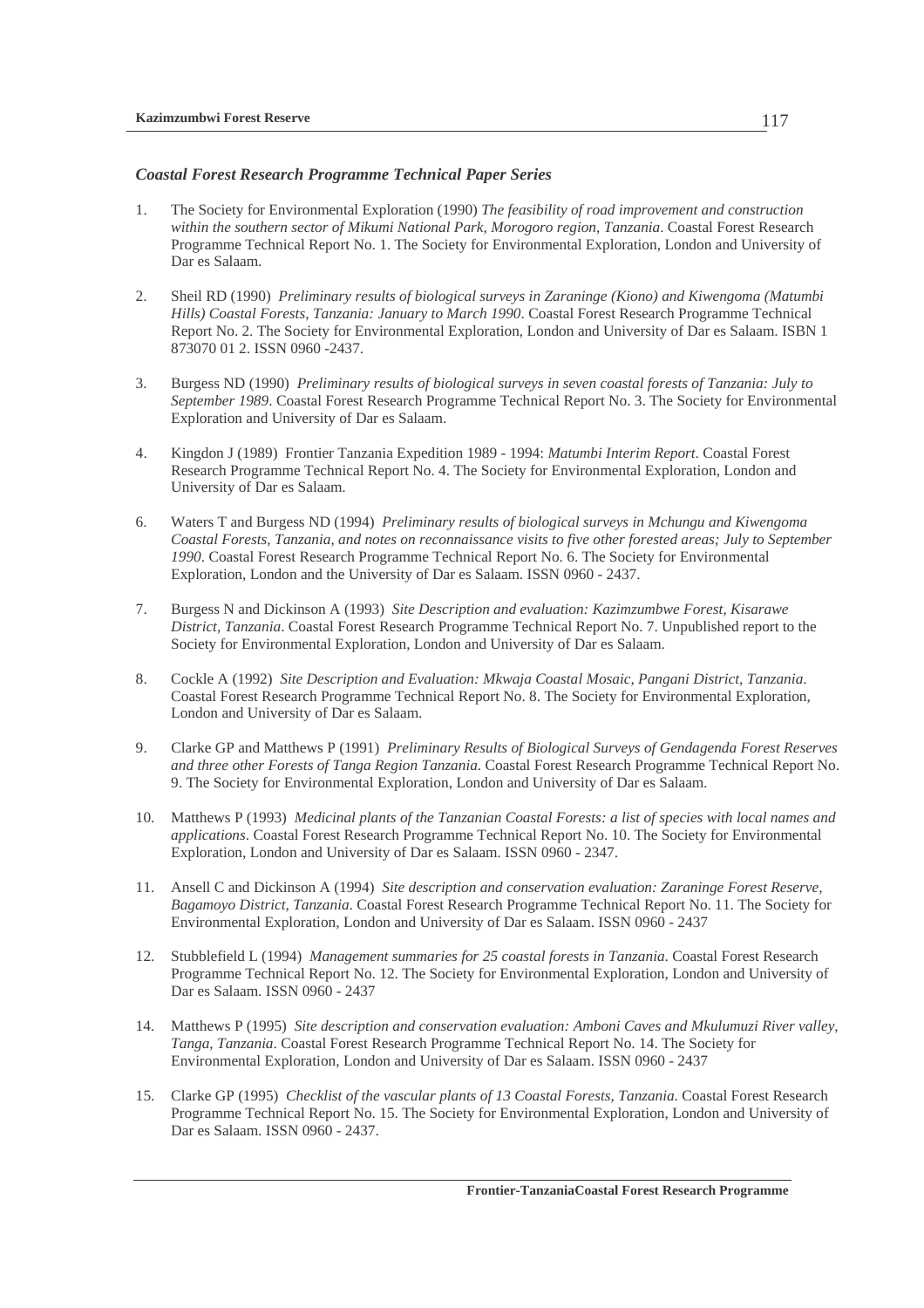## *Coastal Forest Research Programme Technical Paper Series*

- 1. The Society for Environmental Exploration (1990) *The feasibility of road improvement and construction within the southern sector of Mikumi National Park, Morogoro region, Tanzania*. Coastal Forest Research Programme Technical Report No. 1. The Society for Environmental Exploration, London and University of Dar es Salaam.
- 2. Sheil RD (1990) *Preliminary results of biological surveys in Zaraninge (Kiono) and Kiwengoma (Matumbi Hills) Coastal Forests, Tanzania: January to March 1990*. Coastal Forest Research Programme Technical Report No. 2. The Society for Environmental Exploration, London and University of Dar es Salaam. ISBN 1 873070 01 2. ISSN 0960 -2437.
- 3. Burgess ND (1990) *Preliminary results of biological surveys in seven coastal forests of Tanzania: July to September 1989*. Coastal Forest Research Programme Technical Report No. 3. The Society for Environmental Exploration and University of Dar es Salaam.
- 4. Kingdon J (1989) Frontier Tanzania Expedition 1989 1994: *Matumbi Interim Report*. Coastal Forest Research Programme Technical Report No. 4. The Society for Environmental Exploration, London and University of Dar es Salaam.
- 6. Waters T and Burgess ND (1994) *Preliminary results of biological surveys in Mchungu and Kiwengoma Coastal Forests, Tanzania, and notes on reconnaissance visits to five other forested areas; July to September 1990*. Coastal Forest Research Programme Technical Report No. 6. The Society for Environmental Exploration, London and the University of Dar es Salaam. ISSN 0960 - 2437.
- 7. Burgess N and Dickinson A (1993) *Site Description and evaluation: Kazimzumbwe Forest, Kisarawe District, Tanzania*. Coastal Forest Research Programme Technical Report No. 7. Unpublished report to the Society for Environmental Exploration, London and University of Dar es Salaam.
- 8. Cockle A (1992) *Site Description and Evaluation: Mkwaja Coastal Mosaic, Pangani District, Tanzania*. Coastal Forest Research Programme Technical Report No. 8. The Society for Environmental Exploration, London and University of Dar es Salaam.
- 9. Clarke GP and Matthews P (1991) *Preliminary Results of Biological Surveys of Gendagenda Forest Reserves and three other Forests of Tanga Region Tanzania*. Coastal Forest Research Programme Technical Report No. 9. The Society for Environmental Exploration, London and University of Dar es Salaam.
- 10. Matthews P (1993) *Medicinal plants of the Tanzanian Coastal Forests: a list of species with local names and applications*. Coastal Forest Research Programme Technical Report No. 10. The Society for Environmental Exploration, London and University of Dar es Salaam. ISSN 0960 - 2347.
- 11. Ansell C and Dickinson A (1994) *Site description and conservation evaluation: Zaraninge Forest Reserve, Bagamoyo District, Tanzania*. Coastal Forest Research Programme Technical Report No. 11. The Society for Environmental Exploration, London and University of Dar es Salaam. ISSN 0960 - 2437
- 12. Stubblefield L (1994) *Management summaries for 25 coastal forests in Tanzania*. Coastal Forest Research Programme Technical Report No. 12. The Society for Environmental Exploration, London and University of Dar es Salaam. ISSN 0960 - 2437
- 14. Matthews P (1995) *Site description and conservation evaluation: Amboni Caves and Mkulumuzi River valley, Tanga, Tanzania*. Coastal Forest Research Programme Technical Report No. 14. The Society for Environmental Exploration, London and University of Dar es Salaam. ISSN 0960 - 2437
- 15. Clarke GP (1995) *Checklist of the vascular plants of 13 Coastal Forests, Tanzania*. Coastal Forest Research Programme Technical Report No. 15. The Society for Environmental Exploration, London and University of Dar es Salaam. ISSN 0960 - 2437.